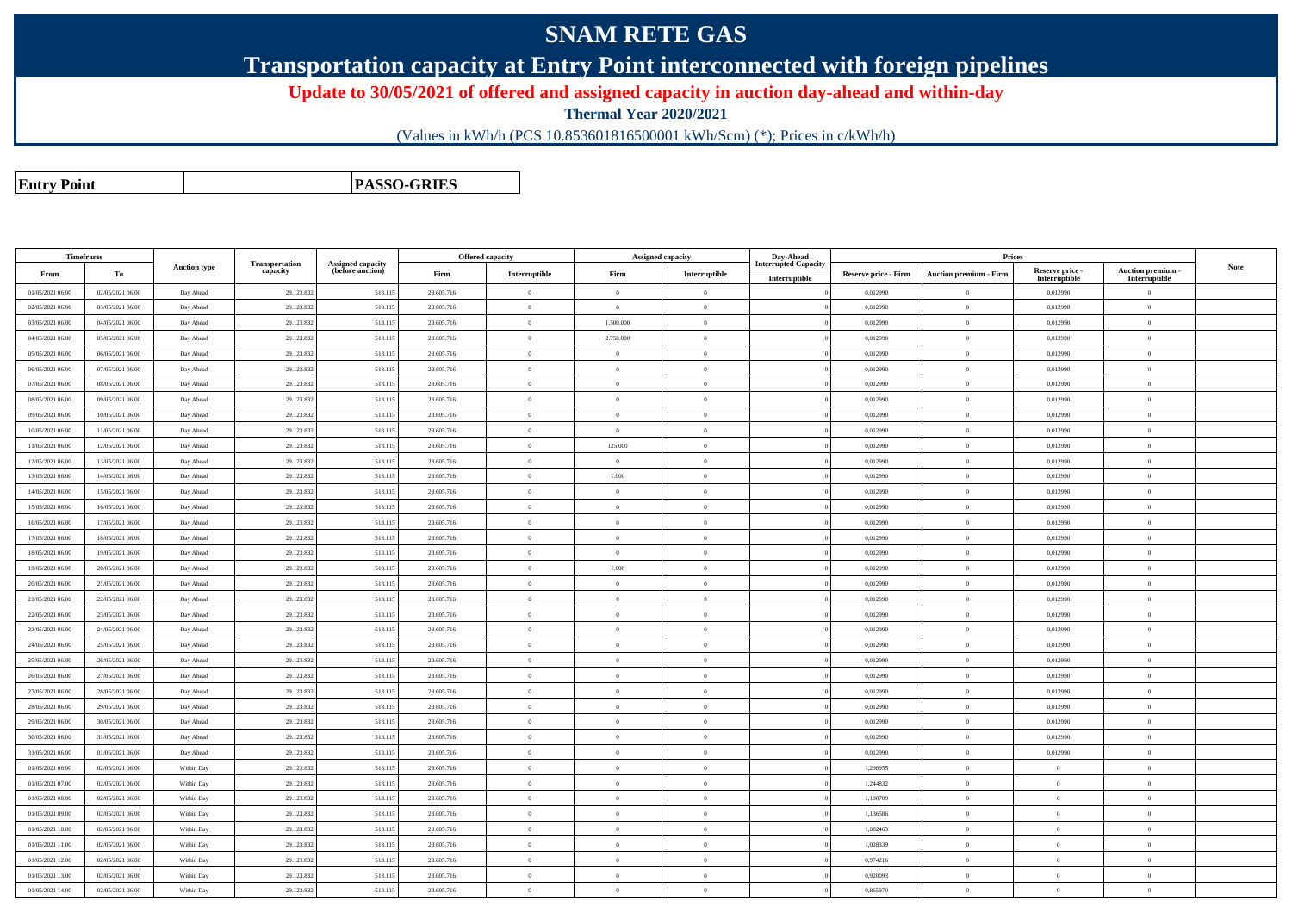## **SNAM RETE GAS**

**Transportation capacity at Entry Point interconnected with foreign pipelines**

**Update to 30/05/2021 of offered and assigned capacity in auction day-ahead and within-day**

**Thermal Year 2020/2021**

(Values in kWh/h (PCS 10.853601816500001 kWh/Scm) (\*); Prices in c/kWh/h)

**Entry Point**

**PASSO-GRIES**

| Timeframe                            |                                      |                        |                            |                                              |                          | <b>Offered capacity</b> |                | <b>Assigned capacity</b>         | Day-Ahead                   |                             | Prices                        |                           |                                 |      |
|--------------------------------------|--------------------------------------|------------------------|----------------------------|----------------------------------------------|--------------------------|-------------------------|----------------|----------------------------------|-----------------------------|-----------------------------|-------------------------------|---------------------------|---------------------------------|------|
| From                                 | To                                   | <b>Auction type</b>    | Transportation<br>capacity | <b>Assigned capacity</b><br>(before auction) | Firm                     | Interruptible           | Firm           | Interruptible                    | <b>Interrupted Capacity</b> | <b>Reserve price - Firm</b> | <b>Auction premium - Firm</b> | Reserve price -           | Auction premium -               | Note |
| 01/05/2021 06:00                     | 02/05/2021 06:00                     | Day Ahead              | 29.123.832                 | 518.11:                                      | 28.605.716               | $\overline{0}$          |                | $\overline{0}$                   | Interruptible               | 0,012990                    | $\Omega$                      | Interruptible<br>0,012990 | Interruptible<br>$\overline{0}$ |      |
| 02/05/2021 06:00                     | 03/05/2021 06:00                     | Day Ahead              | 29.123.832                 | 518.115                                      | 28.605.716               | $\overline{0}$          | $\Omega$       | $\overline{0}$                   |                             | 0,012990                    | $\mathbf{0}$                  | 0,012990                  | $\overline{0}$                  |      |
| 03/05/2021 06:00                     | 04/05/2021 06:00                     | Day Ahead              | 29.123.832                 | 518.115                                      | 28.605.716               | $\overline{0}$          | 1.500.000      | $\bf{0}$                         |                             | 0,012990                    | $\bf{0}$                      | 0,012990                  | $\,0\,$                         |      |
| 04/05/2021 06:00                     | 05/05/2021 06:00                     |                        | 29.123.832                 | 518.115                                      | 28.605.716               | $\theta$                | 2.750.000      | $\overline{0}$                   |                             | 0,012990                    | $\theta$                      | 0,012990                  | $\theta$                        |      |
|                                      |                                      | Day Ahead              |                            |                                              |                          | $\theta$                |                |                                  |                             |                             | $\theta$                      |                           | $\theta$                        |      |
| 05/05/2021 06:00                     | 06/05/2021 06:00                     | Day Ahead              | 29.123.832                 | 518.115                                      | 28.605.716               | $\overline{0}$          | $\overline{0}$ | $\overline{0}$<br>$\overline{0}$ |                             | 0,012990                    | $\mathbf{0}$                  | 0,012990                  | $\overline{0}$                  |      |
| 06/05/2021 06:00<br>07/05/2021 06:00 | 07/05/2021 06:00<br>08/05/2021 06:00 | Day Ahead<br>Day Ahead | 29.123.832<br>29.123.832   | 518.115<br>518.115                           | 28.605.716<br>28.605.716 | $\overline{0}$          | $\overline{0}$ | $\bf{0}$                         |                             | 0,012990<br>0,012990        | $\theta$                      | 0,012990<br>0,012990      | $\theta$                        |      |
| 08/05/2021 06:00                     | 09/05/2021 06:00                     | Day Ahead              | 29.123.832                 | 518.115                                      | 28.605.716               | $\theta$                | $\theta$       | $\overline{0}$                   |                             | 0,012990                    | $\theta$                      | 0,012990                  | $\theta$                        |      |
| 09/05/2021 06:00                     | 10/05/2021 06:00                     | Day Ahead              | 29.123.832                 | 518.115                                      | 28.605.716               | $\overline{0}$          | $\theta$       | $\overline{0}$                   |                             | 0,012990                    | $\overline{0}$                | 0,012990                  | $\overline{0}$                  |      |
| 10/05/2021 06:00                     | 11/05/2021 06:00                     | Day Ahead              | 29.123.832                 | 518.115                                      | 28.605.716               | $\overline{0}$          | $\overline{0}$ | $\overline{0}$                   |                             | 0,012990                    | $\,$ 0 $\,$                   | 0,012990                  | $\overline{0}$                  |      |
| 11/05/2021 06:00                     | 12/05/2021 06:00                     | Day Ahead              | 29.123.832                 | 518.115                                      | 28.605.716               | $\overline{0}$          | 125.000        | $\bf{0}$                         |                             | 0,012990                    | $\overline{0}$                | 0,012990                  | $\theta$                        |      |
| 12/05/2021 06:00                     | 13/05/2021 06:00                     | Day Ahead              | 29.123.832                 | 518.115                                      | 28.605.716               | $\overline{0}$          | $\theta$       | $\overline{0}$                   |                             | 0,012990                    | $\overline{0}$                | 0,012990                  | $\overline{0}$                  |      |
| 13/05/2021 06:00                     | 14/05/2021 06:00                     | Day Ahead              | 29.123.832                 | 518.11                                       | 28.605.716               | $\bf{0}$                | 1.000          | $\overline{0}$                   |                             | 0,012990                    | $\overline{0}$                | 0,012990                  | $\overline{0}$                  |      |
| 14/05/2021 06:00                     | 15/05/2021 06:00                     | Day Ahead              | 29.123.832                 | 518.115                                      | 28.605.716               | $\overline{0}$          | $\overline{0}$ | $\overline{0}$                   |                             | 0,012990                    | $\,$ 0 $\,$                   | 0,012990                  | $\bf{0}$                        |      |
| 15/05/2021 06:00                     | 16/05/2021 06:00                     | Day Ahead              | 29.123.832                 | 518.115                                      | 28.605.716               | $\overline{0}$          | $\overline{0}$ | $\bf{0}$                         |                             | 0,012990                    | $\theta$                      | 0,012990                  | $\theta$                        |      |
| 16/05/2021 06:00                     | 17/05/2021 06:00                     | Day Ahead              | 29.123.832                 | 518.115                                      | 28.605.716               | $\bf{0}$                | $\overline{0}$ | $\overline{0}$                   |                             | 0,012990                    | $\overline{0}$                | 0,012990                  | $\overline{0}$                  |      |
| 17/05/2021 06:00                     | 18/05/2021 06:00                     | Day Ahead              | 29.123.832                 | 518.115                                      | 28.605.716               | $\overline{0}$          | $\theta$       | $\overline{0}$                   |                             | 0,012990                    | $\overline{0}$                | 0,012990                  | $\overline{0}$                  |      |
| 18/05/2021 06:00                     | 19/05/2021 06:00                     | Day Ahead              | 29.123.832                 | 518.115                                      | 28.605.716               | $\bf{0}$                | $\overline{0}$ | $\overline{0}$                   |                             | 0,012990                    | $\overline{0}$                | 0,012990                  | $\overline{0}$                  |      |
| 19/05/2021 06:00                     | 20/05/2021 06:00                     | Day Ahead              | 29.123.832                 | 518.115                                      | 28.605.716               | $\overline{0}$          | 1.000          | $\overline{0}$                   |                             | 0,012990                    | $\overline{0}$                | 0,012990                  | $\overline{0}$                  |      |
| 20/05/2021 06:00                     | 21/05/2021 06:00                     | Day Ahead              | 29.123.832                 | 518.115                                      | 28.605.716               | $\overline{0}$          | $\Omega$       | $\overline{0}$                   |                             | 0,012990                    | $\overline{0}$                | 0,012990                  | $\overline{0}$                  |      |
| 21/05/2021 06:00                     | 22/05/2021 06:00                     | Day Ahead              | 29.123.832                 | 518.115                                      | 28.605.716               | $\bf{0}$                | $\theta$       | $\overline{0}$                   |                             | 0,012990                    | $\overline{0}$                | 0,012990                  | $\overline{0}$                  |      |
| 22/05/2021 06:00                     | 23/05/2021 06:00                     | Day Ahead              | 29.123.832                 | 518.115                                      | 28.605.716               | $\bf{0}$                | $\Omega$       | $\overline{0}$                   |                             | 0,012990                    | $\overline{0}$                | 0.012990                  | $\overline{0}$                  |      |
| 23/05/2021 06:00                     | 24/05/2021 06:00                     | Day Ahead              | 29.123.832                 | 518.115                                      | 28.605.716               | $\overline{0}$          | $\theta$       | $\overline{0}$                   |                             | 0,012990                    | $\overline{0}$                | 0,012990                  | $\overline{0}$                  |      |
| 24/05/2021 06:00                     | 25/05/2021 06:00                     | Day Ahead              | 29.123.832                 | 518.115                                      | 28.605.716               | $\overline{0}$          | $\Omega$       | $\overline{0}$                   |                             | 0,012990                    | $\overline{0}$                | 0,012990                  | $\theta$                        |      |
| 25/05/2021 06:00                     | 26/05/2021 06:00                     | Day Ahead              | 29.123.832                 | 518.115                                      | 28.605.716               | $\overline{0}$          | $\overline{0}$ | $\Omega$                         |                             | 0,012990                    | $\overline{0}$                | 0,012990                  | $\theta$                        |      |
| 26/05/2021 06:00                     | 27/05/2021 06:00                     | Day Ahead              | 29.123.832                 | 518.115                                      | 28.605.716               | $\bf{0}$                | $\Omega$       | $\overline{0}$                   |                             | 0,012990                    | $\overline{0}$                | 0.012990                  | $\Omega$                        |      |
| 27/05/2021 06:00                     | 28/05/2021 06:00                     | Day Ahead              | 29.123.832                 | 518.115                                      | 28.605.716               | $\,$ 0 $\,$             | $\overline{0}$ | $\overline{0}$                   |                             | 0,012990                    | $\bf{0}$                      | 0,012990                  | $\bf{0}$                        |      |
| 28/05/2021 06:00                     | 29/05/2021 06:00                     | Day Ahead              | 29.123.832                 | 518.115                                      | 28.605.716               | $\overline{0}$          | $\theta$       | $\overline{0}$                   |                             | 0,012990                    | $\theta$                      | 0.012990                  | $\theta$                        |      |
| 29/05/2021 06:00                     | 30/05/2021 06:00                     | Day Ahead              | 29.123.832                 | 518.115                                      | 28.605.716               | $\overline{0}$          | $\overline{0}$ | $\overline{0}$                   |                             | 0,012990                    | $\mathbf{0}$                  | 0,012990                  | $\overline{0}$                  |      |
| 30/05/2021 06:00                     | 31/05/2021 06:00                     | Day Ahead              | 29.123.832                 | 518.115                                      | 28.605.716               | $\overline{0}$          | $\Omega$       | $\overline{0}$                   |                             | 0,012990                    | $\overline{0}$                | 0,012990                  | $\theta$                        |      |
| 31/05/2021 06:00                     | 01/06/2021 06:00                     | Day Ahead              | 29.123.832                 | 518.115                                      | 28.605.716               | $\theta$                | $\Omega$       | $\overline{0}$                   |                             | 0,012990                    | $\overline{0}$                | 0,012990                  | $\theta$                        |      |
| 01/05/2021 06:00                     | 02/05/2021 06:00                     | Within Day             | 29.123.832                 | 518.115                                      | 28.605.716               | $\overline{0}$          | $\Omega$       | $\overline{0}$                   |                             | 1.298955                    | $\theta$                      | $\theta$                  | $\theta$                        |      |
| 01/05/2021 07:00                     | 02/05/2021 06:00                     | Within Day             | 29.123.832                 | 518.115                                      | 28.605.716               | $\overline{0}$          | $\overline{0}$ | $\overline{0}$                   |                             | 1,244832                    | $\mathbf{0}$                  | $\overline{0}$            | $\overline{0}$                  |      |
| 01/05/2021 08:00                     | 02/05/2021 06:00                     | Within Day             | 29.123.832                 | 518,115                                      | 28,605,716               | $\overline{0}$          | $\Omega$       | $\theta$                         |                             | 1,190709                    | $\theta$                      | $\Omega$                  | $\theta$                        |      |
| 01/05/2021 09:00                     | 02/05/2021 06:00                     | Within Day             | 29.123.832                 | 518.115                                      | 28.605.716               | $\theta$                | $\theta$       | $\overline{0}$                   |                             | 1.136586                    | $\overline{0}$                | $\theta$                  | $\theta$                        |      |
| 01/05/2021 10:00                     | 02/05/2021 06:00                     | Within Day             | 29.123.832                 | 518.115                                      | 28.605.716               | $\theta$                | $\Omega$       | $\theta$                         |                             | 1.082463                    | $\theta$                      | $\theta$                  | $\theta$                        |      |
| 01/05/2021 11:00                     | 02/05/2021 06:00                     | Within Day             | 29.123.832                 | 518.115                                      | 28.605.716               | $\overline{0}$          | $\overline{0}$ | $\overline{0}$                   |                             | 1,028339                    | $\mathbf{0}$                  | $\theta$                  | $\overline{0}$                  |      |
| 01/05/2021 12:00                     | 02/05/2021 06:00                     | Within Day             | 29.123.832                 | 518,115                                      | 28,605,716               | $\overline{0}$          | $\theta$       | $\theta$                         |                             | 0.974216                    | $\overline{0}$                | $\theta$                  | $\theta$                        |      |
| 01/05/2021 13:00                     | 02/05/2021 06:00                     | Within Day             | 29.123.832                 | 518,115                                      | 28.605.716               | $\theta$                | $\overline{0}$ | $\overline{0}$                   |                             | 0.920093                    | $\overline{0}$                | $\theta$                  | $\theta$                        |      |
| 01/05/2021 14:00                     | 02/05/2021 06:00                     | Within Day             | 29.123.832                 | 518.115                                      | 28.605.716               | $\overline{0}$          | $\Omega$       | $\overline{0}$                   |                             | 0,865970                    | $\mathbf{0}$                  | $\theta$                  | $\overline{0}$                  |      |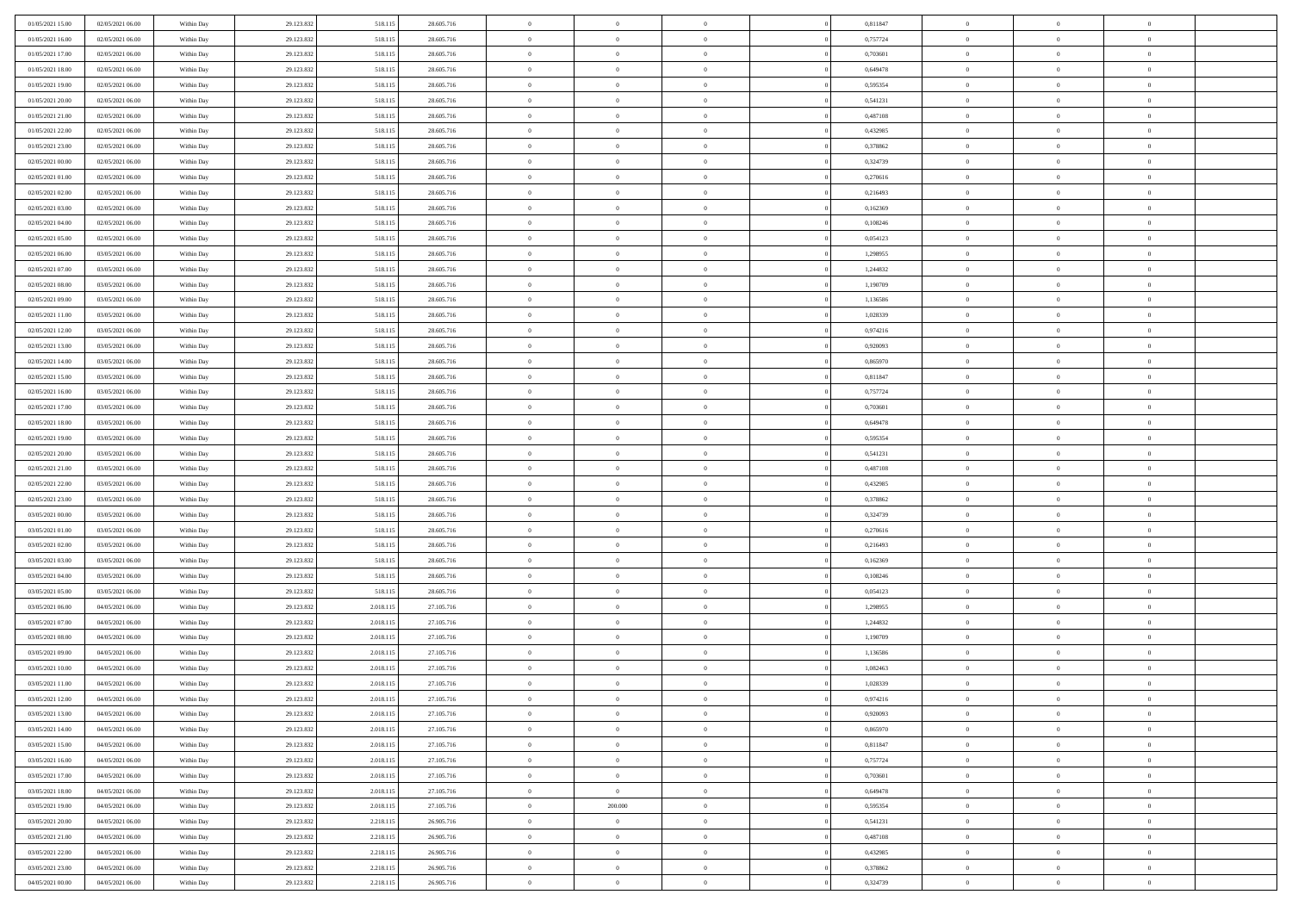| 01/05/2021 15:00                     | 02/05/2021 06:00 | Within Day               | 29.123.832 | 518.11:            | 28.605.716               | $\,0\,$        | $\overline{0}$ | $\overline{0}$ |                | 0,811847             | $\,$ 0 $\,$    | $\overline{0}$ | $\bf{0}$       |  |
|--------------------------------------|------------------|--------------------------|------------|--------------------|--------------------------|----------------|----------------|----------------|----------------|----------------------|----------------|----------------|----------------|--|
| 01/05/2021 16:00                     | 02/05/2021 06:00 | Within Day               | 29.123.832 | 518.11             | 28.605.716               | $\overline{0}$ | $\overline{0}$ | $\overline{0}$ |                | 0,757724             | $\theta$       | $\overline{0}$ | $\theta$       |  |
| 01/05/2021 17:00                     | 02/05/2021 06:00 | Within Day               | 29.123.832 | 518.115            | 28.605.716               | $\mathbf{0}$   | $\overline{0}$ | $\overline{0}$ |                | 0,703601             | $\theta$       | $\overline{0}$ | $\overline{0}$ |  |
| 01/05/2021 18:00                     | 02/05/2021 06:00 | Within Day               | 29.123.832 | 518.115            | 28.605.716               | $\bf{0}$       | $\overline{0}$ | $\bf{0}$       |                | 0,649478             | $\bf{0}$       | $\overline{0}$ | $\bf{0}$       |  |
| 01/05/2021 19:00                     | 02/05/2021 06:00 | Within Day               | 29.123.832 | 518.115            | 28.605.716               | $\bf{0}$       | $\overline{0}$ | $\overline{0}$ |                | 0,595354             | $\bf{0}$       | $\bf{0}$       | $\bf{0}$       |  |
| 01/05/2021 20:00                     | 02/05/2021 06:00 | Within Day               | 29.123.832 | 518.115            | 28.605.716               | $\overline{0}$ | $\overline{0}$ | $\overline{0}$ |                | 0,541231             | $\theta$       | $\bf{0}$       | $\theta$       |  |
| 01/05/2021 21:00                     | 02/05/2021 06:00 | Within Day               | 29.123.832 | 518.11:            | 28.605.716               | $\,0\,$        | $\overline{0}$ | $\overline{0}$ |                | 0,487108             | $\bf{0}$       | $\overline{0}$ | $\theta$       |  |
| 01/05/2021 22:00                     | 02/05/2021 06:00 | Within Day               | 29.123.832 | 518.115            | 28.605.716               | $\overline{0}$ | $\mathbf{0}$   | $\overline{0}$ |                | 0,432985             | $\,0\,$        | $\overline{0}$ | $\theta$       |  |
| 01/05/2021 23:00                     | 02/05/2021 06:00 | Within Day               | 29.123.832 | 518.115            | 28.605.716               | $\mathbf{0}$   | $\overline{0}$ | $\overline{0}$ |                | 0,378862             | $\theta$       | $\overline{0}$ | $\overline{0}$ |  |
| 02/05/2021 00:00                     | 02/05/2021 06:00 | Within Day               | 29.123.832 | 518.115            | 28.605.716               | $\bf{0}$       | $\overline{0}$ | $\overline{0}$ |                | 0,324739             | $\bf{0}$       | $\overline{0}$ | $\bf{0}$       |  |
|                                      | 02/05/2021 06:00 |                          | 29.123.832 |                    |                          | $\bf{0}$       | $\overline{0}$ | $\overline{0}$ |                |                      | $\bf{0}$       | $\mathbf{0}$   | $\theta$       |  |
| 02/05/2021 01:00<br>02/05/2021 02:00 | 02/05/2021 06:00 | Within Day<br>Within Day | 29.123.832 | 518.115<br>518.115 | 28.605.716<br>28.605.716 | $\mathbf{0}$   | $\overline{0}$ | $\overline{0}$ |                | 0,270616<br>0,216493 | $\theta$       | $\overline{0}$ | $\overline{0}$ |  |
| 02/05/2021 03:00                     |                  |                          |            |                    |                          | $\bf{0}$       | $\overline{0}$ |                |                |                      | $\bf{0}$       | $\overline{0}$ | $\bf{0}$       |  |
|                                      | 02/05/2021 06:00 | Within Day               | 29.123.832 | 518.115            | 28.605.716               |                |                | $\overline{0}$ |                | 0,162369             |                | $\overline{0}$ |                |  |
| 02/05/2021 04:00                     | 02/05/2021 06:00 | Within Day               | 29.123.832 | 518.11             | 28.605.716               | $\bf{0}$       | $\overline{0}$ | $\overline{0}$ |                | 0,108246             | $\,0\,$        |                | $\theta$       |  |
| 02/05/2021 05:00                     | 02/05/2021 06:00 | Within Day               | 29.123.832 | 518.115            | 28.605.716               | $\overline{0}$ | $\overline{0}$ | $\overline{0}$ |                | 0,054123             | $\theta$       | $\overline{0}$ | $\overline{0}$ |  |
| 02/05/2021 06:00                     | 03/05/2021 06:00 | Within Day               | 29.123.832 | 518.115            | 28.605.716               | $\,0\,$        | $\overline{0}$ | $\overline{0}$ |                | 1,298955             | $\bf{0}$       | $\overline{0}$ | $\bf{0}$       |  |
| 02/05/2021 07:00                     | 03/05/2021 06:00 | Within Day               | 29.123.832 | 518.115            | 28.605.716               | $\bf{0}$       | $\overline{0}$ | $\overline{0}$ |                | 1,244832             | $\bf{0}$       | $\overline{0}$ | $\overline{0}$ |  |
| 02/05/2021 08:00                     | 03/05/2021 06:00 | Within Day               | 29.123.832 | 518.115            | 28.605.716               | $\mathbf{0}$   | $\overline{0}$ | $\overline{0}$ |                | 1,190709             | $\theta$       | $\overline{0}$ | $\overline{0}$ |  |
| 02/05/2021 09:00                     | 03/05/2021 06:00 | Within Day               | 29.123.832 | 518.115            | 28.605.716               | $\bf{0}$       | $\overline{0}$ | $\bf{0}$       |                | 1,136586             | $\bf{0}$       | $\overline{0}$ | $\bf{0}$       |  |
| 02/05/2021 11:00                     | 03/05/2021 06:00 | Within Day               | 29.123.832 | 518.115            | 28.605.716               | $\bf{0}$       | $\overline{0}$ | $\overline{0}$ |                | 1,028339             | $\bf{0}$       | $\overline{0}$ | $\bf{0}$       |  |
| 02/05/2021 12:00                     | 03/05/2021 06:00 | Within Day               | 29.123.832 | 518.115            | 28.605.716               | $\overline{0}$ | $\overline{0}$ | $\overline{0}$ |                | 0,974216             | $\theta$       | $\overline{0}$ | $\overline{0}$ |  |
| 02/05/2021 13:00                     | 03/05/2021 06:00 | Within Day               | 29.123.832 | 518.115            | 28.605.716               | $\,0\,$        | $\overline{0}$ | $\overline{0}$ |                | 0,920093             | $\bf{0}$       | $\overline{0}$ | $\theta$       |  |
| 02/05/2021 14:00                     | 03/05/2021 06:00 | Within Day               | 29.123.832 | 518.115            | 28.605.716               | $\bf{0}$       | $\overline{0}$ | $\overline{0}$ |                | 0.865970             | $\,$ 0 $\,$    | $\overline{0}$ | $\overline{0}$ |  |
| 02/05/2021 15:00                     | 03/05/2021 06:00 | Within Day               | 29.123.832 | 518.115            | 28.605.716               | $\mathbf{0}$   | $\overline{0}$ | $\overline{0}$ |                | 0,811847             | $\theta$       | $\overline{0}$ | $\overline{0}$ |  |
| 02/05/2021 16:00                     | 03/05/2021 06:00 | Within Day               | 29.123.832 | 518.115            | 28.605.716               | $\bf{0}$       | $\overline{0}$ | $\overline{0}$ |                | 0,757724             | $\bf{0}$       | $\overline{0}$ | $\bf{0}$       |  |
| 02/05/2021 17:00                     | 03/05/2021 06:00 | Within Day               | 29.123.832 | 518.115            | 28.605.716               | $\bf{0}$       | $\overline{0}$ | $\overline{0}$ |                | 0,703601             | $\bf{0}$       | $\overline{0}$ | $\bf{0}$       |  |
| 02/05/2021 18:00                     | 03/05/2021 06:00 | Within Day               | 29.123.832 | 518.115            | 28.605.716               | $\overline{0}$ | $\overline{0}$ | $\overline{0}$ |                | 0,649478             | $\theta$       | $\overline{0}$ | $\overline{0}$ |  |
| 02/05/2021 19:00                     | 03/05/2021 06:00 | Within Day               | 29.123.832 | 518.115            | 28.605.716               | $\bf{0}$       | $\overline{0}$ | $\bf{0}$       |                | 0,595354             | $\bf{0}$       | $\overline{0}$ | $\bf{0}$       |  |
| 02/05/2021 20:00                     | 03/05/2021 06:00 | Within Day               | 29.123.832 | 518.115            | 28.605.716               | $\overline{0}$ | $\overline{0}$ | $\overline{0}$ |                | 0,541231             | $\,$ 0 $\,$    | $\overline{0}$ | $\overline{0}$ |  |
| 02/05/2021 21:00                     | 03/05/2021 06:00 | Within Day               | 29.123.832 | 518.115            | 28.605.716               | $\mathbf{0}$   | $\overline{0}$ | $\overline{0}$ |                | 0,487108             | $\theta$       | $\overline{0}$ | $\overline{0}$ |  |
| 02/05/2021 22:00                     | 03/05/2021 06:00 | Within Day               | 29.123.832 | 518.115            | 28.605.716               | $\mathbf{0}$   | $\overline{0}$ | $\overline{0}$ |                | 0,432985             | $\,$ 0 $\,$    | $\overline{0}$ | $\theta$       |  |
| 02/05/2021 23:00                     | 03/05/2021 06:00 | Within Day               | 29.123.832 | 518.115            | 28.605.716               | $\bf{0}$       | $\overline{0}$ | $\overline{0}$ |                | 0,378862             | $\bf{0}$       | $\overline{0}$ | $\overline{0}$ |  |
| 03/05/2021 00:00                     | 03/05/2021 06:00 | Within Day               | 29.123.832 | 518.115            | 28.605.716               | $\mathbf{0}$   | $\overline{0}$ | $\overline{0}$ |                | 0,324739             | $\theta$       | $\overline{0}$ | $\overline{0}$ |  |
| 03/05/2021 01:00                     | 03/05/2021 06:00 | Within Day               | 29.123.832 | 518.115            | 28.605.716               | $\,$ 0 $\,$    | $\overline{0}$ | $\overline{0}$ |                | 0,270616             | $\,$ 0 $\,$    | $\overline{0}$ | $\theta$       |  |
| 03/05/2021 02:00                     | 03/05/2021 06:00 | Within Day               | 29.123.832 | 518.115            | 28.605.716               | $\overline{0}$ | $\overline{0}$ | $\overline{0}$ |                | 0,216493             | $\,$ 0 $\,$    | $\overline{0}$ | $\bf{0}$       |  |
| 03/05/2021 03:00                     | 03/05/2021 06:00 | Within Day               | 29.123.832 | 518.115            | 28.605.716               | $\mathbf{0}$   | $\overline{0}$ | $\overline{0}$ |                | 0,162369             | $\theta$       | $\overline{0}$ | $\overline{0}$ |  |
| 03/05/2021 04:00                     | 03/05/2021 06:00 | Within Day               | 29.123.832 | 518.115            | 28.605.716               | $\mathbf{0}$   | $\overline{0}$ | $\theta$       |                | 0,108246             | $\,$ 0 $\,$    | $\overline{0}$ | $\theta$       |  |
| 03/05/2021 05:00                     | 03/05/2021 06:00 | Within Day               | 29.123.832 | 518.115            | 28.605.716               | $\bf{0}$       | $\overline{0}$ | $\overline{0}$ |                | 0,054123             | $\bf{0}$       | $\overline{0}$ | $\overline{0}$ |  |
| 03/05/2021 06:00                     | 04/05/2021 06:00 | Within Day               | 29.123.832 | 2.018.115          | 27.105.716               | $\mathbf{0}$   | $\overline{0}$ | $\overline{0}$ |                | 1,298955             | $\theta$       | $\overline{0}$ | $\overline{0}$ |  |
| 03/05/2021 07:00                     | 04/05/2021 06:00 | Within Day               | 29.123.832 | 2.018.115          | 27.105.716               | $\,$ 0 $\,$    | $\overline{0}$ | $\bf{0}$       |                | 1,244832             | $\,$ 0 $\,$    | $\overline{0}$ | $\theta$       |  |
| 03/05/2021 08:00                     | 04/05/2021 06:00 | Within Day               | 29.123.832 | 2.018.11:          | 27.105.716               | $\bf{0}$       | $\overline{0}$ | $\overline{0}$ |                | 1,190709             | $\bf{0}$       | $\overline{0}$ | $\bf{0}$       |  |
| 03/05/2021 09:00                     | 04/05/2021 06:00 | Within Day               | 29.123.832 | 2.018.115          | 27.105.716               | $\mathbf{0}$   | $\overline{0}$ | $\overline{0}$ |                | 1,136586             | $\theta$       | $\overline{0}$ | $\overline{0}$ |  |
| 03/05/2021 10:00                     | 04/05/2021 06:00 | Within Day               | 29.123.832 | 2.018.115          | 27.105.716               | $\mathbf{0}$   | $\overline{0}$ | $\overline{0}$ |                | 1,082463             | $\,$ 0 $\,$    | $\overline{0}$ | $\theta$       |  |
| 03/05/2021 11:00                     | 04/05/2021 06:00 | Within Day               | 29.123.832 | 2.018.11:          | 27.105.716               | $\bf{0}$       | $\overline{0}$ | $\overline{0}$ |                | 1,028339             | $\,$ 0 $\,$    | $\overline{0}$ | $\bf{0}$       |  |
| 03/05/2021 12:00                     | 04/05/2021 06:00 | Within Day               | 29.123.832 | 2.018.115          | 27.105.716               | $\bf{0}$       | $\overline{0}$ | $\Omega$       |                | 0,974216             | $\overline{0}$ | $^{\circ}$     | $\theta$       |  |
| 03/05/2021 13:00                     | 04/05/2021 06:00 | Within Day               | 29.123.832 | 2.018.115          | 27.105.716               | $\,$ 0 $\,$    | $\overline{0}$ | $\bf{0}$       |                | 0,920093             | $\,$ 0 $\,$    | $\overline{0}$ | $\theta$       |  |
| 03/05/2021 14:00                     | 04/05/2021 06:00 | Within Day               | 29.123.832 | 2.018.11:          | 27.105.716               | $\bf{0}$       | $\overline{0}$ | $\overline{0}$ |                | 0,865970             | $\,$ 0 $\,$    | $\overline{0}$ | $\overline{0}$ |  |
| 03/05/2021 15:00                     | 04/05/2021 06:00 | Within Day               | 29.123.832 | 2.018.115          | 27.105.716               | $\mathbf{0}$   | $\overline{0}$ | $\overline{0}$ |                | 0,811847             | $\mathbf{0}$   | $\overline{0}$ | $\overline{0}$ |  |
| 03/05/2021 16:00                     | 04/05/2021 06:00 | Within Day               | 29.123.832 | 2.018.115          | 27.105.716               | $\,$ 0         | $\overline{0}$ | $\overline{0}$ | $\overline{0}$ | 0,757724             | $\,$ 0 $\,$    | $\bf{0}$       | $\,$ 0 $\,$    |  |
| 03/05/2021 17:00                     | 04/05/2021 06:00 | Within Day               | 29.123.832 | 2.018.115          | 27.105.716               | $\bf{0}$       | $\overline{0}$ | $\overline{0}$ |                | 0,703601             | $\,$ 0 $\,$    | $\overline{0}$ | $\overline{0}$ |  |
| 03/05/2021 18:00                     | 04/05/2021 06:00 | Within Day               | 29.123.832 | 2.018.115          | 27.105.716               | $\mathbf{0}$   | $\overline{0}$ | $\overline{0}$ |                | 0,649478             | $\overline{0}$ | $\overline{0}$ | $\overline{0}$ |  |
| 03/05/2021 19:00                     | 04/05/2021 06:00 | Within Day               | 29.123.832 | 2.018.115          | 27.105.716               | $\,$ 0 $\,$    | 200.000        | $\bf{0}$       |                | 0,595354             | $\,$ 0 $\,$    | $\bf{0}$       | $\overline{0}$ |  |
| 03/05/2021 20:00                     | 04/05/2021 06:00 | Within Day               | 29.123.832 | 2.218.115          | 26.905.716               | $\overline{0}$ | $\overline{0}$ | $\overline{0}$ |                | 0,541231             | $\overline{0}$ | $\overline{0}$ | $\bf{0}$       |  |
| 03/05/2021 21:00                     | 04/05/2021 06:00 | Within Day               | 29.123.832 | 2.218.115          | 26.905.716               | $\mathbf{0}$   | $\overline{0}$ | $\overline{0}$ |                | 0,487108             | $\mathbf{0}$   | $\overline{0}$ | $\overline{0}$ |  |
| 03/05/2021 22:00                     | 04/05/2021 06:00 | Within Day               | 29.123.832 | 2.218.115          | 26.905.716               | $\,$ 0 $\,$    | $\overline{0}$ | $\bf{0}$       |                | 0,432985             | $\,$ 0 $\,$    | $\bf{0}$       | $\,$ 0 $\,$    |  |
| 03/05/2021 23:00                     | 04/05/2021 06:00 | Within Day               | 29.123.832 | 2.218.115          | 26.905.716               | $\bf{0}$       | $\overline{0}$ | $\overline{0}$ |                | 0,378862             | $\,$ 0 $\,$    | $\overline{0}$ | $\bf{0}$       |  |
| 04/05/2021 00:00                     | 04/05/2021 06:00 | Within Day               | 29.123.832 | 2.218.115          | 26.905.716               | $\overline{0}$ | $\overline{0}$ | $\overline{0}$ |                | 0,324739             | $\mathbf{0}$   | $\overline{0}$ | $\overline{0}$ |  |
|                                      |                  |                          |            |                    |                          |                |                |                |                |                      |                |                |                |  |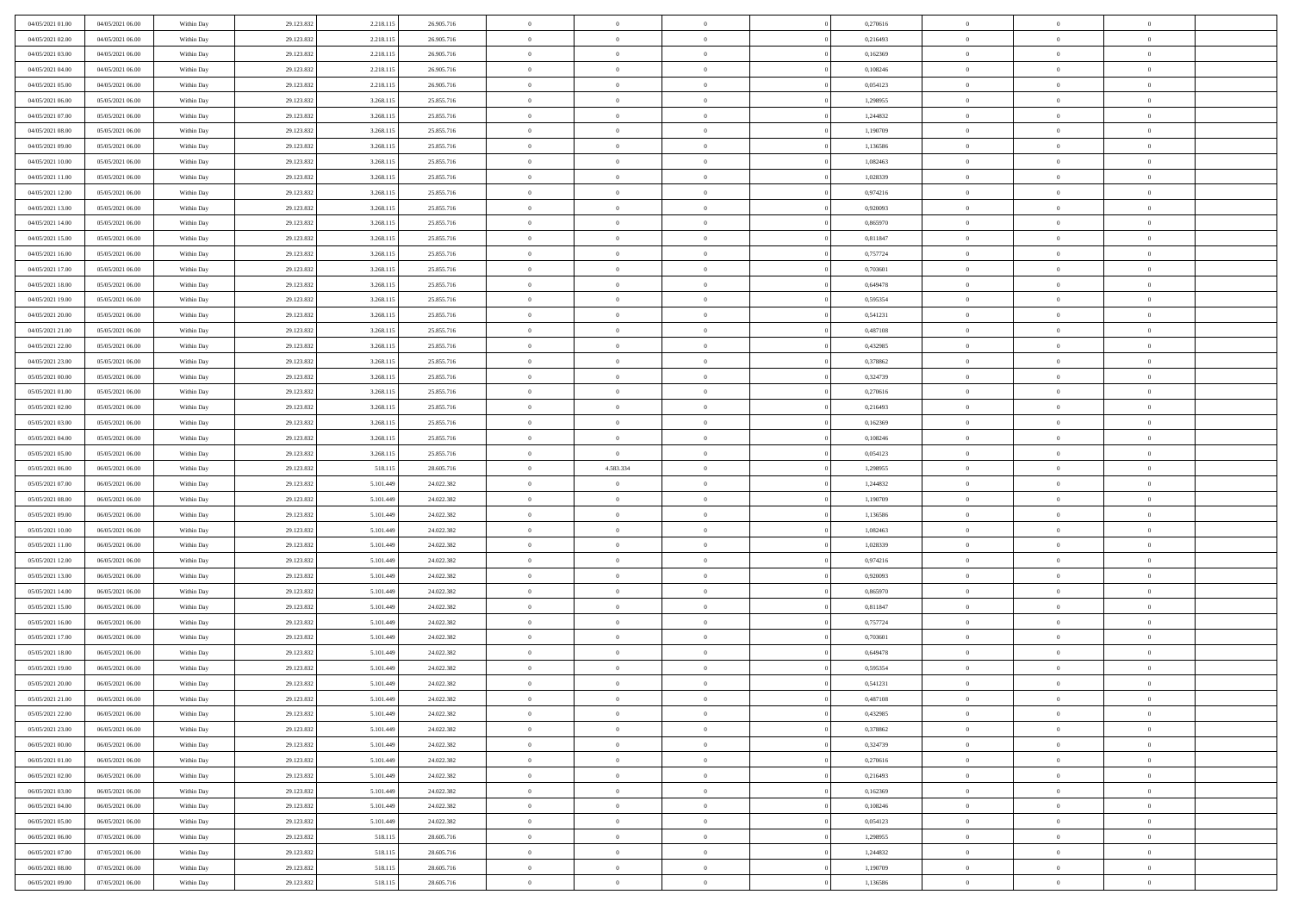| 04/05/2021 01:00 | 04/05/2021 06:00 | Within Day | 29.123.832 | 2.218.115 | 26.905.716 | $\overline{0}$ | $\overline{0}$ | $\Omega$       | 0,270616 | $\bf{0}$       | $\mathbf{0}$   | $\bf{0}$       |  |
|------------------|------------------|------------|------------|-----------|------------|----------------|----------------|----------------|----------|----------------|----------------|----------------|--|
| 04/05/2021 02:00 | 04/05/2021 06:00 | Within Day | 29.123.832 | 2.218.115 | 26.905.716 | $\mathbf{0}$   | $\overline{0}$ | $\overline{0}$ | 0,216493 | $\overline{0}$ | $\overline{0}$ | $\theta$       |  |
| 04/05/2021 03:00 | 04/05/2021 06:00 | Within Day | 29.123.832 | 2.218.115 | 26.905.716 | $\,$ 0         | $\overline{0}$ | $\bf{0}$       | 0,162369 | $\,$ 0         | $\overline{0}$ | $\,$ 0 $\,$    |  |
| 04/05/2021 04:00 | 04/05/2021 06:00 | Within Day | 29.123.832 | 2.218.115 | 26.905.716 | $\bf{0}$       | $\overline{0}$ | $\Omega$       | 0.108246 | $\bf{0}$       | $\mathbf{0}$   | $\theta$       |  |
| 04/05/2021 05:00 | 04/05/2021 06:00 | Within Dav | 29.123.832 | 2.218.115 | 26.905.716 | $\bf{0}$       | $\overline{0}$ | $\overline{0}$ | 0,054123 | $\mathbf{0}$   | $\overline{0}$ | $\overline{0}$ |  |
| 04/05/2021 06:00 | 05/05/2021 06:00 | Within Day | 29.123.832 | 3.268.115 | 25.855.716 | $\bf{0}$       | $\overline{0}$ | $\bf{0}$       | 1,298955 | $\,$ 0         | $\overline{0}$ | $\,$ 0 $\,$    |  |
| 04/05/2021 07.00 | 05/05/2021 06:00 | Within Day | 29.123.832 | 3.268.115 | 25.855.716 | $\bf{0}$       | $\overline{0}$ | $\Omega$       | 1,244832 | $\theta$       | $\mathbf{0}$   | $\theta$       |  |
| 04/05/2021 08:00 | 05/05/2021 06:00 | Within Dav | 29.123.832 | 3.268.115 | 25.855.716 | $\overline{0}$ | $\overline{0}$ | $\overline{0}$ | 1,190709 | $\mathbf{0}$   | $\overline{0}$ | $\overline{0}$ |  |
| 04/05/2021 09:00 | 05/05/2021 06:00 | Within Day | 29.123.832 | 3.268.115 | 25.855.716 | $\bf{0}$       | $\overline{0}$ | $\bf{0}$       | 1,136586 | $\,$ 0         | $\overline{0}$ | $\,$ 0 $\,$    |  |
| 04/05/2021 10:00 | 05/05/2021 06:00 | Within Day | 29.123.832 | 3.268.115 | 25.855.716 | $\bf{0}$       | $\overline{0}$ | $\Omega$       | 1.082463 | $\bf{0}$       | $\mathbf{0}$   | $\theta$       |  |
| 04/05/2021 11:00 | 05/05/2021 06:00 | Within Day | 29.123.832 | 3.268.115 | 25.855.716 | $\overline{0}$ | $\overline{0}$ | $\overline{0}$ | 1,028339 | $\overline{0}$ | $\overline{0}$ | $\overline{0}$ |  |
| 04/05/2021 12:00 | 05/05/2021 06:00 | Within Day | 29.123.832 | 3.268.115 | 25.855.716 | $\,$ 0         | $\overline{0}$ | $\bf{0}$       | 0,974216 | $\,$ 0         | $\overline{0}$ | $\,$ 0 $\,$    |  |
| 04/05/2021 13:00 | 05/05/2021 06:00 | Within Day | 29.123.832 | 3.268.115 | 25.855.716 | $\bf{0}$       | $\overline{0}$ | $\Omega$       | 0.920093 | $\overline{0}$ | $\theta$       | $\theta$       |  |
| 04/05/2021 14:00 | 05/05/2021 06:00 | Within Dav | 29.123.832 | 3.268.115 | 25.855.716 | $\overline{0}$ | $\overline{0}$ | $\overline{0}$ | 0,865970 | $\mathbf{0}$   | $\overline{0}$ | $\overline{0}$ |  |
| 04/05/2021 15:00 | 05/05/2021 06:00 | Within Day | 29.123.832 | 3.268.115 | 25.855.716 | $\bf{0}$       | $\overline{0}$ | $\bf{0}$       | 0,811847 | $\,$ 0         | $\overline{0}$ | $\,$ 0 $\,$    |  |
| 04/05/2021 16:00 | 05/05/2021 06:00 | Within Day | 29.123.832 | 3.268.115 | 25.855.716 | $\bf{0}$       | $\overline{0}$ | $\overline{0}$ | 0,757724 | $\bf{0}$       | $\mathbf{0}$   | $\bf{0}$       |  |
| 04/05/2021 17:00 | 05/05/2021 06:00 | Within Day | 29.123.832 | 3.268.115 | 25.855.716 | $\overline{0}$ | $\overline{0}$ | $\overline{0}$ | 0,703601 | $\mathbf{0}$   | $\overline{0}$ | $\overline{0}$ |  |
| 04/05/2021 18:00 | 05/05/2021 06:00 | Within Day | 29.123.832 | 3.268.115 | 25.855.716 | $\bf{0}$       | $\overline{0}$ | $\bf{0}$       | 0,649478 | $\,$ 0         | $\overline{0}$ | $\,0\,$        |  |
| 04/05/2021 19:00 | 05/05/2021 06:00 | Within Day | 29.123.832 | 3.268.115 | 25.855.716 | $\bf{0}$       | $\overline{0}$ | $\Omega$       | 0.595354 | $\theta$       | $\mathbf{0}$   | $\theta$       |  |
| 04/05/2021 20:00 | 05/05/2021 06:00 | Within Day | 29.123.832 | 3.268.115 | 25.855.716 | $\overline{0}$ | $\overline{0}$ | $\overline{0}$ | 0,541231 | $\mathbf{0}$   | $\overline{0}$ | $\overline{0}$ |  |
| 04/05/2021 21:00 | 05/05/2021 06:00 | Within Day | 29.123.832 | 3.268.115 | 25.855.716 | $\bf{0}$       | $\overline{0}$ | $\bf{0}$       | 0,487108 | $\,$ 0         | $\overline{0}$ | $\,$ 0 $\,$    |  |
| 04/05/2021 22.00 | 05/05/2021 06:00 | Within Day | 29.123.832 | 3.268.115 | 25.855.716 | $\bf{0}$       | $\overline{0}$ | $\Omega$       | 0.432985 | $\bf{0}$       | $\theta$       | $\theta$       |  |
| 04/05/2021 23:00 | 05/05/2021 06:00 | Within Dav | 29.123.832 | 3.268.115 | 25.855.716 | $\overline{0}$ | $\overline{0}$ | $\overline{0}$ | 0,378862 | $\mathbf{0}$   | $\overline{0}$ | $\overline{0}$ |  |
| 05/05/2021 00:00 | 05/05/2021 06:00 | Within Day | 29.123.832 | 3.268.115 | 25.855.716 | $\bf{0}$       | $\overline{0}$ | $\bf{0}$       | 0,324739 | $\,$ 0         | $\overline{0}$ | $\,$ 0 $\,$    |  |
| 05/05/2021 01:00 | 05/05/2021 06:00 | Within Day | 29.123.832 | 3.268.115 | 25.855.716 | $\bf{0}$       | $\overline{0}$ | $\overline{0}$ | 0,270616 | $\bf{0}$       | $\bf{0}$       | $\theta$       |  |
| 05/05/2021 02:00 | 05/05/2021 06:00 | Within Day | 29.123.832 | 3.268.115 | 25.855.716 | $\overline{0}$ | $\overline{0}$ | $\overline{0}$ | 0,216493 | $\overline{0}$ | $\overline{0}$ | $\overline{0}$ |  |
| 05/05/2021 03:00 | 05/05/2021 06:00 | Within Day | 29.123.832 | 3.268.115 | 25.855.716 | $\bf{0}$       | $\overline{0}$ | $\bf{0}$       | 0,162369 | $\,$ 0         | $\overline{0}$ | $\,$ 0 $\,$    |  |
| 05/05/2021 04:00 | 05/05/2021 06:00 | Within Day | 29.123.832 | 3.268.115 | 25.855.716 | $\bf{0}$       | $\overline{0}$ | $\Omega$       | 0.108246 | $\bf{0}$       | $\mathbf{0}$   | $\theta$       |  |
| 05/05/2021 05:00 | 05/05/2021 06:00 |            |            |           |            |                |                |                |          |                |                |                |  |
|                  |                  | Within Day | 29.123.832 | 3.268.115 | 25.855.716 | $\overline{0}$ | $\overline{0}$ | $\overline{0}$ | 0,054123 | $\mathbf{0}$   | $\overline{0}$ | $\overline{0}$ |  |
| 05/05/2021 06:00 | 06/05/2021 06:00 | Within Day | 29.123.832 | 518.115   | 28.605.716 | $\bf{0}$       | 4.583.334      | $\bf{0}$       | 1,298955 | $\,$ 0         | $\overline{0}$ | $\,$ 0 $\,$    |  |
| 05/05/2021 07:00 | 06/05/2021 06:00 | Within Day | 29.123.832 | 5.101.449 | 24.022.382 | $\,$ 0         | $\bf{0}$       | $\overline{0}$ | 1,244832 | $\bf{0}$       | $\overline{0}$ | $\,0\,$        |  |
| 05/05/2021 08:00 | 06/05/2021 06:00 | Within Dav | 29.123.832 | 5.101.449 | 24.022.382 | $\overline{0}$ | $\overline{0}$ | $\overline{0}$ | 1,190709 | $\mathbf{0}$   | $\overline{0}$ | $\overline{0}$ |  |
| 05/05/2021 09:00 | 06/05/2021 06:00 | Within Day | 29.123.832 | 5.101.449 | 24.022.382 | $\bf{0}$       | $\overline{0}$ | $\bf{0}$       | 1,136586 | $\,$ 0         | $\overline{0}$ | $\,$ 0 $\,$    |  |
| 05/05/2021 10:00 | 06/05/2021 06:00 | Within Day | 29.123.832 | 5.101.449 | 24.022.382 | $\bf{0}$       | $\bf{0}$       | $\bf{0}$       | 1,082463 | $\bf{0}$       | $\overline{0}$ | $\,0\,$        |  |
| 05/05/2021 11:00 | 06/05/2021 06:00 | Within Day | 29.123.832 | 5.101.449 | 24.022.382 | $\mathbf{0}$   | $\overline{0}$ | $\overline{0}$ | 1,028339 | $\overline{0}$ | $\overline{0}$ | $\overline{0}$ |  |
| 05/05/2021 12:00 | 06/05/2021 06:00 | Within Day | 29.123.832 | 5.101.449 | 24.022.382 | $\bf{0}$       | $\overline{0}$ | $\bf{0}$       | 0,974216 | $\,$ 0         | $\overline{0}$ | $\,$ 0 $\,$    |  |
| 05/05/2021 13:00 | 06/05/2021 06:00 | Within Day | 29.123.832 | 5.101.449 | 24.022.382 | $\,$ 0         | $\bf{0}$       | $\theta$       | 0,920093 | $\bf{0}$       | $\overline{0}$ | $\,0\,$        |  |
| 05/05/2021 14:00 | 06/05/2021 06:00 | Within Day | 29.123.832 | 5.101.449 | 24.022.382 | $\overline{0}$ | $\overline{0}$ | $\overline{0}$ | 0,865970 | $\mathbf{0}$   | $\overline{0}$ | $\overline{0}$ |  |
| 05/05/2021 15:00 | 06/05/2021 06:00 | Within Day | 29.123.832 | 5.101.449 | 24.022.382 | $\bf{0}$       | $\overline{0}$ | $\bf{0}$       | 0,811847 | $\,$ 0         | $\overline{0}$ | $\,$ 0 $\,$    |  |
| 05/05/2021 16:00 | 06/05/2021 06:00 | Within Day | 29.123.832 | 5.101.449 | 24.022.382 | $\bf{0}$       | $\bf{0}$       | $\overline{0}$ | 0,757724 | $\bf{0}$       | $\overline{0}$ | $\,0\,$        |  |
| 05/05/2021 17:00 | 06/05/2021 06:00 | Within Dav | 29.123.832 | 5.101.449 | 24.022.382 | $\overline{0}$ | $\overline{0}$ | $\overline{0}$ | 0,703601 | $\overline{0}$ | $\overline{0}$ | $\overline{0}$ |  |
| 05/05/2021 18:00 | 06/05/2021 06:00 | Within Day | 29.123.832 | 5.101.449 | 24.022.382 | $\bf{0}$       | $\overline{0}$ | $\bf{0}$       | 0,649478 | $\,$ 0         | $\overline{0}$ | $\,$ 0 $\,$    |  |
| 05/05/2021 19:00 | 06/05/2021 06:00 | Within Day | 29.123.832 | 5.101.449 | 24.022.382 | $\bf{0}$       | $\bf{0}$       | $\bf{0}$       | 0,595354 | $\bf{0}$       | $\overline{0}$ | $\,0\,$        |  |
| 05/05/2021 20:00 | 06/05/2021 06:00 | Within Day | 29.123.832 | 5.101.449 | 24.022.382 | $\mathbf{0}$   | $\overline{0}$ | $\overline{0}$ | 0,541231 | $\overline{0}$ | $\overline{0}$ | $\overline{0}$ |  |
| 05/05/2021 21:00 | 06/05/2021 06:00 | Within Day | 29.123.832 | 5.101.449 | 24.022.382 | $\bf{0}$       | $\overline{0}$ | $\theta$       | 0,487108 | $\overline{0}$ | $\theta$       | $\theta$       |  |
| 05/05/2021 22.00 | 06/05/2021 06:00 | Within Day | 29.123.832 | 5.101.449 | 24.022.382 | $\bf{0}$       | $\bf{0}$       | $\bf{0}$       | 0,432985 | $\bf{0}$       | $\overline{0}$ | $\,0\,$        |  |
| 05/05/2021 23:00 | 06/05/2021 06:00 | Within Day | 29.123.832 | 5.101.449 | 24.022.382 | $\overline{0}$ | $\overline{0}$ | $\overline{0}$ | 0,378862 | $\overline{0}$ | $\bf{0}$       | $\overline{0}$ |  |
| 06/05/2021 00:00 | 06/05/2021 06:00 | Within Day | 29.123.832 | 5.101.449 | 24.022.382 | $\,$ 0 $\,$    | $\overline{0}$ | $\overline{0}$ | 0,324739 | $\mathbf{0}$   | $\overline{0}$ | $\,$ 0 $\,$    |  |
| 06/05/2021 01:00 | 06/05/2021 06:00 | Within Day | 29.123.832 | 5.101.449 | 24.022.382 | $\bf{0}$       | $\bf{0}$       | $\overline{0}$ | 0,270616 | $\bf{0}$       | $\overline{0}$ | $\bf{0}$       |  |
| 06/05/2021 02:00 | 06/05/2021 06:00 | Within Day | 29.123.832 | 5.101.449 | 24.022.382 | $\overline{0}$ | $\overline{0}$ | $\overline{0}$ | 0,216493 | $\overline{0}$ | $\overline{0}$ | $\overline{0}$ |  |
| 06/05/2021 03:00 | 06/05/2021 06:00 | Within Day | 29.123.832 | 5.101.449 | 24.022.382 | $\,$ 0 $\,$    | $\overline{0}$ | $\overline{0}$ | 0,162369 | $\,$ 0 $\,$    | $\overline{0}$ | $\,$ 0 $\,$    |  |
| 06/05/2021 04:00 | 06/05/2021 06:00 | Within Day | 29.123.832 | 5.101.449 | 24.022.382 | $\overline{0}$ | $\overline{0}$ | $\overline{0}$ | 0,108246 | $\bf{0}$       | $\overline{0}$ | $\overline{0}$ |  |
| 06/05/2021 05:00 | 06/05/2021 06:00 | Within Day | 29.123.832 | 5.101.449 | 24.022.382 | $\overline{0}$ | $\overline{0}$ | $\overline{0}$ | 0,054123 | $\overline{0}$ | $\bf{0}$       | $\mathbf{0}$   |  |
| 06/05/2021 06:00 | 07/05/2021 06:00 | Within Day | 29.123.832 | 518.115   | 28.605.716 | $\,$ 0 $\,$    | $\overline{0}$ | $\overline{0}$ | 1,298955 | $\,$ 0 $\,$    | $\overline{0}$ | $\,$ 0 $\,$    |  |
| 06/05/2021 07:00 | 07/05/2021 06:00 | Within Day | 29.123.832 | 518.115   | 28.605.716 | $\bf{0}$       | $\overline{0}$ | $\overline{0}$ | 1,244832 | $\mathbf{0}$   | $\overline{0}$ | $\bf{0}$       |  |
| 06/05/2021 08:00 | 07/05/2021 06:00 | Within Day | 29.123.832 | 518.115   | 28.605.716 | $\overline{0}$ | $\overline{0}$ | $\overline{0}$ | 1,190709 | $\mathbf{0}$   | $\bf{0}$       | $\overline{0}$ |  |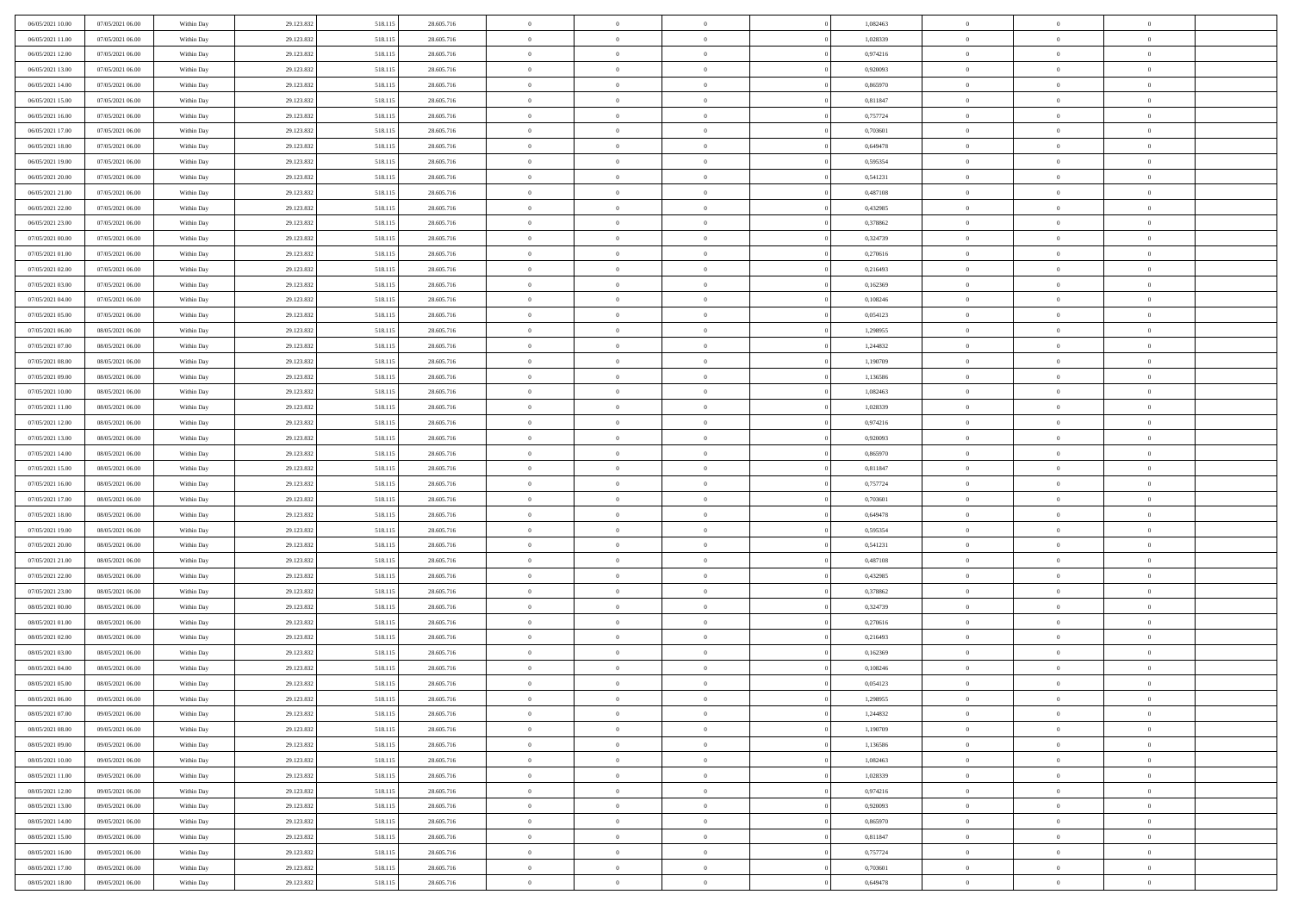| 06/05/2021 10:00 | 07/05/2021 06:00 | Within Day | 29.123.832 | 518.115 | 28.605.716 | $\,$ 0         | $\overline{0}$ | $\theta$       |          | 1,082463 | $\bf{0}$       | $\overline{0}$ | $\,0\,$        |  |
|------------------|------------------|------------|------------|---------|------------|----------------|----------------|----------------|----------|----------|----------------|----------------|----------------|--|
| 06/05/2021 11:00 | 07/05/2021 06:00 | Within Day | 29.123.832 | 518.115 | 28.605.716 | $\overline{0}$ | $\overline{0}$ | $\overline{0}$ |          | 1,028339 | $\overline{0}$ | $\overline{0}$ | $\theta$       |  |
| 06/05/2021 12:00 | 07/05/2021 06:00 | Within Dav | 29.123.832 | 518.115 | 28.605.716 | $\mathbf{0}$   | $\overline{0}$ | $\overline{0}$ |          | 0,974216 | $\mathbf{0}$   | $\overline{0}$ | $\overline{0}$ |  |
| 06/05/2021 13:00 | 07/05/2021 06:00 | Within Day | 29.123.832 | 518.115 | 28.605.716 | $\bf{0}$       | $\overline{0}$ | $\bf{0}$       |          | 0,920093 | $\bf{0}$       | $\overline{0}$ | $\bf{0}$       |  |
| 06/05/2021 14:00 | 07/05/2021 06:00 | Within Day | 29.123.832 | 518.115 | 28.605.716 | $\bf{0}$       | $\overline{0}$ | $\overline{0}$ |          | 0,865970 | $\bf{0}$       | $\bf{0}$       | $\,0\,$        |  |
| 06/05/2021 15:00 | 07/05/2021 06:00 | Within Dav | 29.123.832 | 518.115 | 28.605.716 | $\overline{0}$ | $\overline{0}$ | $\overline{0}$ |          | 0,811847 | $\mathbf{0}$   | $\overline{0}$ | $\overline{0}$ |  |
| 06/05/2021 16:00 | 07/05/2021 06:00 | Within Day | 29.123.832 | 518.115 | 28.605.716 | $\bf{0}$       | $\bf{0}$       | $\overline{0}$ |          | 0,757724 | $\bf{0}$       | $\overline{0}$ | $\,0\,$        |  |
| 06/05/2021 17:00 | 07/05/2021 06:00 | Within Day | 29.123.832 | 518.115 | 28.605.716 | $\overline{0}$ | $\overline{0}$ | $\overline{0}$ |          | 0,703601 | $\,$ 0 $\,$    | $\overline{0}$ | $\theta$       |  |
| 06/05/2021 18:00 | 07/05/2021 06:00 | Within Day | 29.123.832 | 518.115 | 28.605.716 | $\mathbf{0}$   | $\overline{0}$ | $\overline{0}$ |          | 0,649478 | $\mathbf{0}$   | $\overline{0}$ | $\overline{0}$ |  |
| 06/05/2021 19:00 | 07/05/2021 06:00 |            |            |         | 28.605.716 | $\bf{0}$       | $\bf{0}$       | $\overline{0}$ |          | 0,595354 | $\bf{0}$       | $\overline{0}$ | $\,0\,$        |  |
|                  |                  | Within Day | 29.123.832 | 518.115 |            |                | $\overline{0}$ |                |          |          |                | $\overline{0}$ | $\theta$       |  |
| 06/05/2021 20:00 | 07/05/2021 06:00 | Within Day | 29.123.832 | 518.115 | 28.605.716 | $\bf{0}$       |                | $\overline{0}$ |          | 0,541231 | $\bf{0}$       |                |                |  |
| 06/05/2021 21:00 | 07/05/2021 06:00 | Within Dav | 29.123.832 | 518.115 | 28.605.716 | $\mathbf{0}$   | $\overline{0}$ | $\overline{0}$ |          | 0,487108 | $\mathbf{0}$   | $\overline{0}$ | $\overline{0}$ |  |
| 06/05/2021 22.00 | 07/05/2021 06:00 | Within Day | 29.123.832 | 518.115 | 28.605.716 | $\bf{0}$       | $\overline{0}$ | $\bf{0}$       |          | 0,432985 | $\bf{0}$       | $\overline{0}$ | $\overline{0}$ |  |
| 06/05/2021 23:00 | 07/05/2021 06:00 | Within Day | 29.123.832 | 518.115 | 28.605.716 | $\bf{0}$       | $\overline{0}$ | $\overline{0}$ |          | 0,378862 | $\bf{0}$       | $\mathbf{0}$   | $\,0\,$        |  |
| 07/05/2021 00:00 | 07/05/2021 06:00 | Within Dav | 29.123.832 | 518.115 | 28.605.716 | $\overline{0}$ | $\overline{0}$ | $\overline{0}$ |          | 0,324739 | $\mathbf{0}$   | $\overline{0}$ | $\overline{0}$ |  |
| 07/05/2021 01:00 | 07/05/2021 06:00 | Within Day | 29.123.832 | 518.115 | 28.605.716 | $\bf{0}$       | $\bf{0}$       | $\overline{0}$ |          | 0,270616 | $\bf{0}$       | $\overline{0}$ | $\bf{0}$       |  |
| 07/05/2021 02:00 | 07/05/2021 06:00 | Within Day | 29.123.832 | 518.115 | 28.605.716 | $\overline{0}$ | $\overline{0}$ | $\overline{0}$ |          | 0,216493 | $\,$ 0 $\,$    | $\overline{0}$ | $\theta$       |  |
| 07/05/2021 03:00 | 07/05/2021 06:00 | Within Day | 29.123.832 | 518.115 | 28.605.716 | $\mathbf{0}$   | $\overline{0}$ | $\overline{0}$ |          | 0,162369 | $\mathbf{0}$   | $\overline{0}$ | $\overline{0}$ |  |
| 07/05/2021 04:00 | 07/05/2021 06:00 | Within Day | 29.123.832 | 518.115 | 28.605.716 | $\bf{0}$       | $\bf{0}$       | $\overline{0}$ |          | 0,108246 | $\bf{0}$       | $\overline{0}$ | $\,0\,$        |  |
| 07/05/2021 05:00 | 07/05/2021 06:00 | Within Day | 29.123.832 | 518.115 | 28.605.716 | $\bf{0}$       | $\overline{0}$ | $\overline{0}$ |          | 0,054123 | $\bf{0}$       | $\overline{0}$ | $\overline{0}$ |  |
| 07/05/2021 06:00 | 08/05/2021 06:00 | Within Dav | 29.123.832 | 518.115 | 28.605.716 | $\mathbf{0}$   | $\overline{0}$ | $\overline{0}$ |          | 1,298955 | $\mathbf{0}$   | $\overline{0}$ | $\overline{0}$ |  |
| 07/05/2021 07:00 | 08/05/2021 06:00 | Within Day | 29.123.832 | 518.115 | 28.605.716 | $\bf{0}$       | $\overline{0}$ | $\bf{0}$       |          | 1,244832 | $\bf{0}$       | $\overline{0}$ | $\bf{0}$       |  |
| 07/05/2021 08:00 | 08/05/2021 06:00 | Within Day | 29.123.832 | 518.115 | 28.605.716 | $\bf{0}$       | $\bf{0}$       | $\overline{0}$ |          | 1,190709 | $\bf{0}$       | $\overline{0}$ | $\,0\,$        |  |
| 07/05/2021 09:00 | 08/05/2021 06:00 | Within Dav | 29.123.832 | 518.115 | 28.605.716 | $\mathbf{0}$   | $\overline{0}$ | $\overline{0}$ |          | 1,136586 | $\mathbf{0}$   | $\overline{0}$ | $\overline{0}$ |  |
| 07/05/2021 10:00 | 08/05/2021 06:00 | Within Day | 29.123.832 | 518.115 | 28.605.716 | $\bf{0}$       | $\bf{0}$       | $\overline{0}$ |          | 1,082463 | $\bf{0}$       | $\overline{0}$ | $\,0\,$        |  |
| 07/05/2021 11:00 | 08/05/2021 06:00 | Within Day | 29.123.832 | 518.115 | 28.605.716 | $\overline{0}$ | $\overline{0}$ | $\overline{0}$ |          | 1,028339 | $\bf{0}$       | $\mathbf{0}$   | $\overline{0}$ |  |
| 07/05/2021 12:00 | 08/05/2021 06:00 | Within Day | 29.123.832 | 518.115 | 28.605.716 | $\mathbf{0}$   | $\overline{0}$ | $\overline{0}$ |          | 0,974216 | $\mathbf{0}$   | $\overline{0}$ | $\overline{0}$ |  |
| 07/05/2021 13:00 | 08/05/2021 06:00 | Within Day | 29.123.832 | 518.115 | 28.605.716 | $\bf{0}$       | $\bf{0}$       | $\overline{0}$ |          | 0,920093 | $\bf{0}$       | $\overline{0}$ | $\,0\,$        |  |
| 07/05/2021 14:00 | 08/05/2021 06:00 | Within Day | 29.123.832 | 518.115 | 28.605.716 | $\bf{0}$       | $\overline{0}$ | $\overline{0}$ |          | 0,865970 | $\bf{0}$       | $\overline{0}$ | $\bf{0}$       |  |
| 07/05/2021 15:00 | 08/05/2021 06:00 | Within Dav | 29.123.832 | 518.115 | 28.605.716 | $\mathbf{0}$   | $\overline{0}$ | $\overline{0}$ |          | 0,811847 | $\mathbf{0}$   | $\overline{0}$ | $\overline{0}$ |  |
| 07/05/2021 16:00 | 08/05/2021 06:00 | Within Day | 29.123.832 | 518.115 | 28.605.716 | $\bf{0}$       | $\overline{0}$ | $\theta$       |          | 0,757724 | $\,$ 0         | $\overline{0}$ | $\theta$       |  |
| 07/05/2021 17:00 | 08/05/2021 06:00 | Within Day | 29.123.832 | 518.115 | 28.605.716 | $\bf{0}$       | $\bf{0}$       | $\overline{0}$ |          | 0,703601 | $\bf{0}$       | $\overline{0}$ | $\overline{0}$ |  |
| 07/05/2021 18:00 | 08/05/2021 06:00 | Within Dav | 29.123.832 | 518.115 | 28.605.716 | $\mathbf{0}$   | $\overline{0}$ | $\overline{0}$ |          | 0,649478 | $\mathbf{0}$   | $\overline{0}$ | $\overline{0}$ |  |
| 07/05/2021 19:00 | 08/05/2021 06:00 | Within Day | 29.123.832 | 518.115 | 28.605.716 | $\bf{0}$       | $\overline{0}$ | $\theta$       |          | 0,595354 | $\,$ 0         | $\overline{0}$ | $\theta$       |  |
| 07/05/2021 20:00 | 08/05/2021 06:00 | Within Day | 29.123.832 | 518.115 | 28.605.716 | $\bf{0}$       | $\overline{0}$ | $\overline{0}$ |          | 0,541231 | $\bf{0}$       | $\overline{0}$ | $\overline{0}$ |  |
| 07/05/2021 21:00 | 08/05/2021 06:00 | Within Day | 29.123.832 | 518.115 | 28.605.716 | $\mathbf{0}$   | $\overline{0}$ | $\overline{0}$ |          | 0,487108 | $\mathbf{0}$   | $\overline{0}$ | $\overline{0}$ |  |
| 07/05/2021 22:00 | 08/05/2021 06:00 | Within Day | 29.123.832 | 518.115 | 28.605.716 | $\bf{0}$       | $\overline{0}$ | $\theta$       |          | 0,432985 | $\,$ 0         | $\overline{0}$ | $\theta$       |  |
| 07/05/2021 23.00 | 08/05/2021 06:00 | Within Day | 29.123.832 | 518.115 | 28.605.716 | $\bf{0}$       | $\overline{0}$ | $\overline{0}$ |          | 0,378862 | $\bf{0}$       | $\overline{0}$ | $\overline{0}$ |  |
| 08/05/2021 00:00 | 08/05/2021 06:00 | Within Dav | 29.123.832 | 518.115 | 28.605.716 | $\mathbf{0}$   | $\overline{0}$ | $\overline{0}$ |          | 0,324739 | $\mathbf{0}$   | $\overline{0}$ | $\overline{0}$ |  |
| 08/05/2021 01:00 | 08/05/2021 06:00 | Within Day | 29.123.832 | 518.115 | 28.605.716 | $\,0\,$        | $\overline{0}$ | $\theta$       |          | 0,270616 | $\,$ 0         | $\overline{0}$ | $\theta$       |  |
| 08/05/2021 02:00 | 08/05/2021 06:00 | Within Day | 29.123.832 | 518.115 | 28.605.716 | $\bf{0}$       | $\overline{0}$ | $\overline{0}$ |          | 0,216493 | $\bf{0}$       | $\overline{0}$ | $\overline{0}$ |  |
| 08/05/2021 03:00 | 08/05/2021 06:00 | Within Dav | 29.123.832 | 518.115 | 28.605.716 | $\mathbf{0}$   | $\overline{0}$ | $\overline{0}$ |          | 0,162369 | $\mathbf{0}$   | $\overline{0}$ | $\overline{0}$ |  |
| 08/05/2021 04:00 | 08/05/2021 06:00 | Within Day | 29.123.832 | 518.115 | 28.605.716 | $\bf{0}$       | $\overline{0}$ | $\theta$       |          | 0,108246 | $\,$ 0         | $\overline{0}$ | $\theta$       |  |
| 08/05/2021 05:00 | 08/05/2021 06:00 | Within Day | 29.123.832 | 518.115 | 28.605.716 | $\bf{0}$       | $\overline{0}$ | $\overline{0}$ |          | 0,054123 | $\,$ 0 $\,$    | $\overline{0}$ | $\overline{0}$ |  |
| 08/05/2021 06:00 | 09/05/2021 06:00 | Within Day | 29.123.832 | 518.115 | 28.605.716 | $\bf{0}$       | $\overline{0}$ |                |          | 1,298955 | $\overline{0}$ | $\theta$       | $\theta$       |  |
| 08/05/2021 07:00 | 09/05/2021 06:00 | Within Day | 29.123.832 | 518.115 | 28.605.716 | $\,0\,$        | $\overline{0}$ | $\theta$       |          | 1,244832 | $\,$ 0 $\,$    | $\bf{0}$       | $\theta$       |  |
| 08/05/2021 08:00 | 09/05/2021 06:00 | Within Day | 29.123.832 | 518.115 | 28.605.716 | $\overline{0}$ | $\overline{0}$ | $\overline{0}$ |          | 1,190709 | $\overline{0}$ | $\overline{0}$ | $\overline{0}$ |  |
| 08/05/2021 09:00 | 09/05/2021 06:00 | Within Day | 29.123.832 | 518.115 | 28.605.716 | $\bf{0}$       | $\overline{0}$ | $\overline{0}$ |          | 1,136586 | $\overline{0}$ | $\bf{0}$       | $\mathbf{0}$   |  |
| 08/05/2021 10:00 | 09/05/2021 06:00 | Within Day | 29.123.832 | 518.115 | 28.605.716 | $\bf{0}$       | $\overline{0}$ | $\overline{0}$ | $\theta$ | 1,082463 | $\,$ 0 $\,$    | $\bf{0}$       | $\,$ 0 $\,$    |  |
|                  |                  |            |            |         |            | $\bf{0}$       | $\overline{0}$ |                |          | 1,028339 |                | $\overline{0}$ |                |  |
| 08/05/2021 11:00 | 09/05/2021 06:00 | Within Day | 29.123.832 | 518.115 | 28.605.716 |                |                | $\overline{0}$ |          |          | $\,$ 0 $\,$    |                | $\overline{0}$ |  |
| 08/05/2021 12:00 | 09/05/2021 06:00 | Within Day | 29.123.832 | 518.115 | 28.605.716 | $\bf{0}$       | $\overline{0}$ | $\overline{0}$ |          | 0,974216 | $\mathbf{0}$   | $\overline{0}$ | $\overline{0}$ |  |
| 08/05/2021 13:00 | 09/05/2021 06:00 | Within Day | 29.123.832 | 518.115 | 28.605.716 | $\,0\,$        | $\overline{0}$ | $\overline{0}$ | $\theta$ | 0,920093 | $\,$ 0 $\,$    | $\overline{0}$ | $\overline{0}$ |  |
| 08/05/2021 14:00 | 09/05/2021 06:00 | Within Day | 29.123.832 | 518.115 | 28.605.716 | $\bf{0}$       | $\overline{0}$ | $\overline{0}$ |          | 0,865970 | $\overline{0}$ | $\overline{0}$ | $\overline{0}$ |  |
| 08/05/2021 15:00 | 09/05/2021 06:00 | Within Day | 29.123.832 | 518.115 | 28.605.716 | $\bf{0}$       | $\overline{0}$ | $\overline{0}$ |          | 0,811847 | $\mathbf{0}$   | $\overline{0}$ | $\mathbf{0}$   |  |
| 08/05/2021 16:00 | 09/05/2021 06:00 | Within Day | 29.123.832 | 518.115 | 28.605.716 | $\,0\,$        | $\overline{0}$ | $\overline{0}$ |          | 0,757724 | $\,$ 0 $\,$    | $\mathbf{0}$   | $\overline{0}$ |  |
| 08/05/2021 17:00 | 09/05/2021 06:00 | Within Day | 29.123.832 | 518.115 | 28.605.716 | $\bf{0}$       | $\overline{0}$ | $\overline{0}$ |          | 0,703601 | $\bf{0}$       | $\mathbf{0}$   | $\overline{0}$ |  |
| 08/05/2021 18:00 | 09/05/2021 06:00 | Within Day | 29.123.832 | 518.115 | 28.605.716 | $\overline{0}$ | $\overline{0}$ | $\overline{0}$ |          | 0,649478 | $\mathbf{0}$   | $\overline{0}$ | $\overline{0}$ |  |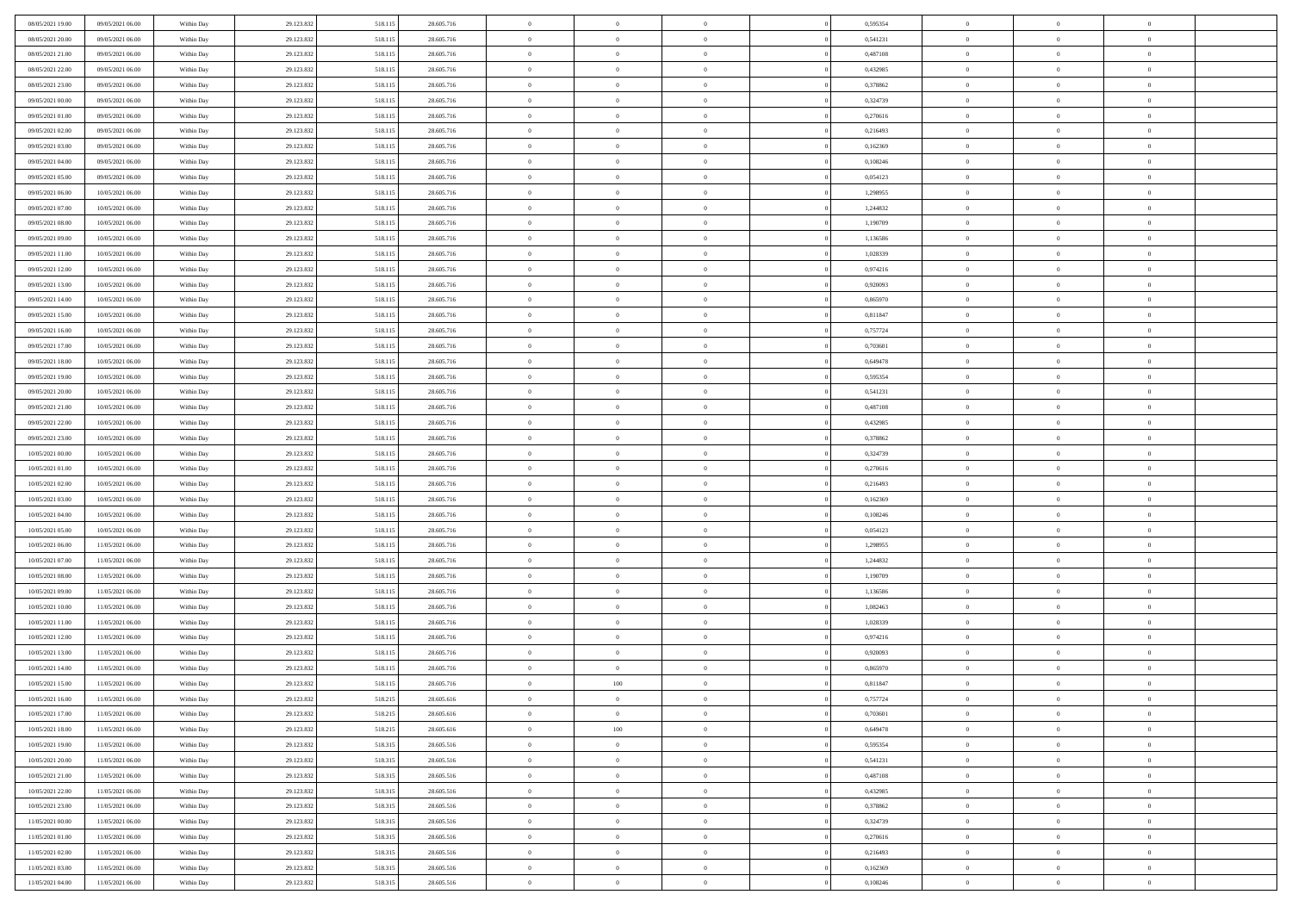| 08/05/2021 19:00 | 09/05/2021 06:00 | Within Day | 29.123.832 | 518.115 | 28.605.716 | $\,$ 0         | $\bf{0}$       | $\theta$       |          | 0,595354 | $\bf{0}$       | $\overline{0}$ | $\,0\,$        |  |
|------------------|------------------|------------|------------|---------|------------|----------------|----------------|----------------|----------|----------|----------------|----------------|----------------|--|
| 08/05/2021 20:00 | 09/05/2021 06:00 | Within Day | 29.123.832 | 518.115 | 28.605.716 | $\overline{0}$ | $\overline{0}$ | $\overline{0}$ |          | 0,541231 | $\overline{0}$ | $\overline{0}$ | $\theta$       |  |
| 08/05/2021 21:00 | 09/05/2021 06:00 | Within Dav | 29.123.832 | 518.115 | 28.605.716 | $\mathbf{0}$   | $\overline{0}$ | $\overline{0}$ |          | 0,487108 | $\mathbf{0}$   | $\overline{0}$ | $\overline{0}$ |  |
| 08/05/2021 22.00 | 09/05/2021 06:00 | Within Day | 29.123.832 | 518.115 | 28.605.716 | $\bf{0}$       | $\overline{0}$ | $\bf{0}$       |          | 0,432985 | $\bf{0}$       | $\overline{0}$ | $\bf{0}$       |  |
| 08/05/2021 23:00 | 09/05/2021 06:00 | Within Day | 29.123.832 | 518.115 | 28.605.716 | $\bf{0}$       | $\bf{0}$       | $\overline{0}$ |          | 0,378862 | $\bf{0}$       | $\bf{0}$       | $\,0\,$        |  |
| 09/05/2021 00:00 | 09/05/2021 06:00 | Within Dav | 29.123.832 | 518.115 | 28.605.716 | $\overline{0}$ | $\overline{0}$ | $\overline{0}$ |          | 0,324739 | $\mathbf{0}$   | $\overline{0}$ | $\overline{0}$ |  |
| 09/05/2021 01:00 | 09/05/2021 06:00 | Within Day | 29.123.832 | 518.115 | 28.605.716 | $\bf{0}$       | $\bf{0}$       | $\overline{0}$ |          | 0,270616 | $\bf{0}$       | $\overline{0}$ | $\,0\,$        |  |
| 09/05/2021 02:00 | 09/05/2021 06:00 | Within Day | 29.123.832 | 518.115 | 28.605.716 | $\overline{0}$ | $\overline{0}$ | $\overline{0}$ |          | 0,216493 | $\,$ 0 $\,$    | $\overline{0}$ | $\theta$       |  |
| 09/05/2021 03:00 | 09/05/2021 06:00 | Within Day | 29.123.832 | 518.115 | 28.605.716 | $\mathbf{0}$   | $\overline{0}$ | $\overline{0}$ |          | 0,162369 | $\mathbf{0}$   | $\overline{0}$ | $\overline{0}$ |  |
| 09/05/2021 04:00 | 09/05/2021 06:00 | Within Day | 29.123.832 | 518.115 | 28.605.716 | $\bf{0}$       | $\bf{0}$       | $\overline{0}$ |          | 0,108246 | $\bf{0}$       | $\overline{0}$ | $\,0\,$        |  |
| 09/05/2021 05:00 | 09/05/2021 06:00 | Within Day | 29.123.832 | 518.115 | 28.605.716 | $\bf{0}$       | $\overline{0}$ | $\overline{0}$ |          | 0,054123 | $\bf{0}$       | $\overline{0}$ | $\theta$       |  |
| 09/05/2021 06:00 | 10/05/2021 06:00 | Within Dav | 29.123.832 | 518.115 | 28.605.716 | $\mathbf{0}$   | $\overline{0}$ | $\overline{0}$ |          | 1,298955 | $\mathbf{0}$   | $\overline{0}$ | $\overline{0}$ |  |
| 09/05/2021 07:00 | 10/05/2021 06:00 | Within Day | 29.123.832 | 518.115 | 28.605.716 | $\bf{0}$       | $\overline{0}$ | $\bf{0}$       |          | 1,244832 | $\bf{0}$       | $\overline{0}$ | $\bf{0}$       |  |
| 09/05/2021 08:00 | 10/05/2021 06:00 | Within Day | 29.123.832 | 518.115 | 28.605.716 | $\bf{0}$       | $\overline{0}$ | $\overline{0}$ |          | 1,190709 | $\bf{0}$       | $\mathbf{0}$   | $\,0\,$        |  |
| 09/05/2021 09:00 | 10/05/2021 06:00 | Within Dav | 29.123.832 | 518.115 | 28.605.716 | $\overline{0}$ | $\overline{0}$ | $\overline{0}$ |          | 1,136586 | $\mathbf{0}$   | $\overline{0}$ | $\overline{0}$ |  |
| 09/05/2021 11:00 | 10/05/2021 06:00 | Within Day | 29.123.832 | 518.115 | 28.605.716 | $\bf{0}$       | $\bf{0}$       | $\overline{0}$ |          | 1,028339 | $\bf{0}$       | $\overline{0}$ | $\bf{0}$       |  |
| 09/05/2021 12:00 | 10/05/2021 06:00 | Within Day | 29.123.832 | 518.115 | 28.605.716 | $\bf{0}$       | $\overline{0}$ | $\overline{0}$ |          | 0,974216 | $\,$ 0 $\,$    | $\overline{0}$ | $\theta$       |  |
| 09/05/2021 13:00 | 10/05/2021 06:00 | Within Day | 29.123.832 | 518.115 | 28.605.716 | $\mathbf{0}$   | $\overline{0}$ | $\overline{0}$ |          | 0,920093 | $\mathbf{0}$   | $\overline{0}$ | $\overline{0}$ |  |
| 09/05/2021 14:00 | 10/05/2021 06:00 | Within Day | 29.123.832 | 518.115 | 28.605.716 | $\bf{0}$       | $\bf{0}$       | $\overline{0}$ |          | 0,865970 | $\bf{0}$       | $\overline{0}$ | $\,0\,$        |  |
| 09/05/2021 15:00 | 10/05/2021 06:00 | Within Day | 29.123.832 | 518.115 | 28.605.716 | $\bf{0}$       | $\overline{0}$ | $\overline{0}$ |          | 0,811847 | $\bf{0}$       | $\overline{0}$ | $\overline{0}$ |  |
| 09/05/2021 16:00 | 10/05/2021 06:00 | Within Dav | 29.123.832 | 518.115 | 28.605.716 | $\mathbf{0}$   | $\overline{0}$ | $\overline{0}$ |          | 0,757724 | $\mathbf{0}$   | $\overline{0}$ | $\overline{0}$ |  |
| 09/05/2021 17:00 | 10/05/2021 06:00 | Within Day | 29.123.832 | 518.115 | 28.605.716 | $\bf{0}$       | $\overline{0}$ | $\overline{0}$ |          | 0,703601 | $\bf{0}$       | $\overline{0}$ | $\bf{0}$       |  |
| 09/05/2021 18:00 | 10/05/2021 06:00 | Within Day | 29.123.832 | 518.115 | 28.605.716 | $\bf{0}$       | $\bf{0}$       | $\overline{0}$ |          | 0,649478 | $\bf{0}$       | $\overline{0}$ | $\,0\,$        |  |
| 09/05/2021 19:00 | 10/05/2021 06:00 | Within Dav | 29.123.832 | 518.115 | 28.605.716 | $\mathbf{0}$   | $\overline{0}$ | $\overline{0}$ |          | 0,595354 | $\mathbf{0}$   | $\overline{0}$ | $\overline{0}$ |  |
| 09/05/2021 20:00 | 10/05/2021 06:00 | Within Day | 29.123.832 | 518.115 | 28.605.716 | $\bf{0}$       | $\bf{0}$       | $\overline{0}$ |          | 0,541231 | $\bf{0}$       | $\overline{0}$ | $\,0\,$        |  |
| 09/05/2021 21:00 | 10/05/2021 06:00 | Within Day | 29.123.832 | 518.115 | 28.605.716 | $\bf{0}$       | $\overline{0}$ | $\overline{0}$ |          | 0,487108 | $\bf{0}$       | $\mathbf{0}$   | $\overline{0}$ |  |
| 09/05/2021 22:00 | 10/05/2021 06:00 | Within Day | 29.123.832 | 518.115 | 28.605.716 | $\mathbf{0}$   | $\overline{0}$ | $\overline{0}$ |          | 0,432985 | $\mathbf{0}$   | $\overline{0}$ | $\overline{0}$ |  |
| 09/05/2021 23:00 | 10/05/2021 06:00 | Within Day | 29.123.832 | 518.115 | 28.605.716 | $\bf{0}$       | $\bf{0}$       | $\overline{0}$ |          | 0,378862 | $\bf{0}$       | $\overline{0}$ | $\,0\,$        |  |
| 10/05/2021 00:00 | 10/05/2021 06:00 | Within Day | 29.123.832 | 518.115 | 28.605.716 | $\bf{0}$       | $\overline{0}$ | $\overline{0}$ |          | 0,324739 | $\bf{0}$       | $\overline{0}$ | $\overline{0}$ |  |
| 10/05/2021 01:00 | 10/05/2021 06:00 | Within Dav | 29.123.832 | 518.115 | 28.605.716 | $\mathbf{0}$   | $\overline{0}$ | $\overline{0}$ |          | 0,270616 | $\mathbf{0}$   | $\overline{0}$ | $\overline{0}$ |  |
| 10/05/2021 02:00 | 10/05/2021 06:00 | Within Day | 29.123.832 | 518.115 | 28.605.716 | $\bf{0}$       | $\overline{0}$ | $\theta$       |          | 0,216493 | $\,$ 0         | $\overline{0}$ | $\theta$       |  |
| 10/05/2021 03:00 | 10/05/2021 06:00 | Within Day | 29.123.832 | 518.115 | 28.605.716 | $\bf{0}$       | $\bf{0}$       | $\overline{0}$ |          | 0,162369 | $\bf{0}$       | $\overline{0}$ | $\overline{0}$ |  |
| 10/05/2021 04:00 | 10/05/2021 06:00 | Within Dav | 29.123.832 | 518.115 | 28.605.716 | $\overline{0}$ | $\overline{0}$ | $\overline{0}$ |          | 0,108246 | $\mathbf{0}$   | $\overline{0}$ | $\overline{0}$ |  |
| 10/05/2021 05:00 | 10/05/2021 06:00 | Within Day | 29.123.832 | 518.115 | 28.605.716 | $\bf{0}$       | $\overline{0}$ | $\theta$       |          | 0,054123 | $\,$ 0         | $\overline{0}$ | $\theta$       |  |
| 10/05/2021 06:00 | 11/05/2021 06:00 | Within Day | 29.123.832 | 518.115 | 28.605.716 | $\bf{0}$       | $\overline{0}$ | $\overline{0}$ |          | 1,298955 | $\bf{0}$       | $\overline{0}$ | $\overline{0}$ |  |
| 10/05/2021 07:00 | 11/05/2021 06:00 | Within Day | 29.123.832 | 518.115 | 28.605.716 | $\mathbf{0}$   | $\overline{0}$ | $\overline{0}$ |          | 1,244832 | $\mathbf{0}$   | $\overline{0}$ | $\overline{0}$ |  |
| 10/05/2021 08:00 | 11/05/2021 06:00 | Within Day | 29.123.832 | 518.115 | 28.605.716 | $\bf{0}$       | $\overline{0}$ | $\theta$       |          | 1,190709 | $\,$ 0         | $\overline{0}$ | $\theta$       |  |
| 10/05/2021 09:00 | 11/05/2021 06:00 | Within Day | 29.123.832 | 518.115 | 28.605.716 | $\bf{0}$       | $\overline{0}$ | $\overline{0}$ |          | 1,136586 | $\bf{0}$       | $\overline{0}$ | $\overline{0}$ |  |
| 10/05/2021 10:00 | 11/05/2021 06:00 | Within Dav | 29.123.832 | 518.115 | 28.605.716 | $\mathbf{0}$   | $\overline{0}$ | $\overline{0}$ |          | 1,082463 | $\mathbf{0}$   | $\overline{0}$ | $\overline{0}$ |  |
| 10/05/2021 11:00 | 11/05/2021 06:00 | Within Day | 29.123.832 | 518.115 | 28.605.716 | $\,0\,$        | $\overline{0}$ | $\theta$       |          | 1,028339 | $\,$ 0         | $\overline{0}$ | $\theta$       |  |
| 10/05/2021 12:00 | 11/05/2021 06:00 | Within Day | 29.123.832 | 518.115 | 28.605.716 | $\bf{0}$       | $\overline{0}$ | $\overline{0}$ |          | 0,974216 | $\bf{0}$       | $\overline{0}$ | $\overline{0}$ |  |
| 10/05/2021 13:00 | 11/05/2021 06:00 | Within Dav | 29.123.832 | 518.115 | 28.605.716 | $\mathbf{0}$   | $\overline{0}$ | $\overline{0}$ |          | 0,920093 | $\mathbf{0}$   | $\overline{0}$ | $\overline{0}$ |  |
| 10/05/2021 14:00 | 11/05/2021 06:00 | Within Day | 29.123.832 | 518.115 | 28.605.716 | $\bf{0}$       | $\overline{0}$ | $\theta$       |          | 0,865970 | $\,$ 0         | $\overline{0}$ | $\theta$       |  |
| 10/05/2021 15:00 | 11/05/2021 06:00 | Within Day | 29.123.832 | 518.115 | 28.605.716 | $\bf{0}$       | 100            | $\overline{0}$ |          | 0,811847 | $\,$ 0 $\,$    | $\overline{0}$ | $\overline{0}$ |  |
| 10/05/2021 16:00 | 11/05/2021 06:00 | Within Day | 29.123.832 | 518.215 | 28.605.616 | $\bf{0}$       | $\overline{0}$ |                |          | 0,757724 | $\overline{0}$ | $\theta$       | $\theta$       |  |
| 10/05/2021 17:00 | 11/05/2021 06:00 | Within Day | 29.123.832 | 518.215 | 28.605.616 | $\,0\,$        | $\overline{0}$ | $\theta$       |          | 0,703601 | $\,$ 0 $\,$    | $\bf{0}$       | $\theta$       |  |
| 10/05/2021 18:00 | 11/05/2021 06:00 | Within Day | 29.123.832 | 518.215 | 28.605.616 | $\overline{0}$ | $100\,$        | $\overline{0}$ |          | 0,649478 | $\overline{0}$ | $\overline{0}$ | $\overline{0}$ |  |
| 10/05/2021 19:00 | 11/05/2021 06:00 | Within Day | 29.123.832 | 518.315 | 28.605.516 | $\bf{0}$       | $\overline{0}$ | $\overline{0}$ |          | 0,595354 | $\overline{0}$ | $\bf{0}$       | $\mathbf{0}$   |  |
| 10/05/2021 20:00 | 11/05/2021 06:00 | Within Day | 29.123.832 | 518.315 | 28.605.516 | $\bf{0}$       | $\overline{0}$ | $\overline{0}$ | $\theta$ | 0,541231 | $\mathbf{0}$   | $\bf{0}$       | $\,$ 0 $\,$    |  |
| 10/05/2021 21:00 | 11/05/2021 06:00 | Within Day | 29.123.832 | 518.315 | 28.605.516 | $\bf{0}$       | $\overline{0}$ | $\overline{0}$ |          | 0,487108 | $\,$ 0 $\,$    | $\overline{0}$ | $\overline{0}$ |  |
| 10/05/2021 22:00 | 11/05/2021 06:00 | Within Day | 29.123.832 | 518.315 | 28.605.516 | $\bf{0}$       | $\overline{0}$ | $\overline{0}$ |          | 0,432985 | $\mathbf{0}$   | $\overline{0}$ | $\overline{0}$ |  |
| 10/05/2021 23:00 | 11/05/2021 06:00 | Within Day | 29.123.832 | 518.315 | 28.605.516 | $\,0\,$        | $\overline{0}$ | $\overline{0}$ | $\theta$ | 0,378862 | $\,$ 0 $\,$    | $\mathbf{0}$   | $\,$ 0 $\,$    |  |
| 11/05/2021 00:00 | 11/05/2021 06:00 | Within Day | 29.123.832 | 518.315 | 28.605.516 | $\bf{0}$       | $\overline{0}$ | $\overline{0}$ |          | 0,324739 | $\overline{0}$ | $\overline{0}$ | $\overline{0}$ |  |
| 11/05/2021 01:00 | 11/05/2021 06:00 | Within Day | 29.123.832 | 518.315 | 28.605.516 | $\bf{0}$       | $\overline{0}$ | $\overline{0}$ |          | 0,270616 | $\mathbf{0}$   | $\bf{0}$       | $\overline{0}$ |  |
| 11/05/2021 02:00 | 11/05/2021 06:00 | Within Day | 29.123.832 | 518.315 | 28.605.516 | $\,0\,$        | $\overline{0}$ | $\overline{0}$ |          | 0,216493 | $\,$ 0 $\,$    | $\mathbf{0}$   | $\,$ 0 $\,$    |  |
| 11/05/2021 03:00 | 11/05/2021 06:00 | Within Day | 29.123.832 | 518.315 | 28.605.516 | $\bf{0}$       | $\overline{0}$ | $\overline{0}$ |          | 0,162369 | $\mathbf 0$    | $\mathbf{0}$   | $\overline{0}$ |  |
| 11/05/2021 04:00 | 11/05/2021 06:00 | Within Day | 29.123.832 | 518.315 | 28.605.516 | $\bf{0}$       | $\overline{0}$ | $\overline{0}$ |          | 0,108246 | $\mathbf{0}$   | $\overline{0}$ | $\overline{0}$ |  |
|                  |                  |            |            |         |            |                |                |                |          |          |                |                |                |  |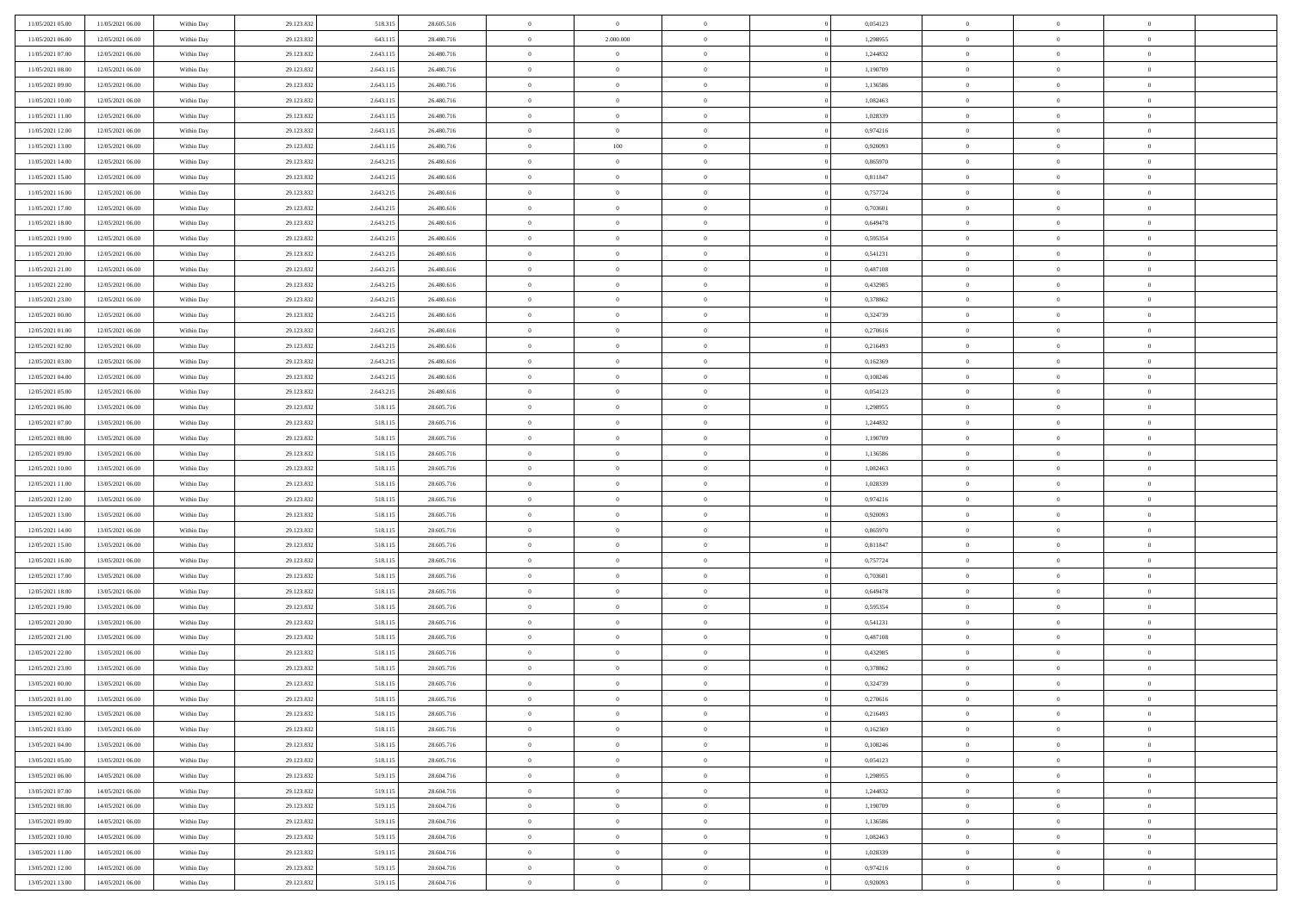| 11/05/2021 05:00 | 11/05/2021 06:00 | Within Day | 29.123.832 | 518.315   | 28.605.516 | $\,$ 0 $\,$    | $\overline{0}$ | $\overline{0}$ |          | 0,054123 | $\bf{0}$       | $\overline{0}$ | $\,0\,$        |  |
|------------------|------------------|------------|------------|-----------|------------|----------------|----------------|----------------|----------|----------|----------------|----------------|----------------|--|
| 11/05/2021 06:00 | 12/05/2021 06:00 | Within Day | 29.123.832 | 643.115   | 28.480.716 | $\overline{0}$ | 2.000.000      | $\mathbf{0}$   |          | 1,298955 | $\theta$       | $\overline{0}$ | $\theta$       |  |
| 11/05/2021 07:00 | 12/05/2021 06:00 | Within Dav | 29.123.832 | 2.643.115 | 26.480.716 | $\theta$       | $\overline{0}$ | $\overline{0}$ |          | 1,244832 | $\mathbf{0}$   | $\overline{0}$ | $\overline{0}$ |  |
| 11/05/2021 08:00 | 12/05/2021 06:00 | Within Day | 29.123.832 | 2.643.115 | 26.480.716 | $\,$ 0 $\,$    | $\overline{0}$ | $\overline{0}$ |          | 1,190709 | $\mathbf{0}$   | $\overline{0}$ | $\bf{0}$       |  |
| 11/05/2021 09:00 | 12/05/2021 06:00 | Within Day | 29.123.832 | 2.643.115 | 26.480.716 | $\,$ 0         | $\overline{0}$ | $\mathbf{0}$   |          | 1,136586 | $\bf{0}$       | $\bf{0}$       | $\,0\,$        |  |
| 11/05/2021 10:00 | 12/05/2021 06:00 | Within Dav | 29.123.832 | 2.643.115 | 26.480.716 | $\overline{0}$ | $\overline{0}$ | $\overline{0}$ |          | 1,082463 | $\mathbf{0}$   | $\overline{0}$ | $\overline{0}$ |  |
| 11/05/2021 11:00 | 12/05/2021 06:00 | Within Day | 29.123.832 | 2.643.115 | 26.480.716 | $\,$ 0 $\,$    | $\overline{0}$ | $\overline{0}$ |          | 1,028339 | $\bf{0}$       | $\overline{0}$ | $\bf{0}$       |  |
| 11/05/2021 12:00 | 12/05/2021 06:00 | Within Day | 29.123.832 | 2.643.115 | 26.480.716 | $\,$ 0         | $\overline{0}$ | $\mathbf{0}$   |          | 0,974216 | $\,$ 0 $\,$    | $\overline{0}$ | $\overline{0}$ |  |
| 11/05/2021 13:00 | 12/05/2021 06:00 | Within Day | 29.123.832 | 2.643.115 | 26.480.716 | $\theta$       | 100            | $\mathbf{0}$   |          | 0,920093 | $\mathbf{0}$   | $\overline{0}$ | $\overline{0}$ |  |
| 11/05/2021 14:00 | 12/05/2021 06:00 | Within Day | 29.123.832 | 2.643.215 | 26.480.616 | $\,$ 0 $\,$    | $\overline{0}$ | $\Omega$       |          | 0,865970 | $\bf{0}$       | $\overline{0}$ | $\bf{0}$       |  |
| 11/05/2021 15:00 | 12/05/2021 06:00 | Within Day | 29.123.832 | 2.643.215 | 26.480.616 | $\bf{0}$       | $\overline{0}$ | $\mathbf{0}$   |          | 0,811847 | $\bf{0}$       | $\overline{0}$ | $\theta$       |  |
| 11/05/2021 16:00 | 12/05/2021 06:00 | Within Dav | 29.123.832 | 2.643.215 | 26,480,616 | $\theta$       | $\overline{0}$ | $\overline{0}$ |          | 0,757724 | $\mathbf{0}$   | $\overline{0}$ | $\overline{0}$ |  |
| 11/05/2021 17:00 | 12/05/2021 06:00 | Within Day | 29.123.832 | 2.643.215 | 26.480.616 | $\,$ 0 $\,$    | $\overline{0}$ | $\overline{0}$ |          | 0,703601 | $\bf{0}$       | $\overline{0}$ | $\bf{0}$       |  |
| 11/05/2021 18:00 | 12/05/2021 06:00 | Within Day | 29.123.832 | 2.643.215 | 26.480.616 | $\bf{0}$       | $\overline{0}$ | $\mathbf{0}$   |          | 0,649478 | $\bf{0}$       | $\bf{0}$       | $\bf{0}$       |  |
| 11/05/2021 19:00 | 12/05/2021 06:00 | Within Dav | 29.123.832 | 2.643.215 | 26.480.616 | $\overline{0}$ | $\overline{0}$ | $\overline{0}$ |          | 0,595354 | $\mathbf{0}$   | $\overline{0}$ | $\overline{0}$ |  |
| 11/05/2021 20:00 | 12/05/2021 06:00 | Within Day | 29.123.832 | 2.643.215 | 26.480.616 | $\,$ 0 $\,$    | $\overline{0}$ | $\Omega$       |          | 0,541231 | $\bf{0}$       | $\overline{0}$ | $\bf{0}$       |  |
| 11/05/2021 21:00 | 12/05/2021 06:00 | Within Day | 29.123.832 | 2.643.215 | 26.480.616 | $\,$ 0 $\,$    | $\overline{0}$ | $\mathbf{0}$   |          | 0,487108 | $\,$ 0 $\,$    | $\overline{0}$ | $\theta$       |  |
| 11/05/2021 22:00 | 12/05/2021 06:00 | Within Day | 29.123.832 | 2.643.215 | 26.480.616 | $\theta$       | $\overline{0}$ | $\mathbf{0}$   |          | 0,432985 | $\mathbf{0}$   | $\overline{0}$ | $\overline{0}$ |  |
| 11/05/2021 23:00 | 12/05/2021 06:00 | Within Day | 29.123.832 | 2.643.215 | 26.480.616 | $\,$ 0 $\,$    | $\overline{0}$ | $\overline{0}$ |          | 0,378862 | $\bf{0}$       | $\overline{0}$ | $\bf{0}$       |  |
| 12/05/2021 00:00 | 12/05/2021 06:00 | Within Day | 29.123.832 | 2.643.215 | 26.480.616 | $\bf{0}$       | $\overline{0}$ | $\mathbf{0}$   |          | 0,324739 | $\bf{0}$       | $\overline{0}$ | $\bf{0}$       |  |
| 12/05/2021 01:00 | 12/05/2021 06:00 | Within Dav | 29.123.832 | 2.643.215 | 26.480.616 | $\theta$       | $\overline{0}$ | $\overline{0}$ |          | 0,270616 | $\mathbf{0}$   | $\overline{0}$ | $\overline{0}$ |  |
| 12/05/2021 02:00 | 12/05/2021 06:00 | Within Day | 29.123.832 | 2.643.215 | 26.480.616 | $\,$ 0 $\,$    | $\overline{0}$ | $\overline{0}$ |          | 0,216493 | $\bf{0}$       | $\overline{0}$ | $\bf{0}$       |  |
| 12/05/2021 03:00 | 12/05/2021 06:00 | Within Day | 29.123.832 | 2.643.215 | 26.480.616 | $\,$ 0 $\,$    | $\overline{0}$ | $\mathbf{0}$   |          | 0,162369 | $\bf{0}$       | $\bf{0}$       | $\bf{0}$       |  |
| 12/05/2021 04:00 | 12/05/2021 06:00 | Within Dav | 29.123.832 | 2.643.215 | 26.480.616 | $\theta$       | $\overline{0}$ | $\mathbf{0}$   |          | 0,108246 | $\mathbf{0}$   | $\overline{0}$ | $\overline{0}$ |  |
| 12/05/2021 05:00 | 12/05/2021 06:00 | Within Day | 29.123.832 | 2.643.215 | 26.480.616 | $\,$ 0 $\,$    | $\overline{0}$ | $\overline{0}$ |          | 0,054123 | $\bf{0}$       | $\overline{0}$ | $\bf{0}$       |  |
| 12/05/2021 06:00 | 13/05/2021 06:00 | Within Day | 29.123.832 | 518.115   | 28.605.716 | $\,$ 0 $\,$    | $\overline{0}$ | $\mathbf{0}$   |          | 1,298955 | $\mathbf{0}$   | $\overline{0}$ | $\overline{0}$ |  |
| 12/05/2021 07:00 | 13/05/2021 06:00 | Within Day | 29.123.832 | 518.115   | 28.605.716 | $\theta$       | $\overline{0}$ | $\mathbf{0}$   |          | 1,244832 | $\mathbf{0}$   | $\overline{0}$ | $\overline{0}$ |  |
| 12/05/2021 08:00 | 13/05/2021 06:00 | Within Day | 29.123.832 | 518.115   | 28.605.716 | $\,$ 0 $\,$    | $\overline{0}$ | $\Omega$       |          | 1,190709 | $\bf{0}$       | $\overline{0}$ | $\bf{0}$       |  |
| 12/05/2021 09:00 | 13/05/2021 06:00 | Within Day | 29.123.832 | 518.115   | 28.605.716 | $\bf{0}$       | $\overline{0}$ | $\mathbf{0}$   |          | 1,136586 | $\bf{0}$       | $\bf{0}$       | $\overline{0}$ |  |
| 12/05/2021 10:00 | 13/05/2021 06:00 | Within Dav | 29.123.832 | 518.115   | 28.605.716 | $\theta$       | $\overline{0}$ | $\overline{0}$ |          | 1,082463 | $\mathbf{0}$   | $\overline{0}$ | $\overline{0}$ |  |
| 12/05/2021 11:00 | 13/05/2021 06:00 | Within Day | 29.123.832 | 518.115   | 28.605.716 | $\,$ 0 $\,$    | $\overline{0}$ | $\overline{0}$ |          | 1,028339 | $\,$ 0         | $\overline{0}$ | $\,$ 0 $\,$    |  |
| 12/05/2021 12:00 | 13/05/2021 06:00 | Within Day | 29.123.832 | 518.115   | 28.605.716 | $\,$ 0         | $\overline{0}$ | $\overline{0}$ |          | 0,974216 | $\bf{0}$       | $\bf{0}$       | $\overline{0}$ |  |
| 12/05/2021 13:00 | 13/05/2021 06:00 | Within Dav | 29.123.832 | 518.115   | 28.605.716 | $\theta$       | $\overline{0}$ | $\overline{0}$ |          | 0,920093 | $\mathbf{0}$   | $\overline{0}$ | $\overline{0}$ |  |
| 12/05/2021 14:00 | 13/05/2021 06:00 | Within Day | 29.123.832 | 518.115   | 28.605.716 | $\,$ 0 $\,$    | $\overline{0}$ | $\overline{0}$ |          | 0,865970 | $\,$ 0         | $\overline{0}$ | $\theta$       |  |
| 12/05/2021 15:00 | 13/05/2021 06:00 | Within Day | 29.123.832 | 518.115   | 28.605.716 | $\overline{0}$ | $\overline{0}$ | $\mathbf{0}$   |          | 0,811847 | $\mathbf{0}$   | $\overline{0}$ | $\overline{0}$ |  |
| 12/05/2021 16:00 | 13/05/2021 06:00 | Within Day | 29.123.832 | 518.115   | 28.605.716 | $\theta$       | $\overline{0}$ | $\overline{0}$ |          | 0,757724 | $\mathbf{0}$   | $\overline{0}$ | $\overline{0}$ |  |
| 12/05/2021 17:00 | 13/05/2021 06:00 | Within Day | 29.123.832 | 518.115   | 28.605.716 | $\theta$       | $\overline{0}$ | $\overline{0}$ |          | 0,703601 | $\,$ 0 $\,$    | $\overline{0}$ | $\theta$       |  |
| 12/05/2021 18:00 | 13/05/2021 06:00 | Within Day | 29.123.832 | 518.115   | 28.605.716 | $\bf{0}$       | $\overline{0}$ | $\mathbf{0}$   |          | 0,649478 | $\bf{0}$       | $\bf{0}$       | $\bf{0}$       |  |
| 12/05/2021 19:00 | 13/05/2021 06:00 | Within Day | 29.123.832 | 518.115   | 28.605.716 | $\theta$       | $\overline{0}$ | $\overline{0}$ |          | 0,595354 | $\mathbf{0}$   | $\overline{0}$ | $\overline{0}$ |  |
| 12/05/2021 20:00 | 13/05/2021 06:00 | Within Day | 29.123.832 | 518.115   | 28.605.716 | $\,$ 0 $\,$    | $\overline{0}$ | $\overline{0}$ |          | 0,541231 | $\,$ 0         | $\overline{0}$ | $\,$ 0 $\,$    |  |
| 12/05/2021 21:00 | 13/05/2021 06:00 | Within Day | 29.123.832 | 518.115   | 28.605.716 | $\,$ 0 $\,$    | $\,$ 0 $\,$    | $\overline{0}$ |          | 0,487108 | $\,$ 0 $\,$    | $\overline{0}$ | $\bf{0}$       |  |
| 12/05/2021 22:00 | 13/05/2021 06:00 | Within Dav | 29.123.832 | 518.115   | 28.605.716 | $\theta$       | $\overline{0}$ | $\mathbf{0}$   |          | 0,432985 | $\mathbf{0}$   | $\overline{0}$ | $\overline{0}$ |  |
| 12/05/2021 23:00 | 13/05/2021 06:00 | Within Day | 29.123.832 | 518.115   | 28.605.716 | $\theta$       | $\overline{0}$ | $\overline{0}$ |          | 0,378862 | $\,$ 0         | $\overline{0}$ | $\theta$       |  |
| 13/05/2021 00:00 | 13/05/2021 06:00 | Within Day | 29.123.832 | 518.115   | 28.605.716 | $\,$ 0         | $\,$ 0 $\,$    | $\mathbf{0}$   |          | 0,324739 | $\,$ 0 $\,$    | $\overline{0}$ | $\bf{0}$       |  |
| 13/05/2021 01:00 | 13/05/2021 06:00 | Within Day | 29.123.832 | 518.115   | 28.605.716 | $\overline{0}$ | $\theta$       |                |          | 0,270616 | $\overline{0}$ | $\theta$       | $\theta$       |  |
| 13/05/2021 02:00 | 13/05/2021 06:00 | Within Day | 29.123.832 | 518.115   | 28.605.716 | $\,$ 0 $\,$    | $\overline{0}$ | $\overline{0}$ |          | 0,216493 | $\,$ 0 $\,$    | $\bf{0}$       | $\theta$       |  |
| 13/05/2021 03:00 | 13/05/2021 06:00 | Within Day | 29.123.832 | 518.115   | 28.605.716 | $\overline{0}$ | $\,$ 0 $\,$    | $\overline{0}$ |          | 0,162369 | $\,$ 0 $\,$    | $\overline{0}$ | $\overline{0}$ |  |
| 13/05/2021 04:00 | 13/05/2021 06:00 | Within Day | 29.123.832 | 518.115   | 28.605.716 | $\mathbf{0}$   | $\overline{0}$ | $\overline{0}$ |          | 0,108246 | $\,$ 0 $\,$    | $\bf{0}$       | $\mathbf{0}$   |  |
| 13/05/2021 05:00 | 13/05/2021 06:00 | Within Day | 29.123.832 | 518.115   | 28.605.716 | $\,$ 0 $\,$    | $\overline{0}$ | $\overline{0}$ | $\theta$ | 0,054123 | $\,$ 0 $\,$    | $\bf{0}$       | $\,$ 0 $\,$    |  |
| 13/05/2021 06:00 | 14/05/2021 06:00 | Within Day | 29.123.832 | 519.115   | 28.604.716 | $\,$ 0 $\,$    | $\,$ 0 $\,$    | $\overline{0}$ |          | 1,298955 | $\,$ 0 $\,$    | $\overline{0}$ | $\overline{0}$ |  |
| 13/05/2021 07:00 | 14/05/2021 06:00 | Within Day | 29.123.832 | 519.115   | 28.604.716 | $\overline{0}$ | $\overline{0}$ | $\overline{0}$ |          | 1,244832 | $\mathbf{0}$   | $\overline{0}$ | $\overline{0}$ |  |
| 13/05/2021 08:00 | 14/05/2021 06:00 | Within Day | 29.123.832 | 519.115   | 28.604.716 | $\,$ 0 $\,$    | $\overline{0}$ | $\overline{0}$ |          | 1,190709 | $\,$ 0 $\,$    | $\overline{0}$ | $\,$ 0 $\,$    |  |
| 13/05/2021 09:00 | 14/05/2021 06:00 | Within Day | 29.123.832 | 519.115   | 28.604.716 | $\overline{0}$ | $\overline{0}$ | $\overline{0}$ |          | 1,136586 | $\,$ 0 $\,$    | $\overline{0}$ | $\overline{0}$ |  |
| 13/05/2021 10:00 | 14/05/2021 06:00 | Within Day | 29.123.832 | 519.115   | 28.604.716 | $\overline{0}$ | $\overline{0}$ | $\overline{0}$ |          | 1,082463 | $\mathbf{0}$   | $\bf{0}$       | $\overline{0}$ |  |
| 13/05/2021 11:00 | 14/05/2021 06:00 | Within Day | 29.123.832 | 519.115   | 28.604.716 | $\,$ 0 $\,$    | $\overline{0}$ | $\overline{0}$ |          | 1,028339 | $\,$ 0 $\,$    | $\overline{0}$ | $\,$ 0 $\,$    |  |
| 13/05/2021 12:00 | 14/05/2021 06:00 | Within Day | 29.123.832 | 519.115   | 28.604.716 | $\,$ 0 $\,$    | $\,$ 0 $\,$    | $\overline{0}$ |          | 0,974216 | $\,$ 0 $\,$    | $\overline{0}$ | $\overline{0}$ |  |
| 13/05/2021 13:00 | 14/05/2021 06:00 | Within Day | 29.123.832 | 519.115   | 28.604.716 | $\theta$       | $\overline{0}$ | $\overline{0}$ |          | 0,920093 | $\,$ 0 $\,$    | $\overline{0}$ | $\overline{0}$ |  |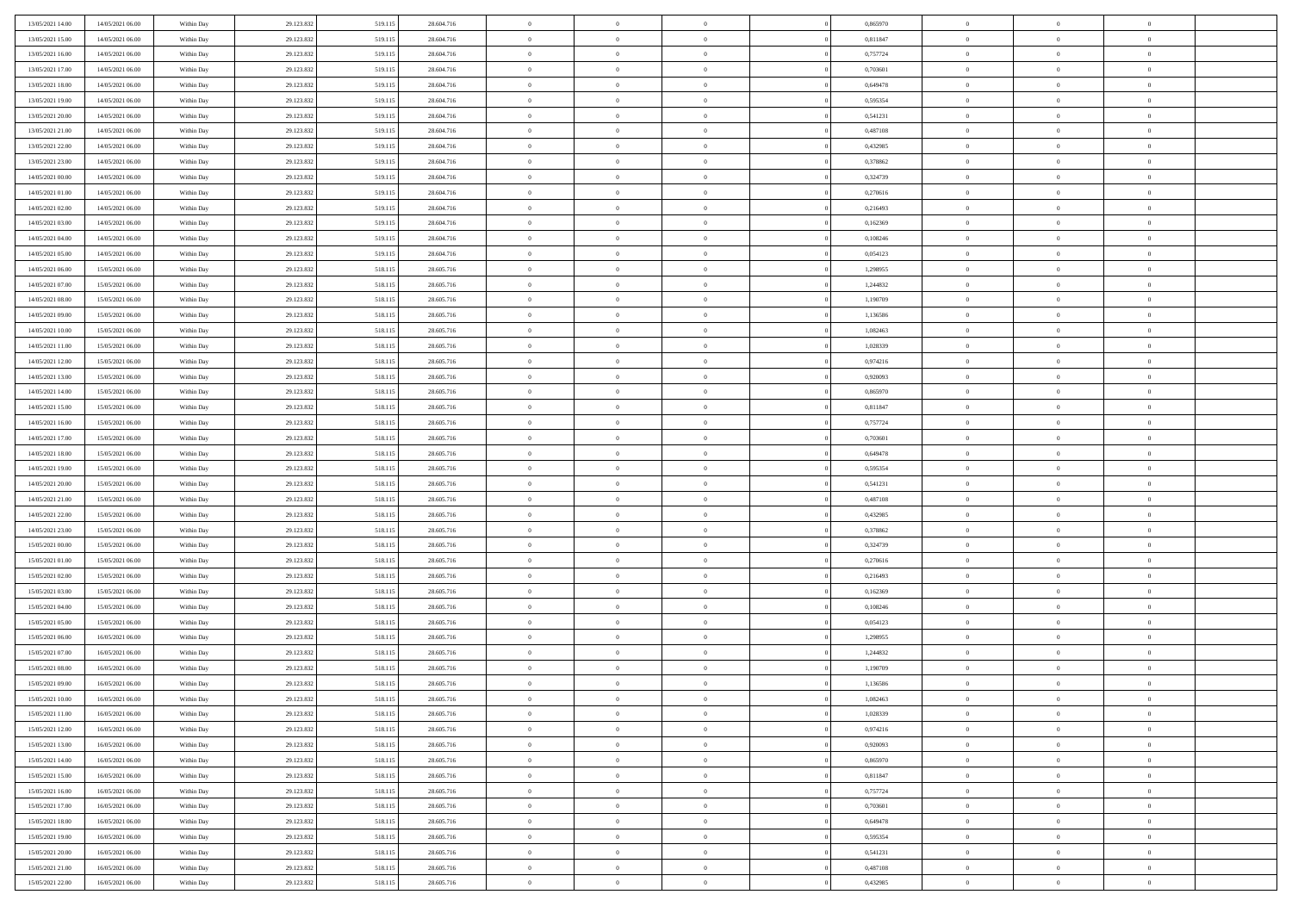| 13/05/2021 14:00 | 14/05/2021 06:00 | Within Day | 29.123.832 | 519.115 | 28.604.716 | $\,$ 0         | $\overline{0}$ | $\theta$       |          | 0,865970 | $\bf{0}$       | $\overline{0}$ | $\,0\,$        |  |
|------------------|------------------|------------|------------|---------|------------|----------------|----------------|----------------|----------|----------|----------------|----------------|----------------|--|
| 13/05/2021 15:00 | 14/05/2021 06:00 | Within Day | 29.123.832 | 519.115 | 28.604.716 | $\overline{0}$ | $\overline{0}$ | $\overline{0}$ |          | 0,811847 | $\overline{0}$ | $\overline{0}$ | $\theta$       |  |
| 13/05/2021 16:00 | 14/05/2021 06:00 | Within Dav | 29.123.832 | 519.115 | 28.604.716 | $\mathbf{0}$   | $\overline{0}$ | $\overline{0}$ |          | 0,757724 | $\mathbf{0}$   | $\overline{0}$ | $\overline{0}$ |  |
| 13/05/2021 17:00 | 14/05/2021 06:00 | Within Day | 29.123.832 | 519.115 | 28.604.716 | $\bf{0}$       | $\overline{0}$ | $\overline{0}$ |          | 0,703601 | $\bf{0}$       | $\overline{0}$ | $\bf{0}$       |  |
| 13/05/2021 18:00 | 14/05/2021 06:00 | Within Day | 29.123.832 | 519.115 | 28.604.716 | $\bf{0}$       | $\overline{0}$ | $\overline{0}$ |          | 0,649478 | $\bf{0}$       | $\bf{0}$       | $\,0\,$        |  |
| 13/05/2021 19:00 | 14/05/2021 06:00 | Within Dav | 29.123.832 | 519.115 | 28.604.716 | $\overline{0}$ | $\overline{0}$ | $\overline{0}$ |          | 0,595354 | $\mathbf{0}$   | $\overline{0}$ | $\overline{0}$ |  |
| 13/05/2021 20:00 | 14/05/2021 06:00 | Within Day | 29.123.832 | 519.115 | 28.604.716 | $\bf{0}$       | $\overline{0}$ | $\overline{0}$ |          | 0,541231 | $\bf{0}$       | $\overline{0}$ | $\,0\,$        |  |
| 13/05/2021 21:00 | 14/05/2021 06:00 | Within Day | 29.123.832 | 519.115 | 28.604.716 | $\overline{0}$ | $\overline{0}$ | $\overline{0}$ |          | 0,487108 | $\,$ 0 $\,$    | $\overline{0}$ | $\overline{0}$ |  |
| 13/05/2021 22:00 | 14/05/2021 06:00 | Within Day | 29.123.832 | 519.115 | 28.604.716 | $\mathbf{0}$   | $\overline{0}$ | $\overline{0}$ |          | 0,432985 | $\mathbf{0}$   | $\overline{0}$ | $\overline{0}$ |  |
| 13/05/2021 23:00 | 14/05/2021 06:00 | Within Day | 29.123.832 | 519.115 | 28.604.716 | $\bf{0}$       | $\bf{0}$       | $\overline{0}$ |          | 0,378862 | $\bf{0}$       | $\overline{0}$ | $\,0\,$        |  |
| 14/05/2021 00:00 | 14/05/2021 06:00 | Within Day | 29.123.832 | 519.115 | 28.604.716 | $\bf{0}$       | $\overline{0}$ | $\overline{0}$ |          | 0,324739 | $\bf{0}$       | $\overline{0}$ | $\theta$       |  |
| 14/05/2021 01:00 | 14/05/2021 06:00 | Within Dav | 29.123.832 | 519.115 | 28.604.716 | $\mathbf{0}$   | $\overline{0}$ | $\overline{0}$ |          | 0,270616 | $\mathbf{0}$   | $\overline{0}$ | $\overline{0}$ |  |
| 14/05/2021 02.00 | 14/05/2021 06:00 | Within Day | 29.123.832 | 519.115 | 28.604.716 | $\bf{0}$       | $\overline{0}$ | $\bf{0}$       |          | 0,216493 | $\bf{0}$       | $\overline{0}$ | $\overline{0}$ |  |
| 14/05/2021 03:00 | 14/05/2021 06:00 | Within Day | 29.123.832 | 519.115 | 28.604.716 | $\bf{0}$       | $\overline{0}$ | $\overline{0}$ |          | 0,162369 | $\bf{0}$       | $\overline{0}$ | $\,0\,$        |  |
| 14/05/2021 04:00 | 14/05/2021 06:00 | Within Dav | 29.123.832 | 519.115 | 28.604.716 | $\overline{0}$ | $\overline{0}$ | $\overline{0}$ |          | 0,108246 | $\mathbf{0}$   | $\overline{0}$ | $\overline{0}$ |  |
| 14/05/2021 05:00 | 14/05/2021 06:00 | Within Day | 29.123.832 | 519.115 | 28.604.716 | $\bf{0}$       | $\bf{0}$       | $\overline{0}$ |          | 0,054123 | $\bf{0}$       | $\overline{0}$ | $\bf{0}$       |  |
| 14/05/2021 06:00 | 15/05/2021 06:00 | Within Day | 29.123.832 | 518.115 | 28.605.716 | $\bf{0}$       | $\overline{0}$ | $\overline{0}$ |          | 1,298955 | $\,$ 0 $\,$    | $\overline{0}$ | $\theta$       |  |
| 14/05/2021 07:00 | 15/05/2021 06:00 | Within Day | 29.123.832 | 518.115 | 28.605.716 | $\mathbf{0}$   | $\overline{0}$ | $\overline{0}$ |          | 1,244832 | $\mathbf{0}$   | $\overline{0}$ | $\overline{0}$ |  |
| 14/05/2021 08:00 | 15/05/2021 06:00 | Within Day | 29.123.832 | 518.115 | 28.605.716 | $\bf{0}$       | $\bf{0}$       | $\overline{0}$ |          | 1,190709 | $\bf{0}$       | $\overline{0}$ | $\,0\,$        |  |
| 14/05/2021 09:00 | 15/05/2021 06:00 | Within Day | 29.123.832 | 518.115 | 28.605.716 | $\bf{0}$       | $\overline{0}$ | $\overline{0}$ |          | 1,136586 | $\bf{0}$       | $\overline{0}$ | $\overline{0}$ |  |
| 14/05/2021 10:00 | 15/05/2021 06:00 | Within Dav | 29.123.832 | 518.115 | 28.605.716 | $\mathbf{0}$   | $\overline{0}$ | $\overline{0}$ |          | 1,082463 | $\mathbf{0}$   | $\overline{0}$ | $\overline{0}$ |  |
| 14/05/2021 11:00 | 15/05/2021 06:00 | Within Day | 29.123.832 | 518.115 | 28.605.716 | $\bf{0}$       | $\overline{0}$ | $\overline{0}$ |          | 1,028339 | $\bf{0}$       | $\overline{0}$ | $\bf{0}$       |  |
| 14/05/2021 12:00 | 15/05/2021 06:00 | Within Day | 29.123.832 | 518.115 | 28.605.716 | $\bf{0}$       | $\bf{0}$       | $\overline{0}$ |          | 0,974216 | $\,$ 0 $\,$    | $\overline{0}$ | $\,0\,$        |  |
| 14/05/2021 13:00 | 15/05/2021 06:00 | Within Dav | 29.123.832 | 518.115 | 28.605.716 | $\mathbf{0}$   | $\overline{0}$ | $\overline{0}$ |          | 0,920093 | $\mathbf{0}$   | $\overline{0}$ | $\overline{0}$ |  |
| 14/05/2021 14:00 | 15/05/2021 06:00 | Within Day | 29.123.832 | 518.115 | 28.605.716 | $\bf{0}$       | $\bf{0}$       | $\overline{0}$ |          | 0,865970 | $\bf{0}$       | $\overline{0}$ | $\bf{0}$       |  |
| 14/05/2021 15:00 | 15/05/2021 06:00 | Within Day | 29.123.832 | 518.115 | 28.605.716 | $\bf{0}$       | $\overline{0}$ | $\overline{0}$ |          | 0,811847 | $\bf{0}$       | $\mathbf{0}$   | $\overline{0}$ |  |
| 14/05/2021 16:00 | 15/05/2021 06:00 | Within Day | 29.123.832 | 518.115 | 28.605.716 | $\mathbf{0}$   | $\overline{0}$ | $\overline{0}$ |          | 0,757724 | $\mathbf{0}$   | $\overline{0}$ | $\overline{0}$ |  |
| 14/05/2021 17:00 | 15/05/2021 06:00 | Within Day | 29.123.832 | 518.115 | 28.605.716 | $\bf{0}$       | $\bf{0}$       | $\overline{0}$ |          | 0,703601 | $\bf{0}$       | $\overline{0}$ | $\,0\,$        |  |
| 14/05/2021 18:00 | 15/05/2021 06:00 | Within Day | 29.123.832 | 518.115 | 28.605.716 | $\bf{0}$       | $\overline{0}$ | $\overline{0}$ |          | 0,649478 | $\bf{0}$       | $\overline{0}$ | $\overline{0}$ |  |
| 14/05/2021 19:00 | 15/05/2021 06:00 | Within Dav | 29.123.832 | 518.115 | 28.605.716 | $\mathbf{0}$   | $\overline{0}$ | $\overline{0}$ |          | 0,595354 | $\mathbf{0}$   | $\overline{0}$ | $\overline{0}$ |  |
| 14/05/2021 20:00 | 15/05/2021 06:00 | Within Day | 29.123.832 | 518.115 | 28.605.716 | $\bf{0}$       | $\overline{0}$ | $\theta$       |          | 0,541231 | $\,$ 0         | $\overline{0}$ | $\theta$       |  |
| 14/05/2021 21:00 | 15/05/2021 06:00 | Within Day | 29.123.832 | 518.115 | 28.605.716 | $\bf{0}$       | $\bf{0}$       | $\overline{0}$ |          | 0,487108 | $\bf{0}$       | $\overline{0}$ | $\overline{0}$ |  |
| 14/05/2021 22:00 | 15/05/2021 06:00 | Within Dav | 29.123.832 | 518.115 | 28.605.716 | $\overline{0}$ | $\overline{0}$ | $\overline{0}$ |          | 0,432985 | $\mathbf{0}$   | $\overline{0}$ | $\overline{0}$ |  |
| 14/05/2021 23:00 | 15/05/2021 06:00 | Within Day | 29.123.832 | 518.115 | 28.605.716 | $\bf{0}$       | $\overline{0}$ | $\theta$       |          | 0,378862 | $\,$ 0         | $\overline{0}$ | $\theta$       |  |
| 15/05/2021 00:00 | 15/05/2021 06:00 | Within Day | 29.123.832 | 518.115 | 28.605.716 | $\overline{0}$ | $\overline{0}$ | $\overline{0}$ |          | 0,324739 | $\bf{0}$       | $\overline{0}$ | $\overline{0}$ |  |
| 15/05/2021 01:00 | 15/05/2021 06:00 | Within Day | 29.123.832 | 518.115 | 28.605.716 | $\mathbf{0}$   | $\overline{0}$ | $\overline{0}$ |          | 0,270616 | $\mathbf{0}$   | $\overline{0}$ | $\overline{0}$ |  |
| 15/05/2021 02:00 | 15/05/2021 06:00 | Within Day | 29.123.832 | 518.115 | 28.605.716 | $\bf{0}$       | $\overline{0}$ | $\theta$       |          | 0,216493 | $\,$ 0         | $\overline{0}$ | $\theta$       |  |
| 15/05/2021 03:00 | 15/05/2021 06:00 | Within Day | 29.123.832 | 518.115 | 28.605.716 | $\bf{0}$       | $\overline{0}$ | $\overline{0}$ |          | 0,162369 | $\bf{0}$       | $\overline{0}$ | $\bf{0}$       |  |
| 15/05/2021 04:00 | 15/05/2021 06:00 | Within Dav | 29.123.832 | 518.115 | 28.605.716 | $\mathbf{0}$   | $\overline{0}$ | $\overline{0}$ |          | 0,108246 | $\mathbf{0}$   | $\overline{0}$ | $\overline{0}$ |  |
| 15/05/2021 05:00 | 15/05/2021 06:00 | Within Day | 29.123.832 | 518.115 | 28.605.716 | $\,0\,$        | $\overline{0}$ | $\theta$       |          | 0,054123 | $\,$ 0         | $\overline{0}$ | $\theta$       |  |
| 15/05/2021 06:00 | 16/05/2021 06:00 | Within Day | 29.123.832 | 518.115 | 28.605.716 | $\bf{0}$       | $\overline{0}$ | $\overline{0}$ |          | 1,298955 | $\bf{0}$       | $\overline{0}$ | $\bf{0}$       |  |
| 15/05/2021 07:00 | 16/05/2021 06:00 | Within Dav | 29.123.832 | 518.115 | 28.605.716 | $\mathbf{0}$   | $\overline{0}$ | $\overline{0}$ |          | 1,244832 | $\mathbf{0}$   | $\overline{0}$ | $\overline{0}$ |  |
| 15/05/2021 08:00 | 16/05/2021 06:00 | Within Day | 29.123.832 | 518.115 | 28.605.716 | $\bf{0}$       | $\overline{0}$ | $\theta$       |          | 1,190709 | $\,$ 0         | $\overline{0}$ | $\theta$       |  |
| 15/05/2021 09:00 | 16/05/2021 06:00 | Within Day | 29.123.832 | 518.115 | 28.605.716 | $\bf{0}$       | $\overline{0}$ | $\overline{0}$ |          | 1,136586 | $\bf{0}$       | $\overline{0}$ | $\bf{0}$       |  |
| 15/05/2021 10:00 | 16/05/2021 06:00 | Within Day | 29.123.832 | 518.115 | 28.605.716 | $\bf{0}$       | $\overline{0}$ |                |          | 1,082463 | $\overline{0}$ | $\theta$       | $\theta$       |  |
| 15/05/2021 11:00 | 16/05/2021 06:00 | Within Day | 29.123.832 | 518.115 | 28.605.716 | $\,0\,$        | $\overline{0}$ | $\theta$       |          | 1,028339 | $\,$ 0 $\,$    | $\bf{0}$       | $\theta$       |  |
| 15/05/2021 12:00 | 16/05/2021 06:00 | Within Day | 29.123.832 | 518.115 | 28.605.716 | $\overline{0}$ | $\overline{0}$ | $\overline{0}$ |          | 0,974216 | $\overline{0}$ | $\overline{0}$ | $\overline{0}$ |  |
| 15/05/2021 13:00 | 16/05/2021 06:00 | Within Day | 29.123.832 | 518.115 | 28.605.716 | $\bf{0}$       | $\overline{0}$ | $\overline{0}$ |          | 0,920093 | $\overline{0}$ | $\bf{0}$       | $\mathbf{0}$   |  |
| 15/05/2021 14:00 | 16/05/2021 06:00 | Within Day | 29.123.832 | 518.115 | 28.605.716 | $\bf{0}$       | $\overline{0}$ | $\overline{0}$ | $\theta$ | 0,865970 | $\mathbf{0}$   | $\bf{0}$       | $\,$ 0 $\,$    |  |
| 15/05/2021 15:00 | 16/05/2021 06:00 | Within Day | 29.123.832 | 518.115 | 28.605.716 | $\bf{0}$       | $\overline{0}$ | $\overline{0}$ |          | 0,811847 | $\,$ 0 $\,$    | $\overline{0}$ | $\overline{0}$ |  |
| 15/05/2021 16:00 | 16/05/2021 06:00 | Within Day | 29.123.832 | 518.115 | 28.605.716 | $\bf{0}$       | $\overline{0}$ | $\overline{0}$ |          | 0,757724 | $\mathbf{0}$   | $\overline{0}$ | $\overline{0}$ |  |
| 15/05/2021 17:00 | 16/05/2021 06:00 | Within Day | 29.123.832 | 518.115 | 28.605.716 | $\,0\,$        | $\overline{0}$ | $\overline{0}$ | $\theta$ | 0,703601 | $\,$ 0 $\,$    | $\overline{0}$ | $\,$ 0 $\,$    |  |
| 15/05/2021 18:00 | 16/05/2021 06:00 | Within Day | 29.123.832 | 518.115 | 28.605.716 | $\bf{0}$       | $\overline{0}$ | $\overline{0}$ |          | 0,649478 | $\overline{0}$ | $\overline{0}$ | $\overline{0}$ |  |
| 15/05/2021 19:00 | 16/05/2021 06:00 | Within Day | 29.123.832 | 518.115 | 28.605.716 | $\bf{0}$       | $\overline{0}$ | $\overline{0}$ |          | 0,595354 | $\mathbf{0}$   | $\overline{0}$ | $\overline{0}$ |  |
| 15/05/2021 20:00 | 16/05/2021 06:00 | Within Day | 29.123.832 | 518.115 | 28.605.716 | $\,0\,$        | $\overline{0}$ | $\overline{0}$ |          | 0,541231 | $\,$ 0 $\,$    | $\overline{0}$ | $\,$ 0 $\,$    |  |
| 15/05/2021 21:00 | 16/05/2021 06:00 | Within Day | 29.123.832 | 518.115 | 28.605.716 | $\bf{0}$       | $\overline{0}$ | $\overline{0}$ |          | 0,487108 | $\bf{0}$       | $\mathbf{0}$   | $\overline{0}$ |  |
| 15/05/2021 22:00 | 16/05/2021 06:00 | Within Day | 29.123.832 | 518.115 | 28.605.716 | $\bf{0}$       | $\overline{0}$ | $\overline{0}$ |          | 0,432985 | $\mathbf{0}$   | $\overline{0}$ | $\overline{0}$ |  |
|                  |                  |            |            |         |            |                |                |                |          |          |                |                |                |  |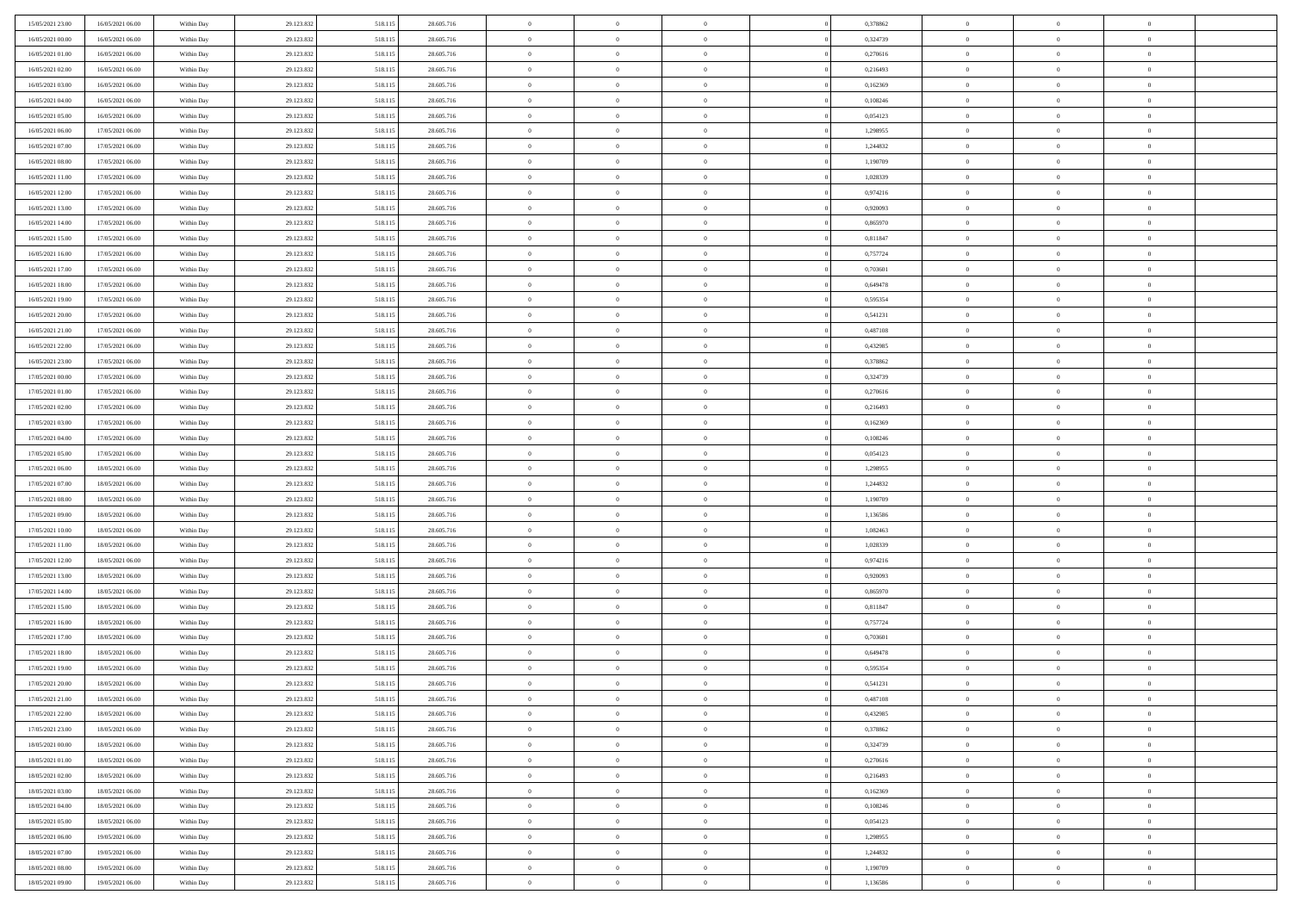| 15/05/2021 23.00                     | 16/05/2021 06:00                     | Within Day               | 29.123.832               | 518.115            | 28.605.716               | $\,$ 0                   | $\overline{0}$                   | $\theta$                         |          | 0,378862             | $\bf{0}$                 | $\overline{0}$                   | $\,0\,$                    |  |
|--------------------------------------|--------------------------------------|--------------------------|--------------------------|--------------------|--------------------------|--------------------------|----------------------------------|----------------------------------|----------|----------------------|--------------------------|----------------------------------|----------------------------|--|
| 16/05/2021 00:00                     | 16/05/2021 06:00                     | Within Day               | 29.123.832               | 518.115            | 28.605.716               | $\overline{0}$           | $\overline{0}$                   | $\overline{0}$                   |          | 0,324739             | $\overline{0}$           | $\overline{0}$                   | $\theta$                   |  |
| 16/05/2021 01:00                     | 16/05/2021 06:00                     | Within Dav               | 29.123.832               | 518.115            | 28.605.716               | $\mathbf{0}$             | $\overline{0}$                   | $\overline{0}$                   |          | 0,270616             | $\mathbf{0}$             | $\overline{0}$                   | $\overline{0}$             |  |
| 16/05/2021 02:00                     | 16/05/2021 06:00                     | Within Day               | 29.123.832               | 518.115            | 28.605.716               | $\bf{0}$                 | $\overline{0}$                   | $\overline{0}$                   |          | 0,216493             | $\bf{0}$                 | $\overline{0}$                   | $\bf{0}$                   |  |
| 16/05/2021 03:00                     | 16/05/2021 06:00                     | Within Day               | 29.123.832               | 518.115            | 28.605.716               | $\bf{0}$                 | $\overline{0}$                   | $\overline{0}$                   |          | 0,162369             | $\bf{0}$                 | $\bf{0}$                         | $\,0\,$                    |  |
| 16/05/2021 04:00                     | 16/05/2021 06:00                     | Within Dav               | 29.123.832               | 518.115            | 28.605.716               | $\overline{0}$           | $\overline{0}$                   | $\overline{0}$                   |          | 0,108246             | $\mathbf{0}$             | $\overline{0}$                   | $\overline{0}$             |  |
| 16/05/2021 05:00                     | 16/05/2021 06:00                     | Within Day               | 29.123.832               | 518.115            | 28.605.716               | $\bf{0}$                 | $\overline{0}$                   | $\overline{0}$                   |          | 0,054123             | $\bf{0}$                 | $\overline{0}$                   | $\,0\,$                    |  |
| 16/05/2021 06:00                     | 17/05/2021 06:00                     | Within Day               | 29.123.832               | 518.115            | 28.605.716               | $\overline{0}$           | $\overline{0}$                   | $\overline{0}$                   |          | 1,298955             | $\,$ 0 $\,$              | $\overline{0}$                   | $\overline{0}$             |  |
| 16/05/2021 07:00                     | 17/05/2021 06:00                     | Within Day               | 29.123.832               | 518.115            | 28.605.716               | $\mathbf{0}$             | $\overline{0}$                   | $\overline{0}$                   |          | 1,244832             | $\mathbf{0}$             | $\overline{0}$                   | $\overline{0}$             |  |
| 16/05/2021 08:00                     | 17/05/2021 06:00                     | Within Day               | 29.123.832               | 518.115            | 28.605.716               | $\bf{0}$                 | $\overline{0}$                   | $\overline{0}$                   |          | 1,190709             | $\bf{0}$                 | $\overline{0}$                   | $\,0\,$                    |  |
| 16/05/2021 11:00                     | 17/05/2021 06:00                     | Within Day               | 29.123.832               | 518.115            | 28.605.716               | $\bf{0}$                 | $\overline{0}$                   | $\overline{0}$                   |          | 1,028339             | $\bf{0}$                 | $\overline{0}$                   | $\theta$                   |  |
| 16/05/2021 12:00                     | 17/05/2021 06:00                     | Within Dav               | 29.123.832               | 518.115            | 28.605.716               | $\mathbf{0}$             | $\overline{0}$                   | $\overline{0}$                   |          | 0,974216             | $\mathbf{0}$             | $\overline{0}$                   | $\overline{0}$             |  |
| 16/05/2021 13:00                     | 17/05/2021 06:00                     | Within Day               | 29.123.832               | 518.115            | 28.605.716               | $\bf{0}$                 | $\overline{0}$                   | $\bf{0}$                         |          | 0,920093             | $\bf{0}$                 | $\overline{0}$                   | $\overline{0}$             |  |
| 16/05/2021 14:00                     | 17/05/2021 06:00                     | Within Day               | 29.123.832               | 518.115            | 28.605.716               | $\bf{0}$                 | $\overline{0}$                   | $\overline{0}$                   |          | 0,865970             | $\bf{0}$                 | $\mathbf{0}$                     | $\,0\,$                    |  |
| 16/05/2021 15:00                     | 17/05/2021 06:00                     | Within Dav               | 29.123.832               | 518.115            | 28.605.716               | $\overline{0}$           | $\overline{0}$                   | $\overline{0}$                   |          | 0,811847             | $\mathbf{0}$             | $\overline{0}$                   | $\overline{0}$             |  |
| 16/05/2021 16:00                     | 17/05/2021 06:00                     | Within Day               | 29.123.832               | 518.115            | 28.605.716               | $\bf{0}$                 | $\bf{0}$                         | $\overline{0}$                   |          | 0,757724             | $\bf{0}$                 | $\overline{0}$                   | $\bf{0}$                   |  |
| 16/05/2021 17:00                     | 17/05/2021 06:00                     | Within Day               | 29.123.832               | 518.115            | 28.605.716               | $\bf{0}$                 | $\overline{0}$                   | $\overline{0}$                   |          | 0.703601             | $\,$ 0 $\,$              | $\overline{0}$                   | $\theta$                   |  |
| 16/05/2021 18:00                     | 17/05/2021 06:00                     | Within Day               | 29.123.832               | 518.115            | 28.605.716               | $\mathbf{0}$             | $\overline{0}$                   | $\overline{0}$                   |          | 0,649478             | $\mathbf{0}$             | $\overline{0}$                   | $\overline{0}$             |  |
| 16/05/2021 19:00                     | 17/05/2021 06:00                     | Within Day               | 29.123.832               | 518.115            | 28.605.716               | $\bf{0}$                 | $\bf{0}$                         | $\overline{0}$                   |          | 0,595354             | $\bf{0}$                 | $\overline{0}$                   | $\,0\,$                    |  |
| 16/05/2021 20:00                     | 17/05/2021 06:00                     | Within Day               | 29.123.832               | 518.115            | 28.605.716               | $\bf{0}$                 | $\overline{0}$                   | $\overline{0}$                   |          | 0,541231             | $\bf{0}$                 | $\overline{0}$                   | $\overline{0}$             |  |
| 16/05/2021 21:00                     | 17/05/2021 06:00                     | Within Dav               | 29.123.832               | 518.115            | 28.605.716               | $\mathbf{0}$             | $\overline{0}$                   | $\overline{0}$                   |          | 0,487108             | $\mathbf{0}$             | $\overline{0}$                   | $\overline{0}$             |  |
| 16/05/2021 22.00                     | 17/05/2021 06:00                     | Within Day               | 29.123.832               | 518.115            | 28.605.716               | $\bf{0}$                 | $\overline{0}$                   | $\overline{0}$                   |          | 0,432985             | $\bf{0}$                 | $\overline{0}$                   | $\bf{0}$                   |  |
|                                      | 17/05/2021 06:00                     |                          | 29.123.832               | 518.115            | 28.605.716               | $\bf{0}$                 | $\bf{0}$                         | $\overline{0}$                   |          | 0,378862             | $\bf{0}$                 | $\overline{0}$                   | $\,0\,$                    |  |
| 16/05/2021 23:00<br>17/05/2021 00:00 | 17/05/2021 06:00                     | Within Day<br>Within Dav | 29.123.832               | 518.115            | 28.605.716               | $\mathbf{0}$             | $\overline{0}$                   | $\overline{0}$                   |          | 0,324739             | $\mathbf{0}$             | $\overline{0}$                   | $\overline{0}$             |  |
| 17/05/2021 01:00                     | 17/05/2021 06:00                     | Within Day               |                          |                    | 28.605.716               | $\bf{0}$                 | $\bf{0}$                         | $\overline{0}$                   |          | 0,270616             | $\bf{0}$                 | $\overline{0}$                   | $\bf{0}$                   |  |
|                                      |                                      |                          | 29.123.832               | 518.115            |                          | $\bf{0}$                 | $\overline{0}$                   | $\overline{0}$                   |          |                      |                          | $\mathbf{0}$                     | $\overline{0}$             |  |
| 17/05/2021 02:00<br>17/05/2021 03:00 | 17/05/2021 06:00<br>17/05/2021 06:00 | Within Day               | 29.123.832               | 518.115            | 28.605.716               | $\mathbf{0}$             |                                  |                                  |          | 0,216493             | $\bf{0}$<br>$\mathbf{0}$ |                                  | $\overline{0}$             |  |
|                                      | 17/05/2021 06:00                     | Within Day               | 29.123.832               | 518.115            | 28.605.716               |                          | $\overline{0}$                   | $\overline{0}$<br>$\overline{0}$ |          | 0,162369             |                          | $\overline{0}$<br>$\overline{0}$ |                            |  |
| 17/05/2021 04:00                     |                                      | Within Day               | 29.123.832               | 518.115            | 28.605.716               | $\bf{0}$                 | $\bf{0}$                         |                                  |          | 0,108246             | $\bf{0}$                 |                                  | $\,0\,$                    |  |
| 17/05/2021 05:00<br>17/05/2021 06:00 | 17/05/2021 06:00<br>18/05/2021 06:00 | Within Day<br>Within Dav | 29.123.832<br>29.123.832 | 518.115<br>518.115 | 28.605.716<br>28.605.716 | $\bf{0}$<br>$\mathbf{0}$ | $\overline{0}$<br>$\overline{0}$ | $\overline{0}$<br>$\overline{0}$ |          | 0,054123<br>1,298955 | $\bf{0}$<br>$\mathbf{0}$ | $\overline{0}$<br>$\overline{0}$ | $\bf{0}$<br>$\overline{0}$ |  |
|                                      |                                      |                          |                          |                    |                          | $\bf{0}$                 |                                  | $\theta$                         |          |                      | $\,$ 0                   | $\overline{0}$                   | $\theta$                   |  |
| 17/05/2021 07:00                     | 18/05/2021 06:00<br>18/05/2021 06:00 | Within Day               | 29.123.832<br>29.123.832 | 518.115<br>518.115 | 28.605.716<br>28.605.716 | $\bf{0}$                 | $\overline{0}$<br>$\bf{0}$       | $\overline{0}$                   |          | 1,244832<br>1,190709 | $\bf{0}$                 | $\overline{0}$                   | $\bf{0}$                   |  |
| 17/05/2021 08:00<br>17/05/2021 09:00 | 18/05/2021 06:00                     | Within Day<br>Within Dav | 29.123.832               | 518.115            | 28.605.716               | $\mathbf{0}$             | $\overline{0}$                   | $\overline{0}$                   |          | 1,136586             | $\mathbf{0}$             | $\overline{0}$                   | $\overline{0}$             |  |
| 17/05/2021 10:00                     | 18/05/2021 06:00                     |                          | 29.123.832               | 518.115            | 28.605.716               | $\bf{0}$                 | $\overline{0}$                   | $\theta$                         |          | 1,082463             | $\,$ 0                   | $\overline{0}$                   | $\theta$                   |  |
|                                      | 18/05/2021 06:00                     | Within Day               | 29.123.832               |                    | 28.605.716               | $\overline{0}$           | $\overline{0}$                   | $\overline{0}$                   |          | 1,028339             | $\bf{0}$                 | $\overline{0}$                   | $\overline{0}$             |  |
| 17/05/2021 11:00<br>17/05/2021 12:00 | 18/05/2021 06:00                     | Within Day<br>Within Day | 29.123.832               | 518.115<br>518.115 | 28.605.716               | $\mathbf{0}$             | $\overline{0}$                   | $\overline{0}$                   |          | 0,974216             | $\mathbf{0}$             | $\overline{0}$                   | $\overline{0}$             |  |
|                                      |                                      |                          |                          |                    |                          | $\bf{0}$                 | $\overline{0}$                   | $\theta$                         |          |                      | $\,$ 0                   | $\overline{0}$                   | $\theta$                   |  |
| 17/05/2021 13:00<br>17/05/2021 14:00 | 18/05/2021 06:00<br>18/05/2021 06:00 | Within Day               | 29.123.832               | 518.115            | 28.605.716<br>28.605.716 | $\bf{0}$                 | $\overline{0}$                   | $\overline{0}$                   |          | 0,920093<br>0,865970 | $\bf{0}$                 | $\overline{0}$                   | $\bf{0}$                   |  |
| 17/05/2021 15:00                     | 18/05/2021 06:00                     | Within Day<br>Within Dav | 29.123.832<br>29.123.832 | 518.115<br>518.115 | 28.605.716               | $\mathbf{0}$             | $\overline{0}$                   | $\overline{0}$                   |          | 0,811847             | $\mathbf{0}$             | $\overline{0}$                   | $\overline{0}$             |  |
|                                      |                                      |                          |                          |                    |                          | $\,0\,$                  | $\overline{0}$                   | $\theta$                         |          |                      | $\,$ 0                   | $\overline{0}$                   | $\theta$                   |  |
| 17/05/2021 16:00<br>17/05/2021 17:00 | 18/05/2021 06:00<br>18/05/2021 06:00 | Within Day<br>Within Day | 29.123.832<br>29.123.832 | 518.115<br>518.115 | 28.605.716<br>28.605.716 | $\bf{0}$                 | $\overline{0}$                   | $\overline{0}$                   |          | 0,757724<br>0,703601 | $\bf{0}$                 | $\overline{0}$                   | $\overline{0}$             |  |
| 17/05/2021 18:00                     | 18/05/2021 06:00                     | Within Dav               | 29.123.832               | 518.115            | 28.605.716               | $\mathbf{0}$             | $\overline{0}$                   | $\overline{0}$                   |          | 0,649478             | $\mathbf{0}$             | $\overline{0}$                   | $\overline{0}$             |  |
| 17/05/2021 19:00                     | 18/05/2021 06:00                     | Within Day               | 29.123.832               | 518.115            | 28.605.716               | $\bf{0}$                 | $\overline{0}$                   | $\theta$                         |          | 0,595354             | $\,$ 0                   | $\overline{0}$                   | $\theta$                   |  |
| 17/05/2021 20:00                     | 18/05/2021 06:00                     | Within Day               | 29.123.832               | 518.115            | 28.605.716               | $\bf{0}$                 | $\overline{0}$                   | $\overline{0}$                   |          | 0,541231             | $\bf{0}$                 | $\overline{0}$                   | $\overline{0}$             |  |
| 17/05/2021 21:00                     | 18/05/2021 06:00                     | Within Day               | 29.123.832               | 518.115            | 28.605.716               | $\bf{0}$                 | $\overline{0}$                   |                                  |          | 0,487108             | $\overline{0}$           | $\theta$                         | $\theta$                   |  |
| 17/05/2021 22.00                     | 18/05/2021 06:00                     | Within Day               | 29.123.832               | 518.115            | 28.605.716               | $\,0\,$                  | $\overline{0}$                   | $\theta$                         |          | 0,432985             | $\,$ 0 $\,$              | $\bf{0}$                         | $\theta$                   |  |
| 17/05/2021 23.00                     | 18/05/2021 06:00                     | Within Day               | 29.123.832               | 518.115            | 28.605.716               | $\overline{0}$           | $\overline{0}$                   | $\overline{0}$                   |          | 0,378862             | $\overline{0}$           | $\overline{0}$                   | $\overline{0}$             |  |
| 18/05/2021 00:00                     | 18/05/2021 06:00                     | Within Day               | 29.123.832               | 518.115            | 28.605.716               | $\bf{0}$                 | $\overline{0}$                   | $\overline{0}$                   |          | 0,324739             | $\overline{0}$           | $\bf{0}$                         | $\mathbf{0}$               |  |
| 18/05/2021 01:00                     | 18/05/2021 06:00                     | Within Day               | 29.123.832               | 518.115            | 28.605.716               | $\bf{0}$                 | $\overline{0}$                   | $\overline{0}$                   | $\theta$ | 0,270616             | $\,$ 0 $\,$              | $\bf{0}$                         | $\,$ 0 $\,$                |  |
| 18/05/2021 02:00                     | 18/05/2021 06:00                     | Within Day               | 29.123.832               | 518.115            | 28.605.716               | $\bf{0}$                 | $\overline{0}$                   | $\overline{0}$                   |          | 0,216493             | $\,$ 0 $\,$              | $\overline{0}$                   | $\overline{0}$             |  |
| 18/05/2021 03:00                     | 18/05/2021 06:00                     | Within Day               | 29.123.832               | 518.115            | 28.605.716               | $\bf{0}$                 | $\overline{0}$                   | $\overline{0}$                   |          | 0,162369             | $\mathbf{0}$             | $\overline{0}$                   | $\overline{0}$             |  |
|                                      |                                      |                          |                          |                    |                          |                          |                                  |                                  |          |                      |                          | $\overline{0}$                   |                            |  |
| 18/05/2021 04:00                     | 18/05/2021 06:00                     | Within Day               | 29.123.832               | 518.115            | 28.605.716               | $\,0\,$                  | $\overline{0}$                   | $\overline{0}$<br>$\overline{0}$ | $\theta$ | 0,108246             | $\,$ 0 $\,$              | $\overline{0}$                   | $\,$ 0 $\,$                |  |
| 18/05/2021 05:00<br>18/05/2021 06:00 | 18/05/2021 06:00<br>19/05/2021 06:00 | Within Day               | 29.123.832               | 518.115            | 28.605.716               | $\bf{0}$                 | $\overline{0}$                   |                                  |          | 0,054123             | $\overline{0}$           |                                  | $\overline{0}$             |  |
|                                      |                                      | Within Day               | 29.123.832               | 518.115            | 28.605.716               | $\bf{0}$                 | $\overline{0}$                   | $\overline{0}$                   |          | 1,298955             | $\mathbf{0}$             | $\overline{0}$                   | $\overline{0}$             |  |
| 18/05/2021 07:00                     | 19/05/2021 06:00                     | Within Day               | 29.123.832               | 518.115            | 28.605.716               | $\,0\,$                  | $\overline{0}$                   | $\overline{0}$                   |          | 1,244832             | $\,$ 0 $\,$              | $\overline{0}$                   | $\,$ 0 $\,$                |  |
| 18/05/2021 08:00                     | 19/05/2021 06:00                     | Within Day               | 29.123.832               | 518.115            | 28.605.716               | $\bf{0}$                 | $\overline{0}$                   | $\overline{0}$                   |          | 1,190709             | $\bf{0}$                 | $\mathbf{0}$                     | $\overline{0}$             |  |
| 18/05/2021 09:00                     | 19/05/2021 06:00                     | Within Day               | 29.123.832               | 518.115            | 28.605.716               | $\mathbf{0}$             | $\overline{0}$                   | $\overline{0}$                   |          | 1,136586             | $\mathbf{0}$             | $\overline{0}$                   | $\overline{0}$             |  |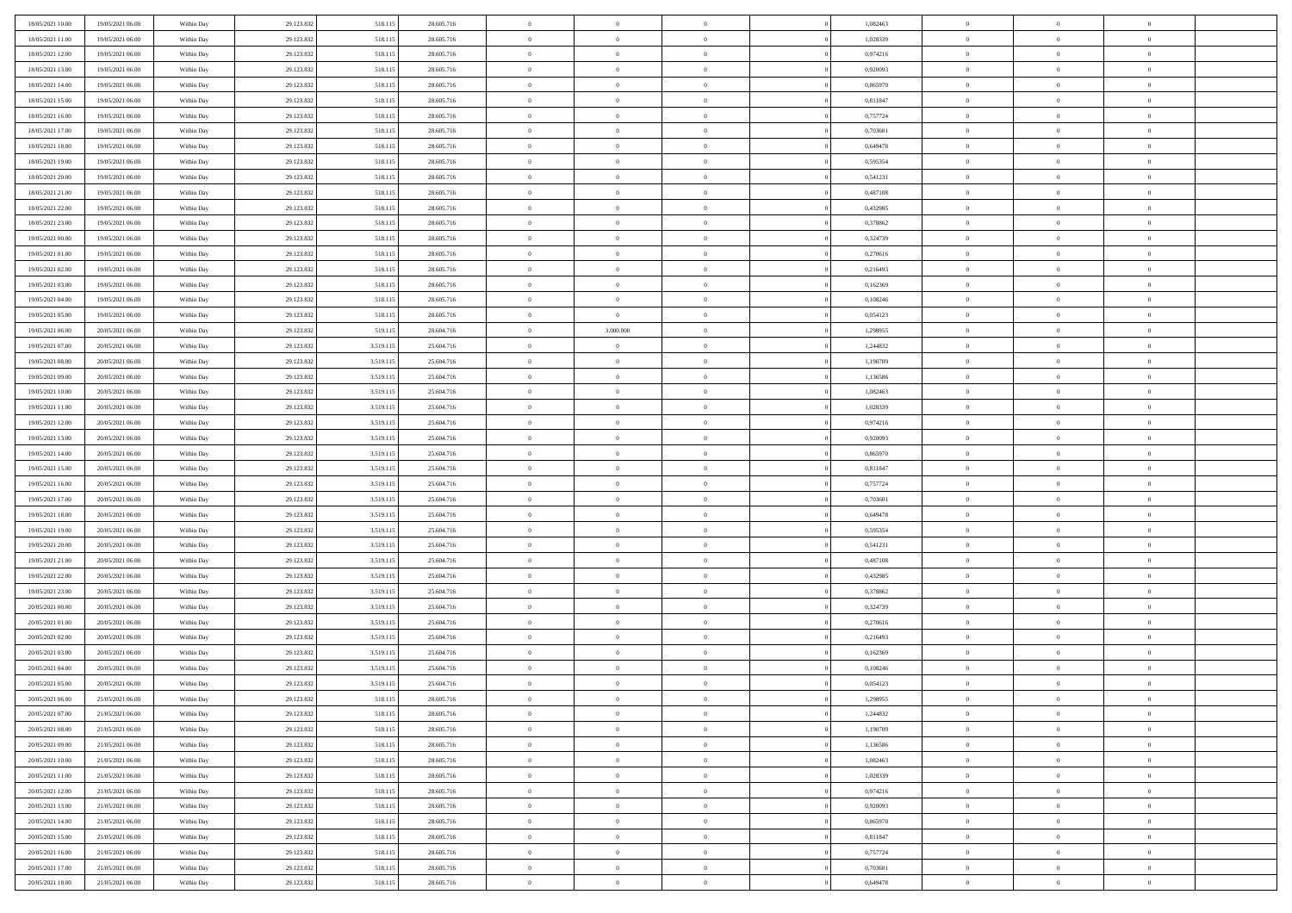| 18/05/2021 10:00                     | 19/05/2021 06:00                     | Within Day               | 29.123.832               | 518.115                | 28.605.716               | $\,$ 0                     | $\bf{0}$                         | $\theta$                         |          | 1,082463             | $\bf{0}$                 | $\overline{0}$                   | $\,0\,$                          |  |
|--------------------------------------|--------------------------------------|--------------------------|--------------------------|------------------------|--------------------------|----------------------------|----------------------------------|----------------------------------|----------|----------------------|--------------------------|----------------------------------|----------------------------------|--|
| 18/05/2021 11:00                     | 19/05/2021 06:00                     | Within Day               | 29.123.832               | 518.115                | 28.605.716               | $\overline{0}$             | $\overline{0}$                   | $\overline{0}$                   |          | 1,028339             | $\overline{0}$           | $\overline{0}$                   | $\theta$                         |  |
| 18/05/2021 12:00                     | 19/05/2021 06:00                     | Within Dav               | 29.123.832               | 518.115                | 28.605.716               | $\mathbf{0}$               | $\overline{0}$                   | $\overline{0}$                   |          | 0,974216             | $\mathbf{0}$             | $\overline{0}$                   | $\overline{0}$                   |  |
| 18/05/2021 13:00                     | 19/05/2021 06:00                     | Within Day               | 29.123.832               | 518.115                | 28.605.716               | $\bf{0}$                   | $\overline{0}$                   | $\bf{0}$                         |          | 0,920093             | $\bf{0}$                 | $\overline{0}$                   | $\bf{0}$                         |  |
| 18/05/2021 14:00                     | 19/05/2021 06:00                     | Within Day               | 29.123.832               | 518.115                | 28.605.716               | $\bf{0}$                   | $\bf{0}$                         | $\overline{0}$                   |          | 0,865970             | $\bf{0}$                 | $\bf{0}$                         | $\,0\,$                          |  |
| 18/05/2021 15:00                     | 19/05/2021 06:00                     | Within Dav               | 29.123.832               | 518.115                | 28.605.716               | $\overline{0}$             | $\overline{0}$                   | $\overline{0}$                   |          | 0,811847             | $\mathbf{0}$             | $\overline{0}$                   | $\overline{0}$                   |  |
| 18/05/2021 16:00                     | 19/05/2021 06:00                     | Within Day               | 29.123.832               | 518.115                | 28.605.716               | $\bf{0}$                   | $\bf{0}$                         | $\overline{0}$                   |          | 0,757724             | $\bf{0}$                 | $\overline{0}$                   | $\,0\,$                          |  |
| 18/05/2021 17:00                     | 19/05/2021 06:00                     | Within Day               | 29.123.832               | 518.115                | 28.605.716               | $\overline{0}$             | $\overline{0}$                   | $\overline{0}$                   |          | 0,703601             | $\,$ 0 $\,$              | $\overline{0}$                   | $\theta$                         |  |
| 18/05/2021 18:00                     | 19/05/2021 06:00                     | Within Dav               | 29.123.832               | 518.115                | 28.605.716               | $\mathbf{0}$               | $\overline{0}$                   | $\overline{0}$                   |          | 0,649478             | $\mathbf{0}$             | $\overline{0}$                   | $\overline{0}$                   |  |
| 18/05/2021 19:00                     | 19/05/2021 06:00                     | Within Day               | 29.123.832               | 518.115                | 28.605.716               | $\bf{0}$                   | $\bf{0}$                         | $\overline{0}$                   |          | 0,595354             | $\bf{0}$                 | $\overline{0}$                   | $\,0\,$                          |  |
| 18/05/2021 20:00                     | 19/05/2021 06:00                     | Within Day               | 29.123.832               | 518.115                | 28.605.716               | $\bf{0}$                   | $\overline{0}$                   | $\overline{0}$                   |          | 0,541231             | $\bf{0}$                 | $\overline{0}$                   | $\theta$                         |  |
| 18/05/2021 21:00                     | 19/05/2021 06:00                     | Within Dav               | 29.123.832               | 518.115                | 28.605.716               | $\mathbf{0}$               | $\overline{0}$                   | $\overline{0}$                   |          | 0,487108             | $\mathbf{0}$             | $\overline{0}$                   | $\overline{0}$                   |  |
| 18/05/2021 22:00                     | 19/05/2021 06:00                     | Within Day               | 29.123.832               | 518.115                | 28.605.716               | $\bf{0}$                   | $\overline{0}$                   | $\bf{0}$                         |          | 0,432985             | $\bf{0}$                 | $\overline{0}$                   | $\bf{0}$                         |  |
| 18/05/2021 23:00                     | 19/05/2021 06:00                     | Within Day               | 29.123.832               | 518.115                | 28.605.716               | $\bf{0}$                   | $\overline{0}$                   | $\overline{0}$                   |          | 0,378862             | $\bf{0}$                 | $\mathbf{0}$                     | $\,0\,$                          |  |
| 19/05/2021 00:00                     | 19/05/2021 06:00                     | Within Dav               | 29.123.832               | 518.115                | 28.605.716               | $\overline{0}$             | $\overline{0}$                   | $\overline{0}$                   |          | 0,324739             | $\mathbf{0}$             | $\overline{0}$                   | $\overline{0}$                   |  |
| 19/05/2021 01:00                     | 19/05/2021 06:00                     | Within Day               | 29.123.832               | 518.115                | 28.605.716               | $\bf{0}$                   | $\bf{0}$                         | $\overline{0}$                   |          | 0,270616             | $\bf{0}$                 | $\overline{0}$                   | $\bf{0}$                         |  |
| 19/05/2021 02:00                     | 19/05/2021 06:00                     | Within Day               | 29.123.832               | 518.115                | 28.605.716               | $\overline{0}$             | $\overline{0}$                   | $\overline{0}$                   |          | 0,216493             | $\bf{0}$                 | $\overline{0}$                   | $\theta$                         |  |
| 19/05/2021 03:00                     | 19/05/2021 06:00                     | Within Day               | 29.123.832               | 518.115                | 28.605.716               | $\mathbf{0}$               | $\overline{0}$                   | $\overline{0}$                   |          | 0,162369             | $\mathbf{0}$             | $\overline{0}$                   | $\overline{0}$                   |  |
| 19/05/2021 04:00                     | 19/05/2021 06:00                     | Within Day               | 29.123.832               | 518.115                | 28.605.716               | $\bf{0}$                   | $\bf{0}$                         | $\overline{0}$                   |          | 0,108246             | $\bf{0}$                 | $\overline{0}$                   | $\,0\,$                          |  |
| 19/05/2021 05:00                     | 19/05/2021 06:00                     | Within Day               | 29.123.832               | 518.115                | 28.605.716               | $\overline{0}$             | $\overline{0}$                   | $\overline{0}$                   |          | 0,054123             | $\bf{0}$                 | $\overline{0}$                   | $\overline{0}$                   |  |
| 19/05/2021 06:00                     | 20/05/2021 06:00                     | Within Dav               | 29.123.832               | 519.115                | 28.604.716               | $\mathbf{0}$               | 3.000.000                        | $\overline{0}$                   |          | 1,298955             | $\mathbf{0}$             | $\overline{0}$                   | $\overline{0}$                   |  |
| 19/05/2021 07:00                     | 20/05/2021 06:00                     | Within Day               | 29.123.832               | 3.519.115              | 25.604.716               | $\bf{0}$                   | $\overline{0}$                   | $\overline{0}$                   |          | 1,244832             | $\bf{0}$                 | $\overline{0}$                   | $\bf{0}$                         |  |
| 19/05/2021 08:00                     | 20/05/2021 06:00                     |                          | 29.123.832               | 3.519.115              | 25.604.716               | $\bf{0}$                   | $\bf{0}$                         | $\overline{0}$                   |          | 1,190709             | $\bf{0}$                 | $\overline{0}$                   | $\,0\,$                          |  |
| 19/05/2021 09:00                     | 20/05/2021 06:00                     | Within Day<br>Within Dav | 29.123.832               | 3.519.115              | 25.604.716               | $\mathbf{0}$               | $\overline{0}$                   | $\overline{0}$                   |          | 1,136586             | $\mathbf{0}$             | $\overline{0}$                   | $\overline{0}$                   |  |
| 19/05/2021 10:00                     | 20/05/2021 06:00                     | Within Day               | 29.123.832               | 3.519.115              | 25.604.716               | $\bf{0}$                   | $\bf{0}$                         | $\overline{0}$                   |          | 1,082463             | $\bf{0}$                 | $\overline{0}$                   | $\,0\,$                          |  |
|                                      |                                      |                          |                          |                        |                          | $\overline{0}$             | $\overline{0}$                   | $\overline{0}$                   |          |                      |                          | $\mathbf{0}$                     | $\overline{0}$                   |  |
| 19/05/2021 11:00                     | 20/05/2021 06:00<br>20/05/2021 06:00 | Within Day               | 29.123.832               | 3.519.115              | 25.604.716               | $\mathbf{0}$               |                                  |                                  |          | 1,028339             | $\bf{0}$<br>$\mathbf{0}$ |                                  | $\overline{0}$                   |  |
| 19/05/2021 12:00                     | 20/05/2021 06:00                     | Within Dav               | 29.123.832               | 3.519.115              | 25.604.716               |                            | $\overline{0}$                   | $\overline{0}$<br>$\overline{0}$ |          | 0,974216             |                          | $\overline{0}$<br>$\overline{0}$ |                                  |  |
| 19/05/2021 13:00                     |                                      | Within Day               | 29.123.832               | 3.519.115              | 25.604.716               | $\bf{0}$                   | $\bf{0}$                         |                                  |          | 0,920093             | $\bf{0}$                 |                                  | $\,0\,$                          |  |
| 19/05/2021 14:00                     | 20/05/2021 06:00                     | Within Day               | 29.123.832               | 3.519.115              | 25.604.716               | $\bf{0}$<br>$\mathbf{0}$   | $\overline{0}$                   | $\overline{0}$                   |          | 0,865970             | $\bf{0}$<br>$\mathbf{0}$ | $\overline{0}$                   | $\bf{0}$<br>$\overline{0}$       |  |
| 19/05/2021 15:00                     | 20/05/2021 06:00                     | Within Dav               | 29.123.832               | 3.519.115              | 25.604.716               |                            | $\overline{0}$                   | $\overline{0}$                   |          | 0,811847             |                          | $\overline{0}$<br>$\overline{0}$ | $\theta$                         |  |
| 19/05/2021 16:00                     | 20/05/2021 06:00                     | Within Day               | 29.123.832               | 3.519.115              | 25.604.716               | $\bf{0}$                   | $\overline{0}$                   | $\theta$                         |          | 0,757724             | $\,$ 0                   | $\overline{0}$                   |                                  |  |
| 19/05/2021 17:00                     | 20/05/2021 06:00                     | Within Day               | 29.123.832               | 3.519.115              | 25.604.716               | $\bf{0}$<br>$\overline{0}$ | $\overline{0}$                   | $\overline{0}$                   |          | 0,703601             | $\bf{0}$<br>$\mathbf{0}$ |                                  | $\overline{0}$<br>$\overline{0}$ |  |
| 19/05/2021 18:00                     | 20/05/2021 06:00                     | Within Dav               | 29.123.832               | 3.519.115              | 25.604.716               |                            | $\overline{0}$                   | $\overline{0}$                   |          | 0,649478             |                          | $\overline{0}$                   |                                  |  |
| 19/05/2021 19:00                     | 20/05/2021 06:00                     | Within Day               | 29.123.832               | 3.519.115              | 25.604.716               | $\bf{0}$                   | $\overline{0}$                   | $\theta$                         |          | 0,595354             | $\,$ 0                   | $\overline{0}$                   | $\theta$                         |  |
| 19/05/2021 20:00                     | 20/05/2021 06:00                     | Within Day               | 29.123.832               | 3.519.115              | 25.604.716               | $\bf{0}$<br>$\mathbf{0}$   | $\overline{0}$                   | $\overline{0}$                   |          | 0,541231             | $\bf{0}$<br>$\mathbf{0}$ | $\overline{0}$                   | $\overline{0}$<br>$\overline{0}$ |  |
| 19/05/2021 21:00                     | 20/05/2021 06:00                     | Within Day               | 29.123.832               | 3.519.115              | 25.604.716               | $\bf{0}$                   | $\overline{0}$                   | $\overline{0}$                   |          | 0,487108             |                          | $\overline{0}$<br>$\overline{0}$ | $\theta$                         |  |
| 19/05/2021 22:00                     | 20/05/2021 06:00                     | Within Day               | 29.123.832               | 3.519.115              | 25.604.716               | $\bf{0}$                   | $\overline{0}$                   | $\theta$<br>$\overline{0}$       |          | 0,432985             | $\,$ 0                   | $\overline{0}$                   |                                  |  |
| 19/05/2021 23:00<br>20/05/2021 00:00 | 20/05/2021 06:00<br>20/05/2021 06:00 | Within Day<br>Within Dav | 29.123.832<br>29.123.832 | 3.519.115<br>3.519.115 | 25.604.716<br>25.604.716 | $\mathbf{0}$               | $\overline{0}$<br>$\overline{0}$ | $\overline{0}$                   |          | 0,378862<br>0,324739 | $\bf{0}$<br>$\mathbf{0}$ | $\overline{0}$                   | $\overline{0}$<br>$\overline{0}$ |  |
|                                      |                                      |                          |                          |                        |                          |                            |                                  |                                  |          |                      |                          | $\overline{0}$                   | $\theta$                         |  |
| 20/05/2021 01:00                     | 20/05/2021 06:00<br>20/05/2021 06:00 | Within Day               | 29.123.832               | 3.519.115              | 25.604.716<br>25.604.716 | $\,0\,$<br>$\bf{0}$        | $\overline{0}$<br>$\overline{0}$ | $\theta$<br>$\overline{0}$       |          | 0,270616             | $\,$ 0                   | $\overline{0}$                   | $\overline{0}$                   |  |
| 20/05/2021 02:00<br>20/05/2021 03:00 | 20/05/2021 06:00                     | Within Day<br>Within Dav | 29.123.832<br>29.123.832 | 3.519.115<br>3.519.115 | 25.604.716               | $\mathbf{0}$               | $\overline{0}$                   | $\overline{0}$                   |          | 0,216493<br>0,162369 | $\bf{0}$<br>$\mathbf{0}$ | $\overline{0}$                   | $\overline{0}$                   |  |
| 20/05/2021 04:00                     | 20/05/2021 06:00                     | Within Day               | 29.123.832               | 3.519.115              | 25.604.716               | $\bf{0}$                   | $\overline{0}$                   | $\theta$                         |          | 0,108246             | $\,$ 0                   | $\overline{0}$                   | $\theta$                         |  |
| 20/05/2021 05:00                     | 20/05/2021 06:00                     |                          | 29.123.832               | 3.519.115              | 25.604.716               | $\bf{0}$                   | $\overline{0}$                   | $\overline{0}$                   |          | 0,054123             | $\bf{0}$                 | $\overline{0}$                   | $\overline{0}$                   |  |
| 20/05/2021 06:00                     | 21/05/2021 06:00                     | Within Day<br>Within Day | 29.123.832               | 518.115                | 28.605.716               | $\bf{0}$                   | $\overline{0}$                   |                                  |          | 1,298955             | $\overline{0}$           | $\theta$                         | $\theta$                         |  |
| 20/05/2021 07:00                     | 21/05/2021 06:00                     | Within Day               | 29.123.832               | 518.115                | 28.605.716               | $\,0\,$                    | $\overline{0}$                   | $\theta$                         |          | 1,244832             | $\,$ 0 $\,$              | $\bf{0}$                         | $\theta$                         |  |
| 20/05/2021 08:00                     | 21/05/2021 06:00                     |                          | 29.123.832               | 518.115                | 28.605.716               | $\overline{0}$             | $\overline{0}$                   | $\overline{0}$                   |          | 1,190709             | $\overline{0}$           | $\overline{0}$                   | $\overline{0}$                   |  |
| 20/05/2021 09:00                     | 21/05/2021 06:00                     | Within Day<br>Within Day | 29.123.832               | 518.115                | 28.605.716               | $\bf{0}$                   | $\overline{0}$                   | $\overline{0}$                   |          | 1,136586             | $\overline{0}$           | $\bf{0}$                         | $\mathbf{0}$                     |  |
| 20/05/2021 10:00                     | 21/05/2021 06:00                     | Within Day               | 29.123.832               | 518.115                | 28.605.716               | $\bf{0}$                   | $\overline{0}$                   | $\overline{0}$                   | $\theta$ | 1,082463             | $\mathbf{0}$             | $\bf{0}$                         | $\,$ 0 $\,$                      |  |
| 20/05/2021 11:00                     | 21/05/2021 06:00                     | Within Day               | 29.123.832               | 518.115                | 28.605.716               | $\bf{0}$                   | $\overline{0}$                   | $\overline{0}$                   |          | 1,028339             | $\,$ 0 $\,$              | $\overline{0}$                   | $\overline{0}$                   |  |
| 20/05/2021 12:00                     | 21/05/2021 06:00                     | Within Day               | 29.123.832               | 518.115                | 28.605.716               | $\bf{0}$                   | $\overline{0}$                   | $\overline{0}$                   |          | 0,974216             | $\mathbf{0}$             | $\overline{0}$                   | $\overline{0}$                   |  |
|                                      |                                      |                          |                          |                        |                          | $\,0\,$                    |                                  | $\overline{0}$                   | $\theta$ |                      | $\,$ 0 $\,$              | $\mathbf{0}$                     | $\,$ 0 $\,$                      |  |
| 20/05/2021 13:00                     | 21/05/2021 06:00                     | Within Day               | 29.123.832               | 518.115                | 28.605.716               | $\bf{0}$                   | $\overline{0}$<br>$\overline{0}$ | $\overline{0}$                   |          | 0,920093             | $\overline{0}$           | $\overline{0}$                   |                                  |  |
| 20/05/2021 14:00<br>20/05/2021 15:00 | 21/05/2021 06:00<br>21/05/2021 06:00 | Within Day<br>Within Day | 29.123.832<br>29.123.832 | 518.115<br>518.115     | 28.605.716<br>28.605.716 | $\bf{0}$                   | $\overline{0}$                   | $\overline{0}$                   |          | 0,865970<br>0,811847 | $\mathbf{0}$             | $\overline{0}$                   | $\overline{0}$<br>$\overline{0}$ |  |
|                                      |                                      |                          |                          |                        |                          | $\,0\,$                    |                                  |                                  |          |                      | $\,$ 0 $\,$              | $\mathbf{0}$                     | $\,$ 0 $\,$                      |  |
| 20/05/2021 16:00                     | 21/05/2021 06:00                     | Within Day               | 29.123.832               | 518.115                | 28.605.716               |                            | $\overline{0}$                   | $\overline{0}$                   |          | 0,757724             |                          |                                  |                                  |  |
| 20/05/2021 17:00                     | 21/05/2021 06:00                     | Within Day               | 29.123.832               | 518.115                | 28.605.716               | $\bf{0}$                   | $\overline{0}$                   | $\overline{0}$                   |          | 0,703601             | $\bf{0}$                 | $\mathbf{0}$                     | $\overline{0}$                   |  |
| 20/05/2021 18:00                     | 21/05/2021 06:00                     | Within Day               | 29.123.832               | 518.115                | 28.605.716               | $\bf{0}$                   | $\overline{0}$                   | $\overline{0}$                   |          | 0,649478             | $\mathbf{0}$             | $\overline{0}$                   | $\overline{0}$                   |  |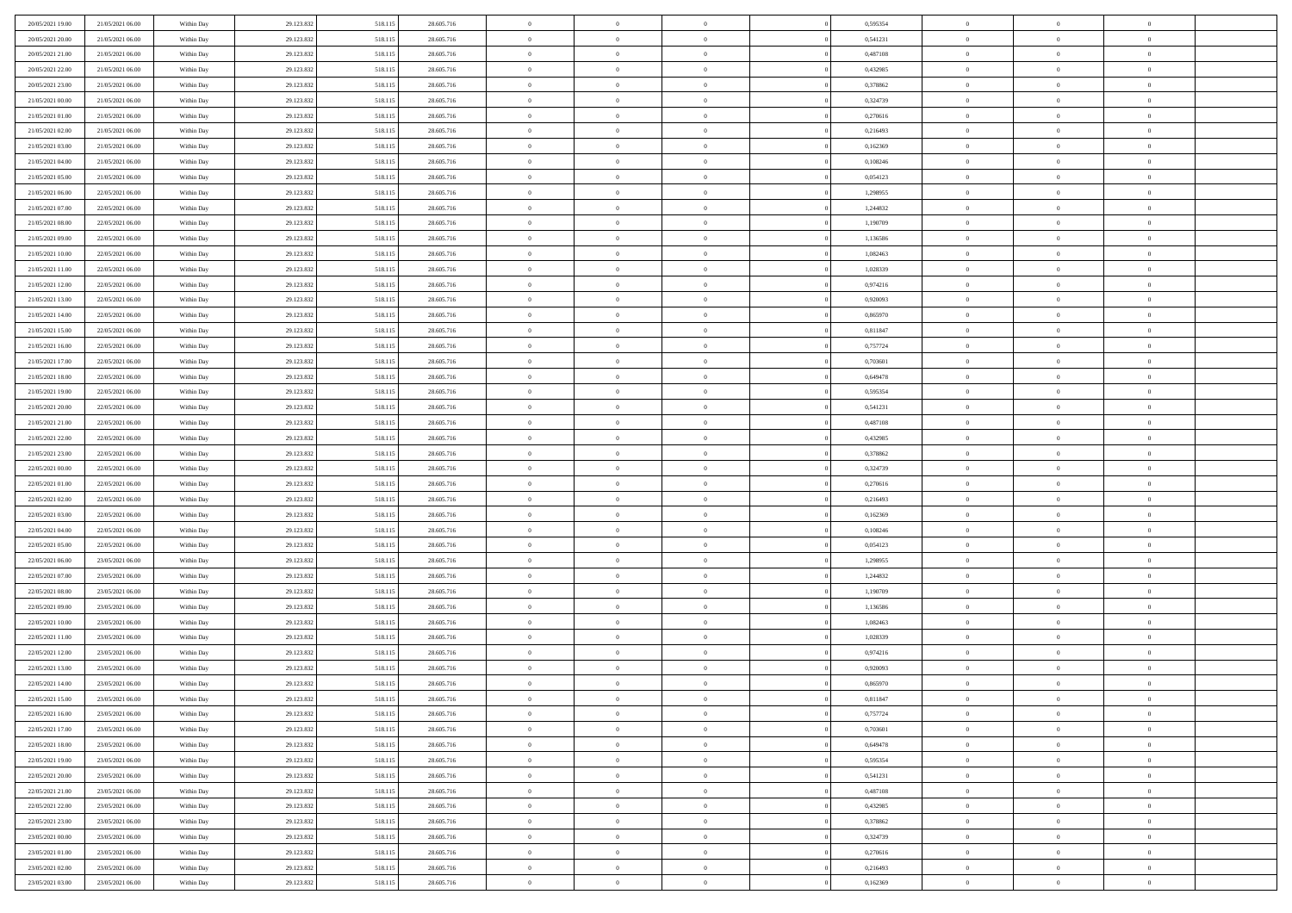| 20/05/2021 19:00 | 21/05/2021 06:00 | Within Day | 29.123.832 | 518.115 | 28.605.716 | $\,$ 0         | $\bf{0}$       | $\theta$       |          | 0,595354 | $\bf{0}$       | $\overline{0}$ | $\,0\,$        |  |
|------------------|------------------|------------|------------|---------|------------|----------------|----------------|----------------|----------|----------|----------------|----------------|----------------|--|
| 20/05/2021 20:00 | 21/05/2021 06:00 | Within Day | 29.123.832 | 518.115 | 28.605.716 | $\overline{0}$ | $\overline{0}$ | $\overline{0}$ |          | 0,541231 | $\theta$       | $\overline{0}$ | $\theta$       |  |
| 20/05/2021 21:00 | 21/05/2021 06:00 | Within Dav | 29.123.832 | 518.115 | 28.605.716 | $\mathbf{0}$   | $\overline{0}$ | $\overline{0}$ |          | 0,487108 | $\mathbf{0}$   | $\overline{0}$ | $\overline{0}$ |  |
| 20/05/2021 22:00 | 21/05/2021 06:00 | Within Day | 29.123.832 | 518.115 | 28.605.716 | $\bf{0}$       | $\overline{0}$ | $\overline{0}$ |          | 0,432985 | $\bf{0}$       | $\overline{0}$ | $\bf{0}$       |  |
| 20/05/2021 23:00 | 21/05/2021 06:00 | Within Day | 29.123.832 | 518.115 | 28.605.716 | $\bf{0}$       | $\bf{0}$       | $\overline{0}$ |          | 0,378862 | $\bf{0}$       | $\bf{0}$       | $\,0\,$        |  |
| 21/05/2021 00:00 | 21/05/2021 06:00 | Within Dav | 29.123.832 | 518.115 | 28.605.716 | $\overline{0}$ | $\overline{0}$ | $\overline{0}$ |          | 0,324739 | $\mathbf{0}$   | $\overline{0}$ | $\overline{0}$ |  |
| 21/05/2021 01:00 | 21/05/2021 06:00 | Within Day | 29.123.832 | 518.115 | 28.605.716 | $\bf{0}$       | $\bf{0}$       | $\overline{0}$ |          | 0,270616 | $\bf{0}$       | $\overline{0}$ | $\,0\,$        |  |
| 21/05/2021 02:00 | 21/05/2021 06:00 | Within Day | 29.123.832 | 518.115 | 28.605.716 | $\overline{0}$ | $\overline{0}$ | $\overline{0}$ |          | 0,216493 | $\,$ 0 $\,$    | $\overline{0}$ | $\theta$       |  |
| 21/05/2021 03:00 | 21/05/2021 06:00 | Within Dav | 29.123.832 | 518.115 | 28.605.716 | $\mathbf{0}$   | $\overline{0}$ | $\overline{0}$ |          | 0,162369 | $\mathbf{0}$   | $\overline{0}$ | $\overline{0}$ |  |
| 21/05/2021 04:00 | 21/05/2021 06:00 | Within Day | 29.123.832 | 518.115 | 28.605.716 | $\bf{0}$       | $\bf{0}$       | $\overline{0}$ |          | 0,108246 | $\bf{0}$       | $\overline{0}$ | $\,0\,$        |  |
| 21/05/2021 05:00 | 21/05/2021 06:00 | Within Day | 29.123.832 | 518.115 | 28.605.716 | $\bf{0}$       | $\overline{0}$ | $\overline{0}$ |          | 0,054123 | $\bf{0}$       | $\overline{0}$ | $\theta$       |  |
| 21/05/2021 06:00 | 22/05/2021 06:00 | Within Dav | 29.123.832 | 518.115 | 28.605.716 | $\mathbf{0}$   | $\overline{0}$ | $\overline{0}$ |          | 1,298955 | $\mathbf{0}$   | $\overline{0}$ | $\overline{0}$ |  |
| 21/05/2021 07:00 | 22/05/2021 06:00 | Within Day | 29.123.832 | 518.115 | 28.605.716 | $\bf{0}$       | $\overline{0}$ | $\bf{0}$       |          | 1,244832 | $\bf{0}$       | $\overline{0}$ | $\bf{0}$       |  |
| 21/05/2021 08:00 | 22/05/2021 06:00 | Within Day | 29.123.832 | 518.115 | 28.605.716 | $\bf{0}$       | $\bf{0}$       | $\overline{0}$ |          | 1,190709 | $\bf{0}$       | $\overline{0}$ | $\,0\,$        |  |
| 21/05/2021 09:00 | 22/05/2021 06:00 | Within Dav | 29.123.832 | 518.115 | 28.605.716 | $\overline{0}$ | $\overline{0}$ | $\overline{0}$ |          | 1,136586 | $\mathbf{0}$   | $\overline{0}$ | $\overline{0}$ |  |
| 21/05/2021 10:00 | 22/05/2021 06:00 | Within Day | 29.123.832 | 518.115 | 28.605.716 | $\bf{0}$       | $\bf{0}$       | $\overline{0}$ |          | 1,082463 | $\bf{0}$       | $\overline{0}$ | $\bf{0}$       |  |
| 21/05/2021 11:00 | 22/05/2021 06:00 | Within Day | 29.123.832 | 518.115 | 28.605.716 | $\bf{0}$       | $\overline{0}$ | $\overline{0}$ |          | 1,028339 | $\bf{0}$       | $\overline{0}$ | $\theta$       |  |
| 21/05/2021 12:00 | 22/05/2021 06:00 | Within Day | 29.123.832 | 518.115 | 28.605.716 | $\mathbf{0}$   | $\overline{0}$ | $\overline{0}$ |          | 0,974216 | $\mathbf{0}$   | $\overline{0}$ | $\overline{0}$ |  |
| 21/05/2021 13:00 | 22/05/2021 06:00 | Within Day | 29.123.832 | 518.115 | 28.605.716 | $\bf{0}$       | $\overline{0}$ | $\overline{0}$ |          | 0,920093 | $\bf{0}$       | $\overline{0}$ | $\,0\,$        |  |
| 21/05/2021 14:00 | 22/05/2021 06:00 | Within Day | 29.123.832 | 518.115 | 28.605.716 | $\bf{0}$       | $\overline{0}$ | $\overline{0}$ |          | 0,865970 | $\bf{0}$       | $\overline{0}$ | $\overline{0}$ |  |
| 21/05/2021 15:00 | 22/05/2021 06:00 | Within Dav | 29.123.832 | 518.115 | 28.605.716 | $\mathbf{0}$   | $\overline{0}$ | $\overline{0}$ |          | 0,811847 | $\mathbf{0}$   | $\overline{0}$ | $\overline{0}$ |  |
| 21/05/2021 16:00 | 22/05/2021 06:00 | Within Day | 29.123.832 | 518.115 | 28.605.716 | $\bf{0}$       | $\overline{0}$ | $\overline{0}$ |          | 0,757724 | $\bf{0}$       | $\overline{0}$ | $\bf{0}$       |  |
| 21/05/2021 17:00 | 22/05/2021 06:00 | Within Day | 29.123.832 | 518.115 | 28.605.716 | $\bf{0}$       | $\overline{0}$ | $\overline{0}$ |          | 0,703601 | $\bf{0}$       | $\overline{0}$ | $\,0\,$        |  |
| 21/05/2021 18:00 | 22/05/2021 06:00 | Within Dav | 29.123.832 | 518.115 | 28.605.716 | $\mathbf{0}$   | $\overline{0}$ | $\overline{0}$ |          | 0,649478 | $\mathbf{0}$   | $\overline{0}$ | $\overline{0}$ |  |
| 21/05/2021 19:00 | 22/05/2021 06:00 | Within Day | 29.123.832 | 518.115 | 28.605.716 | $\bf{0}$       | $\overline{0}$ | $\overline{0}$ |          | 0,595354 | $\bf{0}$       | $\overline{0}$ | $\bf{0}$       |  |
| 21/05/2021 20:00 | 22/05/2021 06:00 | Within Day | 29.123.832 | 518.115 | 28.605.716 | $\bf{0}$       | $\overline{0}$ | $\overline{0}$ |          | 0,541231 | $\bf{0}$       | $\mathbf{0}$   | $\overline{0}$ |  |
| 21/05/2021 21:00 | 22/05/2021 06:00 | Within Dav | 29.123.832 | 518.115 | 28.605.716 | $\mathbf{0}$   | $\overline{0}$ | $\overline{0}$ |          | 0,487108 | $\mathbf{0}$   | $\overline{0}$ | $\overline{0}$ |  |
| 21/05/2021 22:00 | 22/05/2021 06:00 | Within Day | 29.123.832 | 518.115 | 28.605.716 | $\bf{0}$       | $\overline{0}$ | $\overline{0}$ |          | 0,432985 | $\bf{0}$       | $\overline{0}$ | $\,0\,$        |  |
| 21/05/2021 23:00 | 22/05/2021 06:00 | Within Day | 29.123.832 | 518.115 | 28.605.716 | $\bf{0}$       | $\overline{0}$ | $\overline{0}$ |          | 0,378862 | $\bf{0}$       | $\overline{0}$ | $\overline{0}$ |  |
| 22/05/2021 00:00 | 22/05/2021 06:00 | Within Dav | 29.123.832 | 518.115 | 28.605.716 | $\mathbf{0}$   | $\overline{0}$ | $\overline{0}$ |          | 0,324739 | $\mathbf{0}$   | $\overline{0}$ | $\overline{0}$ |  |
| 22/05/2021 01:00 | 22/05/2021 06:00 | Within Day | 29.123.832 | 518.115 | 28.605.716 | $\bf{0}$       | $\overline{0}$ | $\theta$       |          | 0,270616 | $\,$ 0         | $\overline{0}$ | $\theta$       |  |
| 22/05/2021 02:00 | 22/05/2021 06:00 | Within Day | 29.123.832 | 518.115 | 28.605.716 | $\bf{0}$       | $\overline{0}$ | $\overline{0}$ |          | 0,216493 | $\bf{0}$       | $\overline{0}$ | $\overline{0}$ |  |
| 22/05/2021 03:00 | 22/05/2021 06:00 | Within Dav | 29.123.832 | 518.115 | 28.605.716 | $\overline{0}$ | $\overline{0}$ | $\overline{0}$ |          | 0,162369 | $\mathbf{0}$   | $\overline{0}$ | $\overline{0}$ |  |
| 22/05/2021 04:00 | 22/05/2021 06:00 | Within Day | 29.123.832 | 518.115 | 28.605.716 | $\bf{0}$       | $\overline{0}$ | $\theta$       |          | 0,108246 | $\,$ 0         | $\overline{0}$ | $\theta$       |  |
| 22/05/2021 05:00 | 22/05/2021 06:00 | Within Day | 29.123.832 | 518.115 | 28.605.716 | $\overline{0}$ | $\overline{0}$ | $\overline{0}$ |          | 0,054123 | $\bf{0}$       | $\overline{0}$ | $\overline{0}$ |  |
| 22/05/2021 06:00 | 23/05/2021 06:00 | Within Day | 29.123.832 | 518.115 | 28.605.716 | $\mathbf{0}$   | $\overline{0}$ | $\overline{0}$ |          | 1,298955 | $\mathbf{0}$   | $\overline{0}$ | $\overline{0}$ |  |
| 22/05/2021 07:00 | 23/05/2021 06:00 | Within Day | 29.123.832 | 518.115 | 28.605.716 | $\bf{0}$       | $\overline{0}$ | $\theta$       |          | 1,244832 | $\,$ 0         | $\overline{0}$ | $\theta$       |  |
| 22/05/2021 08:00 | 23/05/2021 06:00 | Within Day | 29.123.832 | 518.115 | 28.605.716 | $\bf{0}$       | $\overline{0}$ | $\overline{0}$ |          | 1,190709 | $\bf{0}$       | $\overline{0}$ | $\overline{0}$ |  |
| 22/05/2021 09:00 | 23/05/2021 06:00 | Within Dav | 29.123.832 | 518.115 | 28.605.716 | $\mathbf{0}$   | $\overline{0}$ | $\overline{0}$ |          | 1,136586 | $\mathbf{0}$   | $\overline{0}$ | $\overline{0}$ |  |
| 22/05/2021 10:00 | 23/05/2021 06:00 | Within Day | 29.123.832 | 518.115 | 28.605.716 | $\,0\,$        | $\overline{0}$ | $\theta$       |          | 1,082463 | $\,$ 0         | $\overline{0}$ | $\theta$       |  |
| 22/05/2021 11:00 | 23/05/2021 06:00 | Within Day | 29.123.832 | 518.115 | 28.605.716 | $\bf{0}$       | $\overline{0}$ | $\overline{0}$ |          | 1,028339 | $\bf{0}$       | $\overline{0}$ | $\overline{0}$ |  |
| 22/05/2021 12:00 | 23/05/2021 06:00 | Within Dav | 29.123.832 | 518.115 | 28.605.716 | $\mathbf{0}$   | $\overline{0}$ | $\overline{0}$ |          | 0,974216 | $\mathbf{0}$   | $\overline{0}$ | $\overline{0}$ |  |
| 22/05/2021 13:00 | 23/05/2021 06:00 | Within Day | 29.123.832 | 518.115 | 28.605.716 | $\bf{0}$       | $\overline{0}$ | $\overline{0}$ |          | 0,920093 | $\,$ 0         | $\overline{0}$ | $\theta$       |  |
| 22/05/2021 14:00 | 23/05/2021 06:00 | Within Day | 29.123.832 | 518.115 | 28.605.716 | $\bf{0}$       | $\overline{0}$ | $\overline{0}$ |          | 0,865970 | $\,$ 0 $\,$    | $\overline{0}$ | $\overline{0}$ |  |
| 22/05/2021 15:00 | 23/05/2021 06:00 | Within Day | 29.123.832 | 518.115 | 28.605.716 | $\bf{0}$       | $\overline{0}$ |                |          | 0,811847 | $\overline{0}$ | $\theta$       | $\theta$       |  |
| 22/05/2021 16:00 | 23/05/2021 06:00 | Within Day | 29.123.832 | 518.115 | 28.605.716 | $\,0\,$        | $\overline{0}$ | $\overline{0}$ |          | 0,757724 | $\,$ 0 $\,$    | $\bf{0}$       | $\theta$       |  |
| 22/05/2021 17:00 | 23/05/2021 06:00 | Within Day | 29.123.832 | 518.115 | 28.605.716 | $\overline{0}$ | $\overline{0}$ | $\overline{0}$ |          | 0,703601 | $\overline{0}$ | $\overline{0}$ | $\overline{0}$ |  |
| 22/05/2021 18:00 | 23/05/2021 06:00 | Within Day | 29.123.832 | 518.115 | 28.605.716 | $\bf{0}$       | $\overline{0}$ | $\overline{0}$ |          | 0,649478 | $\overline{0}$ | $\bf{0}$       | $\mathbf{0}$   |  |
| 22/05/2021 19:00 | 23/05/2021 06:00 | Within Day | 29.123.832 | 518.115 | 28.605.716 | $\bf{0}$       | $\overline{0}$ | $\overline{0}$ | $\theta$ | 0,595354 | $\,$ 0 $\,$    | $\bf{0}$       | $\,$ 0 $\,$    |  |
| 22/05/2021 20:00 | 23/05/2021 06:00 | Within Day | 29.123.832 | 518.115 | 28.605.716 | $\bf{0}$       | $\overline{0}$ | $\overline{0}$ |          | 0,541231 | $\,$ 0 $\,$    | $\overline{0}$ | $\overline{0}$ |  |
| 22/05/2021 21:00 | 23/05/2021 06:00 | Within Day | 29.123.832 | 518.115 | 28.605.716 | $\bf{0}$       | $\overline{0}$ | $\overline{0}$ |          | 0,487108 | $\mathbf{0}$   | $\overline{0}$ | $\overline{0}$ |  |
| 22/05/2021 22:00 | 23/05/2021 06:00 | Within Day | 29.123.832 | 518.115 | 28.605.716 | $\,0\,$        | $\overline{0}$ | $\overline{0}$ | $\theta$ | 0,432985 | $\,$ 0 $\,$    | $\overline{0}$ | $\,$ 0 $\,$    |  |
| 22/05/2021 23:00 | 23/05/2021 06:00 | Within Day | 29.123.832 | 518.115 | 28.605.716 | $\bf{0}$       | $\overline{0}$ | $\overline{0}$ |          | 0,378862 | $\overline{0}$ | $\overline{0}$ | $\overline{0}$ |  |
| 23/05/2021 00:00 | 23/05/2021 06:00 | Within Day | 29.123.832 | 518.115 | 28.605.716 | $\bf{0}$       | $\overline{0}$ | $\overline{0}$ |          | 0,324739 | $\mathbf{0}$   | $\overline{0}$ | $\overline{0}$ |  |
| 23/05/2021 01:00 | 23/05/2021 06:00 | Within Day | 29.123.832 | 518.115 | 28.605.716 | $\,0\,$        | $\overline{0}$ | $\overline{0}$ |          | 0,270616 | $\,$ 0 $\,$    | $\mathbf{0}$   | $\,$ 0 $\,$    |  |
| 23/05/2021 02:00 | 23/05/2021 06:00 | Within Day | 29.123.832 | 518.115 | 28.605.716 | $\bf{0}$       | $\bf{0}$       | $\overline{0}$ |          | 0,216493 | $\bf{0}$       | $\mathbf{0}$   | $\overline{0}$ |  |
| 23/05/2021 03:00 | 23/05/2021 06:00 | Within Day | 29.123.832 | 518.115 | 28.605.716 | $\bf{0}$       | $\overline{0}$ | $\overline{0}$ |          | 0,162369 | $\mathbf{0}$   | $\overline{0}$ | $\overline{0}$ |  |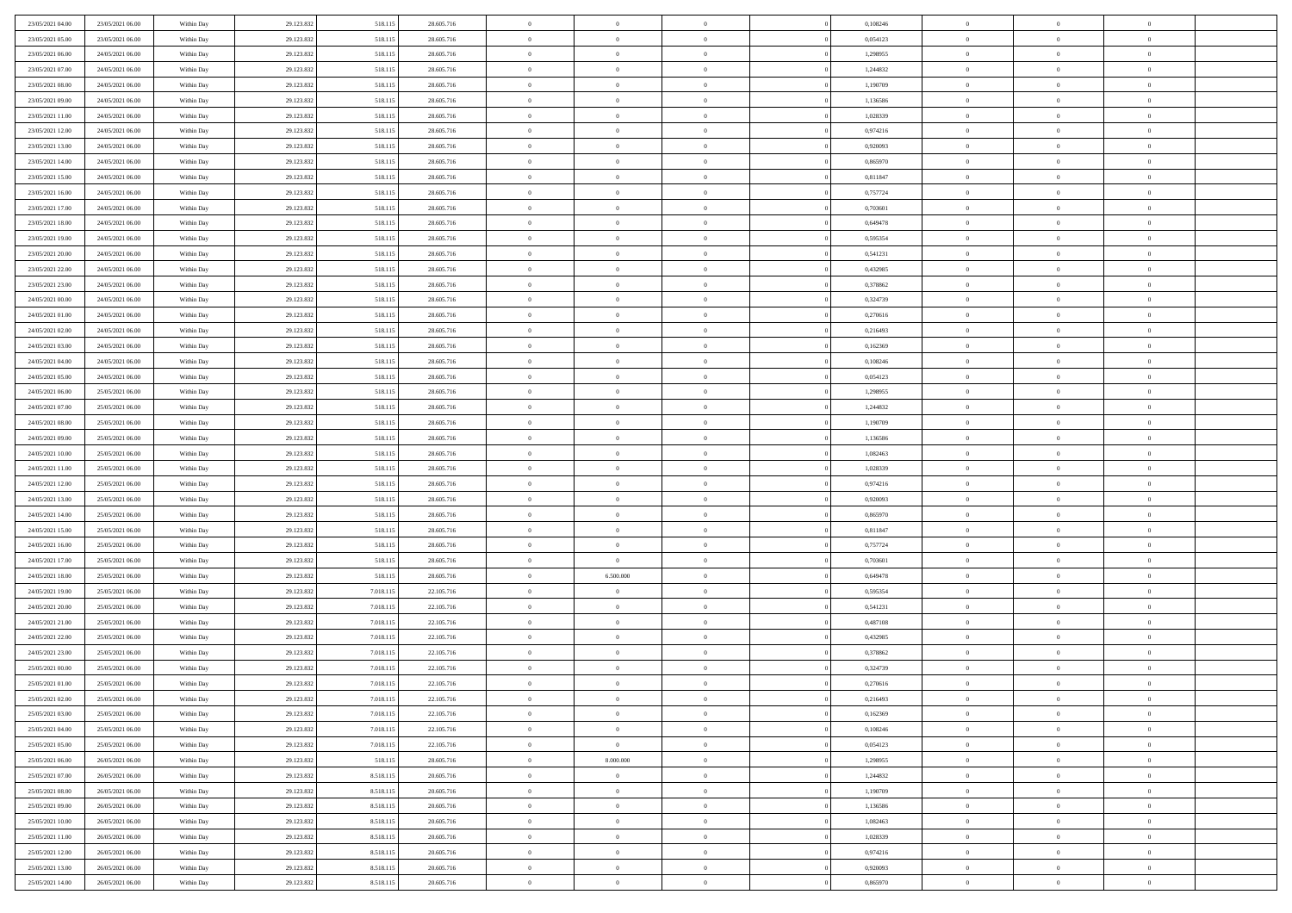| 23/05/2021 04:00 | 23/05/2021 06:00 | Within Day | 29.123.832 | 518.115   | 28.605.716 | $\,$ 0         | $\bf{0}$       | $\overline{0}$                   |          | 0,108246 | $\bf{0}$       | $\overline{0}$                   | $\,0\,$        |  |
|------------------|------------------|------------|------------|-----------|------------|----------------|----------------|----------------------------------|----------|----------|----------------|----------------------------------|----------------|--|
| 23/05/2021 05:00 | 23/05/2021 06:00 | Within Day | 29.123.832 | 518.115   | 28.605.716 | $\overline{0}$ | $\overline{0}$ | $\overline{0}$                   |          | 0.054123 | $\overline{0}$ | $\overline{0}$                   | $\theta$       |  |
| 23/05/2021 06:00 | 24/05/2021 06:00 | Within Dav | 29.123.832 | 518.115   | 28.605.716 | $\mathbf{0}$   | $\overline{0}$ | $\overline{0}$                   |          | 1,298955 | $\mathbf{0}$   | $\overline{0}$                   | $\overline{0}$ |  |
| 23/05/2021 07:00 | 24/05/2021 06:00 | Within Day | 29.123.832 | 518.115   | 28.605.716 | $\bf{0}$       | $\overline{0}$ | $\bf{0}$                         |          | 1,244832 | $\bf{0}$       | $\overline{0}$                   | $\bf{0}$       |  |
| 23/05/2021 08:00 | 24/05/2021 06:00 | Within Day | 29.123.832 | 518.115   | 28.605.716 | $\bf{0}$       | $\bf{0}$       | $\overline{0}$                   |          | 1,190709 | $\bf{0}$       | $\bf{0}$                         | $\,0\,$        |  |
| 23/05/2021 09:00 | 24/05/2021 06:00 | Within Dav | 29.123.832 | 518.115   | 28.605.716 | $\overline{0}$ | $\overline{0}$ | $\overline{0}$                   |          | 1,136586 | $\mathbf{0}$   | $\overline{0}$                   | $\overline{0}$ |  |
| 23/05/2021 11:00 | 24/05/2021 06:00 | Within Day | 29.123.832 | 518.115   | 28.605.716 | $\bf{0}$       | $\bf{0}$       | $\overline{0}$                   |          | 1,028339 | $\bf{0}$       | $\overline{0}$                   | $\,0\,$        |  |
| 23/05/2021 12:00 | 24/05/2021 06:00 | Within Day | 29.123.832 | 518.115   | 28.605.716 | $\overline{0}$ | $\overline{0}$ | $\overline{0}$                   |          | 0,974216 | $\,$ 0 $\,$    | $\overline{0}$                   | $\theta$       |  |
| 23/05/2021 13:00 | 24/05/2021 06:00 | Within Dav | 29.123.832 | 518.115   | 28.605.716 | $\mathbf{0}$   | $\overline{0}$ | $\overline{0}$                   |          | 0,920093 | $\mathbf{0}$   | $\overline{0}$                   | $\overline{0}$ |  |
| 23/05/2021 14:00 | 24/05/2021 06:00 | Within Day | 29.123.832 | 518.115   | 28.605.716 | $\bf{0}$       | $\overline{0}$ | $\overline{0}$                   |          | 0,865970 | $\bf{0}$       | $\overline{0}$                   | $\,0\,$        |  |
| 23/05/2021 15:00 | 24/05/2021 06:00 | Within Day | 29.123.832 | 518.115   | 28.605.716 | $\bf{0}$       | $\overline{0}$ | $\overline{0}$                   |          | 0,811847 | $\bf{0}$       | $\overline{0}$                   | $\theta$       |  |
| 23/05/2021 16:00 | 24/05/2021 06:00 | Within Dav | 29.123.832 | 518.115   | 28.605.716 | $\mathbf{0}$   | $\overline{0}$ | $\overline{0}$                   |          | 0,757724 | $\mathbf{0}$   | $\overline{0}$                   | $\overline{0}$ |  |
| 23/05/2021 17:00 | 24/05/2021 06:00 | Within Day | 29.123.832 | 518.115   | 28.605.716 | $\bf{0}$       | $\overline{0}$ | $\bf{0}$                         |          | 0,703601 | $\bf{0}$       | $\overline{0}$                   | $\overline{0}$ |  |
| 23/05/2021 18:00 | 24/05/2021 06:00 | Within Day | 29.123.832 | 518.115   | 28.605.716 | $\bf{0}$       | $\overline{0}$ | $\overline{0}$                   |          | 0,649478 | $\bf{0}$       | $\overline{0}$                   | $\,0\,$        |  |
| 23/05/2021 19:00 | 24/05/2021 06:00 | Within Dav | 29.123.832 | 518.115   | 28.605.716 | $\overline{0}$ | $\overline{0}$ | $\overline{0}$                   |          | 0,595354 | $\mathbf{0}$   | $\overline{0}$                   | $\overline{0}$ |  |
| 23/05/2021 20:00 | 24/05/2021 06:00 | Within Day | 29.123.832 | 518.115   | 28.605.716 | $\bf{0}$       | $\overline{0}$ | $\overline{0}$                   |          | 0,541231 | $\bf{0}$       | $\overline{0}$                   | $\bf{0}$       |  |
|                  |                  |            |            |           |            | $\bf{0}$       | $\overline{0}$ | $\overline{0}$                   |          |          | $\bf{0}$       | $\overline{0}$                   | $\theta$       |  |
| 23/05/2021 22:00 | 24/05/2021 06:00 | Within Day | 29.123.832 | 518.115   | 28.605.716 | $\mathbf{0}$   |                |                                  |          | 0,432985 | $\mathbf{0}$   |                                  | $\overline{0}$ |  |
| 23/05/2021 23:00 | 24/05/2021 06:00 | Within Day | 29.123.832 | 518.115   | 28.605.716 |                | $\overline{0}$ | $\overline{0}$<br>$\overline{0}$ |          | 0,378862 |                | $\overline{0}$<br>$\overline{0}$ |                |  |
| 24/05/2021 00:00 | 24/05/2021 06:00 | Within Day | 29.123.832 | 518.115   | 28.605.716 | $\bf{0}$       | $\overline{0}$ |                                  |          | 0,324739 | $\bf{0}$       |                                  | $\,0\,$        |  |
| 24/05/2021 01:00 | 24/05/2021 06:00 | Within Day | 29.123.832 | 518.115   | 28.605.716 | $\bf{0}$       | $\overline{0}$ | $\overline{0}$                   |          | 0,270616 | $\bf{0}$       | $\overline{0}$                   | $\overline{0}$ |  |
| 24/05/2021 02:00 | 24/05/2021 06:00 | Within Dav | 29.123.832 | 518.115   | 28.605.716 | $\mathbf{0}$   | $\overline{0}$ | $\overline{0}$                   |          | 0,216493 | $\mathbf{0}$   | $\overline{0}$                   | $\overline{0}$ |  |
| 24/05/2021 03:00 | 24/05/2021 06:00 | Within Day | 29.123.832 | 518.115   | 28.605.716 | $\bf{0}$       | $\overline{0}$ | $\overline{0}$                   |          | 0,162369 | $\bf{0}$       | $\overline{0}$                   | $\bf{0}$       |  |
| 24/05/2021 04:00 | 24/05/2021 06:00 | Within Day | 29.123.832 | 518.115   | 28.605.716 | $\bf{0}$       | $\overline{0}$ | $\overline{0}$                   |          | 0,108246 | $\bf{0}$       | $\overline{0}$                   | $\,0\,$        |  |
| 24/05/2021 05:00 | 24/05/2021 06:00 | Within Dav | 29.123.832 | 518.115   | 28.605.716 | $\mathbf{0}$   | $\overline{0}$ | $\overline{0}$                   |          | 0,054123 | $\mathbf{0}$   | $\overline{0}$                   | $\overline{0}$ |  |
| 24/05/2021 06:00 | 25/05/2021 06:00 | Within Day | 29.123.832 | 518.115   | 28.605.716 | $\bf{0}$       | $\overline{0}$ | $\overline{0}$                   |          | 1,298955 | $\bf{0}$       | $\overline{0}$                   | $\bf{0}$       |  |
| 24/05/2021 07:00 | 25/05/2021 06:00 | Within Day | 29.123.832 | 518.115   | 28.605.716 | $\bf{0}$       | $\overline{0}$ | $\overline{0}$                   |          | 1,244832 | $\bf{0}$       | $\mathbf{0}$                     | $\overline{0}$ |  |
| 24/05/2021 08:00 | 25/05/2021 06:00 | Within Dav | 29.123.832 | 518.115   | 28.605.716 | $\mathbf{0}$   | $\overline{0}$ | $\overline{0}$                   |          | 1,190709 | $\mathbf{0}$   | $\overline{0}$                   | $\overline{0}$ |  |
| 24/05/2021 09:00 | 25/05/2021 06:00 | Within Day | 29.123.832 | 518.115   | 28.605.716 | $\bf{0}$       | $\bf{0}$       | $\overline{0}$                   |          | 1,136586 | $\bf{0}$       | $\overline{0}$                   | $\,0\,$        |  |
| 24/05/2021 10:00 | 25/05/2021 06:00 | Within Day | 29.123.832 | 518.115   | 28.605.716 | $\bf{0}$       | $\overline{0}$ | $\overline{0}$                   |          | 1,082463 | $\bf{0}$       | $\overline{0}$                   | $\overline{0}$ |  |
| 24/05/2021 11:00 | 25/05/2021 06:00 | Within Dav | 29.123.832 | 518.115   | 28.605.716 | $\mathbf{0}$   | $\overline{0}$ | $\overline{0}$                   |          | 1,028339 | $\mathbf{0}$   | $\overline{0}$                   | $\overline{0}$ |  |
| 24/05/2021 12:00 | 25/05/2021 06:00 | Within Day | 29.123.832 | 518.115   | 28.605.716 | $\bf{0}$       | $\overline{0}$ | $\overline{0}$                   |          | 0,974216 | $\,$ 0         | $\overline{0}$                   | $\theta$       |  |
| 24/05/2021 13:00 | 25/05/2021 06:00 | Within Day | 29.123.832 | 518.115   | 28.605.716 | $\bf{0}$       | $\bf{0}$       | $\overline{0}$                   |          | 0,920093 | $\bf{0}$       | $\overline{0}$                   | $\overline{0}$ |  |
| 24/05/2021 14:00 | 25/05/2021 06:00 | Within Dav | 29.123.832 | 518.115   | 28.605.716 | $\mathbf{0}$   | $\overline{0}$ | $\overline{0}$                   |          | 0,865970 | $\mathbf{0}$   | $\overline{0}$                   | $\overline{0}$ |  |
| 24/05/2021 15:00 | 25/05/2021 06:00 | Within Day | 29.123.832 | 518.115   | 28.605.716 | $\bf{0}$       | $\overline{0}$ | $\theta$                         |          | 0,811847 | $\,$ 0         | $\overline{0}$                   | $\theta$       |  |
| 24/05/2021 16:00 | 25/05/2021 06:00 | Within Day | 29.123.832 | 518.115   | 28.605.716 | $\overline{0}$ | $\overline{0}$ | $\overline{0}$                   |          | 0,757724 | $\bf{0}$       | $\overline{0}$                   | $\overline{0}$ |  |
| 24/05/2021 17:00 | 25/05/2021 06:00 | Within Day | 29.123.832 | 518.115   | 28.605.716 | $\mathbf{0}$   | $\overline{0}$ | $\overline{0}$                   |          | 0,703601 | $\mathbf{0}$   | $\overline{0}$                   | $\overline{0}$ |  |
| 24/05/2021 18:00 | 25/05/2021 06:00 | Within Day | 29.123.832 | 518.115   | 28.605.716 | $\bf{0}$       | 6.500.000      | $\theta$                         |          | 0,649478 | $\,$ 0         | $\overline{0}$                   | $\theta$       |  |
| 24/05/2021 19:00 | 25/05/2021 06:00 | Within Day | 29.123.832 | 7.018.115 | 22.105.716 | $\bf{0}$       | $\bf{0}$       | $\overline{0}$                   |          | 0,595354 | $\bf{0}$       | $\overline{0}$                   | $\bf{0}$       |  |
| 24/05/2021 20:00 | 25/05/2021 06:00 | Within Dav | 29.123.832 | 7.018.115 | 22.105.716 | $\mathbf{0}$   | $\overline{0}$ | $\overline{0}$                   |          | 0,541231 | $\mathbf{0}$   | $\overline{0}$                   | $\overline{0}$ |  |
| 24/05/2021 21:00 | 25/05/2021 06:00 | Within Day | 29.123.832 | 7.018.115 | 22.105.716 | $\,0\,$        | $\overline{0}$ | $\theta$                         |          | 0,487108 | $\,$ 0         | $\overline{0}$                   | $\theta$       |  |
| 24/05/2021 22:00 | 25/05/2021 06:00 | Within Day | 29.123.832 | 7.018.115 | 22.105.716 | $\bf{0}$       | $\overline{0}$ | $\overline{0}$                   |          | 0,432985 | $\bf{0}$       | $\overline{0}$                   | $\bf{0}$       |  |
| 24/05/2021 23:00 | 25/05/2021 06:00 | Within Dav | 29.123.832 | 7.018.115 | 22.105.716 | $\mathbf{0}$   | $\overline{0}$ | $\overline{0}$                   |          | 0,378862 | $\mathbf{0}$   | $\overline{0}$                   | $\overline{0}$ |  |
| 25/05/2021 00:00 | 25/05/2021 06:00 | Within Day | 29.123.832 | 7.018.115 | 22.105.716 | $\bf{0}$       | $\overline{0}$ | $\theta$                         |          | 0,324739 | $\,$ 0         | $\overline{0}$                   | $\theta$       |  |
| 25/05/2021 01:00 | 25/05/2021 06:00 | Within Day | 29.123.832 | 7.018.115 | 22.105.716 | $\bf{0}$       | $\overline{0}$ | $\overline{0}$                   |          | 0,270616 | $\,$ 0 $\,$    | $\overline{0}$                   | $\bf{0}$       |  |
| 25/05/2021 02:00 | 25/05/2021 06:00 | Within Day | 29.123.832 | 7.018.115 | 22.105.716 | $\bf{0}$       | $\overline{0}$ |                                  |          | 0,216493 | $\overline{0}$ | $\theta$                         | $\theta$       |  |
| 25/05/2021 03:00 | 25/05/2021 06:00 | Within Day | 29.123.832 | 7.018.115 | 22.105.716 | $\,0\,$        | $\overline{0}$ | $\theta$                         |          | 0,162369 | $\,$ 0 $\,$    | $\bf{0}$                         | $\theta$       |  |
| 25/05/2021 04:00 | 25/05/2021 06:00 | Within Day | 29.123.832 | 7.018.115 | 22.105.716 | $\overline{0}$ | $\overline{0}$ | $\overline{0}$                   |          | 0,108246 | $\overline{0}$ | $\overline{0}$                   | $\overline{0}$ |  |
| 25/05/2021 05:00 | 25/05/2021 06:00 | Within Day | 29.123.832 | 7.018.115 | 22.105.716 | $\bf{0}$       | $\overline{0}$ | $\overline{0}$                   |          | 0,054123 | $\overline{0}$ | $\bf{0}$                         | $\mathbf{0}$   |  |
| 25/05/2021 06:00 | 26/05/2021 06:00 | Within Day | 29.123.832 | 518.115   | 28.605.716 | $\bf{0}$       | 8.000.000      | $\overline{0}$                   | $\theta$ | 1,298955 | $\,$ 0 $\,$    | $\bf{0}$                         | $\,$ 0 $\,$    |  |
| 25/05/2021 07:00 | 26/05/2021 06:00 | Within Day | 29.123.832 | 8.518.115 | 20.605.716 | $\bf{0}$       | $\bf{0}$       | $\overline{0}$                   |          | 1,244832 | $\,$ 0 $\,$    | $\overline{0}$                   | $\overline{0}$ |  |
| 25/05/2021 08:00 | 26/05/2021 06:00 | Within Day | 29.123.832 | 8.518.115 | 20.605.716 | $\bf{0}$       | $\overline{0}$ | $\overline{0}$                   |          | 1,190709 | $\mathbf{0}$   | $\overline{0}$                   | $\overline{0}$ |  |
| 25/05/2021 09:00 | 26/05/2021 06:00 | Within Day | 29.123.832 | 8.518.115 | 20.605.716 | $\,0\,$        | $\overline{0}$ | $\mathbf{0}$                     | $\theta$ | 1,136586 | $\,$ 0 $\,$    | $\overline{0}$                   | $\overline{0}$ |  |
| 25/05/2021 10:00 | 26/05/2021 06:00 | Within Day | 29.123.832 | 8.518.115 | 20.605.716 | $\bf{0}$       | $\overline{0}$ | $\overline{0}$                   |          | 1,082463 | $\overline{0}$ | $\overline{0}$                   | $\overline{0}$ |  |
| 25/05/2021 11:00 | 26/05/2021 06:00 | Within Day | 29.123.832 | 8.518.115 | 20.605.716 | $\bf{0}$       | $\overline{0}$ | $\overline{0}$                   |          | 1,028339 | $\mathbf{0}$   | $\overline{0}$                   | $\mathbf{0}$   |  |
| 25/05/2021 12:00 | 26/05/2021 06:00 | Within Day | 29.123.832 | 8.518.115 | 20.605.716 | $\,0\,$        | $\overline{0}$ | $\overline{0}$                   |          | 0,974216 | $\,$ 0 $\,$    | $\overline{0}$                   | $\overline{0}$ |  |
| 25/05/2021 13:00 | 26/05/2021 06:00 | Within Day | 29.123.832 | 8.518.115 | 20.605.716 | $\bf{0}$       | $\overline{0}$ | $\overline{0}$                   |          | 0,920093 | $\bf{0}$       | $\mathbf{0}$                     | $\overline{0}$ |  |
| 25/05/2021 14:00 | 26/05/2021 06:00 | Within Day | 29.123.832 | 8.518.115 | 20.605.716 | $\bf{0}$       | $\overline{0}$ | $\overline{0}$                   |          | 0,865970 | $\mathbf{0}$   | $\overline{0}$                   | $\overline{0}$ |  |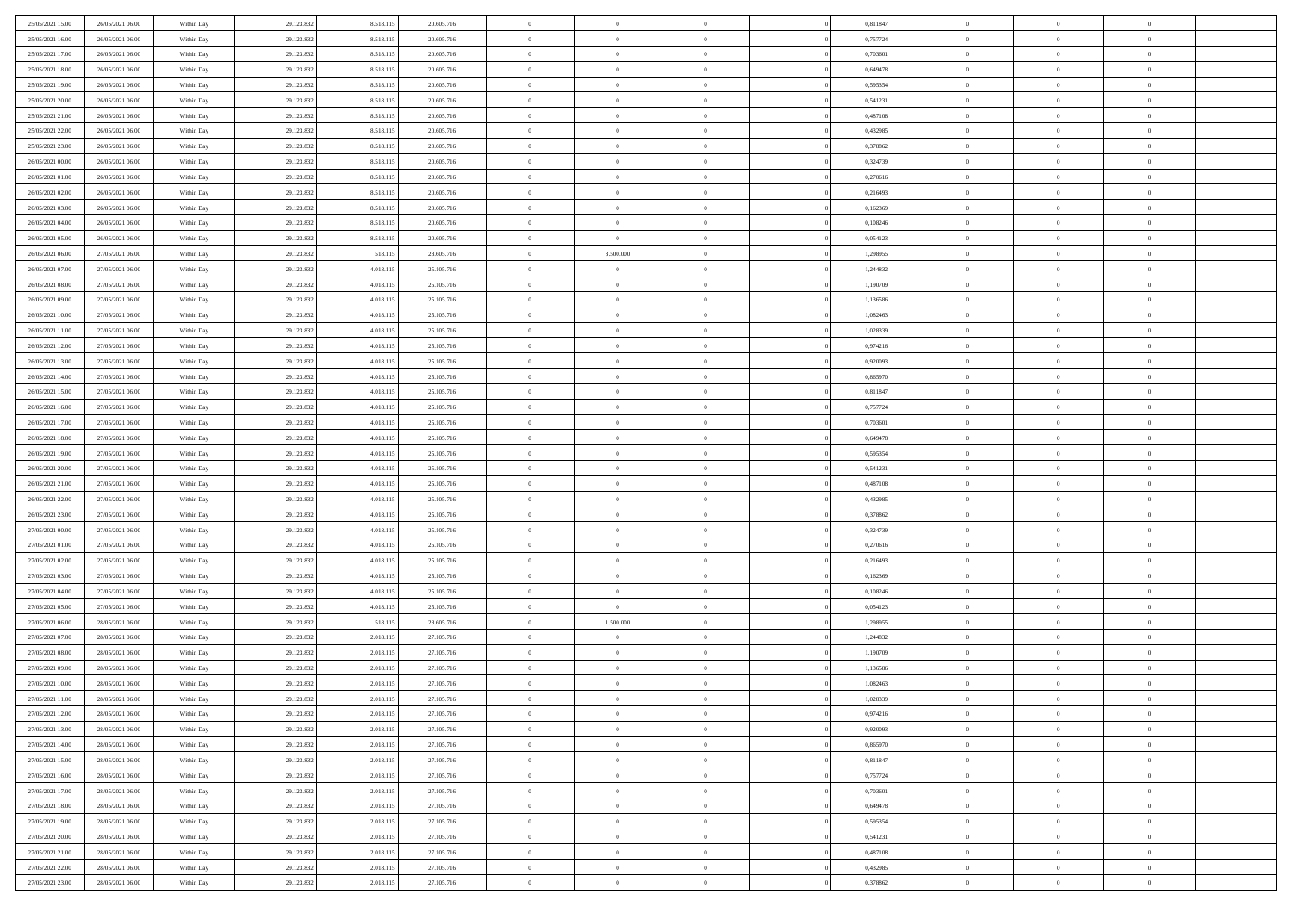| 25/05/2021 16:00<br>26/05/2021 06:00<br>29.123.832<br>8.518.115<br>20.605.716<br>$\overline{0}$<br>$\overline{0}$<br>0,757724<br>$\overline{0}$<br>$\overline{0}$<br>$\theta$<br>Within Day<br>$\overline{0}$<br>25/05/2021 17:00<br>29.123.832<br>8.518.115<br>20.605.716<br>$\mathbf{0}$<br>$\overline{0}$<br>0,703601<br>$\mathbf{0}$<br>$\overline{0}$<br>26/05/2021 06:00<br>Within Dav<br>$\overline{0}$<br>$\overline{0}$<br>25/05/2021 18:00<br>26/05/2021 06:00<br>Within Day<br>29.123.832<br>8.518.115<br>20.605.716<br>$\bf{0}$<br>$\overline{0}$<br>$\bf{0}$<br>0,649478<br>$\bf{0}$<br>$\overline{0}$<br>$\bf{0}$<br>25/05/2021 19:00<br>26/05/2021 06:00<br>29.123.832<br>8.518.115<br>20.605.716<br>$\bf{0}$<br>$\overline{0}$<br>0,595354<br>$\bf{0}$<br>$\,0\,$<br>Within Day<br>$\overline{0}$<br>$\bf{0}$<br>25/05/2021 20:00<br>29.123.832<br>8.518.115<br>20.605.716<br>$\overline{0}$<br>$\overline{0}$<br>0,541231<br>$\mathbf{0}$<br>$\overline{0}$<br>26/05/2021 06:00<br>Within Dav<br>$\overline{0}$<br>$\overline{0}$<br>25/05/2021 21:00<br>26/05/2021 06:00<br>Within Day<br>29.123.832<br>8.518.115<br>20.605.716<br>$\bf{0}$<br>$\overline{0}$<br>$\overline{0}$<br>0,487108<br>$\bf{0}$<br>$\overline{0}$<br>$\,0\,$<br>$\overline{0}$<br>$\,$ 0 $\,$<br>25/05/2021 22.00<br>26/05/2021 06:00<br>29.123.832<br>8.518.115<br>20.605.716<br>$\overline{0}$<br>0,432985<br>$\overline{0}$<br>$\theta$<br>Within Day<br>$\overline{0}$<br>25/05/2021 23:00<br>26/05/2021 06:00<br>29.123.832<br>8.518.115<br>20.605.716<br>$\mathbf{0}$<br>$\overline{0}$<br>0,378862<br>$\mathbf{0}$<br>$\overline{0}$<br>Within Dav<br>$\overline{0}$<br>$\overline{0}$<br>26/05/2021 00:00<br>26/05/2021 06:00<br>Within Day<br>29.123.832<br>8.518.115<br>20.605.716<br>$\bf{0}$<br>$\overline{0}$<br>$\overline{0}$<br>0,324739<br>$\bf{0}$<br>$\overline{0}$<br>$\,0\,$<br>26/05/2021 01:00<br>26/05/2021 06:00<br>29.123.832<br>8.518.115<br>20.605.716<br>$\bf{0}$<br>$\overline{0}$<br>0,270616<br>$\bf{0}$<br>$\overline{0}$<br>$\theta$<br>Within Day<br>$\overline{0}$<br>26/05/2021 02:00<br>29.123.832<br>8.518.115<br>20.605.716<br>$\mathbf{0}$<br>$\overline{0}$<br>0,216493<br>$\mathbf{0}$<br>$\overline{0}$<br>26/05/2021 06:00<br>Within Dav<br>$\overline{0}$<br>$\overline{0}$<br>26/05/2021 03:00<br>26/05/2021 06:00<br>Within Day<br>29.123.832<br>8.518.115<br>20.605.716<br>$\bf{0}$<br>$\overline{0}$<br>$\bf{0}$<br>0,162369<br>$\bf{0}$<br>$\overline{0}$<br>$\bf{0}$<br>29.123.832<br>26/05/2021 04:00<br>26/05/2021 06:00<br>8.518.115<br>20.605.716<br>$\bf{0}$<br>$\overline{0}$<br>0,108246<br>$\bf{0}$<br>$\,0\,$<br>Within Day<br>$\overline{0}$<br>$\theta$<br>26/05/2021 05:00<br>29.123.832<br>8.518.115<br>20.605.716<br>$\overline{0}$<br>$\overline{0}$<br>0,054123<br>$\mathbf{0}$<br>$\overline{0}$<br>26/05/2021 06:00<br>Within Dav<br>$\overline{0}$<br>$\overline{0}$<br>26/05/2021 06:00<br>27/05/2021 06:00<br>Within Day<br>29.123.832<br>518.115<br>28.605.716<br>$\bf{0}$<br>3.500.000<br>$\overline{0}$<br>1,298955<br>$\bf{0}$<br>$\overline{0}$<br>$\bf{0}$<br>26/05/2021 07:00<br>27/05/2021 06:00<br>29.123.832<br>4.018.115<br>25.105.716<br>$\bf{0}$<br>$\overline{0}$<br>$\overline{0}$<br>1,244832<br>$\bf{0}$<br>$\overline{0}$<br>$\theta$<br>Within Day<br>26/05/2021 08:00<br>27/05/2021 06:00<br>Within Day<br>29.123.832<br>4.018.115<br>25.105.716<br>$\mathbf{0}$<br>$\overline{0}$<br>1,190709<br>$\mathbf{0}$<br>$\overline{0}$<br>$\overline{0}$<br>$\overline{0}$<br>26/05/2021 09:00<br>27/05/2021 06:00<br>Within Day<br>29.123.832<br>4.018.115<br>25.105.716<br>$\bf{0}$<br>$\bf{0}$<br>$\overline{0}$<br>1,136586<br>$\bf{0}$<br>$\overline{0}$<br>$\,0\,$<br>26/05/2021 10:00<br>27/05/2021 06:00<br>29.123.832<br>4.018.115<br>25.105.716<br>$\bf{0}$<br>$\overline{0}$<br>1,082463<br>$\bf{0}$<br>$\overline{0}$<br>$\overline{0}$<br>Within Day<br>$\overline{0}$<br>26/05/2021 11:00<br>29.123.832<br>4.018.115<br>25.105.716<br>$\mathbf{0}$<br>$\overline{0}$<br>1,028339<br>$\mathbf{0}$<br>$\overline{0}$<br>27/05/2021 06:00<br>Within Dav<br>$\overline{0}$<br>$\overline{0}$<br>26/05/2021 12:00<br>27/05/2021 06:00<br>Within Day<br>29.123.832<br>4.018.115<br>25.105.716<br>$\bf{0}$<br>$\overline{0}$<br>$\overline{0}$<br>0,974216<br>$\bf{0}$<br>$\overline{0}$<br>$\bf{0}$<br>26/05/2021 13:00<br>27/05/2021 06:00<br>29.123.832<br>4.018.115<br>25.105.716<br>$\bf{0}$<br>$\bf{0}$<br>0,920093<br>$\bf{0}$<br>$\,0\,$<br>Within Day<br>$\overline{0}$<br>$\overline{0}$<br>26/05/2021 14:00<br>29.123.832<br>4.018.115<br>25.105.716<br>$\mathbf{0}$<br>$\overline{0}$<br>0,865970<br>$\mathbf{0}$<br>27/05/2021 06:00<br>Within Dav<br>$\overline{0}$<br>$\theta$<br>$\overline{0}$<br>26/05/2021 15:00<br>27/05/2021 06:00<br>Within Day<br>29.123.832<br>4.018.115<br>25.105.716<br>$\bf{0}$<br>$\bf{0}$<br>$\overline{0}$<br>0,811847<br>$\bf{0}$<br>$\overline{0}$<br>$\,0\,$<br>$\overline{0}$<br>26/05/2021 16:00<br>27/05/2021 06:00<br>29.123.832<br>4.018.115<br>25.105.716<br>$\bf{0}$<br>0,757724<br>$\bf{0}$<br>$\mathbf{0}$<br>$\overline{0}$<br>Within Day<br>$\overline{0}$<br>26/05/2021 17:00<br>27/05/2021 06:00<br>29.123.832<br>4.018.115<br>25.105.716<br>$\mathbf{0}$<br>$\overline{0}$<br>0,703601<br>$\mathbf{0}$<br>$\overline{0}$<br>Within Dav<br>$\overline{0}$<br>$\overline{0}$<br>26/05/2021 18:00<br>27/05/2021 06:00<br>Within Day<br>29.123.832<br>4.018.115<br>25.105.716<br>$\bf{0}$<br>$\bf{0}$<br>$\overline{0}$<br>0,649478<br>$\bf{0}$<br>$\overline{0}$<br>$\,0\,$<br>26/05/2021 19:00<br>27/05/2021 06:00<br>29.123.832<br>4.018.115<br>25.105.716<br>$\bf{0}$<br>$\bf{0}$<br>0.595354<br>$\bf{0}$<br>$\bf{0}$<br>Within Day<br>$\overline{0}$<br>$\overline{0}$<br>26/05/2021 20:00<br>29.123.832<br>4.018.115<br>25.105.716<br>$\mathbf{0}$<br>$\overline{0}$<br>0,541231<br>$\mathbf{0}$<br>$\overline{0}$<br>27/05/2021 06:00<br>Within Dav<br>$\overline{0}$<br>$\overline{0}$<br>26/05/2021 21:00<br>29.123.832<br>4.018.115<br>$\bf{0}$<br>$\overline{0}$<br>0,487108<br>$\,$ 0<br>$\overline{0}$<br>$\theta$<br>27/05/2021 06:00<br>Within Day<br>25.105.716<br>$\theta$<br>26/05/2021 22:00<br>27/05/2021 06:00<br>29.123.832<br>4.018.115<br>25.105.716<br>$\bf{0}$<br>$\bf{0}$<br>0,432985<br>$\bf{0}$<br>$\bf{0}$<br>Within Day<br>$\overline{0}$<br>$\overline{0}$<br>26/05/2021 23:00<br>29.123.832<br>4.018.115<br>25.105.716<br>$\overline{0}$<br>$\overline{0}$<br>0,378862<br>$\mathbf{0}$<br>$\overline{0}$<br>27/05/2021 06:00<br>Within Dav<br>$\overline{0}$<br>$\overline{0}$ |             |
|--------------------------------------------------------------------------------------------------------------------------------------------------------------------------------------------------------------------------------------------------------------------------------------------------------------------------------------------------------------------------------------------------------------------------------------------------------------------------------------------------------------------------------------------------------------------------------------------------------------------------------------------------------------------------------------------------------------------------------------------------------------------------------------------------------------------------------------------------------------------------------------------------------------------------------------------------------------------------------------------------------------------------------------------------------------------------------------------------------------------------------------------------------------------------------------------------------------------------------------------------------------------------------------------------------------------------------------------------------------------------------------------------------------------------------------------------------------------------------------------------------------------------------------------------------------------------------------------------------------------------------------------------------------------------------------------------------------------------------------------------------------------------------------------------------------------------------------------------------------------------------------------------------------------------------------------------------------------------------------------------------------------------------------------------------------------------------------------------------------------------------------------------------------------------------------------------------------------------------------------------------------------------------------------------------------------------------------------------------------------------------------------------------------------------------------------------------------------------------------------------------------------------------------------------------------------------------------------------------------------------------------------------------------------------------------------------------------------------------------------------------------------------------------------------------------------------------------------------------------------------------------------------------------------------------------------------------------------------------------------------------------------------------------------------------------------------------------------------------------------------------------------------------------------------------------------------------------------------------------------------------------------------------------------------------------------------------------------------------------------------------------------------------------------------------------------------------------------------------------------------------------------------------------------------------------------------------------------------------------------------------------------------------------------------------------------------------------------------------------------------------------------------------------------------------------------------------------------------------------------------------------------------------------------------------------------------------------------------------------------------------------------------------------------------------------------------------------------------------------------------------------------------------------------------------------------------------------------------------------------------------------------------------------------------------------------------------------------------------------------------------------------------------------------------------------------------------------------------------------------------------------------------------------------------------------------------------------------------------------------------------------------------------------------------------------------------------------------------------------------------------------------------------------------------------------------------------------------------------------------------------------------------------------------------------------------------------------------------------------------------------------------------------------------------------------------------------------------------------------------------------------------------------------------------------------------------------------------------------------------------------------------------------------------------------------------------------------------------------------------------------------------------------------------------------------------------------------------------------------------------------------------------------------------------------------------------------------------------------------------------------------------------------------------------------------------------------------------------------------------------------------------------------------------------------------------------------------------------------------------------------------------------------------------------------------------------------------------------------------------------------------------------------------------------------------------------------------------------------------------------------------------------------------------------------------------------------------------------------------------------------------------------------------------------------------------------------------------------------------------------------------------------------------------------------------------------------------------------------------------------------------------------------------------------------------------------------------------------------------------------------------------------------------------|-------------|
|                                                                                                                                                                                                                                                                                                                                                                                                                                                                                                                                                                                                                                                                                                                                                                                                                                                                                                                                                                                                                                                                                                                                                                                                                                                                                                                                                                                                                                                                                                                                                                                                                                                                                                                                                                                                                                                                                                                                                                                                                                                                                                                                                                                                                                                                                                                                                                                                                                                                                                                                                                                                                                                                                                                                                                                                                                                                                                                                                                                                                                                                                                                                                                                                                                                                                                                                                                                                                                                                                                                                                                                                                                                                                                                                                                                                                                                                                                                                                                                                                                                                                                                                                                                                                                                                                                                                                                                                                                                                                                                                                                                                                                                                                                                                                                                                                                                                                                                                                                                                                                                                                                                                                                                                                                                                                                                                                                                                                                                                                                                                                                                                                                                                                                                                                                                                                                                                                                                                                                                                                                                                                                                                                                                                                                                                                                                                                                                                                                                                                                                                                                                                                                                                    |             |
|                                                                                                                                                                                                                                                                                                                                                                                                                                                                                                                                                                                                                                                                                                                                                                                                                                                                                                                                                                                                                                                                                                                                                                                                                                                                                                                                                                                                                                                                                                                                                                                                                                                                                                                                                                                                                                                                                                                                                                                                                                                                                                                                                                                                                                                                                                                                                                                                                                                                                                                                                                                                                                                                                                                                                                                                                                                                                                                                                                                                                                                                                                                                                                                                                                                                                                                                                                                                                                                                                                                                                                                                                                                                                                                                                                                                                                                                                                                                                                                                                                                                                                                                                                                                                                                                                                                                                                                                                                                                                                                                                                                                                                                                                                                                                                                                                                                                                                                                                                                                                                                                                                                                                                                                                                                                                                                                                                                                                                                                                                                                                                                                                                                                                                                                                                                                                                                                                                                                                                                                                                                                                                                                                                                                                                                                                                                                                                                                                                                                                                                                                                                                                                                                    |             |
|                                                                                                                                                                                                                                                                                                                                                                                                                                                                                                                                                                                                                                                                                                                                                                                                                                                                                                                                                                                                                                                                                                                                                                                                                                                                                                                                                                                                                                                                                                                                                                                                                                                                                                                                                                                                                                                                                                                                                                                                                                                                                                                                                                                                                                                                                                                                                                                                                                                                                                                                                                                                                                                                                                                                                                                                                                                                                                                                                                                                                                                                                                                                                                                                                                                                                                                                                                                                                                                                                                                                                                                                                                                                                                                                                                                                                                                                                                                                                                                                                                                                                                                                                                                                                                                                                                                                                                                                                                                                                                                                                                                                                                                                                                                                                                                                                                                                                                                                                                                                                                                                                                                                                                                                                                                                                                                                                                                                                                                                                                                                                                                                                                                                                                                                                                                                                                                                                                                                                                                                                                                                                                                                                                                                                                                                                                                                                                                                                                                                                                                                                                                                                                                                    |             |
|                                                                                                                                                                                                                                                                                                                                                                                                                                                                                                                                                                                                                                                                                                                                                                                                                                                                                                                                                                                                                                                                                                                                                                                                                                                                                                                                                                                                                                                                                                                                                                                                                                                                                                                                                                                                                                                                                                                                                                                                                                                                                                                                                                                                                                                                                                                                                                                                                                                                                                                                                                                                                                                                                                                                                                                                                                                                                                                                                                                                                                                                                                                                                                                                                                                                                                                                                                                                                                                                                                                                                                                                                                                                                                                                                                                                                                                                                                                                                                                                                                                                                                                                                                                                                                                                                                                                                                                                                                                                                                                                                                                                                                                                                                                                                                                                                                                                                                                                                                                                                                                                                                                                                                                                                                                                                                                                                                                                                                                                                                                                                                                                                                                                                                                                                                                                                                                                                                                                                                                                                                                                                                                                                                                                                                                                                                                                                                                                                                                                                                                                                                                                                                                                    |             |
|                                                                                                                                                                                                                                                                                                                                                                                                                                                                                                                                                                                                                                                                                                                                                                                                                                                                                                                                                                                                                                                                                                                                                                                                                                                                                                                                                                                                                                                                                                                                                                                                                                                                                                                                                                                                                                                                                                                                                                                                                                                                                                                                                                                                                                                                                                                                                                                                                                                                                                                                                                                                                                                                                                                                                                                                                                                                                                                                                                                                                                                                                                                                                                                                                                                                                                                                                                                                                                                                                                                                                                                                                                                                                                                                                                                                                                                                                                                                                                                                                                                                                                                                                                                                                                                                                                                                                                                                                                                                                                                                                                                                                                                                                                                                                                                                                                                                                                                                                                                                                                                                                                                                                                                                                                                                                                                                                                                                                                                                                                                                                                                                                                                                                                                                                                                                                                                                                                                                                                                                                                                                                                                                                                                                                                                                                                                                                                                                                                                                                                                                                                                                                                                                    |             |
|                                                                                                                                                                                                                                                                                                                                                                                                                                                                                                                                                                                                                                                                                                                                                                                                                                                                                                                                                                                                                                                                                                                                                                                                                                                                                                                                                                                                                                                                                                                                                                                                                                                                                                                                                                                                                                                                                                                                                                                                                                                                                                                                                                                                                                                                                                                                                                                                                                                                                                                                                                                                                                                                                                                                                                                                                                                                                                                                                                                                                                                                                                                                                                                                                                                                                                                                                                                                                                                                                                                                                                                                                                                                                                                                                                                                                                                                                                                                                                                                                                                                                                                                                                                                                                                                                                                                                                                                                                                                                                                                                                                                                                                                                                                                                                                                                                                                                                                                                                                                                                                                                                                                                                                                                                                                                                                                                                                                                                                                                                                                                                                                                                                                                                                                                                                                                                                                                                                                                                                                                                                                                                                                                                                                                                                                                                                                                                                                                                                                                                                                                                                                                                                                    |             |
|                                                                                                                                                                                                                                                                                                                                                                                                                                                                                                                                                                                                                                                                                                                                                                                                                                                                                                                                                                                                                                                                                                                                                                                                                                                                                                                                                                                                                                                                                                                                                                                                                                                                                                                                                                                                                                                                                                                                                                                                                                                                                                                                                                                                                                                                                                                                                                                                                                                                                                                                                                                                                                                                                                                                                                                                                                                                                                                                                                                                                                                                                                                                                                                                                                                                                                                                                                                                                                                                                                                                                                                                                                                                                                                                                                                                                                                                                                                                                                                                                                                                                                                                                                                                                                                                                                                                                                                                                                                                                                                                                                                                                                                                                                                                                                                                                                                                                                                                                                                                                                                                                                                                                                                                                                                                                                                                                                                                                                                                                                                                                                                                                                                                                                                                                                                                                                                                                                                                                                                                                                                                                                                                                                                                                                                                                                                                                                                                                                                                                                                                                                                                                                                                    |             |
|                                                                                                                                                                                                                                                                                                                                                                                                                                                                                                                                                                                                                                                                                                                                                                                                                                                                                                                                                                                                                                                                                                                                                                                                                                                                                                                                                                                                                                                                                                                                                                                                                                                                                                                                                                                                                                                                                                                                                                                                                                                                                                                                                                                                                                                                                                                                                                                                                                                                                                                                                                                                                                                                                                                                                                                                                                                                                                                                                                                                                                                                                                                                                                                                                                                                                                                                                                                                                                                                                                                                                                                                                                                                                                                                                                                                                                                                                                                                                                                                                                                                                                                                                                                                                                                                                                                                                                                                                                                                                                                                                                                                                                                                                                                                                                                                                                                                                                                                                                                                                                                                                                                                                                                                                                                                                                                                                                                                                                                                                                                                                                                                                                                                                                                                                                                                                                                                                                                                                                                                                                                                                                                                                                                                                                                                                                                                                                                                                                                                                                                                                                                                                                                                    |             |
|                                                                                                                                                                                                                                                                                                                                                                                                                                                                                                                                                                                                                                                                                                                                                                                                                                                                                                                                                                                                                                                                                                                                                                                                                                                                                                                                                                                                                                                                                                                                                                                                                                                                                                                                                                                                                                                                                                                                                                                                                                                                                                                                                                                                                                                                                                                                                                                                                                                                                                                                                                                                                                                                                                                                                                                                                                                                                                                                                                                                                                                                                                                                                                                                                                                                                                                                                                                                                                                                                                                                                                                                                                                                                                                                                                                                                                                                                                                                                                                                                                                                                                                                                                                                                                                                                                                                                                                                                                                                                                                                                                                                                                                                                                                                                                                                                                                                                                                                                                                                                                                                                                                                                                                                                                                                                                                                                                                                                                                                                                                                                                                                                                                                                                                                                                                                                                                                                                                                                                                                                                                                                                                                                                                                                                                                                                                                                                                                                                                                                                                                                                                                                                                                    |             |
|                                                                                                                                                                                                                                                                                                                                                                                                                                                                                                                                                                                                                                                                                                                                                                                                                                                                                                                                                                                                                                                                                                                                                                                                                                                                                                                                                                                                                                                                                                                                                                                                                                                                                                                                                                                                                                                                                                                                                                                                                                                                                                                                                                                                                                                                                                                                                                                                                                                                                                                                                                                                                                                                                                                                                                                                                                                                                                                                                                                                                                                                                                                                                                                                                                                                                                                                                                                                                                                                                                                                                                                                                                                                                                                                                                                                                                                                                                                                                                                                                                                                                                                                                                                                                                                                                                                                                                                                                                                                                                                                                                                                                                                                                                                                                                                                                                                                                                                                                                                                                                                                                                                                                                                                                                                                                                                                                                                                                                                                                                                                                                                                                                                                                                                                                                                                                                                                                                                                                                                                                                                                                                                                                                                                                                                                                                                                                                                                                                                                                                                                                                                                                                                                    |             |
|                                                                                                                                                                                                                                                                                                                                                                                                                                                                                                                                                                                                                                                                                                                                                                                                                                                                                                                                                                                                                                                                                                                                                                                                                                                                                                                                                                                                                                                                                                                                                                                                                                                                                                                                                                                                                                                                                                                                                                                                                                                                                                                                                                                                                                                                                                                                                                                                                                                                                                                                                                                                                                                                                                                                                                                                                                                                                                                                                                                                                                                                                                                                                                                                                                                                                                                                                                                                                                                                                                                                                                                                                                                                                                                                                                                                                                                                                                                                                                                                                                                                                                                                                                                                                                                                                                                                                                                                                                                                                                                                                                                                                                                                                                                                                                                                                                                                                                                                                                                                                                                                                                                                                                                                                                                                                                                                                                                                                                                                                                                                                                                                                                                                                                                                                                                                                                                                                                                                                                                                                                                                                                                                                                                                                                                                                                                                                                                                                                                                                                                                                                                                                                                                    |             |
|                                                                                                                                                                                                                                                                                                                                                                                                                                                                                                                                                                                                                                                                                                                                                                                                                                                                                                                                                                                                                                                                                                                                                                                                                                                                                                                                                                                                                                                                                                                                                                                                                                                                                                                                                                                                                                                                                                                                                                                                                                                                                                                                                                                                                                                                                                                                                                                                                                                                                                                                                                                                                                                                                                                                                                                                                                                                                                                                                                                                                                                                                                                                                                                                                                                                                                                                                                                                                                                                                                                                                                                                                                                                                                                                                                                                                                                                                                                                                                                                                                                                                                                                                                                                                                                                                                                                                                                                                                                                                                                                                                                                                                                                                                                                                                                                                                                                                                                                                                                                                                                                                                                                                                                                                                                                                                                                                                                                                                                                                                                                                                                                                                                                                                                                                                                                                                                                                                                                                                                                                                                                                                                                                                                                                                                                                                                                                                                                                                                                                                                                                                                                                                                                    |             |
|                                                                                                                                                                                                                                                                                                                                                                                                                                                                                                                                                                                                                                                                                                                                                                                                                                                                                                                                                                                                                                                                                                                                                                                                                                                                                                                                                                                                                                                                                                                                                                                                                                                                                                                                                                                                                                                                                                                                                                                                                                                                                                                                                                                                                                                                                                                                                                                                                                                                                                                                                                                                                                                                                                                                                                                                                                                                                                                                                                                                                                                                                                                                                                                                                                                                                                                                                                                                                                                                                                                                                                                                                                                                                                                                                                                                                                                                                                                                                                                                                                                                                                                                                                                                                                                                                                                                                                                                                                                                                                                                                                                                                                                                                                                                                                                                                                                                                                                                                                                                                                                                                                                                                                                                                                                                                                                                                                                                                                                                                                                                                                                                                                                                                                                                                                                                                                                                                                                                                                                                                                                                                                                                                                                                                                                                                                                                                                                                                                                                                                                                                                                                                                                                    |             |
|                                                                                                                                                                                                                                                                                                                                                                                                                                                                                                                                                                                                                                                                                                                                                                                                                                                                                                                                                                                                                                                                                                                                                                                                                                                                                                                                                                                                                                                                                                                                                                                                                                                                                                                                                                                                                                                                                                                                                                                                                                                                                                                                                                                                                                                                                                                                                                                                                                                                                                                                                                                                                                                                                                                                                                                                                                                                                                                                                                                                                                                                                                                                                                                                                                                                                                                                                                                                                                                                                                                                                                                                                                                                                                                                                                                                                                                                                                                                                                                                                                                                                                                                                                                                                                                                                                                                                                                                                                                                                                                                                                                                                                                                                                                                                                                                                                                                                                                                                                                                                                                                                                                                                                                                                                                                                                                                                                                                                                                                                                                                                                                                                                                                                                                                                                                                                                                                                                                                                                                                                                                                                                                                                                                                                                                                                                                                                                                                                                                                                                                                                                                                                                                                    |             |
|                                                                                                                                                                                                                                                                                                                                                                                                                                                                                                                                                                                                                                                                                                                                                                                                                                                                                                                                                                                                                                                                                                                                                                                                                                                                                                                                                                                                                                                                                                                                                                                                                                                                                                                                                                                                                                                                                                                                                                                                                                                                                                                                                                                                                                                                                                                                                                                                                                                                                                                                                                                                                                                                                                                                                                                                                                                                                                                                                                                                                                                                                                                                                                                                                                                                                                                                                                                                                                                                                                                                                                                                                                                                                                                                                                                                                                                                                                                                                                                                                                                                                                                                                                                                                                                                                                                                                                                                                                                                                                                                                                                                                                                                                                                                                                                                                                                                                                                                                                                                                                                                                                                                                                                                                                                                                                                                                                                                                                                                                                                                                                                                                                                                                                                                                                                                                                                                                                                                                                                                                                                                                                                                                                                                                                                                                                                                                                                                                                                                                                                                                                                                                                                                    |             |
|                                                                                                                                                                                                                                                                                                                                                                                                                                                                                                                                                                                                                                                                                                                                                                                                                                                                                                                                                                                                                                                                                                                                                                                                                                                                                                                                                                                                                                                                                                                                                                                                                                                                                                                                                                                                                                                                                                                                                                                                                                                                                                                                                                                                                                                                                                                                                                                                                                                                                                                                                                                                                                                                                                                                                                                                                                                                                                                                                                                                                                                                                                                                                                                                                                                                                                                                                                                                                                                                                                                                                                                                                                                                                                                                                                                                                                                                                                                                                                                                                                                                                                                                                                                                                                                                                                                                                                                                                                                                                                                                                                                                                                                                                                                                                                                                                                                                                                                                                                                                                                                                                                                                                                                                                                                                                                                                                                                                                                                                                                                                                                                                                                                                                                                                                                                                                                                                                                                                                                                                                                                                                                                                                                                                                                                                                                                                                                                                                                                                                                                                                                                                                                                                    |             |
|                                                                                                                                                                                                                                                                                                                                                                                                                                                                                                                                                                                                                                                                                                                                                                                                                                                                                                                                                                                                                                                                                                                                                                                                                                                                                                                                                                                                                                                                                                                                                                                                                                                                                                                                                                                                                                                                                                                                                                                                                                                                                                                                                                                                                                                                                                                                                                                                                                                                                                                                                                                                                                                                                                                                                                                                                                                                                                                                                                                                                                                                                                                                                                                                                                                                                                                                                                                                                                                                                                                                                                                                                                                                                                                                                                                                                                                                                                                                                                                                                                                                                                                                                                                                                                                                                                                                                                                                                                                                                                                                                                                                                                                                                                                                                                                                                                                                                                                                                                                                                                                                                                                                                                                                                                                                                                                                                                                                                                                                                                                                                                                                                                                                                                                                                                                                                                                                                                                                                                                                                                                                                                                                                                                                                                                                                                                                                                                                                                                                                                                                                                                                                                                                    |             |
|                                                                                                                                                                                                                                                                                                                                                                                                                                                                                                                                                                                                                                                                                                                                                                                                                                                                                                                                                                                                                                                                                                                                                                                                                                                                                                                                                                                                                                                                                                                                                                                                                                                                                                                                                                                                                                                                                                                                                                                                                                                                                                                                                                                                                                                                                                                                                                                                                                                                                                                                                                                                                                                                                                                                                                                                                                                                                                                                                                                                                                                                                                                                                                                                                                                                                                                                                                                                                                                                                                                                                                                                                                                                                                                                                                                                                                                                                                                                                                                                                                                                                                                                                                                                                                                                                                                                                                                                                                                                                                                                                                                                                                                                                                                                                                                                                                                                                                                                                                                                                                                                                                                                                                                                                                                                                                                                                                                                                                                                                                                                                                                                                                                                                                                                                                                                                                                                                                                                                                                                                                                                                                                                                                                                                                                                                                                                                                                                                                                                                                                                                                                                                                                                    |             |
|                                                                                                                                                                                                                                                                                                                                                                                                                                                                                                                                                                                                                                                                                                                                                                                                                                                                                                                                                                                                                                                                                                                                                                                                                                                                                                                                                                                                                                                                                                                                                                                                                                                                                                                                                                                                                                                                                                                                                                                                                                                                                                                                                                                                                                                                                                                                                                                                                                                                                                                                                                                                                                                                                                                                                                                                                                                                                                                                                                                                                                                                                                                                                                                                                                                                                                                                                                                                                                                                                                                                                                                                                                                                                                                                                                                                                                                                                                                                                                                                                                                                                                                                                                                                                                                                                                                                                                                                                                                                                                                                                                                                                                                                                                                                                                                                                                                                                                                                                                                                                                                                                                                                                                                                                                                                                                                                                                                                                                                                                                                                                                                                                                                                                                                                                                                                                                                                                                                                                                                                                                                                                                                                                                                                                                                                                                                                                                                                                                                                                                                                                                                                                                                                    |             |
|                                                                                                                                                                                                                                                                                                                                                                                                                                                                                                                                                                                                                                                                                                                                                                                                                                                                                                                                                                                                                                                                                                                                                                                                                                                                                                                                                                                                                                                                                                                                                                                                                                                                                                                                                                                                                                                                                                                                                                                                                                                                                                                                                                                                                                                                                                                                                                                                                                                                                                                                                                                                                                                                                                                                                                                                                                                                                                                                                                                                                                                                                                                                                                                                                                                                                                                                                                                                                                                                                                                                                                                                                                                                                                                                                                                                                                                                                                                                                                                                                                                                                                                                                                                                                                                                                                                                                                                                                                                                                                                                                                                                                                                                                                                                                                                                                                                                                                                                                                                                                                                                                                                                                                                                                                                                                                                                                                                                                                                                                                                                                                                                                                                                                                                                                                                                                                                                                                                                                                                                                                                                                                                                                                                                                                                                                                                                                                                                                                                                                                                                                                                                                                                                    |             |
|                                                                                                                                                                                                                                                                                                                                                                                                                                                                                                                                                                                                                                                                                                                                                                                                                                                                                                                                                                                                                                                                                                                                                                                                                                                                                                                                                                                                                                                                                                                                                                                                                                                                                                                                                                                                                                                                                                                                                                                                                                                                                                                                                                                                                                                                                                                                                                                                                                                                                                                                                                                                                                                                                                                                                                                                                                                                                                                                                                                                                                                                                                                                                                                                                                                                                                                                                                                                                                                                                                                                                                                                                                                                                                                                                                                                                                                                                                                                                                                                                                                                                                                                                                                                                                                                                                                                                                                                                                                                                                                                                                                                                                                                                                                                                                                                                                                                                                                                                                                                                                                                                                                                                                                                                                                                                                                                                                                                                                                                                                                                                                                                                                                                                                                                                                                                                                                                                                                                                                                                                                                                                                                                                                                                                                                                                                                                                                                                                                                                                                                                                                                                                                                                    |             |
|                                                                                                                                                                                                                                                                                                                                                                                                                                                                                                                                                                                                                                                                                                                                                                                                                                                                                                                                                                                                                                                                                                                                                                                                                                                                                                                                                                                                                                                                                                                                                                                                                                                                                                                                                                                                                                                                                                                                                                                                                                                                                                                                                                                                                                                                                                                                                                                                                                                                                                                                                                                                                                                                                                                                                                                                                                                                                                                                                                                                                                                                                                                                                                                                                                                                                                                                                                                                                                                                                                                                                                                                                                                                                                                                                                                                                                                                                                                                                                                                                                                                                                                                                                                                                                                                                                                                                                                                                                                                                                                                                                                                                                                                                                                                                                                                                                                                                                                                                                                                                                                                                                                                                                                                                                                                                                                                                                                                                                                                                                                                                                                                                                                                                                                                                                                                                                                                                                                                                                                                                                                                                                                                                                                                                                                                                                                                                                                                                                                                                                                                                                                                                                                                    |             |
|                                                                                                                                                                                                                                                                                                                                                                                                                                                                                                                                                                                                                                                                                                                                                                                                                                                                                                                                                                                                                                                                                                                                                                                                                                                                                                                                                                                                                                                                                                                                                                                                                                                                                                                                                                                                                                                                                                                                                                                                                                                                                                                                                                                                                                                                                                                                                                                                                                                                                                                                                                                                                                                                                                                                                                                                                                                                                                                                                                                                                                                                                                                                                                                                                                                                                                                                                                                                                                                                                                                                                                                                                                                                                                                                                                                                                                                                                                                                                                                                                                                                                                                                                                                                                                                                                                                                                                                                                                                                                                                                                                                                                                                                                                                                                                                                                                                                                                                                                                                                                                                                                                                                                                                                                                                                                                                                                                                                                                                                                                                                                                                                                                                                                                                                                                                                                                                                                                                                                                                                                                                                                                                                                                                                                                                                                                                                                                                                                                                                                                                                                                                                                                                                    |             |
|                                                                                                                                                                                                                                                                                                                                                                                                                                                                                                                                                                                                                                                                                                                                                                                                                                                                                                                                                                                                                                                                                                                                                                                                                                                                                                                                                                                                                                                                                                                                                                                                                                                                                                                                                                                                                                                                                                                                                                                                                                                                                                                                                                                                                                                                                                                                                                                                                                                                                                                                                                                                                                                                                                                                                                                                                                                                                                                                                                                                                                                                                                                                                                                                                                                                                                                                                                                                                                                                                                                                                                                                                                                                                                                                                                                                                                                                                                                                                                                                                                                                                                                                                                                                                                                                                                                                                                                                                                                                                                                                                                                                                                                                                                                                                                                                                                                                                                                                                                                                                                                                                                                                                                                                                                                                                                                                                                                                                                                                                                                                                                                                                                                                                                                                                                                                                                                                                                                                                                                                                                                                                                                                                                                                                                                                                                                                                                                                                                                                                                                                                                                                                                                                    |             |
|                                                                                                                                                                                                                                                                                                                                                                                                                                                                                                                                                                                                                                                                                                                                                                                                                                                                                                                                                                                                                                                                                                                                                                                                                                                                                                                                                                                                                                                                                                                                                                                                                                                                                                                                                                                                                                                                                                                                                                                                                                                                                                                                                                                                                                                                                                                                                                                                                                                                                                                                                                                                                                                                                                                                                                                                                                                                                                                                                                                                                                                                                                                                                                                                                                                                                                                                                                                                                                                                                                                                                                                                                                                                                                                                                                                                                                                                                                                                                                                                                                                                                                                                                                                                                                                                                                                                                                                                                                                                                                                                                                                                                                                                                                                                                                                                                                                                                                                                                                                                                                                                                                                                                                                                                                                                                                                                                                                                                                                                                                                                                                                                                                                                                                                                                                                                                                                                                                                                                                                                                                                                                                                                                                                                                                                                                                                                                                                                                                                                                                                                                                                                                                                                    |             |
|                                                                                                                                                                                                                                                                                                                                                                                                                                                                                                                                                                                                                                                                                                                                                                                                                                                                                                                                                                                                                                                                                                                                                                                                                                                                                                                                                                                                                                                                                                                                                                                                                                                                                                                                                                                                                                                                                                                                                                                                                                                                                                                                                                                                                                                                                                                                                                                                                                                                                                                                                                                                                                                                                                                                                                                                                                                                                                                                                                                                                                                                                                                                                                                                                                                                                                                                                                                                                                                                                                                                                                                                                                                                                                                                                                                                                                                                                                                                                                                                                                                                                                                                                                                                                                                                                                                                                                                                                                                                                                                                                                                                                                                                                                                                                                                                                                                                                                                                                                                                                                                                                                                                                                                                                                                                                                                                                                                                                                                                                                                                                                                                                                                                                                                                                                                                                                                                                                                                                                                                                                                                                                                                                                                                                                                                                                                                                                                                                                                                                                                                                                                                                                                                    |             |
|                                                                                                                                                                                                                                                                                                                                                                                                                                                                                                                                                                                                                                                                                                                                                                                                                                                                                                                                                                                                                                                                                                                                                                                                                                                                                                                                                                                                                                                                                                                                                                                                                                                                                                                                                                                                                                                                                                                                                                                                                                                                                                                                                                                                                                                                                                                                                                                                                                                                                                                                                                                                                                                                                                                                                                                                                                                                                                                                                                                                                                                                                                                                                                                                                                                                                                                                                                                                                                                                                                                                                                                                                                                                                                                                                                                                                                                                                                                                                                                                                                                                                                                                                                                                                                                                                                                                                                                                                                                                                                                                                                                                                                                                                                                                                                                                                                                                                                                                                                                                                                                                                                                                                                                                                                                                                                                                                                                                                                                                                                                                                                                                                                                                                                                                                                                                                                                                                                                                                                                                                                                                                                                                                                                                                                                                                                                                                                                                                                                                                                                                                                                                                                                                    |             |
|                                                                                                                                                                                                                                                                                                                                                                                                                                                                                                                                                                                                                                                                                                                                                                                                                                                                                                                                                                                                                                                                                                                                                                                                                                                                                                                                                                                                                                                                                                                                                                                                                                                                                                                                                                                                                                                                                                                                                                                                                                                                                                                                                                                                                                                                                                                                                                                                                                                                                                                                                                                                                                                                                                                                                                                                                                                                                                                                                                                                                                                                                                                                                                                                                                                                                                                                                                                                                                                                                                                                                                                                                                                                                                                                                                                                                                                                                                                                                                                                                                                                                                                                                                                                                                                                                                                                                                                                                                                                                                                                                                                                                                                                                                                                                                                                                                                                                                                                                                                                                                                                                                                                                                                                                                                                                                                                                                                                                                                                                                                                                                                                                                                                                                                                                                                                                                                                                                                                                                                                                                                                                                                                                                                                                                                                                                                                                                                                                                                                                                                                                                                                                                                                    |             |
|                                                                                                                                                                                                                                                                                                                                                                                                                                                                                                                                                                                                                                                                                                                                                                                                                                                                                                                                                                                                                                                                                                                                                                                                                                                                                                                                                                                                                                                                                                                                                                                                                                                                                                                                                                                                                                                                                                                                                                                                                                                                                                                                                                                                                                                                                                                                                                                                                                                                                                                                                                                                                                                                                                                                                                                                                                                                                                                                                                                                                                                                                                                                                                                                                                                                                                                                                                                                                                                                                                                                                                                                                                                                                                                                                                                                                                                                                                                                                                                                                                                                                                                                                                                                                                                                                                                                                                                                                                                                                                                                                                                                                                                                                                                                                                                                                                                                                                                                                                                                                                                                                                                                                                                                                                                                                                                                                                                                                                                                                                                                                                                                                                                                                                                                                                                                                                                                                                                                                                                                                                                                                                                                                                                                                                                                                                                                                                                                                                                                                                                                                                                                                                                                    |             |
|                                                                                                                                                                                                                                                                                                                                                                                                                                                                                                                                                                                                                                                                                                                                                                                                                                                                                                                                                                                                                                                                                                                                                                                                                                                                                                                                                                                                                                                                                                                                                                                                                                                                                                                                                                                                                                                                                                                                                                                                                                                                                                                                                                                                                                                                                                                                                                                                                                                                                                                                                                                                                                                                                                                                                                                                                                                                                                                                                                                                                                                                                                                                                                                                                                                                                                                                                                                                                                                                                                                                                                                                                                                                                                                                                                                                                                                                                                                                                                                                                                                                                                                                                                                                                                                                                                                                                                                                                                                                                                                                                                                                                                                                                                                                                                                                                                                                                                                                                                                                                                                                                                                                                                                                                                                                                                                                                                                                                                                                                                                                                                                                                                                                                                                                                                                                                                                                                                                                                                                                                                                                                                                                                                                                                                                                                                                                                                                                                                                                                                                                                                                                                                                                    |             |
|                                                                                                                                                                                                                                                                                                                                                                                                                                                                                                                                                                                                                                                                                                                                                                                                                                                                                                                                                                                                                                                                                                                                                                                                                                                                                                                                                                                                                                                                                                                                                                                                                                                                                                                                                                                                                                                                                                                                                                                                                                                                                                                                                                                                                                                                                                                                                                                                                                                                                                                                                                                                                                                                                                                                                                                                                                                                                                                                                                                                                                                                                                                                                                                                                                                                                                                                                                                                                                                                                                                                                                                                                                                                                                                                                                                                                                                                                                                                                                                                                                                                                                                                                                                                                                                                                                                                                                                                                                                                                                                                                                                                                                                                                                                                                                                                                                                                                                                                                                                                                                                                                                                                                                                                                                                                                                                                                                                                                                                                                                                                                                                                                                                                                                                                                                                                                                                                                                                                                                                                                                                                                                                                                                                                                                                                                                                                                                                                                                                                                                                                                                                                                                                                    |             |
|                                                                                                                                                                                                                                                                                                                                                                                                                                                                                                                                                                                                                                                                                                                                                                                                                                                                                                                                                                                                                                                                                                                                                                                                                                                                                                                                                                                                                                                                                                                                                                                                                                                                                                                                                                                                                                                                                                                                                                                                                                                                                                                                                                                                                                                                                                                                                                                                                                                                                                                                                                                                                                                                                                                                                                                                                                                                                                                                                                                                                                                                                                                                                                                                                                                                                                                                                                                                                                                                                                                                                                                                                                                                                                                                                                                                                                                                                                                                                                                                                                                                                                                                                                                                                                                                                                                                                                                                                                                                                                                                                                                                                                                                                                                                                                                                                                                                                                                                                                                                                                                                                                                                                                                                                                                                                                                                                                                                                                                                                                                                                                                                                                                                                                                                                                                                                                                                                                                                                                                                                                                                                                                                                                                                                                                                                                                                                                                                                                                                                                                                                                                                                                                                    |             |
|                                                                                                                                                                                                                                                                                                                                                                                                                                                                                                                                                                                                                                                                                                                                                                                                                                                                                                                                                                                                                                                                                                                                                                                                                                                                                                                                                                                                                                                                                                                                                                                                                                                                                                                                                                                                                                                                                                                                                                                                                                                                                                                                                                                                                                                                                                                                                                                                                                                                                                                                                                                                                                                                                                                                                                                                                                                                                                                                                                                                                                                                                                                                                                                                                                                                                                                                                                                                                                                                                                                                                                                                                                                                                                                                                                                                                                                                                                                                                                                                                                                                                                                                                                                                                                                                                                                                                                                                                                                                                                                                                                                                                                                                                                                                                                                                                                                                                                                                                                                                                                                                                                                                                                                                                                                                                                                                                                                                                                                                                                                                                                                                                                                                                                                                                                                                                                                                                                                                                                                                                                                                                                                                                                                                                                                                                                                                                                                                                                                                                                                                                                                                                                                                    |             |
| 29.123.832<br>4.018.115<br>25.105.716<br>$\bf{0}$<br>$\overline{0}$<br>0,324739<br>$\,$ 0<br>$\theta$<br>27/05/2021 00:00<br>27/05/2021 06:00<br>Within Day<br>$\theta$<br>$\overline{0}$                                                                                                                                                                                                                                                                                                                                                                                                                                                                                                                                                                                                                                                                                                                                                                                                                                                                                                                                                                                                                                                                                                                                                                                                                                                                                                                                                                                                                                                                                                                                                                                                                                                                                                                                                                                                                                                                                                                                                                                                                                                                                                                                                                                                                                                                                                                                                                                                                                                                                                                                                                                                                                                                                                                                                                                                                                                                                                                                                                                                                                                                                                                                                                                                                                                                                                                                                                                                                                                                                                                                                                                                                                                                                                                                                                                                                                                                                                                                                                                                                                                                                                                                                                                                                                                                                                                                                                                                                                                                                                                                                                                                                                                                                                                                                                                                                                                                                                                                                                                                                                                                                                                                                                                                                                                                                                                                                                                                                                                                                                                                                                                                                                                                                                                                                                                                                                                                                                                                                                                                                                                                                                                                                                                                                                                                                                                                                                                                                                                                          |             |
| 27/05/2021 01:00<br>27/05/2021 06:00<br>29.123.832<br>4.018.115<br>25.105.716<br>$\bf{0}$<br>$\overline{0}$<br>0,270616<br>$\bf{0}$<br>$\overline{0}$<br>$\overline{0}$<br>Within Day<br>$\overline{0}$                                                                                                                                                                                                                                                                                                                                                                                                                                                                                                                                                                                                                                                                                                                                                                                                                                                                                                                                                                                                                                                                                                                                                                                                                                                                                                                                                                                                                                                                                                                                                                                                                                                                                                                                                                                                                                                                                                                                                                                                                                                                                                                                                                                                                                                                                                                                                                                                                                                                                                                                                                                                                                                                                                                                                                                                                                                                                                                                                                                                                                                                                                                                                                                                                                                                                                                                                                                                                                                                                                                                                                                                                                                                                                                                                                                                                                                                                                                                                                                                                                                                                                                                                                                                                                                                                                                                                                                                                                                                                                                                                                                                                                                                                                                                                                                                                                                                                                                                                                                                                                                                                                                                                                                                                                                                                                                                                                                                                                                                                                                                                                                                                                                                                                                                                                                                                                                                                                                                                                                                                                                                                                                                                                                                                                                                                                                                                                                                                                                            |             |
| 27/05/2021 02:00<br>27/05/2021 06:00<br>Within Day<br>29.123.832<br>4.018.115<br>25.105.716<br>$\mathbf{0}$<br>$\overline{0}$<br>0,216493<br>$\mathbf{0}$<br>$\overline{0}$<br>$\overline{0}$<br>$\overline{0}$                                                                                                                                                                                                                                                                                                                                                                                                                                                                                                                                                                                                                                                                                                                                                                                                                                                                                                                                                                                                                                                                                                                                                                                                                                                                                                                                                                                                                                                                                                                                                                                                                                                                                                                                                                                                                                                                                                                                                                                                                                                                                                                                                                                                                                                                                                                                                                                                                                                                                                                                                                                                                                                                                                                                                                                                                                                                                                                                                                                                                                                                                                                                                                                                                                                                                                                                                                                                                                                                                                                                                                                                                                                                                                                                                                                                                                                                                                                                                                                                                                                                                                                                                                                                                                                                                                                                                                                                                                                                                                                                                                                                                                                                                                                                                                                                                                                                                                                                                                                                                                                                                                                                                                                                                                                                                                                                                                                                                                                                                                                                                                                                                                                                                                                                                                                                                                                                                                                                                                                                                                                                                                                                                                                                                                                                                                                                                                                                                                                    |             |
| 27/05/2021 03:00<br>29.123.832<br>4.018.115<br>$\bf{0}$<br>$\overline{0}$<br>0,162369<br>$\,$ 0<br>$\theta$<br>$\theta$<br>$\overline{0}$                                                                                                                                                                                                                                                                                                                                                                                                                                                                                                                                                                                                                                                                                                                                                                                                                                                                                                                                                                                                                                                                                                                                                                                                                                                                                                                                                                                                                                                                                                                                                                                                                                                                                                                                                                                                                                                                                                                                                                                                                                                                                                                                                                                                                                                                                                                                                                                                                                                                                                                                                                                                                                                                                                                                                                                                                                                                                                                                                                                                                                                                                                                                                                                                                                                                                                                                                                                                                                                                                                                                                                                                                                                                                                                                                                                                                                                                                                                                                                                                                                                                                                                                                                                                                                                                                                                                                                                                                                                                                                                                                                                                                                                                                                                                                                                                                                                                                                                                                                                                                                                                                                                                                                                                                                                                                                                                                                                                                                                                                                                                                                                                                                                                                                                                                                                                                                                                                                                                                                                                                                                                                                                                                                                                                                                                                                                                                                                                                                                                                                                          |             |
| 27/05/2021 06:00<br>Within Day<br>25.105.716<br>$\bf{0}$<br>$\overline{0}$<br>$\overline{0}$                                                                                                                                                                                                                                                                                                                                                                                                                                                                                                                                                                                                                                                                                                                                                                                                                                                                                                                                                                                                                                                                                                                                                                                                                                                                                                                                                                                                                                                                                                                                                                                                                                                                                                                                                                                                                                                                                                                                                                                                                                                                                                                                                                                                                                                                                                                                                                                                                                                                                                                                                                                                                                                                                                                                                                                                                                                                                                                                                                                                                                                                                                                                                                                                                                                                                                                                                                                                                                                                                                                                                                                                                                                                                                                                                                                                                                                                                                                                                                                                                                                                                                                                                                                                                                                                                                                                                                                                                                                                                                                                                                                                                                                                                                                                                                                                                                                                                                                                                                                                                                                                                                                                                                                                                                                                                                                                                                                                                                                                                                                                                                                                                                                                                                                                                                                                                                                                                                                                                                                                                                                                                                                                                                                                                                                                                                                                                                                                                                                                                                                                                                       |             |
| 27/05/2021 04:00<br>27/05/2021 06:00<br>29.123.832<br>4.018.115<br>25.105.716<br>$\overline{0}$<br>0,108246<br>$\bf{0}$<br>$\bf{0}$<br>Within Day<br>27/05/2021 05:00<br>27/05/2021 06:00                                                                                                                                                                                                                                                                                                                                                                                                                                                                                                                                                                                                                                                                                                                                                                                                                                                                                                                                                                                                                                                                                                                                                                                                                                                                                                                                                                                                                                                                                                                                                                                                                                                                                                                                                                                                                                                                                                                                                                                                                                                                                                                                                                                                                                                                                                                                                                                                                                                                                                                                                                                                                                                                                                                                                                                                                                                                                                                                                                                                                                                                                                                                                                                                                                                                                                                                                                                                                                                                                                                                                                                                                                                                                                                                                                                                                                                                                                                                                                                                                                                                                                                                                                                                                                                                                                                                                                                                                                                                                                                                                                                                                                                                                                                                                                                                                                                                                                                                                                                                                                                                                                                                                                                                                                                                                                                                                                                                                                                                                                                                                                                                                                                                                                                                                                                                                                                                                                                                                                                                                                                                                                                                                                                                                                                                                                                                                                                                                                                                          |             |
| 29.123.832<br>4.018.115<br>25.105.716<br>$\mathbf{0}$<br>$\overline{0}$<br>0,054123<br>$\mathbf{0}$<br>$\overline{0}$<br>Within Dav<br>$\overline{0}$<br>$\overline{0}$                                                                                                                                                                                                                                                                                                                                                                                                                                                                                                                                                                                                                                                                                                                                                                                                                                                                                                                                                                                                                                                                                                                                                                                                                                                                                                                                                                                                                                                                                                                                                                                                                                                                                                                                                                                                                                                                                                                                                                                                                                                                                                                                                                                                                                                                                                                                                                                                                                                                                                                                                                                                                                                                                                                                                                                                                                                                                                                                                                                                                                                                                                                                                                                                                                                                                                                                                                                                                                                                                                                                                                                                                                                                                                                                                                                                                                                                                                                                                                                                                                                                                                                                                                                                                                                                                                                                                                                                                                                                                                                                                                                                                                                                                                                                                                                                                                                                                                                                                                                                                                                                                                                                                                                                                                                                                                                                                                                                                                                                                                                                                                                                                                                                                                                                                                                                                                                                                                                                                                                                                                                                                                                                                                                                                                                                                                                                                                                                                                                                                            |             |
| 27/05/2021 06:00<br>28/05/2021 06:00<br>29.123.832<br>518.115<br>28.605.716<br>$\,0\,$<br>1.500.000<br>1,298955<br>$\,$ 0<br>$\overline{0}$<br>$\theta$<br>Within Day<br>$\theta$                                                                                                                                                                                                                                                                                                                                                                                                                                                                                                                                                                                                                                                                                                                                                                                                                                                                                                                                                                                                                                                                                                                                                                                                                                                                                                                                                                                                                                                                                                                                                                                                                                                                                                                                                                                                                                                                                                                                                                                                                                                                                                                                                                                                                                                                                                                                                                                                                                                                                                                                                                                                                                                                                                                                                                                                                                                                                                                                                                                                                                                                                                                                                                                                                                                                                                                                                                                                                                                                                                                                                                                                                                                                                                                                                                                                                                                                                                                                                                                                                                                                                                                                                                                                                                                                                                                                                                                                                                                                                                                                                                                                                                                                                                                                                                                                                                                                                                                                                                                                                                                                                                                                                                                                                                                                                                                                                                                                                                                                                                                                                                                                                                                                                                                                                                                                                                                                                                                                                                                                                                                                                                                                                                                                                                                                                                                                                                                                                                                                                  |             |
| 27/05/2021 07:00<br>28/05/2021 06:00<br>29.123.832<br>2.018.115<br>27.105.716<br>$\bf{0}$<br>$\bf{0}$<br>1,244832<br>$\bf{0}$<br>$\overline{0}$<br>$\bf{0}$<br>Within Day<br>$\overline{0}$                                                                                                                                                                                                                                                                                                                                                                                                                                                                                                                                                                                                                                                                                                                                                                                                                                                                                                                                                                                                                                                                                                                                                                                                                                                                                                                                                                                                                                                                                                                                                                                                                                                                                                                                                                                                                                                                                                                                                                                                                                                                                                                                                                                                                                                                                                                                                                                                                                                                                                                                                                                                                                                                                                                                                                                                                                                                                                                                                                                                                                                                                                                                                                                                                                                                                                                                                                                                                                                                                                                                                                                                                                                                                                                                                                                                                                                                                                                                                                                                                                                                                                                                                                                                                                                                                                                                                                                                                                                                                                                                                                                                                                                                                                                                                                                                                                                                                                                                                                                                                                                                                                                                                                                                                                                                                                                                                                                                                                                                                                                                                                                                                                                                                                                                                                                                                                                                                                                                                                                                                                                                                                                                                                                                                                                                                                                                                                                                                                                                        |             |
| 27/05/2021 08:00<br>28/05/2021 06:00<br>29.123.832<br>2.018.115<br>27.105.716<br>$\mathbf{0}$<br>$\overline{0}$<br>1,190709<br>$\mathbf{0}$<br>$\overline{0}$<br>Within Dav<br>$\overline{0}$<br>$\overline{0}$                                                                                                                                                                                                                                                                                                                                                                                                                                                                                                                                                                                                                                                                                                                                                                                                                                                                                                                                                                                                                                                                                                                                                                                                                                                                                                                                                                                                                                                                                                                                                                                                                                                                                                                                                                                                                                                                                                                                                                                                                                                                                                                                                                                                                                                                                                                                                                                                                                                                                                                                                                                                                                                                                                                                                                                                                                                                                                                                                                                                                                                                                                                                                                                                                                                                                                                                                                                                                                                                                                                                                                                                                                                                                                                                                                                                                                                                                                                                                                                                                                                                                                                                                                                                                                                                                                                                                                                                                                                                                                                                                                                                                                                                                                                                                                                                                                                                                                                                                                                                                                                                                                                                                                                                                                                                                                                                                                                                                                                                                                                                                                                                                                                                                                                                                                                                                                                                                                                                                                                                                                                                                                                                                                                                                                                                                                                                                                                                                                                    |             |
| 29.123.832<br>$\bf{0}$<br>$\overline{0}$<br>1,136586<br>$\,$ 0<br>$\theta$<br>27/05/2021 09:00<br>28/05/2021 06:00<br>Within Day<br>2.018.115<br>27.105.716<br>$\theta$<br>$\overline{0}$                                                                                                                                                                                                                                                                                                                                                                                                                                                                                                                                                                                                                                                                                                                                                                                                                                                                                                                                                                                                                                                                                                                                                                                                                                                                                                                                                                                                                                                                                                                                                                                                                                                                                                                                                                                                                                                                                                                                                                                                                                                                                                                                                                                                                                                                                                                                                                                                                                                                                                                                                                                                                                                                                                                                                                                                                                                                                                                                                                                                                                                                                                                                                                                                                                                                                                                                                                                                                                                                                                                                                                                                                                                                                                                                                                                                                                                                                                                                                                                                                                                                                                                                                                                                                                                                                                                                                                                                                                                                                                                                                                                                                                                                                                                                                                                                                                                                                                                                                                                                                                                                                                                                                                                                                                                                                                                                                                                                                                                                                                                                                                                                                                                                                                                                                                                                                                                                                                                                                                                                                                                                                                                                                                                                                                                                                                                                                                                                                                                                          |             |
| $\overline{0}$<br>27/05/2021 10:00<br>28/05/2021 06:00<br>29.123.832<br>2.018.115<br>27.105.716<br>$\bf{0}$<br>$\overline{0}$<br>1,082463<br>$\bf{0}$<br>$\overline{0}$<br>$\overline{0}$<br>Within Day                                                                                                                                                                                                                                                                                                                                                                                                                                                                                                                                                                                                                                                                                                                                                                                                                                                                                                                                                                                                                                                                                                                                                                                                                                                                                                                                                                                                                                                                                                                                                                                                                                                                                                                                                                                                                                                                                                                                                                                                                                                                                                                                                                                                                                                                                                                                                                                                                                                                                                                                                                                                                                                                                                                                                                                                                                                                                                                                                                                                                                                                                                                                                                                                                                                                                                                                                                                                                                                                                                                                                                                                                                                                                                                                                                                                                                                                                                                                                                                                                                                                                                                                                                                                                                                                                                                                                                                                                                                                                                                                                                                                                                                                                                                                                                                                                                                                                                                                                                                                                                                                                                                                                                                                                                                                                                                                                                                                                                                                                                                                                                                                                                                                                                                                                                                                                                                                                                                                                                                                                                                                                                                                                                                                                                                                                                                                                                                                                                                            |             |
| 29.123.832<br>2.018.115<br>27.105.716<br>1,028339<br>27/05/2021 11:00<br>28/05/2021 06:00<br>Within Day<br>$\bf{0}$<br>$\overline{0}$<br>$\overline{0}$<br>$\theta$<br>$\theta$                                                                                                                                                                                                                                                                                                                                                                                                                                                                                                                                                                                                                                                                                                                                                                                                                                                                                                                                                                                                                                                                                                                                                                                                                                                                                                                                                                                                                                                                                                                                                                                                                                                                                                                                                                                                                                                                                                                                                                                                                                                                                                                                                                                                                                                                                                                                                                                                                                                                                                                                                                                                                                                                                                                                                                                                                                                                                                                                                                                                                                                                                                                                                                                                                                                                                                                                                                                                                                                                                                                                                                                                                                                                                                                                                                                                                                                                                                                                                                                                                                                                                                                                                                                                                                                                                                                                                                                                                                                                                                                                                                                                                                                                                                                                                                                                                                                                                                                                                                                                                                                                                                                                                                                                                                                                                                                                                                                                                                                                                                                                                                                                                                                                                                                                                                                                                                                                                                                                                                                                                                                                                                                                                                                                                                                                                                                                                                                                                                                                                    |             |
| 27/05/2021 12:00<br>28/05/2021 06:00<br>29.123.832<br>2.018.115<br>27.105.716<br>$\,0\,$<br>$\overline{0}$<br>0,974216<br>$\,$ 0 $\,$<br>$\bf{0}$<br>$\theta$<br>Within Day<br>$\theta$                                                                                                                                                                                                                                                                                                                                                                                                                                                                                                                                                                                                                                                                                                                                                                                                                                                                                                                                                                                                                                                                                                                                                                                                                                                                                                                                                                                                                                                                                                                                                                                                                                                                                                                                                                                                                                                                                                                                                                                                                                                                                                                                                                                                                                                                                                                                                                                                                                                                                                                                                                                                                                                                                                                                                                                                                                                                                                                                                                                                                                                                                                                                                                                                                                                                                                                                                                                                                                                                                                                                                                                                                                                                                                                                                                                                                                                                                                                                                                                                                                                                                                                                                                                                                                                                                                                                                                                                                                                                                                                                                                                                                                                                                                                                                                                                                                                                                                                                                                                                                                                                                                                                                                                                                                                                                                                                                                                                                                                                                                                                                                                                                                                                                                                                                                                                                                                                                                                                                                                                                                                                                                                                                                                                                                                                                                                                                                                                                                                                            |             |
| 29.123.832<br>$\overline{0}$<br>$\overline{0}$<br>27/05/2021 13:00<br>28/05/2021 06:00<br>Within Day<br>2.018.115<br>27.105.716<br>$\overline{0}$<br>$\overline{0}$<br>0,920093<br>$\overline{0}$<br>$\overline{0}$                                                                                                                                                                                                                                                                                                                                                                                                                                                                                                                                                                                                                                                                                                                                                                                                                                                                                                                                                                                                                                                                                                                                                                                                                                                                                                                                                                                                                                                                                                                                                                                                                                                                                                                                                                                                                                                                                                                                                                                                                                                                                                                                                                                                                                                                                                                                                                                                                                                                                                                                                                                                                                                                                                                                                                                                                                                                                                                                                                                                                                                                                                                                                                                                                                                                                                                                                                                                                                                                                                                                                                                                                                                                                                                                                                                                                                                                                                                                                                                                                                                                                                                                                                                                                                                                                                                                                                                                                                                                                                                                                                                                                                                                                                                                                                                                                                                                                                                                                                                                                                                                                                                                                                                                                                                                                                                                                                                                                                                                                                                                                                                                                                                                                                                                                                                                                                                                                                                                                                                                                                                                                                                                                                                                                                                                                                                                                                                                                                                |             |
| $\overline{0}$<br>27/05/2021 14:00<br>28/05/2021 06:00<br>Within Day<br>29.123.832<br>2.018.115<br>27.105.716<br>$\bf{0}$<br>$\overline{0}$<br>$\overline{0}$<br>0,865970<br>$\bf{0}$<br>$\mathbf{0}$                                                                                                                                                                                                                                                                                                                                                                                                                                                                                                                                                                                                                                                                                                                                                                                                                                                                                                                                                                                                                                                                                                                                                                                                                                                                                                                                                                                                                                                                                                                                                                                                                                                                                                                                                                                                                                                                                                                                                                                                                                                                                                                                                                                                                                                                                                                                                                                                                                                                                                                                                                                                                                                                                                                                                                                                                                                                                                                                                                                                                                                                                                                                                                                                                                                                                                                                                                                                                                                                                                                                                                                                                                                                                                                                                                                                                                                                                                                                                                                                                                                                                                                                                                                                                                                                                                                                                                                                                                                                                                                                                                                                                                                                                                                                                                                                                                                                                                                                                                                                                                                                                                                                                                                                                                                                                                                                                                                                                                                                                                                                                                                                                                                                                                                                                                                                                                                                                                                                                                                                                                                                                                                                                                                                                                                                                                                                                                                                                                                              |             |
| 27/05/2021 15:00<br>28/05/2021 06:00<br>Within Day<br>29.123.832<br>2.018.115<br>27.105.716<br>$\bf{0}$<br>$\overline{0}$<br>$\overline{0}$<br>0,811847<br>$\mathbf{0}$<br>$\bf{0}$<br>$\,$ 0 $\,$<br>$\theta$                                                                                                                                                                                                                                                                                                                                                                                                                                                                                                                                                                                                                                                                                                                                                                                                                                                                                                                                                                                                                                                                                                                                                                                                                                                                                                                                                                                                                                                                                                                                                                                                                                                                                                                                                                                                                                                                                                                                                                                                                                                                                                                                                                                                                                                                                                                                                                                                                                                                                                                                                                                                                                                                                                                                                                                                                                                                                                                                                                                                                                                                                                                                                                                                                                                                                                                                                                                                                                                                                                                                                                                                                                                                                                                                                                                                                                                                                                                                                                                                                                                                                                                                                                                                                                                                                                                                                                                                                                                                                                                                                                                                                                                                                                                                                                                                                                                                                                                                                                                                                                                                                                                                                                                                                                                                                                                                                                                                                                                                                                                                                                                                                                                                                                                                                                                                                                                                                                                                                                                                                                                                                                                                                                                                                                                                                                                                                                                                                                                     |             |
| 29.123.832<br>2.018.115<br>$\bf{0}$<br>$\overline{0}$<br>0,757724<br>$\,$ 0 $\,$<br>27/05/2021 16:00<br>28/05/2021 06:00<br>Within Day<br>27.105.716<br>$\overline{0}$<br>$\overline{0}$<br>$\overline{0}$                                                                                                                                                                                                                                                                                                                                                                                                                                                                                                                                                                                                                                                                                                                                                                                                                                                                                                                                                                                                                                                                                                                                                                                                                                                                                                                                                                                                                                                                                                                                                                                                                                                                                                                                                                                                                                                                                                                                                                                                                                                                                                                                                                                                                                                                                                                                                                                                                                                                                                                                                                                                                                                                                                                                                                                                                                                                                                                                                                                                                                                                                                                                                                                                                                                                                                                                                                                                                                                                                                                                                                                                                                                                                                                                                                                                                                                                                                                                                                                                                                                                                                                                                                                                                                                                                                                                                                                                                                                                                                                                                                                                                                                                                                                                                                                                                                                                                                                                                                                                                                                                                                                                                                                                                                                                                                                                                                                                                                                                                                                                                                                                                                                                                                                                                                                                                                                                                                                                                                                                                                                                                                                                                                                                                                                                                                                                                                                                                                                         |             |
| 27/05/2021 17:00<br>28/05/2021 06:00<br>Within Day<br>29.123.832<br>2.018.115<br>27.105.716<br>$\bf{0}$<br>$\overline{0}$<br>0,703601<br>$\mathbf{0}$<br>$\overline{0}$<br>$\overline{0}$<br>$\overline{0}$                                                                                                                                                                                                                                                                                                                                                                                                                                                                                                                                                                                                                                                                                                                                                                                                                                                                                                                                                                                                                                                                                                                                                                                                                                                                                                                                                                                                                                                                                                                                                                                                                                                                                                                                                                                                                                                                                                                                                                                                                                                                                                                                                                                                                                                                                                                                                                                                                                                                                                                                                                                                                                                                                                                                                                                                                                                                                                                                                                                                                                                                                                                                                                                                                                                                                                                                                                                                                                                                                                                                                                                                                                                                                                                                                                                                                                                                                                                                                                                                                                                                                                                                                                                                                                                                                                                                                                                                                                                                                                                                                                                                                                                                                                                                                                                                                                                                                                                                                                                                                                                                                                                                                                                                                                                                                                                                                                                                                                                                                                                                                                                                                                                                                                                                                                                                                                                                                                                                                                                                                                                                                                                                                                                                                                                                                                                                                                                                                                                        |             |
| 27/05/2021 18:00<br>28/05/2021 06:00<br>29.123.832<br>2.018.115<br>27.105.716<br>$\,0\,$<br>$\overline{0}$<br>$\overline{0}$<br>0,649478<br>$\,$ 0 $\,$<br>$\overline{0}$<br>$\,$ 0 $\,$<br>Within Day<br>$\theta$                                                                                                                                                                                                                                                                                                                                                                                                                                                                                                                                                                                                                                                                                                                                                                                                                                                                                                                                                                                                                                                                                                                                                                                                                                                                                                                                                                                                                                                                                                                                                                                                                                                                                                                                                                                                                                                                                                                                                                                                                                                                                                                                                                                                                                                                                                                                                                                                                                                                                                                                                                                                                                                                                                                                                                                                                                                                                                                                                                                                                                                                                                                                                                                                                                                                                                                                                                                                                                                                                                                                                                                                                                                                                                                                                                                                                                                                                                                                                                                                                                                                                                                                                                                                                                                                                                                                                                                                                                                                                                                                                                                                                                                                                                                                                                                                                                                                                                                                                                                                                                                                                                                                                                                                                                                                                                                                                                                                                                                                                                                                                                                                                                                                                                                                                                                                                                                                                                                                                                                                                                                                                                                                                                                                                                                                                                                                                                                                                                                 |             |
| 29.123.832<br>$\bf{0}$<br>$\overline{0}$<br>$\overline{0}$<br>27/05/2021 19:00<br>28/05/2021 06:00<br>2.018.115<br>27.105.716<br>$\overline{0}$<br>0,595354<br>$\overline{0}$<br>$\overline{0}$<br>Within Day                                                                                                                                                                                                                                                                                                                                                                                                                                                                                                                                                                                                                                                                                                                                                                                                                                                                                                                                                                                                                                                                                                                                                                                                                                                                                                                                                                                                                                                                                                                                                                                                                                                                                                                                                                                                                                                                                                                                                                                                                                                                                                                                                                                                                                                                                                                                                                                                                                                                                                                                                                                                                                                                                                                                                                                                                                                                                                                                                                                                                                                                                                                                                                                                                                                                                                                                                                                                                                                                                                                                                                                                                                                                                                                                                                                                                                                                                                                                                                                                                                                                                                                                                                                                                                                                                                                                                                                                                                                                                                                                                                                                                                                                                                                                                                                                                                                                                                                                                                                                                                                                                                                                                                                                                                                                                                                                                                                                                                                                                                                                                                                                                                                                                                                                                                                                                                                                                                                                                                                                                                                                                                                                                                                                                                                                                                                                                                                                                                                      |             |
| 27/05/2021 20:00<br>28/05/2021 06:00<br>Within Day<br>29.123.832<br>2.018.115<br>27.105.716<br>$\bf{0}$<br>$\overline{0}$<br>0,541231<br>$\mathbf{0}$<br>$\overline{0}$<br>$\overline{0}$<br>$\overline{0}$                                                                                                                                                                                                                                                                                                                                                                                                                                                                                                                                                                                                                                                                                                                                                                                                                                                                                                                                                                                                                                                                                                                                                                                                                                                                                                                                                                                                                                                                                                                                                                                                                                                                                                                                                                                                                                                                                                                                                                                                                                                                                                                                                                                                                                                                                                                                                                                                                                                                                                                                                                                                                                                                                                                                                                                                                                                                                                                                                                                                                                                                                                                                                                                                                                                                                                                                                                                                                                                                                                                                                                                                                                                                                                                                                                                                                                                                                                                                                                                                                                                                                                                                                                                                                                                                                                                                                                                                                                                                                                                                                                                                                                                                                                                                                                                                                                                                                                                                                                                                                                                                                                                                                                                                                                                                                                                                                                                                                                                                                                                                                                                                                                                                                                                                                                                                                                                                                                                                                                                                                                                                                                                                                                                                                                                                                                                                                                                                                                                        |             |
| $\,0\,$<br>$\,$ 0 $\,$<br>$\overline{0}$                                                                                                                                                                                                                                                                                                                                                                                                                                                                                                                                                                                                                                                                                                                                                                                                                                                                                                                                                                                                                                                                                                                                                                                                                                                                                                                                                                                                                                                                                                                                                                                                                                                                                                                                                                                                                                                                                                                                                                                                                                                                                                                                                                                                                                                                                                                                                                                                                                                                                                                                                                                                                                                                                                                                                                                                                                                                                                                                                                                                                                                                                                                                                                                                                                                                                                                                                                                                                                                                                                                                                                                                                                                                                                                                                                                                                                                                                                                                                                                                                                                                                                                                                                                                                                                                                                                                                                                                                                                                                                                                                                                                                                                                                                                                                                                                                                                                                                                                                                                                                                                                                                                                                                                                                                                                                                                                                                                                                                                                                                                                                                                                                                                                                                                                                                                                                                                                                                                                                                                                                                                                                                                                                                                                                                                                                                                                                                                                                                                                                                                                                                                                                           |             |
| 27/05/2021 21:00<br>28/05/2021 06:00<br>Within Day<br>29.123.832<br>2.018.115<br>27.105.716<br>$\overline{0}$<br>0,487108<br>$\overline{0}$                                                                                                                                                                                                                                                                                                                                                                                                                                                                                                                                                                                                                                                                                                                                                                                                                                                                                                                                                                                                                                                                                                                                                                                                                                                                                                                                                                                                                                                                                                                                                                                                                                                                                                                                                                                                                                                                                                                                                                                                                                                                                                                                                                                                                                                                                                                                                                                                                                                                                                                                                                                                                                                                                                                                                                                                                                                                                                                                                                                                                                                                                                                                                                                                                                                                                                                                                                                                                                                                                                                                                                                                                                                                                                                                                                                                                                                                                                                                                                                                                                                                                                                                                                                                                                                                                                                                                                                                                                                                                                                                                                                                                                                                                                                                                                                                                                                                                                                                                                                                                                                                                                                                                                                                                                                                                                                                                                                                                                                                                                                                                                                                                                                                                                                                                                                                                                                                                                                                                                                                                                                                                                                                                                                                                                                                                                                                                                                                                                                                                                                        | $\,$ 0 $\,$ |
| 27/05/2021 22.00<br>28/05/2021 06:00<br>Within Day<br>29.123.832<br>2.018.115<br>27.105.716<br>$\bf{0}$<br>$\overline{0}$<br>$\overline{0}$<br>0,432985<br>$\bf{0}$<br>$\overline{0}$<br>$\mathbf{0}$                                                                                                                                                                                                                                                                                                                                                                                                                                                                                                                                                                                                                                                                                                                                                                                                                                                                                                                                                                                                                                                                                                                                                                                                                                                                                                                                                                                                                                                                                                                                                                                                                                                                                                                                                                                                                                                                                                                                                                                                                                                                                                                                                                                                                                                                                                                                                                                                                                                                                                                                                                                                                                                                                                                                                                                                                                                                                                                                                                                                                                                                                                                                                                                                                                                                                                                                                                                                                                                                                                                                                                                                                                                                                                                                                                                                                                                                                                                                                                                                                                                                                                                                                                                                                                                                                                                                                                                                                                                                                                                                                                                                                                                                                                                                                                                                                                                                                                                                                                                                                                                                                                                                                                                                                                                                                                                                                                                                                                                                                                                                                                                                                                                                                                                                                                                                                                                                                                                                                                                                                                                                                                                                                                                                                                                                                                                                                                                                                                                              |             |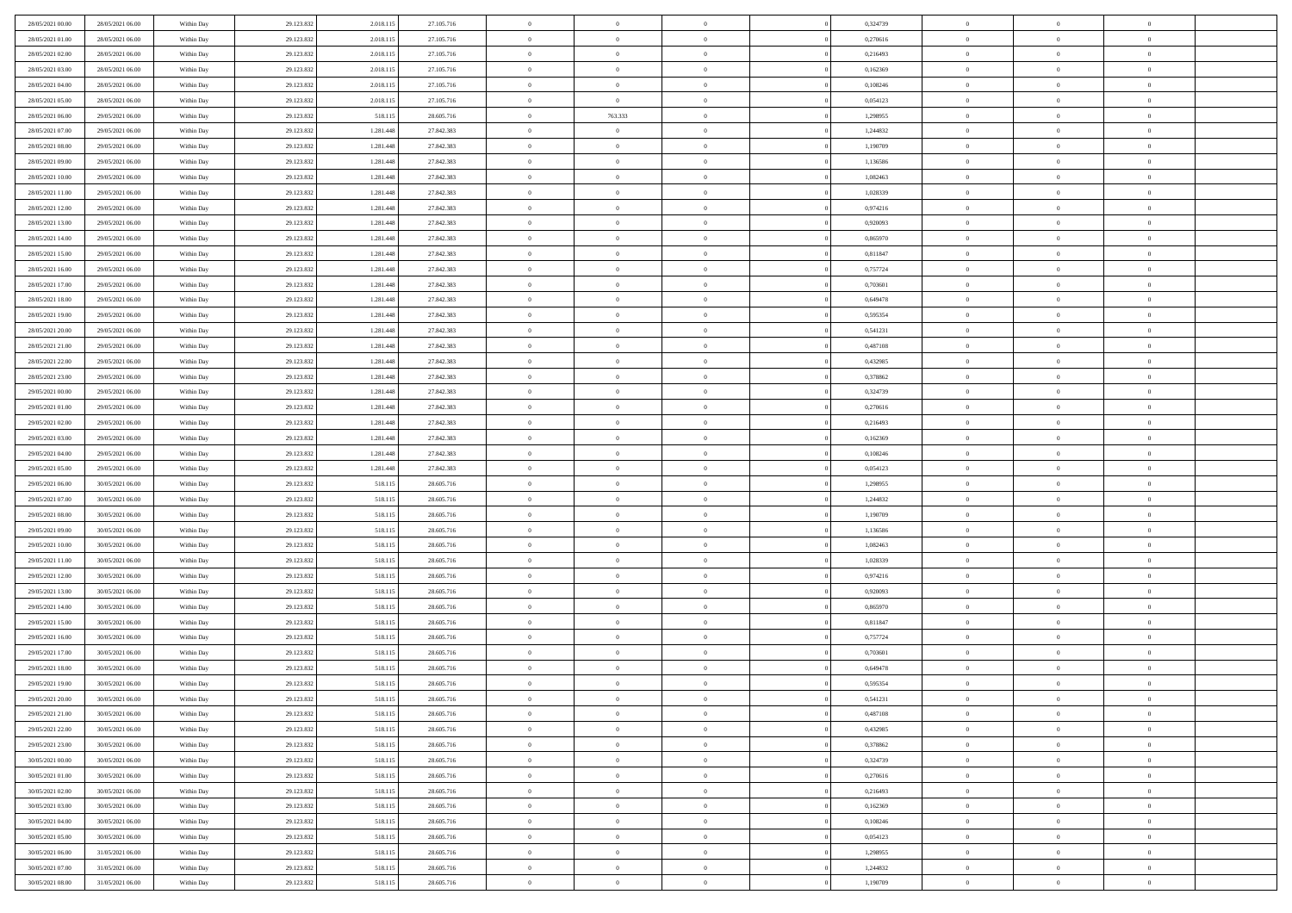| 28/05/2021 00:00 | 28/05/2021 06:00                     | Within Day | 29.123.832 | 2.018.115 | 27.105.716 | $\,$ 0                   | $\overline{0}$ | $\overline{0}$ |          | 0,324739 | $\bf{0}$                 | $\overline{0}$ | $\,0\,$        |  |
|------------------|--------------------------------------|------------|------------|-----------|------------|--------------------------|----------------|----------------|----------|----------|--------------------------|----------------|----------------|--|
| 28/05/2021 01:00 | 28/05/2021 06:00                     | Within Day | 29.123.832 | 2.018.115 | 27.105.716 | $\overline{0}$           | $\overline{0}$ | $\overline{0}$ |          | 0,270616 | $\overline{0}$           | $\overline{0}$ | $\theta$       |  |
| 28/05/2021 02:00 | 28/05/2021 06:00                     | Within Dav | 29.123.832 | 2.018.115 | 27.105.716 | $\mathbf{0}$             | $\overline{0}$ | $\overline{0}$ |          | 0,216493 | $\mathbf{0}$             | $\overline{0}$ | $\overline{0}$ |  |
| 28/05/2021 03:00 | 28/05/2021 06:00                     | Within Day | 29.123.832 | 2.018.115 | 27.105.716 | $\bf{0}$                 | $\overline{0}$ | $\bf{0}$       |          | 0,162369 | $\bf{0}$                 | $\overline{0}$ | $\bf{0}$       |  |
| 28/05/2021 04:00 | 28/05/2021 06:00                     | Within Day | 29.123.832 | 2.018.115 | 27.105.716 | $\bf{0}$                 | $\bf{0}$       | $\overline{0}$ |          | 0,108246 | $\bf{0}$                 | $\bf{0}$       | $\,0\,$        |  |
| 28/05/2021 05:00 | 28/05/2021 06:00                     | Within Dav | 29.123.832 | 2.018.115 | 27.105.716 | $\overline{0}$           | $\overline{0}$ | $\overline{0}$ |          | 0,054123 | $\mathbf{0}$             | $\overline{0}$ | $\overline{0}$ |  |
| 28/05/2021 06:00 | 29/05/2021 06:00                     | Within Day | 29.123.832 | 518.115   | 28.605.716 | $\bf{0}$                 | 763.333        | $\overline{0}$ |          | 1,298955 | $\bf{0}$                 | $\overline{0}$ | $\,0\,$        |  |
| 28/05/2021 07:00 | 29/05/2021 06:00                     | Within Day | 29.123.832 | 1.281.448 | 27.842.383 | $\overline{0}$           | $\overline{0}$ | $\overline{0}$ |          | 1,244832 | $\,$ 0 $\,$              | $\overline{0}$ | $\theta$       |  |
| 28/05/2021 08:00 | 29/05/2021 06:00                     | Within Dav | 29.123.832 | 1.281.448 | 27.842.383 | $\mathbf{0}$             | $\overline{0}$ | $\overline{0}$ |          | 1,190709 | $\mathbf{0}$             | $\overline{0}$ | $\overline{0}$ |  |
| 28/05/2021 09:00 | 29/05/2021 06:00                     |            |            | 1.281.448 | 27.842.383 | $\bf{0}$                 | $\bf{0}$       | $\overline{0}$ |          | 1,136586 | $\bf{0}$                 | $\overline{0}$ | $\,0\,$        |  |
|                  |                                      | Within Day | 29.123.832 |           |            |                          | $\overline{0}$ |                |          |          |                          | $\overline{0}$ | $\theta$       |  |
| 28/05/2021 10:00 | 29/05/2021 06:00<br>29/05/2021 06:00 | Within Day | 29.123.832 | 1.281.448 | 27.842.383 | $\bf{0}$<br>$\mathbf{0}$ |                | $\overline{0}$ |          | 1,082463 | $\bf{0}$<br>$\mathbf{0}$ |                | $\overline{0}$ |  |
| 28/05/2021 11:00 |                                      | Within Dav | 29.123.832 | 1.281.448 | 27.842.383 |                          | $\overline{0}$ | $\overline{0}$ |          | 1,028339 |                          | $\overline{0}$ |                |  |
| 28/05/2021 12:00 | 29/05/2021 06:00                     | Within Day | 29.123.832 | 1.281.448 | 27.842.383 | $\bf{0}$                 | $\overline{0}$ | $\bf{0}$       |          | 0,974216 | $\bf{0}$                 | $\overline{0}$ | $\overline{0}$ |  |
| 28/05/2021 13:00 | 29/05/2021 06:00                     | Within Day | 29.123.832 | 1.281.448 | 27.842.383 | $\bf{0}$                 | $\overline{0}$ | $\overline{0}$ |          | 0,920093 | $\bf{0}$                 | $\overline{0}$ | $\,0\,$        |  |
| 28/05/2021 14:00 | 29/05/2021 06:00                     | Within Dav | 29.123.832 | 1.281.448 | 27.842.383 | $\overline{0}$           | $\overline{0}$ | $\overline{0}$ |          | 0,865970 | $\mathbf{0}$             | $\overline{0}$ | $\overline{0}$ |  |
| 28/05/2021 15:00 | 29/05/2021 06:00                     | Within Day | 29.123.832 | 1.281.448 | 27.842.383 | $\bf{0}$                 | $\bf{0}$       | $\overline{0}$ |          | 0,811847 | $\bf{0}$                 | $\overline{0}$ | $\bf{0}$       |  |
| 28/05/2021 16:00 | 29/05/2021 06:00                     | Within Day | 29.123.832 | 1.281.448 | 27.842.383 | $\overline{0}$           | $\overline{0}$ | $\overline{0}$ |          | 0,757724 | $\bf{0}$                 | $\overline{0}$ | $\theta$       |  |
| 28/05/2021 17:00 | 29/05/2021 06:00                     | Within Day | 29.123.832 | 1.281.448 | 27.842.383 | $\mathbf{0}$             | $\overline{0}$ | $\overline{0}$ |          | 0,703601 | $\mathbf{0}$             | $\overline{0}$ | $\overline{0}$ |  |
| 28/05/2021 18:00 | 29/05/2021 06:00                     | Within Day | 29.123.832 | 1.281.448 | 27.842.383 | $\bf{0}$                 | $\bf{0}$       | $\overline{0}$ |          | 0,649478 | $\bf{0}$                 | $\overline{0}$ | $\,0\,$        |  |
| 28/05/2021 19:00 | 29/05/2021 06:00                     | Within Day | 29.123.832 | 1.281.448 | 27.842.383 | $\bf{0}$                 | $\overline{0}$ | $\overline{0}$ |          | 0,595354 | $\bf{0}$                 | $\overline{0}$ | $\bf{0}$       |  |
| 28/05/2021 20:00 | 29/05/2021 06:00                     | Within Dav | 29.123.832 | 1.281.448 | 27.842.383 | $\mathbf{0}$             | $\overline{0}$ | $\overline{0}$ |          | 0,541231 | $\mathbf{0}$             | $\overline{0}$ | $\overline{0}$ |  |
| 28/05/2021 21:00 | 29/05/2021 06:00                     | Within Day | 29.123.832 | 1.281.448 | 27.842.383 | $\bf{0}$                 | $\overline{0}$ | $\overline{0}$ |          | 0,487108 | $\bf{0}$                 | $\overline{0}$ | $\bf{0}$       |  |
| 28/05/2021 22:00 | 29/05/2021 06:00                     | Within Day | 29.123.832 | 1.281.448 | 27.842.383 | $\bf{0}$                 | $\bf{0}$       | $\overline{0}$ |          | 0,432985 | $\bf{0}$                 | $\overline{0}$ | $\,0\,$        |  |
| 28/05/2021 23:00 | 29/05/2021 06:00                     | Within Dav | 29.123.832 | 1.281.448 | 27.842.383 | $\mathbf{0}$             | $\overline{0}$ | $\overline{0}$ |          | 0,378862 | $\mathbf{0}$             | $\overline{0}$ | $\overline{0}$ |  |
| 29/05/2021 00:00 | 29/05/2021 06:00                     | Within Day | 29.123.832 | 1.281.448 | 27.842.383 | $\bf{0}$                 | $\bf{0}$       | $\overline{0}$ |          | 0,324739 | $\bf{0}$                 | $\overline{0}$ | $\,0\,$        |  |
| 29/05/2021 01:00 | 29/05/2021 06:00                     | Within Day | 29.123.832 | 1.281.448 | 27.842.383 | $\overline{0}$           | $\overline{0}$ | $\overline{0}$ |          | 0,270616 | $\bf{0}$                 | $\mathbf{0}$   | $\overline{0}$ |  |
| 29/05/2021 02:00 | 29/05/2021 06:00                     | Within Dav | 29.123.832 | 1.281.448 | 27.842.383 | $\mathbf{0}$             | $\overline{0}$ | $\overline{0}$ |          | 0,216493 | $\mathbf{0}$             | $\overline{0}$ | $\overline{0}$ |  |
| 29/05/2021 03:00 | 29/05/2021 06:00                     | Within Day | 29.123.832 | 1.281.448 | 27.842.383 | $\bf{0}$                 | $\bf{0}$       | $\overline{0}$ |          | 0,162369 | $\bf{0}$                 | $\overline{0}$ | $\,0\,$        |  |
| 29/05/2021 04:00 | 29/05/2021 06:00                     | Within Day | 29.123.832 | 1.281.448 | 27.842.383 | $\bf{0}$                 | $\bf{0}$       | $\overline{0}$ |          | 0,108246 | $\bf{0}$                 | $\overline{0}$ | $\bf{0}$       |  |
| 29/05/2021 05:00 | 29/05/2021 06:00                     | Within Dav | 29.123.832 | 1.281.448 | 27.842.383 | $\mathbf{0}$             | $\overline{0}$ | $\overline{0}$ |          | 0,054123 | $\mathbf{0}$             | $\overline{0}$ | $\overline{0}$ |  |
| 29/05/2021 06:00 | 30/05/2021 06:00                     | Within Day | 29.123.832 | 518.115   | 28.605.716 | $\bf{0}$                 | $\overline{0}$ | $\overline{0}$ |          | 1,298955 | $\,$ 0                   | $\overline{0}$ | $\theta$       |  |
| 29/05/2021 07:00 | 30/05/2021 06:00                     | Within Day | 29.123.832 | 518.115   | 28.605.716 | $\bf{0}$                 | $\bf{0}$       | $\overline{0}$ |          | 1,244832 | $\bf{0}$                 | $\overline{0}$ | $\overline{0}$ |  |
| 29/05/2021 08:00 | 30/05/2021 06:00                     | Within Dav | 29.123.832 | 518.115   | 28.605.716 | $\mathbf{0}$             | $\overline{0}$ | $\overline{0}$ |          | 1,190709 | $\mathbf{0}$             | $\overline{0}$ | $\overline{0}$ |  |
| 29/05/2021 09:00 | 30/05/2021 06:00                     | Within Day | 29.123.832 | 518.115   | 28.605.716 | $\bf{0}$                 | $\overline{0}$ | $\overline{0}$ |          | 1,136586 | $\,$ 0                   | $\overline{0}$ | $\theta$       |  |
| 29/05/2021 10:00 | 30/05/2021 06:00                     | Within Day | 29.123.832 | 518.115   | 28.605.716 | $\bf{0}$                 | $\overline{0}$ | $\overline{0}$ |          | 1,082463 | $\bf{0}$                 | $\overline{0}$ | $\overline{0}$ |  |
| 29/05/2021 11:00 | 30/05/2021 06:00                     | Within Day | 29.123.832 | 518.115   | 28.605.716 | $\mathbf{0}$             | $\overline{0}$ | $\overline{0}$ |          | 1,028339 | $\mathbf{0}$             | $\overline{0}$ | $\overline{0}$ |  |
| 29/05/2021 12:00 | 30/05/2021 06:00                     | Within Day | 29.123.832 | 518.115   | 28.605.716 | $\bf{0}$                 | $\overline{0}$ | $\overline{0}$ |          | 0,974216 | $\,$ 0                   | $\overline{0}$ | $\theta$       |  |
| 29/05/2021 13:00 | 30/05/2021 06:00                     | Within Day | 29.123.832 | 518.115   | 28.605.716 | $\bf{0}$                 | $\overline{0}$ | $\overline{0}$ |          | 0,920093 | $\bf{0}$                 | $\overline{0}$ | $\overline{0}$ |  |
| 29/05/2021 14:00 | 30/05/2021 06:00                     | Within Dav | 29.123.832 | 518.115   | 28.605.716 | $\mathbf{0}$             | $\overline{0}$ | $\overline{0}$ |          | 0,865970 | $\mathbf{0}$             | $\overline{0}$ | $\overline{0}$ |  |
| 29/05/2021 15:00 | 30/05/2021 06:00                     | Within Day | 29.123.832 | 518.115   | 28.605.716 | $\,0\,$                  | $\overline{0}$ | $\overline{0}$ |          | 0,811847 | $\,$ 0                   | $\overline{0}$ | $\theta$       |  |
| 29/05/2021 16:00 | 30/05/2021 06:00                     | Within Day | 29.123.832 | 518.115   | 28.605.716 | $\bf{0}$                 | $\overline{0}$ | $\overline{0}$ |          | 0,757724 | $\bf{0}$                 | $\overline{0}$ | $\overline{0}$ |  |
| 29/05/2021 17:00 | 30/05/2021 06:00                     | Within Dav | 29.123.832 | 518.115   | 28.605.716 | $\mathbf{0}$             | $\overline{0}$ | $\overline{0}$ |          | 0,703601 | $\mathbf{0}$             | $\overline{0}$ | $\overline{0}$ |  |
| 29/05/2021 18:00 | 30/05/2021 06:00                     | Within Day | 29.123.832 | 518.115   | 28.605.716 | $\bf{0}$                 | $\overline{0}$ | $\theta$       |          | 0,649478 | $\,$ 0                   | $\overline{0}$ | $\theta$       |  |
| 29/05/2021 19:00 | 30/05/2021 06:00                     | Within Day | 29.123.832 | 518.115   | 28.605.716 | $\bf{0}$                 | $\overline{0}$ | $\overline{0}$ |          | 0,595354 | $\bf{0}$                 | $\overline{0}$ | $\overline{0}$ |  |
| 29/05/2021 20:00 | 30/05/2021 06:00                     | Within Day | 29.123.832 | 518.115   | 28.605.716 | $\bf{0}$                 | $\overline{0}$ |                |          | 0,541231 | $\overline{0}$           | $\theta$       | $\theta$       |  |
| 29/05/2021 21:00 | 30/05/2021 06:00                     | Within Day | 29.123.832 | 518.115   | 28.605.716 | $\,0\,$                  | $\overline{0}$ | $\theta$       |          | 0,487108 | $\,$ 0 $\,$              | $\bf{0}$       | $\theta$       |  |
| 29/05/2021 22.00 | 30/05/2021 06:00                     | Within Day | 29.123.832 | 518.115   | 28.605.716 | $\overline{0}$           | $\overline{0}$ | $\overline{0}$ |          | 0,432985 | $\overline{0}$           | $\overline{0}$ | $\overline{0}$ |  |
| 29/05/2021 23:00 | 30/05/2021 06:00                     | Within Day | 29.123.832 | 518.115   | 28.605.716 | $\bf{0}$                 | $\overline{0}$ | $\overline{0}$ |          | 0,378862 | $\overline{0}$           | $\bf{0}$       | $\mathbf{0}$   |  |
| 30/05/2021 00:00 | 30/05/2021 06:00                     | Within Day | 29.123.832 | 518.115   | 28.605.716 | $\bf{0}$                 | $\overline{0}$ | $\overline{0}$ | $\theta$ | 0,324739 | $\,$ 0 $\,$              | $\bf{0}$       | $\,$ 0 $\,$    |  |
| 30/05/2021 01:00 | 30/05/2021 06:00                     | Within Day | 29.123.832 | 518.115   | 28.605.716 | $\bf{0}$                 | $\overline{0}$ | $\overline{0}$ |          | 0,270616 | $\,$ 0 $\,$              | $\overline{0}$ | $\overline{0}$ |  |
| 30/05/2021 02:00 | 30/05/2021 06:00                     | Within Day | 29.123.832 | 518.115   | 28.605.716 | $\bf{0}$                 | $\overline{0}$ | $\overline{0}$ |          | 0,216493 | $\mathbf{0}$             | $\overline{0}$ | $\overline{0}$ |  |
|                  |                                      |            |            |           |            | $\,0\,$                  |                | $\overline{0}$ | $\theta$ |          | $\,$ 0 $\,$              | $\overline{0}$ | $\,$ 0 $\,$    |  |
| 30/05/2021 03:00 | 30/05/2021 06:00                     | Within Day | 29.123.832 | 518.115   | 28.605.716 |                          | $\overline{0}$ |                |          | 0,162369 |                          |                |                |  |
| 30/05/2021 04:00 | 30/05/2021 06:00                     | Within Day | 29.123.832 | 518.115   | 28.605.716 | $\bf{0}$                 | $\overline{0}$ | $\overline{0}$ |          | 0,108246 | $\overline{0}$           | $\overline{0}$ | $\overline{0}$ |  |
| 30/05/2021 05:00 | 30/05/2021 06:00                     | Within Day | 29.123.832 | 518.115   | 28.605.716 | $\bf{0}$                 | $\overline{0}$ | $\overline{0}$ |          | 0,054123 | $\mathbf{0}$             | $\overline{0}$ | $\overline{0}$ |  |
| 30/05/2021 06:00 | 31/05/2021 06:00                     | Within Day | 29.123.832 | 518.115   | 28.605.716 | $\,0\,$                  | $\overline{0}$ | $\overline{0}$ |          | 1,298955 | $\,$ 0 $\,$              | $\mathbf{0}$   | $\,$ 0 $\,$    |  |
| 30/05/2021 07:00 | 31/05/2021 06:00                     | Within Day | 29.123.832 | 518.115   | 28.605.716 | $\bf{0}$                 | $\overline{0}$ | $\overline{0}$ |          | 1,244832 | $\bf{0}$                 | $\mathbf{0}$   | $\overline{0}$ |  |
| 30/05/2021 08:00 | 31/05/2021 06:00                     | Within Day | 29.123.832 | 518.115   | 28.605.716 | $\bf{0}$                 | $\overline{0}$ | $\overline{0}$ |          | 1,190709 | $\mathbf{0}$             | $\overline{0}$ | $\overline{0}$ |  |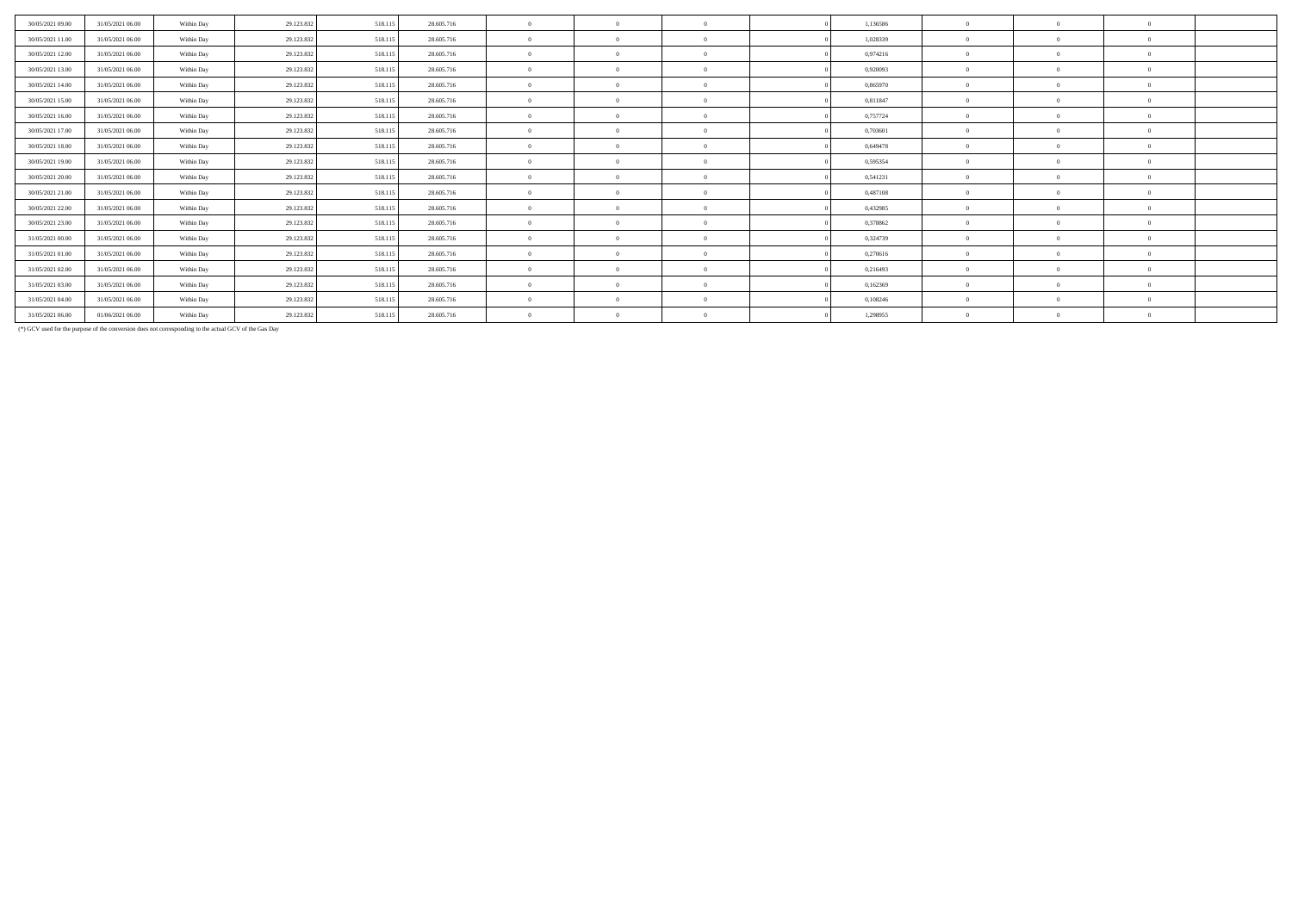| 30/05/2021 09:00 | 31/05/2021 06:00 | Within Day | 29.123.832 | 518.115 | 28.605.716 | $\theta$       | $\Omega$       | 1,136586 | $\theta$       | $\Omega$ |          |  |
|------------------|------------------|------------|------------|---------|------------|----------------|----------------|----------|----------------|----------|----------|--|
| 30/05/2021 11:00 | 31/05/2021 06:00 | Within Day | 29.123.83  | 518.115 | 28.605.716 | $\theta$       | $\Omega$       | 1,028339 | $\Omega$       | $\Omega$ |          |  |
| 30/05/2021 12:00 | 31/05/2021 06:00 | Within Day | 29.123.832 | 518.115 | 28.605.716 | $\theta$       | $\Omega$       | 0,974216 | $\theta$       | 0        |          |  |
| 30/05/2021 13:00 | 31/05/2021 06:00 | Within Day | 29.123.832 | 518.115 | 28.605.716 | $\theta$       | $\Omega$       | 0,920093 | $\theta$       | $\Omega$ |          |  |
| 30/05/2021 14:00 | 31/05/2021 06:00 | Within Day | 29.123.832 | 518,115 | 28.605.716 | $\theta$       | $\Omega$       | 0.865970 | $\Omega$       | $\Omega$ |          |  |
| 30/05/2021 15:00 | 31/05/2021 06:00 | Within Day | 29.123.832 | 518.115 | 28.605.716 | $\mathbf{0}$   | $\Omega$       | 0,811847 | $\theta$       |          |          |  |
| 30/05/2021 16:00 | 31/05/2021 06:00 | Within Day | 29.123.832 | 518.115 | 28.605.716 | $\mathbf{0}$   | $\overline{0}$ | 0,757724 | $\overline{0}$ | $\Omega$ | $\Omega$ |  |
| 30/05/2021 17:00 | 31/05/2021 06:00 | Within Day | 29.123.832 | 518.115 | 28.605.716 | $\mathbf{0}$   | $\Omega$       | 0,703601 | $\theta$       | $\Omega$ |          |  |
| 30/05/2021 18:00 | 31/05/2021 06:00 | Within Day | 29.123.832 | 518.115 | 28.605.716 | $\mathbf{0}$   | $\Omega$       | 0.649478 | $\Omega$       |          |          |  |
| 30/05/2021 19:00 | 31/05/2021 06:00 | Within Day | 29.123.832 | 518.115 | 28.605.716 | $\overline{0}$ | $\Omega$       | 0,595354 | $\theta$       |          |          |  |
| 30/05/2021 20:00 | 31/05/2021 06:00 | Within Day | 29.123.832 | 518,115 | 28.605.716 | $\mathbf{0}$   | $\Omega$       | 0.541231 | $\theta$       |          |          |  |
| 30/05/2021 21:00 | 31/05/2021 06:00 | Within Day | 29.123.832 | 518,115 | 28.605.716 | $\mathbf{0}$   | $\Omega$       | 0,487108 | $\overline{0}$ | $\Omega$ |          |  |
| 30/05/2021 22.00 | 31/05/2021 06:00 | Within Day | 29.123.832 | 518.115 | 28.605.716 | $\overline{0}$ | $\Omega$       | 0,432985 | $\overline{0}$ | $\Omega$ |          |  |
| 30/05/2021 23:00 | 31/05/2021 06:00 | Within Day | 29.123.832 | 518.115 | 28.605.716 | $\mathbf{0}$   | $\Omega$       | 0,378862 | $\theta$       | $\Omega$ | $\Omega$ |  |
| 31/05/2021 00:00 | 31/05/2021 06:00 | Within Day | 29.123.832 | 518.115 | 28.605.716 | $\mathbf{0}$   | $\Omega$       | 0,324739 | $\Omega$       |          |          |  |
| 31/05/2021 01:00 | 31/05/2021 06:00 | Within Day | 29.123.832 | 518.115 | 28.605.716 | $\overline{0}$ | $\Omega$       | 0,270616 | $\Omega$       |          |          |  |
| 31/05/2021 02:00 | 31/05/2021 06:00 | Within Day | 29.123.832 | 518,115 | 28.605.716 | $\mathbf{0}$   | $\Omega$       | 0.216493 | $\Omega$       |          |          |  |
| 31/05/2021 03:00 | 31/05/2021 06:00 | Within Day | 29.123.832 | 518.115 | 28.605.716 | $\mathbf{0}$   | $\Omega$       | 0,162369 | $\Omega$       | $\Omega$ |          |  |
| 31/05/2021 04:00 | 31/05/2021 06:00 | Within Day | 29.123.832 | 518.115 | 28.605.716 | $\mathbf{0}$   | $\Omega$       | 0,108246 | $\theta$       | $\Omega$ |          |  |
| 31/05/2021 06:00 | 01/06/2021 06:00 | Within Day | 29.123.832 | 518.115 | 28.605.716 | $\mathbf{0}$   | $\Omega$       | 1,298955 | $\Omega$       | $\Omega$ |          |  |

(\*) GCV used for the purpose of the conversion does not corresponding to the actual GCV of the Gas Day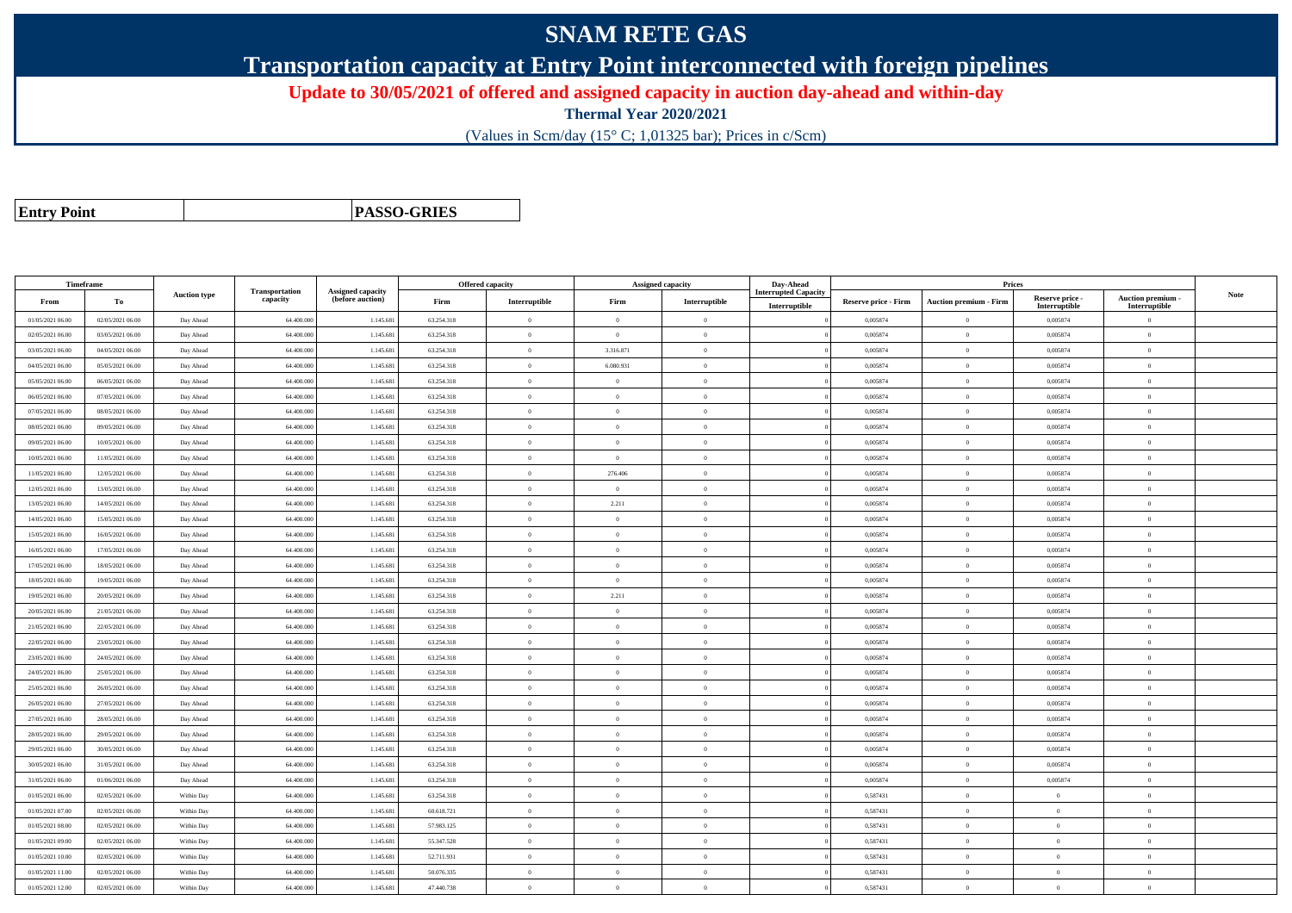## **SNAM RETE GAS**

**Transportation capacity at Entry Point interconnected with foreign pipelines**

**Update to 30/05/2021 of offered and assigned capacity in auction day-ahead and within-day**

**Thermal Year 2020/2021**

(Values in Scm/day (15° C; 1,01325 bar); Prices in c/Scm)

| <b>Entry Point</b> |  |
|--------------------|--|
|--------------------|--|

**PASSO-GRIES**

| Timeframe        |                  |                     |                            |                                              |            | Offered capacity |                | Assigned capacity | Day-Ahead                   |                             | Prices                        |                           |                                 |      |
|------------------|------------------|---------------------|----------------------------|----------------------------------------------|------------|------------------|----------------|-------------------|-----------------------------|-----------------------------|-------------------------------|---------------------------|---------------------------------|------|
| From             | To               | <b>Auction type</b> | Transportation<br>capacity | <b>Assigned capacity</b><br>(before auction) | Firm       | Interruptible    | Firm           | Interruptible     | <b>Interrupted Capacity</b> | <b>Reserve price - Firm</b> | <b>Auction premium - Firm</b> | Reserve price -           | Auction premium -               | Note |
| 01/05/2021 06:00 | 02/05/2021 06:00 | Day Ahead           | 64.400.000                 | 1.145.68                                     | 63.254.318 | $\bf{0}$         | $\overline{0}$ | $\overline{0}$    | Interruptible               | 0,005874                    | $\Omega$                      | Interruptible<br>0,005874 | Interruptible<br>$\overline{0}$ |      |
| 02/05/2021 06:00 | 03/05/2021 06:00 | Day Ahead           | 64.400.00                  | 1.145.68                                     | 63.254.318 | $\theta$         | $\overline{0}$ | $\theta$          |                             | 0,005874                    | $\theta$                      | 0,005874                  | $\overline{0}$                  |      |
| 03/05/2021 06:00 | 04/05/2021 06:00 | Day Ahead           | 64.400.000                 | 1.145.68                                     | 63.254.318 | $\bf{0}$         | 3.316.871      | $\overline{0}$    |                             | 0,005874                    | $\overline{0}$                | 0,005874                  | $\overline{0}$                  |      |
| 04/05/2021 06:00 | 05/05/2021 06:00 | Day Ahead           | 64,400,000                 | 1.145.68                                     | 63.254.318 | $\theta$         | 6.080.931      | $\overline{0}$    |                             | 0.005874                    | $\theta$                      | 0.005874                  | $\theta$                        |      |
| 05/05/2021 06:00 | 06/05/2021 06:00 | Day Ahead           | 64.400.00                  | 1.145.68                                     | 63.254.318 | $\theta$         | $\overline{0}$ | $\overline{0}$    |                             | 0,005874                    | $\theta$                      | 0,005874                  | $\overline{0}$                  |      |
| 06/05/2021 06:00 | 07/05/2021 06:00 | Day Ahead           | 64.400.000                 | 1.145.68                                     | 63.254.318 | $\theta$         | $\theta$       | $\overline{0}$    |                             | 0,005874                    | $\overline{0}$                | 0,005874                  | $\overline{0}$                  |      |
| 07/05/2021 06:00 | 08/05/2021 06:00 | Day Ahead           | 64,400,000                 | 1.145.68                                     | 63.254.318 | $\theta$         | $\theta$       | $\overline{0}$    |                             | 0.005874                    | $\theta$                      | 0.005874                  | $\Omega$                        |      |
| 08/05/2021 06:00 | 09/05/2021 06:00 | Day Ahead           | 64.400.000                 | 1.145.68                                     | 63.254.318 | $\theta$         | $\theta$       | $\overline{0}$    |                             | 0,005874                    | $\overline{0}$                | 0,005874                  | $\Omega$                        |      |
| 09/05/2021 06:00 | 10/05/2021 06:00 | Day Ahead           | 64.400.000                 | 1.145.68                                     | 63.254.318 | $\bf{0}$         | $\overline{0}$ | $\overline{0}$    |                             | 0,005874                    | $\overline{0}$                | 0,005874                  | $\overline{0}$                  |      |
| 10/05/2021 06:00 | 11/05/2021 06:00 | Day Ahead           | 64,400,000                 | 1.145.68                                     | 63.254.318 | $\theta$         | $\Omega$       | $\theta$          |                             | 0.005874                    | $\overline{0}$                | 0.005874                  | $\Omega$                        |      |
| 11/05/2021 06:00 | 12/05/2021 06:00 | Day Ahead           | 64.400.000                 | 1.145.68                                     | 63.254.318 | $\theta$         | 276.406        | $\overline{0}$    |                             | 0,005874                    | $\overline{0}$                | 0,005874                  | $\overline{0}$                  |      |
| 12/05/2021 06:00 | 13/05/2021 06:00 | Day Ahead           | 64.400.000                 | 1.145.68                                     | 63.254.318 | $\theta$         | $\theta$       | $\theta$          |                             | 0,005874                    | $\theta$                      | 0,005874                  | $\overline{0}$                  |      |
| 13/05/2021 06:00 | 14/05/2021 06:00 | Day Ahead           | 64.400.00                  | 1.145.68                                     | 63.254.318 | $\theta$         | 2.211          | $\Omega$          |                             | 0,005874                    | $\theta$                      | 0,005874                  | $\Omega$                        |      |
| 14/05/2021 06:00 | 15/05/2021 06:00 | Day Ahead           | 64,400,000                 | 1.145.68                                     | 63.254.318 | $\overline{0}$   | $\overline{0}$ | $\overline{0}$    |                             | 0.005874                    | $\overline{0}$                | 0.005874                  | $\theta$                        |      |
| 15/05/2021 06:00 | 16/05/2021 06:00 | Day Ahead           | 64.400.000                 | 1.145.68                                     | 63.254.318 | $\bf{0}$         | $\overline{0}$ | $\overline{0}$    |                             | 0,005874                    | $\overline{0}$                | 0,005874                  | $\overline{0}$                  |      |
| 16/05/2021 06:00 | 17/05/2021 06:00 | Day Ahead           | 64.400.00                  | 1.145.68                                     | 63.254.318 | $\theta$         | $\overline{0}$ | $\overline{0}$    |                             | 0,005874                    | $\bf{0}$                      | 0,005874                  | $\,$ 0                          |      |
| 17/05/2021 06:00 | 18/05/2021 06:00 | Day Ahead           | 64,400,000                 | 1.145.68                                     | 63.254.318 | $\overline{0}$   | $\theta$       | $\overline{0}$    |                             | 0.005874                    | $\overline{0}$                | 0.005874                  | $\theta$                        |      |
| 18/05/2021 06:00 | 19/05/2021 06:00 | Day Ahead           | 64.400.000                 | 1.145.68                                     | 63.254.318 | $\theta$         | $\overline{0}$ | $\overline{0}$    |                             | 0,005874                    | $\theta$                      | 0,005874                  | $\overline{0}$                  |      |
| 19/05/2021 06:00 | 20/05/2021 06:00 | Day Ahead           | 64.400.00                  | 1.145.68                                     | 63.254.318 | $\theta$         | 2.211          | $\overline{0}$    |                             | 0,005874                    | $\overline{0}$                | 0,005874                  | $\overline{0}$                  |      |
| 20/05/2021 06:00 | 21/05/2021 06:00 | Day Ahead           | 64.400.000                 | 1.145.68                                     | 63.254.318 | $\bf{0}$         | $\overline{0}$ | $\overline{0}$    |                             | 0,005874                    | $\overline{0}$                | 0,005874                  | $\overline{0}$                  |      |
| 21/05/2021 06:00 | 22/05/2021 06:00 | Day Ahead           | 64,400,000                 | 1.145.68                                     | 63.254.318 | $\bf{0}$         | $\overline{0}$ | $\overline{0}$    |                             | 0.005874                    | $\theta$                      | 0.005874                  | $\overline{0}$                  |      |
| 22/05/2021 06:00 | 23/05/2021 06:00 | Day Ahead           | 64.400.000                 | 1.145.68                                     | 63.254.318 | $\theta$         | $\theta$       | $\overline{0}$    |                             | 0,005874                    | $\theta$                      | 0,005874                  | $\overline{0}$                  |      |
| 23/05/2021 06:00 | 24/05/2021 06:00 | Day Ahead           | 64.400.000                 | 1.145.68                                     | 63.254.318 | $\theta$         | $\theta$       | $\Omega$          |                             | 0,005874                    | $\theta$                      | 0,005874                  | $\overline{0}$                  |      |
| 24/05/2021 06:00 | 25/05/2021 06:00 | Day Ahead           | 64,400,000                 | 1.145.68                                     | 63.254.318 | $\theta$         | $\theta$       | $\overline{0}$    |                             | 0.005874                    | $\theta$                      | 0.005874                  | $\Omega$                        |      |
| 25/05/2021 06:00 | 26/05/2021 06:00 | Day Ahead           | 64,400,000                 | 1.145.68                                     | 63.254.318 | $\Omega$         | $\theta$       | $\alpha$          |                             | 0.005874                    | $\theta$                      | 0.005874                  | $\theta$                        |      |
| 26/05/2021 06:00 | 27/05/2021 06:00 | Day Ahead           | 64.400.000                 | 1.145.68                                     | 63.254.318 | $\bf{0}$         | $\theta$       | $\overline{0}$    |                             | 0,005874                    | $\overline{0}$                | 0,005874                  | $\overline{0}$                  |      |
| 27/05/2021 06:00 | 28/05/2021 06:00 | Day Ahead           | 64,400,000                 | 1.145.68                                     | 63.254.318 | $\theta$         | $\theta$       | $\overline{0}$    |                             | 0.005874                    | $\theta$                      | 0.005874                  | $\Omega$                        |      |
| 28/05/2021 06:00 | 29/05/2021 06:00 | Day Ahead           | 64.400.000                 | 1.145.68                                     | 63.254.318 | $\overline{0}$   | $\overline{0}$ | $\overline{0}$    |                             | 0,005874                    | $\overline{0}$                | 0,005874                  | $\overline{0}$                  |      |
| 29/05/2021 06:00 | 30/05/2021 06:00 | Day Ahead           | 64.400.000                 | 1.145.68                                     | 63.254.318 | $\theta$         | $\theta$       | $\overline{0}$    |                             | 0,005874                    | $\theta$                      | 0,005874                  | $\overline{0}$                  |      |
| 30/05/2021 06:00 | 31/05/2021 06:00 | Day Ahead           | 64.400.000                 | 1.145.68                                     | 63.254.318 | $\theta$         | $\theta$       | $\Omega$          |                             | 0,005874                    | $\theta$                      | 0,005874                  | $\overline{0}$                  |      |
| 31/05/2021 06:00 | 01/06/2021 06:00 | Day Ahead           | 64,400,000                 | 1.145.68                                     | 63.254.318 | $\overline{0}$   | $\Omega$       | $\overline{0}$    |                             | 0.005874                    | $\overline{0}$                | 0.005874                  | $\overline{0}$                  |      |
| 01/05/2021 06:00 | 02/05/2021 06:00 | Within Day          | 64.400.000                 | 1.145.68                                     | 63.254.318 | $\bf{0}$         | $\overline{0}$ | $\overline{0}$    |                             | 0,587431                    | $\mathbf{0}$                  | $\bf{0}$                  | $\overline{0}$                  |      |
| 01/05/2021 07:00 | 02/05/2021 06:00 | Within Day          | 64.400.00                  | 1.145.68                                     | 60.618.721 | $\theta$         | $\theta$       | $\theta$          |                             | 0,587431                    | $\overline{0}$                | $\overline{0}$            | $\overline{0}$                  |      |
| 01/05/2021 08:00 | 02/05/2021 06:00 | Within Day          | 64.400.000                 | 1.145.68                                     | 57.983.125 | $\bf{0}$         | $\theta$       | $\overline{0}$    |                             | 0,587431                    | $\overline{0}$                | $\overline{0}$            | $\overline{0}$                  |      |
| 01/05/2021 09:00 | 02/05/2021 06:00 | Within Day          | 64,400,000                 | 1.145.68                                     | 55.347.528 | $\theta$         | $\theta$       | $\overline{0}$    |                             | 0.587431                    | $\theta$                      | $\theta$                  | $\Omega$                        |      |
| 01/05/2021 10:00 | 02/05/2021 06:00 | Within Day          | 64.400.00                  | 1.145.68                                     | 52.711.931 | $\theta$         | $\theta$       | $\overline{0}$    |                             | 0,587431                    | $\theta$                      | $\overline{0}$            | $\overline{0}$                  |      |
| 01/05/2021 11:00 | 02/05/2021 06:00 | Within Day          | 64.400.000                 | 1.145.68                                     | 50.076.335 | $\theta$         | $\overline{0}$ | $\overline{0}$    |                             | 0,587431                    | $\overline{0}$                | $\overline{0}$            | $\overline{0}$                  |      |
| 01/05/2021 12:00 | 02/05/2021 06:00 | Within Day          | 64,400,000                 | 1.145.68                                     | 47,440.738 | $\theta$         | $\theta$       | $\overline{0}$    |                             | 0.587431                    | $\theta$                      | $\bf{0}$                  | $\Omega$                        |      |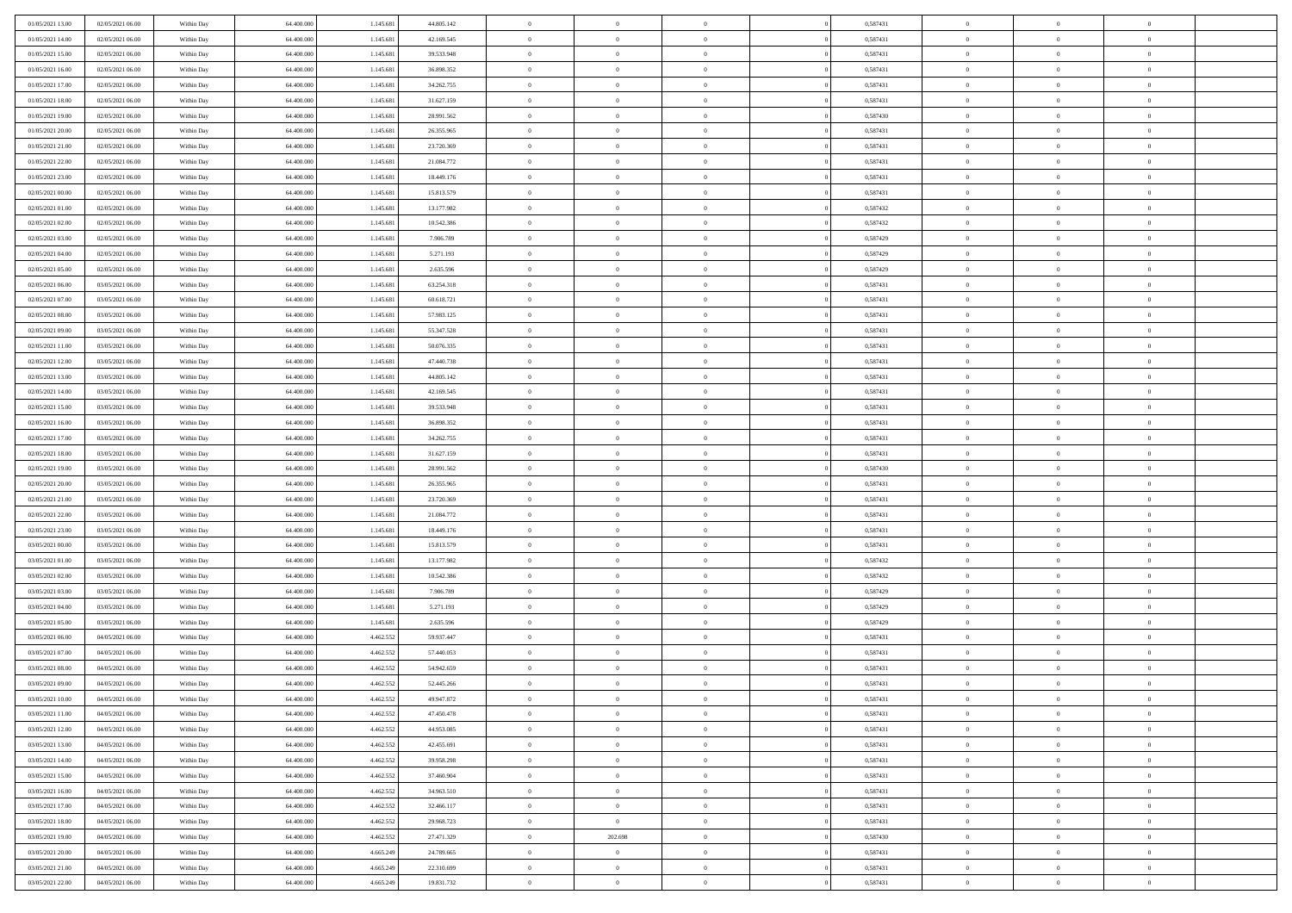| 01/05/2021 13:00                     | 02/05/2021 06:00                     | Within Day               | 64.400.000               | 1.145.681              | 44.805.142               | $\,$ 0                     | $\overline{0}$                   | $\theta$                         |          | 0,587431             | $\bf{0}$                 | $\overline{0}$                   | $\,0\,$                    |  |
|--------------------------------------|--------------------------------------|--------------------------|--------------------------|------------------------|--------------------------|----------------------------|----------------------------------|----------------------------------|----------|----------------------|--------------------------|----------------------------------|----------------------------|--|
| 01/05/2021 14:00                     | 02/05/2021 06:00                     | Within Day               | 64,400,000               | 1.145.681              | 42.169.545               | $\overline{0}$             | $\overline{0}$                   | $\overline{0}$                   |          | 0,587431             | $\overline{0}$           | $\overline{0}$                   | $\theta$                   |  |
| 01/05/2021 15:00                     | 02/05/2021 06:00                     | Within Dav               | 64.400.000               | 1.145.681              | 39.533.948               | $\mathbf{0}$               | $\overline{0}$                   | $\overline{0}$                   |          | 0,587431             | $\mathbf{0}$             | $\overline{0}$                   | $\overline{0}$             |  |
| 01/05/2021 16:00                     | 02/05/2021 06:00                     | Within Day               | 64.400.000               | 1.145.681              | 36.898.352               | $\bf{0}$                   | $\overline{0}$                   | $\bf{0}$                         |          | 0,587431             | $\bf{0}$                 | $\overline{0}$                   | $\bf{0}$                   |  |
| 01/05/2021 17:00                     | 02/05/2021 06:00                     | Within Day               | 64,400,000               | 1.145.681              | 34.262.755               | $\bf{0}$                   | $\overline{0}$                   | $\overline{0}$                   |          | 0,587431             | $\bf{0}$                 | $\bf{0}$                         | $\,0\,$                    |  |
| 01/05/2021 18:00                     | 02/05/2021 06:00                     | Within Dav               | 64.400.000               | 1.145.681              | 31.627.159               | $\mathbf{0}$               | $\overline{0}$                   | $\overline{0}$                   |          | 0,587431             | $\mathbf{0}$             | $\overline{0}$                   | $\overline{0}$             |  |
| 01/05/2021 19:00                     | 02/05/2021 06:00                     | Within Day               | 64.400.000               | 1.145.681              | 28.991.562               | $\bf{0}$                   | $\bf{0}$                         | $\overline{0}$                   |          | 0,587430             | $\bf{0}$                 | $\overline{0}$                   | $\,0\,$                    |  |
| 01/05/2021 20:00                     | 02/05/2021 06:00                     | Within Day               | 64.400.000               | 1.145.681              | 26.355.965               | $\theta$                   | $\overline{0}$                   | $\overline{0}$                   |          | 0,587431             | $\,$ 0 $\,$              | $\overline{0}$                   | $\theta$                   |  |
| 01/05/2021 21:00                     | 02/05/2021 06:00                     | Within Day               | 64.400.000               | 1.145.681              | 23.720.369               | $\mathbf{0}$               | $\overline{0}$                   | $\overline{0}$                   |          | 0,587431             | $\mathbf{0}$             | $\overline{0}$                   | $\overline{0}$             |  |
| 01/05/2021 22.00                     | 02/05/2021 06:00                     | Within Day               | 64.400.000               | 1.145.681              | 21.084.772               | $\bf{0}$                   | $\bf{0}$                         | $\overline{0}$                   |          | 0,587431             | $\bf{0}$                 | $\overline{0}$                   | $\,0\,$                    |  |
| 01/05/2021 23.00                     | 02/05/2021 06:00                     | Within Day               | 64,400,000               | 1.145.681              | 18.449.176               | $\overline{0}$             | $\overline{0}$                   | $\overline{0}$                   |          | 0,587431             | $\bf{0}$                 | $\mathbf{0}$                     | $\theta$                   |  |
| 02/05/2021 00:00                     | 02/05/2021 06:00                     | Within Dav               | 64.400.000               | 1.145.681              | 15.813.579               | $\mathbf{0}$               | $\overline{0}$                   | $\overline{0}$                   |          | 0,587431             | $\mathbf{0}$             | $\overline{0}$                   | $\overline{0}$             |  |
| 02/05/2021 01:00                     | 02/05/2021 06:00                     | Within Day               | 64.400.000               | 1.145.681              | 13.177.982               | $\bf{0}$                   | $\overline{0}$                   | $\bf{0}$                         |          | 0,587432             | $\bf{0}$                 | $\overline{0}$                   | $\,0\,$                    |  |
| 02/05/2021 02:00                     | 02/05/2021 06:00                     | Within Day               | 64.400.000               | 1.145.681              | 10.542.386               | $\bf{0}$                   | $\overline{0}$                   | $\overline{0}$                   |          | 0,587432             | $\bf{0}$                 | $\theta$                         | $\,0\,$                    |  |
| 02/05/2021 03:00                     | 02/05/2021 06:00                     | Within Dav               | 64.400.000               | 1.145.681              | 7.906.789                | $\mathbf{0}$               | $\overline{0}$                   | $\overline{0}$                   |          | 0,587429             | $\mathbf{0}$             | $\overline{0}$                   | $\overline{0}$             |  |
| 02/05/2021 04:00                     | 02/05/2021 06:00                     | Within Day               | 64.400.000               | 1.145.681              | 5.271.193                | $\bf{0}$                   | $\bf{0}$                         | $\overline{0}$                   |          | 0,587429             | $\bf{0}$                 | $\overline{0}$                   | $\,0\,$                    |  |
| 02/05/2021 05:00                     | 02/05/2021 06:00                     | Within Day               | 64,400,000               | 1.145.681              | 2.635.596                | $\overline{0}$             | $\overline{0}$                   | $\overline{0}$                   |          | 0,587429             | $\bf{0}$                 | $\overline{0}$                   | $\theta$                   |  |
| 02/05/2021 06:00                     | 03/05/2021 06:00                     | Within Day               | 64.400.000               | 1.145.681              | 63.254.318               | $\mathbf{0}$               | $\overline{0}$                   | $\overline{0}$                   |          | 0,587431             | $\mathbf{0}$             | $\overline{0}$                   | $\overline{0}$             |  |
| 02/05/2021 07:00                     | 03/05/2021 06:00                     | Within Day               | 64.400.000               | 1.145.681              | 60.618.721               | $\bf{0}$                   | $\bf{0}$                         | $\overline{0}$                   |          | 0,587431             | $\bf{0}$                 | $\overline{0}$                   | $\,0\,$                    |  |
| 02/05/2021 08:00                     | 03/05/2021 06:00                     | Within Day               | 64.400.000               | 1.145.681              | 57.983.125               | $\overline{0}$             | $\overline{0}$                   | $\overline{0}$                   |          | 0,587431             | $\bf{0}$                 | $\overline{0}$                   | $\overline{0}$             |  |
| 02/05/2021 09:00                     | 03/05/2021 06:00                     | Within Dav               | 64.400.000               | 1.145.681              | 55.347.528               | $\mathbf{0}$               | $\overline{0}$                   | $\overline{0}$                   |          | 0,587431             | $\mathbf{0}$             | $\overline{0}$                   | $\overline{0}$             |  |
| 02/05/2021 11:00                     | 03/05/2021 06:00                     | Within Day               | 64.400.000               | 1.145.681              | 50.076.335               | $\bf{0}$                   | $\overline{0}$                   | $\bf{0}$                         |          | 0,587431             | $\bf{0}$                 | $\overline{0}$                   | $\bf{0}$                   |  |
| 02/05/2021 12:00                     | 03/05/2021 06:00                     | Within Day               | 64,400,000               | 1.145.681              | 47.440.738               | $\bf{0}$                   | $\bf{0}$                         | $\overline{0}$                   |          | 0,587431             | $\bf{0}$                 | $\overline{0}$                   | $\,0\,$                    |  |
| 02/05/2021 13:00                     | 03/05/2021 06:00                     | Within Dav               | 64.400.000               | 1.145.681              | 44.805.142               | $\mathbf{0}$               | $\overline{0}$                   | $\overline{0}$                   |          | 0,587431             | $\mathbf{0}$             | $\overline{0}$                   | $\overline{0}$             |  |
| 02/05/2021 14:00                     | 03/05/2021 06:00                     | Within Day               | 64.400.000               | 1.145.681              | 42.169.545               | $\bf{0}$                   | $\bf{0}$                         | $\overline{0}$                   |          | 0,587431             | $\bf{0}$                 | $\overline{0}$                   | $\,0\,$                    |  |
| 02/05/2021 15:00                     | 03/05/2021 06:00                     | Within Day               | 64.400.000               | 1.145.681              | 39.533.948               | $\overline{0}$             | $\overline{0}$                   | $\overline{0}$                   |          | 0,587431             | $\bf{0}$                 | $\overline{0}$                   | $\theta$                   |  |
| 02/05/2021 16:00                     | 03/05/2021 06:00                     | Within Day               | 64.400.000               | 1.145.681              | 36.898.352               | $\mathbf{0}$               | $\overline{0}$                   | $\overline{0}$                   |          | 0,587431             | $\mathbf{0}$             | $\overline{0}$                   | $\overline{0}$             |  |
| 02/05/2021 17:00                     | 03/05/2021 06:00                     | Within Day               | 64.400.000               | 1.145.681              | 34.262.755               | $\bf{0}$                   | $\bf{0}$                         | $\overline{0}$                   |          | 0,587431             | $\bf{0}$                 | $\overline{0}$                   | $\,0\,$                    |  |
| 02/05/2021 18:00                     | 03/05/2021 06:00                     | Within Day               | 64,400,000               | 1.145.681              | 31.627.159               | $\bf{0}$                   | $\bf{0}$                         | $\overline{0}$                   |          | 0,587431             | $\bf{0}$                 | $\mathbf{0}$                     | $\overline{0}$             |  |
| 02/05/2021 19:00                     | 03/05/2021 06:00                     | Within Dav               | 64.400.000               | 1.145.681              | 28.991.562               | $\mathbf{0}$               | $\overline{0}$                   | $\overline{0}$                   |          | 0,587430             | $\mathbf{0}$             | $\overline{0}$                   | $\overline{0}$             |  |
| 02/05/2021 20:00                     | 03/05/2021 06:00                     | Within Day               | 64.400.000               | 1.145.681              | 26.355.965               | $\bf{0}$                   | $\overline{0}$                   | $\overline{0}$                   |          | 0,587431             | $\,$ 0                   | $\overline{0}$                   | $\theta$                   |  |
| 02/05/2021 21:00                     | 03/05/2021 06:00                     | Within Day               | 64.400.000               | 1.145.681              | 23.720.369               | $\bf{0}$                   | $\bf{0}$                         | $\overline{0}$                   |          | 0,587431             | $\bf{0}$                 | $\mathbf{0}$                     | $\overline{0}$             |  |
| 02/05/2021 22:00                     | 03/05/2021 06:00                     | Within Dav               | 64.400.000               | 1.145.681              | 21.084.772               | $\mathbf{0}$               | $\overline{0}$                   | $\overline{0}$                   |          | 0,587431             | $\mathbf{0}$             | $\overline{0}$                   | $\overline{0}$             |  |
| 02/05/2021 23:00                     | 03/05/2021 06:00                     | Within Day               | 64.400.000<br>64,400,000 | 1.145.681              | 18.449.176               | $\bf{0}$<br>$\overline{0}$ | $\overline{0}$<br>$\overline{0}$ | $\overline{0}$<br>$\overline{0}$ |          | 0,587431             | $\,$ 0                   | $\overline{0}$<br>$\overline{0}$ | $\theta$<br>$\overline{0}$ |  |
| 03/05/2021 00:00<br>03/05/2021 01:00 | 03/05/2021 06:00<br>03/05/2021 06:00 | Within Day<br>Within Day | 64.400.000               | 1.145.681<br>1.145.681 | 15.813.579<br>13.177.982 | $\mathbf{0}$               | $\overline{0}$                   | $\overline{0}$                   |          | 0,587431<br>0,587432 | $\bf{0}$<br>$\mathbf{0}$ | $\overline{0}$                   | $\overline{0}$             |  |
| 03/05/2021 02:00                     | 03/05/2021 06:00                     | Within Day               | 64.400.000               | 1.145.681              | 10.542.386               | $\bf{0}$                   | $\overline{0}$                   | $\overline{0}$                   |          | 0,587432             | $\,$ 0                   | $\overline{0}$                   | $\theta$                   |  |
| 03/05/2021 03:00                     | 03/05/2021 06:00                     | Within Day               | 64.400.000               | 1.145.681              | 7.906.789                | $\bf{0}$                   | $\overline{0}$                   | $\overline{0}$                   |          | 0,587429             | $\bf{0}$                 | $\mathbf{0}$                     | $\bf{0}$                   |  |
| 03/05/2021 04:00                     | 03/05/2021 06:00                     | Within Dav               | 64.400.000               | 1.145.681              | 5.271.193                | $\mathbf{0}$               | $\overline{0}$                   | $\overline{0}$                   |          | 0,587429             | $\mathbf{0}$             | $\overline{0}$                   | $\overline{0}$             |  |
| 03/05/2021 05:00                     | 03/05/2021 06:00                     | Within Day               | 64.400.000               | 1.145.681              | 2.635.596                | $\,0\,$                    | $\overline{0}$                   | $\overline{0}$                   |          | 0,587429             | $\,$ 0                   | $\overline{0}$                   | $\theta$                   |  |
| 03/05/2021 06:00                     | 04/05/2021 06:00                     | Within Day               | 64,400,000               | 4.462.552              | 59.937.447               | $\bf{0}$                   | $\bf{0}$                         | $\overline{0}$                   |          | 0,587431             | $\bf{0}$                 | $\overline{0}$                   | $\bf{0}$                   |  |
| 03/05/2021 07:00                     | 04/05/2021 06:00                     | Within Dav               | 64.400.000               | 4.462.552              | 57.440.053               | $\mathbf{0}$               | $\overline{0}$                   | $\overline{0}$                   |          | 0,587431             | $\mathbf{0}$             | $\overline{0}$                   | $\overline{0}$             |  |
| 03/05/2021 08:00                     | 04/05/2021 06:00                     | Within Day               | 64.400.000               | 4.462.552              | 54.942.659               | $\bf{0}$                   | $\overline{0}$                   | $\overline{0}$                   |          | 0,587431             | $\,$ 0                   | $\overline{0}$                   | $\theta$                   |  |
| 03/05/2021 09:00                     | 04/05/2021 06:00                     | Within Day               | 64,400,000               | 4.462.552              | 52.445.266               | $\bf{0}$                   | $\overline{0}$                   | $\overline{0}$                   |          | 0,587431             | $\,$ 0 $\,$              | $\overline{0}$                   | $\bf{0}$                   |  |
| 03/05/2021 10:00                     | 04/05/2021 06:00                     | Within Day               | 64.400.000               | 4.462.552              | 49.947.872               | $\bf{0}$                   | $\overline{0}$                   |                                  |          | 0,587431             | $\overline{0}$           | $\theta$                         | $\theta$                   |  |
| 03/05/2021 11:00                     | 04/05/2021 06:00                     | Within Day               | 64.400.000               | 4.462.552              | 47.450.478               | $\,0\,$                    | $\overline{0}$                   | $\overline{0}$                   |          | 0,587431             | $\,$ 0 $\,$              | $\overline{0}$                   | $\theta$                   |  |
| 03/05/2021 12:00                     | 04/05/2021 06:00                     | Within Day               | 64.400.000               | 4.462.552              | 44.953.085               | $\overline{0}$             | $\overline{0}$                   | $\overline{0}$                   |          | 0,587431             | $\overline{0}$           | $\overline{0}$                   | $\overline{0}$             |  |
| 03/05/2021 13:00                     | 04/05/2021 06:00                     | Within Day               | 64.400.000               | 4.462.552              | 42.455.691               | $\bf{0}$                   | $\overline{0}$                   | $\overline{0}$                   |          | 0,587431             | $\overline{0}$           | $\bf{0}$                         | $\mathbf{0}$               |  |
| 03/05/2021 14:00                     | 04/05/2021 06:00                     | Within Day               | 64.400.000               | 4.462.552              | 39.958.298               | $\bf{0}$                   | $\overline{0}$                   | $\overline{0}$                   | $\theta$ | 0,587431             | $\,$ 0 $\,$              | $\bf{0}$                         | $\,$ 0 $\,$                |  |
| 03/05/2021 15:00                     | 04/05/2021 06:00                     | Within Day               | 64.400.000               | 4.462.552              | 37.460.904               | $\bf{0}$                   | $\overline{0}$                   | $\overline{0}$                   |          | 0,587431             | $\,$ 0 $\,$              | $\overline{0}$                   | $\overline{0}$             |  |
| 03/05/2021 16:00                     | 04/05/2021 06:00                     | Within Day               | 64.400.000               | 4.462.552              | 34.963.510               | $\bf{0}$                   | $\overline{0}$                   | $\overline{0}$                   |          | 0,587431             | $\mathbf{0}$             | $\overline{0}$                   | $\overline{0}$             |  |
| 03/05/2021 17:00                     | 04/05/2021 06:00                     | Within Day               | 64.400.000               | 4.462.552              | 32.466.117               | $\,0\,$                    | $\overline{0}$                   | $\overline{0}$                   | $\theta$ | 0,587431             | $\,$ 0 $\,$              | $\overline{0}$                   | $\overline{0}$             |  |
| 03/05/2021 18:00                     | 04/05/2021 06:00                     | Within Day               | 64.400.000               | 4.462.552              | 29.968.723               | $\bf{0}$                   | $\overline{0}$                   | $\overline{0}$                   |          | 0,587431             | $\overline{0}$           | $\overline{0}$                   | $\overline{0}$             |  |
| 03/05/2021 19:00                     | 04/05/2021 06:00                     | Within Day               | 64.400.000               | 4.462.552              | 27.471.329               | $\bf{0}$                   | 202.698                          | $\overline{0}$                   |          | 0,587430             | $\mathbf{0}$             | $\overline{0}$                   | $\mathbf{0}$               |  |
| 03/05/2021 20:00                     | 04/05/2021 06:00                     | Within Day               | 64.400.000               | 4.665.249              | 24.789.665               | $\,0\,$                    | $\overline{0}$                   | $\overline{0}$                   |          | 0,587431             | $\,$ 0 $\,$              | $\mathbf{0}$                     | $\overline{0}$             |  |
| 03/05/2021 21:00                     | 04/05/2021 06:00                     | Within Day               | 64.400.000               | 4.665.249              | 22.310.699               | $\bf{0}$                   | $\overline{0}$                   | $\overline{0}$                   |          | 0,587431             | $\mathbf{0}$             | $\mathbf{0}$                     | $\overline{0}$             |  |
| 03/05/2021 22:00                     | 04/05/2021 06:00                     | Within Day               | 64.400.000               | 4.665.249              | 19.831.732               | $\mathbf{0}$               | $\overline{0}$                   | $\overline{0}$                   |          | 0,587431             | $\mathbf{0}$             | $\overline{0}$                   | $\overline{0}$             |  |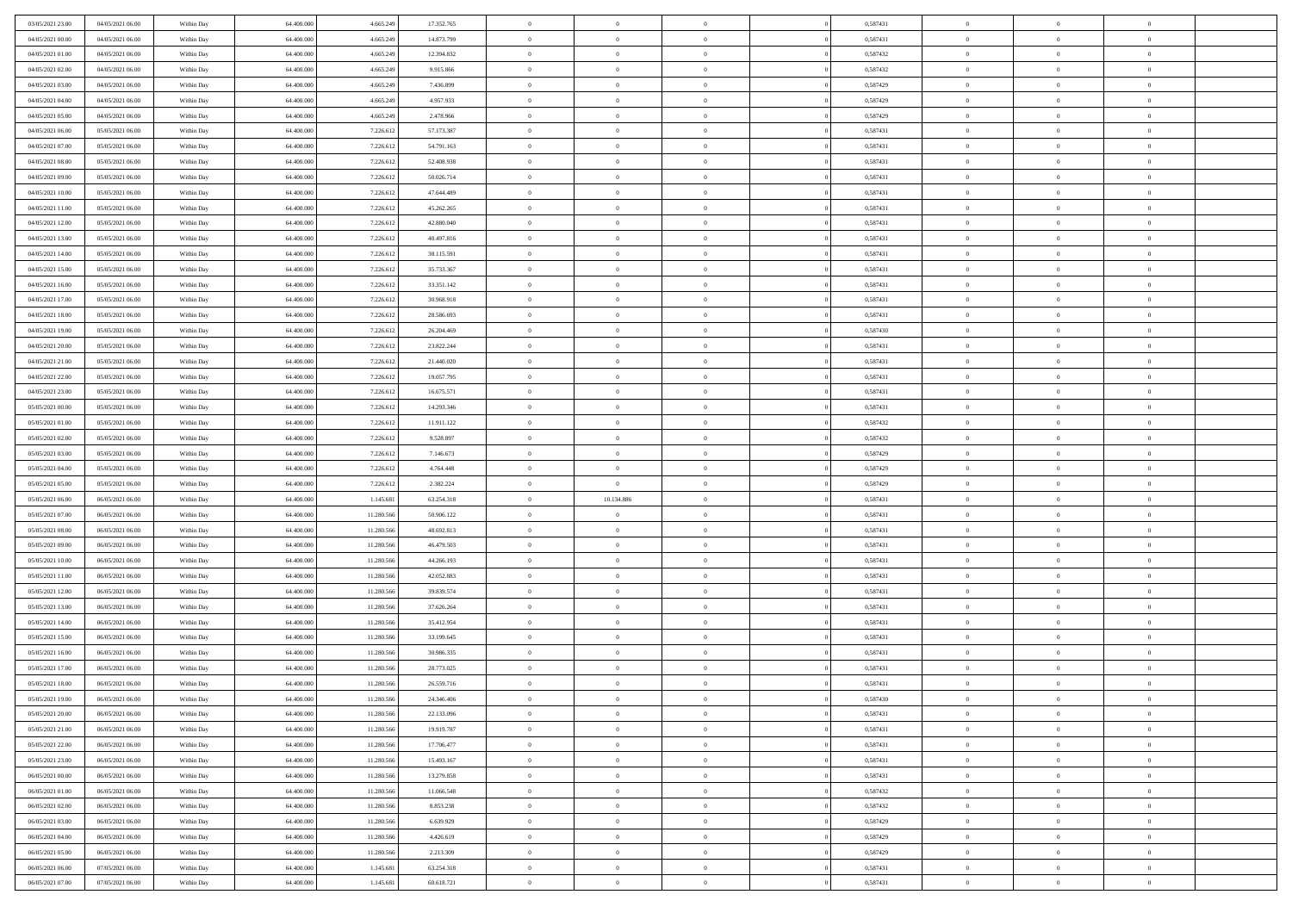| 03/05/2021 23:00 | 04/05/2021 06:00 | Within Day | 64,400,000 | 4.665.249  | 17.352.765 | $\overline{0}$ | $\overline{0}$ | $\Omega$       | 0,587431 | $\bf{0}$       | $\mathbf{0}$   | $\bf{0}$       |  |
|------------------|------------------|------------|------------|------------|------------|----------------|----------------|----------------|----------|----------------|----------------|----------------|--|
| 04/05/2021 00:00 | 04/05/2021 06:00 | Within Day | 64.400.000 | 4.665.249  | 14.873.799 | $\mathbf{0}$   | $\overline{0}$ | $\overline{0}$ | 0,587431 | $\overline{0}$ | $\overline{0}$ | $\theta$       |  |
| 04/05/2021 01:00 | 04/05/2021 06:00 | Within Day | 64.400.000 | 4.665.249  | 12.394.832 | $\,$ 0         | $\overline{0}$ | $\bf{0}$       | 0,587432 | $\,$ 0         | $\overline{0}$ | $\,$ 0 $\,$    |  |
| 04/05/2021 02.00 | 04/05/2021 06:00 | Within Day | 64,400,000 | 4.665.249  | 9.915.866  | $\bf{0}$       | $\overline{0}$ | $\Omega$       | 0,587432 | $\bf{0}$       | $\mathbf{0}$   | $\theta$       |  |
| 04/05/2021 03:00 | 04/05/2021 06:00 | Within Day | 64.400.000 | 4.665.249  | 7.436.899  | $\bf{0}$       | $\overline{0}$ | $\overline{0}$ | 0,587429 | $\mathbf{0}$   | $\overline{0}$ | $\overline{0}$ |  |
| 04/05/2021 04:00 | 04/05/2021 06:00 | Within Day | 64.400.000 | 4.665.249  | 4.957.933  | $\bf{0}$       | $\overline{0}$ | $\bf{0}$       | 0,587429 | $\,$ 0         | $\overline{0}$ | $\,$ 0 $\,$    |  |
| 04/05/2021 05:00 | 04/05/2021 06:00 | Within Day | 64,400,000 | 4.665.249  | 2.478.966  | $\bf{0}$       | $\overline{0}$ | $\Omega$       | 0,587429 | $\theta$       | $\mathbf{0}$   | $\theta$       |  |
| 04/05/2021 06:00 | 05/05/2021 06:00 | Within Day | 64.400.000 | 7.226.612  | 57.173.387 | $\overline{0}$ | $\overline{0}$ | $\overline{0}$ | 0,587431 | $\mathbf{0}$   | $\overline{0}$ | $\overline{0}$ |  |
| 04/05/2021 07:00 | 05/05/2021 06:00 | Within Day | 64.400.000 | 7.226.612  | 54.791.163 | $\bf{0}$       | $\overline{0}$ | $\bf{0}$       | 0,587431 | $\,$ 0         | $\overline{0}$ | $\,$ 0 $\,$    |  |
| 04/05/2021 08:00 | 05/05/2021 06:00 | Within Day | 64,400,000 | 7.226.612  | 52.408.938 | $\bf{0}$       | $\overline{0}$ | $\Omega$       | 0.587431 | $\bf{0}$       | $\mathbf{0}$   | $\theta$       |  |
| 04/05/2021 09:00 | 05/05/2021 06:00 | Within Day | 64.400.000 | 7.226.612  | 50.026.714 | $\overline{0}$ | $\overline{0}$ | $\overline{0}$ | 0,587431 | $\overline{0}$ | $\overline{0}$ | $\overline{0}$ |  |
| 04/05/2021 10:00 | 05/05/2021 06:00 | Within Day | 64.400.000 | 7.226.612  | 47.644.489 | $\,$ 0         | $\overline{0}$ | $\bf{0}$       | 0,587431 | $\,$ 0         | $\overline{0}$ | $\,$ 0 $\,$    |  |
| 04/05/2021 11:00 | 05/05/2021 06:00 | Within Day | 64.400.000 | 7.226.612  | 45.262.265 | $\bf{0}$       | $\overline{0}$ | $\Omega$       | 0.587431 | $\overline{0}$ | $\mathbf{0}$   | $\theta$       |  |
| 04/05/2021 12:00 | 05/05/2021 06:00 | Within Dav | 64.400.000 | 7.226.612  | 42.880.040 | $\overline{0}$ | $\overline{0}$ | $\overline{0}$ | 0,587431 | $\mathbf{0}$   | $\overline{0}$ | $\overline{0}$ |  |
| 04/05/2021 13:00 | 05/05/2021 06:00 | Within Day | 64.400.000 | 7.226.612  | 40.497.816 | $\bf{0}$       | $\overline{0}$ | $\bf{0}$       | 0,587431 | $\,$ 0         | $\overline{0}$ | $\,$ 0 $\,$    |  |
| 04/05/2021 14:00 | 05/05/2021 06:00 | Within Day | 64,400,000 | 7.226.612  | 38.115.591 | $\bf{0}$       | $\overline{0}$ | $\overline{0}$ | 0.587431 | $\bf{0}$       | $\mathbf{0}$   | $\bf{0}$       |  |
| 04/05/2021 15:00 | 05/05/2021 06:00 | Within Day | 64.400.000 | 7.226.612  | 35.733.367 | $\overline{0}$ | $\overline{0}$ | $\overline{0}$ | 0,587431 | $\mathbf{0}$   | $\overline{0}$ | $\overline{0}$ |  |
| 04/05/2021 16:00 | 05/05/2021 06:00 | Within Day | 64.400.000 | 7.226.612  | 33.351.142 | $\bf{0}$       | $\overline{0}$ | $\bf{0}$       | 0,587431 | $\,$ 0         | $\overline{0}$ | $\,0\,$        |  |
| 04/05/2021 17:00 | 05/05/2021 06:00 | Within Day | 64,400,000 | 7.226.612  | 30.968.918 | $\bf{0}$       | $\overline{0}$ | $\Omega$       | 0.587431 | $\theta$       | $\mathbf{0}$   | $\theta$       |  |
| 04/05/2021 18:00 | 05/05/2021 06:00 | Within Day | 64.400.000 | 7.226.612  | 28.586.693 | $\overline{0}$ | $\overline{0}$ | $\overline{0}$ | 0,587431 | $\mathbf{0}$   | $\overline{0}$ | $\overline{0}$ |  |
| 04/05/2021 19:00 | 05/05/2021 06:00 | Within Day | 64.400.000 | 7.226.612  | 26.204.469 | $\bf{0}$       | $\overline{0}$ | $\bf{0}$       | 0,587430 | $\,$ 0         | $\overline{0}$ | $\,$ 0 $\,$    |  |
| 04/05/2021 20:00 | 05/05/2021 06:00 | Within Day | 64,400,000 | 7.226.612  | 23.822.244 | $\bf{0}$       | $\overline{0}$ | $\Omega$       | 0.587431 | $\bf{0}$       | $\theta$       | $\theta$       |  |
| 04/05/2021 21:00 | 05/05/2021 06:00 | Within Dav | 64.400.000 | 7.226.612  | 21.440.020 | $\overline{0}$ | $\overline{0}$ | $\overline{0}$ | 0,587431 | $\mathbf{0}$   | $\overline{0}$ | $\overline{0}$ |  |
| 04/05/2021 22.00 | 05/05/2021 06:00 | Within Day | 64.400.000 | 7.226.612  | 19.057.795 | $\bf{0}$       | $\overline{0}$ | $\bf{0}$       | 0,587431 | $\,$ 0         | $\overline{0}$ | $\,$ 0 $\,$    |  |
| 04/05/2021 23.00 | 05/05/2021 06:00 | Within Day | 64,400,000 | 7.226.612  | 16.675.571 | $\bf{0}$       | $\overline{0}$ | $\overline{0}$ | 0,587431 | $\bf{0}$       | $\overline{0}$ | $\theta$       |  |
| 05/05/2021 00:00 | 05/05/2021 06:00 | Within Day | 64.400.000 | 7.226.612  | 14.293.346 | $\overline{0}$ | $\overline{0}$ | $\overline{0}$ | 0,587431 | $\overline{0}$ | $\overline{0}$ | $\overline{0}$ |  |
| 05/05/2021 01:00 | 05/05/2021 06:00 | Within Day | 64.400.000 | 7.226.612  | 11.911.122 | $\bf{0}$       | $\overline{0}$ | $\bf{0}$       | 0,587432 | $\,$ 0         | $\overline{0}$ | $\,$ 0 $\,$    |  |
| 05/05/2021 02:00 | 05/05/2021 06:00 | Within Day | 64,400,000 | 7.226.612  | 9.528.897  | $\bf{0}$       | $\overline{0}$ | $\Omega$       | 0.587432 | $\bf{0}$       | $\mathbf{0}$   | $\theta$       |  |
|                  |                  |            |            |            |            |                |                |                |          |                |                |                |  |
| 05/05/2021 03:00 | 05/05/2021 06:00 | Within Day | 64.400.000 | 7.226.612  | 7.146.673  | $\overline{0}$ | $\overline{0}$ | $\overline{0}$ | 0,587429 | $\mathbf{0}$   | $\overline{0}$ | $\overline{0}$ |  |
| 05/05/2021 04:00 | 05/05/2021 06:00 | Within Day | 64.400.000 | 7.226.612  | 4.764.448  | $\bf{0}$       | $\overline{0}$ | $\bf{0}$       | 0,587429 | $\,$ 0         | $\overline{0}$ | $\,$ 0 $\,$    |  |
| 05/05/2021 05:00 | 05/05/2021 06:00 | Within Day | 64.400.000 | 7.226.612  | 2.382.224  | $\bf{0}$       | $\overline{0}$ | $\overline{0}$ | 0,587429 | $\bf{0}$       | $\overline{0}$ | $\,0\,$        |  |
| 05/05/2021 06:00 | 06/05/2021 06:00 | Within Dav | 64.400.000 | 1.145.681  | 63.254.318 | $\overline{0}$ | 10.134.886     | $\overline{0}$ | 0,587431 | $\mathbf{0}$   | $\overline{0}$ | $\overline{0}$ |  |
| 05/05/2021 07:00 | 06/05/2021 06:00 | Within Day | 64.400.000 | 11.280.566 | 50.906.122 | $\bf{0}$       | $\overline{0}$ | $\bf{0}$       | 0,587431 | $\,$ 0         | $\overline{0}$ | $\,$ 0 $\,$    |  |
| 05/05/2021 08:00 | 06/05/2021 06:00 | Within Day | 64.400.000 | 11.280.566 | 48.692.813 | $\bf{0}$       | $\bf{0}$       | $\overline{0}$ | 0,587431 | $\bf{0}$       | $\overline{0}$ | $\,0\,$        |  |
| 05/05/2021 09:00 | 06/05/2021 06:00 | Within Day | 64.400.000 | 11.280.566 | 46.479.503 | $\mathbf{0}$   | $\overline{0}$ | $\overline{0}$ | 0,587431 | $\overline{0}$ | $\overline{0}$ | $\overline{0}$ |  |
| 05/05/2021 10:00 | 06/05/2021 06:00 | Within Day | 64.400.000 | 11.280.566 | 44.266.193 | $\bf{0}$       | $\overline{0}$ | $\bf{0}$       | 0,587431 | $\,$ 0         | $\overline{0}$ | $\,$ 0 $\,$    |  |
| 05/05/2021 11:00 | 06/05/2021 06:00 | Within Day | 64.400.000 | 11.280.566 | 42.052.883 | $\,$ 0         | $\bf{0}$       | $\overline{0}$ | 0,587431 | $\bf{0}$       | $\overline{0}$ | $\,0\,$        |  |
| 05/05/2021 12:00 | 06/05/2021 06:00 | Within Day | 64.400.000 | 11.280.566 | 39.839.574 | $\overline{0}$ | $\overline{0}$ | $\overline{0}$ | 0,587431 | $\mathbf{0}$   | $\overline{0}$ | $\overline{0}$ |  |
| 05/05/2021 13:00 | 06/05/2021 06:00 | Within Day | 64.400.000 | 11.280.566 | 37.626.264 | $\bf{0}$       | $\overline{0}$ | $\bf{0}$       | 0,587431 | $\,$ 0         | $\overline{0}$ | $\,$ 0 $\,$    |  |
| 05/05/2021 14:00 | 06/05/2021 06:00 | Within Day | 64.400.000 | 11.280.566 | 35.412.954 | $\bf{0}$       | $\bf{0}$       | $\overline{0}$ | 0,587431 | $\bf{0}$       | $\overline{0}$ | $\,0\,$        |  |
| 05/05/2021 15:00 | 06/05/2021 06:00 | Within Day | 64.400.000 | 11.280.566 | 33.199.645 | $\overline{0}$ | $\overline{0}$ | $\overline{0}$ | 0,587431 | $\overline{0}$ | $\overline{0}$ | $\overline{0}$ |  |
| 05/05/2021 16:00 | 06/05/2021 06:00 | Within Day | 64.400.000 | 11.280.566 | 30.986.335 | $\bf{0}$       | $\overline{0}$ | $\bf{0}$       | 0,587431 | $\,$ 0         | $\overline{0}$ | $\,$ 0 $\,$    |  |
| 05/05/2021 17:00 | 06/05/2021 06:00 | Within Day | 64.400.000 | 11.280.566 | 28.773.025 | $\bf{0}$       | $\bf{0}$       | $\bf{0}$       | 0,587431 | $\bf{0}$       | $\overline{0}$ | $\,0\,$        |  |
| 05/05/2021 18:00 | 06/05/2021 06:00 | Within Day | 64.400.000 | 11.280.566 | 26.559.716 | $\mathbf{0}$   | $\overline{0}$ | $\overline{0}$ | 0,587431 | $\overline{0}$ | $\overline{0}$ | $\overline{0}$ |  |
| 05/05/2021 19:00 | 06/05/2021 06:00 | Within Day | 64.400.000 | 11.280.566 | 24.346.406 | $\bf{0}$       | $\overline{0}$ | $\theta$       | 0,587430 | $\overline{0}$ | $\theta$       | $\theta$       |  |
| 05/05/2021 20:00 | 06/05/2021 06:00 | Within Day | 64.400.000 | 11.280.566 | 22.133.096 | $\bf{0}$       | $\bf{0}$       | $\bf{0}$       | 0,587431 | $\bf{0}$       | $\overline{0}$ | $\,0\,$        |  |
| 05/05/2021 21:00 | 06/05/2021 06:00 | Within Day | 64.400.000 | 11.280.566 | 19.919.787 | $\overline{0}$ | $\overline{0}$ | $\overline{0}$ | 0,587431 | $\overline{0}$ | $\bf{0}$       | $\overline{0}$ |  |
| 05/05/2021 22.00 | 06/05/2021 06:00 | Within Day | 64.400.000 | 11.280.566 | 17.706.477 | $\,$ 0 $\,$    | $\overline{0}$ | $\overline{0}$ | 0,587431 | $\mathbf{0}$   | $\,$ 0 $\,$    | $\,$ 0 $\,$    |  |
| 05/05/2021 23:00 | 06/05/2021 06:00 | Within Day | 64.400.000 | 11.280.566 | 15.493.167 | $\bf{0}$       | $\bf{0}$       | $\overline{0}$ | 0,587431 | $\bf{0}$       | $\overline{0}$ | $\bf{0}$       |  |
| 06/05/2021 00:00 | 06/05/2021 06:00 | Within Day | 64.400.000 | 11.280.566 | 13.279.858 | $\bf{0}$       | $\overline{0}$ | $\overline{0}$ | 0,587431 | $\overline{0}$ | $\overline{0}$ | $\overline{0}$ |  |
| 06/05/2021 01:00 | 06/05/2021 06:00 | Within Day | 64.400.000 | 11.280.566 | 11.066.548 | $\,$ 0 $\,$    | $\overline{0}$ | $\overline{0}$ | 0,587432 | $\,$ 0 $\,$    | $\overline{0}$ | $\,$ 0 $\,$    |  |
| 06/05/2021 02:00 | 06/05/2021 06:00 | Within Day | 64.400.000 | 11.280.566 | 8.853.238  | $\bf{0}$       | $\overline{0}$ | $\overline{0}$ | 0,587432 | $\bf{0}$       | $\overline{0}$ | $\overline{0}$ |  |
| 06/05/2021 03:00 | 06/05/2021 06:00 | Within Day | 64.400.000 | 11.280.566 | 6.639.929  | $\overline{0}$ | $\overline{0}$ | $\overline{0}$ | 0,587429 | $\overline{0}$ | $\bf{0}$       | $\overline{0}$ |  |
| 06/05/2021 04:00 | 06/05/2021 06:00 | Within Day | 64.400.000 | 11.280.566 | 4.426.619  | $\,$ 0 $\,$    | $\overline{0}$ | $\overline{0}$ | 0,587429 | $\,$ 0 $\,$    | $\overline{0}$ | $\,$ 0 $\,$    |  |
| 06/05/2021 05:00 | 06/05/2021 06:00 | Within Day | 64.400.000 | 11.280.566 | 2.213.309  | $\bf{0}$       | $\bf{0}$       | $\overline{0}$ | 0,587429 | $\mathbf{0}$   | $\overline{0}$ | $\bf{0}$       |  |
| 06/05/2021 06:00 | 07/05/2021 06:00 | Within Day | 64.400.000 | 1.145.681  | 63.254.318 | $\bf{0}$       | $\overline{0}$ | $\overline{0}$ | 0,587431 | $\mathbf{0}$   | $\bf{0}$       | $\overline{0}$ |  |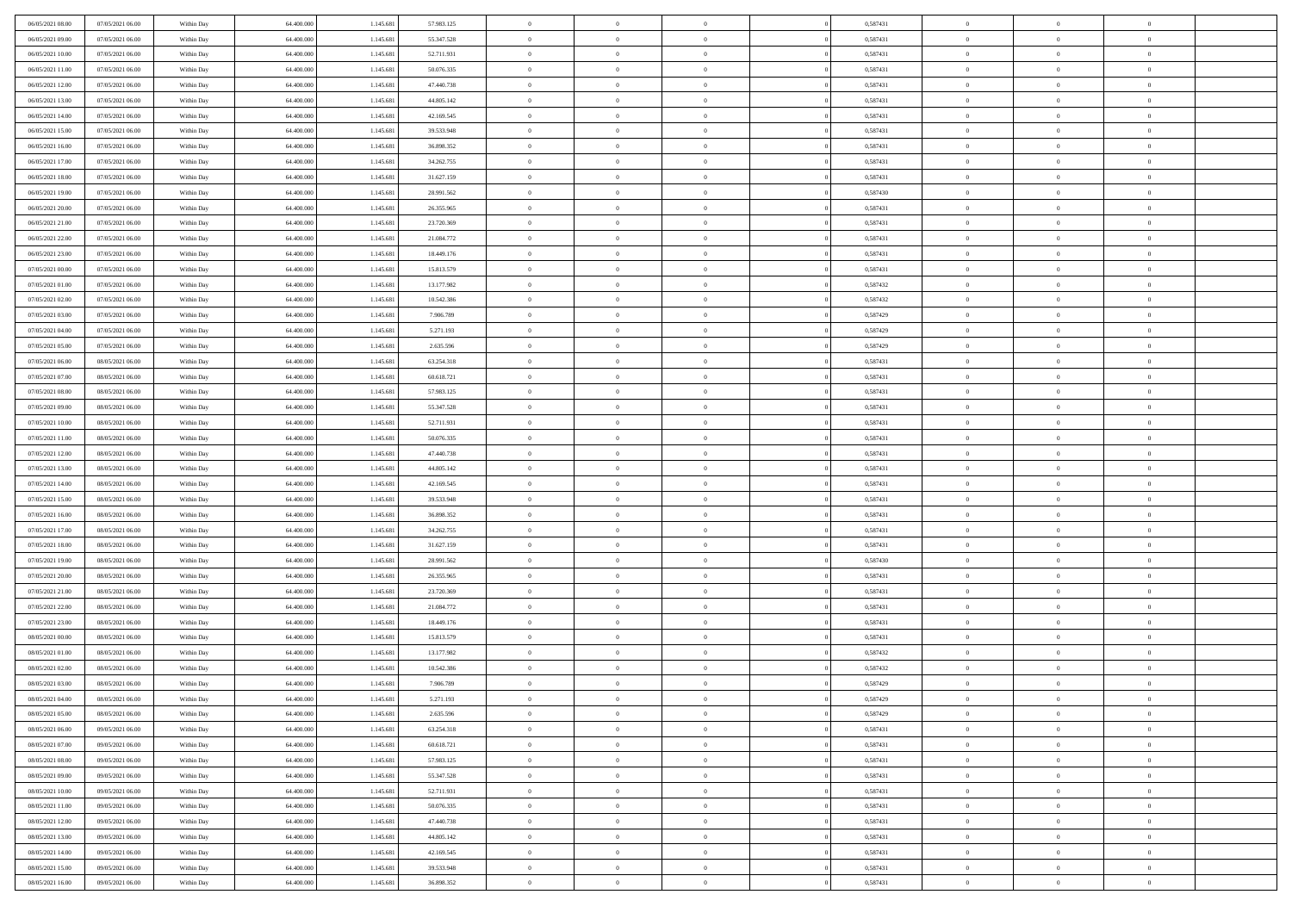| 06/05/2021 08:00 | 07/05/2021 06:00 | Within Day | 64,400,000 | 1.145.681 | 57.983.125 | $\overline{0}$ | $\overline{0}$ | $\Omega$       | 0,587431 | $\bf{0}$       | $\mathbf{0}$   | $\bf{0}$       |  |
|------------------|------------------|------------|------------|-----------|------------|----------------|----------------|----------------|----------|----------------|----------------|----------------|--|
| 06/05/2021 09:00 | 07/05/2021 06:00 | Within Day | 64.400.000 | 1.145.681 | 55.347.528 | $\mathbf{0}$   | $\overline{0}$ | $\overline{0}$ | 0,587431 | $\overline{0}$ | $\overline{0}$ | $\theta$       |  |
| 06/05/2021 10:00 | 07/05/2021 06:00 | Within Day | 64.400.000 | 1.145.681 | 52.711.931 | $\,$ 0         | $\overline{0}$ | $\bf{0}$       | 0,587431 | $\,$ 0         | $\overline{0}$ | $\,$ 0 $\,$    |  |
| 06/05/2021 11:00 | 07/05/2021 06:00 | Within Day | 64,400,000 | 1.145.681 | 50.076.335 | $\bf{0}$       | $\overline{0}$ | $\Omega$       | 0.587431 | $\bf{0}$       | $\mathbf{0}$   | $\theta$       |  |
| 06/05/2021 12:00 | 07/05/2021 06:00 | Within Day | 64.400.000 | 1.145.681 | 47.440.738 | $\bf{0}$       | $\overline{0}$ | $\overline{0}$ | 0,587431 | $\mathbf{0}$   | $\overline{0}$ | $\overline{0}$ |  |
| 06/05/2021 13:00 | 07/05/2021 06:00 | Within Day | 64.400.000 | 1.145.681 | 44.805.142 | $\bf{0}$       | $\overline{0}$ | $\bf{0}$       | 0,587431 | $\,$ 0         | $\overline{0}$ | $\,$ 0 $\,$    |  |
| 06/05/2021 14:00 | 07/05/2021 06:00 | Within Day | 64,400,000 | 1.145.681 | 42.169.545 | $\bf{0}$       | $\overline{0}$ | $\Omega$       | 0.587431 | $\overline{0}$ | $\mathbf{0}$   | $\theta$       |  |
| 06/05/2021 15:00 | 07/05/2021 06:00 | Within Dav | 64.400.000 | 1.145.681 | 39.533.948 | $\overline{0}$ | $\overline{0}$ | $\overline{0}$ | 0,587431 | $\mathbf{0}$   | $\overline{0}$ | $\overline{0}$ |  |
| 06/05/2021 16:00 | 07/05/2021 06:00 | Within Day | 64.400.000 | 1.145.681 | 36.898.352 | $\bf{0}$       | $\overline{0}$ | $\bf{0}$       | 0,587431 | $\,$ 0         | $\overline{0}$ | $\,$ 0 $\,$    |  |
| 06/05/2021 17:00 | 07/05/2021 06:00 | Within Day | 64,400,000 | 1.145.681 | 34.262.755 | $\bf{0}$       | $\overline{0}$ | $\Omega$       | 0.587431 | $\bf{0}$       | $\mathbf{0}$   | $\theta$       |  |
| 06/05/2021 18:00 | 07/05/2021 06:00 | Within Day | 64.400.000 | 1.145.681 | 31.627.159 | $\overline{0}$ | $\overline{0}$ | $\overline{0}$ | 0,587431 | $\overline{0}$ | $\overline{0}$ | $\overline{0}$ |  |
| 06/05/2021 19:00 | 07/05/2021 06:00 | Within Day | 64.400.000 | 1.145.681 | 28.991.562 | $\,$ 0         | $\overline{0}$ | $\bf{0}$       | 0,587430 | $\,$ 0         | $\overline{0}$ | $\,$ 0 $\,$    |  |
| 06/05/2021 20:00 | 07/05/2021 06:00 | Within Day | 64.400.000 | 1.145.681 | 26.355.965 | $\bf{0}$       | $\overline{0}$ | $\Omega$       | 0.587431 | $\overline{0}$ | $\mathbf{0}$   | $\theta$       |  |
| 06/05/2021 21:00 | 07/05/2021 06:00 | Within Dav | 64.400.000 | 1.145.681 | 23.720.369 | $\overline{0}$ | $\overline{0}$ | $\overline{0}$ | 0,587431 | $\mathbf{0}$   | $\overline{0}$ | $\overline{0}$ |  |
| 06/05/2021 22.00 | 07/05/2021 06:00 | Within Day | 64.400.000 | 1.145.681 | 21.084.772 | $\bf{0}$       | $\overline{0}$ | $\bf{0}$       | 0,587431 | $\,$ 0         | $\overline{0}$ | $\,$ 0 $\,$    |  |
| 06/05/2021 23.00 | 07/05/2021 06:00 | Within Day | 64,400,000 | 1.145.681 | 18.449.176 | $\bf{0}$       | $\overline{0}$ | $\overline{0}$ | 0.587431 | $\bf{0}$       | $\mathbf{0}$   | $\bf{0}$       |  |
| 07/05/2021 00:00 | 07/05/2021 06:00 | Within Day | 64.400.000 | 1.145.681 | 15.813.579 | $\overline{0}$ | $\overline{0}$ | $\overline{0}$ | 0,587431 | $\mathbf{0}$   | $\overline{0}$ | $\overline{0}$ |  |
| 07/05/2021 01:00 | 07/05/2021 06:00 | Within Day | 64.400.000 | 1.145.681 | 13.177.982 | $\bf{0}$       | $\overline{0}$ | $\bf{0}$       | 0,587432 | $\,$ 0         | $\overline{0}$ | $\,$ 0 $\,$    |  |
| 07/05/2021 02:00 | 07/05/2021 06:00 | Within Day | 64,400,000 | 1.145.681 | 10.542.386 | $\bf{0}$       | $\overline{0}$ | $\Omega$       | 0.587432 | $\overline{0}$ | $\mathbf{0}$   | $\theta$       |  |
| 07/05/2021 03:00 | 07/05/2021 06:00 | Within Day | 64.400.000 | 1.145.681 | 7.906.789  | $\overline{0}$ | $\overline{0}$ | $\overline{0}$ | 0,587429 | $\mathbf{0}$   | $\overline{0}$ | $\overline{0}$ |  |
| 07/05/2021 04:00 | 07/05/2021 06:00 | Within Day | 64.400.000 | 1.145.681 | 5.271.193  | $\bf{0}$       | $\overline{0}$ | $\bf{0}$       | 0,587429 | $\,$ 0         | $\overline{0}$ | $\,$ 0 $\,$    |  |
| 07/05/2021 05:00 | 07/05/2021 06:00 | Within Day | 64,400,000 | 1.145.681 | 2.635.596  | $\bf{0}$       | $\overline{0}$ | $\Omega$       | 0.587429 | $\bf{0}$       | $\theta$       | $\theta$       |  |
| 07/05/2021 06:00 | 08/05/2021 06:00 | Within Dav | 64.400.000 | 1.145.681 | 63.254.318 | $\overline{0}$ | $\overline{0}$ | $\overline{0}$ | 0,587431 | $\mathbf{0}$   | $\overline{0}$ | $\overline{0}$ |  |
| 07/05/2021 07:00 | 08/05/2021 06:00 | Within Day | 64.400.000 | 1.145.681 | 60.618.721 | $\bf{0}$       | $\overline{0}$ | $\bf{0}$       | 0,587431 | $\,$ 0         | $\overline{0}$ | $\,$ 0 $\,$    |  |
| 07/05/2021 08:00 | 08/05/2021 06:00 | Within Day | 64,400,000 | 1.145.681 | 57.983.125 | $\bf{0}$       | $\overline{0}$ | $\overline{0}$ | 0,587431 | $\bf{0}$       | $\overline{0}$ | $\theta$       |  |
| 07/05/2021 09:00 | 08/05/2021 06:00 | Within Day | 64.400.000 | 1.145.681 | 55.347.528 | $\overline{0}$ | $\overline{0}$ | $\overline{0}$ | 0,587431 | $\overline{0}$ | $\overline{0}$ | $\overline{0}$ |  |
| 07/05/2021 10:00 | 08/05/2021 06:00 | Within Day | 64.400.000 | 1.145.681 | 52.711.931 | $\bf{0}$       | $\overline{0}$ | $\bf{0}$       | 0,587431 | $\,$ 0         | $\overline{0}$ | $\,$ 0 $\,$    |  |
| 07/05/2021 11:00 | 08/05/2021 06:00 | Within Day | 64,400,000 | 1.145.681 | 50.076.335 | $\bf{0}$       | $\overline{0}$ | $\Omega$       | 0.587431 | $\bf{0}$       | $\mathbf{0}$   | $\theta$       |  |
| 07/05/2021 12:00 | 08/05/2021 06:00 | Within Day | 64.400.000 | 1.145.681 | 47.440.738 | $\overline{0}$ | $\overline{0}$ | $\overline{0}$ | 0,587431 | $\mathbf{0}$   | $\overline{0}$ | $\overline{0}$ |  |
| 07/05/2021 13:00 | 08/05/2021 06:00 | Within Day | 64.400.000 | 1.145.681 | 44.805.142 | $\bf{0}$       | $\overline{0}$ | $\bf{0}$       | 0,587431 | $\,$ 0         | $\overline{0}$ | $\,$ 0 $\,$    |  |
| 07/05/2021 14:00 | 08/05/2021 06:00 | Within Day | 64.400.000 | 1.145.681 | 42.169.545 | $\,$ 0         | $\bf{0}$       | $\overline{0}$ | 0,587431 | $\bf{0}$       | $\overline{0}$ | $\,0\,$        |  |
| 07/05/2021 15:00 | 08/05/2021 06:00 | Within Dav | 64.400.000 | 1.145.681 | 39.533.948 | $\overline{0}$ | $\overline{0}$ | $\overline{0}$ | 0,587431 | $\mathbf{0}$   | $\overline{0}$ | $\overline{0}$ |  |
| 07/05/2021 16:00 | 08/05/2021 06:00 | Within Day | 64.400.000 | 1.145.681 | 36.898.352 | $\bf{0}$       | $\overline{0}$ | $\bf{0}$       | 0,587431 | $\,$ 0         | $\overline{0}$ | $\,$ 0 $\,$    |  |
| 07/05/2021 17:00 | 08/05/2021 06:00 | Within Day | 64.400.000 | 1.145.681 | 34.262.755 | $\bf{0}$       | $\bf{0}$       | $\bf{0}$       | 0,587431 | $\bf{0}$       | $\overline{0}$ | $\,0\,$        |  |
| 07/05/2021 18:00 | 08/05/2021 06:00 | Within Day | 64.400.000 | 1.145.681 | 31.627.159 | $\mathbf{0}$   | $\overline{0}$ | $\overline{0}$ | 0,587431 | $\overline{0}$ | $\overline{0}$ | $\overline{0}$ |  |
| 07/05/2021 19:00 | 08/05/2021 06:00 | Within Day | 64.400.000 | 1.145.681 | 28.991.562 | $\bf{0}$       | $\overline{0}$ | $\bf{0}$       | 0,587430 | $\,$ 0         | $\overline{0}$ | $\,$ 0 $\,$    |  |
| 07/05/2021 20:00 | 08/05/2021 06:00 | Within Day | 64.400.000 | 1.145.681 | 26.355.965 | $\,$ 0         | $\bf{0}$       | $\overline{0}$ | 0,587431 | $\bf{0}$       | $\overline{0}$ | $\,0\,$        |  |
| 07/05/2021 21:00 | 08/05/2021 06:00 | Within Day | 64.400.000 | 1.145.681 | 23.720.369 | $\overline{0}$ | $\overline{0}$ | $\overline{0}$ | 0,587431 | $\mathbf{0}$   | $\overline{0}$ | $\overline{0}$ |  |
| 07/05/2021 22.00 | 08/05/2021 06:00 | Within Day | 64.400.000 | 1.145.681 | 21.084.772 | $\bf{0}$       | $\overline{0}$ | $\bf{0}$       | 0,587431 | $\,$ 0         | $\overline{0}$ | $\,$ 0 $\,$    |  |
| 07/05/2021 23.00 | 08/05/2021 06:00 | Within Day | 64.400.000 | 1.145.681 | 18.449.176 | $\bf{0}$       | $\bf{0}$       | $\overline{0}$ | 0,587431 | $\bf{0}$       | $\overline{0}$ | $\,0\,$        |  |
| 08/05/2021 00:00 | 08/05/2021 06:00 | Within Dav | 64.400.000 | 1.145.681 | 15.813.579 | $\overline{0}$ | $\overline{0}$ | $\overline{0}$ | 0,587431 | $\overline{0}$ | $\overline{0}$ | $\overline{0}$ |  |
| 08/05/2021 01:00 | 08/05/2021 06:00 | Within Day | 64.400.000 | 1.145.681 | 13.177.982 | $\bf{0}$       | $\overline{0}$ | $\bf{0}$       | 0,587432 | $\,$ 0         | $\overline{0}$ | $\,$ 0 $\,$    |  |
| 08/05/2021 02:00 | 08/05/2021 06:00 | Within Day | 64.400.000 | 1.145.681 | 10.542.386 | $\bf{0}$       | $\bf{0}$       | $\bf{0}$       | 0,587432 | $\bf{0}$       | $\overline{0}$ | $\,0\,$        |  |
| 08/05/2021 03:00 | 08/05/2021 06:00 | Within Day | 64.400.000 | 1.145.681 | 7.906.789  | $\mathbf{0}$   | $\overline{0}$ | $\overline{0}$ | 0,587429 | $\overline{0}$ | $\overline{0}$ | $\overline{0}$ |  |
| 08/05/2021 04:00 | 08/05/2021 06:00 | Within Day | 64.400.000 | 1.145.681 | 5.271.193  | $\bf{0}$       | $\overline{0}$ | $\theta$       | 0,587429 | $\overline{0}$ | $\theta$       | $\theta$       |  |
| 08/05/2021 05:00 | 08/05/2021 06:00 | Within Day | 64.400.000 | 1.145.681 | 2.635.596  | $\bf{0}$       | $\bf{0}$       | $\bf{0}$       | 0,587429 | $\bf{0}$       | $\overline{0}$ | $\,0\,$        |  |
| 08/05/2021 06:00 | 09/05/2021 06:00 | Within Day | 64.400.000 | 1.145.681 | 63.254.318 | $\overline{0}$ | $\overline{0}$ | $\overline{0}$ | 0,587431 | $\overline{0}$ | $\bf{0}$       | $\overline{0}$ |  |
| 08/05/2021 07:00 | 09/05/2021 06:00 | Within Day | 64.400.000 | 1.145.681 | 60.618.721 | $\,$ 0 $\,$    | $\overline{0}$ | $\overline{0}$ | 0,587431 | $\,$ 0 $\,$    | $\,$ 0 $\,$    | $\,$ 0 $\,$    |  |
| 08/05/2021 08:00 | 09/05/2021 06:00 | Within Day | 64.400.000 | 1.145.681 | 57.983.125 | $\bf{0}$       | $\bf{0}$       | $\overline{0}$ | 0,587431 | $\bf{0}$       | $\overline{0}$ | $\bf{0}$       |  |
| 08/05/2021 09:00 | 09/05/2021 06:00 | Within Day | 64.400.000 | 1.145.681 | 55.347.528 | $\bf{0}$       | $\overline{0}$ | $\overline{0}$ | 0,587431 | $\overline{0}$ | $\overline{0}$ | $\overline{0}$ |  |
| 08/05/2021 10:00 | 09/05/2021 06:00 | Within Day | 64.400.000 | 1.145.681 | 52.711.931 | $\,$ 0 $\,$    | $\overline{0}$ | $\overline{0}$ | 0,587431 | $\,$ 0 $\,$    | $\overline{0}$ | $\,$ 0 $\,$    |  |
| 08/05/2021 11:00 | 09/05/2021 06:00 | Within Day | 64.400.000 | 1.145.681 | 50.076.335 | $\bf{0}$       | $\overline{0}$ | $\overline{0}$ | 0,587431 | $\bf{0}$       | $\overline{0}$ | $\overline{0}$ |  |
| 08/05/2021 12:00 | 09/05/2021 06:00 | Within Day | 64.400.000 | 1.145.681 | 47.440.738 | $\overline{0}$ | $\overline{0}$ | $\overline{0}$ | 0,587431 | $\overline{0}$ | $\bf{0}$       | $\overline{0}$ |  |
| 08/05/2021 13:00 | 09/05/2021 06:00 | Within Day | 64.400.000 | 1.145.681 | 44.805.142 | $\,$ 0 $\,$    | $\overline{0}$ | $\overline{0}$ | 0,587431 | $\,$ 0 $\,$    | $\,$ 0 $\,$    | $\,$ 0 $\,$    |  |
| 08/05/2021 14:00 | 09/05/2021 06:00 | Within Day | 64.400.000 | 1.145.681 | 42.169.545 | $\bf{0}$       | $\bf{0}$       | $\overline{0}$ | 0,587431 | $\mathbf{0}$   | $\overline{0}$ | $\bf{0}$       |  |
| 08/05/2021 15:00 | 09/05/2021 06:00 | Within Day | 64.400.000 | 1.145.681 | 39.533.948 | $\bf{0}$       | $\overline{0}$ | $\overline{0}$ | 0,587431 | $\overline{0}$ | $\bf{0}$       | $\overline{0}$ |  |
| 08/05/2021 16:00 | 09/05/2021 06:00 | Within Day | 64.400.000 | 1.145.681 | 36.898.352 | $\,0\,$        | $\overline{0}$ | $\overline{0}$ | 0,587431 | $\,$ 0         | $\overline{0}$ | $\,$ 0 $\,$    |  |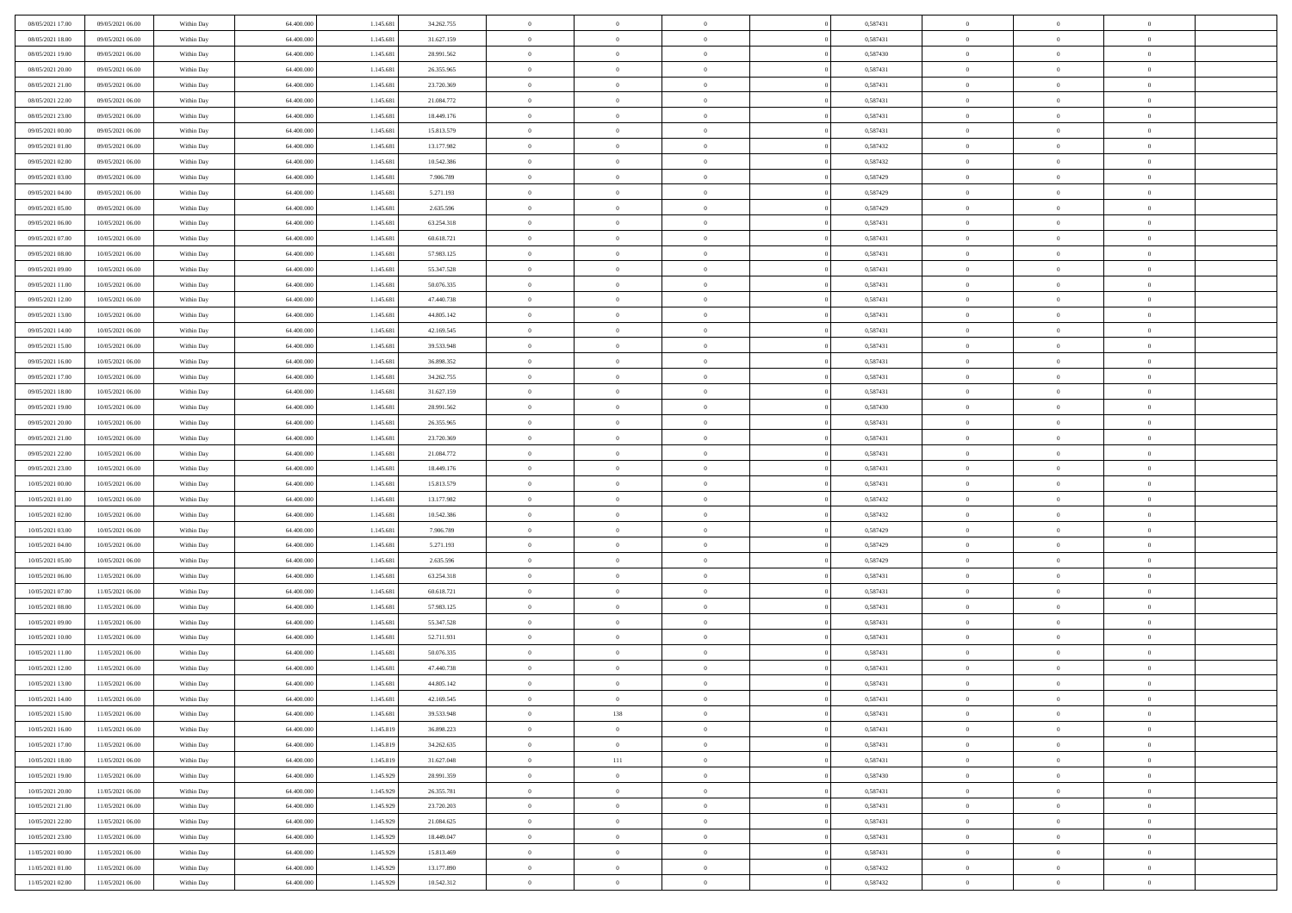| 08/05/2021 17:00 | 09/05/2021 06:00 | Within Day | 64,400,000 | 1.145.681 | 34.262.755 | $\overline{0}$ | $\overline{0}$ | $\Omega$       | 0,587431 | $\bf{0}$       | $\mathbf{0}$   | $\bf{0}$       |  |
|------------------|------------------|------------|------------|-----------|------------|----------------|----------------|----------------|----------|----------------|----------------|----------------|--|
| 08/05/2021 18:00 | 09/05/2021 06:00 | Within Day | 64.400.000 | 1.145.681 | 31.627.159 | $\mathbf{0}$   | $\overline{0}$ | $\overline{0}$ | 0,587431 | $\overline{0}$ | $\overline{0}$ | $\theta$       |  |
| 08/05/2021 19:00 | 09/05/2021 06:00 | Within Day | 64.400.000 | 1.145.681 | 28.991.562 | $\,$ 0         | $\overline{0}$ | $\bf{0}$       | 0,587430 | $\,$ 0         | $\overline{0}$ | $\,$ 0 $\,$    |  |
| 08/05/2021 20:00 | 09/05/2021 06:00 | Within Day | 64,400,000 | 1.145.681 | 26.355.965 | $\bf{0}$       | $\overline{0}$ | $\Omega$       | 0.587431 | $\bf{0}$       | $\mathbf{0}$   | $\theta$       |  |
| 08/05/2021 21:00 | 09/05/2021 06:00 | Within Day | 64.400.000 | 1.145.681 | 23.720.369 | $\bf{0}$       | $\overline{0}$ | $\overline{0}$ | 0,587431 | $\mathbf{0}$   | $\overline{0}$ | $\overline{0}$ |  |
| 08/05/2021 22:00 | 09/05/2021 06:00 | Within Day | 64.400.000 | 1.145.681 | 21.084.772 | $\bf{0}$       | $\overline{0}$ | $\bf{0}$       | 0,587431 | $\,$ 0         | $\overline{0}$ | $\,$ 0 $\,$    |  |
| 08/05/2021 23:00 | 09/05/2021 06:00 | Within Day | 64,400,000 | 1.145.681 | 18.449.176 | $\bf{0}$       | $\overline{0}$ | $\Omega$       | 0.587431 | $\theta$       | $\mathbf{0}$   | $\theta$       |  |
| 09/05/2021 00:00 | 09/05/2021 06:00 | Within Day | 64.400.000 | 1.145.681 | 15.813.579 | $\overline{0}$ | $\overline{0}$ | $\overline{0}$ | 0,587431 | $\mathbf{0}$   | $\overline{0}$ | $\overline{0}$ |  |
| 09/05/2021 01:00 | 09/05/2021 06:00 | Within Day | 64.400.000 | 1.145.681 | 13.177.982 | $\bf{0}$       | $\overline{0}$ | $\bf{0}$       | 0,587432 | $\,$ 0         | $\overline{0}$ | $\,$ 0 $\,$    |  |
| 09/05/2021 02:00 | 09/05/2021 06:00 | Within Day | 64,400,000 | 1.145.681 | 10.542.386 | $\bf{0}$       | $\overline{0}$ | $\Omega$       | 0.587432 | $\theta$       | $\mathbf{0}$   | $\theta$       |  |
| 09/05/2021 03:00 | 09/05/2021 06:00 | Within Day | 64.400.000 | 1.145.681 | 7.906.789  | $\overline{0}$ | $\overline{0}$ | $\overline{0}$ | 0,587429 | $\overline{0}$ | $\overline{0}$ | $\overline{0}$ |  |
| 09/05/2021 04:00 | 09/05/2021 06:00 | Within Day | 64.400.000 | 1.145.681 | 5.271.193  | $\bf{0}$       | $\overline{0}$ | $\bf{0}$       | 0,587429 | $\,$ 0         | $\overline{0}$ | $\,$ 0 $\,$    |  |
| 09/05/2021 05:00 | 09/05/2021 06:00 | Within Day | 64.400.000 | 1.145.681 | 2.635.596  | $\bf{0}$       | $\overline{0}$ | $\Omega$       | 0.587429 | $\overline{0}$ | $\mathbf{0}$   | $\theta$       |  |
| 09/05/2021 06:00 | 10/05/2021 06:00 | Within Dav | 64.400.000 | 1.145.681 | 63.254.318 | $\overline{0}$ | $\overline{0}$ | $\overline{0}$ | 0,587431 | $\mathbf{0}$   | $\overline{0}$ | $\overline{0}$ |  |
| 09/05/2021 07:00 | 10/05/2021 06:00 | Within Day | 64.400.000 | 1.145.681 | 60.618.721 | $\bf{0}$       | $\overline{0}$ | $\bf{0}$       | 0,587431 | $\,$ 0         | $\overline{0}$ | $\,$ 0 $\,$    |  |
| 09/05/2021 08:00 | 10/05/2021 06:00 | Within Day | 64,400,000 | 1.145.681 | 57.983.125 | $\bf{0}$       | $\overline{0}$ | $\overline{0}$ | 0.587431 | $\bf{0}$       | $\mathbf{0}$   | $\bf{0}$       |  |
| 09/05/2021 09:00 | 10/05/2021 06:00 | Within Day | 64.400.000 | 1.145.681 | 55.347.528 | $\overline{0}$ | $\overline{0}$ | $\overline{0}$ | 0,587431 | $\mathbf{0}$   | $\overline{0}$ | $\overline{0}$ |  |
| 09/05/2021 11:00 | 10/05/2021 06:00 | Within Day | 64.400.000 | 1.145.681 | 50.076.335 | $\bf{0}$       | $\overline{0}$ | $\bf{0}$       | 0,587431 | $\,$ 0         | $\overline{0}$ | $\,$ 0 $\,$    |  |
| 09/05/2021 12:00 | 10/05/2021 06:00 | Within Day | 64,400,000 | 1.145.681 | 47.440.738 | $\bf{0}$       | $\overline{0}$ | $\Omega$       | 0.587431 | $\theta$       | $\mathbf{0}$   | $\theta$       |  |
| 09/05/2021 13:00 | 10/05/2021 06:00 | Within Day | 64.400.000 | 1.145.681 | 44.805.142 | $\overline{0}$ | $\overline{0}$ | $\overline{0}$ | 0,587431 | $\mathbf{0}$   | $\overline{0}$ | $\overline{0}$ |  |
| 09/05/2021 14:00 | 10/05/2021 06:00 | Within Day | 64.400.000 | 1.145.681 | 42.169.545 | $\bf{0}$       | $\overline{0}$ | $\bf{0}$       | 0,587431 | $\,$ 0         | $\overline{0}$ | $\,$ 0 $\,$    |  |
| 09/05/2021 15:00 | 10/05/2021 06:00 | Within Day | 64,400,000 | 1.145.681 | 39.533.948 | $\bf{0}$       | $\overline{0}$ | $\Omega$       | 0.587431 | $\bf{0}$       | $\theta$       | $\theta$       |  |
| 09/05/2021 16:00 | 10/05/2021 06:00 | Within Dav | 64.400.000 | 1.145.681 | 36.898.352 | $\overline{0}$ | $\overline{0}$ | $\overline{0}$ | 0,587431 | $\mathbf{0}$   | $\overline{0}$ | $\overline{0}$ |  |
| 09/05/2021 17:00 | 10/05/2021 06:00 | Within Day | 64.400.000 | 1.145.681 | 34.262.755 | $\bf{0}$       | $\overline{0}$ | $\bf{0}$       | 0,587431 | $\,$ 0         | $\overline{0}$ | $\,$ 0 $\,$    |  |
| 09/05/2021 18:00 | 10/05/2021 06:00 | Within Day | 64,400,000 | 1.145.681 | 31.627.159 | $\bf{0}$       | $\overline{0}$ | $\overline{0}$ | 0,587431 | $\bf{0}$       | $\overline{0}$ | $\bf{0}$       |  |
| 09/05/2021 19:00 | 10/05/2021 06:00 | Within Day | 64.400.000 | 1.145.681 | 28.991.562 | $\overline{0}$ | $\overline{0}$ | $\overline{0}$ | 0,587430 | $\mathbf{0}$   | $\overline{0}$ | $\overline{0}$ |  |
| 09/05/2021 20:00 | 10/05/2021 06:00 | Within Day | 64.400.000 | 1.145.681 | 26.355.965 | $\bf{0}$       | $\overline{0}$ | $\bf{0}$       | 0,587431 | $\,$ 0         | $\overline{0}$ | $\,$ 0 $\,$    |  |
| 09/05/2021 21:00 | 10/05/2021 06:00 | Within Day | 64,400,000 | 1.145.681 | 23.720.369 | $\bf{0}$       | $\overline{0}$ | $\Omega$       | 0.587431 | $\theta$       | $\mathbf{0}$   | $\theta$       |  |
| 09/05/2021 22:00 | 10/05/2021 06:00 | Within Day | 64.400.000 | 1.145.681 | 21.084.772 | $\overline{0}$ | $\overline{0}$ | $\overline{0}$ | 0,587431 | $\mathbf{0}$   | $\overline{0}$ | $\overline{0}$ |  |
| 09/05/2021 23:00 | 10/05/2021 06:00 | Within Day | 64.400.000 | 1.145.681 | 18.449.176 | $\bf{0}$       | $\overline{0}$ | $\bf{0}$       | 0,587431 | $\,$ 0         | $\overline{0}$ | $\,$ 0 $\,$    |  |
| 10/05/2021 00:00 | 10/05/2021 06:00 | Within Day | 64.400.000 | 1.145.681 | 15.813.579 | $\,$ 0         | $\bf{0}$       | $\overline{0}$ | 0,587431 | $\bf{0}$       | $\overline{0}$ | $\,0\,$        |  |
| 10/05/2021 01:00 | 10/05/2021 06:00 | Within Dav | 64.400.000 | 1.145.681 | 13.177.982 | $\overline{0}$ | $\overline{0}$ | $\overline{0}$ | 0,587432 | $\mathbf{0}$   | $\overline{0}$ | $\overline{0}$ |  |
| 10/05/2021 02:00 | 10/05/2021 06:00 | Within Day | 64.400.000 | 1.145.681 | 10.542.386 | $\bf{0}$       | $\overline{0}$ | $\bf{0}$       | 0,587432 | $\,$ 0         | $\overline{0}$ | $\,$ 0 $\,$    |  |
| 10/05/2021 03:00 | 10/05/2021 06:00 | Within Day | 64.400.000 | 1.145.681 | 7.906.789  | $\bf{0}$       | $\bf{0}$       | $\bf{0}$       | 0,587429 | $\bf{0}$       | $\overline{0}$ | $\,0\,$        |  |
| 10/05/2021 04:00 | 10/05/2021 06:00 | Within Day | 64.400.000 | 1.145.681 | 5.271.193  | $\overline{0}$ | $\overline{0}$ | $\overline{0}$ | 0,587429 | $\overline{0}$ | $\overline{0}$ | $\overline{0}$ |  |
| 10/05/2021 05:00 | 10/05/2021 06:00 | Within Day | 64.400.000 | 1.145.681 | 2.635.596  | $\bf{0}$       | $\overline{0}$ | $\bf{0}$       | 0,587429 | $\,$ 0         | $\overline{0}$ | $\,$ 0 $\,$    |  |
| 10/05/2021 06:00 | 11/05/2021 06:00 | Within Day | 64.400.000 | 1.145.681 | 63.254.318 | $\,$ 0         | $\bf{0}$       | $\overline{0}$ | 0,587431 | $\bf{0}$       | $\overline{0}$ | $\,0\,$        |  |
| 10/05/2021 07:00 | 11/05/2021 06:00 | Within Day | 64.400.000 | 1.145.681 | 60.618.721 | $\overline{0}$ | $\overline{0}$ | $\overline{0}$ | 0,587431 | $\mathbf{0}$   | $\overline{0}$ | $\overline{0}$ |  |
| 10/05/2021 08:00 | 11/05/2021 06:00 | Within Day | 64.400.000 | 1.145.681 | 57.983.125 | $\bf{0}$       | $\overline{0}$ | $\bf{0}$       | 0,587431 | $\,$ 0         | $\overline{0}$ | $\,$ 0 $\,$    |  |
| 10/05/2021 09:00 | 11/05/2021 06:00 | Within Day | 64.400.000 | 1.145.681 | 55.347.528 | $\bf{0}$       | $\bf{0}$       | $\overline{0}$ | 0,587431 | $\bf{0}$       | $\overline{0}$ | $\,0\,$        |  |
| 10/05/2021 10:00 | 11/05/2021 06:00 | Within Dav | 64.400.000 | 1.145.681 | 52.711.931 | $\overline{0}$ | $\overline{0}$ | $\overline{0}$ | 0,587431 | $\overline{0}$ | $\overline{0}$ | $\overline{0}$ |  |
| 10/05/2021 11:00 | 11/05/2021 06:00 | Within Day | 64.400.000 | 1.145.681 | 50.076.335 | $\bf{0}$       | $\overline{0}$ | $\bf{0}$       | 0,587431 | $\,$ 0         | $\overline{0}$ | $\,$ 0 $\,$    |  |
| 10/05/2021 12:00 | 11/05/2021 06:00 | Within Day | 64.400.000 | 1.145.681 | 47.440.738 | $\bf{0}$       | $\bf{0}$       | $\bf{0}$       | 0,587431 | $\bf{0}$       | $\overline{0}$ | $\,0\,$        |  |
| 10/05/2021 13:00 | 11/05/2021 06:00 | Within Day | 64.400.000 | 1.145.681 | 44.805.142 | $\mathbf{0}$   | $\overline{0}$ | $\overline{0}$ | 0,587431 | $\overline{0}$ | $\overline{0}$ | $\overline{0}$ |  |
| 10/05/2021 14:00 | 11/05/2021 06:00 | Within Day | 64.400.000 | 1.145.681 | 42.169.545 | $\bf{0}$       | $\overline{0}$ | $\theta$       | 0,587431 | $\overline{0}$ | $\theta$       | $\theta$       |  |
| 10/05/2021 15:00 | 11/05/2021 06:00 | Within Day | 64.400.000 | 1.145.681 | 39.533.948 | $\bf{0}$       | 138            | $\bf{0}$       | 0,587431 | $\bf{0}$       | $\overline{0}$ | $\,0\,$        |  |
| 10/05/2021 16:00 | 11/05/2021 06:00 | Within Day | 64.400.000 | 1.145.819 | 36.898.223 | $\overline{0}$ | $\overline{0}$ | $\overline{0}$ | 0,587431 | $\overline{0}$ | $\overline{0}$ | $\overline{0}$ |  |
| 10/05/2021 17:00 | 11/05/2021 06:00 | Within Day | 64.400.000 | 1.145.819 | 34.262.635 | $\,$ 0 $\,$    | $\overline{0}$ | $\overline{0}$ | 0,587431 | $\mathbf{0}$   | $\,$ 0 $\,$    | $\,$ 0 $\,$    |  |
| 10/05/2021 18:00 | 11/05/2021 06:00 | Within Day | 64.400.000 | 1.145.819 | 31.627.048 | $\bf{0}$       | $111$          | $\overline{0}$ | 0,587431 | $\bf{0}$       | $\overline{0}$ | $\bf{0}$       |  |
| 10/05/2021 19:00 | 11/05/2021 06:00 | Within Day | 64.400.000 | 1.145.929 | 28.991.359 | $\bf{0}$       | $\overline{0}$ | $\overline{0}$ | 0,587430 | $\overline{0}$ | $\bf{0}$       | $\overline{0}$ |  |
| 10/05/2021 20:00 | 11/05/2021 06:00 | Within Day | 64.400.000 | 1.145.929 | 26.355.781 | $\,$ 0 $\,$    | $\overline{0}$ | $\overline{0}$ | 0,587431 | $\,$ 0 $\,$    | $\overline{0}$ | $\,$ 0 $\,$    |  |
| 10/05/2021 21:00 | 11/05/2021 06:00 | Within Day | 64.400.000 | 1.145.929 | 23.720.203 | $\bf{0}$       | $\overline{0}$ | $\overline{0}$ | 0,587431 | $\bf{0}$       | $\overline{0}$ | $\overline{0}$ |  |
| 10/05/2021 22:00 | 11/05/2021 06:00 | Within Day | 64.400.000 | 1.145.929 | 21.084.625 | $\overline{0}$ | $\overline{0}$ | $\overline{0}$ | 0,587431 | $\overline{0}$ | $\bf{0}$       | $\overline{0}$ |  |
| 10/05/2021 23:00 | 11/05/2021 06:00 | Within Day | 64.400.000 | 1.145.929 | 18.449.047 | $\,$ 0 $\,$    | $\overline{0}$ | $\overline{0}$ | 0,587431 | $\,$ 0 $\,$    | $\,$ 0 $\,$    | $\,$ 0 $\,$    |  |
| 11/05/2021 00:00 | 11/05/2021 06:00 | Within Day | 64.400.000 | 1.145.929 | 15.813.469 | $\bf{0}$       | $\bf{0}$       | $\overline{0}$ | 0,587431 | $\mathbf{0}$   | $\overline{0}$ | $\bf{0}$       |  |
| 11/05/2021 01:00 | 11/05/2021 06:00 | Within Day | 64.400.000 | 1.145.929 | 13.177.890 | $\bf{0}$       | $\overline{0}$ | $\overline{0}$ | 0,587432 | $\mathbf{0}$   | $\bf{0}$       | $\overline{0}$ |  |
| 11/05/2021 02:00 | 11/05/2021 06:00 | Within Day | 64.400.000 | 1.145.929 | 10.542.312 | $\,0\,$        | $\overline{0}$ | $\overline{0}$ | 0,587432 | $\,$ 0         | $\overline{0}$ | $\,$ 0 $\,$    |  |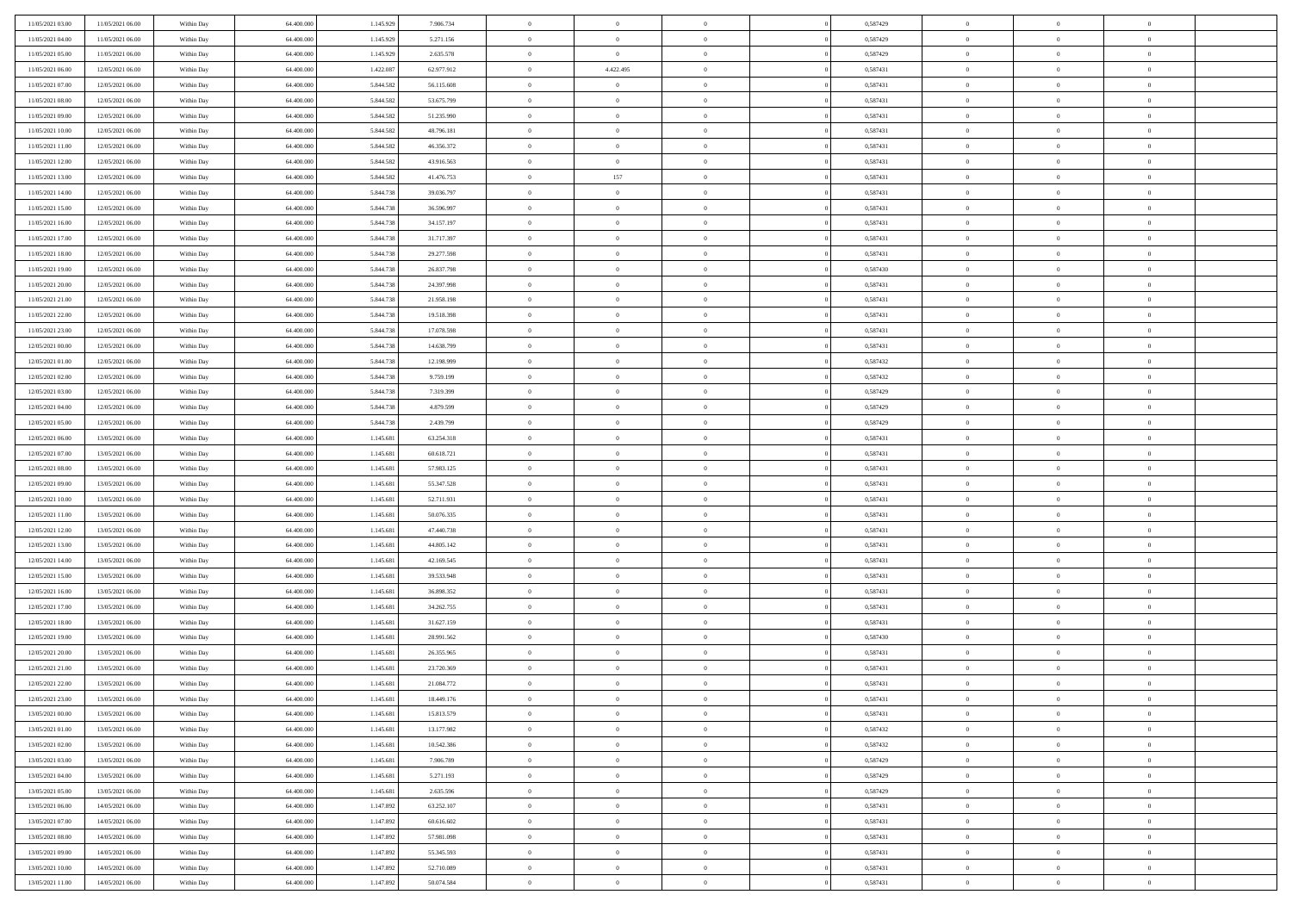| 11/05/2021 03:00 | 11/05/2021 06:00 | Within Day | 64.400.000 | 1.145.929 | 7.906.734  | $\bf{0}$                   | $\bf{0}$       | $\overline{0}$ | 0,587429 | $\bf{0}$       | $\overline{0}$ | $\bf{0}$       |  |
|------------------|------------------|------------|------------|-----------|------------|----------------------------|----------------|----------------|----------|----------------|----------------|----------------|--|
| 11/05/2021 04:00 | 11/05/2021 06:00 | Within Day | 64,400,000 | 1.145.92  | 5.271.156  | $\overline{0}$             | $\overline{0}$ | $\Omega$       | 0,587429 | $\overline{0}$ | $\theta$       | $\theta$       |  |
| 11/05/2021 05:00 | 11/05/2021 06:00 | Within Day | 64.400.000 | 1.145.929 | 2.635.578  | $\overline{0}$             | $\overline{0}$ | $\overline{0}$ | 0,587429 | $\mathbf{0}$   | $\overline{0}$ | $\theta$       |  |
| 11/05/2021 06:00 | 12/05/2021 06:00 | Within Day | 64.400.000 | 1.422.087 | 62.977.912 | $\bf{0}$                   | 4.422.495      | $\overline{0}$ | 0,587431 | $\mathbf{0}$   | $\overline{0}$ | $\bf{0}$       |  |
| 11/05/2021 07:00 | 12/05/2021 06:00 | Within Day | 64,400,000 | 5.844.582 | 56.115.608 | $\,$ 0 $\,$                | $\overline{0}$ | $\overline{0}$ | 0,587431 | $\bf{0}$       | $\overline{0}$ | $\bf{0}$       |  |
| 11/05/2021 08:00 | 12/05/2021 06:00 | Within Day | 64.400.000 | 5.844.582 | 53.675.799 | $\overline{0}$             | $\overline{0}$ | $\overline{0}$ | 0,587431 | $\mathbf{0}$   | $\overline{0}$ | $\theta$       |  |
| 11/05/2021 09:00 | 12/05/2021 06:00 | Within Day | 64.400.000 | 5.844.582 | 51.235.990 | $\bf{0}$                   | $\overline{0}$ | $\Omega$       | 0,587431 | $\bf{0}$       | $\overline{0}$ | $\bf{0}$       |  |
| 11/05/2021 10:00 | 12/05/2021 06:00 | Within Day | 64,400,000 | 5.844.582 | 48.796.181 | $\overline{0}$             | $\overline{0}$ | $\overline{0}$ | 0,587431 | $\mathbf{0}$   | $\theta$       | $\theta$       |  |
| 11/05/2021 11:00 | 12/05/2021 06:00 | Within Day | 64.400.000 | 5.844.582 | 46.356.372 | $\overline{0}$             | $\overline{0}$ | $\overline{0}$ | 0,587431 | $\mathbf{0}$   | $\overline{0}$ | $\theta$       |  |
|                  | 12/05/2021 06:00 |            | 64.400.000 | 5.844.582 | 43.916.563 | $\bf{0}$                   | $\overline{0}$ | $\Omega$       | 0,587431 | $\mathbf{0}$   | $\overline{0}$ | $\bf{0}$       |  |
| 11/05/2021 12:00 |                  | Within Day | 64,400,000 |           |            |                            |                |                |          |                | $\theta$       | $\theta$       |  |
| 11/05/2021 13:00 | 12/05/2021 06:00 | Within Day |            | 5.844.582 | 41.476.753 | $\bf{0}$<br>$\overline{0}$ | 157            | $\overline{0}$ | 0,587431 | $\mathbf{0}$   |                | $\theta$       |  |
| 11/05/2021 14:00 | 12/05/2021 06:00 | Within Day | 64.400.000 | 5.844.738 | 39.036.797 |                            | $\overline{0}$ | $\overline{0}$ | 0,587431 | $\mathbf{0}$   | $\overline{0}$ |                |  |
| 11/05/2021 15:00 | 12/05/2021 06:00 | Within Day | 64.400.000 | 5.844.73  | 36.596.997 | $\bf{0}$                   | $\overline{0}$ | $\overline{0}$ | 0,587431 | $\mathbf{0}$   | $\overline{0}$ | $\bf{0}$       |  |
| 11/05/2021 16:00 | 12/05/2021 06:00 | Within Day | 64,400,000 | 5.844.738 | 34.157.197 | $\bf{0}$                   | $\overline{0}$ | $\overline{0}$ | 0,587431 | $\bf{0}$       | $\theta$       | $\bf{0}$       |  |
| 11/05/2021 17:00 | 12/05/2021 06:00 | Within Day | 64.400.000 | 5.844.738 | 31.717.397 | $\overline{0}$             | $\overline{0}$ | $\overline{0}$ | 0,587431 | $\mathbf{0}$   | $\overline{0}$ | $\theta$       |  |
| 11/05/2021 18:00 | 12/05/2021 06:00 | Within Day | 64.400.000 | 5.844.738 | 29.277.598 | $\bf{0}$                   | $\overline{0}$ | $\Omega$       | 0,587431 | $\bf{0}$       | $\overline{0}$ | $\bf{0}$       |  |
| 11/05/2021 19:00 | 12/05/2021 06:00 | Within Day | 64,400,000 | 5.844.738 | 26.837.798 | $\,$ 0 $\,$                | $\overline{0}$ | $\overline{0}$ | 0,587430 | $\mathbf{0}$   | $\theta$       | $\theta$       |  |
| 11/05/2021 20:00 | 12/05/2021 06:00 | Within Day | 64.400.000 | 5.844.738 | 24.397.998 | $\overline{0}$             | $\overline{0}$ | $\overline{0}$ | 0,587431 | $\mathbf{0}$   | $\overline{0}$ | $\theta$       |  |
| 11/05/2021 21:00 | 12/05/2021 06:00 | Within Day | 64.400.000 | 5.844.73  | 21.958.198 | $\bf{0}$                   | $\overline{0}$ | $\Omega$       | 0,587431 | $\bf{0}$       | $\overline{0}$ | $\bf{0}$       |  |
| 11/05/2021 22:00 | 12/05/2021 06:00 | Within Day | 64,400,000 | 5.844.73  | 19.518.398 | $\bf{0}$                   | $\overline{0}$ | $\overline{0}$ | 0,587431 | $\mathbf{0}$   | $\mathbf{0}$   | $\overline{0}$ |  |
| 11/05/2021 23:00 | 12/05/2021 06:00 | Within Day | 64.400.000 | 5.844.738 | 17.078.598 | $\overline{0}$             | $\overline{0}$ | $\overline{0}$ | 0,587431 | $\mathbf{0}$   | $\overline{0}$ | $\theta$       |  |
| 12/05/2021 00:00 | 12/05/2021 06:00 | Within Day | 64.400.000 | 5.844.738 | 14.638.799 | $\bf{0}$                   | $\overline{0}$ | $\overline{0}$ | 0,587431 | $\mathbf{0}$   | $\overline{0}$ | $\bf{0}$       |  |
| 12/05/2021 01:00 | 12/05/2021 06:00 | Within Day | 64,400,000 | 5.844.738 | 12.198.999 | $\bf{0}$                   | $\overline{0}$ | $\overline{0}$ | 0,587432 | $\,$ 0 $\,$    | $\overline{0}$ | $\bf{0}$       |  |
| 12/05/2021 02:00 | 12/05/2021 06:00 | Within Day | 64.400.000 | 5.844.738 | 9.759.199  | $\overline{0}$             | $\overline{0}$ | $\overline{0}$ | 0,587432 | $\mathbf{0}$   | $\overline{0}$ | $\theta$       |  |
| 12/05/2021 03:00 | 12/05/2021 06:00 | Within Day | 64.400.000 | 5.844.73  | 7.319.399  | $\bf{0}$                   | $\overline{0}$ | $\overline{0}$ | 0,587429 | $\bf{0}$       | $\overline{0}$ | $\bf{0}$       |  |
| 12/05/2021 04:00 | 12/05/2021 06:00 | Within Day | 64,400,000 | 5.844.73  | 4.879.599  | $\,$ 0 $\,$                | $\overline{0}$ | $\overline{0}$ | 0,587429 | $\mathbf{0}$   | $\overline{0}$ | $\overline{0}$ |  |
| 12/05/2021 05:00 | 12/05/2021 06:00 | Within Day | 64.400.000 | 5.844.738 | 2.439.799  | $\overline{0}$             | $\overline{0}$ | $\overline{0}$ | 0,587429 | $\mathbf{0}$   | $\overline{0}$ | $\theta$       |  |
| 12/05/2021 06:00 | 13/05/2021 06:00 | Within Day | 64.400.000 | 1.145.681 | 63.254.318 | $\bf{0}$                   | $\overline{0}$ | $\Omega$       | 0,587431 | $\mathbf{0}$   | $\overline{0}$ | $\bf{0}$       |  |
| 12/05/2021 07:00 | 13/05/2021 06:00 | Within Day | 64,400,000 | 1.145.681 | 60.618.721 | $\bf{0}$                   | $\overline{0}$ | $\overline{0}$ | 0,587431 | $\mathbf{0}$   | $\theta$       | $\overline{0}$ |  |
| 12/05/2021 08:00 | 13/05/2021 06:00 | Within Day | 64.400.000 | 1.145.681 | 57.983.125 | $\overline{0}$             | $\overline{0}$ | $\overline{0}$ | 0,587431 | $\mathbf{0}$   | $\overline{0}$ | $\theta$       |  |
| 12/05/2021 09:00 | 13/05/2021 06:00 | Within Day | 64.400.000 | 1.145.681 | 55.347.528 | $\,$ 0                     | $\overline{0}$ | $\overline{0}$ | 0,587431 | $\,$ 0 $\,$    | $\overline{0}$ | $\,0\,$        |  |
| 12/05/2021 10:00 | 13/05/2021 06:00 | Within Day | 64,400,000 | 1.145.681 | 52.711.931 | $\bf{0}$                   | $\overline{0}$ | $\overline{0}$ | 0,587431 | $\bf{0}$       | $\overline{0}$ | $\bf{0}$       |  |
| 12/05/2021 11:00 | 13/05/2021 06:00 | Within Day | 64.400.000 | 1.145.681 | 50.076.335 | $\overline{0}$             | $\overline{0}$ | $\overline{0}$ | 0,587431 | $\mathbf{0}$   | $\overline{0}$ | $\theta$       |  |
| 12/05/2021 12:00 | 13/05/2021 06:00 | Within Day | 64.400.000 | 1.145.681 | 47.440.738 | $\,$ 0                     | $\overline{0}$ | $\theta$       | 0,587431 | $\,$ 0         | $\overline{0}$ | $\mathbf{0}$   |  |
| 12/05/2021 13:00 | 13/05/2021 06:00 | Within Day | 64,400,000 | 1.145.681 | 44.805.142 | $\bf{0}$                   | $\overline{0}$ | $\overline{0}$ | 0,587431 | $\mathbf{0}$   | $\overline{0}$ | $\overline{0}$ |  |
| 12/05/2021 14:00 | 13/05/2021 06:00 | Within Day | 64.400.000 | 1.145.681 | 42.169.545 | $\overline{0}$             | $\overline{0}$ | $\overline{0}$ | 0,587431 | $\mathbf{0}$   | $\overline{0}$ | $\theta$       |  |
| 12/05/2021 15:00 | 13/05/2021 06:00 | Within Day | 64.400.000 | 1.145.681 | 39.533.948 | $\,$ 0                     | $\overline{0}$ | $\overline{0}$ | 0,587431 | $\,$ 0 $\,$    | $\overline{0}$ | $\mathbf{0}$   |  |
| 12/05/2021 16:00 | 13/05/2021 06:00 | Within Day | 64,400,000 | 1.145.681 | 36.898.352 | $\bf{0}$                   | $\overline{0}$ | $\overline{0}$ | 0,587431 | $\mathbf{0}$   | $\mathbf{0}$   | $\bf{0}$       |  |
| 12/05/2021 17:00 | 13/05/2021 06:00 | Within Day | 64.400.000 | 1.145.681 | 34.262.755 | $\overline{0}$             | $\overline{0}$ | $\overline{0}$ | 0,587431 | $\mathbf{0}$   | $\overline{0}$ | $\theta$       |  |
| 12/05/2021 18:00 | 13/05/2021 06:00 | Within Day | 64.400.000 | 1.145.681 | 31.627.159 | $\,$ 0                     | $\overline{0}$ | $\overline{0}$ | 0,587431 | $\,$ 0 $\,$    | $\overline{0}$ | $\,$ 0 $\,$    |  |
| 12/05/2021 19:00 | 13/05/2021 06:00 | Within Day | 64,400,000 | 1.145.681 | 28.991.562 | $\bf{0}$                   | $\,$ 0 $\,$    | $\overline{0}$ | 0,587430 | $\,$ 0 $\,$    | $\overline{0}$ | $\overline{0}$ |  |
| 12/05/2021 20:00 | 13/05/2021 06:00 | Within Day | 64.400.000 | 1.145.681 | 26.355.965 | $\overline{0}$             | $\overline{0}$ | $\overline{0}$ | 0,587431 | $\overline{0}$ | $\overline{0}$ | $\theta$       |  |
| 12/05/2021 21:00 | 13/05/2021 06:00 | Within Day | 64.400.000 | 1.145.681 | 23.720.369 | $\overline{0}$             | $\overline{0}$ | $\overline{0}$ | 0,587431 | $\,$ 0         | $\overline{0}$ | $\mathbf{0}$   |  |
| 12/05/2021 22:00 | 13/05/2021 06:00 | Within Day | 64,400,000 | 1.145.68  | 21.084.772 | $\bf{0}$                   | $\overline{0}$ | $\overline{0}$ | 0,587431 | $\mathbf{0}$   | $\overline{0}$ | $\overline{0}$ |  |
| 12/05/2021 23:00 | 13/05/2021 06:00 | Within Day | 64.400.000 | 1.145.681 | 18.449.176 | $\overline{0}$             | $\theta$       |                | 0,587431 | $\overline{0}$ | $\Omega$       | $\overline{0}$ |  |
| 13/05/2021 00:00 | 13/05/2021 06:00 | Within Day | 64.400.000 | 1.145.681 | 15.813.579 | $\,$ 0 $\,$                | $\overline{0}$ | $\overline{0}$ | 0,587431 | $\,$ 0 $\,$    | $\bf{0}$       | $\mathbf{0}$   |  |
| 13/05/2021 01:00 |                  | Within Day | 64.400.000 | 1.145.681 |            | $\mathbf{0}$               | $\overline{0}$ |                |          |                | $\overline{0}$ |                |  |
|                  | 13/05/2021 06:00 |            |            |           | 13.177.982 |                            |                | $\overline{0}$ | 0,587432 | $\,$ 0 $\,$    |                | $\overline{0}$ |  |
| 13/05/2021 02:00 | 13/05/2021 06:00 | Within Day | 64.400.000 | 1.145.681 | 10.542.386 | $\mathbf{0}$               | $\overline{0}$ | $\overline{0}$ | 0,587432 | $\mathbf{0}$   | $\bf{0}$       | $\overline{0}$ |  |
| 13/05/2021 03:00 | 13/05/2021 06:00 | Within Day | 64.400.000 | 1.145.681 | 7.906.789  | $\,$ 0 $\,$                | $\overline{0}$ | $\overline{0}$ | 0,587429 | $\,$ 0 $\,$    | $\bf{0}$       | $\theta$       |  |
| 13/05/2021 04:00 | 13/05/2021 06:00 | Within Day | 64.400.000 | 1.145.681 | 5.271.193  | $\,$ 0 $\,$                | $\,$ 0 $\,$    | $\overline{0}$ | 0,587429 | $\,$ 0 $\,$    | $\overline{0}$ | $\overline{0}$ |  |
| 13/05/2021 05:00 | 13/05/2021 06:00 | Within Day | 64.400.000 | 1.145.681 | 2.635.596  | $\mathbf{0}$               | $\overline{0}$ | $\overline{0}$ | 0,587429 | $\mathbf{0}$   | $\bf{0}$       | $\overline{0}$ |  |
| 13/05/2021 06:00 | 14/05/2021 06:00 | Within Day | 64.400.000 | 1.147.892 | 63.252.107 | $\,$ 0 $\,$                | $\overline{0}$ | $\overline{0}$ | 0,587431 | $\,$ 0 $\,$    | $\overline{0}$ | $\theta$       |  |
| 13/05/2021 07:00 | 14/05/2021 06:00 | Within Day | 64,400,000 | 1.147.89  | 60.616.602 | $\mathbf{0}$               | $\overline{0}$ | $\overline{0}$ | 0,587431 | $\,$ 0 $\,$    | $\overline{0}$ | $\overline{0}$ |  |
| 13/05/2021 08:00 | 14/05/2021 06:00 | Within Day | 64.400.000 | 1.147.892 | 57.981.098 | $\mathbf{0}$               | $\overline{0}$ | $\overline{0}$ | 0,587431 | $\mathbf{0}$   | $\bf{0}$       | $\overline{0}$ |  |
| 13/05/2021 09:00 | 14/05/2021 06:00 | Within Day | 64.400.000 | 1.147.892 | 55.345.593 | $\,$ 0 $\,$                | $\overline{0}$ | $\overline{0}$ | 0,587431 | $\,$ 0 $\,$    | $\overline{0}$ | $\theta$       |  |
| 13/05/2021 10:00 | 14/05/2021 06:00 | Within Day | 64,400,000 | 1.147.892 | 52.710.089 | $\mathbf{0}$               | $\overline{0}$ | $\overline{0}$ | 0,587431 | $\,$ 0 $\,$    | $\overline{0}$ | $\overline{0}$ |  |
| 13/05/2021 11:00 | 14/05/2021 06:00 | Within Day | 64.400.000 | 1.147.892 | 50.074.584 | $\overline{0}$             | $\overline{0}$ | $\overline{0}$ | 0,587431 | $\mathbf{0}$   | $\overline{0}$ | $\overline{0}$ |  |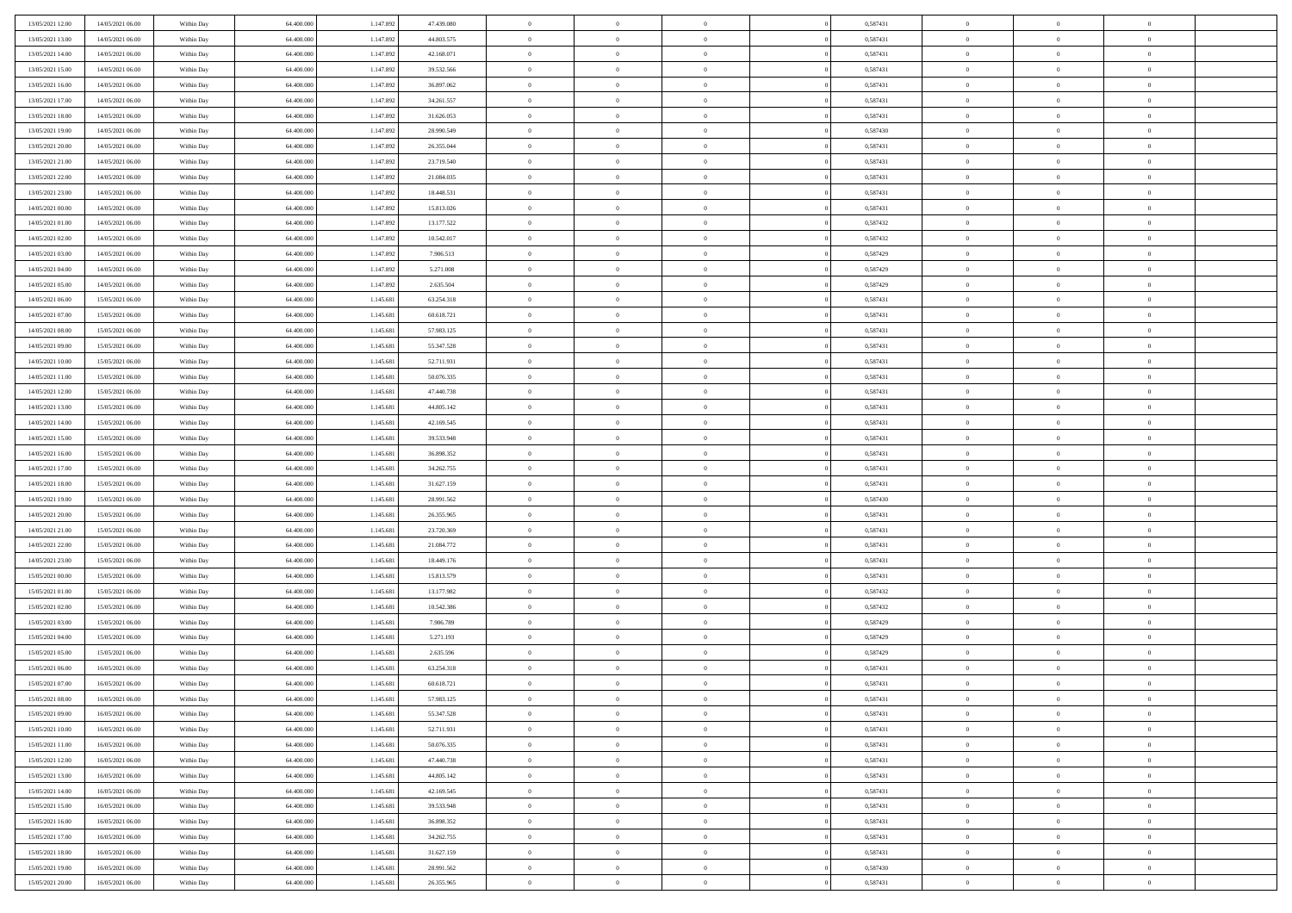| 13/05/2021 12:00 | 14/05/2021 06:00 | Within Day | 64.400.000 | 1.147.892 | 47.439.080 | $\,$ 0         | $\overline{0}$ | $\theta$                         |                | 0,587431 | $\bf{0}$       | $\overline{0}$                   | $\theta$             |  |
|------------------|------------------|------------|------------|-----------|------------|----------------|----------------|----------------------------------|----------------|----------|----------------|----------------------------------|----------------------|--|
| 13/05/2021 13:00 | 14/05/2021 06:00 | Within Day | 64,400,000 | 1.147.892 | 44.803.575 | $\overline{0}$ | $\overline{0}$ | $\overline{0}$                   |                | 0,587431 | $\theta$       | $\theta$                         | $\overline{0}$       |  |
| 13/05/2021 14:00 | 14/05/2021 06:00 | Within Day | 64.400.000 | 1.147.892 | 42.168.071 | $\mathbf{0}$   | $\overline{0}$ | $\overline{0}$                   |                | 0,587431 | $\theta$       | $\overline{0}$                   | $\theta$             |  |
| 13/05/2021 15:00 | 14/05/2021 06:00 | Within Day | 64.400.000 | 1.147.892 | 39.532.566 | $\bf{0}$       | $\overline{0}$ | $\bf{0}$                         |                | 0,587431 | $\bf{0}$       | $\overline{0}$                   | $\bf{0}$             |  |
| 13/05/2021 16:00 | 14/05/2021 06:00 | Within Day | 64,400,000 | 1.147.892 | 36.897.062 | $\bf{0}$       | $\bf{0}$       | $\overline{0}$                   |                | 0,587431 | $\bf{0}$       | $\Omega$                         | $\bf{0}$             |  |
| 13/05/2021 17:00 | 14/05/2021 06:00 | Within Day | 64.400.000 | 1.147.892 | 34.261.557 | $\mathbf{0}$   | $\overline{0}$ | $\overline{0}$                   |                | 0,587431 | $\theta$       | $\overline{0}$                   | $\theta$             |  |
| 13/05/2021 18:00 | 14/05/2021 06:00 | Within Day | 64.400.000 | 1.147.892 | 31.626.053 | $\bf{0}$       | $\bf{0}$       | $\overline{0}$                   |                | 0,587431 | $\bf{0}$       | $\overline{0}$                   | $\theta$             |  |
|                  |                  |            | 64,400,000 | 1.147.892 |            | $\overline{0}$ | $\overline{0}$ | $\overline{0}$                   |                | 0,587430 | $\,$ 0 $\,$    | $\overline{0}$                   | $\overline{0}$       |  |
| 13/05/2021 19:00 | 14/05/2021 06:00 | Within Day |            |           | 28.990.549 | $\mathbf{0}$   |                |                                  |                |          | $\theta$       |                                  |                      |  |
| 13/05/2021 20:00 | 14/05/2021 06:00 | Within Day | 64.400.000 | 1.147.892 | 26.355.044 |                | $\overline{0}$ | $\overline{0}$<br>$\overline{0}$ |                | 0,587431 |                | $\overline{0}$<br>$\overline{0}$ | $\theta$<br>$\theta$ |  |
| 13/05/2021 21:00 | 14/05/2021 06:00 | Within Day | 64.400.000 | 1.147.892 | 23.719.540 | $\bf{0}$       | $\bf{0}$       |                                  |                | 0,587431 | $\bf{0}$       |                                  |                      |  |
| 13/05/2021 22:00 | 14/05/2021 06:00 | Within Day | 64,400,000 | 1.147.892 | 21.084.035 | $\bf{0}$       | $\overline{0}$ | $\overline{0}$                   |                | 0,587431 | $\bf{0}$       | $\theta$                         | $\overline{0}$       |  |
| 13/05/2021 23:00 | 14/05/2021 06:00 | Within Day | 64.400.000 | 1.147.892 | 18.448.531 | $\mathbf{0}$   | $\overline{0}$ | $\overline{0}$                   |                | 0,587431 | $\theta$       | $\overline{0}$                   | $\theta$             |  |
| 14/05/2021 00:00 | 14/05/2021 06:00 | Within Day | 64.400.000 | 1.147.892 | 15.813.026 | $\bf{0}$       | $\overline{0}$ | $\bf{0}$                         |                | 0,587431 | $\bf{0}$       | $\overline{0}$                   | $\bf{0}$             |  |
| 14/05/2021 01:00 | 14/05/2021 06:00 | Within Day | 64.400.000 | 1.147.892 | 13.177.522 | $\bf{0}$       | $\overline{0}$ | $\overline{0}$                   |                | 0,587432 | $\bf{0}$       | $\Omega$                         | $\bf{0}$             |  |
| 14/05/2021 02:00 | 14/05/2021 06:00 | Within Day | 64.400.000 | 1.147.892 | 10.542.017 | $\overline{0}$ | $\overline{0}$ | $\overline{0}$                   |                | 0,587432 | $\theta$       | $\overline{0}$                   | $\theta$             |  |
| 14/05/2021 03:00 | 14/05/2021 06:00 | Within Day | 64.400.000 | 1.147.892 | 7.906.513  | $\bf{0}$       | $\bf{0}$       | $\overline{0}$                   |                | 0,587429 | $\bf{0}$       | $\overline{0}$                   | $\theta$             |  |
| 14/05/2021 04:00 | 14/05/2021 06:00 | Within Day | 64,400,000 | 1.147.892 | 5.271.008  | $\bf{0}$       | $\overline{0}$ | $\overline{0}$                   |                | 0,587429 | $\,$ 0 $\,$    | $\overline{0}$                   | $\overline{0}$       |  |
| 14/05/2021 05:00 | 14/05/2021 06:00 | Within Day | 64.400.000 | 1.147.892 | 2.635.504  | $\mathbf{0}$   | $\overline{0}$ | $\overline{0}$                   |                | 0,587429 | $\theta$       | $\overline{0}$                   | $\theta$             |  |
| 14/05/2021 06:00 | 15/05/2021 06:00 | Within Day | 64.400.000 | 1.145.681 | 63.254.318 | $\bf{0}$       | $\bf{0}$       | $\overline{0}$                   |                | 0,587431 | $\bf{0}$       | $\overline{0}$                   | $\theta$             |  |
| 14/05/2021 07:00 | 15/05/2021 06:00 | Within Day | 64.400.000 | 1.145.681 | 60.618.721 | $\bf{0}$       | $\overline{0}$ | $\overline{0}$                   |                | 0,587431 | $\bf{0}$       | $\theta$                         | $\bf{0}$             |  |
| 14/05/2021 08:00 | 15/05/2021 06:00 | Within Day | 64.400.000 | 1.145.681 | 57.983.125 | $\mathbf{0}$   | $\overline{0}$ | $\overline{0}$                   |                | 0,587431 | $\theta$       | $\overline{0}$                   | $\theta$             |  |
| 14/05/2021 09:00 | 15/05/2021 06:00 | Within Day | 64.400.000 | 1.145.681 | 55.347.528 | $\bf{0}$       | $\bf{0}$       | $\bf{0}$                         |                | 0,587431 | $\bf{0}$       | $\overline{0}$                   | $\bf{0}$             |  |
| 14/05/2021 10:00 | 15/05/2021 06:00 | Within Day | 64,400,000 | 1.145.681 | 52.711.931 | $\bf{0}$       | $\bf{0}$       | $\overline{0}$                   |                | 0,587431 | $\bf{0}$       | $\overline{0}$                   | $\bf{0}$             |  |
| 14/05/2021 11:00 | 15/05/2021 06:00 | Within Day | 64.400.000 | 1.145.681 | 50.076.335 | $\mathbf{0}$   | $\overline{0}$ | $\overline{0}$                   |                | 0,587431 | $\theta$       | $\overline{0}$                   | $\theta$             |  |
| 14/05/2021 12:00 | 15/05/2021 06:00 | Within Day | 64.400.000 | 1.145.681 | 47.440.738 | $\bf{0}$       | $\bf{0}$       | $\overline{0}$                   |                | 0,587431 | $\bf{0}$       | $\overline{0}$                   | $\theta$             |  |
| 14/05/2021 13:00 | 15/05/2021 06:00 | Within Day | 64,400,000 | 1.145.681 | 44.805.142 | $\bf{0}$       | $\overline{0}$ | $\overline{0}$                   |                | 0,587431 | $\,$ 0 $\,$    | $\overline{0}$                   | $\bf{0}$             |  |
| 14/05/2021 14:00 | 15/05/2021 06:00 | Within Day | 64.400.000 | 1.145.681 | 42.169.545 | $\mathbf{0}$   | $\overline{0}$ | $\overline{0}$                   |                | 0,587431 | $\theta$       | $\overline{0}$                   | $\theta$             |  |
| 14/05/2021 15:00 | 15/05/2021 06:00 | Within Day | 64.400.000 | 1.145.681 | 39.533.948 | $\bf{0}$       | $\bf{0}$       | $\overline{0}$                   |                | 0,587431 | $\bf{0}$       | $\overline{0}$                   | $\theta$             |  |
| 14/05/2021 16:00 | 15/05/2021 06:00 | Within Day | 64,400,000 | 1.145.681 | 36.898.352 | $\bf{0}$       | $\bf{0}$       | $\overline{0}$                   |                | 0,587431 | $\bf{0}$       | $\theta$                         | $\bf{0}$             |  |
| 14/05/2021 17:00 | 15/05/2021 06:00 | Within Day | 64.400.000 | 1.145.681 | 34.262.755 | $\mathbf{0}$   | $\overline{0}$ | $\overline{0}$                   |                | 0,587431 | $\theta$       | $\overline{0}$                   | $\theta$             |  |
| 14/05/2021 18:00 | 15/05/2021 06:00 | Within Day | 64.400.000 | 1.145.681 | 31.627.159 | $\bf{0}$       | $\overline{0}$ | $\overline{0}$                   |                | 0,587431 | $\,0\,$        | $\overline{0}$                   | $\theta$             |  |
| 14/05/2021 19:00 | 15/05/2021 06:00 | Within Day | 64.400.000 | 1.145.681 | 28.991.562 | $\bf{0}$       | $\bf{0}$       | $\overline{0}$                   |                | 0,587430 | $\bf{0}$       | $\overline{0}$                   | $\bf{0}$             |  |
| 14/05/2021 20:00 | 15/05/2021 06:00 | Within Day | 64.400.000 | 1.145.681 | 26.355.965 | $\mathbf{0}$   | $\overline{0}$ | $\overline{0}$                   |                | 0,587431 | $\theta$       | $\overline{0}$                   | $\theta$             |  |
| 14/05/2021 21:00 | 15/05/2021 06:00 | Within Day | 64.400.000 | 1.145.681 | 23.720.369 | $\bf{0}$       | $\overline{0}$ | $\theta$                         |                | 0,587431 | $\,0\,$        | $\overline{0}$                   | $\theta$             |  |
| 14/05/2021 22:00 | 15/05/2021 06:00 | Within Day | 64,400,000 | 1.145.681 | 21.084.772 | $\overline{0}$ | $\overline{0}$ | $\overline{0}$                   |                | 0,587431 | $\bf{0}$       | $\overline{0}$                   | $\bf{0}$             |  |
| 14/05/2021 23:00 | 15/05/2021 06:00 | Within Day | 64.400.000 | 1.145.681 | 18.449.176 | $\mathbf{0}$   | $\overline{0}$ | $\overline{0}$                   |                | 0,587431 | $\theta$       | $\overline{0}$                   | $\theta$             |  |
| 15/05/2021 00:00 | 15/05/2021 06:00 | Within Day | 64.400.000 | 1.145.681 | 15.813.579 | $\bf{0}$       | $\overline{0}$ | $\theta$                         |                | 0,587431 | $\,0\,$        | $\overline{0}$                   | $\theta$             |  |
| 15/05/2021 01:00 | 15/05/2021 06:00 | Within Day | 64.400.000 | 1.145.681 | 13.177.982 | $\bf{0}$       | $\overline{0}$ | $\overline{0}$                   |                | 0,587432 | $\bf{0}$       | $\theta$                         | $\bf{0}$             |  |
| 15/05/2021 02:00 | 15/05/2021 06:00 | Within Day | 64.400.000 | 1.145.681 | 10.542.386 | $\mathbf{0}$   | $\overline{0}$ | $\overline{0}$                   |                | 0,587432 | $\theta$       | $\overline{0}$                   | $\theta$             |  |
| 15/05/2021 03:00 | 15/05/2021 06:00 | Within Day | 64.400.000 | 1.145.681 | 7.906.789  | $\,0\,$        | $\overline{0}$ | $\theta$                         |                | 0,587429 | $\,0\,$        | $\overline{0}$                   | $\theta$             |  |
| 15/05/2021 04:00 | 15/05/2021 06:00 | Within Day | 64,400,000 | 1.145.681 | 5.271.193  | $\bf{0}$       | $\bf{0}$       | $\overline{0}$                   |                | 0,587429 | $\bf{0}$       | $\overline{0}$                   | $\bf{0}$             |  |
| 15/05/2021 05:00 | 15/05/2021 06:00 | Within Day | 64.400.000 | 1.145.681 | 2.635.596  | $\mathbf{0}$   | $\overline{0}$ | $\overline{0}$                   |                | 0,587429 | $\theta$       | $\overline{0}$                   | $\overline{0}$       |  |
| 15/05/2021 06:00 | 16/05/2021 06:00 | Within Day | 64.400.000 | 1.145.681 | 63.254.318 | $\bf{0}$       | $\overline{0}$ | $\theta$                         |                | 0,587431 | $\,0\,$        | $\overline{0}$                   | $\theta$             |  |
| 15/05/2021 07:00 | 16/05/2021 06:00 | Within Day | 64,400,000 | 1.145.681 | 60.618.721 | $\bf{0}$       | $\overline{0}$ | $\overline{0}$                   |                | 0,587431 | $\,$ 0 $\,$    | $\overline{0}$                   | $\bf{0}$             |  |
| 15/05/2021 08:00 | 16/05/2021 06:00 | Within Day | 64.400.000 | 1.145.681 | 57.983.125 | $\bf{0}$       | $\overline{0}$ |                                  |                | 0,587431 | $\bf{0}$       | $\Omega$                         | $\Omega$             |  |
| 15/05/2021 09:00 | 16/05/2021 06:00 | Within Day | 64.400.000 | 1.145.681 | 55.347.528 | $\,0\,$        | $\overline{0}$ | $\theta$                         |                | 0,587431 | $\,$ 0 $\,$    | $\overline{0}$                   | $\theta$             |  |
| 15/05/2021 10:00 | 16/05/2021 06:00 | Within Day | 64,400,000 | 1.145.681 | 52.711.931 | $\overline{0}$ | $\overline{0}$ | $\overline{0}$                   |                | 0,587431 | $\overline{0}$ | $\overline{0}$                   | $\overline{0}$       |  |
| 15/05/2021 11:00 | 16/05/2021 06:00 | Within Day | 64.400.000 | 1.145.681 | 50.076.335 | $\mathbf{0}$   | $\overline{0}$ | $\overline{0}$                   |                | 0,587431 | $\mathbf{0}$   | $\overline{0}$                   | $\overline{0}$       |  |
| 15/05/2021 12:00 | 16/05/2021 06:00 | Within Day | 64.400.000 | 1.145.681 | 47.440.738 | $\,$ 0 $\,$    | $\overline{0}$ | $\overline{0}$                   | $\overline{0}$ | 0,587431 | $\,$ 0 $\,$    | $\overline{0}$                   | $\,$ 0               |  |
| 15/05/2021 13:00 | 16/05/2021 06:00 | Within Day | 64,400,000 | 1.145.681 | 44.805.142 | $\mathbf{0}$   | $\overline{0}$ | $\overline{0}$                   |                | 0,587431 | $\,$ 0 $\,$    | $\overline{0}$                   | $\overline{0}$       |  |
| 15/05/2021 14:00 | 16/05/2021 06:00 | Within Day | 64.400.000 | 1.145.681 | 42.169.545 | $\mathbf{0}$   | $\overline{0}$ | $\overline{0}$                   |                | 0,587431 | $\overline{0}$ | $\overline{0}$                   | $\overline{0}$       |  |
|                  |                  |            |            |           |            |                |                |                                  |                |          |                |                                  |                      |  |
| 15/05/2021 15:00 | 16/05/2021 06:00 | Within Day | 64.400.000 | 1.145.681 | 39.533.948 | $\,$ 0 $\,$    | $\overline{0}$ | $\overline{0}$                   | $\theta$       | 0,587431 | $\,$ 0 $\,$    | $\overline{0}$                   | $\theta$             |  |
| 15/05/2021 16:00 | 16/05/2021 06:00 | Within Day | 64,400,000 | 1.145.681 | 36.898.352 | $\overline{0}$ | $\overline{0}$ | $\overline{0}$                   |                | 0,587431 | $\overline{0}$ | $\overline{0}$                   | $\overline{0}$       |  |
| 15/05/2021 17:00 | 16/05/2021 06:00 | Within Day | 64.400.000 | 1.145.681 | 34.262.755 | $\mathbf{0}$   | $\overline{0}$ | $\overline{0}$                   |                | 0,587431 | $\mathbf{0}$   | $\overline{0}$                   | $\overline{0}$       |  |
| 15/05/2021 18:00 | 16/05/2021 06:00 | Within Day | 64.400.000 | 1.145.681 | 31.627.159 | $\,0\,$        | $\overline{0}$ | $\overline{0}$                   |                | 0,587431 | $\,$ 0 $\,$    | $\overline{0}$                   | $\,$ 0 $\,$          |  |
| 15/05/2021 19:00 | 16/05/2021 06:00 | Within Day | 64,400,000 | 1.145.681 | 28.991.562 | $\bf{0}$       | $\bf{0}$       | $\overline{0}$                   |                | 0.587430 | $\bf{0}$       | $\overline{0}$                   | $\overline{0}$       |  |
| 15/05/2021 20:00 | 16/05/2021 06:00 | Within Day | 64.400.000 | 1.145.681 | 26.355.965 | $\mathbf{0}$   | $\overline{0}$ | $\overline{0}$                   |                | 0,587431 | $\mathbf{0}$   | $\overline{0}$                   | $\overline{0}$       |  |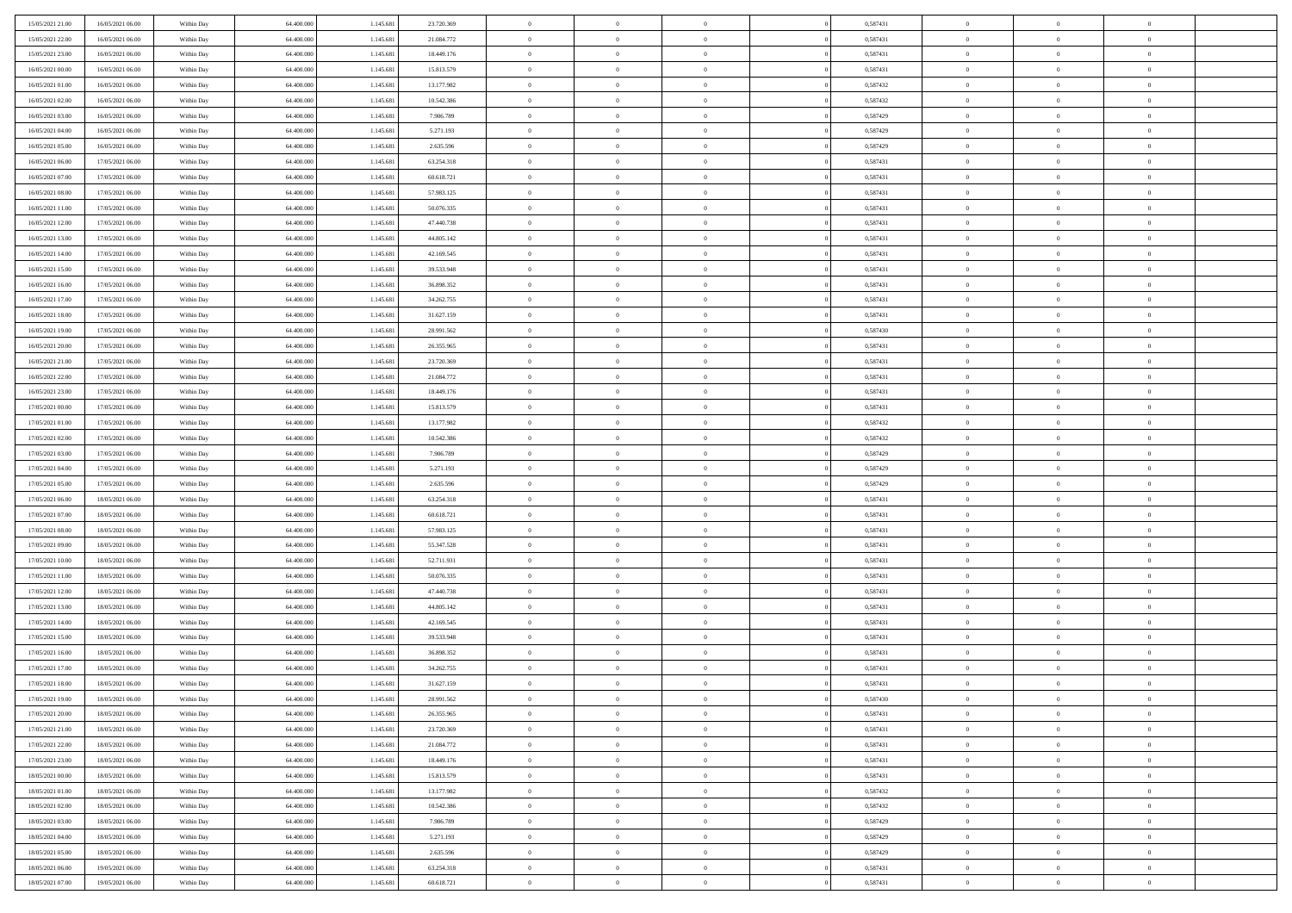| 15/05/2021 21:00 | 16/05/2021 06:00 | Within Day | 64,400,000 | 1.145.681 | 23.720.369 | $\overline{0}$ | $\overline{0}$ | $\Omega$       | 0,587431 | $\bf{0}$       | $\mathbf{0}$   | $\bf{0}$       |  |
|------------------|------------------|------------|------------|-----------|------------|----------------|----------------|----------------|----------|----------------|----------------|----------------|--|
| 15/05/2021 22:00 | 16/05/2021 06:00 | Within Day | 64.400.000 | 1.145.681 | 21.084.772 | $\mathbf{0}$   | $\overline{0}$ | $\overline{0}$ | 0,587431 | $\overline{0}$ | $\overline{0}$ | $\overline{0}$ |  |
| 15/05/2021 23:00 | 16/05/2021 06:00 | Within Day | 64.400.000 | 1.145.681 | 18.449.176 | $\,$ 0         | $\overline{0}$ | $\bf{0}$       | 0,587431 | $\,$ 0         | $\overline{0}$ | $\,$ 0 $\,$    |  |
| 16/05/2021 00:00 | 16/05/2021 06:00 | Within Day | 64,400,000 | 1.145.681 | 15.813.579 | $\bf{0}$       | $\overline{0}$ | $\Omega$       | 0.587431 | $\bf{0}$       | $\mathbf{0}$   | $\theta$       |  |
| 16/05/2021 01:00 | 16/05/2021 06:00 | Within Day | 64.400.000 | 1.145.681 | 13.177.982 | $\bf{0}$       | $\overline{0}$ | $\overline{0}$ | 0,587432 | $\overline{0}$ | $\overline{0}$ | $\overline{0}$ |  |
| 16/05/2021 02:00 | 16/05/2021 06:00 | Within Day | 64.400.000 | 1.145.681 | 10.542.386 | $\bf{0}$       | $\overline{0}$ | $\bf{0}$       | 0,587432 | $\,$ 0         | $\overline{0}$ | $\,$ 0 $\,$    |  |
| 16/05/2021 03:00 | 16/05/2021 06:00 | Within Day | 64,400,000 | 1.145.681 | 7.906.789  | $\bf{0}$       | $\overline{0}$ | $\overline{0}$ | 0,587429 | $\bf{0}$       | $\overline{0}$ | $\theta$       |  |
| 16/05/2021 04:00 | 16/05/2021 06:00 | Within Day | 64.400.000 | 1.145.681 | 5.271.193  | $\overline{0}$ | $\overline{0}$ | $\overline{0}$ | 0,587429 | $\mathbf{0}$   | $\overline{0}$ | $\overline{0}$ |  |
| 16/05/2021 05:00 | 16/05/2021 06:00 | Within Day | 64.400.000 | 1.145.681 | 2.635.596  | $\bf{0}$       | $\overline{0}$ | $\bf{0}$       | 0,587429 | $\,$ 0         | $\overline{0}$ | $\,$ 0 $\,$    |  |
| 16/05/2021 06:00 | 17/05/2021 06:00 | Within Day | 64,400,000 | 1.145.681 | 63.254.318 | $\bf{0}$       | $\overline{0}$ | $\Omega$       | 0.587431 | $\theta$       | $\mathbf{0}$   | $\theta$       |  |
| 16/05/2021 07:00 | 17/05/2021 06:00 | Within Day | 64.400.000 | 1.145.681 | 60.618.721 | $\overline{0}$ | $\overline{0}$ | $\overline{0}$ | 0,587431 | $\mathbf{0}$   | $\overline{0}$ | $\overline{0}$ |  |
| 16/05/2021 08:00 | 17/05/2021 06:00 | Within Day | 64.400.000 | 1.145.681 | 57.983.125 | $\bf{0}$       | $\overline{0}$ | $\bf{0}$       | 0,587431 | $\,$ 0         | $\overline{0}$ | $\,$ 0 $\,$    |  |
| 16/05/2021 11:00 | 17/05/2021 06:00 | Within Day | 64.400.000 | 1.145.681 | 50.076.335 | $\bf{0}$       | $\overline{0}$ | $\Omega$       | 0.587431 | $\overline{0}$ | $\mathbf{0}$   | $\theta$       |  |
| 16/05/2021 12:00 | 17/05/2021 06:00 | Within Day | 64.400.000 | 1.145.681 | 47.440.738 | $\overline{0}$ | $\overline{0}$ | $\overline{0}$ | 0,587431 | $\mathbf{0}$   | $\overline{0}$ | $\overline{0}$ |  |
| 16/05/2021 13:00 | 17/05/2021 06:00 | Within Day | 64.400.000 | 1.145.681 | 44.805.142 | $\bf{0}$       | $\overline{0}$ | $\bf{0}$       | 0,587431 | $\,$ 0         | $\overline{0}$ | $\,$ 0 $\,$    |  |
| 16/05/2021 14:00 | 17/05/2021 06:00 | Within Day | 64,400,000 | 1.145.681 | 42.169.545 | $\bf{0}$       | $\overline{0}$ | $\overline{0}$ | 0.587431 | $\bf{0}$       | $\mathbf{0}$   | $\bf{0}$       |  |
| 16/05/2021 15:00 | 17/05/2021 06:00 | Within Day | 64.400.000 | 1.145.681 | 39.533.948 | $\overline{0}$ | $\overline{0}$ | $\overline{0}$ | 0,587431 | $\mathbf{0}$   | $\overline{0}$ | $\overline{0}$ |  |
| 16/05/2021 16:00 | 17/05/2021 06:00 | Within Day | 64.400.000 | 1.145.681 | 36.898.352 | $\bf{0}$       | $\overline{0}$ | $\bf{0}$       | 0,587431 | $\,$ 0         | $\overline{0}$ | $\,$ 0 $\,$    |  |
| 16/05/2021 17:00 | 17/05/2021 06:00 | Within Day | 64,400,000 | 1.145.681 | 34.262.755 | $\bf{0}$       | $\overline{0}$ | $\Omega$       | 0.587431 | $\theta$       | $\mathbf{0}$   | $\theta$       |  |
| 16/05/2021 18:00 | 17/05/2021 06:00 | Within Day | 64.400.000 | 1.145.681 | 31.627.159 | $\overline{0}$ | $\overline{0}$ | $\overline{0}$ | 0,587431 | $\mathbf{0}$   | $\overline{0}$ | $\overline{0}$ |  |
| 16/05/2021 19:00 | 17/05/2021 06:00 | Within Day | 64.400.000 | 1.145.681 | 28.991.562 | $\bf{0}$       | $\overline{0}$ | $\bf{0}$       | 0,587430 | $\,$ 0         | $\overline{0}$ | $\,$ 0 $\,$    |  |
| 16/05/2021 20:00 | 17/05/2021 06:00 | Within Day | 64,400,000 | 1.145.681 | 26.355.965 | $\bf{0}$       | $\overline{0}$ | $\Omega$       | 0.587431 | $\theta$       | $\mathbf{0}$   | $\theta$       |  |
| 16/05/2021 21:00 | 17/05/2021 06:00 | Within Day | 64.400.000 | 1.145.681 | 23.720.369 | $\overline{0}$ | $\overline{0}$ | $\overline{0}$ | 0,587431 | $\mathbf{0}$   | $\overline{0}$ | $\overline{0}$ |  |
| 16/05/2021 22:00 | 17/05/2021 06:00 | Within Day | 64.400.000 | 1.145.681 | 21.084.772 | $\bf{0}$       | $\overline{0}$ | $\bf{0}$       | 0,587431 | $\,$ 0         | $\overline{0}$ | $\,$ 0 $\,$    |  |
| 16/05/2021 23:00 | 17/05/2021 06:00 | Within Day | 64,400,000 | 1.145.681 | 18.449.176 | $\bf{0}$       | $\overline{0}$ | $\overline{0}$ | 0,587431 | $\bf{0}$       | $\overline{0}$ | $\bf{0}$       |  |
| 17/05/2021 00:00 | 17/05/2021 06:00 | Within Day | 64.400.000 | 1.145.681 | 15.813.579 | $\overline{0}$ | $\overline{0}$ | $\overline{0}$ | 0,587431 | $\mathbf{0}$   | $\overline{0}$ | $\overline{0}$ |  |
| 17/05/2021 01:00 | 17/05/2021 06:00 | Within Day | 64.400.000 | 1.145.681 | 13.177.982 | $\bf{0}$       | $\overline{0}$ | $\bf{0}$       | 0,587432 | $\,$ 0         | $\overline{0}$ | $\,$ 0 $\,$    |  |
| 17/05/2021 02:00 | 17/05/2021 06:00 | Within Day | 64,400,000 | 1.145.681 | 10.542.386 | $\bf{0}$       | $\overline{0}$ | $\Omega$       | 0.587432 | $\theta$       | $\mathbf{0}$   | $\theta$       |  |
| 17/05/2021 03:00 | 17/05/2021 06:00 | Within Day | 64.400.000 | 1.145.681 | 7.906.789  | $\overline{0}$ | $\overline{0}$ | $\overline{0}$ | 0,587429 | $\mathbf{0}$   | $\overline{0}$ | $\overline{0}$ |  |
| 17/05/2021 04:00 | 17/05/2021 06:00 | Within Day | 64.400.000 | 1.145.681 | 5.271.193  | $\bf{0}$       | $\overline{0}$ | $\bf{0}$       | 0,587429 | $\,$ 0         | $\overline{0}$ | $\,$ 0 $\,$    |  |
| 17/05/2021 05:00 | 17/05/2021 06:00 | Within Day | 64.400.000 | 1.145.681 | 2.635.596  | $\bf{0}$       | $\bf{0}$       | $\overline{0}$ | 0,587429 | $\bf{0}$       | $\overline{0}$ | $\,0\,$        |  |
| 17/05/2021 06:00 | 18/05/2021 06:00 | Within Day | 64.400.000 | 1.145.681 | 63.254.318 | $\overline{0}$ | $\overline{0}$ | $\overline{0}$ | 0,587431 | $\mathbf{0}$   | $\overline{0}$ | $\overline{0}$ |  |
| 17/05/2021 07:00 | 18/05/2021 06:00 | Within Day | 64.400.000 | 1.145.681 | 60.618.721 | $\bf{0}$       | $\overline{0}$ | $\bf{0}$       | 0,587431 | $\,$ 0         | $\overline{0}$ | $\,$ 0 $\,$    |  |
| 17/05/2021 08:00 | 18/05/2021 06:00 | Within Day | 64.400.000 | 1.145.681 | 57.983.125 | $\bf{0}$       | $\overline{0}$ | $\bf{0}$       | 0,587431 | $\bf{0}$       | $\overline{0}$ | $\,0\,$        |  |
| 17/05/2021 09:00 | 18/05/2021 06:00 | Within Day | 64.400.000 | 1.145.681 | 55.347.528 | $\overline{0}$ | $\overline{0}$ | $\overline{0}$ | 0,587431 | $\overline{0}$ | $\overline{0}$ | $\overline{0}$ |  |
| 17/05/2021 10:00 | 18/05/2021 06:00 | Within Day | 64.400.000 | 1.145.681 | 52.711.931 | $\bf{0}$       | $\overline{0}$ | $\bf{0}$       | 0,587431 | $\,$ 0         | $\overline{0}$ | $\,$ 0 $\,$    |  |
| 17/05/2021 11:00 | 18/05/2021 06:00 | Within Day | 64.400.000 | 1.145.681 | 50.076.335 | $\bf{0}$       | $\bf{0}$       | $\overline{0}$ | 0,587431 | $\bf{0}$       | $\overline{0}$ | $\,0\,$        |  |
| 17/05/2021 12:00 | 18/05/2021 06:00 | Within Day | 64.400.000 | 1.145.681 | 47.440.738 | $\overline{0}$ | $\overline{0}$ | $\overline{0}$ | 0,587431 | $\mathbf{0}$   | $\overline{0}$ | $\overline{0}$ |  |
| 17/05/2021 13:00 | 18/05/2021 06:00 | Within Day | 64.400.000 | 1.145.681 | 44.805.142 | $\bf{0}$       | $\overline{0}$ | $\bf{0}$       | 0,587431 | $\,$ 0         | $\overline{0}$ | $\,$ 0 $\,$    |  |
| 17/05/2021 14:00 | 18/05/2021 06:00 | Within Day | 64.400.000 | 1.145.681 | 42.169.545 | $\bf{0}$       | $\bf{0}$       | $\overline{0}$ | 0,587431 | $\bf{0}$       | $\overline{0}$ | $\,0\,$        |  |
| 17/05/2021 15:00 | 18/05/2021 06:00 | Within Day | 64.400.000 | 1.145.681 | 39.533.948 | $\overline{0}$ | $\overline{0}$ | $\overline{0}$ | 0,587431 | $\overline{0}$ | $\overline{0}$ | $\overline{0}$ |  |
| 17/05/2021 16:00 | 18/05/2021 06:00 | Within Day | 64.400.000 | 1.145.681 | 36.898.352 | $\bf{0}$       | $\overline{0}$ | $\bf{0}$       | 0,587431 | $\,$ 0         | $\overline{0}$ | $\,$ 0 $\,$    |  |
| 17/05/2021 17:00 | 18/05/2021 06:00 | Within Day | 64.400.000 | 1.145.681 | 34.262.755 | $\bf{0}$       | $\bf{0}$       | $\bf{0}$       | 0,587431 | $\bf{0}$       | $\overline{0}$ | $\,0\,$        |  |
| 17/05/2021 18:00 | 18/05/2021 06:00 | Within Day | 64.400.000 | 1.145.681 | 31.627.159 | $\mathbf{0}$   | $\overline{0}$ | $\overline{0}$ | 0,587431 | $\overline{0}$ | $\overline{0}$ | $\overline{0}$ |  |
| 17/05/2021 19:00 | 18/05/2021 06:00 | Within Day | 64.400.000 | 1.145.681 | 28.991.562 | $\bf{0}$       | $\overline{0}$ | $\theta$       | 0,587430 | $\overline{0}$ | $\overline{0}$ | $\theta$       |  |
| 17/05/2021 20:00 | 18/05/2021 06:00 | Within Day | 64.400.000 | 1.145.681 | 26.355.965 | $\bf{0}$       | $\bf{0}$       | $\bf{0}$       | 0,587431 | $\bf{0}$       | $\overline{0}$ | $\,0\,$        |  |
| 17/05/2021 21:00 | 18/05/2021 06:00 | Within Day | 64.400.000 | 1.145.681 | 23.720.369 | $\overline{0}$ | $\overline{0}$ | $\overline{0}$ | 0,587431 | $\overline{0}$ | $\bf{0}$       | $\overline{0}$ |  |
| 17/05/2021 22.00 | 18/05/2021 06:00 | Within Day | 64.400.000 | 1.145.681 | 21.084.772 | $\,$ 0 $\,$    | $\overline{0}$ | $\overline{0}$ | 0,587431 | $\mathbf{0}$   | $\,$ 0 $\,$    | $\,$ 0 $\,$    |  |
| 17/05/2021 23.00 | 18/05/2021 06:00 | Within Day | 64.400.000 | 1.145.681 | 18.449.176 | $\bf{0}$       | $\bf{0}$       | $\overline{0}$ | 0,587431 | $\bf{0}$       | $\overline{0}$ | $\bf{0}$       |  |
| 18/05/2021 00:00 | 18/05/2021 06:00 | Within Day | 64.400.000 | 1.145.681 | 15.813.579 | $\bf{0}$       | $\overline{0}$ | $\overline{0}$ | 0,587431 | $\overline{0}$ | $\overline{0}$ | $\overline{0}$ |  |
| 18/05/2021 01:00 | 18/05/2021 06:00 | Within Day | 64.400.000 | 1.145.681 | 13.177.982 | $\,$ 0 $\,$    | $\overline{0}$ | $\overline{0}$ | 0,587432 | $\,$ 0 $\,$    | $\overline{0}$ | $\,$ 0 $\,$    |  |
| 18/05/2021 02:00 | 18/05/2021 06:00 | Within Day | 64.400.000 | 1.145.681 | 10.542.386 | $\bf{0}$       | $\overline{0}$ | $\overline{0}$ | 0,587432 | $\bf{0}$       | $\overline{0}$ | $\overline{0}$ |  |
| 18/05/2021 03:00 | 18/05/2021 06:00 | Within Day | 64.400.000 | 1.145.681 | 7.906.789  | $\overline{0}$ | $\overline{0}$ | $\overline{0}$ | 0,587429 | $\overline{0}$ | $\bf{0}$       | $\overline{0}$ |  |
| 18/05/2021 04:00 | 18/05/2021 06:00 | Within Day | 64.400.000 | 1.145.681 | 5.271.193  | $\,$ 0 $\,$    | $\overline{0}$ | $\overline{0}$ | 0,587429 | $\,$ 0 $\,$    | $\,$ 0 $\,$    | $\,$ 0 $\,$    |  |
| 18/05/2021 05:00 | 18/05/2021 06:00 | Within Day | 64.400.000 | 1.145.681 | 2.635.596  | $\bf{0}$       | $\bf{0}$       | $\overline{0}$ | 0,587429 | $\bf{0}$       | $\overline{0}$ | $\bf{0}$       |  |
| 18/05/2021 06:00 | 19/05/2021 06:00 | Within Day | 64.400.000 | 1.145.681 | 63.254.318 | $\overline{0}$ | $\overline{0}$ | $\overline{0}$ | 0,587431 | $\mathbf{0}$   | $\bf{0}$       | $\overline{0}$ |  |
| 18/05/2021 07:00 | 19/05/2021 06:00 | Within Day | 64.400.000 | 1.145.681 | 60.618.721 | $\,0\,$        | $\overline{0}$ | $\overline{0}$ | 0,587431 | $\,$ 0         | $\overline{0}$ | $\,$ 0 $\,$    |  |
|                  |                  |            |            |           |            |                |                |                |          |                |                |                |  |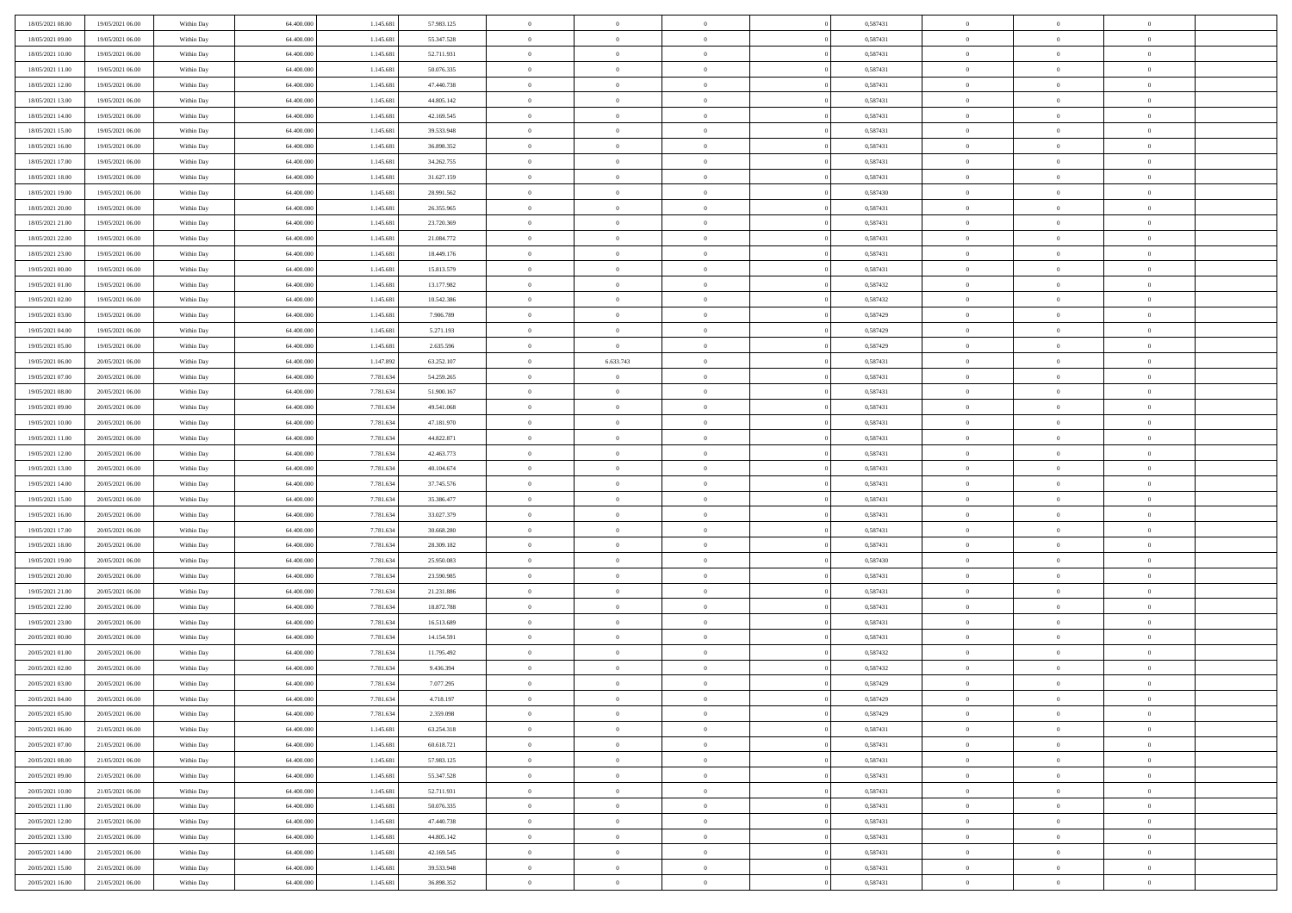| 18/05/2021 08:00 | 19/05/2021 06:00 | Within Day | 64,400,000 | 1.145.681 | 57.983.125 | $\bf{0}$       | $\overline{0}$ | $\theta$       | 0,587431 | $\theta$       | $\overline{0}$ | $\overline{0}$ |  |
|------------------|------------------|------------|------------|-----------|------------|----------------|----------------|----------------|----------|----------------|----------------|----------------|--|
| 18/05/2021 09:00 | 19/05/2021 06:00 | Within Dav | 64.400.000 | 1.145.681 | 55.347.528 | $\mathbf{0}$   | $\overline{0}$ | $\overline{0}$ | 0,587431 | $\theta$       | $\overline{0}$ | $\theta$       |  |
| 18/05/2021 10:00 | 19/05/2021 06:00 | Within Day | 64.400.000 | 1.145.681 | 52.711.931 | $\,$ 0         | $\overline{0}$ | $\bf{0}$       | 0,587431 | $\,0\,$        | $\overline{0}$ | $\,$ 0 $\,$    |  |
| 18/05/2021 11:00 | 19/05/2021 06:00 | Within Day | 64,400,000 | 1.145.681 | 50.076.335 | $\bf{0}$       | $\overline{0}$ | $\Omega$       | 0.587431 | $\overline{0}$ | $\theta$       | $\theta$       |  |
| 18/05/2021 12:00 | 19/05/2021 06:00 | Within Dav | 64.400.000 | 1.145.681 | 47.440.738 | $\mathbf{0}$   | $\overline{0}$ | $\overline{0}$ | 0,587431 | $\mathbf{0}$   | $\overline{0}$ | $\overline{0}$ |  |
| 18/05/2021 13:00 | 19/05/2021 06:00 | Within Day | 64.400.000 | 1.145.681 | 44.805.142 | $\bf{0}$       | $\overline{0}$ | $\bf{0}$       | 0,587431 | $\,0\,$        | $\overline{0}$ | $\,$ 0 $\,$    |  |
| 18/05/2021 14:00 | 19/05/2021 06:00 | Within Day | 64,400,000 | 1.145.681 | 42.169.545 | $\bf{0}$       | $\overline{0}$ | $\overline{0}$ | 0,587431 | $\bf{0}$       | $\overline{0}$ | $\theta$       |  |
| 18/05/2021 15:00 | 19/05/2021 06:00 | Within Dav | 64.400.000 | 1.145.681 | 39.533.948 | $\overline{0}$ | $\overline{0}$ | $\overline{0}$ | 0,587431 | $\mathbf{0}$   | $\overline{0}$ | $\theta$       |  |
| 18/05/2021 16:00 | 19/05/2021 06:00 | Within Day | 64.400.000 | 1.145.681 | 36.898.352 | $\bf{0}$       | $\overline{0}$ | $\bf{0}$       | 0,587431 | $\,0\,$        | $\overline{0}$ | $\,$ 0 $\,$    |  |
| 18/05/2021 17:00 | 19/05/2021 06:00 | Within Day | 64,400,000 | 1.145.681 | 34.262.755 | $\bf{0}$       | $\overline{0}$ | $\overline{0}$ | 0,587431 | $\theta$       | $\overline{0}$ | $\overline{0}$ |  |
| 18/05/2021 18:00 | 19/05/2021 06:00 | Within Dav | 64.400.000 | 1.145.681 | 31.627.159 | $\overline{0}$ | $\overline{0}$ | $\overline{0}$ | 0,587431 | $\mathbf{0}$   | $\overline{0}$ | $\theta$       |  |
| 18/05/2021 19:00 | 19/05/2021 06:00 | Within Day | 64.400.000 | 1.145.681 | 28.991.562 | $\,$ 0         | $\overline{0}$ | $\bf{0}$       | 0,587430 | $\,0\,$        | $\overline{0}$ | $\,$ 0 $\,$    |  |
| 18/05/2021 20:00 | 19/05/2021 06:00 | Within Day | 64,400,000 | 1.145.681 | 26.355.965 | $\bf{0}$       | $\overline{0}$ | $\Omega$       | 0.587431 | $\theta$       | $\theta$       | $\theta$       |  |
| 18/05/2021 21:00 | 19/05/2021 06:00 | Within Dav | 64.400.000 | 1.145.681 | 23.720.369 | $\overline{0}$ | $\overline{0}$ | $\overline{0}$ | 0,587431 | $\mathbf{0}$   | $\overline{0}$ | $\overline{0}$ |  |
| 18/05/2021 22:00 | 19/05/2021 06:00 | Within Day | 64.400.000 | 1.145.681 | 21.084.772 | $\bf{0}$       | $\overline{0}$ | $\bf{0}$       | 0,587431 | $\,0\,$        | $\overline{0}$ | $\,$ 0 $\,$    |  |
| 18/05/2021 23:00 | 19/05/2021 06:00 | Within Day | 64,400,000 | 1.145.681 | 18.449.176 | $\bf{0}$       | $\overline{0}$ | $\overline{0}$ | 0,587431 | $\theta$       | $\overline{0}$ | $\overline{0}$ |  |
| 19/05/2021 00:00 | 19/05/2021 06:00 | Within Dav | 64.400.000 | 1.145.681 | 15.813.579 | $\overline{0}$ | $\overline{0}$ | $\overline{0}$ | 0,587431 | $\mathbf{0}$   | $\overline{0}$ | $\theta$       |  |
| 19/05/2021 01:00 | 19/05/2021 06:00 | Within Day | 64.400.000 | 1.145.681 | 13.177.982 | $\bf{0}$       | $\overline{0}$ | $\bf{0}$       | 0,587432 | $\,0\,$        | $\overline{0}$ | $\,$ 0 $\,$    |  |
| 19/05/2021 02:00 | 19/05/2021 06:00 | Within Day | 64,400,000 | 1.145.681 | 10.542.386 | $\bf{0}$       | $\overline{0}$ | $\overline{0}$ | 0,587432 | $\theta$       | $\theta$       | $\overline{0}$ |  |
| 19/05/2021 03:00 | 19/05/2021 06:00 | Within Dav | 64.400.000 | 1.145.681 | 7.906.789  | $\overline{0}$ | $\overline{0}$ | $\overline{0}$ | 0,587429 | $\mathbf{0}$   | $\overline{0}$ | $\theta$       |  |
| 19/05/2021 04:00 | 19/05/2021 06:00 | Within Day | 64.400.000 | 1.145.681 | 5.271.193  | $\bf{0}$       | $\overline{0}$ | $\bf{0}$       | 0,587429 | $\,0\,$        | $\overline{0}$ | $\,$ 0 $\,$    |  |
| 19/05/2021 05:00 | 19/05/2021 06:00 | Within Day | 64,400,000 | 1.145.681 | 2.635.596  | $\bf{0}$       | $\overline{0}$ | $\Omega$       | 0.587429 | $\theta$       | $\theta$       | $\theta$       |  |
| 19/05/2021 06:00 | 20/05/2021 06:00 | Within Dav | 64.400.000 | 1.147.892 | 63.252.107 | $\overline{0}$ | 6.633.743      | $\overline{0}$ | 0,587431 | $\mathbf{0}$   | $\overline{0}$ | $\overline{0}$ |  |
| 19/05/2021 07:00 | 20/05/2021 06:00 | Within Day | 64.400.000 | 7.781.634 | 54.259.265 | $\bf{0}$       | $\overline{0}$ | $\bf{0}$       | 0,587431 | $\,0\,$        | $\overline{0}$ | $\,$ 0 $\,$    |  |
| 19/05/2021 08:00 | 20/05/2021 06:00 | Within Day | 64,400,000 | 7.781.634 | 51.900.167 | $\bf{0}$       | $\overline{0}$ | $\overline{0}$ | 0,587431 | $\bf{0}$       | $\overline{0}$ | $\overline{0}$ |  |
| 19/05/2021 09:00 | 20/05/2021 06:00 | Within Dav | 64.400.000 | 7.781.634 | 49.541.068 | $\overline{0}$ | $\overline{0}$ | $\overline{0}$ | 0,587431 | $\mathbf{0}$   | $\bf{0}$       | $\theta$       |  |
| 19/05/2021 10:00 | 20/05/2021 06:00 | Within Day | 64.400.000 | 7.781.634 | 47.181.970 | $\bf{0}$       | $\overline{0}$ | $\bf{0}$       | 0,587431 | $\,0\,$        | $\overline{0}$ | $\,$ 0 $\,$    |  |
| 19/05/2021 11:00 | 20/05/2021 06:00 | Within Day | 64,400,000 | 7.781.634 | 44.822.871 | $\bf{0}$       | $\overline{0}$ | $\Omega$       | 0.587431 | $\theta$       | $\theta$       | $\overline{0}$ |  |
| 19/05/2021 12:00 | 20/05/2021 06:00 | Within Dav | 64.400.000 | 7.781.634 | 42.463.773 | $\overline{0}$ | $\overline{0}$ | $\overline{0}$ | 0,587431 | $\mathbf{0}$   | $\bf{0}$       | $\overline{0}$ |  |
| 19/05/2021 13:00 | 20/05/2021 06:00 | Within Day | 64.400.000 | 7.781.634 | 40.104.674 | $\bf{0}$       | $\overline{0}$ | $\bf{0}$       | 0,587431 | $\,0\,$        | $\overline{0}$ | $\,$ 0 $\,$    |  |
| 19/05/2021 14:00 | 20/05/2021 06:00 | Within Day | 64.400.000 | 7.781.634 | 37.745.576 | $\,$ 0         | $\bf{0}$       | $\overline{0}$ | 0,587431 | $\bf{0}$       | $\overline{0}$ | $\theta$       |  |
| 19/05/2021 15:00 | 20/05/2021 06:00 | Within Dav | 64.400.000 | 7.781.634 | 35.386.477 | $\overline{0}$ | $\overline{0}$ | $\overline{0}$ | 0,587431 | $\mathbf{0}$   | $\overline{0}$ | $\overline{0}$ |  |
| 19/05/2021 16:00 | 20/05/2021 06:00 | Within Day | 64.400.000 | 7.781.634 | 33.027.379 | $\bf{0}$       | $\overline{0}$ | $\bf{0}$       | 0,587431 | $\,0\,$        | $\overline{0}$ | $\,$ 0 $\,$    |  |
| 19/05/2021 17:00 | 20/05/2021 06:00 | Within Day | 64.400.000 | 7.781.634 | 30.668.280 | $\bf{0}$       | $\bf{0}$       | $\bf{0}$       | 0,587431 | $\bf{0}$       | $\overline{0}$ | $\bf{0}$       |  |
| 19/05/2021 18:00 | 20/05/2021 06:00 | Within Dav | 64.400.000 | 7.781.634 | 28.309.182 | $\overline{0}$ | $\overline{0}$ | $\overline{0}$ | 0,587431 | $\theta$       | $\overline{0}$ | $\theta$       |  |
| 19/05/2021 19:00 | 20/05/2021 06:00 | Within Day | 64.400.000 | 7.781.634 | 25.950.083 | $\bf{0}$       | $\overline{0}$ | $\bf{0}$       | 0,587430 | $\,0\,$        | $\overline{0}$ | $\,$ 0 $\,$    |  |
| 19/05/2021 20:00 | 20/05/2021 06:00 | Within Day | 64.400.000 | 7.781.634 | 23.590.985 | $\bf{0}$       | $\bf{0}$       | $\overline{0}$ | 0,587431 | $\bf{0}$       | $\overline{0}$ | $\theta$       |  |
| 19/05/2021 21:00 | 20/05/2021 06:00 | Within Dav | 64.400.000 | 7.781.634 | 21.231.886 | $\overline{0}$ | $\overline{0}$ | $\overline{0}$ | 0,587431 | $\mathbf{0}$   | $\bf{0}$       | $\overline{0}$ |  |
| 19/05/2021 22:00 | 20/05/2021 06:00 | Within Day | 64.400.000 | 7.781.634 | 18.872.788 | $\bf{0}$       | $\overline{0}$ | $\bf{0}$       | 0,587431 | $\,0\,$        | $\overline{0}$ | $\,$ 0 $\,$    |  |
| 19/05/2021 23:00 | 20/05/2021 06:00 | Within Day | 64.400.000 | 7.781.634 | 16.513.689 | $\bf{0}$       | $\bf{0}$       | $\overline{0}$ | 0,587431 | $\bf{0}$       | $\overline{0}$ | $\theta$       |  |
| 20/05/2021 00:00 | 20/05/2021 06:00 | Within Dav | 64.400.000 | 7.781.634 | 14.154.591 | $\overline{0}$ | $\overline{0}$ | $\overline{0}$ | 0,587431 | $\theta$       | $\overline{0}$ | $\theta$       |  |
| 20/05/2021 01:00 | 20/05/2021 06:00 | Within Day | 64.400.000 | 7.781.634 | 11.795.492 | $\bf{0}$       | $\overline{0}$ | $\bf{0}$       | 0,587432 | $\,0\,$        | $\overline{0}$ | $\theta$       |  |
| 20/05/2021 02:00 | 20/05/2021 06:00 | Within Day | 64.400.000 | 7.781.634 | 9.436.394  | $\bf{0}$       | $\bf{0}$       | $\bf{0}$       | 0,587432 | $\bf{0}$       | $\overline{0}$ | $\bf{0}$       |  |
| 20/05/2021 03:00 | 20/05/2021 06:00 | Within Dav | 64.400.000 | 7.781.634 | 7.077.295  | $\mathbf{0}$   | $\overline{0}$ | $\overline{0}$ | 0,587429 | $\theta$       | $\bf{0}$       | $\theta$       |  |
| 20/05/2021 04:00 | 20/05/2021 06:00 | Within Day | 64.400.000 | 7.781.634 | 4.718.197  | $\bf{0}$       | $\overline{0}$ | $\theta$       | 0,587429 | $\bf{0}$       | $\overline{0}$ | $\theta$       |  |
| 20/05/2021 05:00 | 20/05/2021 06:00 | Within Day | 64.400.000 | 7.781.634 | 2.359.098  | $\bf{0}$       | $\bf{0}$       | $\bf{0}$       | 0,587429 | $\bf{0}$       | $\overline{0}$ | $\bf{0}$       |  |
| 20/05/2021 06:00 | 21/05/2021 06:00 | Within Day | 64.400.000 | 1.145.681 | 63.254.318 | $\overline{0}$ | $\overline{0}$ | $\overline{0}$ | 0,587431 | $\overline{0}$ | $\overline{0}$ | $\overline{0}$ |  |
| 20/05/2021 07:00 | 21/05/2021 06:00 | Within Day | 64.400.000 | 1.145.681 | 60.618.721 | $\,$ 0 $\,$    | $\overline{0}$ | $\overline{0}$ | 0,587431 | $\,$ 0 $\,$    | $\,$ 0 $\,$    | $\,0\,$        |  |
| 20/05/2021 08:00 | 21/05/2021 06:00 | Within Day | 64.400.000 | 1.145.681 | 57.983.125 | $\bf{0}$       | $\bf{0}$       | $\overline{0}$ | 0,587431 | $\mathbf{0}$   | $\overline{0}$ | $\bf{0}$       |  |
| 20/05/2021 09:00 | 21/05/2021 06:00 | Within Day | 64.400.000 | 1.145.681 | 55.347.528 | $\,$ 0 $\,$    | $\overline{0}$ | $\overline{0}$ | 0,587431 | $\mathbf{0}$   | $\bf{0}$       | $\overline{0}$ |  |
| 20/05/2021 10:00 | 21/05/2021 06:00 | Within Day | 64.400.000 | 1.145.681 | 52.711.931 | $\,$ 0 $\,$    | $\overline{0}$ | $\overline{0}$ | 0,587431 | $\,$ 0 $\,$    | $\overline{0}$ | $\,$ 0         |  |
| 20/05/2021 11:00 | 21/05/2021 06:00 | Within Day | 64.400.000 | 1.145.681 | 50.076.335 | $\overline{0}$ | $\overline{0}$ | $\overline{0}$ | 0,587431 | $\overline{0}$ | $\overline{0}$ | $\bf{0}$       |  |
| 20/05/2021 12:00 | 21/05/2021 06:00 | Within Day | 64.400.000 | 1.145.681 | 47.440.738 | $\,$ 0 $\,$    | $\overline{0}$ | $\overline{0}$ | 0,587431 | $\overline{0}$ | $\bf{0}$       | $\overline{0}$ |  |
| 20/05/2021 13:00 | 21/05/2021 06:00 | Within Day | 64.400.000 | 1.145.681 | 44.805.142 | $\,$ 0 $\,$    | $\overline{0}$ | $\overline{0}$ | 0,587431 | $\,$ 0 $\,$    | $\,$ 0 $\,$    | $\,$ 0         |  |
| 20/05/2021 14:00 | 21/05/2021 06:00 | Within Day | 64.400.000 | 1.145.681 | 42.169.545 | $\bf{0}$       | $\bf{0}$       | $\overline{0}$ | 0,587431 | $\mathbf{0}$   | $\overline{0}$ | $\bf{0}$       |  |
| 20/05/2021 15:00 | 21/05/2021 06:00 | Within Day | 64.400.000 | 1.145.681 | 39.533.948 | $\,$ 0 $\,$    | $\overline{0}$ | $\overline{0}$ | 0,587431 | $\overline{0}$ | $\overline{0}$ | $\overline{0}$ |  |
| 20/05/2021 16:00 | 21/05/2021 06:00 | Within Day | 64.400.000 | 1.145.681 | 36.898.352 | $\,0\,$        | $\overline{0}$ | $\overline{0}$ | 0,587431 | $\,0\,$        | $\overline{0}$ | $\,0\,$        |  |
|                  |                  |            |            |           |            |                |                |                |          |                |                |                |  |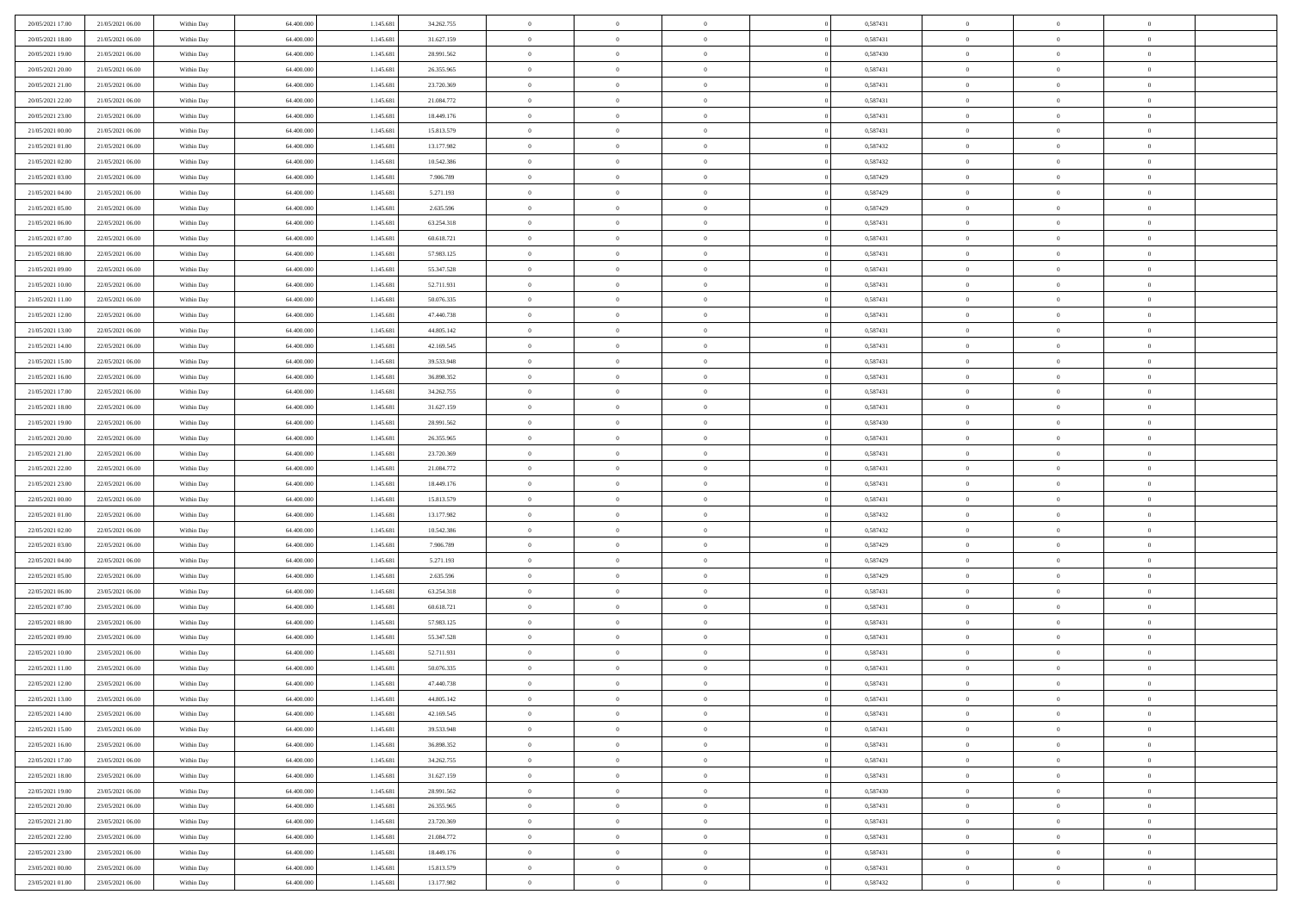| 20/05/2021 17:00 | 21/05/2021 06:00 | Within Day | 64,400,000 | 1.145.681 | 34.262.755 | $\overline{0}$ | $\overline{0}$ | $\Omega$       | 0,587431 | $\bf{0}$       | $\mathbf{0}$   | $\bf{0}$       |  |
|------------------|------------------|------------|------------|-----------|------------|----------------|----------------|----------------|----------|----------------|----------------|----------------|--|
| 20/05/2021 18:00 | 21/05/2021 06:00 | Within Day | 64.400.000 | 1.145.681 | 31.627.159 | $\mathbf{0}$   | $\overline{0}$ | $\overline{0}$ | 0,587431 | $\mathbf{0}$   | $\overline{0}$ | $\overline{0}$ |  |
| 20/05/2021 19:00 | 21/05/2021 06:00 | Within Day | 64.400.000 | 1.145.681 | 28.991.562 | $\,$ 0         | $\overline{0}$ | $\bf{0}$       | 0,587430 | $\,$ 0         | $\overline{0}$ | $\,$ 0 $\,$    |  |
| 20/05/2021 20:00 | 21/05/2021 06:00 | Within Day | 64,400,000 | 1.145.681 | 26.355.965 | $\bf{0}$       | $\overline{0}$ | $\Omega$       | 0.587431 | $\bf{0}$       | $\mathbf{0}$   | $\theta$       |  |
| 20/05/2021 21:00 | 21/05/2021 06:00 | Within Day | 64.400.000 | 1.145.681 | 23.720.369 | $\bf{0}$       | $\overline{0}$ | $\overline{0}$ | 0,587431 | $\mathbf{0}$   | $\overline{0}$ | $\overline{0}$ |  |
| 20/05/2021 22:00 | 21/05/2021 06:00 | Within Day | 64.400.000 | 1.145.681 | 21.084.772 | $\bf{0}$       | $\overline{0}$ | $\bf{0}$       | 0,587431 | $\,$ 0         | $\overline{0}$ | $\,$ 0 $\,$    |  |
| 20/05/2021 23:00 | 21/05/2021 06:00 | Within Day | 64,400,000 | 1.145.681 | 18.449.176 | $\bf{0}$       | $\overline{0}$ | $\overline{0}$ | 0,587431 | $\bf{0}$       | $\overline{0}$ | $\theta$       |  |
| 21/05/2021 00:00 | 21/05/2021 06:00 | Within Day | 64.400.000 | 1.145.681 | 15.813.579 | $\overline{0}$ | $\overline{0}$ | $\overline{0}$ | 0,587431 | $\mathbf{0}$   | $\overline{0}$ | $\overline{0}$ |  |
| 21/05/2021 01:00 | 21/05/2021 06:00 | Within Day | 64.400.000 | 1.145.681 | 13.177.982 | $\bf{0}$       | $\overline{0}$ | $\bf{0}$       | 0,587432 | $\,$ 0         | $\overline{0}$ | $\,$ 0 $\,$    |  |
| 21/05/2021 02:00 | 21/05/2021 06:00 | Within Day | 64,400,000 | 1.145.681 | 10.542.386 | $\bf{0}$       | $\overline{0}$ | $\Omega$       | 0.587432 | $\theta$       | $\mathbf{0}$   | $\theta$       |  |
| 21/05/2021 03:00 | 21/05/2021 06:00 | Within Day | 64.400.000 | 1.145.681 | 7.906.789  | $\bf{0}$       | $\overline{0}$ | $\overline{0}$ | 0,587429 | $\mathbf{0}$   | $\overline{0}$ | $\overline{0}$ |  |
| 21/05/2021 04:00 | 21/05/2021 06:00 | Within Day | 64.400.000 | 1.145.681 | 5.271.193  | $\bf{0}$       | $\overline{0}$ | $\bf{0}$       | 0,587429 | $\,$ 0         | $\overline{0}$ | $\,$ 0 $\,$    |  |
| 21/05/2021 05:00 | 21/05/2021 06:00 | Within Day | 64,400,000 | 1.145.681 | 2.635.596  | $\bf{0}$       | $\overline{0}$ | $\Omega$       | 0.587429 | $\theta$       | $\mathbf{0}$   | $\theta$       |  |
| 21/05/2021 06:00 | 22/05/2021 06:00 | Within Day | 64.400.000 | 1.145.681 | 63.254.318 | $\overline{0}$ | $\overline{0}$ | $\overline{0}$ | 0,587431 | $\mathbf{0}$   | $\overline{0}$ | $\overline{0}$ |  |
| 21/05/2021 07:00 | 22/05/2021 06:00 | Within Day | 64.400.000 | 1.145.681 | 60.618.721 | $\bf{0}$       | $\overline{0}$ | $\bf{0}$       | 0,587431 | $\,$ 0         | $\overline{0}$ | $\,$ 0 $\,$    |  |
| 21/05/2021 08:00 | 22/05/2021 06:00 | Within Day | 64,400,000 | 1.145.681 | 57.983.125 | $\bf{0}$       | $\overline{0}$ | $\overline{0}$ | 0,587431 | $\bf{0}$       | $\mathbf{0}$   | $\bf{0}$       |  |
| 21/05/2021 09:00 | 22/05/2021 06:00 | Within Day | 64.400.000 | 1.145.681 | 55.347.528 | $\overline{0}$ | $\overline{0}$ | $\overline{0}$ | 0,587431 | $\mathbf{0}$   | $\overline{0}$ | $\overline{0}$ |  |
| 21/05/2021 10:00 | 22/05/2021 06:00 | Within Day | 64.400.000 | 1.145.681 | 52.711.931 | $\bf{0}$       | $\overline{0}$ | $\bf{0}$       | 0,587431 | $\,$ 0         | $\overline{0}$ | $\,$ 0 $\,$    |  |
| 21/05/2021 11:00 | 22/05/2021 06:00 | Within Day | 64,400,000 | 1.145.681 | 50.076.335 | $\bf{0}$       | $\overline{0}$ | $\Omega$       | 0.587431 | $\theta$       | $\mathbf{0}$   | $\theta$       |  |
| 21/05/2021 12:00 | 22/05/2021 06:00 | Within Day | 64.400.000 | 1.145.681 | 47.440.738 | $\overline{0}$ | $\overline{0}$ | $\overline{0}$ | 0,587431 | $\mathbf{0}$   | $\overline{0}$ | $\overline{0}$ |  |
| 21/05/2021 13:00 | 22/05/2021 06:00 | Within Day | 64.400.000 | 1.145.681 | 44.805.142 | $\bf{0}$       | $\overline{0}$ | $\bf{0}$       | 0,587431 | $\,$ 0         | $\overline{0}$ | $\,$ 0 $\,$    |  |
| 21/05/2021 14:00 | 22/05/2021 06:00 | Within Day | 64,400,000 | 1.145.681 | 42.169.545 | $\bf{0}$       | $\overline{0}$ | $\Omega$       | 0.587431 | $\theta$       | $\mathbf{0}$   | $\theta$       |  |
| 21/05/2021 15:00 | 22/05/2021 06:00 | Within Day | 64.400.000 | 1.145.681 | 39.533.948 | $\overline{0}$ | $\overline{0}$ | $\overline{0}$ | 0,587431 | $\mathbf{0}$   | $\overline{0}$ | $\overline{0}$ |  |
| 21/05/2021 16:00 | 22/05/2021 06:00 | Within Day | 64.400.000 | 1.145.681 | 36.898.352 | $\bf{0}$       | $\overline{0}$ | $\bf{0}$       | 0,587431 | $\,$ 0         | $\overline{0}$ | $\,$ 0 $\,$    |  |
| 21/05/2021 17:00 | 22/05/2021 06:00 | Within Day | 64,400,000 | 1.145.681 | 34.262.755 | $\bf{0}$       | $\overline{0}$ | $\overline{0}$ | 0,587431 | $\bf{0}$       | $\overline{0}$ | $\bf{0}$       |  |
| 21/05/2021 18:00 | 22/05/2021 06:00 | Within Day | 64.400.000 | 1.145.681 | 31.627.159 | $\overline{0}$ | $\overline{0}$ | $\overline{0}$ | 0,587431 | $\mathbf{0}$   | $\overline{0}$ | $\overline{0}$ |  |
| 21/05/2021 19:00 | 22/05/2021 06:00 | Within Day | 64.400.000 | 1.145.681 | 28.991.562 | $\bf{0}$       | $\overline{0}$ | $\bf{0}$       | 0,587430 | $\,$ 0         | $\overline{0}$ | $\,$ 0 $\,$    |  |
| 21/05/2021 20:00 | 22/05/2021 06:00 | Within Day | 64,400,000 | 1.145.681 | 26.355.965 | $\bf{0}$       | $\overline{0}$ | $\Omega$       | 0.587431 | $\theta$       | $\mathbf{0}$   | $\theta$       |  |
| 21/05/2021 21:00 | 22/05/2021 06:00 | Within Day | 64.400.000 | 1.145.681 | 23.720.369 | $\overline{0}$ | $\overline{0}$ | $\overline{0}$ | 0,587431 | $\mathbf{0}$   | $\overline{0}$ | $\overline{0}$ |  |
| 21/05/2021 22:00 | 22/05/2021 06:00 | Within Day | 64.400.000 | 1.145.681 | 21.084.772 | $\bf{0}$       | $\overline{0}$ | $\bf{0}$       | 0,587431 | $\,$ 0         | $\overline{0}$ | $\,$ 0 $\,$    |  |
| 21/05/2021 23:00 | 22/05/2021 06:00 | Within Day | 64.400.000 | 1.145.681 | 18.449.176 | $\,$ 0         | $\bf{0}$       | $\overline{0}$ | 0,587431 | $\bf{0}$       | $\overline{0}$ | $\,0\,$        |  |
| 22/05/2021 00:00 | 22/05/2021 06:00 | Within Day | 64.400.000 | 1.145.681 | 15.813.579 | $\overline{0}$ | $\overline{0}$ | $\overline{0}$ | 0,587431 | $\mathbf{0}$   | $\overline{0}$ | $\overline{0}$ |  |
| 22/05/2021 01:00 | 22/05/2021 06:00 | Within Day | 64.400.000 | 1.145.681 | 13.177.982 | $\bf{0}$       | $\overline{0}$ | $\bf{0}$       | 0,587432 | $\,$ 0         | $\overline{0}$ | $\,$ 0 $\,$    |  |
| 22/05/2021 02:00 | 22/05/2021 06:00 | Within Day | 64.400.000 | 1.145.681 | 10.542.386 | $\bf{0}$       | $\overline{0}$ | $\bf{0}$       | 0,587432 | $\bf{0}$       | $\overline{0}$ | $\,0\,$        |  |
| 22/05/2021 03:00 | 22/05/2021 06:00 | Within Day | 64.400.000 | 1.145.681 | 7.906.789  | $\overline{0}$ | $\overline{0}$ | $\overline{0}$ | 0,587429 | $\mathbf{0}$   | $\overline{0}$ | $\overline{0}$ |  |
| 22/05/2021 04:00 | 22/05/2021 06:00 | Within Day | 64.400.000 | 1.145.681 | 5.271.193  | $\bf{0}$       | $\overline{0}$ | $\bf{0}$       | 0,587429 | $\,$ 0         | $\overline{0}$ | $\,$ 0 $\,$    |  |
| 22/05/2021 05:00 | 22/05/2021 06:00 | Within Day | 64.400.000 | 1.145.681 | 2.635.596  | $\bf{0}$       | $\bf{0}$       | $\overline{0}$ | 0,587429 | $\bf{0}$       | $\overline{0}$ | $\,0\,$        |  |
| 22/05/2021 06:00 | 23/05/2021 06:00 | Within Day | 64.400.000 | 1.145.681 | 63.254.318 | $\overline{0}$ | $\overline{0}$ | $\overline{0}$ | 0,587431 | $\mathbf{0}$   | $\overline{0}$ | $\overline{0}$ |  |
| 22/05/2021 07:00 | 23/05/2021 06:00 | Within Day | 64.400.000 | 1.145.681 | 60.618.721 | $\bf{0}$       | $\overline{0}$ | $\bf{0}$       | 0,587431 | $\,$ 0         | $\overline{0}$ | $\,$ 0 $\,$    |  |
| 22/05/2021 08:00 | 23/05/2021 06:00 | Within Day | 64.400.000 | 1.145.681 | 57.983.125 | $\bf{0}$       | $\bf{0}$       | $\overline{0}$ | 0,587431 | $\bf{0}$       | $\overline{0}$ | $\,0\,$        |  |
| 22/05/2021 09:00 | 23/05/2021 06:00 | Within Day | 64.400.000 | 1.145.681 | 55.347.528 | $\overline{0}$ | $\overline{0}$ | $\overline{0}$ | 0,587431 | $\mathbf{0}$   | $\overline{0}$ | $\overline{0}$ |  |
| 22/05/2021 10:00 | 23/05/2021 06:00 | Within Day | 64.400.000 | 1.145.681 | 52.711.931 | $\bf{0}$       | $\overline{0}$ | $\bf{0}$       | 0,587431 | $\,$ 0         | $\overline{0}$ | $\,$ 0 $\,$    |  |
| 22/05/2021 11:00 | 23/05/2021 06:00 | Within Day | 64.400.000 | 1.145.681 | 50.076.335 | $\bf{0}$       | $\bf{0}$       | $\bf{0}$       | 0,587431 | $\bf{0}$       | $\overline{0}$ | $\,0\,$        |  |
| 22/05/2021 12:00 | 23/05/2021 06:00 | Within Day | 64.400.000 | 1.145.681 | 47.440.738 | $\mathbf{0}$   | $\overline{0}$ | $\overline{0}$ | 0,587431 | $\mathbf{0}$   | $\overline{0}$ | $\overline{0}$ |  |
| 22/05/2021 13:00 | 23/05/2021 06:00 | Within Day | 64.400.000 | 1.145.681 | 44.805.142 | $\bf{0}$       | $\overline{0}$ | $\theta$       | 0,587431 | $\overline{0}$ | $\overline{0}$ | $\theta$       |  |
| 22/05/2021 14:00 | 23/05/2021 06:00 | Within Day | 64.400.000 | 1.145.681 | 42.169.545 | $\bf{0}$       | $\bf{0}$       | $\bf{0}$       | 0,587431 | $\bf{0}$       | $\overline{0}$ | $\bf{0}$       |  |
| 22/05/2021 15:00 | 23/05/2021 06:00 | Within Day | 64.400.000 | 1.145.681 | 39.533.948 | $\overline{0}$ | $\overline{0}$ | $\overline{0}$ | 0,587431 | $\overline{0}$ | $\bf{0}$       | $\overline{0}$ |  |
| 22/05/2021 16:00 | 23/05/2021 06:00 | Within Day | 64.400.000 | 1.145.681 | 36.898.352 | $\,$ 0 $\,$    | $\overline{0}$ | $\overline{0}$ | 0,587431 | $\mathbf{0}$   | $\,$ 0 $\,$    | $\,$ 0 $\,$    |  |
| 22/05/2021 17:00 | 23/05/2021 06:00 | Within Day | 64.400.000 | 1.145.681 | 34.262.755 | $\bf{0}$       | $\bf{0}$       | $\overline{0}$ | 0,587431 | $\bf{0}$       | $\overline{0}$ | $\bf{0}$       |  |
| 22/05/2021 18:00 | 23/05/2021 06:00 | Within Day | 64.400.000 | 1.145.681 | 31.627.159 | $\bf{0}$       | $\overline{0}$ | $\overline{0}$ | 0,587431 | $\overline{0}$ | $\bf{0}$       | $\overline{0}$ |  |
| 22/05/2021 19:00 | 23/05/2021 06:00 | Within Day | 64.400.000 | 1.145.681 | 28.991.562 | $\,$ 0 $\,$    | $\overline{0}$ | $\overline{0}$ | 0,587430 | $\,$ 0 $\,$    | $\overline{0}$ | $\,$ 0 $\,$    |  |
| 22/05/2021 20:00 | 23/05/2021 06:00 | Within Day | 64.400.000 | 1.145.681 | 26.355.965 | $\bf{0}$       | $\overline{0}$ | $\overline{0}$ | 0,587431 | $\bf{0}$       | $\overline{0}$ | $\overline{0}$ |  |
| 22/05/2021 21:00 | 23/05/2021 06:00 | Within Day | 64.400.000 | 1.145.681 | 23.720.369 | $\overline{0}$ | $\overline{0}$ | $\overline{0}$ | 0,587431 | $\overline{0}$ | $\bf{0}$       | $\overline{0}$ |  |
| 22/05/2021 22:00 | 23/05/2021 06:00 | Within Day | 64.400.000 | 1.145.681 | 21.084.772 | $\,$ 0 $\,$    | $\overline{0}$ | $\overline{0}$ | 0,587431 | $\,$ 0 $\,$    | $\,$ 0 $\,$    | $\,$ 0 $\,$    |  |
| 22/05/2021 23:00 | 23/05/2021 06:00 | Within Day | 64.400.000 | 1.145.681 | 18.449.176 | $\bf{0}$       | $\bf{0}$       | $\overline{0}$ | 0,587431 | $\mathbf{0}$   | $\overline{0}$ | $\bf{0}$       |  |
| 23/05/2021 00:00 | 23/05/2021 06:00 | Within Day | 64.400.000 | 1.145.681 | 15.813.579 | $\bf{0}$       | $\overline{0}$ | $\overline{0}$ | 0,587431 | $\mathbf{0}$   | $\bf{0}$       | $\overline{0}$ |  |
| 23/05/2021 01:00 | 23/05/2021 06:00 | Within Day | 64.400.000 | 1.145.681 | 13.177.982 | $\,0\,$        | $\overline{0}$ | $\overline{0}$ | 0,587432 | $\,$ 0         | $\overline{0}$ | $\,$ 0 $\,$    |  |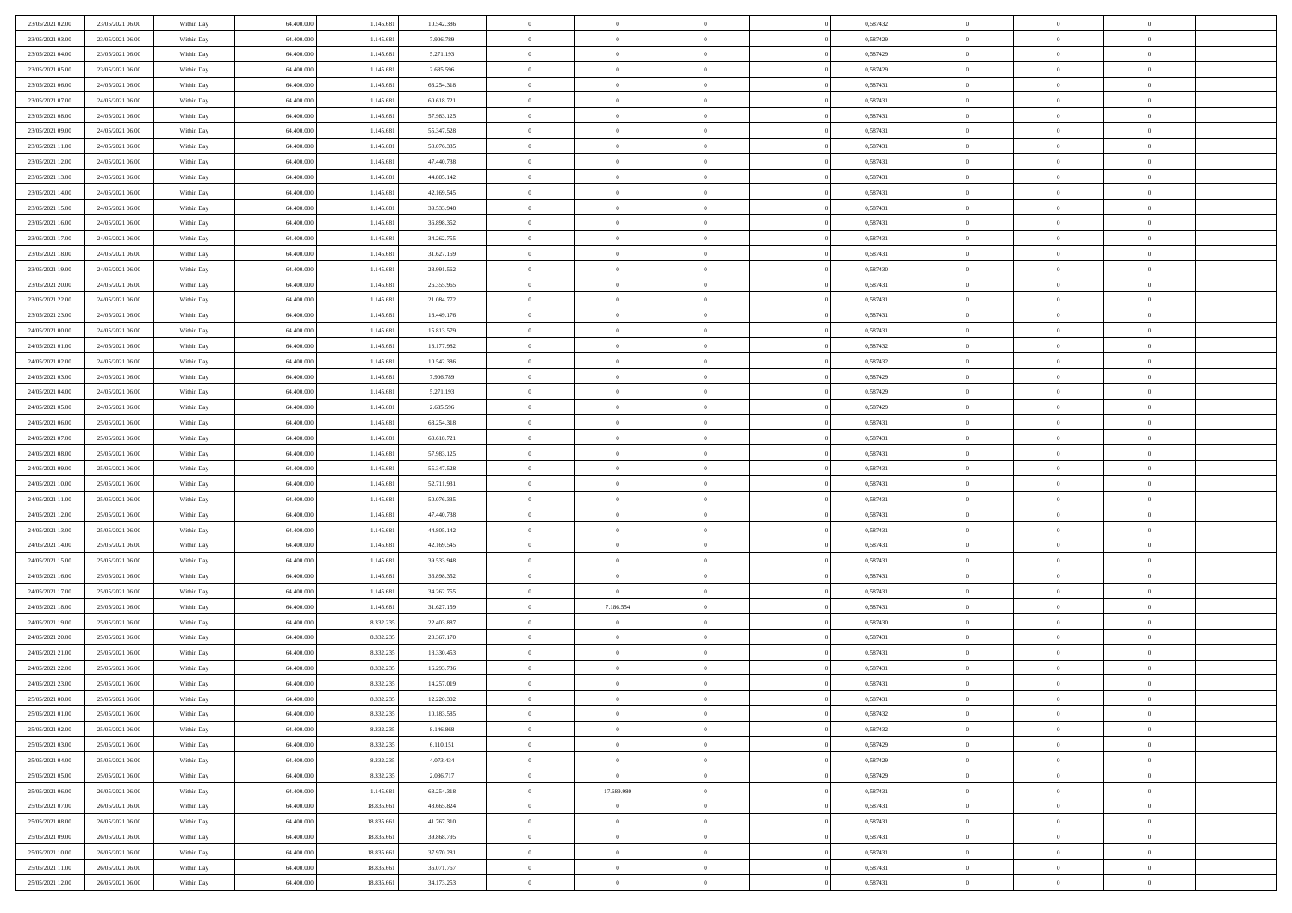| 23/05/2021 02:00                     | 23/05/2021 06:00                     | Within Day               | 64.400.000               | 1.145.681              | 10.542.386               | $\,$ 0                   | $\bf{0}$                         | $\theta$                   |          | 0,587432             | $\bf{0}$           | $\overline{0}$                   | $\,0\,$                    |  |
|--------------------------------------|--------------------------------------|--------------------------|--------------------------|------------------------|--------------------------|--------------------------|----------------------------------|----------------------------|----------|----------------------|--------------------|----------------------------------|----------------------------|--|
| 23/05/2021 03:00                     | 23/05/2021 06:00                     | Within Day               | 64,400,000               | 1.145.681              | 7.906.789                | $\overline{0}$           | $\overline{0}$                   | $\overline{0}$             |          | 0,587429             | $\theta$           | $\overline{0}$                   | $\theta$                   |  |
| 23/05/2021 04:00                     | 23/05/2021 06:00                     | Within Dav               | 64.400.000               | 1.145.681              | 5.271.193                | $\mathbf{0}$             | $\overline{0}$                   | $\overline{0}$             |          | 0,587429             | $\mathbf{0}$       | $\overline{0}$                   | $\overline{0}$             |  |
| 23/05/2021 05:00                     | 23/05/2021 06:00                     | Within Day               | 64.400.000               | 1.145.681              | 2.635.596                | $\bf{0}$                 | $\overline{0}$                   | $\bf{0}$                   |          | 0,587429             | $\bf{0}$           | $\overline{0}$                   | $\bf{0}$                   |  |
| 23/05/2021 06:00                     | 24/05/2021 06:00                     | Within Day               | 64,400,000               | 1.145.681              | 63.254.318               | $\bf{0}$                 | $\bf{0}$                         | $\overline{0}$             |          | 0,587431             | $\bf{0}$           | $\bf{0}$                         | $\,0\,$                    |  |
| 23/05/2021 07:00                     | 24/05/2021 06:00                     | Within Dav               | 64.400.000               | 1.145.681              | 60.618.721               | $\overline{0}$           | $\overline{0}$                   | $\overline{0}$             |          | 0,587431             | $\mathbf{0}$       | $\overline{0}$                   | $\overline{0}$             |  |
| 23/05/2021 08:00                     | 24/05/2021 06:00                     | Within Day               | 64.400.000               | 1.145.681              | 57.983.125               | $\bf{0}$                 | $\bf{0}$                         | $\overline{0}$             |          | 0,587431             | $\bf{0}$           | $\overline{0}$                   | $\,0\,$                    |  |
| 23/05/2021 09:00                     | 24/05/2021 06:00                     | Within Day               | 64.400.000               | 1.145.681              | 55.347.528               | $\overline{0}$           | $\overline{0}$                   | $\overline{0}$             |          | 0,587431             | $\,$ 0 $\,$        | $\overline{0}$                   | $\theta$                   |  |
| 23/05/2021 11:00                     | 24/05/2021 06:00                     | Within Dav               | 64.400.000               | 1.145.681              | 50.076.335               | $\mathbf{0}$             | $\overline{0}$                   | $\overline{0}$             |          | 0,587431             | $\mathbf{0}$       | $\overline{0}$                   | $\overline{0}$             |  |
| 23/05/2021 12:00                     | 24/05/2021 06:00                     | Within Day               | 64.400.000               | 1.145.681              | 47.440.738               | $\bf{0}$                 | $\bf{0}$                         | $\overline{0}$             |          | 0,587431             | $\bf{0}$           | $\overline{0}$                   | $\,0\,$                    |  |
| 23/05/2021 13:00                     | 24/05/2021 06:00                     | Within Day               | 64,400,000               | 1.145.681              | 44.805.142               | $\bf{0}$                 | $\overline{0}$                   | $\overline{0}$             |          | 0,587431             | $\bf{0}$           | $\overline{0}$                   | $\theta$                   |  |
| 23/05/2021 14:00                     | 24/05/2021 06:00                     | Within Dav               | 64.400.000               | 1.145.681              | 42.169.545               | $\mathbf{0}$             | $\overline{0}$                   | $\overline{0}$             |          | 0,587431             | $\mathbf{0}$       | $\overline{0}$                   | $\overline{0}$             |  |
| 23/05/2021 15:00                     | 24/05/2021 06:00                     | Within Day               | 64.400.000               | 1.145.681              | 39.533.948               | $\bf{0}$                 | $\overline{0}$                   | $\bf{0}$                   |          | 0,587431             | $\bf{0}$           | $\overline{0}$                   | $\overline{0}$             |  |
| 23/05/2021 16:00                     | 24/05/2021 06:00                     | Within Day               | 64.400.000               | 1.145.681              | 36.898.352               | $\bf{0}$                 | $\overline{0}$                   | $\overline{0}$             |          | 0,587431             | $\bf{0}$           | $\overline{0}$                   | $\,0\,$                    |  |
| 23/05/2021 17:00                     | 24/05/2021 06:00                     | Within Dav               | 64.400.000               | 1.145.681              | 34.262.755               | $\overline{0}$           | $\overline{0}$                   | $\overline{0}$             |          | 0,587431             | $\mathbf{0}$       | $\overline{0}$                   | $\overline{0}$             |  |
| 23/05/2021 18:00                     | 24/05/2021 06:00                     | Within Day               | 64.400.000               | 1.145.681              | 31.627.159               | $\bf{0}$                 | $\bf{0}$                         | $\overline{0}$             |          | 0,587431             | $\bf{0}$           | $\overline{0}$                   | $\bf{0}$                   |  |
| 23/05/2021 19:00                     | 24/05/2021 06:00                     | Within Day               | 64,400,000               | 1.145.681              | 28.991.562               | $\overline{0}$           | $\overline{0}$                   | $\overline{0}$             |          | 0,587430             | $\bf{0}$           | $\overline{0}$                   | $\theta$                   |  |
| 23/05/2021 20:00                     | 24/05/2021 06:00                     | Within Day               | 64.400.000               | 1.145.681              | 26.355.965               | $\mathbf{0}$             | $\overline{0}$                   | $\overline{0}$             |          | 0,587431             | $\mathbf{0}$       | $\overline{0}$                   | $\overline{0}$             |  |
| 23/05/2021 22:00                     | 24/05/2021 06:00                     | Within Day               | 64.400.000               | 1.145.681              | 21.084.772               | $\bf{0}$                 | $\overline{0}$                   | $\overline{0}$             |          | 0,587431             | $\bf{0}$           | $\overline{0}$                   | $\,0\,$                    |  |
| 23/05/2021 23:00                     | 24/05/2021 06:00                     | Within Day               | 64.400.000               | 1.145.681              | 18.449.176               | $\bf{0}$                 | $\overline{0}$                   | $\overline{0}$             |          | 0,587431             | $\bf{0}$           | $\overline{0}$                   | $\overline{0}$             |  |
| 24/05/2021 00:00                     | 24/05/2021 06:00                     | Within Dav               | 64.400.000               | 1.145.681              | 15.813.579               | $\mathbf{0}$             | $\overline{0}$                   | $\overline{0}$             |          | 0,587431             | $\mathbf{0}$       | $\overline{0}$                   | $\overline{0}$             |  |
| 24/05/2021 01:00                     | 24/05/2021 06:00                     | Within Day               | 64.400.000               | 1.145.681              | 13.177.982               | $\bf{0}$                 | $\overline{0}$                   | $\overline{0}$             |          | 0,587432             | $\bf{0}$           | $\overline{0}$                   | $\bf{0}$                   |  |
| 24/05/2021 02:00                     | 24/05/2021 06:00                     | Within Day               | 64,400,000               | 1.145.681              | 10.542.386               | $\bf{0}$                 | $\overline{0}$                   | $\overline{0}$             |          | 0,587432             | $\bf{0}$           | $\overline{0}$                   | $\,0\,$                    |  |
| 24/05/2021 03:00                     | 24/05/2021 06:00                     | Within Dav               | 64.400.000               | 1.145.681              | 7.906.789                | $\mathbf{0}$             | $\overline{0}$                   | $\overline{0}$             |          | 0,587429             | $\mathbf{0}$       | $\overline{0}$                   | $\overline{0}$             |  |
| 24/05/2021 04:00                     | 24/05/2021 06:00                     | Within Day               | 64.400.000               | 1.145.681              | 5.271.193                | $\bf{0}$                 | $\overline{0}$                   | $\overline{0}$             |          | 0,587429             | $\bf{0}$           | $\overline{0}$                   | $\,0\,$                    |  |
| 24/05/2021 05:00                     | 24/05/2021 06:00                     | Within Day               | 64.400.000               | 1.145.681              | 2.635.596                | $\bf{0}$                 | $\overline{0}$                   | $\overline{0}$             |          | 0,587429             | $\bf{0}$           | $\mathbf{0}$                     | $\overline{0}$             |  |
| 24/05/2021 06:00                     | 25/05/2021 06:00                     | Within Dav               | 64.400.000               | 1.145.681              | 63.254.318               | $\mathbf{0}$             | $\overline{0}$                   | $\overline{0}$             |          | 0,587431             | $\mathbf{0}$       | $\overline{0}$                   | $\overline{0}$             |  |
| 24/05/2021 07:00                     | 25/05/2021 06:00                     | Within Day               | 64.400.000               | 1.145.681              | 60.618.721               | $\bf{0}$                 | $\overline{0}$                   | $\overline{0}$             |          | 0,587431             | $\bf{0}$           | $\overline{0}$                   | $\,0\,$                    |  |
| 24/05/2021 08:00                     | 25/05/2021 06:00                     | Within Day               | 64,400,000               | 1.145.681              | 57.983.125               | $\bf{0}$                 | $\overline{0}$                   | $\overline{0}$             |          | 0,587431             | $\bf{0}$           | $\bf{0}$                         | $\overline{0}$             |  |
| 24/05/2021 09:00                     | 25/05/2021 06:00                     | Within Dav               | 64.400.000               | 1.145.681              | 55.347.528               | $\mathbf{0}$             | $\overline{0}$                   | $\overline{0}$             |          | 0,587431             | $\mathbf{0}$       | $\overline{0}$                   | $\overline{0}$             |  |
| 24/05/2021 10:00                     | 25/05/2021 06:00                     | Within Day               | 64.400.000               | 1.145.681              | 52.711.931               | $\bf{0}$                 | $\overline{0}$                   | $\theta$                   |          | 0,587431             | $\,$ 0             | $\overline{0}$                   | $\theta$                   |  |
| 24/05/2021 11:00                     | 25/05/2021 06:00                     | Within Day               | 64.400.000               | 1.145.681              | 50.076.335               | $\bf{0}$                 | $\overline{0}$                   | $\overline{0}$             |          | 0,587431             | $\bf{0}$           | $\bf{0}$                         | $\bf{0}$                   |  |
| 24/05/2021 12:00                     | 25/05/2021 06:00                     | Within Dav               | 64.400.000               | 1.145.681              | 47.440.738               | $\mathbf{0}$             | $\overline{0}$                   | $\overline{0}$             |          | 0,587431             | $\mathbf{0}$       | $\overline{0}$                   | $\overline{0}$             |  |
| 24/05/2021 13:00                     | 25/05/2021 06:00                     | Within Day               | 64.400.000               | 1.145.681              | 44.805.142               | $\bf{0}$                 | $\overline{0}$                   | $\theta$                   |          | 0,587431             | $\,$ 0             | $\overline{0}$                   | $\theta$                   |  |
| 24/05/2021 14:00                     | 25/05/2021 06:00                     | Within Day               | 64,400,000               | 1.145.681              | 42.169.545               | $\bf{0}$                 | $\overline{0}$                   | $\overline{0}$             |          | 0,587431             | $\bf{0}$           | $\overline{0}$                   | $\overline{0}$             |  |
| 24/05/2021 15:00                     | 25/05/2021 06:00                     | Within Day               | 64.400.000               | 1.145.681              | 39.533.948               | $\mathbf{0}$<br>$\bf{0}$ | $\overline{0}$                   | $\overline{0}$             |          | 0,587431             | $\mathbf{0}$       | $\overline{0}$<br>$\overline{0}$ | $\overline{0}$<br>$\theta$ |  |
| 24/05/2021 16:00<br>24/05/2021 17:00 | 25/05/2021 06:00<br>25/05/2021 06:00 | Within Day               | 64.400.000<br>64.400.000 | 1.145.681<br>1.145.681 | 36.898.352<br>34.262.755 | $\bf{0}$                 | $\overline{0}$<br>$\overline{0}$ | $\theta$<br>$\overline{0}$ |          | 0,587431<br>0,587431 | $\,$ 0<br>$\bf{0}$ | $\bf{0}$                         | $\bf{0}$                   |  |
| 24/05/2021 18:00                     | 25/05/2021 06:00                     | Within Day<br>Within Dav | 64.400.000               | 1.145.681              | 31.627.159               | $\mathbf{0}$             | 7.186.554                        | $\overline{0}$             |          | 0,587431             | $\mathbf{0}$       | $\overline{0}$                   | $\overline{0}$             |  |
| 24/05/2021 19:00                     | 25/05/2021 06:00                     | Within Day               | 64.400.000               | 8.332.235              | 22.403.887               | $\,0\,$                  | $\overline{0}$                   | $\theta$                   |          | 0,587430             | $\,$ 0             | $\overline{0}$                   | $\theta$                   |  |
| 24/05/2021 20:00                     | 25/05/2021 06:00                     | Within Day               | 64,400,000               | 8.332.235              | 20.367.170               | $\bf{0}$                 | $\overline{0}$                   | $\overline{0}$             |          | 0,587431             | $\bf{0}$           | $\overline{0}$                   | $\bf{0}$                   |  |
| 24/05/2021 21:00                     | 25/05/2021 06:00                     | Within Dav               | 64.400.000               | 8.332.235              | 18.330.453               | $\mathbf{0}$             | $\overline{0}$                   | $\overline{0}$             |          | 0,587431             | $\mathbf{0}$       | $\overline{0}$                   | $\overline{0}$             |  |
| 24/05/2021 22:00                     | 25/05/2021 06:00                     | Within Day               | 64.400.000               | 8.332.235              | 16.293.736               | $\bf{0}$                 | $\overline{0}$                   | $\theta$                   |          | 0,587431             | $\,$ 0             | $\overline{0}$                   | $\theta$                   |  |
| 24/05/2021 23.00                     | 25/05/2021 06:00                     | Within Day               | 64,400,000               | 8.332.235              | 14.257.019               | $\bf{0}$                 | $\overline{0}$                   | $\overline{0}$             |          | 0,587431             | $\,$ 0 $\,$        | $\overline{0}$                   | $\bf{0}$                   |  |
| 25/05/2021 00:00                     | 25/05/2021 06:00                     | Within Day               | 64.400.000               | 8.332.235              | 12.220.302               | $\bf{0}$                 | $\overline{0}$                   |                            |          | 0,587431             | $\overline{0}$     | $\theta$                         | $\theta$                   |  |
| 25/05/2021 01:00                     | 25/05/2021 06:00                     | Within Day               | 64.400.000               | 8.332.235              | 10.183.585               | $\,0\,$                  | $\overline{0}$                   | $\theta$                   |          | 0,587432             | $\,$ 0 $\,$        | $\bf{0}$                         | $\theta$                   |  |
| 25/05/2021 02:00                     | 25/05/2021 06:00                     | Within Day               | 64.400.000               | 8.332.235              | 8.146.868                | $\overline{0}$           | $\overline{0}$                   | $\overline{0}$             |          | 0,587432             | $\overline{0}$     | $\overline{0}$                   | $\overline{0}$             |  |
| 25/05/2021 03:00                     | 25/05/2021 06:00                     | Within Day               | 64.400.000               | 8.332.235              | 6.110.151                | $\bf{0}$                 | $\overline{0}$                   | $\overline{0}$             |          | 0,587429             | $\overline{0}$     | $\bf{0}$                         | $\mathbf{0}$               |  |
| 25/05/2021 04:00                     | 25/05/2021 06:00                     | Within Day               | 64.400.000               | 8.332.235              | 4.073.434                | $\bf{0}$                 | $\overline{0}$                   | $\overline{0}$             | $\theta$ | 0,587429             | $\mathbf{0}$       | $\bf{0}$                         | $\,$ 0 $\,$                |  |
| 25/05/2021 05:00                     | 25/05/2021 06:00                     | Within Day               | 64.400.000               | 8.332.235              | 2.036.717                | $\,$ 0 $\,$              | $\overline{0}$                   | $\overline{0}$             |          | 0,587429             | $\,$ 0 $\,$        | $\overline{0}$                   | $\overline{0}$             |  |
| 25/05/2021 06:00                     | 26/05/2021 06:00                     | Within Day               | 64.400.000               | 1.145.681              | 63.254.318               | $\bf{0}$                 | 17.689.980                       | $\overline{0}$             |          | 0,587431             | $\mathbf{0}$       | $\overline{0}$                   | $\overline{0}$             |  |
| 25/05/2021 07:00                     | 26/05/2021 06:00                     | Within Day               | 64.400.000               | 18.835.661             | 43.665.824               | $\,$ 0 $\,$              | $\overline{0}$                   | $\overline{0}$             | $\theta$ | 0,587431             | $\,$ 0 $\,$        | $\overline{0}$                   | $\overline{0}$             |  |
| 25/05/2021 08:00                     | 26/05/2021 06:00                     | Within Day               | 64.400.000               | 18.835.661             | 41.767.310               | $\bf{0}$                 | $\overline{0}$                   | $\overline{0}$             |          | 0,587431             | $\overline{0}$     | $\overline{0}$                   | $\overline{0}$             |  |
| 25/05/2021 09:00                     | 26/05/2021 06:00                     | Within Day               | 64.400.000               | 18.835.661             | 39.868.795               | $\bf{0}$                 | $\overline{0}$                   | $\overline{0}$             |          | 0,587431             | $\mathbf{0}$       | $\overline{0}$                   | $\overline{0}$             |  |
| 25/05/2021 10:00                     | 26/05/2021 06:00                     | Within Day               | 64.400.000               | 18.835.661             | 37.970.281               | $\,0\,$                  | $\overline{0}$                   | $\overline{0}$             |          | 0,587431             | $\,$ 0 $\,$        | $\mathbf{0}$                     | $\overline{0}$             |  |
| 25/05/2021 11:00                     | 26/05/2021 06:00                     | Within Day               | 64.400.000               | 18.835.661             | 36.071.767               | $\bf{0}$                 | $\overline{0}$                   | $\overline{0}$             |          | 0,587431             | $\mathbf{0}$       | $\mathbf{0}$                     | $\overline{0}$             |  |
| 25/05/2021 12:00                     | 26/05/2021 06:00                     | Within Day               | 64.400.000               | 18.835.661             | 34.173.253               | $\overline{0}$           | $\overline{0}$                   | $\overline{0}$             |          | 0,587431             | $\mathbf{0}$       | $\overline{0}$                   | $\overline{0}$             |  |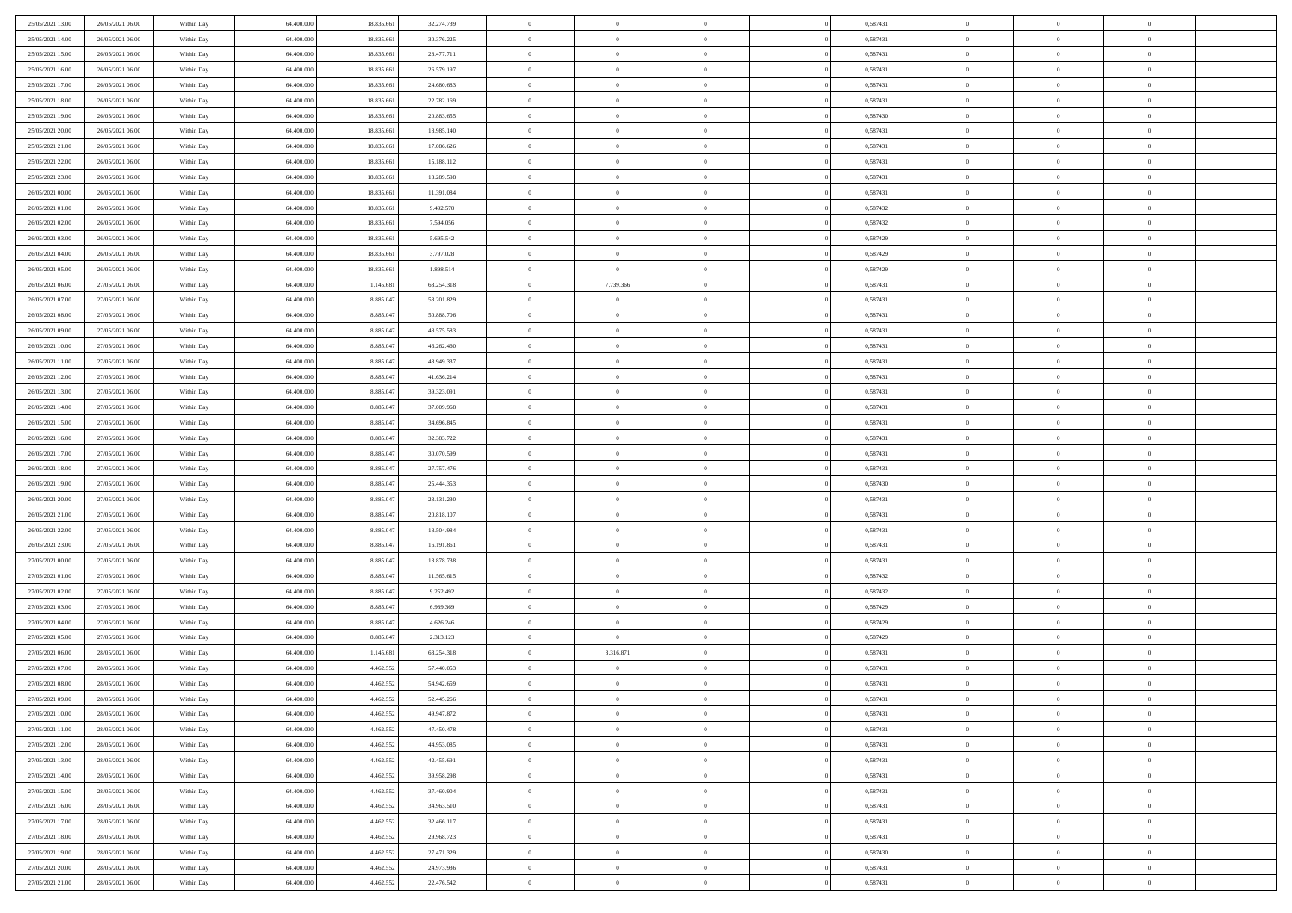| 25/05/2021 13:00 | 26/05/2021 06:00 | Within Day | 64,400,000 | 18.835.661 | 32.274.739 | $\overline{0}$ | $\overline{0}$ | $\Omega$       | 0,587431 | $\bf{0}$       | $\mathbf{0}$   | $\bf{0}$       |  |
|------------------|------------------|------------|------------|------------|------------|----------------|----------------|----------------|----------|----------------|----------------|----------------|--|
| 25/05/2021 14:00 | 26/05/2021 06:00 | Within Day | 64.400.000 | 18.835.661 | 30.376.225 | $\mathbf{0}$   | $\overline{0}$ | $\overline{0}$ | 0,587431 | $\mathbf{0}$   | $\overline{0}$ | $\overline{0}$ |  |
| 25/05/2021 15:00 | 26/05/2021 06:00 | Within Day | 64.400.000 | 18.835.661 | 28.477.711 | $\,$ 0         | $\overline{0}$ | $\bf{0}$       | 0,587431 | $\,$ 0         | $\overline{0}$ | $\,$ 0 $\,$    |  |
| 25/05/2021 16:00 | 26/05/2021 06:00 | Within Day | 64,400,000 | 18.835.661 | 26.579.197 | $\bf{0}$       | $\overline{0}$ | $\Omega$       | 0.587431 | $\bf{0}$       | $\mathbf{0}$   | $\theta$       |  |
| 25/05/2021 17:00 | 26/05/2021 06:00 | Within Day | 64.400.000 | 18.835.661 | 24.680.683 | $\bf{0}$       | $\overline{0}$ | $\overline{0}$ | 0,587431 | $\mathbf{0}$   | $\overline{0}$ | $\overline{0}$ |  |
| 25/05/2021 18:00 | 26/05/2021 06:00 | Within Day | 64.400.000 | 18.835.661 | 22.782.169 | $\bf{0}$       | $\overline{0}$ | $\bf{0}$       | 0,587431 | $\,$ 0         | $\overline{0}$ | $\,$ 0 $\,$    |  |
| 25/05/2021 19:00 | 26/05/2021 06:00 | Within Day | 64,400,000 | 18.835.661 | 20.883.655 | $\bf{0}$       | $\overline{0}$ | $\Omega$       | 0.587430 | $\bf{0}$       | $\bf{0}$       | $\theta$       |  |
| 25/05/2021 20:00 | 26/05/2021 06:00 | Within Day | 64.400.000 | 18.835.661 | 18.985.140 | $\overline{0}$ | $\overline{0}$ | $\overline{0}$ | 0,587431 | $\mathbf{0}$   | $\overline{0}$ | $\overline{0}$ |  |
| 25/05/2021 21:00 | 26/05/2021 06:00 | Within Day | 64.400.000 | 18.835.661 | 17.086.626 | $\bf{0}$       | $\overline{0}$ | $\bf{0}$       | 0,587431 | $\,$ 0         | $\overline{0}$ | $\,$ 0 $\,$    |  |
| 25/05/2021 22.00 | 26/05/2021 06:00 | Within Day | 64,400,000 | 18,835,661 | 15.188.112 | $\bf{0}$       | $\overline{0}$ | $\Omega$       | 0.587431 | $\theta$       | $\mathbf{0}$   | $\theta$       |  |
| 25/05/2021 23:00 | 26/05/2021 06:00 | Within Day | 64.400.000 | 18.835.661 | 13.289.598 | $\overline{0}$ | $\overline{0}$ | $\overline{0}$ | 0,587431 | $\mathbf{0}$   | $\overline{0}$ | $\overline{0}$ |  |
| 26/05/2021 00:00 | 26/05/2021 06:00 | Within Day | 64.400.000 | 18.835.661 | 11.391.084 | $\bf{0}$       | $\overline{0}$ | $\bf{0}$       | 0,587431 | $\,$ 0         | $\overline{0}$ | $\,$ 0 $\,$    |  |
| 26/05/2021 01:00 | 26/05/2021 06:00 | Within Day | 64,400,000 | 18.835.661 | 9.492.570  | $\bf{0}$       | $\overline{0}$ | $\Omega$       | 0,587432 | $\overline{0}$ | $\mathbf{0}$   | $\theta$       |  |
| 26/05/2021 02:00 | 26/05/2021 06:00 | Within Day | 64.400.000 | 18.835.661 | 7.594.056  | $\overline{0}$ | $\overline{0}$ | $\overline{0}$ | 0,587432 | $\mathbf{0}$   | $\overline{0}$ | $\overline{0}$ |  |
| 26/05/2021 03:00 | 26/05/2021 06:00 | Within Day | 64.400.000 | 18.835.661 | 5.695.542  | $\bf{0}$       | $\overline{0}$ | $\bf{0}$       | 0,587429 | $\,$ 0         | $\overline{0}$ | $\,$ 0 $\,$    |  |
| 26/05/2021 04:00 | 26/05/2021 06:00 | Within Day | 64,400,000 | 18.835.661 | 3.797.028  | $\bf{0}$       | $\overline{0}$ | $\overline{0}$ | 0,587429 | $\bf{0}$       | $\mathbf{0}$   | $\bf{0}$       |  |
| 26/05/2021 05:00 | 26/05/2021 06:00 | Within Day | 64.400.000 | 18.835.661 | 1.898.514  | $\overline{0}$ | $\overline{0}$ | $\overline{0}$ | 0,587429 | $\mathbf{0}$   | $\overline{0}$ | $\overline{0}$ |  |
| 26/05/2021 06:00 | 27/05/2021 06:00 | Within Day | 64.400.000 | 1.145.681  | 63.254.318 | $\bf{0}$       | 7.739.366      | $\bf{0}$       | 0,587431 | $\,$ 0         | $\overline{0}$ | $\,$ 0 $\,$    |  |
| 26/05/2021 07:00 | 27/05/2021 06:00 | Within Day | 64,400,000 | 8.885.047  | 53.201.829 | $\bf{0}$       | $\overline{0}$ | $\Omega$       | 0.587431 | $\theta$       | $\mathbf{0}$   | $\theta$       |  |
| 26/05/2021 08:00 | 27/05/2021 06:00 | Within Day | 64.400.000 | 8.885.047  | 50.888.706 | $\overline{0}$ | $\overline{0}$ | $\overline{0}$ | 0,587431 | $\mathbf{0}$   | $\overline{0}$ | $\overline{0}$ |  |
| 26/05/2021 09:00 | 27/05/2021 06:00 | Within Day | 64.400.000 | 8.885.047  | 48.575.583 | $\bf{0}$       | $\overline{0}$ | $\bf{0}$       | 0,587431 | $\,$ 0         | $\overline{0}$ | $\,$ 0 $\,$    |  |
| 26/05/2021 10:00 | 27/05/2021 06:00 | Within Day | 64,400,000 | 8.885.047  | 46.262.460 | $\bf{0}$       | $\overline{0}$ | $\Omega$       | 0.587431 | $\bf{0}$       | $\mathbf{0}$   | $\theta$       |  |
| 26/05/2021 11:00 | 27/05/2021 06:00 | Within Day | 64.400.000 | 8.885.047  | 43.949.337 | $\overline{0}$ | $\overline{0}$ | $\overline{0}$ | 0,587431 | $\mathbf{0}$   | $\overline{0}$ | $\overline{0}$ |  |
| 26/05/2021 12:00 | 27/05/2021 06:00 | Within Day | 64.400.000 | 8.885.047  | 41.636.214 | $\bf{0}$       | $\overline{0}$ | $\bf{0}$       | 0,587431 | $\,$ 0         | $\overline{0}$ | $\,$ 0 $\,$    |  |
| 26/05/2021 13:00 | 27/05/2021 06:00 | Within Day | 64,400,000 | 8.885.047  | 39.323.091 | $\bf{0}$       | $\overline{0}$ | $\overline{0}$ | 0,587431 | $\bf{0}$       | $\bf{0}$       | $\bf{0}$       |  |
| 26/05/2021 14:00 | 27/05/2021 06:00 | Within Day | 64.400.000 | 8.885.047  | 37.009.968 | $\overline{0}$ | $\overline{0}$ | $\overline{0}$ | 0,587431 | $\mathbf{0}$   | $\overline{0}$ | $\overline{0}$ |  |
| 26/05/2021 15:00 | 27/05/2021 06:00 | Within Day | 64.400.000 | 8.885.047  | 34.696.845 | $\bf{0}$       | $\overline{0}$ | $\bf{0}$       | 0,587431 | $\,$ 0         | $\overline{0}$ | $\,$ 0 $\,$    |  |
| 26/05/2021 16:00 | 27/05/2021 06:00 | Within Day | 64,400,000 | 8.885.047  | 32.383.722 | $\bf{0}$       | $\overline{0}$ | $\Omega$       | 0.587431 | $\theta$       | $\mathbf{0}$   | $\theta$       |  |
| 26/05/2021 17:00 | 27/05/2021 06:00 | Within Day | 64.400.000 | 8.885.047  | 30.070.599 | $\overline{0}$ | $\overline{0}$ | $\overline{0}$ | 0,587431 | $\mathbf{0}$   | $\overline{0}$ | $\overline{0}$ |  |
| 26/05/2021 18:00 | 27/05/2021 06:00 | Within Day | 64.400.000 | 8.885.047  | 27.757.476 | $\bf{0}$       | $\overline{0}$ | $\bf{0}$       | 0,587431 | $\,$ 0         | $\overline{0}$ | $\,$ 0 $\,$    |  |
| 26/05/2021 19:00 | 27/05/2021 06:00 | Within Day | 64.400.000 | 8.885.047  | 25.444.353 | $\,$ 0         | $\bf{0}$       | $\overline{0}$ | 0,587430 | $\bf{0}$       | $\overline{0}$ | $\,0\,$        |  |
| 26/05/2021 20:00 | 27/05/2021 06:00 | Within Day | 64.400.000 | 8.885.047  | 23.131.230 | $\overline{0}$ | $\overline{0}$ | $\overline{0}$ | 0,587431 | $\mathbf{0}$   | $\overline{0}$ | $\overline{0}$ |  |
| 26/05/2021 21:00 | 27/05/2021 06:00 | Within Day | 64.400.000 | 8.885.047  | 20.818.107 | $\bf{0}$       | $\overline{0}$ | $\bf{0}$       | 0,587431 | $\,$ 0         | $\overline{0}$ | $\,$ 0 $\,$    |  |
| 26/05/2021 22.00 | 27/05/2021 06:00 | Within Day | 64.400.000 | 8.885.047  | 18.504.984 | $\bf{0}$       | $\overline{0}$ | $\bf{0}$       | 0,587431 | $\bf{0}$       | $\overline{0}$ | $\,0\,$        |  |
| 26/05/2021 23:00 | 27/05/2021 06:00 | Within Day | 64.400.000 | 8.885.047  | 16.191.861 | $\overline{0}$ | $\overline{0}$ | $\overline{0}$ | 0,587431 | $\overline{0}$ | $\overline{0}$ | $\overline{0}$ |  |
| 27/05/2021 00:00 | 27/05/2021 06:00 | Within Day | 64.400.000 | 8.885.047  | 13.878.738 | $\bf{0}$       | $\overline{0}$ | $\bf{0}$       | 0,587431 | $\,$ 0         | $\overline{0}$ | $\,$ 0 $\,$    |  |
| 27/05/2021 01:00 | 27/05/2021 06:00 | Within Day | 64.400.000 | 8.885.047  | 11.565.615 | $\bf{0}$       | $\bf{0}$       | $\overline{0}$ | 0,587432 | $\bf{0}$       | $\overline{0}$ | $\,0\,$        |  |
| 27/05/2021 02:00 | 27/05/2021 06:00 | Within Day | 64.400.000 | 8.885.047  | 9.252.492  | $\overline{0}$ | $\overline{0}$ | $\overline{0}$ | 0,587432 | $\mathbf{0}$   | $\overline{0}$ | $\overline{0}$ |  |
| 27/05/2021 03:00 | 27/05/2021 06:00 | Within Day | 64.400.000 | 8.885.047  | 6.939.369  | $\bf{0}$       | $\overline{0}$ | $\bf{0}$       | 0,587429 | $\,$ 0         | $\overline{0}$ | $\,$ 0 $\,$    |  |
| 27/05/2021 04:00 | 27/05/2021 06:00 | Within Day | 64.400.000 | 8.885.047  | 4.626.246  | $\bf{0}$       | $\bf{0}$       | $\overline{0}$ | 0,587429 | $\bf{0}$       | $\overline{0}$ | $\,0\,$        |  |
| 27/05/2021 05:00 | 27/05/2021 06:00 | Within Day | 64.400.000 | 8.885.047  | 2.313.123  | $\overline{0}$ | $\overline{0}$ | $\overline{0}$ | 0,587429 | $\overline{0}$ | $\overline{0}$ | $\overline{0}$ |  |
| 27/05/2021 06:00 | 28/05/2021 06:00 | Within Day | 64.400.000 | 1.145.681  | 63.254.318 | $\bf{0}$       | 3.316.871      | $\bf{0}$       | 0,587431 | $\,$ 0         | $\overline{0}$ | $\,$ 0 $\,$    |  |
| 27/05/2021 07:00 | 28/05/2021 06:00 | Within Day | 64.400.000 | 4.462.552  | 57.440.053 | $\bf{0}$       | $\bf{0}$       | $\bf{0}$       | 0,587431 | $\bf{0}$       | $\overline{0}$ | $\,0\,$        |  |
| 27/05/2021 08:00 | 28/05/2021 06:00 | Within Day | 64.400.000 | 4.462.552  | 54.942.659 | $\mathbf{0}$   | $\overline{0}$ | $\overline{0}$ | 0,587431 | $\overline{0}$ | $\overline{0}$ | $\overline{0}$ |  |
| 27/05/2021 09:00 | 28/05/2021 06:00 | Within Day | 64.400.000 | 4.462.552  | 52.445.266 | $\bf{0}$       | $\overline{0}$ | $\theta$       | 0,587431 | $\overline{0}$ | $\overline{0}$ | $\theta$       |  |
| 27/05/2021 10:00 | 28/05/2021 06:00 | Within Day | 64.400.000 | 4.462.552  | 49.947.872 | $\bf{0}$       | $\bf{0}$       | $\bf{0}$       | 0,587431 | $\bf{0}$       | $\overline{0}$ | $\bf{0}$       |  |
| 27/05/2021 11:00 | 28/05/2021 06:00 | Within Day | 64.400.000 | 4.462.552  | 47.450.478 | $\overline{0}$ | $\overline{0}$ | $\overline{0}$ | 0,587431 | $\overline{0}$ | $\bf{0}$       | $\overline{0}$ |  |
| 27/05/2021 12:00 | 28/05/2021 06:00 | Within Day | 64.400.000 | 4.462.552  | 44.953.085 | $\,$ 0 $\,$    | $\overline{0}$ | $\overline{0}$ | 0,587431 | $\mathbf{0}$   | $\,$ 0 $\,$    | $\,$ 0 $\,$    |  |
| 27/05/2021 13:00 | 28/05/2021 06:00 | Within Day | 64.400.000 | 4.462.552  | 42.455.691 | $\bf{0}$       | $\bf{0}$       | $\overline{0}$ | 0,587431 | $\bf{0}$       | $\overline{0}$ | $\bf{0}$       |  |
| 27/05/2021 14:00 | 28/05/2021 06:00 | Within Day | 64.400.000 | 4.462.552  | 39.958.298 | $\bf{0}$       | $\overline{0}$ | $\overline{0}$ | 0,587431 | $\overline{0}$ | $\bf{0}$       | $\overline{0}$ |  |
| 27/05/2021 15:00 | 28/05/2021 06:00 | Within Day | 64.400.000 | 4.462.552  | 37.460.904 | $\,$ 0 $\,$    | $\overline{0}$ | $\overline{0}$ | 0,587431 | $\,$ 0 $\,$    | $\overline{0}$ | $\,$ 0 $\,$    |  |
| 27/05/2021 16:00 | 28/05/2021 06:00 | Within Day | 64.400.000 | 4.462.552  | 34.963.510 | $\overline{0}$ | $\overline{0}$ | $\overline{0}$ | 0,587431 | $\bf{0}$       | $\overline{0}$ | $\overline{0}$ |  |
| 27/05/2021 17:00 | 28/05/2021 06:00 | Within Day | 64.400.000 | 4.462.552  | 32.466.117 | $\overline{0}$ | $\overline{0}$ | $\overline{0}$ | 0,587431 | $\overline{0}$ | $\bf{0}$       | $\overline{0}$ |  |
| 27/05/2021 18:00 | 28/05/2021 06:00 | Within Day | 64.400.000 | 4.462.552  | 29.968.723 | $\,$ 0 $\,$    | $\overline{0}$ | $\overline{0}$ | 0,587431 | $\,$ 0 $\,$    | $\,$ 0 $\,$    | $\,$ 0 $\,$    |  |
| 27/05/2021 19:00 | 28/05/2021 06:00 | Within Day | 64.400.000 | 4.462.552  | 27.471.329 | $\bf{0}$       | $\bf{0}$       | $\overline{0}$ | 0,587430 | $\mathbf{0}$   | $\overline{0}$ | $\bf{0}$       |  |
| 27/05/2021 20:00 | 28/05/2021 06:00 | Within Day | 64.400.000 | 4.462.552  | 24.973.936 | $\bf{0}$       | $\overline{0}$ | $\overline{0}$ | 0,587431 | $\mathbf{0}$   | $\bf{0}$       | $\overline{0}$ |  |
| 27/05/2021 21:00 | 28/05/2021 06:00 | Within Day | 64.400.000 | 4.462.552  | 22.476.542 | $\,0\,$        | $\overline{0}$ | $\overline{0}$ | 0,587431 | $\,$ 0         | $\overline{0}$ | $\,$ 0 $\,$    |  |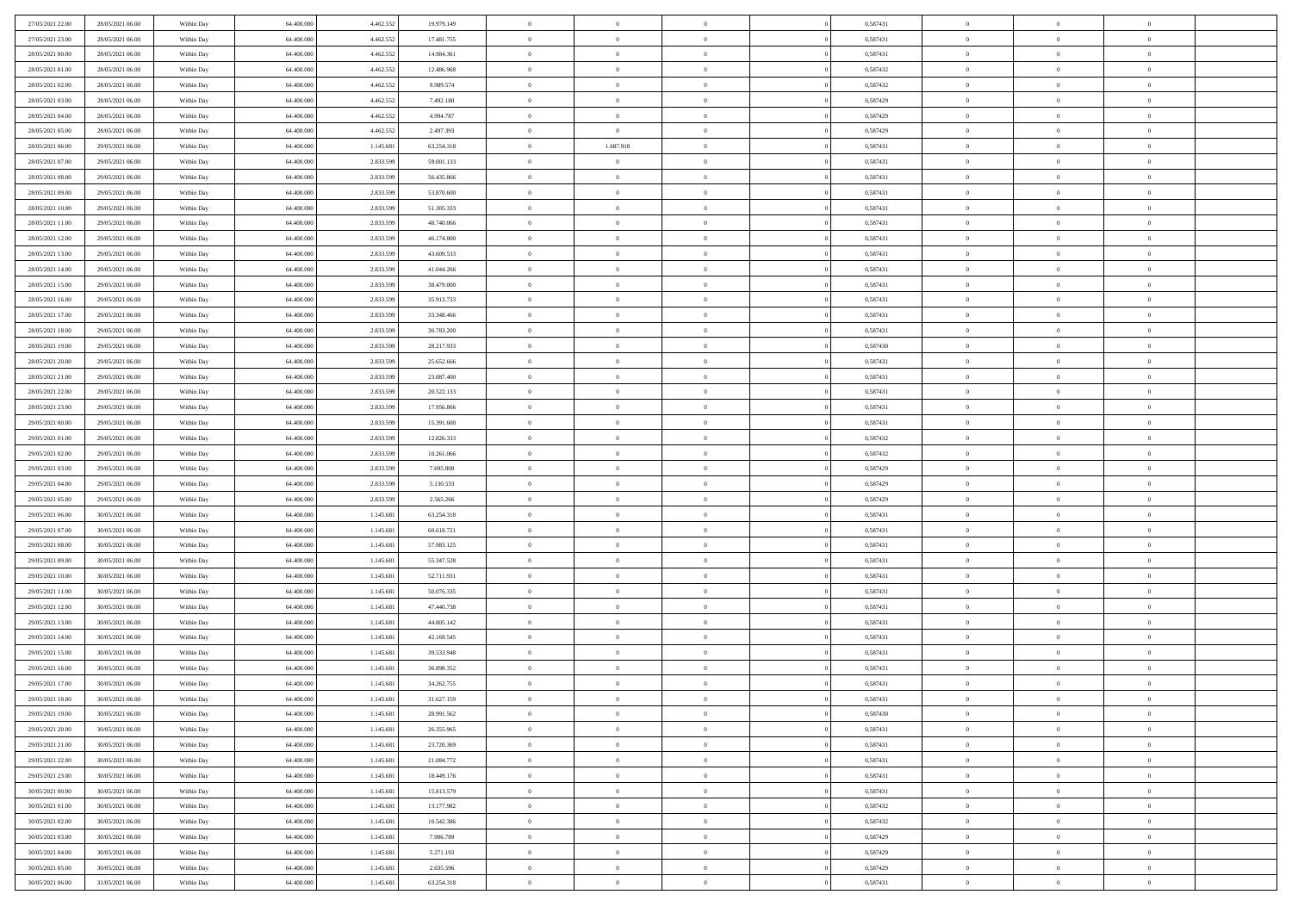| 27/05/2021 22.00 | 28/05/2021 06:00 | Within Day | 64,400,000 | 4.462.552 | 19.979.149 | $\overline{0}$ | $\overline{0}$ | $\Omega$       | 0,587431 | $\bf{0}$       | $\mathbf{0}$   | $\bf{0}$       |  |
|------------------|------------------|------------|------------|-----------|------------|----------------|----------------|----------------|----------|----------------|----------------|----------------|--|
| 27/05/2021 23:00 | 28/05/2021 06:00 | Within Dav | 64.400.000 | 4.462.552 | 17.481.755 | $\mathbf{0}$   | $\overline{0}$ | $\overline{0}$ | 0,587431 | $\overline{0}$ | $\overline{0}$ | $\overline{0}$ |  |
| 28/05/2021 00:00 | 28/05/2021 06:00 | Within Day | 64.400.000 | 4.462.552 | 14.984.361 | $\,$ 0         | $\overline{0}$ | $\bf{0}$       | 0,587431 | $\,$ 0         | $\overline{0}$ | $\,$ 0 $\,$    |  |
| 28/05/2021 01:00 | 28/05/2021 06:00 | Within Day | 64,400,000 | 4.462.552 | 12.486.968 | $\bf{0}$       | $\overline{0}$ | $\Omega$       | 0,587432 | $\bf{0}$       | $\mathbf{0}$   | $\theta$       |  |
| 28/05/2021 02:00 | 28/05/2021 06:00 | Within Day | 64.400.000 | 4.462.552 | 9.989.574  | $\bf{0}$       | $\overline{0}$ | $\overline{0}$ | 0,587432 | $\mathbf{0}$   | $\overline{0}$ | $\overline{0}$ |  |
| 28/05/2021 03:00 | 28/05/2021 06:00 | Within Day | 64.400.000 | 4.462.552 | 7.492.180  | $\bf{0}$       | $\overline{0}$ | $\bf{0}$       | 0,587429 | $\,$ 0         | $\overline{0}$ | $\,$ 0 $\,$    |  |
| 28/05/2021 04:00 | 28/05/2021 06:00 | Within Day | 64,400,000 | 4.462.552 | 4.994.787  | $\bf{0}$       | $\overline{0}$ | $\overline{0}$ | 0,587429 | $\theta$       | $\overline{0}$ | $\theta$       |  |
| 28/05/2021 05:00 | 28/05/2021 06:00 | Within Day | 64.400.000 | 4.462.552 | 2.497.393  | $\overline{0}$ | $\overline{0}$ | $\overline{0}$ | 0,587429 | $\mathbf{0}$   | $\overline{0}$ | $\overline{0}$ |  |
| 28/05/2021 06:00 | 29/05/2021 06:00 | Within Day | 64.400.000 | 1.145.681 | 63.254.318 | $\bf{0}$       | 1.687.918      | $\bf{0}$       | 0,587431 | $\,$ 0         | $\overline{0}$ | $\,$ 0 $\,$    |  |
| 28/05/2021 07:00 | 29/05/2021 06:00 | Within Day | 64,400,000 | 2.833.599 | 59.001.133 | $\bf{0}$       | $\overline{0}$ | $\Omega$       | 0.587431 | $\theta$       | $\mathbf{0}$   | $\theta$       |  |
| 28/05/2021 08:00 | 29/05/2021 06:00 | Within Day | 64.400.000 | 2.833.599 | 56.435.866 | $\overline{0}$ | $\overline{0}$ | $\overline{0}$ | 0,587431 | $\mathbf{0}$   | $\overline{0}$ | $\overline{0}$ |  |
| 28/05/2021 09:00 | 29/05/2021 06:00 | Within Day | 64.400.000 | 2.833.599 | 53.870.600 | $\bf{0}$       | $\overline{0}$ | $\bf{0}$       | 0,587431 | $\,$ 0         | $\overline{0}$ | $\,$ 0 $\,$    |  |
| 28/05/2021 10:00 | 29/05/2021 06:00 | Within Day | 64,400,000 | 2.833.599 | 51.305.333 | $\bf{0}$       | $\overline{0}$ | $\Omega$       | 0.587431 | $\overline{0}$ | $\mathbf{0}$   | $\theta$       |  |
| 28/05/2021 11:00 | 29/05/2021 06:00 | Within Day | 64.400.000 | 2.833.599 | 48.740.066 | $\overline{0}$ | $\overline{0}$ | $\overline{0}$ | 0,587431 | $\mathbf{0}$   | $\overline{0}$ | $\overline{0}$ |  |
| 28/05/2021 12:00 | 29/05/2021 06:00 | Within Day | 64.400.000 | 2.833.599 | 46.174.800 | $\bf{0}$       | $\overline{0}$ | $\bf{0}$       | 0,587431 | $\,$ 0         | $\overline{0}$ | $\,$ 0 $\,$    |  |
| 28/05/2021 13:00 | 29/05/2021 06:00 | Within Day | 64,400,000 | 2.833.599 | 43,609,533 | $\bf{0}$       | $\overline{0}$ | $\overline{0}$ | 0.587431 | $\bf{0}$       | $\mathbf{0}$   | $\bf{0}$       |  |
| 28/05/2021 14:00 | 29/05/2021 06:00 | Within Day | 64.400.000 | 2.833.599 | 41.044.266 | $\overline{0}$ | $\overline{0}$ | $\overline{0}$ | 0,587431 | $\mathbf{0}$   | $\overline{0}$ | $\overline{0}$ |  |
| 28/05/2021 15:00 | 29/05/2021 06:00 | Within Day | 64.400.000 | 2.833.599 | 38.479.000 | $\bf{0}$       | $\overline{0}$ | $\bf{0}$       | 0,587431 | $\,$ 0         | $\overline{0}$ | $\,$ 0 $\,$    |  |
| 28/05/2021 16:00 | 29/05/2021 06:00 | Within Day | 64,400,000 | 2.833.599 | 35.913.733 | $\bf{0}$       | $\overline{0}$ | $\Omega$       | 0.587431 | $\theta$       | $\mathbf{0}$   | $\theta$       |  |
| 28/05/2021 17:00 | 29/05/2021 06:00 | Within Day | 64.400.000 | 2.833.599 | 33.348.466 | $\overline{0}$ | $\overline{0}$ | $\overline{0}$ | 0,587431 | $\mathbf{0}$   | $\overline{0}$ | $\overline{0}$ |  |
| 28/05/2021 18:00 | 29/05/2021 06:00 | Within Day | 64.400.000 | 2.833.599 | 30.783.200 | $\bf{0}$       | $\overline{0}$ | $\bf{0}$       | 0,587431 | $\,$ 0         | $\overline{0}$ | $\,$ 0 $\,$    |  |
| 28/05/2021 19:00 | 29/05/2021 06:00 | Within Day | 64,400,000 | 2.833.599 | 28.217.933 | $\bf{0}$       | $\overline{0}$ | $\Omega$       | 0.587430 | $\bf{0}$       | $\mathbf{0}$   | $\theta$       |  |
| 28/05/2021 20:00 | 29/05/2021 06:00 | Within Day | 64.400.000 | 2.833.599 | 25.652.666 | $\overline{0}$ | $\overline{0}$ | $\overline{0}$ | 0,587431 | $\mathbf{0}$   | $\overline{0}$ | $\overline{0}$ |  |
| 28/05/2021 21:00 | 29/05/2021 06:00 | Within Day | 64.400.000 | 2.833.599 | 23.087.400 | $\bf{0}$       | $\overline{0}$ | $\bf{0}$       | 0,587431 | $\,$ 0         | $\overline{0}$ | $\,$ 0 $\,$    |  |
| 28/05/2021 22:00 | 29/05/2021 06:00 | Within Day | 64,400,000 | 2.833.599 | 20.522.133 | $\bf{0}$       | $\overline{0}$ | $\overline{0}$ | 0,587431 | $\bf{0}$       | $\overline{0}$ | $\bf{0}$       |  |
| 28/05/2021 23:00 | 29/05/2021 06:00 | Within Day | 64.400.000 | 2.833.599 | 17.956.866 | $\overline{0}$ | $\overline{0}$ | $\overline{0}$ | 0,587431 | $\mathbf{0}$   | $\overline{0}$ | $\overline{0}$ |  |
| 29/05/2021 00:00 | 29/05/2021 06:00 | Within Day | 64.400.000 | 2.833.599 | 15.391.600 | $\bf{0}$       | $\overline{0}$ | $\bf{0}$       | 0,587431 | $\,$ 0         | $\overline{0}$ | $\,$ 0 $\,$    |  |
| 29/05/2021 01:00 | 29/05/2021 06:00 | Within Day | 64,400,000 | 2.833.599 | 12.826.333 | $\bf{0}$       | $\overline{0}$ | $\Omega$       | 0.587432 | $\theta$       | $\mathbf{0}$   | $\theta$       |  |
| 29/05/2021 02:00 | 29/05/2021 06:00 | Within Day | 64.400.000 | 2.833.599 | 10.261.066 | $\overline{0}$ | $\overline{0}$ | $\overline{0}$ | 0,587432 | $\mathbf{0}$   | $\overline{0}$ | $\overline{0}$ |  |
| 29/05/2021 03:00 | 29/05/2021 06:00 | Within Day | 64.400.000 | 2.833.599 | 7.695.800  | $\bf{0}$       | $\overline{0}$ | $\bf{0}$       | 0,587429 | $\,$ 0         | $\overline{0}$ | $\,$ 0 $\,$    |  |
| 29/05/2021 04:00 | 29/05/2021 06:00 | Within Day | 64.400.000 | 2.833.599 | 5.130.533  | $\bf{0}$       | $\bf{0}$       | $\overline{0}$ | 0,587429 | $\bf{0}$       | $\overline{0}$ | $\,0\,$        |  |
| 29/05/2021 05:00 | 29/05/2021 06:00 | Within Day | 64.400.000 | 2.833.599 | 2.565.266  | $\overline{0}$ | $\overline{0}$ | $\overline{0}$ | 0,587429 | $\mathbf{0}$   | $\overline{0}$ | $\overline{0}$ |  |
| 29/05/2021 06:00 | 30/05/2021 06:00 | Within Day | 64.400.000 | 1.145.681 | 63.254.318 | $\bf{0}$       | $\overline{0}$ | $\bf{0}$       | 0,587431 | $\,$ 0         | $\overline{0}$ | $\,$ 0 $\,$    |  |
| 29/05/2021 07:00 | 30/05/2021 06:00 | Within Day | 64.400.000 | 1.145.681 | 60.618.721 | $\bf{0}$       | $\overline{0}$ | $\bf{0}$       | 0,587431 | $\bf{0}$       | $\overline{0}$ | $\,0\,$        |  |
| 29/05/2021 08:00 | 30/05/2021 06:00 | Within Day | 64.400.000 | 1.145.681 | 57.983.125 | $\overline{0}$ | $\overline{0}$ | $\overline{0}$ | 0,587431 | $\overline{0}$ | $\overline{0}$ | $\overline{0}$ |  |
| 29/05/2021 09:00 | 30/05/2021 06:00 | Within Day | 64.400.000 | 1.145.681 | 55.347.528 | $\bf{0}$       | $\overline{0}$ | $\bf{0}$       | 0,587431 | $\,$ 0         | $\overline{0}$ | $\,$ 0 $\,$    |  |
| 29/05/2021 10:00 | 30/05/2021 06:00 | Within Day | 64.400.000 | 1.145.681 | 52.711.931 | $\bf{0}$       | $\bf{0}$       | $\overline{0}$ | 0,587431 | $\bf{0}$       | $\overline{0}$ | $\,0\,$        |  |
| 29/05/2021 11:00 | 30/05/2021 06:00 | Within Day | 64.400.000 | 1.145.681 | 50.076.335 | $\overline{0}$ | $\overline{0}$ | $\overline{0}$ | 0,587431 | $\mathbf{0}$   | $\overline{0}$ | $\overline{0}$ |  |
| 29/05/2021 12:00 | 30/05/2021 06:00 | Within Day | 64.400.000 | 1.145.681 | 47.440.738 | $\bf{0}$       | $\overline{0}$ | $\bf{0}$       | 0,587431 | $\,$ 0         | $\overline{0}$ | $\,$ 0 $\,$    |  |
| 29/05/2021 13:00 | 30/05/2021 06:00 | Within Day | 64.400.000 | 1.145.681 | 44.805.142 | $\bf{0}$       | $\bf{0}$       | $\overline{0}$ | 0,587431 | $\bf{0}$       | $\overline{0}$ | $\,0\,$        |  |
| 29/05/2021 14:00 | 30/05/2021 06:00 | Within Day | 64.400.000 | 1.145.681 | 42.169.545 | $\overline{0}$ | $\overline{0}$ | $\overline{0}$ | 0,587431 | $\overline{0}$ | $\overline{0}$ | $\overline{0}$ |  |
| 29/05/2021 15:00 | 30/05/2021 06:00 | Within Day | 64.400.000 | 1.145.681 | 39.533.948 | $\bf{0}$       | $\overline{0}$ | $\bf{0}$       | 0,587431 | $\,$ 0         | $\overline{0}$ | $\,$ 0 $\,$    |  |
| 29/05/2021 16:00 | 30/05/2021 06:00 | Within Day | 64.400.000 | 1.145.681 | 36.898.352 | $\bf{0}$       | $\bf{0}$       | $\bf{0}$       | 0,587431 | $\bf{0}$       | $\overline{0}$ | $\,0\,$        |  |
| 29/05/2021 17:00 | 30/05/2021 06:00 | Within Day | 64.400.000 | 1.145.681 | 34.262.755 | $\mathbf{0}$   | $\overline{0}$ | $\overline{0}$ | 0,587431 | $\overline{0}$ | $\overline{0}$ | $\overline{0}$ |  |
| 29/05/2021 18:00 | 30/05/2021 06:00 | Within Day | 64.400.000 | 1.145.681 | 31.627.159 | $\bf{0}$       | $\overline{0}$ | $\theta$       | 0,587431 | $\overline{0}$ | $\overline{0}$ | $\theta$       |  |
| 29/05/2021 19:00 | 30/05/2021 06:00 | Within Day | 64.400.000 | 1.145.681 | 28.991.562 | $\bf{0}$       | $\bf{0}$       | $\bf{0}$       | 0,587430 | $\bf{0}$       | $\overline{0}$ | $\,0\,$        |  |
| 29/05/2021 20:00 | 30/05/2021 06:00 | Within Day | 64.400.000 | 1.145.681 | 26.355.965 | $\overline{0}$ | $\overline{0}$ | $\overline{0}$ | 0,587431 | $\overline{0}$ | $\bf{0}$       | $\overline{0}$ |  |
| 29/05/2021 21:00 | 30/05/2021 06:00 | Within Day | 64.400.000 | 1.145.681 | 23.720.369 | $\,$ 0 $\,$    | $\overline{0}$ | $\overline{0}$ | 0,587431 | $\mathbf{0}$   | $\,$ 0 $\,$    | $\,$ 0 $\,$    |  |
| 29/05/2021 22:00 | 30/05/2021 06:00 | Within Day | 64.400.000 | 1.145.681 | 21.084.772 | $\bf{0}$       | $\bf{0}$       | $\overline{0}$ | 0,587431 | $\bf{0}$       | $\overline{0}$ | $\bf{0}$       |  |
| 29/05/2021 23:00 | 30/05/2021 06:00 | Within Day | 64.400.000 | 1.145.681 | 18.449.176 | $\bf{0}$       | $\overline{0}$ | $\overline{0}$ | 0,587431 | $\overline{0}$ | $\overline{0}$ | $\overline{0}$ |  |
| 30/05/2021 00:00 | 30/05/2021 06:00 | Within Day | 64.400.000 | 1.145.681 | 15.813.579 | $\,$ 0 $\,$    | $\overline{0}$ | $\overline{0}$ | 0,587431 | $\,$ 0 $\,$    | $\overline{0}$ | $\,$ 0 $\,$    |  |
| 30/05/2021 01:00 | 30/05/2021 06:00 | Within Day | 64.400.000 | 1.145.681 | 13.177.982 | $\bf{0}$       | $\overline{0}$ | $\overline{0}$ | 0,587432 | $\bf{0}$       | $\overline{0}$ | $\overline{0}$ |  |
| 30/05/2021 02:00 | 30/05/2021 06:00 | Within Day | 64.400.000 | 1.145.681 | 10.542.386 | $\overline{0}$ | $\overline{0}$ | $\overline{0}$ | 0,587432 | $\overline{0}$ | $\bf{0}$       | $\overline{0}$ |  |
| 30/05/2021 03:00 | 30/05/2021 06:00 | Within Day | 64.400.000 | 1.145.681 | 7.906.789  | $\,$ 0 $\,$    | $\overline{0}$ | $\overline{0}$ | 0,587429 | $\,$ 0 $\,$    | $\,$ 0 $\,$    | $\,$ 0 $\,$    |  |
| 30/05/2021 04:00 | 30/05/2021 06:00 | Within Day | 64.400.000 | 1.145.681 | 5.271.193  | $\bf{0}$       | $\bf{0}$       | $\overline{0}$ | 0,587429 | $\mathbf{0}$   | $\overline{0}$ | $\bf{0}$       |  |
| 30/05/2021 05:00 | 30/05/2021 06:00 | Within Day | 64.400.000 | 1.145.681 | 2.635.596  | $\bf{0}$       | $\overline{0}$ | $\overline{0}$ | 0,587429 | $\mathbf{0}$   | $\bf{0}$       | $\overline{0}$ |  |
| 30/05/2021 06:00 | 31/05/2021 06:00 | Within Day | 64.400.000 | 1.145.681 | 63.254.318 | $\,0\,$        | $\overline{0}$ | $\overline{0}$ | 0,587431 | $\,$ 0         | $\overline{0}$ | $\,$ 0 $\,$    |  |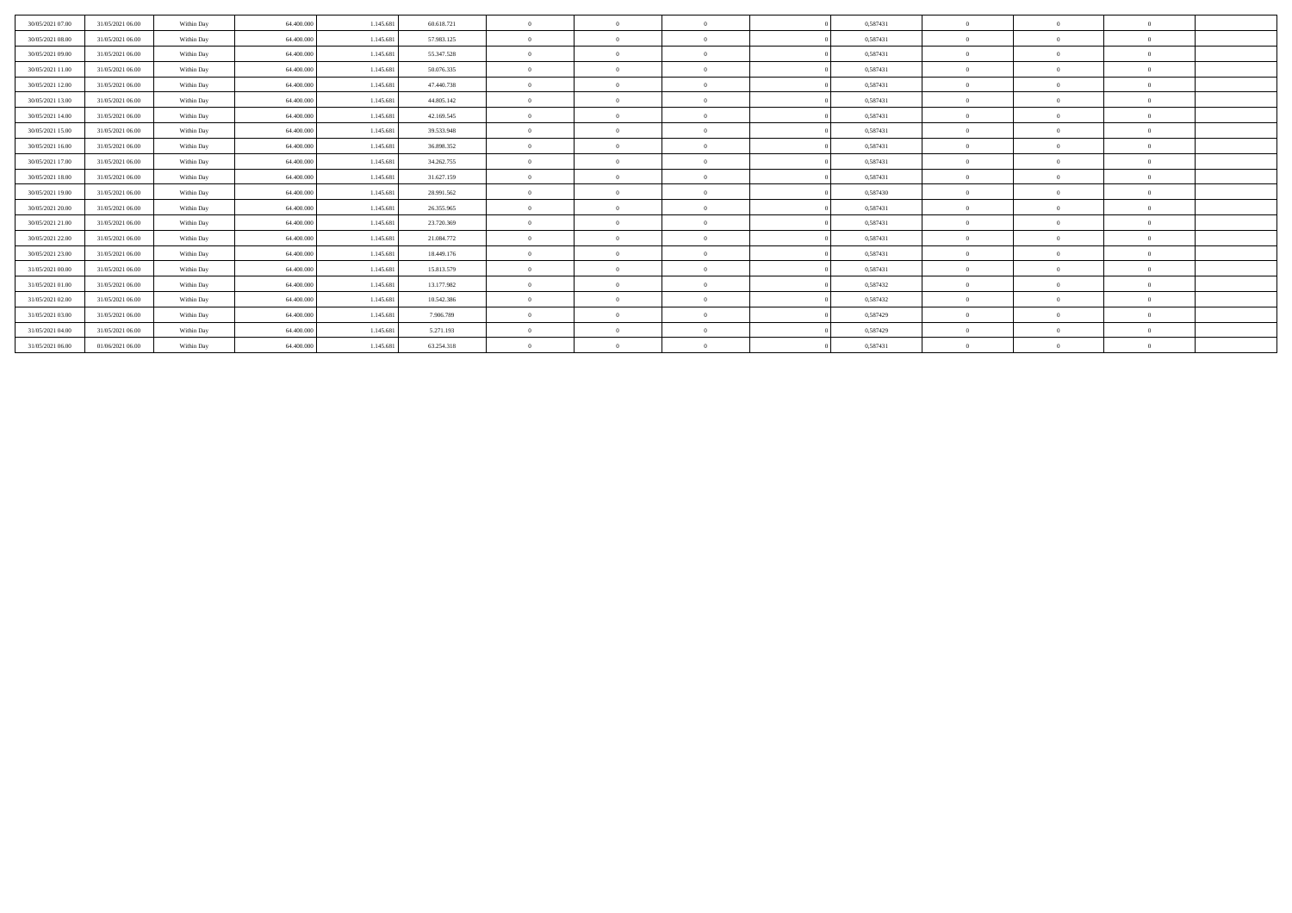| 30/05/2021 07:00 | 31/05/2021 06:00 | Within Day | 64,400,000 | 1.145.681 | 60.618.721 | $\mathbf{a}$   | $\Omega$   |          | 0,587431 |          |          |          |  |
|------------------|------------------|------------|------------|-----------|------------|----------------|------------|----------|----------|----------|----------|----------|--|
| 30/05/2021 08:00 | 31/05/2021 06:00 | Within Day | 64,400,000 | 1.145.681 | 57.983.125 | $\theta$       | $\Omega$   | $\Omega$ | 0,587431 |          |          |          |  |
| 30/05/2021 09:00 | 31/05/2021 06:00 | Within Day | 64,400,000 | 1.145.681 | 55.347.528 | $\overline{0}$ | $\Omega$   | $\Omega$ | 0.587431 | $\Omega$ |          | $\Omega$ |  |
| 30/05/2021 11:00 | 31/05/2021 06:00 | Within Day | 64,400,000 | 1.145.681 | 50.076.335 | $\overline{0}$ | $\Omega$   | $\Omega$ | 0.587431 | $\Omega$ | $\theta$ | $\Omega$ |  |
| 30/05/2021 12:00 | 31/05/2021 06:00 | Within Day | 64,400,000 | 1.145.681 | 47.440.738 | $\theta$       | $\Omega$   | $\Omega$ | 0,587431 |          |          |          |  |
| 30/05/2021 13:00 | 31/05/2021 06:00 | Within Day | 64.400.000 | 1.145.681 | 44.805.142 | $\mathbf{0}$   | $\Omega$   | $\Omega$ | 0,587431 | $\Omega$ |          | $\Omega$ |  |
| 30/05/2021 14:00 | 31/05/2021 06:00 | Within Day | 64,400,000 | 1.145.681 | 42.169.545 | $\theta$       | $\Omega$   | $\Omega$ | 0,587431 | $\Omega$ |          | $\Omega$ |  |
| 30/05/2021 15:00 | 31/05/2021 06:00 | Within Day | 64,400,000 | 1.145.681 | 39.533.948 | $\theta$       | $\Omega$   | $\Omega$ | 0,587431 | $\Omega$ |          | $\Omega$ |  |
| 30/05/2021 16:00 | 31/05/2021 06:00 | Within Day | 64.400.000 | 1.145.681 | 36.898.352 | $\mathbf{0}$   | $\Omega$   | $\Omega$ | 0,587431 | $\Omega$ |          | $\Omega$ |  |
| 30/05/2021 17:00 | 31/05/2021 06:00 | Within Day | 64.400.000 | 1.145.681 | 34.262.755 | $\Omega$       | $\Omega$   | $\Omega$ | 0,587431 | $\Omega$ |          | $\Omega$ |  |
| 30/05/2021 18:00 | 31/05/2021 06:00 | Within Day | 64.400.000 | 1.145.681 | 31.627.159 | $\theta$       | $^{\circ}$ | $\Omega$ | 0,587431 | $\Omega$ |          |          |  |
| 30/05/2021 19:00 | 31/05/2021 06:00 | Within Day | 64,400,000 | 1.145.681 | 28.991.562 | $\theta$       | $\Omega$   | $\Omega$ | 0,587430 | $\Omega$ |          | $\Omega$ |  |
| 30/05/2021 20:00 | 31/05/2021 06:00 | Within Day | 64,400,000 | 1.145.681 | 26.355.965 | $\theta$       | $\Omega$   | $\Omega$ | 0,587431 | $\Omega$ |          | $\Omega$ |  |
| 30/05/2021 21:00 | 31/05/2021 06:00 | Within Day | 64,400,000 | 1.145.681 | 23.720.369 | $\theta$       | $\Omega$   | $\Omega$ | 0.587431 | $\bf{0}$ |          | $\Omega$ |  |
| 30/05/2021 22:00 | 31/05/2021 06:00 | Within Day | 64.400.000 | 1.145.681 | 21.084.772 | $\theta$       | $\Omega$   | $\Omega$ | 0,587431 | $\Omega$ |          |          |  |
| 30/05/2021 23:00 | 31/05/2021 06:00 | Within Day | 64.400.000 | 1.145.681 | 18.449.176 | $\overline{0}$ | $\Omega$   | $\Omega$ | 0,587431 | $\Omega$ | $\theta$ | $\Omega$ |  |
| 31/05/2021 00:00 | 31/05/2021 06:00 | Within Day | 64,400,000 | 1.145.681 | 15.813.579 | $\theta$       | $\Omega$   | $\Omega$ | 0,587431 | $\Omega$ |          | $\Omega$ |  |
| 31/05/2021 01:00 | 31/05/2021 06:00 | Within Day | 64.400.000 | 1.145.681 | 13.177.982 | $\mathbf{0}$   | $\Omega$   | $\Omega$ | 0,587432 | $\bf{0}$ |          | $\Omega$ |  |
| 31/05/2021 02:00 | 31/05/2021 06:00 | Within Day | 64.400.000 | 1.145.681 | 10.542.386 | $\overline{0}$ | $\Omega$   | $\Omega$ | 0,587432 | $\Omega$ | $\Omega$ | $\theta$ |  |
| 31/05/2021 03:00 | 31/05/2021 06:00 | Within Day | 64,400,000 | 1.145.681 | 7.906.789  | $\theta$       | $^{\circ}$ | $\theta$ | 0,587429 | $\bf{0}$ |          | $\Omega$ |  |
| 31/05/2021 04:00 | 31/05/2021 06:00 | Within Day | 64.400.000 | 1.145.681 | 5.271.193  | $\theta$       |            |          | 0,587429 | $\Omega$ |          |          |  |
| 31/05/2021 06:00 | 01/06/2021 06:00 | Within Day | 64.400.000 | 1.145.681 | 63.254.318 |                | $\Omega$   |          | 0,587431 |          |          |          |  |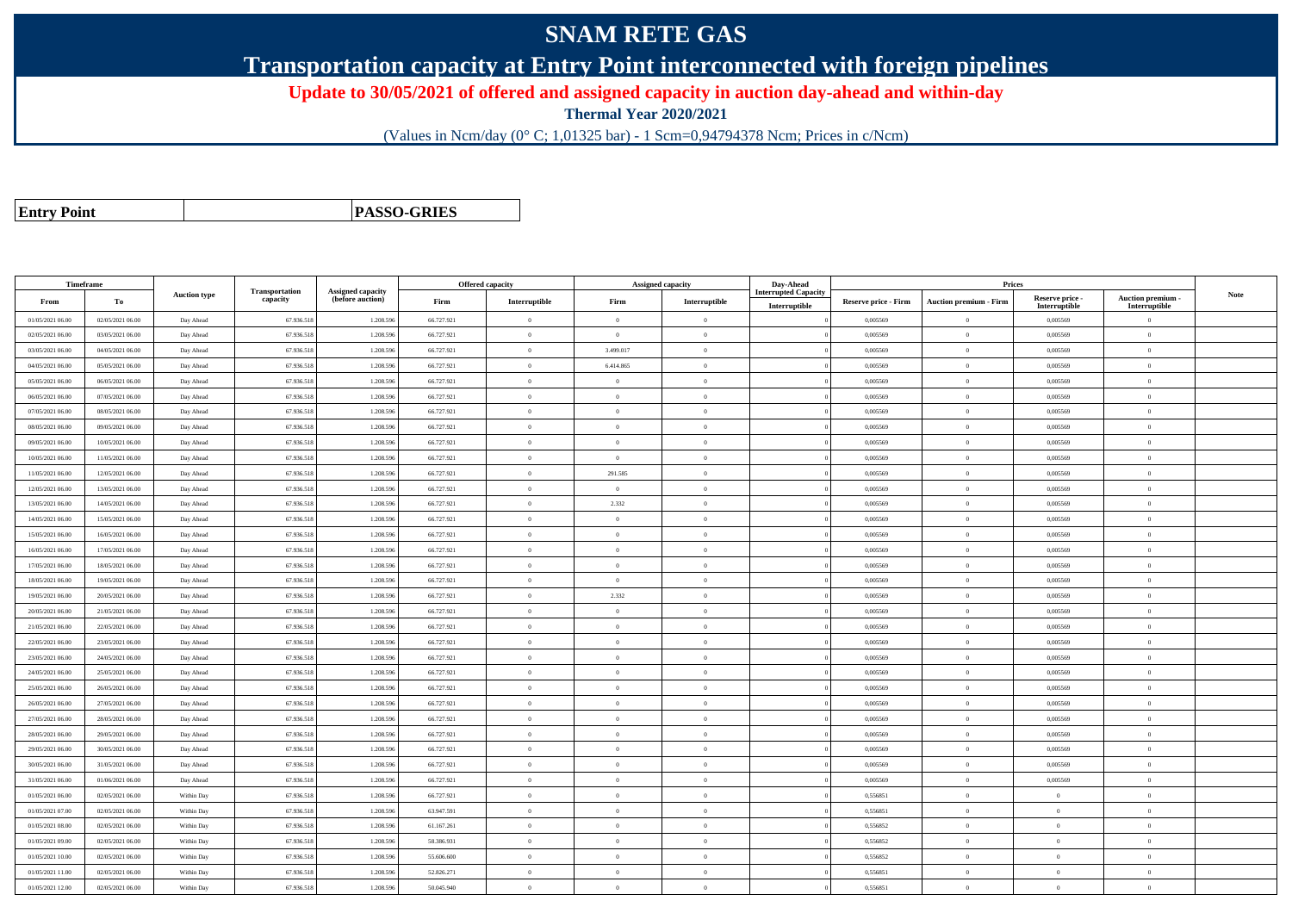## **SNAM RETE GAS**

**Transportation capacity at Entry Point interconnected with foreign pipelines**

**Update to 30/05/2021 of offered and assigned capacity in auction day-ahead and within-day**

**Thermal Year 2020/2021**

(Values in Ncm/day (0° C; 1,01325 bar) - 1 Scm=0,94794378 Ncm; Prices in c/Ncm)

**Entry Point**

**PASSO-GRIES**

| Timeframe        |                  |                     |                            |                                       |            | <b>Offered capacity</b> | <b>Assigned capacity</b> |                | Day-Ahead                                    |                             | <b>Prices</b>                 |                                  |                                    |             |
|------------------|------------------|---------------------|----------------------------|---------------------------------------|------------|-------------------------|--------------------------|----------------|----------------------------------------------|-----------------------------|-------------------------------|----------------------------------|------------------------------------|-------------|
| From             | То               | <b>Auction type</b> | Transportation<br>capacity | Assigned capacity<br>(before auction) | Firm       | Interruptible           | Firm                     | Interruptible  | <b>Interrupted Capacity</b><br>Interruptible | <b>Reserve price - Firm</b> | <b>Auction premium - Firm</b> | Reserve price -<br>Interruptible | Auction premium -<br>Interruptible | <b>Note</b> |
| 01/05/2021 06:00 | 02/05/2021 06:00 | Day Ahead           | 67.936.518                 | 1.208.59                              | 66.727.921 | $\bf{0}$                | $\overline{0}$           | $\theta$       |                                              | 0,005569                    | $\theta$                      | 0,005569                         | $\overline{0}$                     |             |
| 02/05/2021 06:00 | 03/05/2021 06:00 | Day Ahead           | 67.936.518                 | 1.208.596                             | 66.727.921 | $\Omega$                | $\theta$                 | $\theta$       |                                              | 0.005569                    | $\Omega$                      | 0.005569                         | $\theta$                           |             |
| 03/05/2021 06:00 | 04/05/2021 06:00 | Day Ahead           | 67.936.518                 | 1.208.596                             | 66.727.921 | $\overline{0}$          | 3.499.017                | $\Omega$       |                                              | 0.005569                    | $\overline{0}$                | 0.005569                         | $\overline{0}$                     |             |
| 04/05/2021 06:00 | 05/05/2021 06:00 | Day Ahead           | 67.936.518                 | 1.208.59                              | 66.727.921 | $\overline{0}$          | 6.414.865                | $\Omega$       |                                              | 0,005569                    | $\overline{0}$                | 0,005569                         | $\theta$                           |             |
| 05/05/2021 06:00 | 06/05/2021 06:00 | Day Ahead           | 67.936.518                 | 1.208.59                              | 66.727.921 |                         | $\overline{0}$           | $\Omega$       |                                              | 0,005569                    | $\theta$                      | 0,005569                         | $\Omega$                           |             |
| 06/05/2021 06:00 | 07/05/2021 06:00 | Day Ahead           | 67.936.518                 | 1.208.596                             | 66.727.921 | $\theta$                | $\overline{0}$           | $\mathbf{0}$   |                                              | 0.005569                    | $\overline{0}$                | 0.005569                         | $\overline{0}$                     |             |
| 07/05/2021 06:00 | 08/05/2021 06:00 | Day Ahead           | 67.936.518                 | 1.208.596                             | 66.727.921 | $\mathbf{a}$            | $\Omega$                 | $\Omega$       |                                              | 0.005569                    | $\overline{0}$                | 0,005569                         | $\theta$                           |             |
| 08/05/2021 06:00 | 09/05/2021 06:00 | Day Ahead           | 67.936.518                 | 1.208.59                              | 66.727.921 | $\overline{0}$          | $\overline{0}$           | $\mathbf{0}$   |                                              | 0,005569                    | $\overline{0}$                | 0,005569                         | $\overline{0}$                     |             |
| 09/05/2021 06:00 | 10/05/2021 06:00 | Day Ahead           | 67.936.518                 | 1.208.596                             | 66.727.921 | $\theta$                | $\overline{0}$           | $\mathbf{0}$   |                                              | 0,005569                    | $\overline{0}$                | 0,005569                         | $\overline{0}$                     |             |
| 10/05/2021 06:00 | 11/05/2021 06:00 | Day Ahead           | 67.936.518                 | 1.208.59                              | 66.727.921 | $\theta$                | $\Omega$                 | $\theta$       |                                              | 0.005569                    | $\theta$                      | 0,005569                         | $\theta$                           |             |
| 11/05/2021 06:00 | 12/05/2021 06:00 | Day Ahead           | 67.936.518                 | 1.208.59                              | 66.727.921 | $\Omega$                | 291.585                  | $\overline{0}$ |                                              | 0,005569                    | $\theta$                      | 0,005569                         | $\Omega$                           |             |
| 12/05/2021 06:00 | 13/05/2021 06:00 | Day Ahead           | 67.936.518                 | 1.208.596                             | 66.727.921 | $\theta$                | $\overline{0}$           | $\theta$       |                                              | 0,005569                    | $\theta$                      | 0,005569                         | $\overline{0}$                     |             |
| 13/05/2021 06:00 | 14/05/2021 06:00 | Day Ahead           | 67.936.518                 | 1.208.596                             | 66.727.921 | $\Omega$                | 2.332                    | $\theta$       |                                              | 0.005569                    | $\Omega$                      | 0.005569                         | $\theta$                           |             |
| 14/05/2021 06:00 | 15/05/2021 06:00 | Day Ahead           | 67.936.518                 | 1.208.59                              | 66.727.921 | $\theta$                | $\Omega$                 | $\Omega$       |                                              | 0,005569                    | $\Omega$                      | 0,005569                         | $\Omega$                           |             |
| 15/05/2021 06:00 | 16/05/2021 06:00 | Day Ahead           | 67.936.518                 | 1.208.59                              | 66.727.921 | $\theta$                | $\overline{0}$           | $\theta$       |                                              | 0,005569                    | $\overline{0}$                | 0,005569                         | $\overline{0}$                     |             |
| 16/05/2021 06:00 | 17/05/2021 06:00 | Day Ahead           | 67.936.518                 | 1.208.59                              | 66.727.921 | $\theta$                | $\overline{0}$           | $\theta$       |                                              | 0,005569                    | $\theta$                      | 0,005569                         | $\Omega$                           |             |
| 17/05/2021 06:00 | 18/05/2021 06:00 | Day Ahead           | 67.936.518                 | 1.208.59                              | 66.727.921 | $\theta$                | $\overline{0}$           | $\overline{0}$ |                                              | 0.005569                    | $\overline{0}$                | 0.005569                         | $\overline{0}$                     |             |
| 18/05/2021 06:00 | 19/05/2021 06:00 | Day Ahead           | 67.936.518                 | 1.208.596                             | 66.727.921 | $\theta$                | $\overline{0}$           | $\overline{0}$ |                                              | 0,005569                    | $\theta$                      | 0,005569                         | $\overline{0}$                     |             |
| 19/05/2021 06:00 | 20/05/2021 06:00 | Day Ahead           | 67.936.51                  | 1.208.59                              | 66.727.921 | $\theta$                | 2.332                    | $\mathbf{0}$   |                                              | 0,005569                    | $\overline{0}$                | 0,005569                         | $\overline{0}$                     |             |
| 20/05/2021 06:00 | 21/05/2021 06:00 | Day Ahead           | 67.936.518                 | 1.208.596                             | 66.727.921 | $\theta$                | $\theta$                 | $\Omega$       |                                              | 0.005569                    | $\overline{0}$                | 0.005569                         | $\overline{0}$                     |             |
| 21/05/2021 06:00 | 22/05/2021 06:00 | Day Ahead           | 67.936.518                 | 1.208.59                              | 66.727.921 | $\overline{0}$          | $\overline{0}$           | $\overline{0}$ |                                              | 0,005569                    | $\overline{0}$                | 0,005569                         | $\overline{0}$                     |             |
| 22/05/2021 06:00 | 23/05/2021 06:00 | Day Ahead           | 67.936.518                 | 1.208.59                              | 66.727.921 | $\theta$                | $\overline{0}$           | $\overline{0}$ |                                              | 0,005569                    | $\theta$                      | 0,005569                         | $\Omega$                           |             |
| 23/05/2021 06:00 | 24/05/2021 06:00 | Day Ahead           | 67.936.518                 | 1.208.596                             | 66.727.921 | $\theta$                | $\overline{0}$           | $\overline{0}$ |                                              | 0,005569                    | $\theta$                      | 0,005569                         | $\overline{0}$                     |             |
| 24/05/2021 06:00 | 25/05/2021 06:00 | Day Ahead           | 67.936.518                 | 1.208.596                             | 66.727.921 | $\theta$                | $\Omega$                 | $\Omega$       |                                              | 0.005569                    | $\Omega$                      | 0.005569                         | $\Omega$                           |             |
| 25/05/2021 06:00 | 26/05/2021 06:00 | Day Ahead           | 67.936.518                 | 1.208.59                              | 66.727.921 | $\theta$                | $\Omega$                 | $\Omega$       |                                              | 0.005569                    | $\theta$                      | 0,005569                         | $\Omega$                           |             |
| 26/05/2021 06:00 | 27/05/2021 06:00 | Day Ahead           | 67.936.518                 | 1.208.59                              | 66.727.921 | $\theta$                | $\theta$                 | $\theta$       |                                              | 0,005569                    | $\overline{0}$                | 0,005569                         | $\overline{0}$                     |             |
| 27/05/2021 06:00 | 28/05/2021 06:00 | Day Ahead           | 67.936.518                 | 1.208.596                             | 66.727.921 | $\theta$                | $\theta$                 | $\Omega$       |                                              | 0.005569                    | $\theta$                      | 0.005569                         | $\theta$                           |             |
| 28/05/2021 06:00 | 29/05/2021 06:00 | Day Ahead           | 67.936.518                 | 1.208.59                              | 66.727.921 | $\theta$                | $\theta$                 | $\overline{0}$ |                                              | 0,005569                    | $\overline{0}$                | 0,005569                         | $\theta$                           |             |
| 29/05/2021 06:00 | 30/05/2021 06:00 | Day Ahead           | 67.936.518                 | 1.208.596                             | 66.727.921 | $\theta$                | $\overline{0}$           | $\overline{0}$ |                                              | 0,005569                    | $\theta$                      | 0,005569                         | $\overline{0}$                     |             |
| 30/05/2021 06:00 | 31/05/2021 06:00 | Day Ahead           | 67.936.518                 | 1.208.59                              | 66.727.921 |                         | $\overline{0}$           | $\theta$       |                                              | 0,005569                    | $\theta$                      | 0,005569                         | $\theta$                           |             |
| 31/05/2021 06:00 | 01/06/2021 06:00 | Day Ahead           | 67.936.518                 | 1.208.596                             | 66.727.921 | $\theta$                | $\Omega$                 | $\theta$       |                                              | 0.005569                    | $\overline{0}$                | 0.005569                         | $\overline{0}$                     |             |
| 01/05/2021 06:00 | 02/05/2021 06:00 | Within Day          | 67.936.518                 | 1.208.596                             | 66.727.921 | $\overline{0}$          | $\bf{0}$                 | $\overline{0}$ |                                              | 0,556851                    | $\overline{0}$                | $\overline{0}$                   | $\overline{0}$                     |             |
| 01/05/2021 07:00 | 02/05/2021 06:00 | Within Day          | 67.936.518                 | 1.208.59                              | 63.947.591 | $\theta$                | $\overline{0}$           | $\theta$       |                                              | 0,556851                    | $\theta$                      | $\theta$                         | $\Omega$                           |             |
| 01/05/2021 08:00 | 02/05/2021 06:00 | Within Day          | 67.936.518                 | 1.208.596                             | 61.167.261 | $\theta$                | $\overline{0}$           | $\overline{0}$ |                                              | 0,556852                    | $\theta$                      | $\bf{0}$                         | $\overline{0}$                     |             |
| 01/05/2021 09:00 | 02/05/2021 06:00 | Within Day          | 67.936.518                 | 1.208.596                             | 58.386.931 | $\theta$                | $\theta$                 | $\theta$       |                                              | 0.556852                    | $\theta$                      | $\theta$                         | $\theta$                           |             |
| 01/05/2021 10:00 | 02/05/2021 06:00 | Within Day          | 67.936.518                 | 1.208.59                              | 55.606.600 | $\theta$                | $\overline{0}$           | $\theta$       |                                              | 0,556852                    | $\overline{0}$                | $\bf{0}$                         | $\Omega$                           |             |
| 01/05/2021 11:00 | 02/05/2021 06:00 | Within Day          | 67.936.518                 | 1.208.59                              | 52.826.271 | $\overline{0}$          | $\overline{0}$           | $\mathbf{0}$   |                                              | 0,556851                    | $\overline{0}$                | $\bf{0}$                         | $\overline{0}$                     |             |
| 01/05/2021 12:00 | 02/05/2021 06:00 | Within Day          | 67.936.518                 | 1.208.596                             | 50,045,940 | $\theta$                | $\Omega$                 | $\Omega$       |                                              | 0.556851                    | $\theta$                      | $\theta$                         | $\overline{0}$                     |             |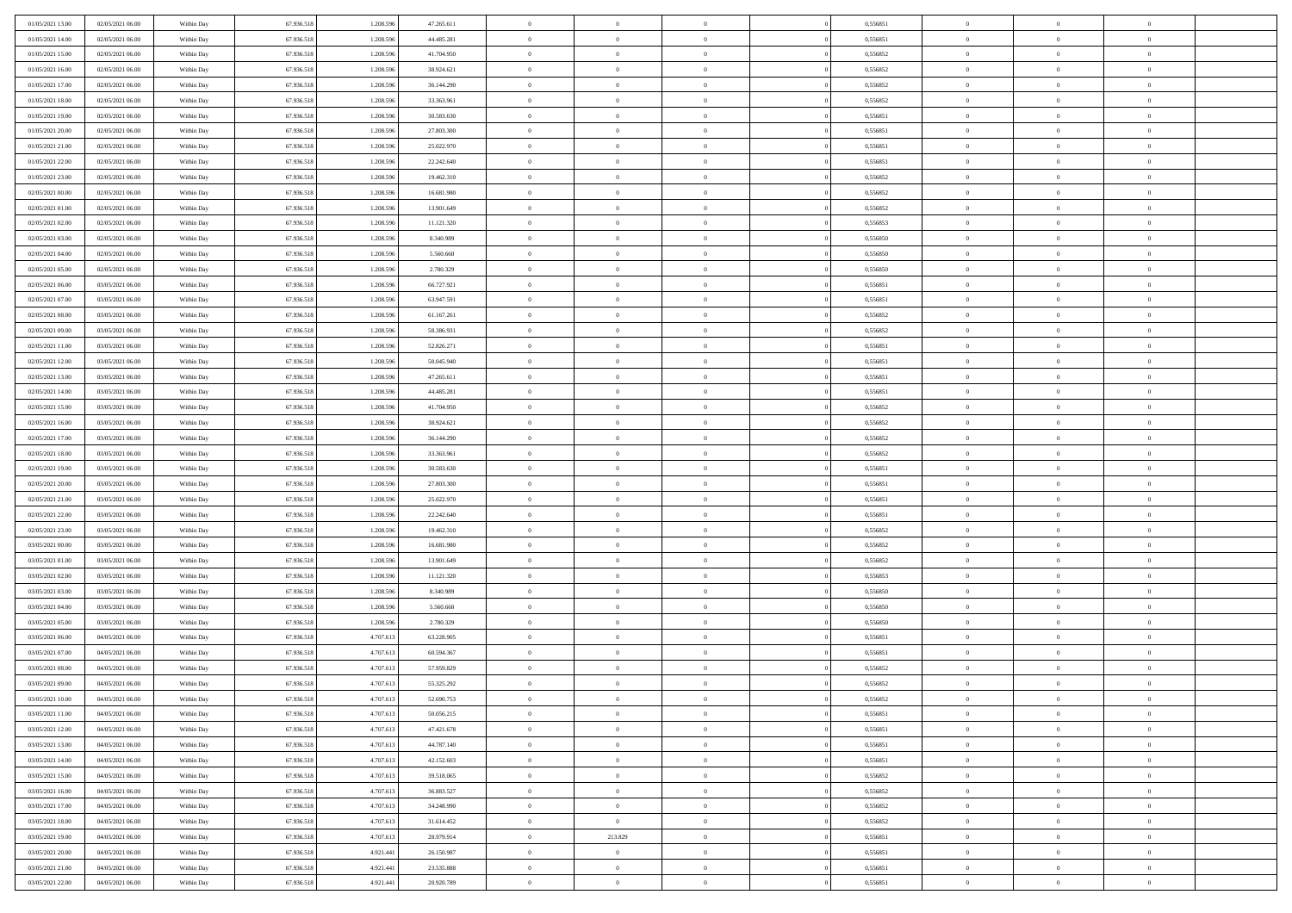| 01/05/2021 13:00                     | 02/05/2021 06:00                     | Within Day | 67.936.518               | 1.208.59               | 47.265.611               | $\bf{0}$                  | $\overline{0}$                   | $\overline{0}$             | 0,556851             | $\bf{0}$             | $\bf{0}$       | $\theta$             |  |
|--------------------------------------|--------------------------------------|------------|--------------------------|------------------------|--------------------------|---------------------------|----------------------------------|----------------------------|----------------------|----------------------|----------------|----------------------|--|
| 01/05/2021 14:00                     | 02/05/2021 06:00                     | Within Day | 67.936.518               | 1.208.596              | 44.485.281               | $\overline{0}$            | $\overline{0}$                   | $\overline{0}$             | 0,556851             | $\theta$             | $\overline{0}$ | $\theta$             |  |
| 01/05/2021 15:00                     | 02/05/2021 06:00                     | Within Day | 67.936.518               | 1.208.596              | 41.704.950               | $\,0\,$                   | $\overline{0}$                   | $\bf{0}$                   | 0,556852             | $\,$ 0 $\,$          | $\overline{0}$ | $\,$ 0 $\,$          |  |
| 01/05/2021 16:00                     | 02/05/2021 06:00                     | Within Day | 67.936.518               | 1.208.596              | 38.924.621               | $\bf{0}$                  | $\Omega$                         | $\overline{0}$             | 0,556852             | $\theta$             | $\mathbf{0}$   | $\theta$             |  |
| 01/05/2021 17:00                     | 02/05/2021 06:00                     | Within Day | 67.936.518               | 1.208.596              | 36.144.290               | $\overline{0}$            | $\overline{0}$                   | $\overline{0}$             | 0,556852             | $\overline{0}$       | $\overline{0}$ | $\overline{0}$       |  |
| 01/05/2021 18:00                     | 02/05/2021 06:00                     | Within Day | 67.936.518               | 1.208.596              | 33.363.961               | $\,$ 0 $\,$               | $\overline{0}$                   | $\bf{0}$                   | 0,556852             | $\,$ 0 $\,$          | $\overline{0}$ | $\,$ 0 $\,$          |  |
| 01/05/2021 19:00                     | 02/05/2021 06:00                     | Within Day | 67.936.518               | 1.208.596              | 30.583.630               | $\overline{0}$            | $\overline{0}$                   | $\overline{0}$             | 0.556851             | $\bf{0}$             | $\overline{0}$ | $\theta$             |  |
|                                      | 02/05/2021 06:00                     |            | 67.936.518               | 1.208.596              | 27.803.300               | $\overline{0}$            | $\overline{0}$                   | $\overline{0}$             | 0,556851             | $\overline{0}$       | $\overline{0}$ | $\overline{0}$       |  |
| 01/05/2021 20:00                     |                                      | Within Day |                          |                        |                          |                           |                                  |                            |                      |                      |                |                      |  |
| 01/05/2021 21:00                     | 02/05/2021 06:00                     | Within Day | 67.936.518               | 1.208.596              | 25.022.970               | $\,$ 0 $\,$               | $\overline{0}$                   | $\bf{0}$                   | 0,556851             | $\,$ 0 $\,$          | $\overline{0}$ | $\bf{0}$             |  |
| 01/05/2021 22.00                     | 02/05/2021 06:00                     | Within Day | 67.936.518               | 1.208.59               | 22.242.640               | $\bf{0}$                  | $\mathbf{0}$                     | $\overline{0}$             | 0.556851             | $\theta$             | $\mathbf{0}$   | $\theta$             |  |
| 01/05/2021 23:00                     | 02/05/2021 06:00                     | Within Day | 67.936.518               | 1.208.596              | 19.462.310               | $\overline{0}$            | $\overline{0}$                   | $\overline{0}$             | 0,556852             | $\overline{0}$       | $\overline{0}$ | $\overline{0}$       |  |
| 02/05/2021 00:00                     | 02/05/2021 06:00                     | Within Day | 67.936.518               | 1.208.596              | 16.681.980               | $\,$ 0 $\,$               | $\overline{0}$                   | $\bf{0}$                   | 0,556852             | $\,$ 0 $\,$          | $\overline{0}$ | $\,$ 0 $\,$          |  |
| 02/05/2021 01:00                     | 02/05/2021 06:00                     | Within Day | 67.936.518               | 1.208.596              | 13.901.649               | $\bf{0}$                  | $\overline{0}$                   | $\overline{0}$             | 0,556852             | $\bf{0}$             | $\mathbf{0}$   | $\theta$             |  |
| 02/05/2021 02:00                     | 02/05/2021 06:00                     | Within Day | 67.936.518               | 1.208.596              | 11.121.320               | $\overline{0}$            | $\overline{0}$                   | $\overline{0}$             | 0,556853             | $\overline{0}$       | $\overline{0}$ | $\theta$             |  |
| 02/05/2021 03:00                     | 02/05/2021 06:00                     | Within Day | 67.936.518               | 1.208.596              | 8.340.989                | $\,$ 0 $\,$               | $\overline{0}$                   | $\bf{0}$                   | 0,556850             | $\,$ 0 $\,$          | $\overline{0}$ | $\,$ 0 $\,$          |  |
| 02/05/2021 04:00                     | 02/05/2021 06:00                     | Within Day | 67.936.518               | 1.208.59               | 5.560,660                | $\bf{0}$                  | $\mathbf{0}$                     | $\overline{0}$             | 0.556850             | $\theta$             | $\mathbf{0}$   | $\theta$             |  |
| 02/05/2021 05:00                     | 02/05/2021 06:00                     | Within Day | 67.936.518               | 1.208.596              | 2.780.329                | $\overline{0}$            | $\overline{0}$                   | $\overline{0}$             | 0,556850             | $\overline{0}$       | $\overline{0}$ | $\overline{0}$       |  |
| 02/05/2021 06:00                     | 03/05/2021 06:00                     | Within Day | 67.936.518               | 1.208.596              | 66.727.921               | $\,$ 0 $\,$               | $\overline{0}$                   | $\bf{0}$                   | 0,556851             | $\,$ 0 $\,$          | $\overline{0}$ | $\,$ 0 $\,$          |  |
| 02/05/2021 07:00                     | 03/05/2021 06:00                     | Within Day | 67.936.518               | 1.208.596              | 63.947.591               | $\bf{0}$                  | $\Omega$                         | $\overline{0}$             | 0,556851             | $\theta$             | $\theta$       | $\theta$             |  |
| 02/05/2021 08:00                     | 03/05/2021 06:00                     | Within Day | 67.936.518               | 1.208.596              | 61.167.261               | $\overline{0}$            | $\overline{0}$                   | $\overline{0}$             | 0,556852             | $\overline{0}$       | $\overline{0}$ | $\overline{0}$       |  |
| 02/05/2021 09:00                     | 03/05/2021 06:00                     | Within Day | 67.936.518               | 1.208.596              | 58.386.931               | $\,$ 0 $\,$               | $\overline{0}$                   | $\bf{0}$                   | 0,556852             | $\,$ 0 $\,$          | $\overline{0}$ | $\,$ 0 $\,$          |  |
| 02/05/2021 11:00                     | 03/05/2021 06:00                     | Within Day | 67.936.518               | 1.208.596              | 52.826.271               | $\overline{0}$            | $\overline{0}$                   | $\overline{0}$             | 0.556851             | $\bf{0}$             | $\mathbf{0}$   | $\theta$             |  |
| 02/05/2021 12:00                     | 03/05/2021 06:00                     | Within Day | 67.936.518               | 1.208.596              | 50.045.940               | $\overline{0}$            | $\overline{0}$                   | $\overline{0}$             | 0,556851             | $\overline{0}$       | $\overline{0}$ | $\overline{0}$       |  |
| 02/05/2021 13:00                     | 03/05/2021 06:00                     | Within Day | 67.936.518               | 1.208.596              | 47.265.611               | $\,0\,$                   | $\overline{0}$                   | $\bf{0}$                   | 0,556851             | $\,$ 0 $\,$          | $\overline{0}$ | $\bf{0}$             |  |
| 02/05/2021 14:00                     | 03/05/2021 06:00                     | Within Day | 67.936.518               | 1.208.59               | 44.485.281               | $\overline{0}$            | $\mathbf{0}$                     | $\overline{0}$             | 0.556851             | $\theta$             | $\mathbf{0}$   | $\theta$             |  |
| 02/05/2021 15:00                     | 03/05/2021 06:00                     | Within Day | 67.936.518               | 1.208.596              | 41.704.950               | $\overline{0}$            | $\overline{0}$                   | $\overline{0}$             | 0,556852             | $\overline{0}$       | $\overline{0}$ | $\overline{0}$       |  |
| 02/05/2021 16:00                     | 03/05/2021 06:00                     | Within Day | 67.936.518               | 1.208.596              | 38.924.621               | $\,$ 0 $\,$               | $\overline{0}$                   | $\bf{0}$                   | 0,556852             | $\,$ 0 $\,$          | $\overline{0}$ | $\,$ 0 $\,$          |  |
| 02/05/2021 17:00                     | 03/05/2021 06:00                     | Within Day | 67.936.518               | 1.208.596              | 36.144.290               | $\bf{0}$                  | $\overline{0}$                   | $\overline{0}$             | 0,556852             | $\bf{0}$             | $\overline{0}$ | $\bf{0}$             |  |
| 02/05/2021 18:00                     | 03/05/2021 06:00                     | Within Day | 67.936.518               | 1.208.596              | 33.363.961               | $\overline{0}$            | $\overline{0}$                   | $\overline{0}$             | 0,556852             | $\theta$             | $\overline{0}$ | $\theta$             |  |
| 02/05/2021 19:00                     | 03/05/2021 06:00                     | Within Day | 67.936.518               | 1.208.596              | 30.583.630               | $\,$ 0 $\,$               | $\overline{0}$                   | $\bf{0}$                   | 0,556851             | $\,$ 0 $\,$          | $\overline{0}$ | $\,$ 0 $\,$          |  |
|                                      |                                      |            |                          |                        |                          | $\,0\,$                   | $\overline{0}$                   |                            |                      | $\,$ 0 $\,$          | $\overline{0}$ | $\bf{0}$             |  |
| 02/05/2021 20:00<br>02/05/2021 21:00 | 03/05/2021 06:00<br>03/05/2021 06:00 | Within Day | 67.936.518<br>67.936.518 | 1.208.596<br>1.208.596 | 27.803.300<br>25.022.970 | $\overline{0}$            | $\overline{0}$                   | $\bf{0}$<br>$\overline{0}$ | 0,556851<br>0,556851 | $\mathbf{0}$         | $\overline{0}$ | $\overline{0}$       |  |
|                                      |                                      | Within Day |                          |                        |                          | $\,$ 0 $\,$               | $\overline{0}$                   |                            |                      | $\,$ 0 $\,$          | $\overline{0}$ | $\,$ 0 $\,$          |  |
| 02/05/2021 22:00                     | 03/05/2021 06:00                     | Within Day | 67.936.518               | 1.208.596              | 22.242.640               |                           |                                  | $\bf{0}$                   | 0,556851             |                      |                |                      |  |
| 02/05/2021 23:00                     | 03/05/2021 06:00                     | Within Day | 67.936.518               | 1.208.596              | 19.462.310               | $\,0\,$<br>$\overline{0}$ | $\overline{0}$<br>$\overline{0}$ | $\bf{0}$                   | 0,556852             | $\bf{0}$<br>$\theta$ | $\overline{0}$ | $\bf{0}$<br>$\theta$ |  |
| 03/05/2021 00:00                     | 03/05/2021 06:00                     | Within Day | 67.936.518               | 1.208.596              | 16.681.980               |                           |                                  | $\overline{0}$             | 0,556852             |                      | $\overline{0}$ |                      |  |
| 03/05/2021 01:00                     | 03/05/2021 06:00                     | Within Day | 67.936.518               | 1.208.596              | 13.901.649               | $\,$ 0 $\,$               | $\overline{0}$                   | $\bf{0}$                   | 0,556852             | $\,$ 0 $\,$          | $\overline{0}$ | $\,$ 0 $\,$          |  |
| 03/05/2021 02:00                     | 03/05/2021 06:00                     | Within Day | 67.936.518               | 1.208.596              | 11.121.320               | $\bf{0}$                  | $\overline{0}$                   | $\bf{0}$                   | 0,556853             | $\bf{0}$             | $\overline{0}$ | $\bf{0}$             |  |
| 03/05/2021 03:00                     | 03/05/2021 06:00                     | Within Day | 67.936.518               | 1.208.596              | 8.340.989                | $\overline{0}$            | $\overline{0}$                   | $\overline{0}$             | 0,556850             | $\mathbf{0}$         | $\overline{0}$ | $\overline{0}$       |  |
| 03/05/2021 04:00                     | 03/05/2021 06:00                     | Within Day | 67.936.518               | 1.208.596              | 5.560.660                | $\,$ 0 $\,$               | $\overline{0}$                   | $\bf{0}$                   | 0,556850             | $\,$ 0 $\,$          | $\overline{0}$ | $\,$ 0 $\,$          |  |
| 03/05/2021 05:00                     | 03/05/2021 06:00                     | Within Day | 67.936.518               | 1.208.596              | 2.780.329                | $\mathbf{0}$              | $\overline{0}$                   | $\bf{0}$                   | 0,556850             | $\bf{0}$             | $\overline{0}$ | $\bf{0}$             |  |
| 03/05/2021 06:00                     | 04/05/2021 06:00                     | Within Day | 67.936.518               | 4.707.613              | 63.228.905               | $\overline{0}$            | $\overline{0}$                   | $\overline{0}$             | 0,556851             | $\mathbf{0}$         | $\overline{0}$ | $\overline{0}$       |  |
| 03/05/2021 07:00                     | 04/05/2021 06:00                     | Within Day | 67.936.518               | 4.707.613              | 60.594.367               | $\,$ 0 $\,$               | $\overline{0}$                   | $\bf{0}$                   | 0,556851             | $\,$ 0 $\,$          | $\overline{0}$ | $\,$ 0 $\,$          |  |
| 03/05/2021 08:00                     | 04/05/2021 06:00                     | Within Day | 67.936.518               | 4.707.61               | 57.959.829               | $\bf{0}$                  | $\overline{0}$                   | $\bf{0}$                   | 0,556852             | $\bf{0}$             | $\overline{0}$ | $\bf{0}$             |  |
| 03/05/2021 09:00                     | 04/05/2021 06:00                     | Within Day | 67.936.518               | 4.707.613              | 55.325.292               | $\mathbf{0}$              | $\overline{0}$                   | $\overline{0}$             | 0,556852             | $\theta$             | $\overline{0}$ | $\overline{0}$       |  |
| 03/05/2021 10:00                     | 04/05/2021 06:00                     | Within Day | 67.936.518               | 4.707.613              | 52.690.753               | $\mathbf{0}$              | $\overline{0}$                   | $\theta$                   | 0,556852             | $\overline{0}$       | $\theta$       | $\theta$             |  |
| 03/05/2021 11:00                     | 04/05/2021 06:00                     | Within Day | 67.936.518               | 4.707.613              | 50.056.215               | $\bf{0}$                  | $\overline{0}$                   | $\bf{0}$                   | 0,556851             | $\bf{0}$             | $\overline{0}$ | $\bf{0}$             |  |
| 03/05/2021 12:00                     | 04/05/2021 06:00                     | Within Day | 67.936.518               | 4.707.613              | 47.421.678               | $\overline{0}$            | $\overline{0}$                   | $\overline{0}$             | 0,556851             | $\overline{0}$       | $\overline{0}$ | $\overline{0}$       |  |
| 03/05/2021 13:00                     | 04/05/2021 06:00                     | Within Day | 67.936.518               | 4.707.613              | 44.787.140               | $\,$ 0 $\,$               | $\overline{0}$                   | $\overline{0}$             | 0,556851             | $\,$ 0 $\,$          | $\,$ 0 $\,$    | $\,$ 0 $\,$          |  |
| 03/05/2021 14:00                     | 04/05/2021 06:00                     | Within Day | 67.936.518               | 4.707.613              | 42.152.603               | $\bf{0}$                  | $\overline{0}$                   | $\overline{0}$             | 0,556851             | $\mathbf{0}$         | $\overline{0}$ | $\bf{0}$             |  |
| 03/05/2021 15:00                     | 04/05/2021 06:00                     | Within Day | 67.936.518               | 4.707.613              | 39.518.065               | $\overline{0}$            | $\overline{0}$                   | $\overline{0}$             | 0,556852             | $\mathbf{0}$         | $\overline{0}$ | $\overline{0}$       |  |
| 03/05/2021 16:00                     | 04/05/2021 06:00                     | Within Day | 67.936.518               | 4.707.613              | 36.883.527               | $\,$ 0                    | $\overline{0}$                   | $\overline{0}$             | 0,556852             | $\,$ 0 $\,$          | $\overline{0}$ | $\,$ 0 $\,$          |  |
| 03/05/2021 17:00                     | 04/05/2021 06:00                     | Within Day | 67.936.518               | 4.707.613              | 34.248.990               | $\overline{0}$            | $\overline{0}$                   | $\overline{0}$             | 0,556852             | $\overline{0}$       | $\overline{0}$ | $\bf{0}$             |  |
| 03/05/2021 18:00                     | 04/05/2021 06:00                     | Within Day | 67.936.518               | 4.707.613              | 31.614.452               | $\mathbf{0}$              | $\overline{0}$                   | $\overline{0}$             | 0,556852             | $\overline{0}$       | $\overline{0}$ | $\overline{0}$       |  |
| 03/05/2021 19:00                     | 04/05/2021 06:00                     | Within Day | 67.936.518               | 4.707.613              | 28.979.914               | $\,$ 0                    | 213.829                          | $\overline{0}$             | 0,556851             | $\,$ 0 $\,$          | $\,$ 0 $\,$    | $\,$ 0 $\,$          |  |
| 03/05/2021 20:00                     | 04/05/2021 06:00                     | Within Day | 67.936.518               | 4.921.441              | 26.150.987               | $\bf{0}$                  | $\overline{0}$                   | $\overline{0}$             | 0,556851             | $\mathbf{0}$         | $\overline{0}$ | $\bf{0}$             |  |
| 03/05/2021 21:00                     | 04/05/2021 06:00                     | Within Day | 67.936.518               | 4.921.441              | 23.535.888               | $\mathbf{0}$              | $\overline{0}$                   | $\overline{0}$             | 0,556851             | $\mathbf{0}$         | $\overline{0}$ | $\overline{0}$       |  |
| 03/05/2021 22:00                     | 04/05/2021 06:00                     | Within Day | 67.936.518               | 4.921.441              | 20.920.789               | $\,$ 0 $\,$               | $\overline{0}$                   | $\overline{0}$             | 0,556851             | $\,$ 0 $\,$          | $\overline{0}$ | $\,$ 0 $\,$          |  |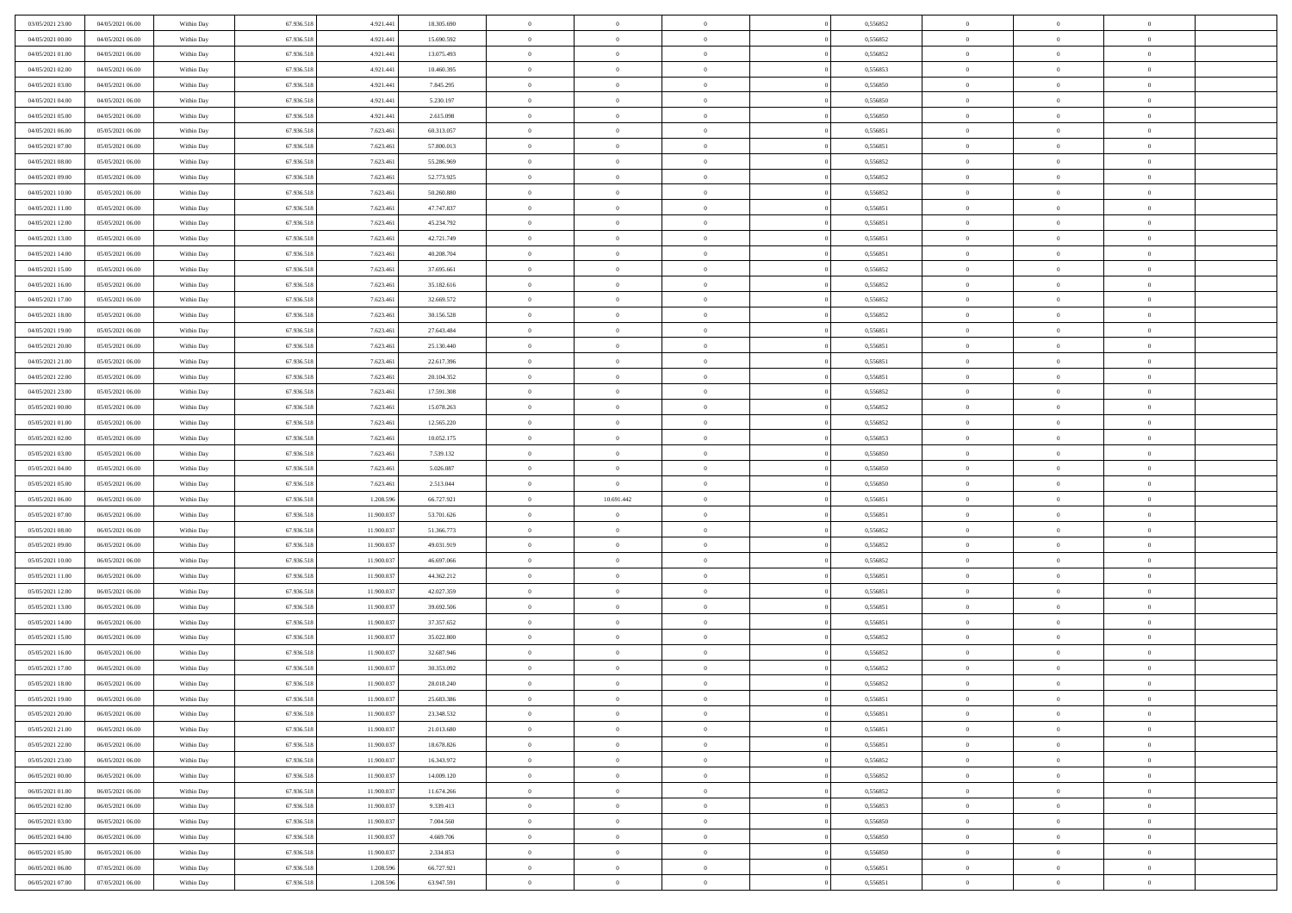| 03/05/2021 23:00 | 04/05/2021 06:00 | Within Day | 67.936.518 | 4.921.441  | 18.305.690 | $\bf{0}$                   | $\overline{0}$ | $\overline{0}$ | 0,556852 | $\bf{0}$       | $\bf{0}$       | $\theta$                   |  |
|------------------|------------------|------------|------------|------------|------------|----------------------------|----------------|----------------|----------|----------------|----------------|----------------------------|--|
| 04/05/2021 00:00 | 04/05/2021 06:00 | Within Day | 67.936.518 | 4.921.441  | 15.690.592 | $\overline{0}$             | $\overline{0}$ | $\overline{0}$ | 0,556852 | $\theta$       | $\overline{0}$ | $\theta$                   |  |
| 04/05/2021 01:00 | 04/05/2021 06:00 | Within Day | 67.936.518 | 4.921.441  | 13.075.493 | $\,0\,$                    | $\overline{0}$ | $\bf{0}$       | 0,556852 | $\,$ 0 $\,$    | $\overline{0}$ | $\,$ 0 $\,$                |  |
| 04/05/2021 02:00 | 04/05/2021 06:00 | Within Day | 67.936.518 | 4.921.441  | 10.460.395 | $\bf{0}$                   | $\Omega$       | $\overline{0}$ | 0.556853 | $\theta$       | $\mathbf{0}$   | $\theta$                   |  |
| 04/05/2021 03:00 | 04/05/2021 06:00 | Within Day | 67.936.518 | 4.921.441  | 7.845.295  | $\overline{0}$             | $\overline{0}$ | $\overline{0}$ | 0,556850 | $\mathbf{0}$   | $\overline{0}$ | $\overline{0}$             |  |
| 04/05/2021 04:00 | 04/05/2021 06:00 | Within Day | 67.936.518 | 4.921.441  | 5.230.197  | $\,$ 0 $\,$                | $\overline{0}$ | $\bf{0}$       | 0,556850 | $\,$ 0 $\,$    | $\overline{0}$ | $\,$ 0 $\,$                |  |
|                  | 04/05/2021 06:00 |            |            |            |            | $\bf{0}$                   | $\overline{0}$ | $\overline{0}$ | 0.556850 |                | $\overline{0}$ | $\theta$                   |  |
| 04/05/2021 05:00 |                  | Within Day | 67.936.518 | 4.921.441  | 2.615.098  |                            |                |                |          | $\bf{0}$       |                |                            |  |
| 04/05/2021 06:00 | 05/05/2021 06:00 | Within Day | 67.936.518 | 7.623.461  | 60.313.057 | $\overline{0}$             | $\overline{0}$ | $\overline{0}$ | 0,556851 | $\mathbf{0}$   | $\overline{0}$ | $\theta$                   |  |
| 04/05/2021 07:00 | 05/05/2021 06:00 | Within Day | 67.936.518 | 7.623.461  | 57.800.013 | $\,$ 0 $\,$                | $\overline{0}$ | $\bf{0}$       | 0,556851 | $\,$ 0 $\,$    | $\overline{0}$ | $\bf{0}$                   |  |
| 04/05/2021 08:00 | 05/05/2021 06:00 | Within Day | 67.936.518 | 7.623.461  | 55.286.969 | $\mathbf{0}$               | $\mathbf{0}$   | $\overline{0}$ | 0.556852 | $\theta$       | $\mathbf{0}$   | $\theta$                   |  |
| 04/05/2021 09:00 | 05/05/2021 06:00 | Within Day | 67.936.518 | 7.623.461  | 52.773.925 | $\overline{0}$             | $\overline{0}$ | $\overline{0}$ | 0,556852 | $\overline{0}$ | $\overline{0}$ | $\overline{0}$             |  |
| 04/05/2021 10:00 | 05/05/2021 06:00 | Within Day | 67.936.518 | 7.623.461  | 50.260.880 | $\,$ 0 $\,$                | $\overline{0}$ | $\bf{0}$       | 0,556852 | $\,$ 0 $\,$    | $\overline{0}$ | $\,$ 0 $\,$                |  |
| 04/05/2021 11:00 | 05/05/2021 06:00 | Within Day | 67.936.518 | 7.623.461  | 47.747.837 | $\mathbf{0}$               | $\overline{0}$ | $\overline{0}$ | 0,556851 | $\bf{0}$       | $\mathbf{0}$   | $\theta$                   |  |
| 04/05/2021 12:00 | 05/05/2021 06:00 | Within Day | 67.936.518 | 7.623.461  | 45.234.792 | $\overline{0}$             | $\overline{0}$ | $\overline{0}$ | 0,556851 | $\overline{0}$ | $\overline{0}$ | $\theta$                   |  |
| 04/05/2021 13:00 | 05/05/2021 06:00 | Within Day | 67.936.518 | 7.623.461  | 42.721.749 | $\,$ 0 $\,$                | $\overline{0}$ | $\bf{0}$       | 0,556851 | $\,$ 0 $\,$    | $\overline{0}$ | $\,$ 0 $\,$                |  |
| 04/05/2021 14:00 | 05/05/2021 06:00 | Within Day | 67.936.518 | 7.623.46   | 40.208.704 | $\overline{0}$             | $\mathbf{0}$   | $\overline{0}$ | 0.556851 | $\theta$       | $\mathbf{0}$   | $\theta$                   |  |
| 04/05/2021 15:00 | 05/05/2021 06:00 | Within Day | 67.936.518 | 7.623.461  | 37.695.661 | $\overline{0}$             | $\overline{0}$ | $\overline{0}$ | 0,556852 | $\overline{0}$ | $\overline{0}$ | $\overline{0}$             |  |
| 04/05/2021 16:00 | 05/05/2021 06:00 | Within Day | 67.936.518 | 7.623.461  | 35.182.616 | $\,$ 0 $\,$                | $\overline{0}$ | $\bf{0}$       | 0,556852 | $\,$ 0 $\,$    | $\overline{0}$ | $\,$ 0 $\,$                |  |
| 04/05/2021 17:00 | 05/05/2021 06:00 | Within Day | 67.936.518 | 7.623.46   | 32.669.572 | $\mathbf{0}$               | $\Omega$       | $\overline{0}$ | 0,556852 | $\theta$       | $\theta$       | $\theta$                   |  |
| 04/05/2021 18:00 | 05/05/2021 06:00 | Within Day | 67.936.518 | 7.623.461  | 30.156.528 | $\overline{0}$             | $\overline{0}$ | $\overline{0}$ | 0,556852 | $\overline{0}$ | $\overline{0}$ | $\overline{0}$             |  |
| 04/05/2021 19:00 | 05/05/2021 06:00 | Within Day | 67.936.518 | 7.623.461  | 27.643.484 | $\,$ 0 $\,$                | $\overline{0}$ | $\bf{0}$       | 0,556851 | $\,$ 0 $\,$    | $\overline{0}$ | $\,$ 0 $\,$                |  |
| 04/05/2021 20:00 | 05/05/2021 06:00 | Within Day | 67.936.518 | 7.623.46   | 25.130.440 | $\overline{0}$             | $\overline{0}$ | $\overline{0}$ | 0.556851 | $\bf{0}$       | $\mathbf{0}$   | $\theta$                   |  |
| 04/05/2021 21:00 | 05/05/2021 06:00 | Within Day | 67.936.518 | 7.623.461  | 22.617.396 | $\overline{0}$             | $\overline{0}$ | $\overline{0}$ | 0,556851 | $\overline{0}$ | $\overline{0}$ | $\overline{0}$             |  |
| 04/05/2021 22:00 | 05/05/2021 06:00 | Within Day | 67.936.518 | 7.623.461  | 20.104.352 | $\,$ 0 $\,$                | $\overline{0}$ | $\bf{0}$       | 0,556851 | $\,$ 0 $\,$    | $\overline{0}$ | $\bf{0}$                   |  |
| 04/05/2021 23:00 | 05/05/2021 06:00 | Within Day | 67.936.518 | 7.623.46   | 17.591.308 | $\mathbf{0}$               | $\mathbf{0}$   | $\overline{0}$ | 0.556852 | $\theta$       | $\mathbf{0}$   | $\theta$                   |  |
| 05/05/2021 00:00 | 05/05/2021 06:00 | Within Day | 67.936.518 | 7.623.461  | 15.078.263 | $\overline{0}$             | $\overline{0}$ | $\overline{0}$ | 0,556852 | $\overline{0}$ | $\overline{0}$ | $\overline{0}$             |  |
| 05/05/2021 01:00 | 05/05/2021 06:00 | Within Day | 67.936.518 | 7.623.461  | 12.565.220 | $\,$ 0 $\,$                | $\overline{0}$ | $\bf{0}$       | 0,556852 | $\,$ 0 $\,$    | $\overline{0}$ | $\,$ 0 $\,$                |  |
| 05/05/2021 02:00 | 05/05/2021 06:00 | Within Day | 67.936.518 | 7.623.461  | 10.052.175 | $\mathbf{0}$               | $\overline{0}$ | $\overline{0}$ | 0.556853 | $\bf{0}$       | $\bf{0}$       | $\bf{0}$                   |  |
| 05/05/2021 03:00 | 05/05/2021 06:00 | Within Day | 67.936.518 | 7.623.461  | 7.539.132  | $\overline{0}$             | $\overline{0}$ | $\overline{0}$ | 0,556850 | $\overline{0}$ | $\overline{0}$ | $\theta$                   |  |
| 05/05/2021 04:00 | 05/05/2021 06:00 | Within Day | 67.936.518 | 7.623.461  | 5.026.087  | $\,$ 0 $\,$                | $\overline{0}$ | $\bf{0}$       | 0,556850 | $\,$ 0 $\,$    | $\overline{0}$ | $\,$ 0 $\,$                |  |
| 05/05/2021 05:00 | 05/05/2021 06:00 | Within Day | 67.936.518 | 7.623.461  | 2.513.044  | $\,0\,$                    | $\overline{0}$ | $\bf{0}$       | 0,556850 | $\,$ 0 $\,$    | $\overline{0}$ | $\bf{0}$                   |  |
| 05/05/2021 06:00 | 06/05/2021 06:00 | Within Day | 67.936.518 | 1.208.596  | 66.727.921 | $\overline{0}$             | 10.691.442     | $\overline{0}$ | 0,556851 | $\mathbf{0}$   | $\overline{0}$ | $\overline{0}$             |  |
| 05/05/2021 07:00 | 06/05/2021 06:00 | Within Day | 67.936.518 | 11.900.037 | 53.701.626 | $\,$ 0 $\,$                | $\overline{0}$ | $\bf{0}$       | 0,556851 | $\,$ 0 $\,$    | $\overline{0}$ | $\,$ 0 $\,$                |  |
| 05/05/2021 08:00 | 06/05/2021 06:00 | Within Day | 67.936.518 | 11.900.037 | 51.366.773 | $\,0\,$                    | $\overline{0}$ | $\bf{0}$       | 0,556852 | $\bf{0}$       | $\overline{0}$ | $\bf{0}$                   |  |
| 05/05/2021 09:00 | 06/05/2021 06:00 | Within Day | 67.936.518 | 11.900.037 | 49.031.919 | $\overline{0}$             | $\overline{0}$ | $\overline{0}$ | 0,556852 | $\theta$       | $\overline{0}$ | $\theta$                   |  |
|                  |                  |            |            |            |            | $\,$ 0 $\,$                | $\overline{0}$ |                |          | $\,$ 0 $\,$    | $\overline{0}$ | $\,$ 0 $\,$                |  |
| 05/05/2021 10:00 | 06/05/2021 06:00 | Within Day | 67.936.518 | 11.900.037 | 46.697.066 |                            |                | $\bf{0}$       | 0,556852 |                |                |                            |  |
| 05/05/2021 11:00 | 06/05/2021 06:00 | Within Day | 67.936.518 | 11.900.037 | 44.362.212 | $\bf{0}$<br>$\overline{0}$ | $\overline{0}$ | $\bf{0}$       | 0,556851 | $\bf{0}$       | $\overline{0}$ | $\bf{0}$<br>$\overline{0}$ |  |
| 05/05/2021 12:00 | 06/05/2021 06:00 | Within Day | 67.936.518 | 11.900.037 | 42.027.359 |                            | $\overline{0}$ | $\overline{0}$ | 0,556851 | $\mathbf{0}$   | $\overline{0}$ |                            |  |
| 05/05/2021 13:00 | 06/05/2021 06:00 | Within Day | 67.936.518 | 11.900.037 | 39.692.506 | $\,$ 0 $\,$                | $\overline{0}$ | $\bf{0}$       | 0,556851 | $\,$ 0 $\,$    | $\overline{0}$ | $\,$ 0 $\,$                |  |
| 05/05/2021 14:00 | 06/05/2021 06:00 | Within Day | 67.936.518 | 11.900.037 | 37.357.652 | $\mathbf{0}$               | $\overline{0}$ | $\bf{0}$       | 0,556851 | $\bf{0}$       | $\overline{0}$ | $\bf{0}$                   |  |
| 05/05/2021 15:00 | 06/05/2021 06:00 | Within Day | 67.936.518 | 11.900.037 | 35.022.800 | $\overline{0}$             | $\overline{0}$ | $\overline{0}$ | 0,556852 | $\mathbf{0}$   | $\overline{0}$ | $\overline{0}$             |  |
| 05/05/2021 16:00 | 06/05/2021 06:00 | Within Day | 67.936.518 | 11.900.037 | 32.687.946 | $\,$ 0 $\,$                | $\overline{0}$ | $\bf{0}$       | 0,556852 | $\,$ 0 $\,$    | $\overline{0}$ | $\,$ 0 $\,$                |  |
| 05/05/2021 17:00 | 06/05/2021 06:00 | Within Day | 67.936.518 | 11.900.037 | 30.353.092 | $\,0\,$                    | $\overline{0}$ | $\bf{0}$       | 0,556852 | $\bf{0}$       | $\overline{0}$ | $\bf{0}$                   |  |
| 05/05/2021 18:00 | 06/05/2021 06:00 | Within Day | 67.936.518 | 11.900.037 | 28.018.240 | $\mathbf{0}$               | $\overline{0}$ | $\overline{0}$ | 0,556852 | $\theta$       | $\overline{0}$ | $\overline{0}$             |  |
| 05/05/2021 19:00 | 06/05/2021 06:00 | Within Day | 67.936.518 | 11.900.037 | 25.683.386 | $\mathbf{0}$               | $\overline{0}$ | $\theta$       | 0,556851 | $\overline{0}$ | $\theta$       | $\theta$                   |  |
| 05/05/2021 20:00 | 06/05/2021 06:00 | Within Day | 67.936.518 | 11.900.037 | 23.348.532 | $\bf{0}$                   | $\overline{0}$ | $\bf{0}$       | 0,556851 | $\bf{0}$       | $\overline{0}$ | $\bf{0}$                   |  |
| 05/05/2021 21:00 | 06/05/2021 06:00 | Within Day | 67.936.518 | 11.900.037 | 21.013.680 | $\overline{0}$             | $\overline{0}$ | $\overline{0}$ | 0,556851 | $\overline{0}$ | $\overline{0}$ | $\overline{0}$             |  |
| 05/05/2021 22:00 | 06/05/2021 06:00 | Within Day | 67.936.518 | 11.900.037 | 18.678.826 | $\,$ 0                     | $\overline{0}$ | $\overline{0}$ | 0,556851 | $\,$ 0 $\,$    | $\,$ 0 $\,$    | $\,$ 0 $\,$                |  |
| 05/05/2021 23:00 | 06/05/2021 06:00 | Within Day | 67.936.518 | 11.900.037 | 16.343.972 | $\bf{0}$                   | $\overline{0}$ | $\overline{0}$ | 0,556852 | $\mathbf{0}$   | $\overline{0}$ | $\bf{0}$                   |  |
| 06/05/2021 00:00 | 06/05/2021 06:00 | Within Day | 67.936.518 | 11.900.037 | 14.009.120 | $\overline{0}$             | $\overline{0}$ | $\overline{0}$ | 0,556852 | $\mathbf{0}$   | $\overline{0}$ | $\overline{0}$             |  |
| 06/05/2021 01:00 | 06/05/2021 06:00 | Within Day | 67.936.518 | 11.900.037 | 11.674.266 | $\,$ 0                     | $\overline{0}$ | $\overline{0}$ | 0,556852 | $\,$ 0 $\,$    | $\overline{0}$ | $\,$ 0 $\,$                |  |
| 06/05/2021 02:00 | 06/05/2021 06:00 | Within Day | 67.936.518 | 11.900.037 | 9.339.413  | $\overline{0}$             | $\overline{0}$ | $\overline{0}$ | 0,556853 | $\overline{0}$ | $\overline{0}$ | $\bf{0}$                   |  |
| 06/05/2021 03:00 | 06/05/2021 06:00 | Within Day | 67.936.518 | 11.900.037 | 7.004.560  | $\mathbf{0}$               | $\overline{0}$ | $\overline{0}$ | 0,556850 | $\overline{0}$ | $\overline{0}$ | $\overline{0}$             |  |
| 06/05/2021 04:00 | 06/05/2021 06:00 | Within Day | 67.936.518 | 11.900.037 | 4.669.706  | $\,$ 0                     | $\overline{0}$ | $\overline{0}$ | 0,556850 | $\,$ 0 $\,$    | $\,$ 0 $\,$    | $\,$ 0 $\,$                |  |
| 06/05/2021 05:00 | 06/05/2021 06:00 | Within Day | 67.936.518 | 11.900.037 | 2.334.853  | $\bf{0}$                   | $\overline{0}$ | $\overline{0}$ | 0,556850 | $\mathbf{0}$   | $\overline{0}$ | $\bf{0}$                   |  |
| 06/05/2021 06:00 | 07/05/2021 06:00 | Within Day | 67.936.518 | 1.208.596  | 66.727.921 | $\mathbf{0}$               | $\overline{0}$ | $\overline{0}$ | 0,556851 | $\mathbf{0}$   | $\overline{0}$ | $\overline{0}$             |  |
| 06/05/2021 07:00 | 07/05/2021 06:00 | Within Day | 67.936.518 | 1.208.596  | 63.947.591 | $\,$ 0                     | $\overline{0}$ | $\bf{0}$       | 0,556851 | $\,$ 0 $\,$    | $\overline{0}$ | $\,$ 0 $\,$                |  |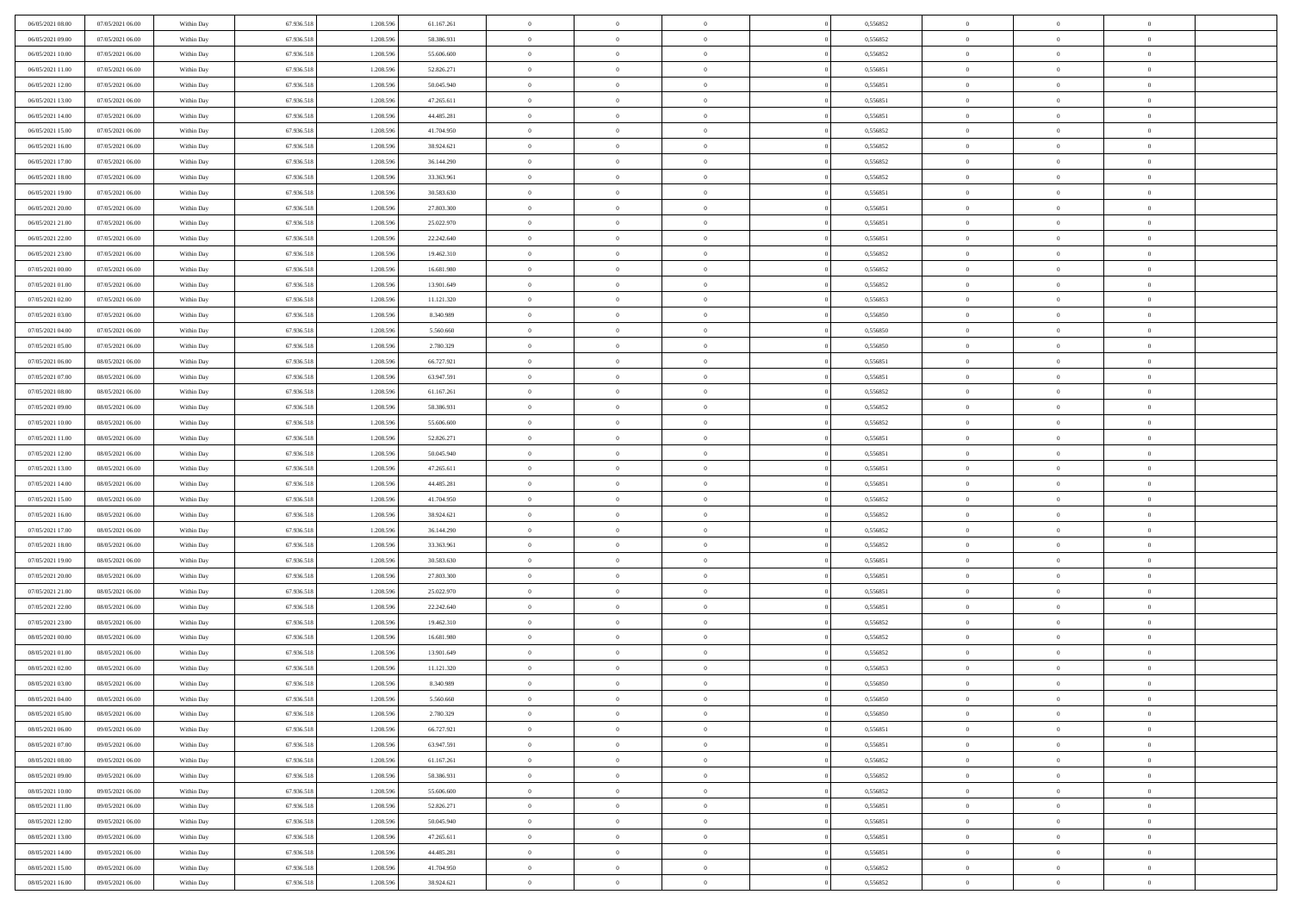| 06/05/2021 08:00                     | 07/05/2021 06:00                     | Within Day               | 67.936.518               | 1.208.596              | 61.167.261               | $\overline{0}$       | $\overline{0}$             | $\Omega$                         | 0,556852             | $\bf{0}$                 | $\mathbf{0}$                     | $\bf{0}$       |  |
|--------------------------------------|--------------------------------------|--------------------------|--------------------------|------------------------|--------------------------|----------------------|----------------------------|----------------------------------|----------------------|--------------------------|----------------------------------|----------------|--|
| 06/05/2021 09:00                     | 07/05/2021 06:00                     | Within Day               | 67.936.518               | 1.208.596              | 58.386.931               | $\mathbf{0}$         | $\overline{0}$             | $\overline{0}$                   | 0,556852             | $\overline{0}$           | $\overline{0}$                   | $\theta$       |  |
| 06/05/2021 10:00                     | 07/05/2021 06:00                     | Within Day               | 67.936.518               | 1.208.596              | 55.606.600               | $\,$ 0               | $\overline{0}$             | $\bf{0}$                         | 0,556852             | $\,$ 0                   | $\overline{0}$                   | $\,$ 0 $\,$    |  |
| 06/05/2021 11:00                     | 07/05/2021 06:00                     | Within Day               | 67.936.518               | 1.208.596              | 52.826.271               | $\bf{0}$             | $\overline{0}$             | $\Omega$                         | 0.556851             | $\bf{0}$                 | $\mathbf{0}$                     | $\theta$       |  |
| 06/05/2021 12:00                     | 07/05/2021 06:00                     | Within Dav               | 67.936.518               | 1.208.596              | 50.045.940               | $\bf{0}$             | $\overline{0}$             | $\overline{0}$                   | 0,556851             | $\mathbf{0}$             | $\overline{0}$                   | $\overline{0}$ |  |
| 06/05/2021 13:00                     | 07/05/2021 06:00                     | Within Day               | 67.936.518               | 1.208.596              | 47.265.611               | $\bf{0}$             | $\overline{0}$             | $\bf{0}$                         | 0,556851             | $\,$ 0                   | $\overline{0}$                   | $\,$ 0 $\,$    |  |
| 06/05/2021 14:00                     | 07/05/2021 06:00                     | Within Day               | 67.936.518               | 1.208.596              | 44.485.281               | $\bf{0}$             | $\overline{0}$             | $\Omega$                         | 0.556851             | $\bf{0}$                 | $\mathbf{0}$                     | $\theta$       |  |
| 06/05/2021 15:00                     | 07/05/2021 06:00                     | Within Dav               | 67.936.518               | 1.208.596              | 41.704.950               | $\overline{0}$       | $\overline{0}$             | $\overline{0}$                   | 0,556852             | $\mathbf{0}$             | $\overline{0}$                   | $\overline{0}$ |  |
|                                      |                                      |                          |                          |                        |                          | $\bf{0}$             | $\overline{0}$             |                                  |                      | $\,$ 0                   | $\overline{0}$                   | $\,$ 0 $\,$    |  |
| 06/05/2021 16:00                     | 07/05/2021 06:00<br>07/05/2021 06:00 | Within Day               | 67.936.518               | 1.208.596<br>1.208.596 | 38.924.621               | $\bf{0}$             | $\overline{0}$             | $\bf{0}$<br>$\Omega$             | 0,556852<br>0.556852 | $\bf{0}$                 | $\mathbf{0}$                     | $\theta$       |  |
| 06/05/2021 17:00<br>06/05/2021 18:00 |                                      | Within Day               | 67.936.518               |                        | 36.144.290               | $\overline{0}$       |                            |                                  |                      | $\overline{0}$           |                                  | $\overline{0}$ |  |
|                                      | 07/05/2021 06:00                     | Within Day               | 67.936.518               | 1.208.596              | 33.363.961               |                      | $\overline{0}$             | $\overline{0}$                   | 0,556852             |                          | $\overline{0}$                   |                |  |
| 06/05/2021 19:00                     | 07/05/2021 06:00                     | Within Day               | 67.936.518               | 1.208.596              | 30.583.630               | $\,$ 0               | $\overline{0}$             | $\bf{0}$                         | 0,556851             | $\,$ 0                   | $\overline{0}$                   | $\,$ 0 $\,$    |  |
| 06/05/2021 20:00                     | 07/05/2021 06:00                     | Within Day               | 67.936.518               | 1.208.596              | 27.803.300               | $\bf{0}$             | $\overline{0}$             | $\Omega$                         | 0.556851             | $\overline{0}$           | $\mathbf{0}$                     | $\theta$       |  |
| 06/05/2021 21:00                     | 07/05/2021 06:00                     | Within Dav               | 67.936.518               | 1.208.596              | 25.022.970               | $\overline{0}$       | $\overline{0}$             | $\overline{0}$                   | 0,556851             | $\mathbf{0}$             | $\overline{0}$                   | $\overline{0}$ |  |
| 06/05/2021 22.00                     | 07/05/2021 06:00                     | Within Day               | 67.936.518               | 1.208.596              | 22.242.640               | $\bf{0}$             | $\overline{0}$             | $\bf{0}$                         | 0,556851             | $\,$ 0                   | $\overline{0}$                   | $\,$ 0 $\,$    |  |
| 06/05/2021 23.00                     | 07/05/2021 06:00                     | Within Day               | 67.936.518               | 1.208.596              | 19.462.310               | $\bf{0}$             | $\overline{0}$             | $\overline{0}$                   | 0.556852             | $\bf{0}$                 | $\mathbf{0}$                     | $\theta$       |  |
| 07/05/2021 00:00                     | 07/05/2021 06:00                     | Within Day               | 67.936.518               | 1.208.596              | 16.681.980               | $\overline{0}$       | $\overline{0}$             | $\overline{0}$                   | 0,556852             | $\mathbf{0}$             | $\overline{0}$                   | $\overline{0}$ |  |
| 07/05/2021 01:00                     | 07/05/2021 06:00                     | Within Day               | 67.936.518               | 1.208.596              | 13.901.649               | $\bf{0}$             | $\overline{0}$             | $\bf{0}$                         | 0,556852             | $\,$ 0                   | $\overline{0}$                   | $\,0\,$        |  |
| 07/05/2021 02:00                     | 07/05/2021 06:00                     | Within Day               | 67.936.518               | 1.208.596              | 11.121.320               | $\bf{0}$             | $\overline{0}$             | $\Omega$                         | 0.556853             | $\overline{0}$           | $\mathbf{0}$                     | $\theta$       |  |
| 07/05/2021 03:00                     | 07/05/2021 06:00                     | Within Day               | 67.936.518               | 1.208.596              | 8.340.989                | $\overline{0}$       | $\overline{0}$             | $\overline{0}$                   | 0,556850             | $\overline{0}$           | $\overline{0}$                   | $\overline{0}$ |  |
| 07/05/2021 04:00                     | 07/05/2021 06:00                     | Within Day               | 67.936.518               | 1.208.596              | 5.560.660                | $\bf{0}$             | $\overline{0}$             | $\bf{0}$                         | 0,556850             | $\,$ 0                   | $\overline{0}$                   | $\,$ 0 $\,$    |  |
| 07/05/2021 05:00                     | 07/05/2021 06:00                     | Within Day               | 67.936.518               | 1.208.596              | 2.780.329                | $\bf{0}$             | $\overline{0}$             | $\Omega$                         | 0.556850             | $\overline{0}$           | $\theta$                         | $\theta$       |  |
| 07/05/2021 06:00                     | 08/05/2021 06:00                     | Within Day               | 67.936.518               | 1.208.596              | 66.727.921               | $\overline{0}$       | $\overline{0}$             | $\overline{0}$                   | 0,556851             | $\mathbf{0}$             | $\overline{0}$                   | $\overline{0}$ |  |
| 07/05/2021 07:00                     | 08/05/2021 06:00                     | Within Day               | 67.936.518               | 1.208.596              | 63.947.591               | $\bf{0}$             | $\overline{0}$             | $\bf{0}$                         | 0,556851             | $\,$ 0                   | $\overline{0}$                   | $\,$ 0 $\,$    |  |
| 07/05/2021 08:00                     | 08/05/2021 06:00                     | Within Day               | 67.936.518               | 1.208.596              | 61.167.261               | $\bf{0}$             | $\overline{0}$             | $\overline{0}$                   | 0.556852             | $\bf{0}$                 | $\bf{0}$                         | $\theta$       |  |
| 07/05/2021 09:00                     | 08/05/2021 06:00                     | Within Day               | 67.936.518               | 1.208.596              | 58.386.931               | $\overline{0}$       | $\overline{0}$             | $\overline{0}$                   | 0,556852             | $\overline{0}$           | $\overline{0}$                   | $\overline{0}$ |  |
| 07/05/2021 10:00                     | 08/05/2021 06:00                     | Within Day               | 67.936.518               | 1.208.596              | 55.606.600               | $\bf{0}$             | $\overline{0}$             | $\bf{0}$                         | 0,556852             | $\,$ 0                   | $\overline{0}$                   | $\,$ 0 $\,$    |  |
| 07/05/2021 11:00                     | 08/05/2021 06:00                     | Within Day               | 67.936.518               | 1.208.596              | 52.826.271               | $\bf{0}$             | $\overline{0}$             | $\Omega$                         | 0.556851             | $\bf{0}$                 | $\mathbf{0}$                     | $\theta$       |  |
| 07/05/2021 12:00                     | 08/05/2021 06:00                     | Within Day               | 67.936.518               | 1.208.596              | 50.045.940               | $\overline{0}$       | $\overline{0}$             | $\overline{0}$                   | 0,556851             | $\mathbf{0}$             | $\overline{0}$                   | $\overline{0}$ |  |
| 07/05/2021 13:00                     | 08/05/2021 06:00                     | Within Day               | 67.936.518               | 1.208.596              | 47.265.611               | $\bf{0}$             | $\overline{0}$             | $\bf{0}$                         | 0,556851             | $\,$ 0                   | $\overline{0}$                   | $\,$ 0 $\,$    |  |
| 07/05/2021 14:00                     | 08/05/2021 06:00                     | Within Day               | 67.936.518               | 1.208.596              | 44.485.281               | $\,$ 0               | $\overline{0}$             | $\overline{0}$                   | 0,556851             | $\bf{0}$                 | $\overline{0}$                   | $\,0\,$        |  |
| 07/05/2021 15:00                     | 08/05/2021 06:00                     | Within Dav               | 67.936.518               | 1.208.596              | 41.704.950               | $\overline{0}$       | $\overline{0}$             | $\overline{0}$                   | 0,556852             | $\mathbf{0}$             | $\overline{0}$                   | $\overline{0}$ |  |
| 07/05/2021 16:00                     | 08/05/2021 06:00                     | Within Day               | 67.936.518               | 1.208.596              | 38.924.621               | $\bf{0}$             | $\overline{0}$             | $\bf{0}$                         | 0,556852             | $\,$ 0                   | $\overline{0}$                   | $\,$ 0 $\,$    |  |
| 07/05/2021 17:00                     | 08/05/2021 06:00                     | Within Day               | 67.936.518               | 1.208.596              | 36.144.290               | $\bf{0}$             | $\bf{0}$                   | $\bf{0}$                         | 0,556852             | $\bf{0}$                 | $\overline{0}$                   | $\,0\,$        |  |
| 07/05/2021 18:00                     | 08/05/2021 06:00                     | Within Day               | 67.936.518               | 1.208.596              | 33.363.961               | $\mathbf{0}$         | $\overline{0}$             | $\overline{0}$                   | 0,556852             | $\overline{0}$           | $\overline{0}$                   | $\overline{0}$ |  |
| 07/05/2021 19:00                     | 08/05/2021 06:00                     | Within Day               | 67.936.518               | 1.208.596              | 30.583.630               | $\bf{0}$             | $\overline{0}$             | $\bf{0}$                         | 0,556851             | $\,$ 0                   | $\overline{0}$                   | $\,$ 0 $\,$    |  |
| 07/05/2021 20:00                     | 08/05/2021 06:00                     | Within Day               | 67.936.518               | 1.208.596              | 27.803.300               | $\,$ 0               | $\bf{0}$                   | $\overline{0}$                   | 0,556851             | $\bf{0}$                 | $\overline{0}$                   | $\,0\,$        |  |
| 07/05/2021 21:00                     | 08/05/2021 06:00                     | Within Day               | 67.936.518               | 1.208.596              | 25.022.970               | $\overline{0}$       | $\overline{0}$             | $\overline{0}$                   | 0,556851             | $\mathbf{0}$             | $\overline{0}$                   | $\overline{0}$ |  |
| 07/05/2021 22.00                     | 08/05/2021 06:00                     | Within Day               | 67.936.518               | 1.208.596              | 22.242.640               | $\bf{0}$             | $\overline{0}$             | $\bf{0}$                         | 0,556851             | $\,$ 0                   | $\overline{0}$                   | $\,$ 0 $\,$    |  |
| 07/05/2021 23.00                     | 08/05/2021 06:00                     | Within Day               | 67.936.518               | 1.208.596              | 19.462.310               | $\bf{0}$             | $\bf{0}$                   | $\overline{0}$                   | 0,556852             | $\bf{0}$                 | $\overline{0}$                   | $\,0\,$        |  |
| 08/05/2021 00:00                     | 08/05/2021 06:00                     | Within Dav               | 67.936.518               | 1.208.596              | 16.681.980               | $\overline{0}$       | $\overline{0}$             | $\overline{0}$                   | 0,556852             | $\overline{0}$           | $\overline{0}$                   | $\overline{0}$ |  |
| 08/05/2021 01:00                     | 08/05/2021 06:00                     | Within Day               | 67.936.518               | 1.208.596              | 13.901.649               | $\bf{0}$             | $\overline{0}$             | $\bf{0}$                         | 0,556852             | $\,$ 0                   | $\overline{0}$                   | $\,$ 0 $\,$    |  |
| 08/05/2021 02:00                     | 08/05/2021 06:00                     | Within Day               | 67.936.518               | 1.208.596              | 11.121.320               | $\bf{0}$             | $\bf{0}$                   | $\bf{0}$                         | 0,556853             | $\bf{0}$                 | $\overline{0}$                   | $\,0\,$        |  |
| 08/05/2021 03:00                     | 08/05/2021 06:00                     | Within Day               | 67.936.518               | 1.208.596              | 8.340.989                | $\mathbf{0}$         | $\overline{0}$             | $\overline{0}$                   | 0,556850             | $\overline{0}$           | $\overline{0}$                   | $\overline{0}$ |  |
| 08/05/2021 04:00                     | 08/05/2021 06:00                     | Within Day               | 67.936.518               | 1.208.596              | 5.560.660                | $\bf{0}$             | $\overline{0}$             | $\theta$                         | 0,556850             | $\overline{0}$           | $\theta$                         | $\theta$       |  |
| 08/05/2021 05:00                     | 08/05/2021 06:00                     | Within Day               | 67.936.518               | 1.208.596              | 2.780.329                | $\bf{0}$             | $\bf{0}$                   | $\bf{0}$                         | 0,556850             | $\bf{0}$                 | $\overline{0}$                   | $\,0\,$        |  |
| 08/05/2021 06:00                     | 09/05/2021 06:00                     | Within Day               | 67.936.518               | 1.208.596              | 66.727.921               | $\overline{0}$       | $\overline{0}$             | $\overline{0}$                   | 0,556851             | $\overline{0}$           | $\bf{0}$                         | $\overline{0}$ |  |
| 08/05/2021 07:00                     | 09/05/2021 06:00                     | Within Day               | 67.936.518               | 1.208.596              | 63.947.591               | $\,$ 0 $\,$          | $\overline{0}$             | $\overline{0}$                   | 0,556851             | $\mathbf{0}$             | $\,$ 0 $\,$                      | $\,$ 0 $\,$    |  |
| 08/05/2021 08:00                     |                                      |                          |                          |                        |                          |                      |                            |                                  |                      |                          |                                  | $\bf{0}$       |  |
| 08/05/2021 09:00                     | 09/05/2021 06:00<br>09/05/2021 06:00 | Within Day<br>Within Day | 67.936.518<br>67.936.518 | 1.208.596<br>1.208.596 | 61.167.261<br>58.386.931 | $\bf{0}$<br>$\bf{0}$ | $\bf{0}$<br>$\overline{0}$ | $\overline{0}$<br>$\overline{0}$ | 0,556852<br>0,556852 | $\bf{0}$<br>$\mathbf{0}$ | $\overline{0}$<br>$\overline{0}$ | $\overline{0}$ |  |
|                                      |                                      |                          |                          |                        |                          |                      |                            |                                  |                      |                          | $\overline{0}$                   |                |  |
| 08/05/2021 10:00                     | 09/05/2021 06:00                     | Within Day               | 67.936.518               | 1.208.596              | 55.606.600               | $\,$ 0 $\,$          | $\overline{0}$             | $\overline{0}$                   | 0,556852             | $\,$ 0 $\,$              |                                  | $\,$ 0 $\,$    |  |
| 08/05/2021 11:00                     | 09/05/2021 06:00                     | Within Day               | 67.936.518               | 1.208.596              | 52.826.271               | $\bf{0}$             | $\overline{0}$             | $\overline{0}$                   | 0,556851             | $\bf{0}$                 | $\overline{0}$                   | $\overline{0}$ |  |
| 08/05/2021 12:00                     | 09/05/2021 06:00                     | Within Day               | 67.936.518               | 1.208.596              | 50.045.940               | $\overline{0}$       | $\overline{0}$             | $\overline{0}$                   | 0,556851             | $\overline{0}$           | $\bf{0}$                         | $\overline{0}$ |  |
| 08/05/2021 13:00                     | 09/05/2021 06:00                     | Within Day               | 67.936.518               | 1.208.596              | 47.265.611               | $\,$ 0 $\,$          | $\overline{0}$             | $\overline{0}$                   | 0,556851             | $\,$ 0 $\,$              | $\overline{0}$                   | $\,$ 0 $\,$    |  |
| 08/05/2021 14:00                     | 09/05/2021 06:00                     | Within Day               | 67.936.518               | 1.208.596              | 44.485.281               | $\bf{0}$             | $\bf{0}$                   | $\overline{0}$                   | 0,556851             | $\mathbf{0}$             | $\overline{0}$                   | $\bf{0}$       |  |
| 08/05/2021 15:00                     | 09/05/2021 06:00                     | Within Day               | 67.936.518               | 1.208.596              | 41.704.950               | $\bf{0}$             | $\overline{0}$             | $\overline{0}$                   | 0,556852             | $\overline{0}$           | $\bf{0}$                         | $\overline{0}$ |  |
| 08/05/2021 16:00                     | 09/05/2021 06:00                     | Within Day               | 67.936.518               | 1.208.596              | 38.924.621               | $\,0\,$              | $\overline{0}$             | $\overline{0}$                   | 0,556852             | $\,$ 0                   | $\overline{0}$                   | $\,$ 0 $\,$    |  |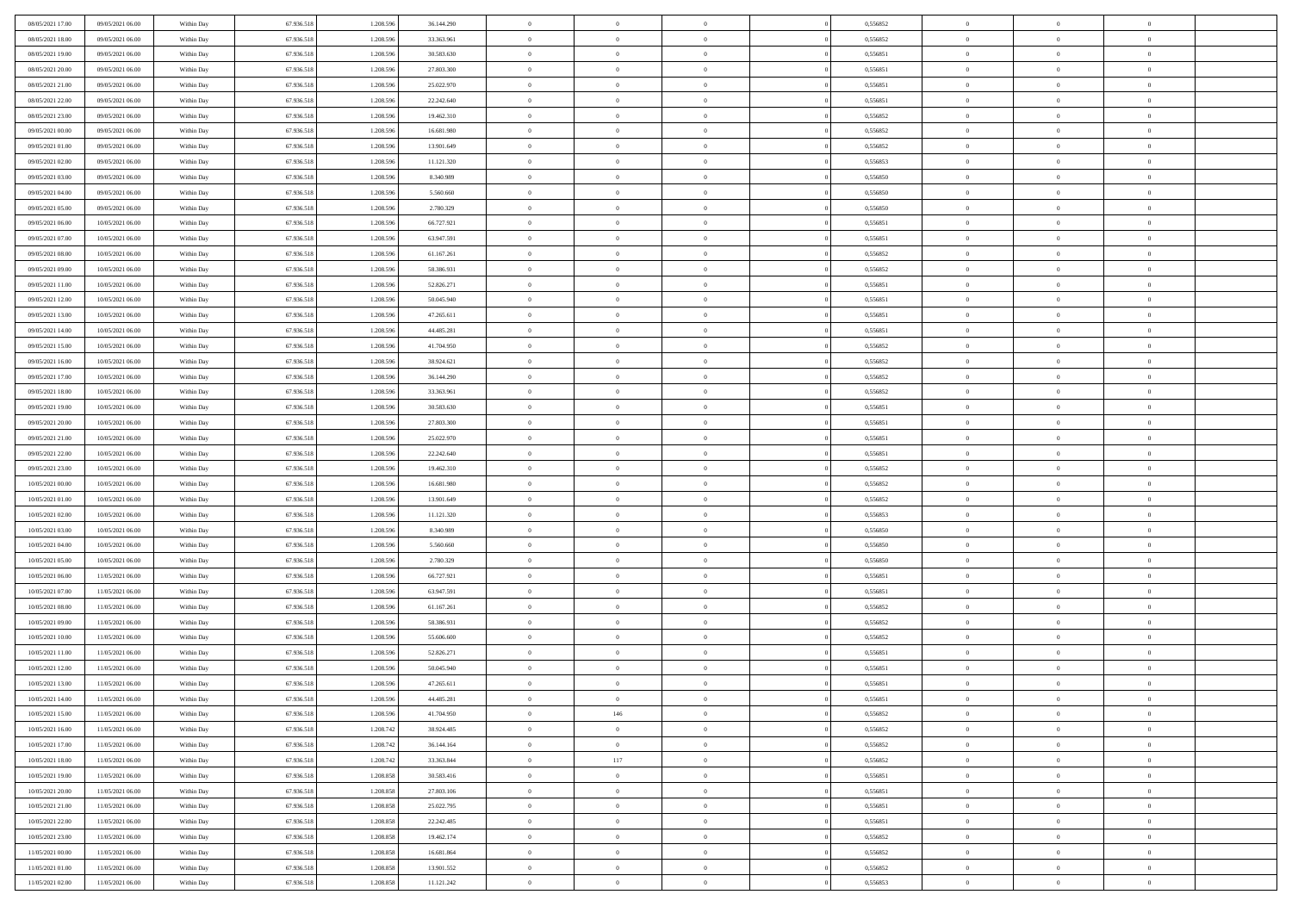| 08/05/2021 17:00                     | 09/05/2021 06:00 | Within Day | 67.936.518 | 1.208.59              | 36.144.290               | $\bf{0}$       | $\overline{0}$ | $\overline{0}$             | 0,556852             | $\bf{0}$       | $\bf{0}$       | $\theta$             |  |
|--------------------------------------|------------------|------------|------------|-----------------------|--------------------------|----------------|----------------|----------------------------|----------------------|----------------|----------------|----------------------|--|
| 08/05/2021 18:00                     | 09/05/2021 06:00 | Within Day | 67.936.518 | 1.208.596             | 33.363.961               | $\overline{0}$ | $\overline{0}$ | $\overline{0}$             | 0,556852             | $\theta$       | $\overline{0}$ | $\theta$             |  |
| 08/05/2021 19:00                     | 09/05/2021 06:00 | Within Day | 67.936.518 | 1.208.596             | 30.583.630               | $\,0\,$        | $\overline{0}$ | $\bf{0}$                   | 0,556851             | $\,$ 0 $\,$    | $\overline{0}$ | $\,$ 0 $\,$          |  |
| 08/05/2021 20:00                     | 09/05/2021 06:00 | Within Day | 67.936.518 | 1.208.596             | 27.803.300               | $\bf{0}$       | $\Omega$       | $\overline{0}$             | 0,556851             | $\theta$       | $\mathbf{0}$   | $\theta$             |  |
| 08/05/2021 21:00                     | 09/05/2021 06:00 | Within Day | 67.936.518 | 1.208.596             | 25.022.970               | $\overline{0}$ | $\overline{0}$ | $\overline{0}$             | 0,556851             | $\mathbf{0}$   | $\overline{0}$ | $\overline{0}$       |  |
| 08/05/2021 22:00                     | 09/05/2021 06:00 | Within Day | 67.936.518 | 1.208.596             | 22.242.640               | $\,$ 0 $\,$    | $\overline{0}$ | $\bf{0}$                   | 0,556851             | $\,$ 0 $\,$    | $\overline{0}$ | $\,$ 0 $\,$          |  |
| 08/05/2021 23:00                     | 09/05/2021 06:00 | Within Day | 67.936.518 | 1.208.596             | 19.462.310               | $\overline{0}$ | $\overline{0}$ | $\overline{0}$             | 0.556852             | $\bf{0}$       | $\overline{0}$ | $\theta$             |  |
| 09/05/2021 00:00                     | 09/05/2021 06:00 | Within Day | 67.936.518 | 1.208.596             | 16.681.980               | $\overline{0}$ | $\overline{0}$ | $\overline{0}$             | 0,556852             | $\mathbf{0}$   | $\overline{0}$ | $\overline{0}$       |  |
|                                      |                  |            |            |                       |                          | $\,$ 0 $\,$    | $\overline{0}$ |                            |                      | $\,$ 0 $\,$    | $\overline{0}$ |                      |  |
| 09/05/2021 01:00                     | 09/05/2021 06:00 | Within Day | 67.936.518 | 1.208.596<br>1.208.59 | 13.901.649               | $\overline{0}$ | $\mathbf{0}$   | $\bf{0}$<br>$\overline{0}$ | 0,556852<br>0.556853 | $\theta$       | $\mathbf{0}$   | $\bf{0}$<br>$\theta$ |  |
| 09/05/2021 02:00<br>09/05/2021 03:00 | 09/05/2021 06:00 | Within Day | 67.936.518 |                       | 11.121.320               | $\overline{0}$ |                |                            |                      |                |                |                      |  |
|                                      | 09/05/2021 06:00 | Within Day | 67.936.518 | 1.208.596             | 8.340.989                |                | $\overline{0}$ | $\overline{0}$             | 0,556850             | $\overline{0}$ | $\overline{0}$ | $\overline{0}$       |  |
| 09/05/2021 04:00                     | 09/05/2021 06:00 | Within Day | 67.936.518 | 1.208.596             | 5.560.660                | $\,$ 0 $\,$    | $\overline{0}$ | $\bf{0}$                   | 0,556850             | $\,$ 0 $\,$    | $\overline{0}$ | $\,$ 0 $\,$          |  |
| 09/05/2021 05:00                     | 09/05/2021 06:00 | Within Day | 67.936.518 | 1.208.596             | 2.780.329                | $\bf{0}$       | $\overline{0}$ | $\overline{0}$             | 0.556850             | $\bf{0}$       | $\mathbf{0}$   | $\theta$             |  |
| 09/05/2021 06:00                     | 10/05/2021 06:00 | Within Day | 67.936.518 | 1.208.596             | 66.727.921               | $\overline{0}$ | $\overline{0}$ | $\overline{0}$             | 0,556851             | $\overline{0}$ | $\overline{0}$ | $\overline{0}$       |  |
| 09/05/2021 07:00                     | 10/05/2021 06:00 | Within Day | 67.936.518 | 1.208.596             | 63.947.591               | $\,$ 0 $\,$    | $\overline{0}$ | $\bf{0}$                   | 0,556851             | $\,$ 0 $\,$    | $\overline{0}$ | $\,$ 0 $\,$          |  |
| 09/05/2021 08:00                     | 10/05/2021 06:00 | Within Day | 67.936.518 | 1.208.59              | 61.167.261               | $\bf{0}$       | $\mathbf{0}$   | $\overline{0}$             | 0.556852             | $\theta$       | $\mathbf{0}$   | $\theta$             |  |
| 09/05/2021 09:00                     | 10/05/2021 06:00 | Within Day | 67.936.518 | 1.208.596             | 58.386.931               | $\overline{0}$ | $\overline{0}$ | $\overline{0}$             | 0,556852             | $\overline{0}$ | $\overline{0}$ | $\overline{0}$       |  |
| 09/05/2021 11:00                     | 10/05/2021 06:00 | Within Day | 67.936.518 | 1.208.596             | 52.826.271               | $\,$ 0 $\,$    | $\overline{0}$ | $\bf{0}$                   | 0,556851             | $\,$ 0 $\,$    | $\overline{0}$ | $\,$ 0 $\,$          |  |
| 09/05/2021 12:00                     | 10/05/2021 06:00 | Within Day | 67.936.518 | 1.208.596             | 50.045.940               | $\bf{0}$       | $\Omega$       | $\overline{0}$             | 0,556851             | $\theta$       | $\theta$       | $\theta$             |  |
| 09/05/2021 13:00                     | 10/05/2021 06:00 | Within Day | 67.936.518 | 1.208.596             | 47.265.611               | $\overline{0}$ | $\overline{0}$ | $\overline{0}$             | 0,556851             | $\overline{0}$ | $\overline{0}$ | $\overline{0}$       |  |
| 09/05/2021 14:00                     | 10/05/2021 06:00 | Within Day | 67.936.518 | 1.208.596             | 44.485.281               | $\,$ 0 $\,$    | $\overline{0}$ | $\bf{0}$                   | 0,556851             | $\,$ 0 $\,$    | $\overline{0}$ | $\,$ 0 $\,$          |  |
| 09/05/2021 15:00                     | 10/05/2021 06:00 | Within Day | 67.936.518 | 1.208.596             | 41.704.950               | $\overline{0}$ | $\overline{0}$ | $\overline{0}$             | 0.556852             | $\bf{0}$       | $\mathbf{0}$   | $\theta$             |  |
| 09/05/2021 16:00                     | 10/05/2021 06:00 | Within Day | 67.936.518 | 1.208.596             | 38.924.621               | $\overline{0}$ | $\overline{0}$ | $\overline{0}$             | 0,556852             | $\overline{0}$ | $\overline{0}$ | $\overline{0}$       |  |
| 09/05/2021 17:00                     | 10/05/2021 06:00 | Within Day | 67.936.518 | 1.208.596             | 36.144.290               | $\,$ 0 $\,$    | $\overline{0}$ | $\bf{0}$                   | 0,556852             | $\,$ 0 $\,$    | $\overline{0}$ | $\bf{0}$             |  |
| 09/05/2021 18:00                     | 10/05/2021 06:00 | Within Day | 67.936.518 | 1.208.59              | 33,363,961               | $\overline{0}$ | $\mathbf{0}$   | $\overline{0}$             | 0.556852             | $\theta$       | $\mathbf{0}$   | $\theta$             |  |
| 09/05/2021 19:00                     | 10/05/2021 06:00 | Within Day | 67.936.518 | 1.208.596             | 30.583.630               | $\overline{0}$ | $\overline{0}$ | $\overline{0}$             | 0,556851             | $\overline{0}$ | $\overline{0}$ | $\overline{0}$       |  |
| 09/05/2021 20:00                     | 10/05/2021 06:00 | Within Day | 67.936.518 | 1.208.596             | 27.803.300               | $\,$ 0 $\,$    | $\overline{0}$ | $\bf{0}$                   | 0,556851             | $\,$ 0 $\,$    | $\overline{0}$ | $\,$ 0 $\,$          |  |
| 09/05/2021 21:00                     | 10/05/2021 06:00 | Within Day | 67.936.518 | 1.208.596             | 25.022.970               | $\mathbf{0}$   | $\overline{0}$ | $\overline{0}$             | 0,556851             | $\bf{0}$       | $\overline{0}$ | $\bf{0}$             |  |
| 09/05/2021 22:00                     | 10/05/2021 06:00 | Within Day | 67.936.518 | 1.208.596             | 22.242.640               | $\overline{0}$ | $\overline{0}$ | $\overline{0}$             | 0,556851             | $\theta$       | $\overline{0}$ | $\theta$             |  |
| 09/05/2021 23:00                     | 10/05/2021 06:00 | Within Day | 67.936.518 | 1.208.596             | 19.462.310               | $\,$ 0 $\,$    | $\overline{0}$ | $\bf{0}$                   | 0,556852             | $\,$ 0 $\,$    | $\overline{0}$ | $\,$ 0 $\,$          |  |
| 10/05/2021 00:00                     | 10/05/2021 06:00 | Within Day | 67.936.518 | 1.208.596             | 16.681.980               | $\,0\,$        | $\overline{0}$ | $\bf{0}$                   | 0,556852             | $\,$ 0 $\,$    | $\overline{0}$ | $\bf{0}$             |  |
| 10/05/2021 01:00                     | 10/05/2021 06:00 | Within Day | 67.936.518 | 1.208.596             | 13.901.649               | $\overline{0}$ | $\overline{0}$ | $\overline{0}$             | 0,556852             | $\mathbf{0}$   | $\overline{0}$ | $\overline{0}$       |  |
| 10/05/2021 02:00                     | 10/05/2021 06:00 | Within Day | 67.936.518 | 1.208.596             | 11.121.320               | $\,$ 0 $\,$    | $\overline{0}$ | $\bf{0}$                   | 0,556853             | $\,$ 0 $\,$    | $\overline{0}$ | $\,$ 0 $\,$          |  |
| 10/05/2021 03:00                     | 10/05/2021 06:00 | Within Day | 67.936.518 | 1.208.596             | 8.340.989                | $\,0\,$        | $\overline{0}$ | $\bf{0}$                   | 0,556850             | $\bf{0}$       | $\overline{0}$ | $\bf{0}$             |  |
| 10/05/2021 04:00                     | 10/05/2021 06:00 | Within Day | 67.936.518 | 1.208.596             | 5.560.660                | $\overline{0}$ | $\overline{0}$ | $\overline{0}$             | 0,556850             | $\theta$       | $\overline{0}$ | $\theta$             |  |
| 10/05/2021 05:00                     | 10/05/2021 06:00 | Within Day | 67.936.518 | 1.208.596             | 2.780.329                | $\,$ 0 $\,$    | $\overline{0}$ | $\bf{0}$                   | 0,556850             | $\,$ 0 $\,$    | $\overline{0}$ | $\,$ 0 $\,$          |  |
| 10/05/2021 06:00                     | 11/05/2021 06:00 | Within Day | 67.936.518 | 1.208.596             | 66.727.921               | $\bf{0}$       | $\overline{0}$ | $\bf{0}$                   | 0,556851             | $\bf{0}$       | $\overline{0}$ | $\bf{0}$             |  |
| 10/05/2021 07:00                     | 11/05/2021 06:00 | Within Day | 67.936.518 | 1.208.596             | 63.947.591               | $\overline{0}$ | $\overline{0}$ | $\overline{0}$             | 0,556851             | $\mathbf{0}$   | $\overline{0}$ | $\overline{0}$       |  |
| 10/05/2021 08:00                     | 11/05/2021 06:00 | Within Day | 67.936.518 | 1.208.596             | 61.167.261               | $\,$ 0 $\,$    | $\overline{0}$ | $\bf{0}$                   | 0,556852             | $\,$ 0 $\,$    | $\overline{0}$ | $\,$ 0 $\,$          |  |
| 10/05/2021 09:00                     | 11/05/2021 06:00 | Within Day | 67.936.518 | 1.208.596             | 58.386.931               | $\mathbf{0}$   | $\overline{0}$ | $\bf{0}$                   | 0,556852             | $\bf{0}$       | $\overline{0}$ | $\bf{0}$             |  |
| 10/05/2021 10:00                     | 11/05/2021 06:00 | Within Day | 67.936.518 | 1.208.596             | 55.606.600               | $\overline{0}$ | $\overline{0}$ | $\overline{0}$             | 0,556852             | $\mathbf{0}$   | $\overline{0}$ | $\overline{0}$       |  |
| 10/05/2021 11:00                     | 11/05/2021 06:00 | Within Day | 67.936.518 | 1.208.596             | 52.826.271               | $\,$ 0 $\,$    | $\overline{0}$ | $\bf{0}$                   | 0,556851             | $\,$ 0 $\,$    | $\overline{0}$ | $\,$ 0 $\,$          |  |
| 10/05/2021 12:00                     | 11/05/2021 06:00 | Within Day | 67.936.518 | 1.208.59              | 50.045.940               | $\,0\,$        | $\overline{0}$ | $\bf{0}$                   | 0,556851             | $\bf{0}$       | $\overline{0}$ | $\bf{0}$             |  |
| 10/05/2021 13:00                     | 11/05/2021 06:00 | Within Day | 67.936.518 | 1.208.596             | 47.265.611               | $\mathbf{0}$   | $\overline{0}$ | $\overline{0}$             | 0,556851             | $\theta$       | $\overline{0}$ | $\overline{0}$       |  |
| 10/05/2021 14:00                     | 11/05/2021 06:00 | Within Day | 67.936.518 | 1.208.596             | 44.485.281               | $\mathbf{0}$   | $\overline{0}$ | $\theta$                   | 0,556851             | $\overline{0}$ | $\overline{0}$ | $\theta$             |  |
| 10/05/2021 15:00                     | 11/05/2021 06:00 | Within Day | 67.936.518 | 1.208.596             | 41.704.950               | $\bf{0}$       | 146            | $\bf{0}$                   | 0,556852             | $\bf{0}$       | $\overline{0}$ | $\bf{0}$             |  |
| 10/05/2021 16:00                     | 11/05/2021 06:00 | Within Day | 67.936.518 | 1.208.742             | 38.924.485               | $\bf{0}$       | $\overline{0}$ | $\overline{0}$             | 0,556852             | $\overline{0}$ | $\overline{0}$ | $\overline{0}$       |  |
| 10/05/2021 17:00                     | 11/05/2021 06:00 | Within Day | 67.936.518 | 1.208.742             | 36.144.164               | $\,$ 0 $\,$    | $\overline{0}$ | $\overline{0}$             | 0,556852             | $\,$ 0 $\,$    | $\,$ 0 $\,$    | $\,$ 0 $\,$          |  |
| 10/05/2021 18:00                     | 11/05/2021 06:00 | Within Day | 67.936.518 | 1.208.742             | 33.363.844               | $\bf{0}$       | 117            | $\overline{0}$             | 0,556852             | $\mathbf{0}$   | $\overline{0}$ | $\bf{0}$             |  |
| 10/05/2021 19:00                     | 11/05/2021 06:00 | Within Day | 67.936.518 | 1.208.858             | 30.583.416               | $\bf{0}$       | $\overline{0}$ | $\overline{0}$             | 0,556851             | $\mathbf{0}$   | $\overline{0}$ | $\overline{0}$       |  |
| 10/05/2021 20:00                     | 11/05/2021 06:00 | Within Day | 67.936.518 | 1.208.858             | 27.803.106               | $\,$ 0         | $\overline{0}$ | $\overline{0}$             | 0,556851             | $\,$ 0 $\,$    | $\overline{0}$ | $\,$ 0 $\,$          |  |
| 10/05/2021 21:00                     | 11/05/2021 06:00 | Within Day | 67.936.518 | 1.208.858             |                          | $\overline{0}$ | $\overline{0}$ | $\overline{0}$             | 0,556851             | $\overline{0}$ | $\overline{0}$ | $\overline{0}$       |  |
| 10/05/2021 22:00                     | 11/05/2021 06:00 | Within Day | 67.936.518 | 1.208.858             | 25.022.795<br>22.242.485 | $\mathbf{0}$   | $\overline{0}$ | $\overline{0}$             | 0,556851             | $\overline{0}$ | $\overline{0}$ | $\overline{0}$       |  |
| 10/05/2021 23:00                     | 11/05/2021 06:00 | Within Day | 67.936.518 | 1.208.858             | 19.462.174               | $\,$ 0         | $\overline{0}$ | $\overline{0}$             | 0,556852             | $\,$ 0 $\,$    | $\bf{0}$       | $\,$ 0 $\,$          |  |
|                                      |                  |            |            |                       |                          |                |                |                            |                      |                |                |                      |  |
| 11/05/2021 00:00<br>11/05/2021 01:00 | 11/05/2021 06:00 | Within Day | 67.936.518 | 1.208.858             | 16.681.864               | $\bf{0}$       | $\overline{0}$ | $\overline{0}$             | 0,556852             | $\mathbf{0}$   | $\overline{0}$ | $\bf{0}$             |  |
|                                      | 11/05/2021 06:00 | Within Day | 67.936.518 | 1.208.858             | 13.901.552               | $\mathbf{0}$   | $\overline{0}$ | $\overline{0}$             | 0,556852             | $\mathbf{0}$   | $\overline{0}$ | $\overline{0}$       |  |
| 11/05/2021 02:00                     | 11/05/2021 06:00 | Within Day | 67.936.518 | 1.208.858             | 11.121.242               | $\,$ 0         | $\overline{0}$ | $\overline{0}$             | 0,556853             | $\,$ 0 $\,$    | $\overline{0}$ | $\,$ 0 $\,$          |  |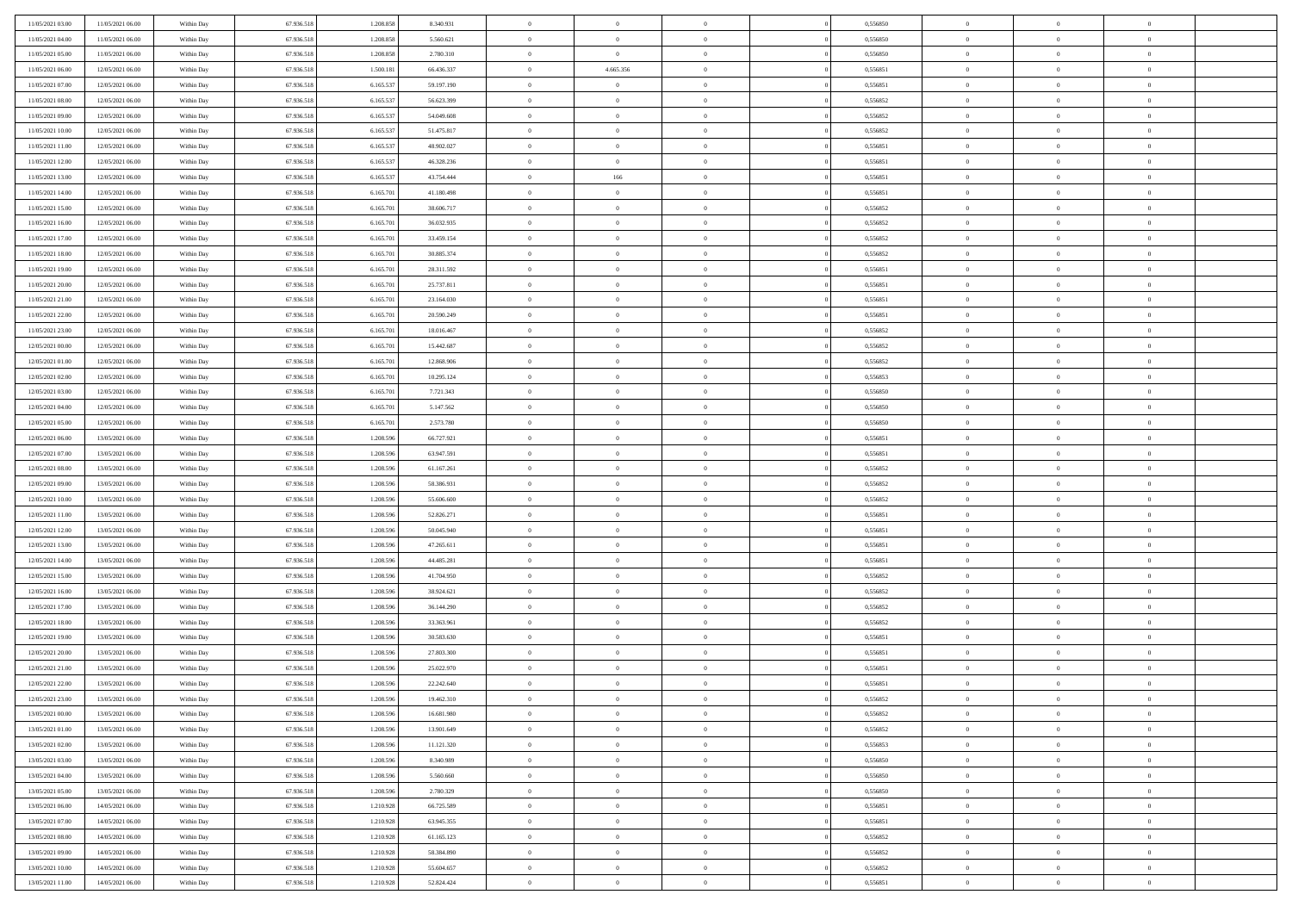| 11/05/2021 03:00 | 11/05/2021 06:00 | Within Day | 67.936.518 | 1.208.858 | 8.340.931  | $\,$ 0 $\,$    | $\overline{0}$ | $\overline{0}$ | 0,556850 | $\bf{0}$       | $\overline{0}$ | $\,0\,$        |  |
|------------------|------------------|------------|------------|-----------|------------|----------------|----------------|----------------|----------|----------------|----------------|----------------|--|
| 11/05/2021 04:00 | 11/05/2021 06:00 | Within Day | 67.936.518 | 1.208.858 | 5.560.621  | $\overline{0}$ | $\overline{0}$ | $\mathbf{0}$   | 0.556850 | $\theta$       | $\overline{0}$ | $\theta$       |  |
| 11/05/2021 05:00 | 11/05/2021 06:00 | Within Dav | 67.936.518 | 1.208.858 | 2.780.310  | $\theta$       | $\overline{0}$ | $\overline{0}$ | 0,556850 | $\mathbf{0}$   | $\overline{0}$ | $\overline{0}$ |  |
| 11/05/2021 06:00 | 12/05/2021 06:00 | Within Day | 67.936.518 | 1.500.181 | 66.436.337 | $\,$ 0 $\,$    | 4.665.356      | $\overline{0}$ | 0,556851 | $\bf{0}$       | $\overline{0}$ | $\bf{0}$       |  |
| 11/05/2021 07:00 | 12/05/2021 06:00 | Within Day | 67.936.518 | 6.165.537 | 59.197.190 | $\,$ 0         | $\overline{0}$ | $\mathbf{0}$   | 0,556851 | $\bf{0}$       | $\theta$       | $\,0\,$        |  |
| 11/05/2021 08:00 | 12/05/2021 06:00 | Within Dav | 67.936.518 | 6.165.537 | 56.623.399 | $\theta$       | $\overline{0}$ | $\mathbf{0}$   | 0,556852 | $\mathbf{0}$   | $\overline{0}$ | $\overline{0}$ |  |
| 11/05/2021 09:00 | 12/05/2021 06:00 | Within Day | 67.936.518 | 6.165.537 | 54.049.608 | $\,$ 0 $\,$    | $\overline{0}$ | $\overline{0}$ | 0,556852 | $\bf{0}$       | $\overline{0}$ | $\bf{0}$       |  |
|                  |                  |            |            |           |            | $\,$ 0         | $\overline{0}$ |                |          | $\,$ 0 $\,$    | $\overline{0}$ | $\theta$       |  |
| 11/05/2021 10:00 | 12/05/2021 06:00 | Within Day | 67.936.518 | 6.165.537 | 51.475.817 |                |                | $\mathbf{0}$   | 0,556852 |                |                |                |  |
| 11/05/2021 11:00 | 12/05/2021 06:00 | Within Day | 67.936.518 | 6.165.537 | 48.902.027 | $\theta$       | $\overline{0}$ | $\mathbf{0}$   | 0,556851 | $\mathbf{0}$   | $\overline{0}$ | $\overline{0}$ |  |
| 11/05/2021 12:00 | 12/05/2021 06:00 | Within Day | 67.936.518 | 6.165.537 | 46.328.236 | $\,$ 0 $\,$    | $\overline{0}$ | $\Omega$       | 0,556851 | $\bf{0}$       | $\overline{0}$ | $\,0\,$        |  |
| 11/05/2021 13:00 | 12/05/2021 06:00 | Within Day | 67.936.518 | 6.165.537 | 43.754.444 | $\bf{0}$       | 166            | $\mathbf{0}$   | 0,556851 | $\bf{0}$       | $\mathbf{0}$   | $\theta$       |  |
| 11/05/2021 14:00 | 12/05/2021 06:00 | Within Dav | 67.936.518 | 6.165.701 | 41.180.498 | $\theta$       | $\overline{0}$ | $\overline{0}$ | 0,556851 | $\mathbf{0}$   | $\overline{0}$ | $\overline{0}$ |  |
| 11/05/2021 15:00 | 12/05/2021 06:00 | Within Day | 67.936.518 | 6.165.701 | 38.606.717 | $\,$ 0 $\,$    | $\overline{0}$ | $\overline{0}$ | 0,556852 | $\bf{0}$       | $\overline{0}$ | $\bf{0}$       |  |
| 11/05/2021 16:00 | 12/05/2021 06:00 | Within Day | 67.936.518 | 6.165.701 | 36.032.935 | $\bf{0}$       | $\overline{0}$ | $\mathbf{0}$   | 0,556852 | $\bf{0}$       | $\theta$       | $\,0\,$        |  |
| 11/05/2021 17:00 | 12/05/2021 06:00 | Within Dav | 67.936.518 | 6.165.701 | 33.459.154 | $\theta$       | $\overline{0}$ | $\mathbf{0}$   | 0,556852 | $\mathbf{0}$   | $\overline{0}$ | $\overline{0}$ |  |
| 11/05/2021 18:00 | 12/05/2021 06:00 | Within Day | 67.936.518 | 6.165.701 | 30.885.374 | $\,$ 0 $\,$    | $\overline{0}$ | $\Omega$       | 0,556852 | $\bf{0}$       | $\overline{0}$ | $\bf{0}$       |  |
| 11/05/2021 19:00 | 12/05/2021 06:00 | Within Day | 67.936.518 | 6.165.701 | 28.311.592 | $\,$ 0         | $\overline{0}$ | $\mathbf{0}$   | 0,556851 | $\bf{0}$       | $\overline{0}$ | $\theta$       |  |
| 11/05/2021 20:00 | 12/05/2021 06:00 | Within Day | 67.936.518 | 6.165.701 | 25.737.811 | $\theta$       | $\overline{0}$ | $\mathbf{0}$   | 0,556851 | $\mathbf{0}$   | $\overline{0}$ | $\overline{0}$ |  |
| 11/05/2021 21:00 | 12/05/2021 06:00 | Within Day | 67.936.518 | 6.165.701 | 23.164.030 | $\,$ 0 $\,$    | $\overline{0}$ | $\Omega$       | 0,556851 | $\bf{0}$       | $\overline{0}$ | $\,0\,$        |  |
| 11/05/2021 22.00 | 12/05/2021 06:00 | Within Day | 67.936.518 | 6.165.701 | 20.590.249 | $\bf{0}$       | $\overline{0}$ | $\mathbf{0}$   | 0,556851 | $\bf{0}$       | $\mathbf{0}$   | $\theta$       |  |
| 11/05/2021 23:00 | 12/05/2021 06:00 | Within Dav | 67.936.518 | 6.165.701 | 18.016.467 | $\theta$       | $\overline{0}$ | $\mathbf{0}$   | 0,556852 | $\mathbf{0}$   | $\overline{0}$ | $\overline{0}$ |  |
| 12/05/2021 00:00 | 12/05/2021 06:00 | Within Day | 67.936.518 | 6.165.701 | 15.442.687 | $\,$ 0 $\,$    | $\overline{0}$ | $\overline{0}$ | 0,556852 | $\bf{0}$       | $\overline{0}$ | $\bf{0}$       |  |
| 12/05/2021 01:00 | 12/05/2021 06:00 | Within Day | 67.936.518 | 6.165.701 | 12.868.906 | $\,$ 0         | $\overline{0}$ | $\mathbf{0}$   | 0,556852 | $\bf{0}$       | $\overline{0}$ | $\,0\,$        |  |
| 12/05/2021 02:00 | 12/05/2021 06:00 | Within Dav | 67.936.518 | 6.165.701 | 10.295.124 | $\theta$       | $\overline{0}$ | $\mathbf{0}$   | 0,556853 | $\mathbf{0}$   | $\overline{0}$ | $\overline{0}$ |  |
| 12/05/2021 03:00 | 12/05/2021 06:00 | Within Day | 67.936.518 | 6.165.701 | 7.721.343  | $\,$ 0 $\,$    | $\overline{0}$ | $\overline{0}$ | 0,556850 | $\bf{0}$       | $\overline{0}$ | $\bf{0}$       |  |
| 12/05/2021 04:00 | 12/05/2021 06:00 | Within Day | 67.936.518 | 6.165.701 | 5.147.562  | $\,$ 0         | $\overline{0}$ | $\mathbf{0}$   | 0,556850 | $\bf{0}$       | $\overline{0}$ | $\theta$       |  |
| 12/05/2021 05:00 | 12/05/2021 06:00 | Within Day | 67.936.518 | 6.165.701 | 2.573.780  | $\theta$       | $\overline{0}$ | $\mathbf{0}$   | 0,556850 | $\mathbf{0}$   | $\bf{0}$       | $\overline{0}$ |  |
| 12/05/2021 06:00 | 13/05/2021 06:00 | Within Day | 67.936.518 | 1.208.596 | 66.727.921 | $\,$ 0 $\,$    | $\overline{0}$ | $\Omega$       | 0,556851 | $\bf{0}$       | $\overline{0}$ | $\bf{0}$       |  |
|                  |                  |            |            |           |            |                |                |                |          |                | $\mathbf{0}$   | $\overline{0}$ |  |
| 12/05/2021 07:00 | 13/05/2021 06:00 | Within Day | 67.936.518 | 1.208.596 | 63.947.591 | $\bf{0}$       | $\overline{0}$ | $\mathbf{0}$   | 0,556851 | $\bf{0}$       |                |                |  |
| 12/05/2021 08:00 | 13/05/2021 06:00 | Within Dav | 67.936.518 | 1.208.596 | 61.167.261 | $\theta$       | $\overline{0}$ | $\overline{0}$ | 0,556852 | $\mathbf{0}$   | $\overline{0}$ | $\overline{0}$ |  |
| 12/05/2021 09:00 | 13/05/2021 06:00 | Within Day | 67.936.518 | 1.208.596 | 58.386.931 | $\theta$       | $\overline{0}$ | $\overline{0}$ | 0,556852 | $\,$ 0         | $\overline{0}$ | $\,$ 0 $\,$    |  |
| 12/05/2021 10:00 | 13/05/2021 06:00 | Within Day | 67.936.518 | 1.208.596 | 55.606.600 | $\bf{0}$       | $\overline{0}$ | $\mathbf{0}$   | 0,556852 | $\bf{0}$       | $\mathbf{0}$   | $\overline{0}$ |  |
| 12/05/2021 11:00 | 13/05/2021 06:00 | Within Dav | 67.936.518 | 1.208.596 | 52.826.271 | $\theta$       | $\overline{0}$ | $\mathbf{0}$   | 0,556851 | $\mathbf{0}$   | $\overline{0}$ | $\overline{0}$ |  |
| 12/05/2021 12:00 | 13/05/2021 06:00 | Within Day | 67.936.518 | 1.208.596 | 50.045.940 | $\theta$       | $\overline{0}$ | $\overline{0}$ | 0,556851 | $\,$ 0         | $\overline{0}$ | $\theta$       |  |
| 12/05/2021 13:00 | 13/05/2021 06:00 | Within Day | 67.936.518 | 1.208.596 | 47.265.611 | $\bf{0}$       | $\overline{0}$ | $\mathbf{0}$   | 0,556851 | $\mathbf{0}$   | $\overline{0}$ | $\overline{0}$ |  |
| 12/05/2021 14:00 | 13/05/2021 06:00 | Within Day | 67.936.518 | 1.208.596 | 44.485.281 | $\theta$       | $\overline{0}$ | $\mathbf{0}$   | 0,556851 | $\mathbf{0}$   | $\overline{0}$ | $\overline{0}$ |  |
| 12/05/2021 15:00 | 13/05/2021 06:00 | Within Day | 67.936.518 | 1.208.596 | 41.704.950 | $\theta$       | $\overline{0}$ | $\overline{0}$ | 0,556852 | $\,$ 0         | $\overline{0}$ | $\theta$       |  |
| 12/05/2021 16:00 | 13/05/2021 06:00 | Within Day | 67.936.518 | 1.208.596 | 38.924.621 | $\bf{0}$       | $\overline{0}$ | $\mathbf{0}$   | 0,556852 | $\bf{0}$       | $\mathbf{0}$   | $\overline{0}$ |  |
| 12/05/2021 17:00 | 13/05/2021 06:00 | Within Dav | 67.936.518 | 1.208.596 | 36.144.290 | $\theta$       | $\overline{0}$ | $\overline{0}$ | 0,556852 | $\mathbf{0}$   | $\overline{0}$ | $\overline{0}$ |  |
| 12/05/2021 18:00 | 13/05/2021 06:00 | Within Day | 67.936.518 | 1.208.596 | 33.363.961 | $\,$ 0 $\,$    | $\overline{0}$ | $\overline{0}$ | 0,556852 | $\,$ 0         | $\overline{0}$ | $\,$ 0 $\,$    |  |
| 12/05/2021 19:00 | 13/05/2021 06:00 | Within Day | 67.936.518 | 1.208.596 | 30.583.630 | $\,$ 0         | $\,$ 0 $\,$    | $\overline{0}$ | 0,556851 | $\,$ 0 $\,$    | $\overline{0}$ | $\overline{0}$ |  |
| 12/05/2021 20:00 | 13/05/2021 06:00 | Within Dav | 67.936.518 | 1.208.596 | 27.803.300 | $\theta$       | $\overline{0}$ | $\mathbf{0}$   | 0,556851 | $\mathbf{0}$   | $\overline{0}$ | $\theta$       |  |
| 12/05/2021 21:00 | 13/05/2021 06:00 | Within Day | 67.936.518 | 1.208.596 | 25.022.970 | $\overline{0}$ | $\overline{0}$ | $\overline{0}$ | 0,556851 | $\,$ 0         | $\overline{0}$ | $\theta$       |  |
| 12/05/2021 22:00 | 13/05/2021 06:00 | Within Day | 67.936.518 | 1.208.596 | 22.242.640 | $\bf{0}$       | $\,$ 0 $\,$    | $\mathbf{0}$   | 0,556851 | $\bf{0}$       | $\overline{0}$ | $\overline{0}$ |  |
| 12/05/2021 23:00 | 13/05/2021 06:00 | Within Day | 67.936.518 | 1.208.596 | 19.462.310 | $\overline{0}$ | $\theta$       |                | 0,556852 | $\overline{0}$ | $\theta$       | $\theta$       |  |
| 13/05/2021 00:00 | 13/05/2021 06:00 | Within Day | 67.936.518 | 1.208.596 | 16.681.980 | $\,$ 0 $\,$    | $\overline{0}$ | $\overline{0}$ | 0,556852 | $\,$ 0 $\,$    | $\bf{0}$       | $\theta$       |  |
| 13/05/2021 01:00 | 13/05/2021 06:00 | Within Day | 67.936.518 | 1.208.596 | 13.901.649 | $\bf{0}$       | $\,$ 0 $\,$    | $\overline{0}$ | 0,556852 | $\,$ 0 $\,$    | $\overline{0}$ | $\overline{0}$ |  |
| 13/05/2021 02:00 | 13/05/2021 06:00 | Within Day | 67.936.518 | 1.208.596 | 11.121.320 | $\mathbf{0}$   | $\overline{0}$ | $\overline{0}$ | 0,556853 | $\,$ 0 $\,$    | $\bf{0}$       | $\mathbf{0}$   |  |
| 13/05/2021 03:00 | 13/05/2021 06:00 | Within Day | 67.936.518 | 1.208.596 | 8.340.989  | $\,$ 0 $\,$    | $\overline{0}$ | $\overline{0}$ | 0,556850 | $\,$ 0 $\,$    | $\bf{0}$       | $\,$ 0 $\,$    |  |
| 13/05/2021 04:00 | 13/05/2021 06:00 | Within Day | 67.936.518 | 1.208.596 | 5.560.660  | $\,$ 0 $\,$    | $\,$ 0 $\,$    | $\overline{0}$ | 0,556850 | $\,$ 0 $\,$    | $\overline{0}$ | $\overline{0}$ |  |
| 13/05/2021 05:00 | 13/05/2021 06:00 | Within Day | 67.936.518 | 1.208.596 | 2.780.329  | $\mathbf{0}$   | $\overline{0}$ | $\overline{0}$ | 0,556850 | $\mathbf{0}$   | $\overline{0}$ | $\overline{0}$ |  |
| 13/05/2021 06:00 | 14/05/2021 06:00 | Within Day | 67.936.518 | 1.210.928 | 66.725.589 | $\,$ 0 $\,$    | $\overline{0}$ | $\overline{0}$ | 0,556851 | $\,$ 0 $\,$    | $\mathbf{0}$   | $\,$ 0 $\,$    |  |
| 13/05/2021 07:00 | 14/05/2021 06:00 | Within Day | 67.936.518 | 1.210.928 | 63.945.355 | $\bf{0}$       | $\overline{0}$ | $\overline{0}$ | 0,556851 | $\,$ 0 $\,$    | $\overline{0}$ | $\overline{0}$ |  |
| 13/05/2021 08:00 | 14/05/2021 06:00 | Within Day | 67.936.518 | 1.210.928 | 61.165.123 | $\mathbf{0}$   | $\overline{0}$ | $\overline{0}$ | 0,556852 | $\mathbf{0}$   | $\bf{0}$       | $\overline{0}$ |  |
|                  |                  |            |            |           |            |                |                |                |          |                |                |                |  |
| 13/05/2021 09:00 | 14/05/2021 06:00 | Within Day | 67.936.518 | 1.210.928 | 58.384.890 | $\,$ 0 $\,$    | $\overline{0}$ | $\overline{0}$ | 0,556852 | $\,$ 0 $\,$    | $\overline{0}$ | $\,$ 0 $\,$    |  |
| 13/05/2021 10:00 | 14/05/2021 06:00 | Within Day | 67.936.518 | 1.210.928 | 55.604.657 | $\,$ 0 $\,$    | $\overline{0}$ | $\overline{0}$ | 0,556852 | $\bf{0}$       | $\overline{0}$ | $\overline{0}$ |  |
| 13/05/2021 11:00 | 14/05/2021 06:00 | Within Day | 67.936.518 | 1.210.928 | 52.824.424 | $\theta$       | $\overline{0}$ | $\overline{0}$ | 0,556851 | $\mathbf{0}$   | $\overline{0}$ | $\overline{0}$ |  |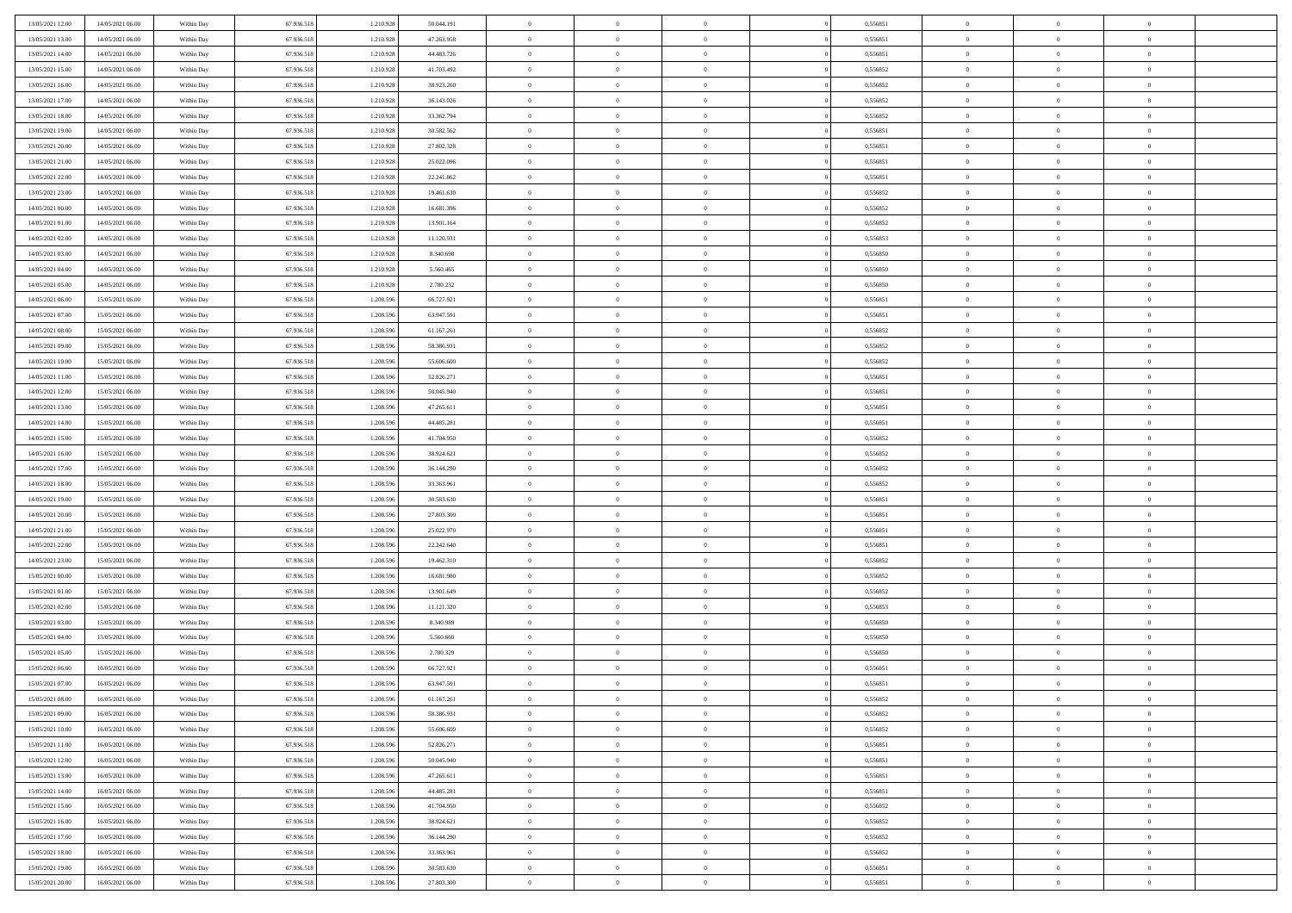| 13/05/2021 12:00 | 14/05/2021 06:00 | Within Day | 67.936.518 | 1.210.928 | 50.044.191 | $\overline{0}$ | $\overline{0}$ | $\Omega$       | 0,556851 | $\bf{0}$       | $\mathbf{0}$   | $\bf{0}$       |  |
|------------------|------------------|------------|------------|-----------|------------|----------------|----------------|----------------|----------|----------------|----------------|----------------|--|
| 13/05/2021 13:00 | 14/05/2021 06:00 | Within Day | 67.936.518 | 1.210.928 | 47.263.958 | $\mathbf{0}$   | $\overline{0}$ | $\overline{0}$ | 0,556851 | $\overline{0}$ | $\overline{0}$ | $\overline{0}$ |  |
| 13/05/2021 14:00 | 14/05/2021 06:00 | Within Day | 67.936.518 | 1.210.928 | 44.483.726 | $\,$ 0         | $\overline{0}$ | $\bf{0}$       | 0,556851 | $\,$ 0         | $\overline{0}$ | $\,$ 0 $\,$    |  |
| 13/05/2021 15:00 | 14/05/2021 06:00 | Within Day | 67.936.518 | 1.210.928 | 41.703.492 | $\bf{0}$       | $\overline{0}$ | $\Omega$       | 0.556852 | $\bf{0}$       | $\mathbf{0}$   | $\theta$       |  |
| 13/05/2021 16:00 | 14/05/2021 06:00 | Within Day | 67.936.518 | 1.210.928 | 38.923.260 | $\bf{0}$       | $\overline{0}$ | $\overline{0}$ | 0,556852 | $\overline{0}$ | $\overline{0}$ | $\overline{0}$ |  |
| 13/05/2021 17:00 | 14/05/2021 06:00 | Within Day | 67.936.518 | 1.210.928 | 36.143.026 | $\bf{0}$       | $\overline{0}$ | $\bf{0}$       | 0,556852 | $\,$ 0         | $\overline{0}$ | $\,$ 0 $\,$    |  |
| 13/05/2021 18:00 | 14/05/2021 06:00 | Within Day | 67.936.518 | 1.210.928 | 33.362.794 | $\bf{0}$       | $\overline{0}$ | $\Omega$       | 0.556852 | $\theta$       | $\overline{0}$ | $\theta$       |  |
| 13/05/2021 19:00 | 14/05/2021 06:00 | Within Day | 67.936.518 | 1.210.928 | 30.582.562 | $\overline{0}$ | $\overline{0}$ | $\overline{0}$ | 0,556851 | $\mathbf{0}$   | $\overline{0}$ | $\overline{0}$ |  |
| 13/05/2021 20:00 | 14/05/2021 06:00 | Within Day | 67.936.518 | 1.210.928 | 27.802.328 | $\bf{0}$       | $\overline{0}$ | $\bf{0}$       | 0,556851 | $\,$ 0         | $\overline{0}$ | $\,$ 0 $\,$    |  |
| 13/05/2021 21:00 | 14/05/2021 06:00 | Within Day | 67.936.518 | 1.210.928 | 25.022.096 | $\bf{0}$       | $\overline{0}$ | $\Omega$       | 0.556851 | $\theta$       | $\mathbf{0}$   | $\theta$       |  |
| 13/05/2021 22:00 | 14/05/2021 06:00 | Within Day | 67.936.518 | 1.210.928 | 22.241.862 | $\overline{0}$ | $\overline{0}$ | $\overline{0}$ | 0,556851 | $\mathbf{0}$   | $\overline{0}$ | $\overline{0}$ |  |
| 13/05/2021 23:00 | 14/05/2021 06:00 | Within Day | 67.936.518 | 1.210.928 | 19.461.630 | $\bf{0}$       | $\overline{0}$ | $\bf{0}$       | 0,556852 | $\,$ 0         | $\overline{0}$ | $\,$ 0 $\,$    |  |
| 14/05/2021 00:00 | 14/05/2021 06:00 | Within Day | 67.936.518 | 1.210.928 | 16.681.396 | $\bf{0}$       | $\overline{0}$ | $\Omega$       | 0.556852 | $\overline{0}$ | $\mathbf{0}$   | $\theta$       |  |
| 14/05/2021 01:00 | 14/05/2021 06:00 | Within Day | 67.936.518 | 1.210.928 | 13.901.164 | $\overline{0}$ | $\overline{0}$ | $\overline{0}$ | 0,556852 | $\mathbf{0}$   | $\overline{0}$ | $\overline{0}$ |  |
| 14/05/2021 02:00 | 14/05/2021 06:00 | Within Day | 67.936.518 | 1.210.928 | 11.120.931 | $\bf{0}$       | $\overline{0}$ | $\bf{0}$       | 0,556853 | $\,$ 0         | $\overline{0}$ | $\,$ 0 $\,$    |  |
| 14/05/2021 03:00 | 14/05/2021 06:00 | Within Day | 67.936.518 | 1.210.928 | 8.340.698  | $\bf{0}$       | $\overline{0}$ | $\overline{0}$ | 0.556850 | $\theta$       | $\mathbf{0}$   | $\bf{0}$       |  |
| 14/05/2021 04:00 | 14/05/2021 06:00 | Within Day | 67.936.518 | 1.210.928 | 5.560.465  | $\overline{0}$ | $\overline{0}$ | $\overline{0}$ | 0,556850 | $\mathbf{0}$   | $\overline{0}$ | $\overline{0}$ |  |
| 14/05/2021 05:00 | 14/05/2021 06:00 | Within Day | 67.936.518 | 1.210.928 | 2.780.232  | $\bf{0}$       | $\overline{0}$ | $\bf{0}$       | 0,556850 | $\,$ 0         | $\overline{0}$ | $\,$ 0 $\,$    |  |
| 14/05/2021 06:00 | 15/05/2021 06:00 | Within Day | 67.936.518 | 1.208.596 | 66.727.921 | $\bf{0}$       | $\overline{0}$ | $\Omega$       | 0.556851 | $\theta$       | $\mathbf{0}$   | $\theta$       |  |
| 14/05/2021 07:00 | 15/05/2021 06:00 | Within Day | 67.936.518 | 1.208.596 | 63.947.591 | $\overline{0}$ | $\overline{0}$ | $\overline{0}$ | 0,556851 | $\mathbf{0}$   | $\overline{0}$ | $\overline{0}$ |  |
| 14/05/2021 08:00 | 15/05/2021 06:00 | Within Day | 67.936.518 | 1.208.596 | 61.167.261 | $\bf{0}$       | $\overline{0}$ | $\bf{0}$       | 0,556852 | $\,$ 0         | $\overline{0}$ | $\,$ 0 $\,$    |  |
| 14/05/2021 09:00 | 15/05/2021 06:00 | Within Day | 67.936.518 | 1.208.596 | 58,386,931 | $\bf{0}$       | $\overline{0}$ | $\Omega$       | 0.556852 | $\bf{0}$       | $\mathbf{0}$   | $\theta$       |  |
| 14/05/2021 10:00 | 15/05/2021 06:00 | Within Day | 67.936.518 | 1.208.596 | 55.606.600 | $\overline{0}$ | $\overline{0}$ | $\overline{0}$ | 0,556852 | $\mathbf{0}$   | $\overline{0}$ | $\overline{0}$ |  |
| 14/05/2021 11:00 | 15/05/2021 06:00 | Within Day | 67.936.518 | 1.208.596 | 52.826.271 | $\bf{0}$       | $\overline{0}$ | $\bf{0}$       | 0,556851 | $\,$ 0         | $\overline{0}$ | $\,$ 0 $\,$    |  |
| 14/05/2021 12:00 | 15/05/2021 06:00 | Within Day | 67.936.518 | 1.208.596 | 50.045.940 | $\bf{0}$       | $\overline{0}$ | $\overline{0}$ | 0.556851 | $\bf{0}$       | $\overline{0}$ | $\bf{0}$       |  |
| 14/05/2021 13:00 | 15/05/2021 06:00 | Within Day | 67.936.518 | 1.208.596 | 47.265.611 | $\overline{0}$ | $\overline{0}$ | $\overline{0}$ | 0,556851 | $\mathbf{0}$   | $\overline{0}$ | $\overline{0}$ |  |
| 14/05/2021 14:00 | 15/05/2021 06:00 | Within Day | 67.936.518 | 1.208.596 | 44.485.281 | $\bf{0}$       | $\overline{0}$ | $\bf{0}$       | 0,556851 | $\,$ 0         | $\overline{0}$ | $\,$ 0 $\,$    |  |
| 14/05/2021 15:00 | 15/05/2021 06:00 | Within Day | 67.936.518 | 1.208.596 | 41.704.950 | $\bf{0}$       | $\overline{0}$ | $\Omega$       | 0.556852 | $\theta$       | $\mathbf{0}$   | $\theta$       |  |
| 14/05/2021 16:00 | 15/05/2021 06:00 | Within Day | 67.936.518 | 1.208.596 | 38.924.621 | $\overline{0}$ | $\overline{0}$ | $\overline{0}$ | 0,556852 | $\mathbf{0}$   | $\overline{0}$ | $\overline{0}$ |  |
| 14/05/2021 17:00 | 15/05/2021 06:00 | Within Day | 67.936.518 | 1.208.596 | 36.144.290 | $\bf{0}$       | $\overline{0}$ | $\bf{0}$       | 0,556852 | $\,$ 0         | $\overline{0}$ | $\,$ 0 $\,$    |  |
| 14/05/2021 18:00 | 15/05/2021 06:00 | Within Day | 67.936.518 | 1.208.596 | 33.363.961 | $\bf{0}$       | $\bf{0}$       | $\overline{0}$ | 0,556852 | $\bf{0}$       | $\overline{0}$ | $\,0\,$        |  |
| 14/05/2021 19:00 | 15/05/2021 06:00 | Within Day | 67.936.518 | 1.208.596 | 30.583.630 | $\overline{0}$ | $\overline{0}$ | $\overline{0}$ | 0,556851 | $\mathbf{0}$   | $\overline{0}$ | $\overline{0}$ |  |
| 14/05/2021 20:00 | 15/05/2021 06:00 | Within Day | 67.936.518 | 1.208.596 | 27.803.300 | $\bf{0}$       | $\overline{0}$ | $\bf{0}$       | 0,556851 | $\,$ 0         | $\overline{0}$ | $\,$ 0 $\,$    |  |
| 14/05/2021 21:00 | 15/05/2021 06:00 | Within Day | 67.936.518 | 1.208.596 | 25.022.970 | $\bf{0}$       | $\overline{0}$ | $\bf{0}$       | 0,556851 | $\bf{0}$       | $\overline{0}$ | $\,0\,$        |  |
| 14/05/2021 22:00 | 15/05/2021 06:00 | Within Day | 67.936.518 | 1.208.596 | 22.242.640 | $\overline{0}$ | $\overline{0}$ | $\overline{0}$ | 0,556851 | $\overline{0}$ | $\overline{0}$ | $\overline{0}$ |  |
| 14/05/2021 23:00 | 15/05/2021 06:00 | Within Day | 67.936.518 | 1.208.596 | 19.462.310 | $\bf{0}$       | $\overline{0}$ | $\bf{0}$       | 0,556852 | $\,$ 0         | $\overline{0}$ | $\,$ 0 $\,$    |  |
| 15/05/2021 00:00 | 15/05/2021 06:00 | Within Day | 67.936.518 | 1.208.596 | 16.681.980 | $\bf{0}$       | $\bf{0}$       | $\overline{0}$ | 0,556852 | $\bf{0}$       | $\overline{0}$ | $\,0\,$        |  |
| 15/05/2021 01:00 | 15/05/2021 06:00 | Within Day | 67.936.518 | 1.208.596 | 13.901.649 | $\overline{0}$ | $\overline{0}$ | $\overline{0}$ | 0,556852 | $\mathbf{0}$   | $\overline{0}$ | $\overline{0}$ |  |
| 15/05/2021 02:00 | 15/05/2021 06:00 | Within Day | 67.936.518 | 1.208.596 | 11.121.320 | $\bf{0}$       | $\overline{0}$ | $\bf{0}$       | 0,556853 | $\,$ 0         | $\overline{0}$ | $\,$ 0 $\,$    |  |
| 15/05/2021 03:00 | 15/05/2021 06:00 | Within Day | 67.936.518 | 1.208.596 | 8.340.989  | $\bf{0}$       | $\bf{0}$       | $\overline{0}$ | 0,556850 | $\bf{0}$       | $\overline{0}$ | $\,0\,$        |  |
| 15/05/2021 04:00 | 15/05/2021 06:00 | Within Day | 67.936.518 | 1.208.596 | 5.560.660  | $\overline{0}$ | $\overline{0}$ | $\overline{0}$ | 0,556850 | $\overline{0}$ | $\overline{0}$ | $\overline{0}$ |  |
| 15/05/2021 05:00 | 15/05/2021 06:00 | Within Day | 67.936.518 | 1.208.596 | 2.780.329  | $\bf{0}$       | $\overline{0}$ | $\bf{0}$       | 0,556850 | $\,$ 0         | $\overline{0}$ | $\,$ 0 $\,$    |  |
| 15/05/2021 06:00 | 16/05/2021 06:00 | Within Day | 67.936.518 | 1.208.596 | 66.727.921 | $\bf{0}$       | $\overline{0}$ | $\bf{0}$       | 0,556851 | $\bf{0}$       | $\overline{0}$ | $\,0\,$        |  |
| 15/05/2021 07:00 | 16/05/2021 06:00 | Within Day | 67.936.518 | 1.208.596 | 63.947.591 | $\mathbf{0}$   | $\overline{0}$ | $\overline{0}$ | 0,556851 | $\overline{0}$ | $\overline{0}$ | $\overline{0}$ |  |
| 15/05/2021 08:00 | 16/05/2021 06:00 | Within Day | 67.936.518 | 1.208.596 | 61.167.261 | $\bf{0}$       | $\overline{0}$ | $\theta$       | 0,556852 | $\overline{0}$ | $\overline{0}$ | $\theta$       |  |
| 15/05/2021 09:00 | 16/05/2021 06:00 | Within Day | 67.936.518 | 1.208.596 | 58.386.931 | $\bf{0}$       | $\overline{0}$ | $\bf{0}$       | 0,556852 | $\bf{0}$       | $\overline{0}$ | $\bf{0}$       |  |
| 15/05/2021 10:00 | 16/05/2021 06:00 | Within Day | 67.936.518 | 1.208.596 | 55.606.600 | $\overline{0}$ | $\overline{0}$ | $\overline{0}$ | 0,556852 | $\overline{0}$ | $\bf{0}$       | $\overline{0}$ |  |
| 15/05/2021 11:00 | 16/05/2021 06:00 | Within Day | 67.936.518 | 1.208.596 | 52.826.271 | $\,$ 0 $\,$    | $\overline{0}$ | $\overline{0}$ | 0,556851 | $\mathbf{0}$   | $\,$ 0 $\,$    | $\,$ 0 $\,$    |  |
| 15/05/2021 12:00 | 16/05/2021 06:00 | Within Day | 67.936.518 | 1.208.596 | 50.045.940 | $\bf{0}$       | $\overline{0}$ | $\overline{0}$ | 0,556851 | $\bf{0}$       | $\overline{0}$ | $\bf{0}$       |  |
| 15/05/2021 13:00 | 16/05/2021 06:00 | Within Day | 67.936.518 | 1.208.596 | 47.265.611 | $\bf{0}$       | $\overline{0}$ | $\overline{0}$ | 0,556851 | $\overline{0}$ | $\overline{0}$ | $\overline{0}$ |  |
| 15/05/2021 14:00 | 16/05/2021 06:00 | Within Day | 67.936.518 | 1.208.596 | 44.485.281 | $\,$ 0 $\,$    | $\overline{0}$ | $\overline{0}$ | 0,556851 | $\,$ 0 $\,$    | $\overline{0}$ | $\,$ 0 $\,$    |  |
| 15/05/2021 15:00 | 16/05/2021 06:00 | Within Day | 67.936.518 | 1.208.596 | 41.704.950 | $\overline{0}$ | $\overline{0}$ | $\overline{0}$ | 0,556852 | $\bf{0}$       | $\overline{0}$ | $\overline{0}$ |  |
| 15/05/2021 16:00 | 16/05/2021 06:00 | Within Day | 67.936.518 | 1.208.596 | 38.924.621 | $\overline{0}$ | $\overline{0}$ | $\overline{0}$ | 0,556852 | $\overline{0}$ | $\bf{0}$       | $\overline{0}$ |  |
| 15/05/2021 17:00 | 16/05/2021 06:00 | Within Day | 67.936.518 | 1.208.596 | 36.144.290 | $\,$ 0 $\,$    | $\overline{0}$ | $\overline{0}$ | 0,556852 | $\,$ 0 $\,$    | $\,$ 0 $\,$    | $\,$ 0 $\,$    |  |
| 15/05/2021 18:00 | 16/05/2021 06:00 | Within Day | 67.936.518 | 1.208.596 | 33.363.961 | $\bf{0}$       | $\overline{0}$ | $\overline{0}$ | 0,556852 | $\bf{0}$       | $\overline{0}$ | $\bf{0}$       |  |
| 15/05/2021 19:00 | 16/05/2021 06:00 | Within Day | 67.936.518 | 1.208.596 | 30.583.630 | $\bf{0}$       | $\overline{0}$ | $\overline{0}$ | 0,556851 | $\mathbf{0}$   | $\bf{0}$       | $\overline{0}$ |  |
| 15/05/2021 20:00 | 16/05/2021 06:00 | Within Day | 67.936.518 | 1.208.596 | 27.803.300 | $\,0\,$        | $\overline{0}$ | $\overline{0}$ | 0,556851 | $\,$ 0         | $\overline{0}$ | $\,$ 0 $\,$    |  |
|                  |                  |            |            |           |            |                |                |                |          |                |                |                |  |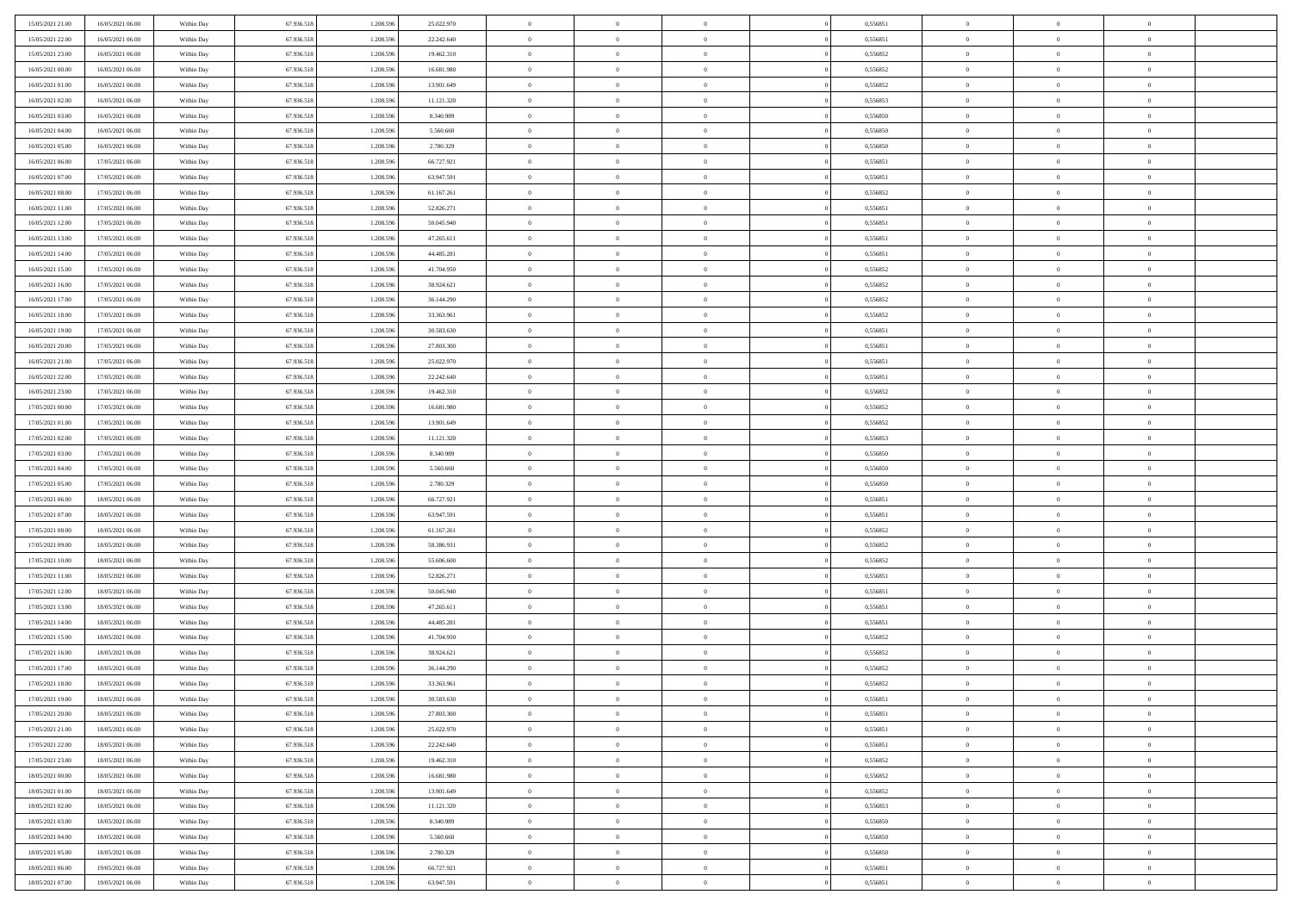| 15/05/2021 21:00 | 16/05/2021 06:00 | Within Day | 67.936.518 | 1.208.596 | 25.022.970 | $\overline{0}$ | $\overline{0}$ | $\Omega$       | 0,556851 | $\bf{0}$       | $\mathbf{0}$   | $\bf{0}$       |  |
|------------------|------------------|------------|------------|-----------|------------|----------------|----------------|----------------|----------|----------------|----------------|----------------|--|
| 15/05/2021 22:00 | 16/05/2021 06:00 | Within Day | 67.936.518 | 1.208.596 | 22.242.640 | $\mathbf{0}$   | $\overline{0}$ | $\overline{0}$ | 0,556851 | $\overline{0}$ | $\overline{0}$ | $\overline{0}$ |  |
| 15/05/2021 23:00 | 16/05/2021 06:00 | Within Day | 67.936.518 | 1.208.596 | 19.462.310 | $\,$ 0         | $\overline{0}$ | $\bf{0}$       | 0,556852 | $\,$ 0         | $\overline{0}$ | $\,$ 0 $\,$    |  |
| 16/05/2021 00:00 | 16/05/2021 06:00 | Within Day | 67.936.518 | 1.208.596 | 16.681.980 | $\bf{0}$       | $\overline{0}$ | $\Omega$       | 0.556852 | $\bf{0}$       | $\mathbf{0}$   | $\theta$       |  |
| 16/05/2021 01:00 | 16/05/2021 06:00 | Within Day | 67.936.518 | 1.208.596 | 13.901.649 | $\bf{0}$       | $\overline{0}$ | $\overline{0}$ | 0,556852 | $\overline{0}$ | $\overline{0}$ | $\overline{0}$ |  |
| 16/05/2021 02:00 | 16/05/2021 06:00 | Within Day | 67.936.518 | 1.208.596 | 11.121.320 | $\bf{0}$       | $\overline{0}$ | $\bf{0}$       | 0,556853 | $\,$ 0         | $\overline{0}$ | $\,$ 0 $\,$    |  |
| 16/05/2021 03:00 | 16/05/2021 06:00 | Within Day | 67.936.518 | 1.208.596 | 8.340.989  | $\bf{0}$       | $\overline{0}$ | $\Omega$       | 0.556850 | $\theta$       | $\overline{0}$ | $\theta$       |  |
| 16/05/2021 04:00 | 16/05/2021 06:00 | Within Day | 67.936.518 | 1.208.596 | 5.560.660  | $\overline{0}$ | $\overline{0}$ | $\overline{0}$ | 0,556850 | $\mathbf{0}$   | $\overline{0}$ | $\overline{0}$ |  |
| 16/05/2021 05:00 | 16/05/2021 06:00 | Within Day | 67.936.518 | 1.208.596 | 2.780.329  | $\bf{0}$       | $\overline{0}$ | $\bf{0}$       | 0,556850 | $\,$ 0         | $\overline{0}$ | $\,$ 0 $\,$    |  |
| 16/05/2021 06:00 | 17/05/2021 06:00 | Within Day | 67.936.518 | 1.208.596 | 66.727.921 | $\bf{0}$       | $\overline{0}$ | $\Omega$       | 0.556851 | $\theta$       | $\mathbf{0}$   | $\theta$       |  |
| 16/05/2021 07:00 | 17/05/2021 06:00 | Within Day | 67.936.518 | 1.208.596 | 63.947.591 | $\overline{0}$ | $\overline{0}$ | $\overline{0}$ | 0,556851 | $\mathbf{0}$   | $\overline{0}$ | $\overline{0}$ |  |
| 16/05/2021 08:00 | 17/05/2021 06:00 | Within Day | 67.936.518 | 1.208.596 | 61.167.261 | $\bf{0}$       | $\overline{0}$ | $\bf{0}$       | 0,556852 | $\,$ 0         | $\overline{0}$ | $\,$ 0 $\,$    |  |
| 16/05/2021 11:00 | 17/05/2021 06:00 | Within Day | 67.936.518 | 1.208.596 | 52.826.271 | $\bf{0}$       | $\overline{0}$ | $\Omega$       | 0.556851 | $\bf{0}$       | $\mathbf{0}$   | $\theta$       |  |
| 16/05/2021 12:00 | 17/05/2021 06:00 | Within Day | 67.936.518 | 1.208.596 | 50.045.940 | $\overline{0}$ | $\overline{0}$ | $\overline{0}$ | 0,556851 | $\mathbf{0}$   | $\overline{0}$ | $\overline{0}$ |  |
| 16/05/2021 13:00 | 17/05/2021 06:00 | Within Day | 67.936.518 | 1.208.596 | 47.265.611 | $\bf{0}$       | $\overline{0}$ | $\bf{0}$       | 0,556851 | $\,$ 0         | $\overline{0}$ | $\,$ 0 $\,$    |  |
| 16/05/2021 14:00 | 17/05/2021 06:00 | Within Day | 67.936.518 | 1.208.596 | 44.485.281 | $\bf{0}$       | $\overline{0}$ | $\overline{0}$ | 0.556851 | $\theta$       | $\overline{0}$ | $\theta$       |  |
| 16/05/2021 15:00 | 17/05/2021 06:00 | Within Day | 67.936.518 | 1.208.596 | 41.704.950 | $\overline{0}$ | $\overline{0}$ | $\overline{0}$ | 0,556852 | $\mathbf{0}$   | $\overline{0}$ | $\overline{0}$ |  |
| 16/05/2021 16:00 | 17/05/2021 06:00 | Within Day | 67.936.518 | 1.208.596 | 38.924.621 | $\bf{0}$       | $\overline{0}$ | $\bf{0}$       | 0,556852 | $\,$ 0         | $\overline{0}$ | $\,$ 0 $\,$    |  |
| 16/05/2021 17:00 | 17/05/2021 06:00 | Within Day | 67.936.518 | 1.208.596 | 36.144.290 | $\bf{0}$       | $\overline{0}$ | $\Omega$       | 0.556852 | $\theta$       | $\mathbf{0}$   | $\theta$       |  |
| 16/05/2021 18:00 | 17/05/2021 06:00 | Within Day | 67.936.518 | 1.208.596 | 33.363.961 | $\overline{0}$ | $\overline{0}$ | $\overline{0}$ | 0,556852 | $\mathbf{0}$   | $\overline{0}$ | $\overline{0}$ |  |
| 16/05/2021 19:00 | 17/05/2021 06:00 | Within Day | 67.936.518 | 1.208.596 | 30.583.630 | $\bf{0}$       | $\overline{0}$ | $\bf{0}$       | 0,556851 | $\,$ 0         | $\overline{0}$ | $\,$ 0 $\,$    |  |
| 16/05/2021 20:00 | 17/05/2021 06:00 | Within Day | 67.936.518 | 1.208.596 | 27,803,300 | $\bf{0}$       | $\overline{0}$ | $\Omega$       | 0.556851 | $\bf{0}$       | $\mathbf{0}$   | $\theta$       |  |
| 16/05/2021 21:00 | 17/05/2021 06:00 | Within Day | 67.936.518 | 1.208.596 | 25.022.970 | $\overline{0}$ | $\overline{0}$ | $\overline{0}$ | 0,556851 | $\mathbf{0}$   | $\overline{0}$ | $\overline{0}$ |  |
| 16/05/2021 22:00 | 17/05/2021 06:00 | Within Day | 67.936.518 | 1.208.596 | 22.242.640 | $\bf{0}$       | $\overline{0}$ | $\bf{0}$       | 0,556851 | $\,$ 0         | $\overline{0}$ | $\,$ 0 $\,$    |  |
| 16/05/2021 23:00 | 17/05/2021 06:00 | Within Day | 67.936.518 | 1.208.596 | 19.462.310 | $\bf{0}$       | $\overline{0}$ | $\overline{0}$ | 0.556852 | $\bf{0}$       | $\overline{0}$ | $\bf{0}$       |  |
| 17/05/2021 00:00 | 17/05/2021 06:00 | Within Day | 67.936.518 | 1.208.596 | 16.681.980 | $\overline{0}$ | $\overline{0}$ | $\overline{0}$ | 0,556852 | $\mathbf{0}$   | $\overline{0}$ | $\overline{0}$ |  |
| 17/05/2021 01:00 | 17/05/2021 06:00 | Within Day | 67.936.518 | 1.208.596 | 13.901.649 | $\bf{0}$       | $\overline{0}$ | $\bf{0}$       | 0,556852 | $\,$ 0         | $\overline{0}$ | $\,$ 0 $\,$    |  |
| 17/05/2021 02:00 | 17/05/2021 06:00 | Within Day | 67.936.518 | 1.208.596 | 11.121.320 | $\bf{0}$       | $\overline{0}$ | $\Omega$       | 0.556853 | $\theta$       | $\mathbf{0}$   | $\theta$       |  |
| 17/05/2021 03:00 | 17/05/2021 06:00 | Within Day | 67.936.518 | 1.208.596 | 8.340.989  | $\overline{0}$ | $\overline{0}$ | $\overline{0}$ | 0,556850 | $\mathbf{0}$   | $\overline{0}$ | $\overline{0}$ |  |
| 17/05/2021 04:00 | 17/05/2021 06:00 | Within Day | 67.936.518 | 1.208.596 | 5.560.660  | $\bf{0}$       | $\overline{0}$ | $\bf{0}$       | 0,556850 | $\,$ 0         | $\overline{0}$ | $\,$ 0 $\,$    |  |
| 17/05/2021 05:00 | 17/05/2021 06:00 | Within Day | 67.936.518 | 1.208.596 | 2.780.329  | $\bf{0}$       | $\bf{0}$       | $\overline{0}$ | 0,556850 | $\bf{0}$       | $\overline{0}$ | $\,0\,$        |  |
| 17/05/2021 06:00 | 18/05/2021 06:00 | Within Day | 67.936.518 | 1.208.596 | 66.727.921 | $\overline{0}$ | $\overline{0}$ | $\overline{0}$ | 0,556851 | $\mathbf{0}$   | $\overline{0}$ | $\overline{0}$ |  |
| 17/05/2021 07:00 | 18/05/2021 06:00 | Within Day | 67.936.518 | 1.208.596 | 63.947.591 | $\bf{0}$       | $\overline{0}$ | $\bf{0}$       | 0,556851 | $\,$ 0         | $\overline{0}$ | $\,$ 0 $\,$    |  |
| 17/05/2021 08:00 | 18/05/2021 06:00 | Within Day | 67.936.518 | 1.208.596 | 61.167.261 | $\bf{0}$       | $\overline{0}$ | $\bf{0}$       | 0,556852 | $\bf{0}$       | $\overline{0}$ | $\,0\,$        |  |
| 17/05/2021 09:00 | 18/05/2021 06:00 | Within Day | 67.936.518 | 1.208.596 | 58.386.931 | $\overline{0}$ | $\overline{0}$ | $\overline{0}$ | 0,556852 | $\overline{0}$ | $\overline{0}$ | $\overline{0}$ |  |
| 17/05/2021 10:00 | 18/05/2021 06:00 | Within Day | 67.936.518 | 1.208.596 | 55.606.600 | $\bf{0}$       | $\overline{0}$ | $\bf{0}$       | 0,556852 | $\,$ 0         | $\overline{0}$ | $\,$ 0 $\,$    |  |
| 17/05/2021 11:00 | 18/05/2021 06:00 | Within Day | 67.936.518 | 1.208.596 | 52.826.271 | $\bf{0}$       | $\bf{0}$       | $\overline{0}$ | 0,556851 | $\bf{0}$       | $\overline{0}$ | $\,0\,$        |  |
| 17/05/2021 12:00 | 18/05/2021 06:00 | Within Day | 67.936.518 | 1.208.596 | 50.045.940 | $\overline{0}$ | $\overline{0}$ | $\overline{0}$ | 0,556851 | $\mathbf{0}$   | $\overline{0}$ | $\overline{0}$ |  |
| 17/05/2021 13:00 | 18/05/2021 06:00 | Within Day | 67.936.518 | 1.208.596 | 47.265.611 | $\bf{0}$       | $\overline{0}$ | $\bf{0}$       | 0,556851 | $\,$ 0         | $\overline{0}$ | $\,$ 0 $\,$    |  |
| 17/05/2021 14:00 | 18/05/2021 06:00 | Within Day | 67.936.518 | 1.208.596 | 44.485.281 | $\bf{0}$       | $\bf{0}$       | $\overline{0}$ | 0,556851 | $\bf{0}$       | $\overline{0}$ | $\,0\,$        |  |
| 17/05/2021 15:00 | 18/05/2021 06:00 | Within Day | 67.936.518 | 1.208.596 | 41.704.950 | $\overline{0}$ | $\overline{0}$ | $\overline{0}$ | 0,556852 | $\overline{0}$ | $\overline{0}$ | $\overline{0}$ |  |
| 17/05/2021 16:00 | 18/05/2021 06:00 | Within Day | 67.936.518 | 1.208.596 | 38.924.621 | $\bf{0}$       | $\overline{0}$ | $\bf{0}$       | 0,556852 | $\,$ 0         | $\overline{0}$ | $\,$ 0 $\,$    |  |
| 17/05/2021 17:00 | 18/05/2021 06:00 | Within Day | 67.936.518 | 1.208.596 | 36.144.290 | $\bf{0}$       | $\bf{0}$       | $\bf{0}$       | 0,556852 | $\bf{0}$       | $\overline{0}$ | $\,0\,$        |  |
| 17/05/2021 18:00 | 18/05/2021 06:00 | Within Dav | 67.936.518 | 1.208.596 | 33.363.961 | $\mathbf{0}$   | $\overline{0}$ | $\overline{0}$ | 0,556852 | $\overline{0}$ | $\overline{0}$ | $\overline{0}$ |  |
| 17/05/2021 19:00 | 18/05/2021 06:00 | Within Day | 67.936.518 | 1.208.596 | 30.583.630 | $\bf{0}$       | $\overline{0}$ | $\theta$       | 0,556851 | $\overline{0}$ | $\overline{0}$ | $\theta$       |  |
| 17/05/2021 20:00 | 18/05/2021 06:00 | Within Day | 67.936.518 | 1.208.596 | 27.803.300 | $\bf{0}$       | $\bf{0}$       | $\bf{0}$       | 0,556851 | $\bf{0}$       | $\overline{0}$ | $\bf{0}$       |  |
| 17/05/2021 21:00 | 18/05/2021 06:00 | Within Day | 67.936.518 | 1.208.596 | 25.022.970 | $\overline{0}$ | $\overline{0}$ | $\overline{0}$ | 0,556851 | $\overline{0}$ | $\bf{0}$       | $\overline{0}$ |  |
| 17/05/2021 22.00 | 18/05/2021 06:00 | Within Day | 67.936.518 | 1.208.596 | 22.242.640 | $\,$ 0 $\,$    | $\overline{0}$ | $\overline{0}$ | 0,556851 | $\mathbf{0}$   | $\,$ 0 $\,$    | $\,$ 0 $\,$    |  |
| 17/05/2021 23:00 | 18/05/2021 06:00 | Within Day | 67.936.518 | 1.208.596 | 19.462.310 | $\bf{0}$       | $\bf{0}$       | $\overline{0}$ | 0,556852 | $\bf{0}$       | $\overline{0}$ | $\bf{0}$       |  |
| 18/05/2021 00:00 | 18/05/2021 06:00 | Within Day | 67.936.518 | 1.208.596 | 16.681.980 | $\bf{0}$       | $\overline{0}$ | $\overline{0}$ | 0,556852 | $\mathbf{0}$   | $\bf{0}$       | $\overline{0}$ |  |
| 18/05/2021 01:00 | 18/05/2021 06:00 | Within Day | 67.936.518 | 1.208.596 | 13.901.649 | $\,$ 0 $\,$    | $\overline{0}$ | $\overline{0}$ | 0,556852 | $\,$ 0 $\,$    | $\overline{0}$ | $\,$ 0 $\,$    |  |
| 18/05/2021 02:00 | 18/05/2021 06:00 | Within Day | 67.936.518 | 1.208.596 | 11.121.320 | $\overline{0}$ | $\overline{0}$ | $\overline{0}$ | 0,556853 | $\bf{0}$       | $\overline{0}$ | $\overline{0}$ |  |
| 18/05/2021 03:00 | 18/05/2021 06:00 | Within Day | 67.936.518 | 1.208.596 | 8.340.989  | $\overline{0}$ | $\overline{0}$ | $\overline{0}$ | 0,556850 | $\overline{0}$ | $\bf{0}$       | $\overline{0}$ |  |
| 18/05/2021 04:00 | 18/05/2021 06:00 | Within Day | 67.936.518 | 1.208.596 | 5.560.660  | $\,$ 0 $\,$    | $\overline{0}$ | $\overline{0}$ | 0,556850 | $\mathbf{0}$   | $\,$ 0 $\,$    | $\,$ 0 $\,$    |  |
| 18/05/2021 05:00 | 18/05/2021 06:00 | Within Day | 67.936.518 | 1.208.596 | 2.780.329  | $\bf{0}$       | $\bf{0}$       | $\overline{0}$ | 0,556850 | $\bf{0}$       | $\overline{0}$ | $\bf{0}$       |  |
| 18/05/2021 06:00 | 19/05/2021 06:00 | Within Day | 67.936.518 | 1.208.596 | 66.727.921 | $\bf{0}$       | $\overline{0}$ | $\overline{0}$ | 0,556851 | $\mathbf{0}$   | $\bf{0}$       | $\overline{0}$ |  |
| 18/05/2021 07:00 | 19/05/2021 06:00 | Within Day | 67.936.518 | 1.208.596 | 63.947.591 | $\,0\,$        | $\overline{0}$ | $\overline{0}$ | 0,556851 | $\,$ 0         | $\overline{0}$ | $\,$ 0 $\,$    |  |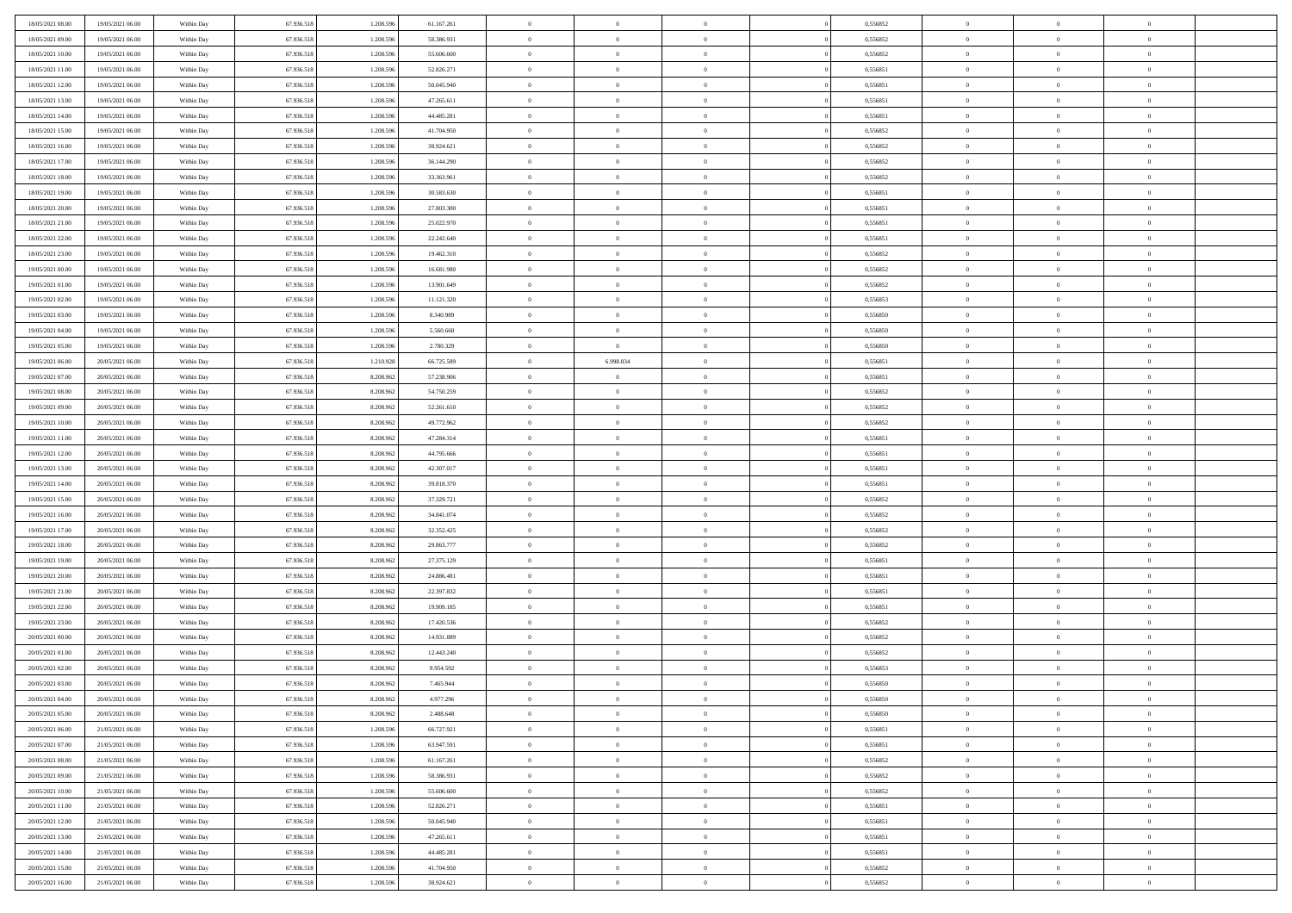| 18/05/2021 08:00 | 19/05/2021 06:00 | Within Day | 67.936.518 | 1.208.596 | 61.167.261 | $\overline{0}$ | $\overline{0}$ | $\Omega$       | 0,556852 | $\bf{0}$       | $\mathbf{0}$   | $\bf{0}$       |  |
|------------------|------------------|------------|------------|-----------|------------|----------------|----------------|----------------|----------|----------------|----------------|----------------|--|
| 18/05/2021 09:00 | 19/05/2021 06:00 | Within Day | 67.936.518 | 1.208.596 | 58.386.931 | $\mathbf{0}$   | $\overline{0}$ | $\overline{0}$ | 0,556852 | $\overline{0}$ | $\overline{0}$ | $\theta$       |  |
| 18/05/2021 10:00 | 19/05/2021 06:00 | Within Day | 67.936.518 | 1.208.596 | 55.606.600 | $\,$ 0         | $\overline{0}$ | $\bf{0}$       | 0,556852 | $\,$ 0         | $\overline{0}$ | $\,$ 0 $\,$    |  |
| 18/05/2021 11:00 | 19/05/2021 06:00 | Within Day | 67.936.518 | 1.208.596 | 52.826.271 | $\bf{0}$       | $\overline{0}$ | $\Omega$       | 0.556851 | $\bf{0}$       | $\mathbf{0}$   | $\theta$       |  |
| 18/05/2021 12:00 | 19/05/2021 06:00 | Within Day | 67.936.518 | 1.208.596 | 50.045.940 | $\bf{0}$       | $\overline{0}$ | $\overline{0}$ | 0,556851 | $\mathbf{0}$   | $\overline{0}$ | $\overline{0}$ |  |
| 18/05/2021 13:00 | 19/05/2021 06:00 | Within Day | 67.936.518 | 1.208.596 | 47.265.611 | $\bf{0}$       | $\overline{0}$ | $\bf{0}$       | 0,556851 | $\,$ 0         | $\overline{0}$ | $\,$ 0 $\,$    |  |
|                  | 19/05/2021 06:00 |            |            |           |            |                | $\overline{0}$ | $\Omega$       | 0.556851 | $\theta$       | $\mathbf{0}$   | $\theta$       |  |
| 18/05/2021 14:00 |                  | Within Day | 67.936.518 | 1.208.596 | 44.485.281 | $\bf{0}$       |                |                |          |                |                |                |  |
| 18/05/2021 15:00 | 19/05/2021 06:00 | Within Day | 67.936.518 | 1.208.596 | 41.704.950 | $\overline{0}$ | $\overline{0}$ | $\overline{0}$ | 0,556852 | $\mathbf{0}$   | $\overline{0}$ | $\overline{0}$ |  |
| 18/05/2021 16:00 | 19/05/2021 06:00 | Within Day | 67.936.518 | 1.208.596 | 38.924.621 | $\bf{0}$       | $\overline{0}$ | $\bf{0}$       | 0,556852 | $\,$ 0         | $\overline{0}$ | $\,$ 0 $\,$    |  |
| 18/05/2021 17:00 | 19/05/2021 06:00 | Within Day | 67.936.518 | 1.208.596 | 36.144.290 | $\bf{0}$       | $\overline{0}$ | $\Omega$       | 0.556852 | $\theta$       | $\mathbf{0}$   | $\theta$       |  |
| 18/05/2021 18:00 | 19/05/2021 06:00 | Within Day | 67.936.518 | 1.208.596 | 33.363.961 | $\overline{0}$ | $\overline{0}$ | $\overline{0}$ | 0,556852 | $\mathbf{0}$   | $\overline{0}$ | $\overline{0}$ |  |
| 18/05/2021 19:00 | 19/05/2021 06:00 | Within Day | 67.936.518 | 1.208.596 | 30.583.630 | $\bf{0}$       | $\overline{0}$ | $\bf{0}$       | 0,556851 | $\,$ 0         | $\overline{0}$ | $\,$ 0 $\,$    |  |
| 18/05/2021 20:00 | 19/05/2021 06:00 | Within Day | 67.936.518 | 1.208.596 | 27.803.300 | $\bf{0}$       | $\overline{0}$ | $\Omega$       | 0.556851 | $\overline{0}$ | $\mathbf{0}$   | $\theta$       |  |
| 18/05/2021 21:00 | 19/05/2021 06:00 | Within Dav | 67.936.518 | 1.208.596 | 25.022.970 | $\overline{0}$ | $\overline{0}$ | $\overline{0}$ | 0,556851 | $\mathbf{0}$   | $\overline{0}$ | $\overline{0}$ |  |
| 18/05/2021 22:00 | 19/05/2021 06:00 | Within Day | 67.936.518 | 1.208.596 | 22.242.640 | $\bf{0}$       | $\overline{0}$ | $\bf{0}$       | 0,556851 | $\,$ 0         | $\overline{0}$ | $\,$ 0 $\,$    |  |
| 18/05/2021 23:00 | 19/05/2021 06:00 | Within Day | 67.936.518 | 1.208.596 | 19.462.310 | $\bf{0}$       | $\overline{0}$ | $\overline{0}$ | 0.556852 | $\bf{0}$       | $\mathbf{0}$   | $\theta$       |  |
| 19/05/2021 00:00 | 19/05/2021 06:00 | Within Day | 67.936.518 | 1.208.596 | 16.681.980 | $\overline{0}$ | $\overline{0}$ | $\overline{0}$ | 0,556852 | $\mathbf{0}$   | $\overline{0}$ | $\overline{0}$ |  |
| 19/05/2021 01:00 | 19/05/2021 06:00 | Within Day | 67.936.518 | 1.208.596 | 13.901.649 | $\bf{0}$       | $\overline{0}$ | $\bf{0}$       | 0,556852 | $\,$ 0         | $\overline{0}$ | $\,$ 0 $\,$    |  |
| 19/05/2021 02:00 | 19/05/2021 06:00 | Within Day | 67.936.518 | 1.208.596 | 11.121.320 | $\bf{0}$       | $\overline{0}$ | $\Omega$       | 0.556853 | $\theta$       | $\mathbf{0}$   | $\theta$       |  |
| 19/05/2021 03:00 | 19/05/2021 06:00 | Within Day | 67.936.518 | 1.208.596 | 8.340.989  | $\overline{0}$ | $\overline{0}$ | $\overline{0}$ | 0,556850 | $\mathbf{0}$   | $\overline{0}$ | $\overline{0}$ |  |
| 19/05/2021 04:00 | 19/05/2021 06:00 | Within Day | 67.936.518 | 1.208.596 | 5.560.660  | $\bf{0}$       | $\overline{0}$ | $\bf{0}$       | 0,556850 | $\,$ 0         | $\overline{0}$ | $\,$ 0 $\,$    |  |
| 19/05/2021 05:00 | 19/05/2021 06:00 | Within Day | 67.936.518 | 1.208.596 | 2.780.329  | $\bf{0}$       | $\overline{0}$ | $\Omega$       | 0.556850 | $\bf{0}$       | $\mathbf{0}$   | $\theta$       |  |
| 19/05/2021 06:00 | 20/05/2021 06:00 | Within Day | 67.936.518 | 1.210.928 | 66.725.589 | $\overline{0}$ | 6.998.034      | $\overline{0}$ | 0,556851 | $\mathbf{0}$   | $\overline{0}$ | $\overline{0}$ |  |
| 19/05/2021 07:00 | 20/05/2021 06:00 | Within Day | 67.936.518 | 8.208.962 | 57.238.906 | $\bf{0}$       | $\overline{0}$ | $\bf{0}$       | 0,556851 | $\,$ 0         | $\overline{0}$ | $\,$ 0 $\,$    |  |
| 19/05/2021 08:00 | 20/05/2021 06:00 | Within Day | 67.936.518 | 8.208.962 | 54.750.259 | $\bf{0}$       | $\overline{0}$ | $\overline{0}$ | 0.556852 | $\bf{0}$       | $\overline{0}$ | $\bf{0}$       |  |
| 19/05/2021 09:00 | 20/05/2021 06:00 | Within Day | 67.936.518 | 8.208.962 | 52.261.610 | $\overline{0}$ | $\overline{0}$ | $\overline{0}$ | 0,556852 | $\mathbf{0}$   | $\overline{0}$ | $\overline{0}$ |  |
| 19/05/2021 10:00 | 20/05/2021 06:00 | Within Day | 67.936.518 | 8.208.962 | 49.772.962 | $\bf{0}$       | $\overline{0}$ | $\bf{0}$       | 0,556852 | $\,$ 0         | $\overline{0}$ | $\,$ 0 $\,$    |  |
| 19/05/2021 11:00 | 20/05/2021 06:00 | Within Day | 67.936.518 | 8.208.962 | 47.284.314 | $\bf{0}$       | $\overline{0}$ | $\Omega$       | 0.556851 | $\theta$       | $\mathbf{0}$   | $\theta$       |  |
| 19/05/2021 12:00 | 20/05/2021 06:00 |            | 67.936.518 | 8.208.962 | 44.795.666 | $\overline{0}$ | $\overline{0}$ | $\overline{0}$ | 0,556851 | $\mathbf{0}$   | $\overline{0}$ | $\overline{0}$ |  |
|                  |                  | Within Day |            |           |            |                |                |                |          |                |                |                |  |
| 19/05/2021 13:00 | 20/05/2021 06:00 | Within Day | 67.936.518 | 8.208.962 | 42.307.017 | $\bf{0}$       | $\overline{0}$ | $\bf{0}$       | 0,556851 | $\,$ 0         | $\overline{0}$ | $\,$ 0 $\,$    |  |
| 19/05/2021 14:00 | 20/05/2021 06:00 | Within Day | 67.936.518 | 8.208.962 | 39.818.370 | $\bf{0}$       | $\bf{0}$       | $\overline{0}$ | 0,556851 | $\bf{0}$       | $\overline{0}$ | $\,0\,$        |  |
| 19/05/2021 15:00 | 20/05/2021 06:00 | Within Dav | 67.936.518 | 8.208.962 | 37.329.721 | $\overline{0}$ | $\overline{0}$ | $\overline{0}$ | 0,556852 | $\mathbf{0}$   | $\overline{0}$ | $\overline{0}$ |  |
| 19/05/2021 16:00 | 20/05/2021 06:00 | Within Day | 67.936.518 | 8.208.962 | 34.841.074 | $\bf{0}$       | $\overline{0}$ | $\bf{0}$       | 0,556852 | $\,$ 0         | $\overline{0}$ | $\,$ 0 $\,$    |  |
| 19/05/2021 17:00 | 20/05/2021 06:00 | Within Day | 67.936.518 | 8.208.962 | 32.352.425 | $\bf{0}$       | $\overline{0}$ | $\bf{0}$       | 0,556852 | $\bf{0}$       | $\overline{0}$ | $\,0\,$        |  |
| 19/05/2021 18:00 | 20/05/2021 06:00 | Within Day | 67.936.518 | 8.208.962 | 29.863.777 | $\overline{0}$ | $\overline{0}$ | $\overline{0}$ | 0,556852 | $\overline{0}$ | $\overline{0}$ | $\overline{0}$ |  |
| 19/05/2021 19:00 | 20/05/2021 06:00 | Within Day | 67.936.518 | 8.208.962 | 27.375.129 | $\bf{0}$       | $\overline{0}$ | $\bf{0}$       | 0,556851 | $\,$ 0         | $\overline{0}$ | $\,$ 0 $\,$    |  |
| 19/05/2021 20:00 | 20/05/2021 06:00 | Within Day | 67.936.518 | 8.208.962 | 24.886.481 | $\bf{0}$       | $\bf{0}$       | $\overline{0}$ | 0,556851 | $\bf{0}$       | $\overline{0}$ | $\,0\,$        |  |
| 19/05/2021 21:00 | 20/05/2021 06:00 | Within Day | 67.936.518 | 8.208.962 | 22.397.832 | $\overline{0}$ | $\overline{0}$ | $\overline{0}$ | 0,556851 | $\mathbf{0}$   | $\overline{0}$ | $\overline{0}$ |  |
| 19/05/2021 22:00 | 20/05/2021 06:00 | Within Day | 67.936.518 | 8.208.962 | 19.909.185 | $\bf{0}$       | $\overline{0}$ | $\bf{0}$       | 0,556851 | $\,$ 0         | $\overline{0}$ | $\,$ 0 $\,$    |  |
| 19/05/2021 23:00 | 20/05/2021 06:00 | Within Day | 67.936.518 | 8.208.962 | 17.420.536 | $\bf{0}$       | $\bf{0}$       | $\overline{0}$ | 0,556852 | $\bf{0}$       | $\overline{0}$ | $\,0\,$        |  |
| 20/05/2021 00:00 | 20/05/2021 06:00 | Within Day | 67.936.518 | 8.208.962 | 14.931.889 | $\overline{0}$ | $\overline{0}$ | $\overline{0}$ | 0,556852 | $\overline{0}$ | $\overline{0}$ | $\overline{0}$ |  |
| 20/05/2021 01:00 | 20/05/2021 06:00 | Within Day | 67.936.518 | 8.208.962 | 12.443.240 | $\bf{0}$       | $\overline{0}$ | $\bf{0}$       | 0,556852 | $\,$ 0         | $\overline{0}$ | $\,$ 0 $\,$    |  |
| 20/05/2021 02:00 | 20/05/2021 06:00 | Within Day | 67.936.518 | 8.208.962 | 9.954.592  | $\bf{0}$       | $\bf{0}$       | $\bf{0}$       | 0,556853 | $\bf{0}$       | $\overline{0}$ | $\,0\,$        |  |
| 20/05/2021 03:00 | 20/05/2021 06:00 | Within Dav | 67.936.518 | 8.208.962 | 7.465.944  | $\mathbf{0}$   | $\overline{0}$ | $\overline{0}$ | 0,556850 | $\overline{0}$ | $\overline{0}$ | $\overline{0}$ |  |
| 20/05/2021 04:00 | 20/05/2021 06:00 | Within Day | 67.936.518 | 8.208.962 | 4.977.296  | $\bf{0}$       | $\overline{0}$ | $\theta$       | 0,556850 | $\overline{0}$ | $\overline{0}$ | $\theta$       |  |
| 20/05/2021 05:00 | 20/05/2021 06:00 | Within Day | 67.936.518 | 8.208.962 | 2.488.648  | $\bf{0}$       | $\bf{0}$       | $\bf{0}$       | 0,556850 | $\bf{0}$       | $\overline{0}$ | $\bf{0}$       |  |
| 20/05/2021 06:00 | 21/05/2021 06:00 | Within Day | 67.936.518 | 1.208.596 | 66.727.921 | $\overline{0}$ | $\overline{0}$ | $\overline{0}$ | 0,556851 | $\overline{0}$ | $\bf{0}$       | $\overline{0}$ |  |
| 20/05/2021 07:00 | 21/05/2021 06:00 | Within Day | 67.936.518 | 1.208.596 | 63.947.591 | $\,$ 0 $\,$    | $\overline{0}$ | $\overline{0}$ | 0,556851 | $\mathbf{0}$   | $\,$ 0 $\,$    | $\,$ 0 $\,$    |  |
| 20/05/2021 08:00 | 21/05/2021 06:00 | Within Day | 67.936.518 | 1.208.596 | 61.167.261 | $\bf{0}$       | $\bf{0}$       | $\overline{0}$ | 0,556852 | $\bf{0}$       | $\overline{0}$ | $\bf{0}$       |  |
| 20/05/2021 09:00 | 21/05/2021 06:00 | Within Day | 67.936.518 | 1.208.596 | 58.386.931 | $\bf{0}$       | $\overline{0}$ | $\overline{0}$ | 0,556852 | $\mathbf{0}$   | $\bf{0}$       | $\overline{0}$ |  |
| 20/05/2021 10:00 | 21/05/2021 06:00 | Within Day | 67.936.518 | 1.208.596 | 55.606.600 | $\,$ 0 $\,$    | $\overline{0}$ | $\overline{0}$ | 0,556852 | $\,$ 0 $\,$    | $\overline{0}$ | $\,$ 0 $\,$    |  |
| 20/05/2021 11:00 | 21/05/2021 06:00 | Within Day | 67.936.518 | 1.208.596 | 52.826.271 | $\overline{0}$ | $\overline{0}$ | $\overline{0}$ | 0,556851 | $\bf{0}$       | $\overline{0}$ | $\overline{0}$ |  |
| 20/05/2021 12:00 | 21/05/2021 06:00 | Within Day | 67.936.518 | 1.208.596 | 50.045.940 | $\overline{0}$ | $\overline{0}$ | $\overline{0}$ | 0,556851 | $\overline{0}$ | $\bf{0}$       | $\overline{0}$ |  |
| 20/05/2021 13:00 | 21/05/2021 06:00 | Within Day | 67.936.518 | 1.208.596 | 47.265.611 | $\,$ 0 $\,$    | $\overline{0}$ | $\overline{0}$ | 0,556851 | $\mathbf{0}$   | $\,$ 0 $\,$    | $\,$ 0 $\,$    |  |
| 20/05/2021 14:00 | 21/05/2021 06:00 | Within Day | 67.936.518 | 1.208.596 | 44.485.281 | $\bf{0}$       | $\bf{0}$       | $\overline{0}$ | 0,556851 | $\mathbf{0}$   | $\overline{0}$ | $\bf{0}$       |  |
| 20/05/2021 15:00 | 21/05/2021 06:00 | Within Day | 67.936.518 | 1.208.596 | 41.704.950 | $\bf{0}$       | $\overline{0}$ | $\overline{0}$ | 0,556852 | $\mathbf{0}$   | $\bf{0}$       | $\overline{0}$ |  |
|                  |                  |            |            |           |            | $\,0\,$        |                |                |          | $\,$ 0         | $\overline{0}$ | $\,$ 0 $\,$    |  |
| 20/05/2021 16:00 | 21/05/2021 06:00 | Within Day | 67.936.518 | 1.208.596 | 38.924.621 |                | $\overline{0}$ | $\overline{0}$ | 0,556852 |                |                |                |  |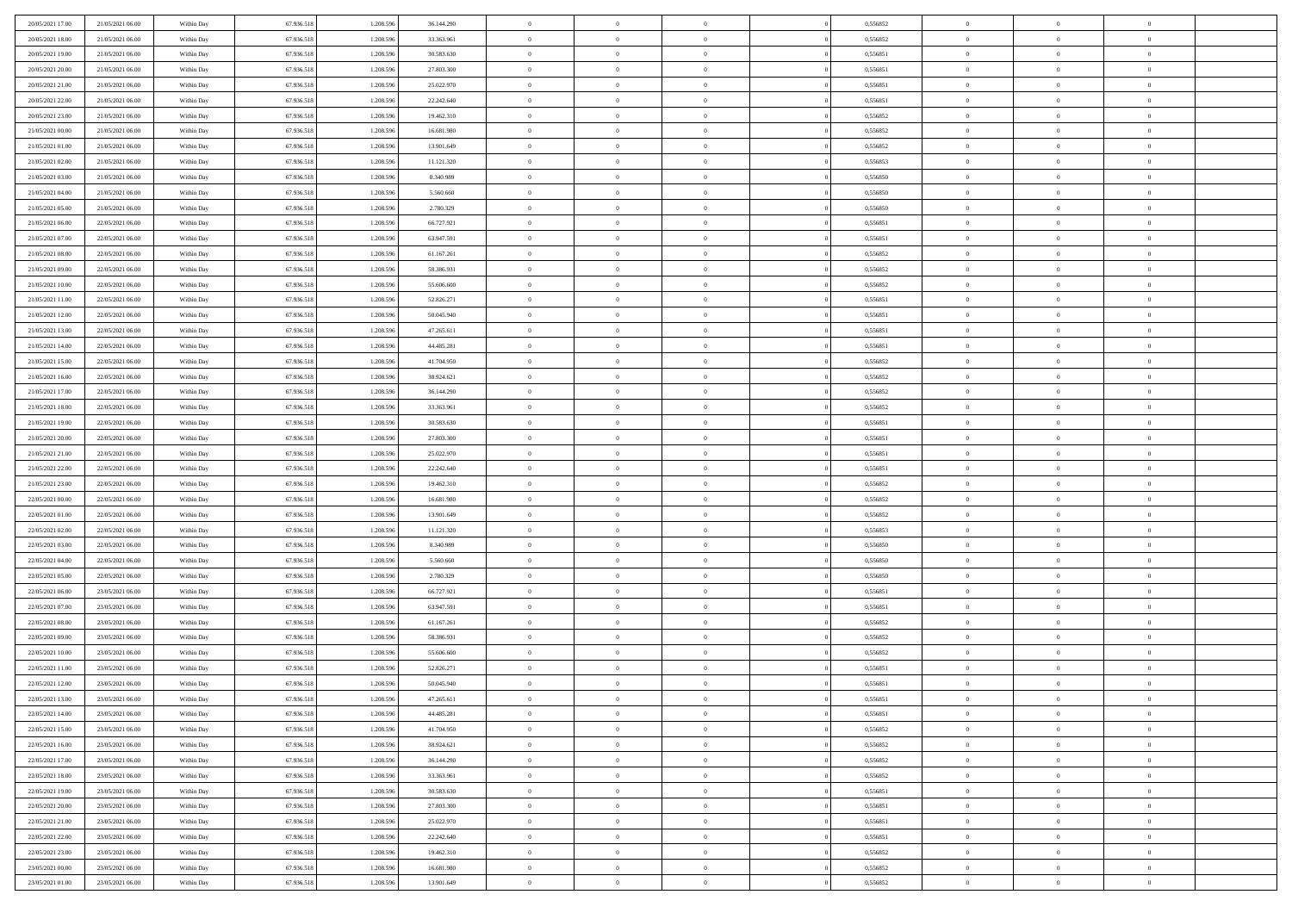| 20/05/2021 17:00                     | 21/05/2021 06:00                     | Within Day               | 67.936.518 | 1.208.596 | 36.144.290               | $\,0\,$        | $\overline{0}$ | $\bf{0}$       |                | 0,556852 | $\,$ 0 $\,$    | $\overline{0}$ | $\bf{0}$       |  |
|--------------------------------------|--------------------------------------|--------------------------|------------|-----------|--------------------------|----------------|----------------|----------------|----------------|----------|----------------|----------------|----------------|--|
| 20/05/2021 18:00                     | 21/05/2021 06:00                     | Within Day               | 67.936.518 | 1.208.59  | 33.363.961               | $\overline{0}$ | $\overline{0}$ | $\overline{0}$ |                | 0,556852 | $\bf{0}$       | $\overline{0}$ | $\theta$       |  |
| 20/05/2021 19:00                     | 21/05/2021 06:00                     | Within Day               | 67.936.518 | 1.208.596 | 30.583.630               | $\mathbf{0}$   | $\overline{0}$ | $\overline{0}$ |                | 0,556851 | $\theta$       | $\overline{0}$ | $\overline{0}$ |  |
| 20/05/2021 20:00                     | 21/05/2021 06:00                     | Within Day               | 67.936.518 | 1.208.596 | 27.803.300               | $\bf{0}$       | $\overline{0}$ | $\bf{0}$       |                | 0,556851 | $\bf{0}$       | $\overline{0}$ | $\bf{0}$       |  |
| 20/05/2021 21:00                     | 21/05/2021 06:00                     |                          | 67.936.518 | 1.208.596 | 25.022.970               | $\bf{0}$       | $\overline{0}$ | $\overline{0}$ |                | 0,556851 | $\bf{0}$       | $\bf{0}$       | $\bf{0}$       |  |
| 20/05/2021 22:00                     | 21/05/2021 06:00                     | Within Day<br>Within Day | 67.936.518 | 1.208.596 | 22.242.640               | $\mathbf{0}$   | $\overline{0}$ | $\overline{0}$ |                | 0,556851 | $\theta$       |                | $\theta$       |  |
|                                      |                                      |                          |            |           |                          |                |                |                |                |          |                | $\overline{0}$ |                |  |
| 20/05/2021 23:00                     | 21/05/2021 06:00                     | Within Day               | 67.936.518 | 1.208.596 | 19.462.310               | $\mathbf{0}$   | $\overline{0}$ | $\overline{0}$ |                | 0,556852 | $\bf{0}$       | $\overline{0}$ | $\theta$       |  |
| 21/05/2021 00:00                     | 21/05/2021 06:00                     | Within Day               | 67.936.518 | 1.208.59  | 16.681.980               | $\overline{0}$ | $\overline{0}$ | $\overline{0}$ |                | 0.556852 | $\,$ 0 $\,$    | $\overline{0}$ | $\theta$       |  |
| 21/05/2021 01:00                     | 21/05/2021 06:00                     | Within Day               | 67.936.518 | 1.208.596 | 13.901.649               | $\mathbf{0}$   | $\overline{0}$ | $\overline{0}$ |                | 0,556852 | $\theta$       | $\overline{0}$ | $\overline{0}$ |  |
| 21/05/2021 02:00                     | 21/05/2021 06:00                     | Within Day               | 67.936.518 | 1.208.596 | 11.121.320               | $\bf{0}$       | $\overline{0}$ | $\overline{0}$ |                | 0,556853 | $\bf{0}$       | $\overline{0}$ | $\bf{0}$       |  |
| 21/05/2021 03:00                     | 21/05/2021 06:00                     | Within Day               | 67.936.518 | 1.208.596 | 8.340.989                | $\bf{0}$       | $\overline{0}$ | $\overline{0}$ |                | 0,556850 | $\bf{0}$       | $\theta$       | $\bf{0}$       |  |
| 21/05/2021 04:00                     | 21/05/2021 06:00                     | Within Day               | 67.936.518 | 1.208.596 | 5.560.660                | $\mathbf{0}$   | $\overline{0}$ | $\overline{0}$ |                | 0,556850 | $\theta$       | $\overline{0}$ | $\overline{0}$ |  |
| 21/05/2021 05:00                     | 21/05/2021 06:00                     | Within Day               | 67.936.518 | 1.208.596 | 2.780.329                | $\,0\,$        | $\overline{0}$ | $\overline{0}$ |                | 0,556850 | $\bf{0}$       | $\overline{0}$ | $\bf{0}$       |  |
| 21/05/2021 06:00                     | 22/05/2021 06:00                     | Within Day               | 67.936.518 | 1.208.596 | 66.727.921               | $\bf{0}$       | $\overline{0}$ | $\overline{0}$ |                | 0,556851 | $\,$ 0 $\,$    | $\overline{0}$ | $\theta$       |  |
| 21/05/2021 07:00                     | 22/05/2021 06:00                     | Within Day               | 67.936.518 | 1.208.596 | 63.947.591               | $\mathbf{0}$   | $\overline{0}$ | $\overline{0}$ |                | 0,556851 | $\theta$       | $\overline{0}$ | $\overline{0}$ |  |
| 21/05/2021 08:00                     | 22/05/2021 06:00                     | Within Day               | 67.936.518 | 1.208.596 | 61.167.261               | $\,0\,$        | $\overline{0}$ | $\bf{0}$       |                | 0,556852 | $\bf{0}$       | $\overline{0}$ | $\bf{0}$       |  |
| 21/05/2021 09:00                     | 22/05/2021 06:00                     | Within Day               | 67.936.518 | 1.208.596 | 58.386.931               | $\bf{0}$       | $\overline{0}$ | $\overline{0}$ |                | 0,556852 | $\bf{0}$       | $\overline{0}$ | $\overline{0}$ |  |
| 21/05/2021 10:00                     | 22/05/2021 06:00                     | Within Day               | 67.936.518 | 1.208.596 | 55.606.600               | $\mathbf{0}$   | $\overline{0}$ | $\overline{0}$ |                | 0,556852 | $\theta$       | $\overline{0}$ | $\overline{0}$ |  |
| 21/05/2021 11:00                     | 22/05/2021 06:00                     | Within Day               | 67.936.518 | 1.208.596 | 52.826.271               | $\,0\,$        | $\overline{0}$ | $\bf{0}$       |                | 0,556851 | $\bf{0}$       | $\overline{0}$ | $\bf{0}$       |  |
| 21/05/2021 12:00                     | 22/05/2021 06:00                     | Within Day               | 67.936.518 | 1.208.596 | 50.045.940               | $\bf{0}$       | $\overline{0}$ | $\overline{0}$ |                | 0,556851 | $\bf{0}$       | $\overline{0}$ | $\bf{0}$       |  |
| 21/05/2021 13:00                     | 22/05/2021 06:00                     | Within Day               | 67.936.518 | 1.208.596 | 47.265.611               | $\mathbf{0}$   | $\overline{0}$ | $\overline{0}$ |                | 0,556851 | $\theta$       | $\overline{0}$ | $\overline{0}$ |  |
| 21/05/2021 14:00                     | 22/05/2021 06:00                     | Within Day               | 67.936.518 | 1.208.596 | 44.485.281               | $\mathbf{0}$   | $\overline{0}$ | $\overline{0}$ |                | 0,556851 | $\bf{0}$       | $\overline{0}$ | $\theta$       |  |
| 21/05/2021 15:00                     | 22/05/2021 06:00                     | Within Day               | 67.936.518 | 1.208.59  | 41.704.950               | $\bf{0}$       | $\overline{0}$ | $\overline{0}$ |                | 0.556852 | $\bf{0}$       | $\overline{0}$ | $\overline{0}$ |  |
| 21/05/2021 16:00                     | 22/05/2021 06:00                     | Within Day               | 67.936.518 | 1.208.596 | 38.924.621               | $\mathbf{0}$   | $\overline{0}$ | $\overline{0}$ |                | 0,556852 | $\theta$       | $\overline{0}$ | $\overline{0}$ |  |
| 21/05/2021 17:00                     | 22/05/2021 06:00                     | Within Day               | 67.936.518 | 1.208.596 | 36.144.290               | $\bf{0}$       | $\overline{0}$ | $\overline{0}$ |                | 0,556852 | $\bf{0}$       | $\overline{0}$ | $\bf{0}$       |  |
| 21/05/2021 18:00                     | 22/05/2021 06:00                     | Within Day               | 67.936.518 | 1.208.596 | 33.363.961               | $\bf{0}$       | $\overline{0}$ | $\overline{0}$ |                | 0,556852 | $\bf{0}$       | $\overline{0}$ | $\bf{0}$       |  |
| 21/05/2021 19:00                     | 22/05/2021 06:00                     | Within Day               | 67.936.518 | 1.208.596 | 30.583.630               | $\mathbf{0}$   | $\overline{0}$ | $\overline{0}$ |                | 0,556851 | $\theta$       | $\overline{0}$ | $\overline{0}$ |  |
| 21/05/2021 20:00                     | 22/05/2021 06:00                     | Within Day               | 67.936.518 | 1.208.596 | 27.803.300               | $\,0\,$        | $\overline{0}$ | $\bf{0}$       |                | 0,556851 | $\bf{0}$       | $\overline{0}$ | $\bf{0}$       |  |
| 21/05/2021 21:00                     | 22/05/2021 06:00                     | Within Day               | 67.936.518 | 1.208.596 | 25.022.970               | $\overline{0}$ | $\overline{0}$ | $\overline{0}$ |                | 0,556851 | $\,$ 0 $\,$    | $\overline{0}$ | $\bf{0}$       |  |
| 21/05/2021 22:00                     | 22/05/2021 06:00                     | Within Day               | 67.936.518 | 1.208.596 | 22.242.640               | $\mathbf{0}$   | $\overline{0}$ | $\overline{0}$ |                | 0,556851 | $\theta$       | $\overline{0}$ | $\overline{0}$ |  |
| 21/05/2021 23:00                     |                                      |                          | 67.936.518 | 1.208.596 |                          | $\mathbf{0}$   | $\overline{0}$ | $\overline{0}$ |                | 0,556852 | $\,$ 0 $\,$    | $\overline{0}$ | $\theta$       |  |
|                                      | 22/05/2021 06:00<br>22/05/2021 06:00 | Within Day               | 67.936.518 | 1.208.596 | 19.462.310<br>16.681.980 | $\bf{0}$       | $\overline{0}$ | $\overline{0}$ |                | 0,556852 | $\bf{0}$       | $\overline{0}$ | $\bf{0}$       |  |
| 22/05/2021 00:00<br>22/05/2021 01:00 | 22/05/2021 06:00                     | Within Day<br>Within Day | 67.936.518 | 1.208.596 | 13.901.649               | $\mathbf{0}$   | $\overline{0}$ | $\overline{0}$ |                | 0,556852 | $\theta$       | $\overline{0}$ | $\overline{0}$ |  |
|                                      |                                      |                          |            |           |                          |                |                |                |                |          |                |                |                |  |
| 22/05/2021 02:00                     | 22/05/2021 06:00                     | Within Day               | 67.936.518 | 1.208.596 | 11.121.320               | $\mathbf{0}$   | $\overline{0}$ | $\overline{0}$ |                | 0,556853 | $\,$ 0 $\,$    | $\overline{0}$ | $\theta$       |  |
| 22/05/2021 03:00                     | 22/05/2021 06:00                     | Within Day               | 67.936.518 | 1.208.596 | 8.340.989                | $\overline{0}$ | $\overline{0}$ | $\overline{0}$ |                | 0,556850 | $\bf{0}$       | $\overline{0}$ | $\bf{0}$       |  |
| 22/05/2021 04:00                     | 22/05/2021 06:00                     | Within Day               | 67.936.518 | 1.208.596 | 5.560.660                | $\mathbf{0}$   | $\overline{0}$ | $\overline{0}$ |                | 0,556850 | $\theta$       | $\overline{0}$ | $\overline{0}$ |  |
| 22/05/2021 05:00                     | 22/05/2021 06:00                     | Within Day               | 67.936.518 | 1.208.596 | 2.780.329                | $\mathbf{0}$   | $\overline{0}$ | $\theta$       |                | 0,556850 | $\,$ 0 $\,$    | $\overline{0}$ | $\theta$       |  |
| 22/05/2021 06:00                     | 23/05/2021 06:00                     | Within Day               | 67.936.518 | 1.208.59  | 66.727.921               | $\bf{0}$       | $\overline{0}$ | $\overline{0}$ |                | 0,556851 | $\bf{0}$       | $\overline{0}$ | $\overline{0}$ |  |
| 22/05/2021 07:00                     | 23/05/2021 06:00                     | Within Day               | 67.936.518 | 1.208.596 | 63.947.591               | $\mathbf{0}$   | $\overline{0}$ | $\overline{0}$ |                | 0,556851 | $\theta$       | $\overline{0}$ | $\overline{0}$ |  |
| 22/05/2021 08:00                     | 23/05/2021 06:00                     | Within Day               | 67.936.518 | 1.208.596 | 61.167.261               | $\,$ 0 $\,$    | $\overline{0}$ | $\bf{0}$       |                | 0,556852 | $\,$ 0 $\,$    | $\overline{0}$ | $\theta$       |  |
| 22/05/2021 09:00                     | 23/05/2021 06:00                     | Within Day               | 67.936.518 | 1.208.596 | 58.386.931               | $\bf{0}$       | $\overline{0}$ | $\overline{0}$ |                | 0,556852 | $\bf{0}$       | $\overline{0}$ | $\bf{0}$       |  |
| 22/05/2021 10:00                     | 23/05/2021 06:00                     | Within Day               | 67.936.518 | 1.208.596 | 55.606.600               | $\mathbf{0}$   | $\overline{0}$ | $\overline{0}$ |                | 0,556852 | $\theta$       | $\overline{0}$ | $\overline{0}$ |  |
| 22/05/2021 11:00                     | 23/05/2021 06:00                     | Within Day               | 67.936.518 | 1.208.596 | 52.826.271               | $\mathbf{0}$   | $\overline{0}$ | $\overline{0}$ |                | 0,556851 | $\,$ 0 $\,$    | $\overline{0}$ | $\theta$       |  |
| 22/05/2021 12:00                     | 23/05/2021 06:00                     | Within Day               | 67.936.518 | 1.208.596 | 50.045.940               | $\bf{0}$       | $\overline{0}$ | $\overline{0}$ |                | 0,556851 | $\,$ 0 $\,$    | $\overline{0}$ | $\bf{0}$       |  |
| 22/05/2021 13:00                     | 23/05/2021 06:00                     | Within Day               | 67.936.518 | 1.208.596 | 47.265.611               | $\bf{0}$       | $\overline{0}$ | $\overline{0}$ |                | 0,556851 | $\overline{0}$ | $^{\circ}$     | $\theta$       |  |
| 22/05/2021 14:00                     | 23/05/2021 06:00                     | Within Day               | 67.936.518 | 1.208.596 | 44.485.281               | $\,$ 0 $\,$    | $\overline{0}$ | $\bf{0}$       |                | 0,556851 | $\,$ 0 $\,$    | $\bf{0}$       | $\theta$       |  |
| 22/05/2021 15:00                     | 23/05/2021 06:00                     | Within Day               | 67.936.518 | 1.208.596 | 41.704.950               | $\mathbf{0}$   | $\overline{0}$ | $\overline{0}$ |                | 0,556852 | $\,$ 0 $\,$    | $\overline{0}$ | $\overline{0}$ |  |
| 22/05/2021 16:00                     | 23/05/2021 06:00                     | Within Day               | 67.936.518 | 1.208.596 | 38.924.621               | $\mathbf{0}$   | $\overline{0}$ | $\overline{0}$ |                | 0,556852 | $\mathbf{0}$   | $\overline{0}$ | $\overline{0}$ |  |
| 22/05/2021 17:00                     | 23/05/2021 06:00                     | Within Day               | 67.936.518 | 1.208.596 | 36.144.290               | $\,$ 0         | $\overline{0}$ | $\overline{0}$ | $\overline{0}$ | 0,556852 | $\,$ 0 $\,$    | $\bf{0}$       | $\,$ 0 $\,$    |  |
| 22/05/2021 18:00                     | 23/05/2021 06:00                     | Within Day               | 67.936.518 | 1.208.596 | 33.363.961               | $\bf{0}$       | $\overline{0}$ | $\overline{0}$ |                | 0,556852 | $\,$ 0 $\,$    | $\overline{0}$ | $\overline{0}$ |  |
| 22/05/2021 19:00                     | 23/05/2021 06:00                     | Within Day               | 67.936.518 | 1.208.596 | 30.583.630               | $\mathbf{0}$   | $\overline{0}$ | $\overline{0}$ |                | 0,556851 | $\overline{0}$ | $\overline{0}$ | $\overline{0}$ |  |
| 22/05/2021 20:00                     | 23/05/2021 06:00                     | Within Day               | 67.936.518 | 1.208.596 | 27.803.300               | $\,$ 0 $\,$    | $\overline{0}$ | $\overline{0}$ |                | 0,556851 | $\,$ 0 $\,$    | $\bf{0}$       | $\,$ 0 $\,$    |  |
| 22/05/2021 21:00                     | 23/05/2021 06:00                     | Within Day               | 67.936.518 | 1.208.59  | 25.022.970               | $\overline{0}$ | $\overline{0}$ | $\overline{0}$ |                | 0.556851 | $\overline{0}$ | $\overline{0}$ | $\overline{0}$ |  |
| 22/05/2021 22:00                     | 23/05/2021 06:00                     | Within Day               | 67.936.518 | 1.208.596 | 22.242.640               | $\mathbf{0}$   | $\overline{0}$ | $\overline{0}$ |                | 0,556851 | $\mathbf{0}$   | $\overline{0}$ | $\overline{0}$ |  |
| 22/05/2021 23:00                     | 23/05/2021 06:00                     | Within Day               | 67.936.518 | 1.208.596 | 19.462.310               | $\,$ 0 $\,$    | $\overline{0}$ | $\overline{0}$ | $\overline{0}$ | 0,556852 | $\,$ 0 $\,$    | $\bf{0}$       | $\,$ 0 $\,$    |  |
| 23/05/2021 00:00                     | 23/05/2021 06:00                     | Within Day               | 67.936.518 | 1.208.596 | 16.681.980               | $\bf{0}$       | $\overline{0}$ | $\overline{0}$ |                | 0,556852 | $\,$ 0 $\,$    | $\mathbf{0}$   | $\overline{0}$ |  |
| 23/05/2021 01:00                     | 23/05/2021 06:00                     | Within Day               | 67.936.518 | 1.208.596 | 13.901.649               | $\mathbf{0}$   | $\overline{0}$ | $\overline{0}$ |                | 0,556852 | $\mathbf{0}$   | $\overline{0}$ | $\overline{0}$ |  |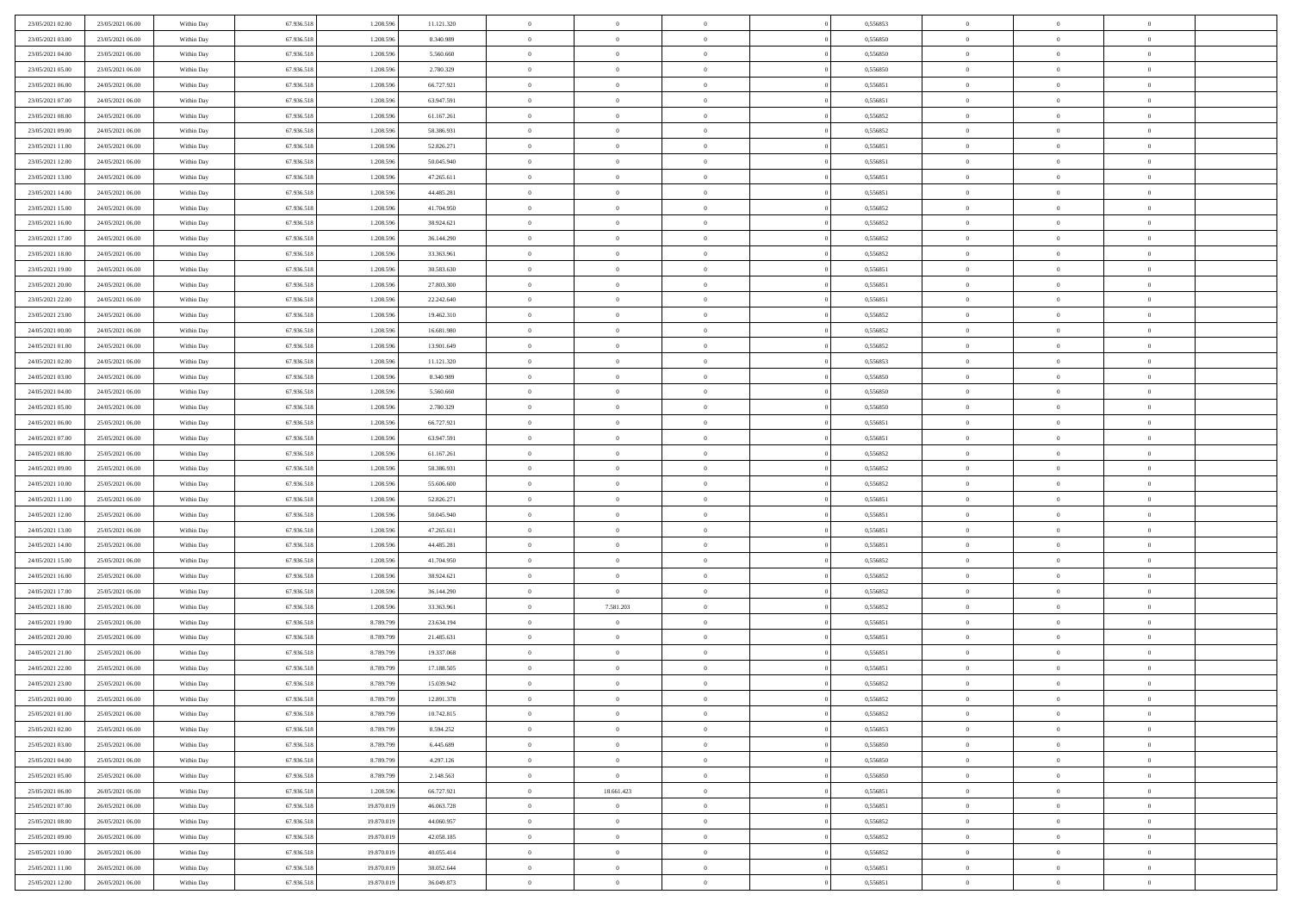| 23/05/2021 02:00 | 23/05/2021 06:00 | Within Day | 67.936.518 | 1.208.596  | 11.121.320 | $\overline{0}$ | $\overline{0}$ | $\Omega$       | 0,556853 | $\bf{0}$       | $\mathbf{0}$   | $\bf{0}$       |  |
|------------------|------------------|------------|------------|------------|------------|----------------|----------------|----------------|----------|----------------|----------------|----------------|--|
| 23/05/2021 03:00 | 23/05/2021 06:00 | Within Day | 67.936.518 | 1.208.596  | 8.340.989  | $\mathbf{0}$   | $\overline{0}$ | $\overline{0}$ | 0,556850 | $\overline{0}$ | $\overline{0}$ | $\overline{0}$ |  |
| 23/05/2021 04:00 | 23/05/2021 06:00 | Within Day | 67.936.518 | 1.208.596  | 5.560.660  | $\,$ 0         | $\overline{0}$ | $\bf{0}$       | 0,556850 | $\,$ 0         | $\overline{0}$ | $\,$ 0 $\,$    |  |
| 23/05/2021 05:00 | 23/05/2021 06:00 | Within Day | 67.936.518 | 1.208.596  | 2.780.329  | $\bf{0}$       | $\overline{0}$ | $\Omega$       | 0.556850 | $\bf{0}$       | $\mathbf{0}$   | $\theta$       |  |
| 23/05/2021 06:00 | 24/05/2021 06:00 | Within Day | 67.936.518 | 1.208.596  | 66.727.921 | $\bf{0}$       | $\overline{0}$ | $\overline{0}$ | 0,556851 | $\mathbf{0}$   | $\overline{0}$ | $\overline{0}$ |  |
| 23/05/2021 07:00 | 24/05/2021 06:00 | Within Day | 67.936.518 | 1.208.596  | 63.947.591 | $\bf{0}$       | $\overline{0}$ | $\bf{0}$       | 0,556851 | $\,$ 0         | $\overline{0}$ | $\,$ 0 $\,$    |  |
|                  |                  |            |            |            |            |                |                | $\Omega$       | 0.556852 | $\theta$       | $\bf{0}$       | $\theta$       |  |
| 23/05/2021 08:00 | 24/05/2021 06:00 | Within Day | 67.936.518 | 1.208.596  | 61.167.261 | $\bf{0}$       | $\overline{0}$ |                |          |                |                |                |  |
| 23/05/2021 09:00 | 24/05/2021 06:00 | Within Day | 67.936.518 | 1.208.596  | 58.386.931 | $\overline{0}$ | $\overline{0}$ | $\overline{0}$ | 0,556852 | $\mathbf{0}$   | $\overline{0}$ | $\overline{0}$ |  |
| 23/05/2021 11:00 | 24/05/2021 06:00 | Within Day | 67.936.518 | 1.208.596  | 52.826.271 | $\bf{0}$       | $\overline{0}$ | $\bf{0}$       | 0,556851 | $\,$ 0         | $\overline{0}$ | $\,$ 0 $\,$    |  |
| 23/05/2021 12:00 | 24/05/2021 06:00 | Within Day | 67.936.518 | 1.208.596  | 50.045.940 | $\bf{0}$       | $\overline{0}$ | $\Omega$       | 0.556851 | $\theta$       | $\mathbf{0}$   | $\theta$       |  |
| 23/05/2021 13:00 | 24/05/2021 06:00 | Within Day | 67.936.518 | 1.208.596  | 47.265.611 | $\overline{0}$ | $\overline{0}$ | $\overline{0}$ | 0,556851 | $\mathbf{0}$   | $\overline{0}$ | $\overline{0}$ |  |
| 23/05/2021 14:00 | 24/05/2021 06:00 | Within Day | 67.936.518 | 1.208.596  | 44.485.281 | $\bf{0}$       | $\overline{0}$ | $\bf{0}$       | 0,556851 | $\,$ 0         | $\overline{0}$ | $\,$ 0 $\,$    |  |
| 23/05/2021 15:00 | 24/05/2021 06:00 | Within Day | 67.936.518 | 1.208.596  | 41.704.950 | $\bf{0}$       | $\overline{0}$ | $\Omega$       | 0.556852 | $\overline{0}$ | $\mathbf{0}$   | $\theta$       |  |
| 23/05/2021 16:00 | 24/05/2021 06:00 | Within Day | 67.936.518 | 1.208.596  | 38.924.621 | $\overline{0}$ | $\overline{0}$ | $\overline{0}$ | 0,556852 | $\mathbf{0}$   | $\overline{0}$ | $\overline{0}$ |  |
| 23/05/2021 17:00 | 24/05/2021 06:00 | Within Day | 67.936.518 | 1.208.596  | 36.144.290 | $\bf{0}$       | $\overline{0}$ | $\bf{0}$       | 0,556852 | $\,$ 0         | $\overline{0}$ | $\,$ 0 $\,$    |  |
| 23/05/2021 18:00 | 24/05/2021 06:00 | Within Day | 67.936.518 | 1.208.596  | 33.363.961 | $\bf{0}$       | $\overline{0}$ | $\overline{0}$ | 0.556852 | $\bf{0}$       | $\mathbf{0}$   | $\bf{0}$       |  |
| 23/05/2021 19:00 | 24/05/2021 06:00 | Within Day | 67.936.518 | 1.208.596  | 30.583.630 | $\overline{0}$ | $\overline{0}$ | $\overline{0}$ | 0,556851 | $\mathbf{0}$   | $\overline{0}$ | $\overline{0}$ |  |
| 23/05/2021 20:00 | 24/05/2021 06:00 | Within Day | 67.936.518 | 1.208.596  | 27.803.300 | $\bf{0}$       | $\overline{0}$ | $\bf{0}$       | 0,556851 | $\,$ 0         | $\overline{0}$ | $\,$ 0 $\,$    |  |
| 23/05/2021 22.00 | 24/05/2021 06:00 | Within Day | 67.936.518 | 1.208.596  | 22.242.640 | $\bf{0}$       | $\overline{0}$ | $\Omega$       | 0.556851 | $\theta$       | $\mathbf{0}$   | $\theta$       |  |
| 23/05/2021 23:00 | 24/05/2021 06:00 | Within Day | 67.936.518 | 1.208.596  | 19.462.310 | $\overline{0}$ | $\overline{0}$ | $\overline{0}$ | 0,556852 | $\mathbf{0}$   | $\overline{0}$ | $\overline{0}$ |  |
| 24/05/2021 00:00 | 24/05/2021 06:00 | Within Day | 67.936.518 | 1.208.596  | 16.681.980 | $\bf{0}$       | $\overline{0}$ | $\bf{0}$       | 0,556852 | $\,$ 0         | $\overline{0}$ | $\,$ 0 $\,$    |  |
| 24/05/2021 01:00 | 24/05/2021 06:00 | Within Day | 67.936.518 | 1.208.596  | 13.901.649 | $\bf{0}$       | $\overline{0}$ | $\Omega$       | 0.556852 | $\bf{0}$       | $\mathbf{0}$   | $\theta$       |  |
| 24/05/2021 02:00 | 24/05/2021 06:00 | Within Day | 67.936.518 | 1.208.596  | 11.121.320 | $\overline{0}$ | $\overline{0}$ | $\overline{0}$ | 0,556853 | $\mathbf{0}$   | $\overline{0}$ | $\overline{0}$ |  |
| 24/05/2021 03:00 | 24/05/2021 06:00 | Within Day | 67.936.518 | 1.208.596  | 8.340.989  | $\bf{0}$       | $\overline{0}$ | $\bf{0}$       | 0,556850 | $\,$ 0         | $\overline{0}$ | $\,$ 0 $\,$    |  |
| 24/05/2021 04:00 | 24/05/2021 06:00 | Within Day | 67.936.518 | 1.208.596  | 5.560.660  | $\bf{0}$       | $\overline{0}$ | $\overline{0}$ | 0.556850 | $\bf{0}$       | $\bf{0}$       | $\bf{0}$       |  |
| 24/05/2021 05:00 | 24/05/2021 06:00 | Within Day | 67.936.518 | 1.208.596  | 2.780.329  | $\overline{0}$ | $\overline{0}$ | $\overline{0}$ | 0,556850 | $\mathbf{0}$   | $\overline{0}$ | $\overline{0}$ |  |
| 24/05/2021 06:00 | 25/05/2021 06:00 | Within Day | 67.936.518 | 1.208.596  | 66.727.921 | $\bf{0}$       | $\overline{0}$ | $\bf{0}$       | 0,556851 | $\,$ 0         | $\overline{0}$ | $\,$ 0 $\,$    |  |
| 24/05/2021 07:00 | 25/05/2021 06:00 | Within Day | 67.936.518 | 1.208.596  | 63.947.591 | $\bf{0}$       | $\overline{0}$ | $\Omega$       | 0.556851 | $\theta$       | $\mathbf{0}$   | $\theta$       |  |
| 24/05/2021 08:00 | 25/05/2021 06:00 |            | 67.936.518 | 1.208.596  | 61.167.261 | $\overline{0}$ | $\overline{0}$ | $\overline{0}$ | 0,556852 | $\mathbf{0}$   | $\overline{0}$ | $\overline{0}$ |  |
|                  |                  | Within Day |            |            |            |                |                |                |          |                |                |                |  |
| 24/05/2021 09:00 | 25/05/2021 06:00 | Within Day | 67.936.518 | 1.208.596  | 58.386.931 | $\bf{0}$       | $\overline{0}$ | $\bf{0}$       | 0,556852 | $\,$ 0         | $\overline{0}$ | $\,$ 0 $\,$    |  |
| 24/05/2021 10:00 | 25/05/2021 06:00 | Within Day | 67.936.518 | 1.208.596  | 55.606.600 | $\,$ 0         | $\overline{0}$ | $\overline{0}$ | 0,556852 | $\bf{0}$       | $\overline{0}$ | $\,0\,$        |  |
| 24/05/2021 11:00 | 25/05/2021 06:00 | Within Day | 67.936.518 | 1.208.596  | 52.826.271 | $\overline{0}$ | $\overline{0}$ | $\overline{0}$ | 0,556851 | $\mathbf{0}$   | $\overline{0}$ | $\overline{0}$ |  |
| 24/05/2021 12:00 | 25/05/2021 06:00 | Within Day | 67.936.518 | 1.208.596  | 50.045.940 | $\bf{0}$       | $\overline{0}$ | $\bf{0}$       | 0,556851 | $\,$ 0         | $\overline{0}$ | $\,$ 0 $\,$    |  |
| 24/05/2021 13:00 | 25/05/2021 06:00 | Within Day | 67.936.518 | 1.208.596  | 47.265.611 | $\bf{0}$       | $\overline{0}$ | $\bf{0}$       | 0,556851 | $\bf{0}$       | $\overline{0}$ | $\,0\,$        |  |
| 24/05/2021 14:00 | 25/05/2021 06:00 | Within Day | 67.936.518 | 1.208.596  | 44.485.281 | $\overline{0}$ | $\overline{0}$ | $\overline{0}$ | 0,556851 | $\overline{0}$ | $\overline{0}$ | $\overline{0}$ |  |
| 24/05/2021 15:00 | 25/05/2021 06:00 | Within Day | 67.936.518 | 1.208.596  | 41.704.950 | $\bf{0}$       | $\overline{0}$ | $\bf{0}$       | 0,556852 | $\,$ 0         | $\overline{0}$ | $\,$ 0 $\,$    |  |
| 24/05/2021 16:00 | 25/05/2021 06:00 | Within Day | 67.936.518 | 1.208.596  | 38.924.621 | $\bf{0}$       | $\bf{0}$       | $\overline{0}$ | 0,556852 | $\bf{0}$       | $\overline{0}$ | $\,0\,$        |  |
| 24/05/2021 17:00 | 25/05/2021 06:00 | Within Day | 67.936.518 | 1.208.596  | 36.144.290 | $\overline{0}$ | $\overline{0}$ | $\overline{0}$ | 0,556852 | $\mathbf{0}$   | $\overline{0}$ | $\overline{0}$ |  |
| 24/05/2021 18:00 | 25/05/2021 06:00 | Within Day | 67.936.518 | 1.208.596  | 33.363.961 | $\bf{0}$       | 7.581.203      | $\bf{0}$       | 0,556852 | $\,$ 0         | $\overline{0}$ | $\,$ 0 $\,$    |  |
| 24/05/2021 19:00 | 25/05/2021 06:00 | Within Day | 67.936.518 | 8.789.799  | 23.634.194 | $\bf{0}$       | $\bf{0}$       | $\overline{0}$ | 0,556851 | $\bf{0}$       | $\overline{0}$ | $\,0\,$        |  |
| 24/05/2021 20:00 | 25/05/2021 06:00 | Within Day | 67.936.518 | 8.789.799  | 21.485.631 | $\overline{0}$ | $\overline{0}$ | $\overline{0}$ | 0,556851 | $\overline{0}$ | $\overline{0}$ | $\overline{0}$ |  |
| 24/05/2021 21:00 | 25/05/2021 06:00 | Within Day | 67.936.518 | 8.789.799  | 19.337.068 | $\bf{0}$       | $\overline{0}$ | $\bf{0}$       | 0,556851 | $\,$ 0         | $\overline{0}$ | $\,$ 0 $\,$    |  |
| 24/05/2021 22.00 | 25/05/2021 06:00 | Within Day | 67.936.518 | 8.789.799  | 17.188.505 | $\bf{0}$       | $\bf{0}$       | $\bf{0}$       | 0,556851 | $\bf{0}$       | $\overline{0}$ | $\,0\,$        |  |
| 24/05/2021 23:00 | 25/05/2021 06:00 | Within Day | 67.936.518 | 8.789.799  | 15.039.942 | $\mathbf{0}$   | $\overline{0}$ | $\overline{0}$ | 0,556852 | $\overline{0}$ | $\overline{0}$ | $\overline{0}$ |  |
| 25/05/2021 00:00 | 25/05/2021 06:00 | Within Day | 67.936.518 | 8.789.799  | 12.891.378 | $\bf{0}$       | $\overline{0}$ | $\theta$       | 0,556852 | $\overline{0}$ | $\theta$       | $\theta$       |  |
| 25/05/2021 01:00 | 25/05/2021 06:00 | Within Day | 67.936.518 | 8.789.799  | 10.742.815 | $\bf{0}$       | $\bf{0}$       | $\bf{0}$       | 0,556852 | $\bf{0}$       | $\overline{0}$ | $\bf{0}$       |  |
| 25/05/2021 02:00 | 25/05/2021 06:00 | Within Day | 67.936.518 | 8.789.799  | 8.594.252  | $\overline{0}$ | $\overline{0}$ | $\overline{0}$ | 0,556853 | $\overline{0}$ | $\bf{0}$       | $\overline{0}$ |  |
| 25/05/2021 03:00 | 25/05/2021 06:00 | Within Day | 67.936.518 | 8.789.799  | 6.445.689  | $\,$ 0 $\,$    | $\overline{0}$ | $\overline{0}$ | 0,556850 | $\mathbf{0}$   | $\,$ 0 $\,$    | $\,$ 0 $\,$    |  |
| 25/05/2021 04:00 | 25/05/2021 06:00 | Within Day | 67.936.518 | 8.789.799  | 4.297.126  | $\bf{0}$       | $\bf{0}$       | $\overline{0}$ | 0,556850 | $\bf{0}$       | $\overline{0}$ | $\bf{0}$       |  |
| 25/05/2021 05:00 | 25/05/2021 06:00 | Within Day | 67.936.518 | 8.789.799  | 2.148.563  | $\bf{0}$       | $\overline{0}$ | $\overline{0}$ | 0,556850 | $\overline{0}$ | $\bf{0}$       | $\overline{0}$ |  |
| 25/05/2021 06:00 | 26/05/2021 06:00 | Within Day | 67.936.518 | 1.208.596  | 66.727.921 | $\,$ 0 $\,$    | 18.661.423     | $\overline{0}$ | 0,556851 | $\,$ 0 $\,$    | $\overline{0}$ | $\,$ 0 $\,$    |  |
| 25/05/2021 07:00 | 26/05/2021 06:00 | Within Day | 67.936.518 | 19.870.019 | 46.063.728 | $\overline{0}$ | $\overline{0}$ | $\overline{0}$ | 0,556851 | $\bf{0}$       | $\overline{0}$ | $\overline{0}$ |  |
| 25/05/2021 08:00 | 26/05/2021 06:00 | Within Day | 67.936.518 | 19.870.019 | 44.060.957 | $\overline{0}$ | $\overline{0}$ | $\overline{0}$ | 0,556852 | $\overline{0}$ | $\bf{0}$       | $\overline{0}$ |  |
| 25/05/2021 09:00 | 26/05/2021 06:00 | Within Day | 67.936.518 | 19.870.019 | 42.058.185 | $\,$ 0 $\,$    | $\overline{0}$ | $\overline{0}$ | 0,556852 | $\mathbf{0}$   | $\,$ 0 $\,$    | $\,$ 0 $\,$    |  |
| 25/05/2021 10:00 | 26/05/2021 06:00 | Within Day | 67.936.518 | 19.870.019 | 40.055.414 | $\bf{0}$       | $\bf{0}$       | $\overline{0}$ | 0,556852 | $\mathbf{0}$   | $\overline{0}$ | $\bf{0}$       |  |
| 25/05/2021 11:00 | 26/05/2021 06:00 | Within Day | 67.936.518 | 19.870.019 | 38.052.644 | $\bf{0}$       | $\overline{0}$ | $\overline{0}$ | 0,556851 | $\mathbf{0}$   | $\bf{0}$       | $\overline{0}$ |  |
|                  |                  |            |            |            |            | $\,0\,$        |                |                |          | $\,$ 0         | $\overline{0}$ | $\,$ 0 $\,$    |  |
| 25/05/2021 12:00 | 26/05/2021 06:00 | Within Day | 67.936.518 | 19.870.019 | 36.049.873 |                | $\overline{0}$ | $\overline{0}$ | 0,556851 |                |                |                |  |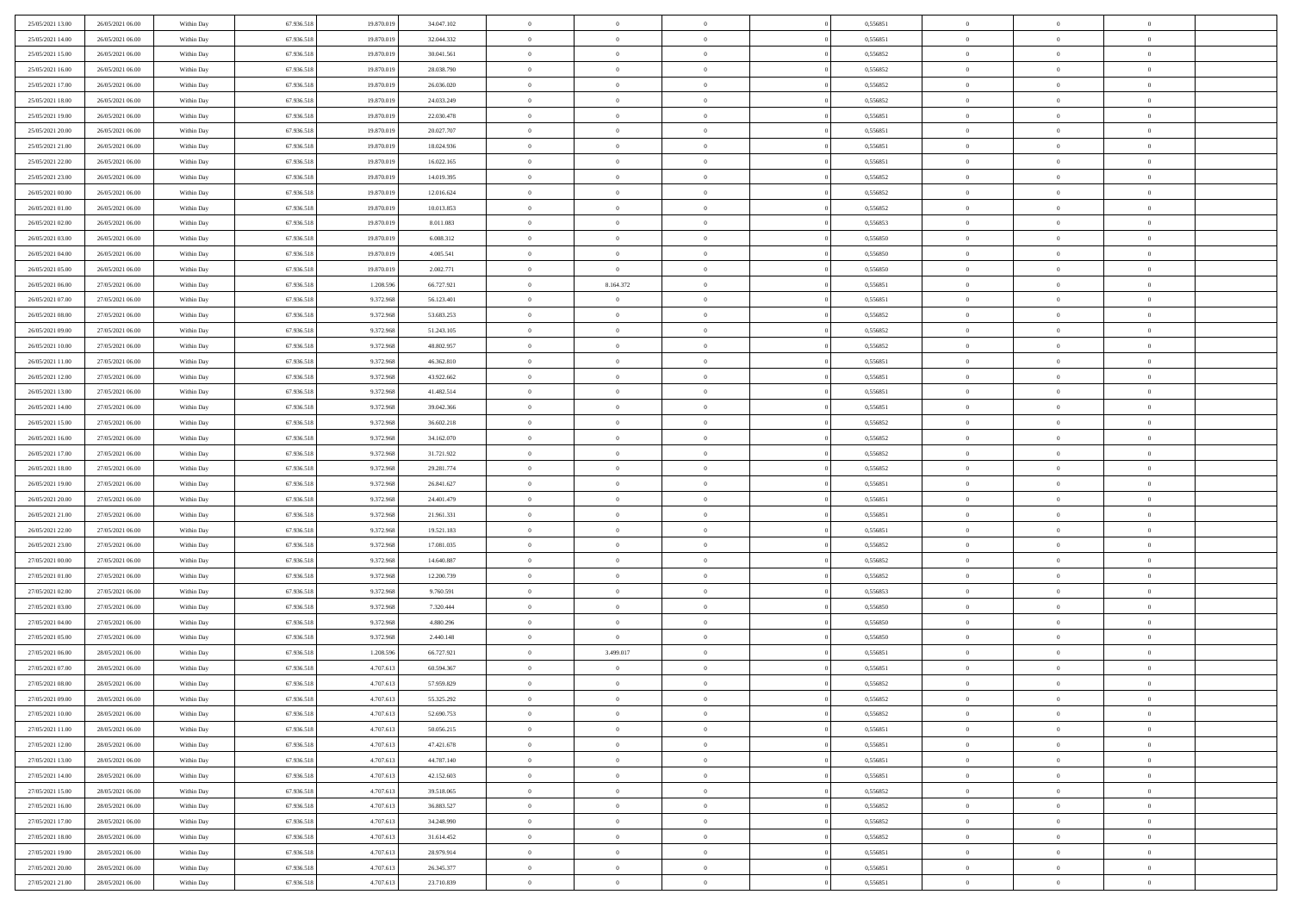| 25/05/2021 13:00 | 26/05/2021 06:00 | Within Day | 67.936.518 | 19.870.019 | 34.047.102 | $\,$ 0         | $\bf{0}$       | $\theta$       |          | 0,556851 | $\bf{0}$       | $\overline{0}$ | $\,0\,$        |  |
|------------------|------------------|------------|------------|------------|------------|----------------|----------------|----------------|----------|----------|----------------|----------------|----------------|--|
| 25/05/2021 14:00 | 26/05/2021 06:00 | Within Day | 67.936.518 | 19.870.019 | 32.044.332 | $\overline{0}$ | $\overline{0}$ | $\overline{0}$ |          | 0.556851 | $\overline{0}$ | $\overline{0}$ | $\theta$       |  |
| 25/05/2021 15:00 | 26/05/2021 06:00 | Within Dav | 67.936.518 | 19.870.019 | 30.041.561 | $\mathbf{0}$   | $\overline{0}$ | $\overline{0}$ |          | 0,556852 | $\mathbf{0}$   | $\overline{0}$ | $\overline{0}$ |  |
| 25/05/2021 16:00 | 26/05/2021 06:00 | Within Day | 67.936.518 | 19.870.019 | 28.038.790 | $\bf{0}$       | $\overline{0}$ | $\bf{0}$       |          | 0,556852 | $\bf{0}$       | $\overline{0}$ | $\bf{0}$       |  |
| 25/05/2021 17:00 | 26/05/2021 06:00 | Within Day | 67.936.518 | 19.870.019 | 26.036.020 | $\bf{0}$       | $\bf{0}$       | $\overline{0}$ |          | 0,556852 | $\bf{0}$       | $\bf{0}$       | $\,0\,$        |  |
| 25/05/2021 18:00 | 26/05/2021 06:00 | Within Dav | 67.936.518 | 19.870.019 | 24.033.249 | $\mathbf{0}$   | $\overline{0}$ |                |          | 0,556852 | $\mathbf{0}$   | $\overline{0}$ | $\theta$       |  |
|                  |                  |            |            |            |            |                |                | $\overline{0}$ |          |          |                |                |                |  |
| 25/05/2021 19:00 | 26/05/2021 06:00 | Within Day | 67.936.518 | 19.870.019 | 22.030.478 | $\bf{0}$       | $\bf{0}$       | $\overline{0}$ |          | 0,556851 | $\bf{0}$       | $\overline{0}$ | $\,0\,$        |  |
| 25/05/2021 20:00 | 26/05/2021 06:00 | Within Day | 67.936.518 | 19.870.019 | 20.027.707 | $\theta$       | $\overline{0}$ | $\overline{0}$ |          | 0,556851 | $\,$ 0 $\,$    | $\overline{0}$ | $\theta$       |  |
| 25/05/2021 21:00 | 26/05/2021 06:00 | Within Dav | 67.936.518 | 19.870.019 | 18.024.936 | $\mathbf{0}$   | $\overline{0}$ | $\overline{0}$ |          | 0,556851 | $\mathbf{0}$   | $\overline{0}$ | $\overline{0}$ |  |
| 25/05/2021 22:00 | 26/05/2021 06:00 | Within Day | 67.936.518 | 19.870.019 | 16.022.165 | $\bf{0}$       | $\bf{0}$       | $\overline{0}$ |          | 0,556851 | $\bf{0}$       | $\overline{0}$ | $\,0\,$        |  |
| 25/05/2021 23.00 | 26/05/2021 06:00 | Within Day | 67.936.518 | 19.870.019 | 14.019.395 | $\overline{0}$ | $\overline{0}$ | $\overline{0}$ |          | 0.556852 | $\bf{0}$       | $\overline{0}$ | $\theta$       |  |
| 26/05/2021 00:00 | 26/05/2021 06:00 | Within Dav | 67.936.518 | 19.870.019 | 12.016.624 | $\mathbf{0}$   | $\overline{0}$ | $\overline{0}$ |          | 0,556852 | $\mathbf{0}$   | $\overline{0}$ | $\overline{0}$ |  |
| 26/05/2021 01:00 | 26/05/2021 06:00 | Within Day | 67.936.518 | 19.870.019 | 10.013.853 | $\bf{0}$       | $\overline{0}$ | $\bf{0}$       |          | 0,556852 | $\bf{0}$       | $\overline{0}$ | $\bf{0}$       |  |
| 26/05/2021 02:00 | 26/05/2021 06:00 | Within Day | 67.936.518 | 19.870.019 | 8.011.083  | $\bf{0}$       | $\overline{0}$ | $\overline{0}$ |          | 0,556853 | $\bf{0}$       | $\mathbf{0}$   | $\,0\,$        |  |
| 26/05/2021 03:00 | 26/05/2021 06:00 | Within Dav | 67.936.518 | 19.870.019 | 6.008.312  | $\overline{0}$ | $\overline{0}$ | $\overline{0}$ |          | 0,556850 | $\mathbf{0}$   | $\overline{0}$ | $\overline{0}$ |  |
| 26/05/2021 04:00 | 26/05/2021 06:00 | Within Day | 67.936.518 | 19.870.019 | 4.005.541  | $\bf{0}$       | $\overline{0}$ | $\overline{0}$ |          | 0,556850 | $\bf{0}$       | $\overline{0}$ | $\bf{0}$       |  |
| 26/05/2021 05:00 | 26/05/2021 06:00 | Within Day | 67.936.518 | 19.870.019 | 2.002.771  | $\overline{0}$ | $\overline{0}$ | $\overline{0}$ |          | 0.556850 | $\bf{0}$       | $\overline{0}$ | $\theta$       |  |
| 26/05/2021 06:00 | 27/05/2021 06:00 | Within Day | 67.936.518 | 1.208.596  | 66.727.921 | $\mathbf{0}$   | 8.164.372      | $\overline{0}$ |          | 0,556851 | $\mathbf{0}$   | $\overline{0}$ | $\overline{0}$ |  |
| 26/05/2021 07:00 | 27/05/2021 06:00 | Within Day | 67.936.518 | 9.372.968  | 56.123.401 | $\bf{0}$       | $\overline{0}$ | $\overline{0}$ |          | 0,556851 | $\bf{0}$       | $\overline{0}$ | $\,0\,$        |  |
| 26/05/2021 08:00 | 27/05/2021 06:00 | Within Day | 67.936.518 | 9.372.968  | 53.683.253 | $\bf{0}$       | $\overline{0}$ | $\overline{0}$ |          | 0,556852 | $\bf{0}$       | $\overline{0}$ | $\overline{0}$ |  |
| 26/05/2021 09:00 | 27/05/2021 06:00 | Within Dav | 67.936.518 | 9.372.968  | 51.243.105 | $\mathbf{0}$   | $\overline{0}$ | $\overline{0}$ |          | 0,556852 | $\mathbf{0}$   | $\overline{0}$ | $\overline{0}$ |  |
| 26/05/2021 10:00 | 27/05/2021 06:00 | Within Day | 67.936.518 | 9.372.968  | 48.802.957 | $\bf{0}$       | $\overline{0}$ | $\overline{0}$ |          | 0,556852 | $\bf{0}$       | $\overline{0}$ | $\bf{0}$       |  |
| 26/05/2021 11:00 | 27/05/2021 06:00 | Within Day | 67.936.518 | 9.372.968  | 46.362.810 | $\bf{0}$       | $\bf{0}$       | $\overline{0}$ |          | 0,556851 | $\bf{0}$       | $\overline{0}$ | $\,0\,$        |  |
| 26/05/2021 12:00 | 27/05/2021 06:00 | Within Dav | 67.936.518 | 9.372.968  | 43.922.662 | $\mathbf{0}$   | $\overline{0}$ | $\overline{0}$ |          | 0,556851 | $\mathbf{0}$   | $\overline{0}$ | $\theta$       |  |
| 26/05/2021 13:00 | 27/05/2021 06:00 | Within Day | 67.936.518 | 9.372.968  | 41.482.514 | $\bf{0}$       | $\bf{0}$       | $\overline{0}$ |          | 0,556851 | $\bf{0}$       | $\overline{0}$ | $\,0\,$        |  |
| 26/05/2021 14:00 | 27/05/2021 06:00 | Within Day | 67.936.518 | 9.372.968  | 39.042.366 | $\overline{0}$ | $\overline{0}$ | $\overline{0}$ |          | 0,556851 | $\bf{0}$       | $\mathbf{0}$   | $\overline{0}$ |  |
| 26/05/2021 15:00 | 27/05/2021 06:00 | Within Dav | 67.936.518 | 9.372.968  | 36.602.218 | $\mathbf{0}$   | $\overline{0}$ | $\overline{0}$ |          | 0,556852 | $\mathbf{0}$   | $\overline{0}$ | $\overline{0}$ |  |
| 26/05/2021 16:00 | 27/05/2021 06:00 | Within Day | 67.936.518 | 9.372.968  | 34.162.070 | $\bf{0}$       | $\overline{0}$ | $\overline{0}$ |          | 0,556852 | $\bf{0}$       | $\overline{0}$ | $\,0\,$        |  |
|                  |                  |            |            |            |            | $\bf{0}$       |                | $\overline{0}$ |          | 0.556852 |                | $\overline{0}$ |                |  |
| 26/05/2021 17:00 | 27/05/2021 06:00 | Within Day | 67.936.518 | 9.372.968  | 31.721.922 |                | $\overline{0}$ |                |          |          | $\bf{0}$       |                | $\bf{0}$       |  |
| 26/05/2021 18:00 | 27/05/2021 06:00 | Within Dav | 67.936.518 | 9.372.968  | 29.281.774 | $\mathbf{0}$   | $\overline{0}$ | $\overline{0}$ |          | 0,556852 | $\mathbf{0}$   | $\overline{0}$ | $\overline{0}$ |  |
| 26/05/2021 19:00 | 27/05/2021 06:00 | Within Day | 67.936.518 | 9.372.968  | 26.841.627 | $\bf{0}$       | $\overline{0}$ | $\theta$       |          | 0,556851 | $\,$ 0         | $\overline{0}$ | $\theta$       |  |
| 26/05/2021 20:00 | 27/05/2021 06:00 | Within Day | 67.936.518 | 9.372.968  | 24.401.479 | $\bf{0}$       | $\overline{0}$ | $\overline{0}$ |          | 0,556851 | $\bf{0}$       | $\overline{0}$ | $\bf{0}$       |  |
| 26/05/2021 21:00 | 27/05/2021 06:00 | Within Dav | 67.936.518 | 9.372.968  | 21.961.331 | $\mathbf{0}$   | $\overline{0}$ | $\overline{0}$ |          | 0,556851 | $\mathbf{0}$   | $\overline{0}$ | $\overline{0}$ |  |
| 26/05/2021 22:00 | 27/05/2021 06:00 | Within Day | 67.936.518 | 9.372.968  | 19.521.183 | $\bf{0}$       | $\overline{0}$ | $\theta$       |          | 0,556851 | $\,$ 0         | $\overline{0}$ | $\theta$       |  |
| 26/05/2021 23:00 | 27/05/2021 06:00 | Within Day | 67.936.518 | 9.372.968  | 17.081.035 | $\bf{0}$       | $\overline{0}$ | $\overline{0}$ |          | 0.556852 | $\bf{0}$       | $\overline{0}$ | $\overline{0}$ |  |
| 27/05/2021 00:00 | 27/05/2021 06:00 | Within Day | 67.936.518 | 9.372.968  | 14.640.887 | $\mathbf{0}$   | $\overline{0}$ | $\overline{0}$ |          | 0,556852 | $\mathbf{0}$   | $\overline{0}$ | $\overline{0}$ |  |
| 27/05/2021 01:00 | 27/05/2021 06:00 | Within Day | 67.936.518 | 9.372.968  | 12.200.739 | $\bf{0}$       | $\overline{0}$ | $\theta$       |          | 0,556852 | $\,$ 0         | $\overline{0}$ | $\theta$       |  |
| 27/05/2021 02:00 | 27/05/2021 06:00 | Within Day | 67.936.518 | 9.372.968  | 9.760.591  | $\bf{0}$       | $\overline{0}$ | $\overline{0}$ |          | 0,556853 | $\bf{0}$       | $\overline{0}$ | $\bf{0}$       |  |
| 27/05/2021 03:00 | 27/05/2021 06:00 | Within Dav | 67.936.518 | 9.372.968  | 7.320.444  | $\mathbf{0}$   | $\overline{0}$ | $\overline{0}$ |          | 0,556850 | $\mathbf{0}$   | $\overline{0}$ | $\overline{0}$ |  |
| 27/05/2021 04:00 | 27/05/2021 06:00 | Within Day | 67.936.518 | 9.372.968  | 4.880.296  | $\,0\,$        | $\overline{0}$ | $\theta$       |          | 0,556850 | $\,$ 0         | $\overline{0}$ | $\theta$       |  |
| 27/05/2021 05:00 | 27/05/2021 06:00 | Within Day | 67.936.518 | 9.372.968  | 2.440.148  | $\bf{0}$       | $\overline{0}$ | $\overline{0}$ |          | 0,556850 | $\bf{0}$       | $\overline{0}$ | $\bf{0}$       |  |
| 27/05/2021 06:00 | 28/05/2021 06:00 | Within Dav | 67.936.518 | 1.208.596  | 66.727.921 | $\mathbf{0}$   | 3.499.017      | $\overline{0}$ |          | 0,556851 | $\mathbf{0}$   | $\overline{0}$ | $\overline{0}$ |  |
| 27/05/2021 07:00 | 28/05/2021 06:00 | Within Day | 67.936.518 | 4.707.613  | 60.594.367 | $\bf{0}$       | $\overline{0}$ | $\theta$       |          | 0,556851 | $\,$ 0         | $\overline{0}$ | $\theta$       |  |
| 27/05/2021 08:00 | 28/05/2021 06:00 | Within Day | 67.936.518 | 4.707.613  | 57.959.829 | $\bf{0}$       | $\overline{0}$ | $\overline{0}$ |          | 0,556852 | $\,$ 0 $\,$    | $\overline{0}$ | $\bf{0}$       |  |
| 27/05/2021 09:00 | 28/05/2021 06:00 | Within Day | 67.936.518 | 4.707.613  | 55.325.292 | $\bf{0}$       | $\overline{0}$ | $\Omega$       |          | 0,556852 | $\overline{0}$ | $\theta$       | $\theta$       |  |
| 27/05/2021 10:00 | 28/05/2021 06:00 | Within Day | 67.936.518 | 4.707.613  | 52.690.753 | $\,0\,$        | $\overline{0}$ | $\theta$       |          | 0,556852 | $\,$ 0 $\,$    | $\bf{0}$       | $\theta$       |  |
| 27/05/2021 11:00 | 28/05/2021 06:00 | Within Day | 67.936.518 | 4.707.613  | 50.056.215 | $\overline{0}$ | $\overline{0}$ | $\overline{0}$ |          | 0,556851 | $\overline{0}$ | $\overline{0}$ | $\overline{0}$ |  |
| 27/05/2021 12:00 | 28/05/2021 06:00 | Within Day | 67.936.518 | 4.707.613  | 47.421.678 | $\bf{0}$       | $\overline{0}$ | $\overline{0}$ |          | 0,556851 | $\overline{0}$ | $\bf{0}$       | $\mathbf{0}$   |  |
| 27/05/2021 13:00 | 28/05/2021 06:00 | Within Day | 67.936.518 | 4.707.613  | 44.787.140 | $\bf{0}$       | $\overline{0}$ | $\overline{0}$ | $\theta$ | 0,556851 | $\,$ 0 $\,$    | $\bf{0}$       | $\,$ 0 $\,$    |  |
| 27/05/2021 14:00 | 28/05/2021 06:00 | Within Day | 67.936.518 | 4.707.613  | 42.152.603 | $\bf{0}$       | $\overline{0}$ | $\overline{0}$ |          | 0,556851 | $\,$ 0 $\,$    | $\overline{0}$ | $\overline{0}$ |  |
| 27/05/2021 15:00 | 28/05/2021 06:00 | Within Day | 67.936.518 | 4.707.613  | 39.518.065 | $\bf{0}$       | $\overline{0}$ | $\overline{0}$ |          | 0,556852 | $\mathbf{0}$   | $\overline{0}$ | $\overline{0}$ |  |
| 27/05/2021 16:00 | 28/05/2021 06:00 | Within Day | 67.936.518 | 4.707.613  | 36.883.527 | $\,0\,$        | $\overline{0}$ | $\overline{0}$ | $\theta$ | 0,556852 | $\,$ 0 $\,$    | $\overline{0}$ | $\overline{0}$ |  |
| 27/05/2021 17:00 | 28/05/2021 06:00 | Within Day | 67.936.518 | 4.707.613  | 34.248.990 | $\bf{0}$       | $\overline{0}$ | $\overline{0}$ |          | 0,556852 | $\overline{0}$ | $\overline{0}$ | $\overline{0}$ |  |
| 27/05/2021 18:00 | 28/05/2021 06:00 | Within Day | 67.936.518 | 4.707.613  | 31.614.452 | $\bf{0}$       | $\overline{0}$ | $\overline{0}$ |          | 0,556852 | $\mathbf{0}$   | $\overline{0}$ | $\overline{0}$ |  |
| 27/05/2021 19:00 | 28/05/2021 06:00 | Within Day | 67.936.518 | 4.707.613  | 28.979.914 | $\,0\,$        | $\overline{0}$ | $\overline{0}$ |          | 0,556851 | $\,$ 0 $\,$    | $\overline{0}$ | $\,$ 0 $\,$    |  |
| 27/05/2021 20:00 | 28/05/2021 06:00 | Within Day | 67.936.518 | 4.707.613  | 26.345.377 | $\bf{0}$       | $\overline{0}$ | $\overline{0}$ |          | 0,556851 |                | $\mathbf{0}$   | $\overline{0}$ |  |
|                  |                  |            |            |            |            |                |                |                |          |          | $\bf{0}$       |                |                |  |
| 27/05/2021 21:00 | 28/05/2021 06:00 | Within Day | 67.936.518 | 4.707.613  | 23.710.839 | $\bf{0}$       | $\overline{0}$ | $\overline{0}$ |          | 0,556851 | $\mathbf{0}$   | $\overline{0}$ | $\overline{0}$ |  |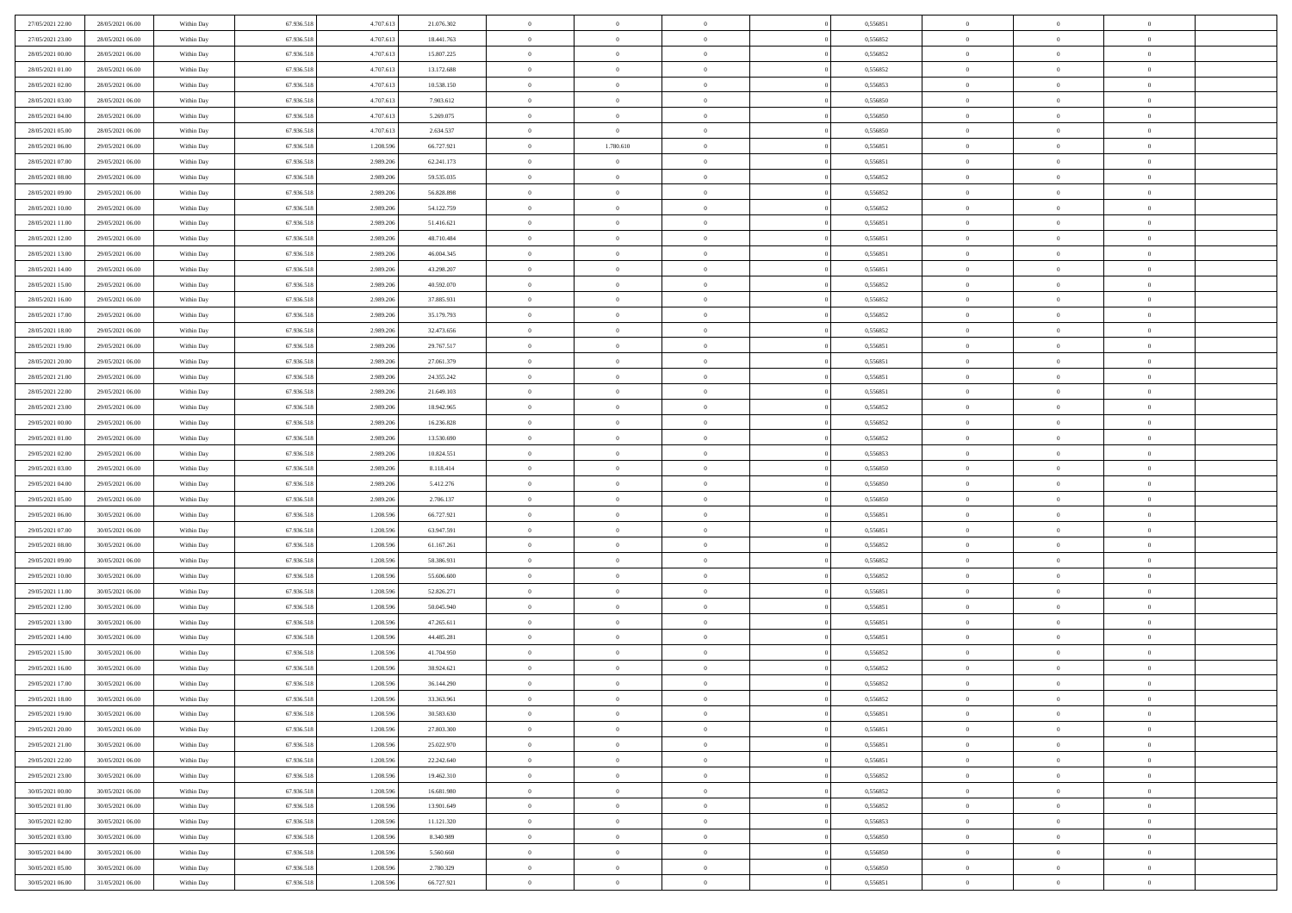| 27/05/2021 22.00 | 28/05/2021 06:00 | Within Day | 67.936.518 | 4.707.613 | 21.076.302 | $\overline{0}$ | $\overline{0}$ | $\Omega$       | 0,556851 | $\bf{0}$       | $\mathbf{0}$   | $\bf{0}$       |  |
|------------------|------------------|------------|------------|-----------|------------|----------------|----------------|----------------|----------|----------------|----------------|----------------|--|
| 27/05/2021 23:00 | 28/05/2021 06:00 | Within Day | 67.936.518 | 4.707.613 | 18.441.763 | $\mathbf{0}$   | $\overline{0}$ | $\overline{0}$ | 0,556852 | $\overline{0}$ | $\overline{0}$ | $\theta$       |  |
| 28/05/2021 00:00 | 28/05/2021 06:00 | Within Day | 67.936.518 | 4.707.613 | 15.807.225 | $\,$ 0         | $\overline{0}$ | $\bf{0}$       | 0,556852 | $\,$ 0         | $\overline{0}$ | $\,$ 0 $\,$    |  |
| 28/05/2021 01:00 | 28/05/2021 06:00 | Within Day | 67.936.518 | 4.707.613 | 13.172.688 | $\bf{0}$       | $\overline{0}$ | $\Omega$       | 0.556852 | $\bf{0}$       | $\mathbf{0}$   | $\theta$       |  |
| 28/05/2021 02:00 | 28/05/2021 06:00 | Within Day | 67.936.518 | 4.707.613 | 10.538.150 | $\bf{0}$       | $\overline{0}$ | $\overline{0}$ | 0,556853 | $\mathbf{0}$   | $\overline{0}$ | $\overline{0}$ |  |
| 28/05/2021 03:00 | 28/05/2021 06:00 | Within Day | 67.936.518 | 4.707.613 | 7.903.612  | $\bf{0}$       | $\overline{0}$ | $\bf{0}$       | 0,556850 | $\,$ 0         | $\overline{0}$ | $\,$ 0 $\,$    |  |
|                  |                  |            |            |           |            |                | $\overline{0}$ | $\overline{0}$ | 0.556850 | $\theta$       | $\mathbf{0}$   | $\theta$       |  |
| 28/05/2021 04:00 | 28/05/2021 06:00 | Within Day | 67.936.518 | 4.707.613 | 5.269.075  | $\bf{0}$       |                |                |          |                |                |                |  |
| 28/05/2021 05:00 | 28/05/2021 06:00 | Within Day | 67.936.518 | 4.707.613 | 2.634.537  | $\overline{0}$ | $\overline{0}$ | $\overline{0}$ | 0,556850 | $\mathbf{0}$   | $\overline{0}$ | $\overline{0}$ |  |
| 28/05/2021 06:00 | 29/05/2021 06:00 | Within Day | 67.936.518 | 1.208.596 | 66.727.921 | $\bf{0}$       | 1.780.610      | $\bf{0}$       | 0,556851 | $\,$ 0         | $\overline{0}$ | $\,$ 0 $\,$    |  |
| 28/05/2021 07:00 | 29/05/2021 06:00 | Within Day | 67.936.518 | 2.989.206 | 62.241.173 | $\bf{0}$       | $\overline{0}$ | $\Omega$       | 0.556851 | $\bf{0}$       | $\mathbf{0}$   | $\theta$       |  |
| 28/05/2021 08:00 | 29/05/2021 06:00 | Within Day | 67.936.518 | 2.989.206 | 59.535.035 | $\overline{0}$ | $\overline{0}$ | $\overline{0}$ | 0,556852 | $\mathbf{0}$   | $\overline{0}$ | $\overline{0}$ |  |
| 28/05/2021 09:00 | 29/05/2021 06:00 | Within Day | 67.936.518 | 2.989.206 | 56.828.898 | $\bf{0}$       | $\overline{0}$ | $\bf{0}$       | 0,556852 | $\,$ 0         | $\overline{0}$ | $\,$ 0 $\,$    |  |
| 28/05/2021 10:00 | 29/05/2021 06:00 | Within Day | 67.936.518 | 2.989.206 | 54.122.759 | $\bf{0}$       | $\overline{0}$ | $\Omega$       | 0.556852 | $\overline{0}$ | $\mathbf{0}$   | $\theta$       |  |
| 28/05/2021 11:00 | 29/05/2021 06:00 | Within Day | 67.936.518 | 2.989.206 | 51.416.621 | $\overline{0}$ | $\overline{0}$ | $\overline{0}$ | 0,556851 | $\mathbf{0}$   | $\overline{0}$ | $\overline{0}$ |  |
| 28/05/2021 12:00 | 29/05/2021 06:00 | Within Day | 67.936.518 | 2.989.206 | 48.710.484 | $\bf{0}$       | $\overline{0}$ | $\bf{0}$       | 0,556851 | $\,$ 0         | $\overline{0}$ | $\,$ 0 $\,$    |  |
| 28/05/2021 13:00 | 29/05/2021 06:00 | Within Day | 67.936.518 | 2.989.206 | 46,004,345 | $\bf{0}$       | $\overline{0}$ | $\overline{0}$ | 0.556851 | $\bf{0}$       | $\mathbf{0}$   | $\bf{0}$       |  |
| 28/05/2021 14:00 | 29/05/2021 06:00 | Within Day | 67.936.518 | 2.989.206 | 43.298.207 | $\overline{0}$ | $\overline{0}$ | $\overline{0}$ | 0,556851 | $\mathbf{0}$   | $\overline{0}$ | $\overline{0}$ |  |
| 28/05/2021 15:00 | 29/05/2021 06:00 | Within Day | 67.936.518 | 2.989.206 | 40.592.070 | $\bf{0}$       | $\overline{0}$ | $\bf{0}$       | 0,556852 | $\,$ 0         | $\overline{0}$ | $\,$ 0 $\,$    |  |
| 28/05/2021 16:00 | 29/05/2021 06:00 | Within Day | 67.936.518 | 2.989.206 | 37.885.931 | $\bf{0}$       | $\overline{0}$ | $\Omega$       | 0.556852 | $\theta$       | $\mathbf{0}$   | $\theta$       |  |
| 28/05/2021 17:00 | 29/05/2021 06:00 | Within Day | 67.936.518 | 2.989.206 | 35.179.793 | $\overline{0}$ | $\overline{0}$ | $\overline{0}$ | 0,556852 | $\mathbf{0}$   | $\overline{0}$ | $\overline{0}$ |  |
| 28/05/2021 18:00 | 29/05/2021 06:00 | Within Day | 67.936.518 | 2.989.206 | 32.473.656 | $\bf{0}$       | $\overline{0}$ | $\bf{0}$       | 0,556852 | $\,$ 0         | $\overline{0}$ | $\,$ 0 $\,$    |  |
| 28/05/2021 19:00 | 29/05/2021 06:00 | Within Day | 67.936.518 | 2.989.206 | 29.767.517 | $\bf{0}$       | $\overline{0}$ | $\Omega$       | 0.556851 | $\bf{0}$       | $\theta$       | $\theta$       |  |
| 28/05/2021 20:00 | 29/05/2021 06:00 | Within Day | 67.936.518 | 2.989.206 | 27.061.379 | $\overline{0}$ | $\overline{0}$ | $\overline{0}$ | 0,556851 | $\mathbf{0}$   | $\overline{0}$ | $\overline{0}$ |  |
| 28/05/2021 21:00 | 29/05/2021 06:00 | Within Day | 67.936.518 | 2.989.206 | 24.355.242 | $\bf{0}$       | $\overline{0}$ | $\bf{0}$       | 0,556851 | $\,$ 0         | $\overline{0}$ | $\,$ 0 $\,$    |  |
| 28/05/2021 22:00 | 29/05/2021 06:00 | Within Day | 67.936.518 | 2.989.206 | 21.649.103 | $\bf{0}$       | $\overline{0}$ | $\overline{0}$ | 0,556851 | $\bf{0}$       | $\overline{0}$ | $\bf{0}$       |  |
| 28/05/2021 23:00 | 29/05/2021 06:00 | Within Day | 67.936.518 | 2.989.206 | 18.942.965 | $\overline{0}$ | $\overline{0}$ | $\overline{0}$ | 0,556852 | $\mathbf{0}$   | $\overline{0}$ | $\overline{0}$ |  |
| 29/05/2021 00:00 | 29/05/2021 06:00 | Within Day | 67.936.518 | 2.989.206 | 16.236.828 | $\bf{0}$       | $\overline{0}$ | $\bf{0}$       | 0,556852 | $\,$ 0         | $\overline{0}$ | $\,$ 0 $\,$    |  |
| 29/05/2021 01:00 | 29/05/2021 06:00 | Within Day | 67.936.518 | 2.989.206 | 13.530.690 | $\bf{0}$       | $\overline{0}$ | $\Omega$       | 0.556852 | $\theta$       | $\mathbf{0}$   | $\theta$       |  |
| 29/05/2021 02:00 | 29/05/2021 06:00 |            | 67.936.518 | 2.989.206 | 10.824.551 | $\overline{0}$ | $\overline{0}$ | $\overline{0}$ | 0,556853 | $\mathbf{0}$   | $\overline{0}$ | $\overline{0}$ |  |
|                  |                  | Within Day |            |           |            |                |                |                |          |                |                |                |  |
| 29/05/2021 03:00 | 29/05/2021 06:00 | Within Day | 67.936.518 | 2.989.206 | 8.118.414  | $\bf{0}$       | $\overline{0}$ | $\bf{0}$       | 0,556850 | $\,$ 0         | $\overline{0}$ | $\,$ 0 $\,$    |  |
| 29/05/2021 04:00 | 29/05/2021 06:00 | Within Day | 67.936.518 | 2.989.206 | 5.412.276  | $\bf{0}$       | $\bf{0}$       | $\overline{0}$ | 0,556850 | $\bf{0}$       | $\overline{0}$ | $\,0\,$        |  |
| 29/05/2021 05:00 | 29/05/2021 06:00 | Within Dav | 67.936.518 | 2.989.206 | 2.706.137  | $\overline{0}$ | $\overline{0}$ | $\overline{0}$ | 0,556850 | $\mathbf{0}$   | $\overline{0}$ | $\overline{0}$ |  |
| 29/05/2021 06:00 | 30/05/2021 06:00 | Within Day | 67.936.518 | 1.208.596 | 66.727.921 | $\bf{0}$       | $\overline{0}$ | $\bf{0}$       | 0,556851 | $\,$ 0         | $\overline{0}$ | $\,$ 0 $\,$    |  |
| 29/05/2021 07:00 | 30/05/2021 06:00 | Within Day | 67.936.518 | 1.208.596 | 63.947.591 | $\bf{0}$       | $\overline{0}$ | $\bf{0}$       | 0,556851 | $\bf{0}$       | $\overline{0}$ | $\,0\,$        |  |
| 29/05/2021 08:00 | 30/05/2021 06:00 | Within Day | 67.936.518 | 1.208.596 | 61.167.261 | $\mathbf{0}$   | $\overline{0}$ | $\overline{0}$ | 0,556852 | $\overline{0}$ | $\overline{0}$ | $\overline{0}$ |  |
| 29/05/2021 09:00 | 30/05/2021 06:00 | Within Day | 67.936.518 | 1.208.596 | 58.386.931 | $\bf{0}$       | $\overline{0}$ | $\bf{0}$       | 0,556852 | $\,$ 0         | $\overline{0}$ | $\,$ 0 $\,$    |  |
| 29/05/2021 10:00 | 30/05/2021 06:00 | Within Day | 67.936.518 | 1.208.596 | 55.606.600 | $\,$ 0         | $\bf{0}$       | $\overline{0}$ | 0,556852 | $\bf{0}$       | $\overline{0}$ | $\,0\,$        |  |
| 29/05/2021 11:00 | 30/05/2021 06:00 | Within Day | 67.936.518 | 1.208.596 | 52.826.271 | $\overline{0}$ | $\overline{0}$ | $\overline{0}$ | 0,556851 | $\mathbf{0}$   | $\overline{0}$ | $\overline{0}$ |  |
| 29/05/2021 12:00 | 30/05/2021 06:00 | Within Day | 67.936.518 | 1.208.596 | 50.045.940 | $\bf{0}$       | $\overline{0}$ | $\bf{0}$       | 0,556851 | $\,$ 0         | $\overline{0}$ | $\,$ 0 $\,$    |  |
| 29/05/2021 13:00 | 30/05/2021 06:00 | Within Day | 67.936.518 | 1.208.596 | 47.265.611 | $\bf{0}$       | $\bf{0}$       | $\overline{0}$ | 0,556851 | $\bf{0}$       | $\overline{0}$ | $\,0\,$        |  |
| 29/05/2021 14:00 | 30/05/2021 06:00 | Within Day | 67.936.518 | 1.208.596 | 44.485.281 | $\overline{0}$ | $\overline{0}$ | $\overline{0}$ | 0,556851 | $\overline{0}$ | $\overline{0}$ | $\overline{0}$ |  |
| 29/05/2021 15:00 | 30/05/2021 06:00 | Within Day | 67.936.518 | 1.208.596 | 41.704.950 | $\bf{0}$       | $\overline{0}$ | $\bf{0}$       | 0,556852 | $\,$ 0         | $\overline{0}$ | $\,$ 0 $\,$    |  |
| 29/05/2021 16:00 | 30/05/2021 06:00 | Within Day | 67.936.518 | 1.208.596 | 38.924.621 | $\bf{0}$       | $\bf{0}$       | $\bf{0}$       | 0,556852 | $\bf{0}$       | $\overline{0}$ | $\,0\,$        |  |
| 29/05/2021 17:00 | 30/05/2021 06:00 | Within Dav | 67.936.518 | 1.208.596 | 36.144.290 | $\mathbf{0}$   | $\overline{0}$ | $\overline{0}$ | 0,556852 | $\overline{0}$ | $\overline{0}$ | $\overline{0}$ |  |
| 29/05/2021 18:00 | 30/05/2021 06:00 | Within Day | 67.936.518 | 1.208.596 | 33.363.961 | $\bf{0}$       | $\overline{0}$ | $\theta$       | 0,556852 | $\overline{0}$ | $\theta$       | $\theta$       |  |
| 29/05/2021 19:00 | 30/05/2021 06:00 | Within Day | 67.936.518 | 1.208.596 | 30.583.630 | $\bf{0}$       | $\bf{0}$       | $\bf{0}$       | 0,556851 | $\bf{0}$       | $\overline{0}$ | $\bf{0}$       |  |
| 29/05/2021 20:00 | 30/05/2021 06:00 | Within Day | 67.936.518 | 1.208.596 | 27.803.300 | $\overline{0}$ | $\overline{0}$ | $\overline{0}$ | 0,556851 | $\overline{0}$ | $\bf{0}$       | $\overline{0}$ |  |
| 29/05/2021 21:00 | 30/05/2021 06:00 | Within Day | 67.936.518 | 1.208.596 | 25.022.970 | $\,$ 0 $\,$    | $\overline{0}$ | $\overline{0}$ | 0,556851 | $\mathbf{0}$   | $\,$ 0 $\,$    | $\,$ 0 $\,$    |  |
| 29/05/2021 22:00 | 30/05/2021 06:00 | Within Day | 67.936.518 | 1.208.596 | 22.242.640 | $\bf{0}$       | $\overline{0}$ | $\overline{0}$ | 0,556851 | $\bf{0}$       | $\overline{0}$ | $\bf{0}$       |  |
| 29/05/2021 23:00 | 30/05/2021 06:00 | Within Day | 67.936.518 | 1.208.596 | 19.462.310 | $\bf{0}$       | $\overline{0}$ | $\overline{0}$ | 0,556852 | $\mathbf{0}$   | $\overline{0}$ | $\overline{0}$ |  |
| 30/05/2021 00:00 | 30/05/2021 06:00 | Within Day | 67.936.518 | 1.208.596 | 16.681.980 | $\,$ 0 $\,$    | $\overline{0}$ | $\overline{0}$ | 0,556852 | $\,$ 0 $\,$    | $\overline{0}$ | $\,$ 0 $\,$    |  |
| 30/05/2021 01:00 | 30/05/2021 06:00 | Within Day | 67.936.518 | 1.208.596 | 13.901.649 | $\bf{0}$       | $\overline{0}$ | $\overline{0}$ | 0,556852 | $\bf{0}$       | $\overline{0}$ | $\overline{0}$ |  |
| 30/05/2021 02:00 | 30/05/2021 06:00 | Within Day | 67.936.518 | 1.208.596 | 11.121.320 | $\overline{0}$ | $\overline{0}$ | $\overline{0}$ | 0,556853 | $\overline{0}$ | $\bf{0}$       | $\overline{0}$ |  |
| 30/05/2021 03:00 | 30/05/2021 06:00 | Within Day | 67.936.518 | 1.208.596 | 8.340.989  | $\,$ 0 $\,$    | $\overline{0}$ | $\overline{0}$ | 0,556850 | $\,$ 0 $\,$    | $\,$ 0 $\,$    | $\,$ 0 $\,$    |  |
| 30/05/2021 04:00 | 30/05/2021 06:00 | Within Day | 67.936.518 | 1.208.596 | 5.560.660  | $\bf{0}$       | $\overline{0}$ | $\overline{0}$ | 0,556850 | $\mathbf{0}$   | $\overline{0}$ | $\bf{0}$       |  |
| 30/05/2021 05:00 | 30/05/2021 06:00 | Within Day | 67.936.518 | 1.208.596 | 2.780.329  | $\bf{0}$       | $\overline{0}$ | $\overline{0}$ | 0,556850 | $\mathbf{0}$   | $\bf{0}$       | $\overline{0}$ |  |
|                  |                  |            |            |           |            | $\,0\,$        |                |                |          | $\,$ 0         | $\overline{0}$ | $\,$ 0 $\,$    |  |
| 30/05/2021 06:00 | 31/05/2021 06:00 | Within Day | 67.936.518 | 1.208.596 | 66.727.921 |                | $\overline{0}$ | $\overline{0}$ | 0,556851 |                |                |                |  |